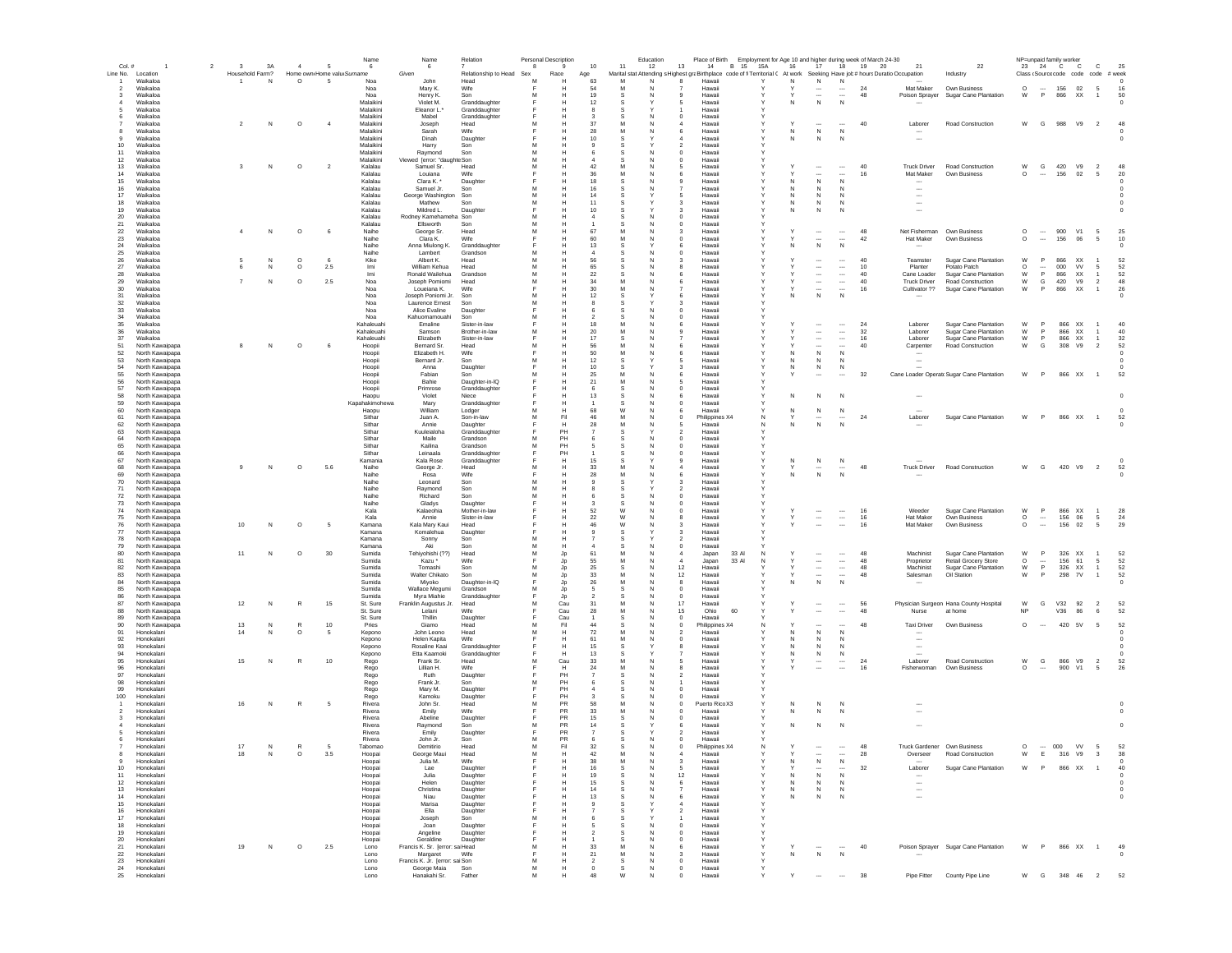| Line No. Location<br>Household Farm?<br>Home own Home valu Surname<br>Given<br>Marital stat Attending s Highest graBirthplace code of fi Territorial ( At work Seeking Have job # hours Duratio Occupation<br>Relationship to Head Sex<br>Race<br>Class (Source code code code # week<br>Age<br>Industry<br>Waikaloa<br>N<br>$\circ$<br>- 5<br>Noa<br>.lohn<br>Head<br>M<br>63<br>M<br>N<br>Hawaii<br>N<br>N<br>$\overline{1}$<br>N<br>$\Omega$<br>$\Omega$<br>156<br>02<br>Waikaloa<br>Noa<br>Mary K.<br>Wife<br>54<br>M<br>Hawaii<br>24<br>Mat Maker<br>Own Business<br>$\sim$<br>- 5<br>16<br>$\overline{2}$<br>$\overline{\phantom{a}}$<br>$\overline{\phantom{a}}$<br>P<br>Waikaloa<br>Noa<br>Henry K.<br>Son<br>19<br>S.<br>Hawaii<br>$\overline{\phantom{a}}$<br>$\overline{\phantom{a}}$<br>48<br>Poison Sprayer<br>Sugar Cane Plantation<br>W<br>866<br>XX<br>50<br>$\mathbf{3}$<br>м<br>N<br>$\mathbf{q}$<br>Y<br>$\overline{1}$<br>Waikaloa<br>Malaikini<br>Violet M.<br>Granddaughter<br>12<br>N<br>$\mathsf{N}$<br>s<br>5<br>Hawaii<br>N<br>$^{\circ}$<br>Waikaloa<br>Malaikini<br>Eleanor L.*<br>Granddaughter<br>S<br>Hawaii<br>Waikaloa<br>Malaikini<br>Mabel<br>Granddaughte<br>Hawai<br>Waikaloa<br>$\circ$<br>Malaikini<br>37<br>Laborer<br>Road Construction<br>W<br>G<br>988<br>V9<br>$\overline{2}$<br>48<br>N<br>$\overline{4}$<br>Joseph<br>Head<br>M<br>M<br>Hawai<br>40<br>Waikaloa<br>Malaikini<br>Sarah<br>Wife<br>28<br>M<br>${\sf N}$<br>$\mathsf{N}$<br>N<br>Hawaii<br>6<br>$^{\circ}$<br>Waikaloa<br>Malaikini<br>Dinah<br>Daughter<br>10<br>N<br>$\mathsf{N}$<br>N<br>Hawaii<br>$^{\circ}$<br>Waikaloa<br>Malaikini<br>10<br>Harry<br>Son<br>$\overline{2}$<br>Hawaii<br>Waikaloa<br>Malaikini<br>Raymond<br>Son<br>11<br>$^{\circ}$<br>6<br>s<br>Hawaii<br>Malaikini<br>Viewed Terror: "daughte Son<br>12<br>Waikaloa<br>м<br>$\overline{a}$<br>$^{\circ}$<br>Hawaii<br>$\circ$<br>42<br>40<br>W<br>G<br>420<br>V9<br>48<br>$\overline{2}$<br>Kalalau<br>Samuel Sr.<br>M<br><b>Truck Driver</b><br>Road Construction<br>$\overline{2}$<br>13<br>Waikaloa<br>$\mathbf{3}$<br>N<br>Head<br>м<br>N<br>-5<br>Hawaii<br>Υ<br>$\cdots$<br><br>M<br>Mat Maker<br>$\circ$<br>156<br>02<br>14<br>Waikaloa<br>Kalalau<br>Louiana<br>Wife<br>36<br>N<br>6<br>Hawaii<br>$\overline{\phantom{a}}$<br>16<br>Own Business<br><br>- 5<br>-20<br><br>18<br>N<br>N<br>15<br>Waikaloa<br>Kalalau<br>Clara K.<br>Daughter<br>s<br>N<br>-9<br>Hawaii<br>N<br>$^{\circ}$<br>16<br>Waikaloa<br>Kalalau<br>Samuel Jr.<br>Son<br>M<br>16<br>Hawaii<br>$\mathsf{N}$<br>N<br>S<br>N<br>N<br>$\overline{\phantom{a}}$<br>$\Omega$<br>17<br>Waikaloa<br>Kalalau<br>George Washington<br>Son<br>M<br>14<br>Hawaii<br>$\mathsf{N}$<br>N<br>S<br>5<br>N<br>$\sim$<br>18<br>Waikaloa<br>Kalalau<br>Mathew<br>Son<br>M<br>11<br>Hawaii<br>N<br>N<br>N<br>S<br>3<br>$\overline{\phantom{a}}$<br>19<br>Waikaloa<br>Kalalau<br>Mildred L.<br>10<br>${\sf N}$<br>Daughte<br>s<br>3<br>Hawai<br>N<br>N<br>$20\,$<br>Waikaloa<br>Kalalau<br>Rodney Kamehameha<br>Son<br>M<br>$\overline{a}$<br>$\circ$<br>Hawai<br>21<br>Waikaloa<br>Kalalau<br>Ellsworth<br>Son<br>M<br>$\circ$<br>Hawai<br>$22\,$<br>Waikaloa<br>$\circ$<br>Naihe<br>67<br>48<br>$\circ$<br>900<br>V1<br>25<br>$\boldsymbol{A}$<br>N<br>6<br>George Sr.<br>Head<br>M<br>M<br>3<br>Hawai<br><br>Net Fisherman<br>Own Business<br>$\overline{\phantom{a}}$<br>5<br>23<br>Waikaloa<br>Naihe<br>Clara K.<br>Wife<br>60<br>M<br>42<br>Hat Maker<br>Own Business<br>$\circ$<br>156<br>06<br>10<br>$^{\circ}$<br>$\overline{\phantom{a}}$<br>5<br>Hawaii<br>$\bf 24$<br>Waikaloa<br>Naihe<br>Anna Miulong K.<br>Granddaughter<br>13<br>N<br>$\mathsf{N}$<br>s<br>N<br>6<br>Hawaii<br>$^{\circ}$<br>25<br>Waikaloa<br>Naihe<br>Lambert<br>Grandson<br>s<br>0<br>Hawaii<br>${\sf N}$<br>$\circ$<br>Kike<br>Albert K.<br>M<br>56<br>40<br>Teamster<br>Sugar Cane Plantation<br>W<br>P<br>866<br>XX<br>52<br>26<br>Waikaloa<br>6<br>s<br>Head<br>Hawaii<br>$\ddotsc$<br>$\overline{1}$<br>з<br><br><b>VV</b><br>52<br>Waikaloa<br>$\circ$<br>2.5<br>William Kehua<br>65<br>10<br>Planter<br>Potato Patch<br>$\circ$<br>000<br>27<br>N<br>Imi<br>Head<br>м<br>s<br>Hawaii<br>$\overline{\phantom{a}}$<br>$\overline{\phantom{a}}$<br>$\cdots$<br>- 5<br>N<br>8<br>${\mathsf W}$<br>P<br>52<br>Ronald Wailehua<br>$\cdots$<br>40<br>XX<br>28<br>Waikaloa<br>Imi<br>Grandson<br>м<br>22<br>S<br>Hawaii<br>$\cdots$<br>Cane Loader<br>Sugar Cane Plantation<br>866<br>$\overline{1}$<br>N<br>-6<br>Y<br>$\circ$<br>$\overline{7}$<br>2.5<br>G<br>48<br>N<br>34<br>M<br>$\cdots$<br>40<br><b>Truck Driver</b><br>W<br>420<br>V9<br>29<br>Waikaloa<br>Noa<br>Joseph Pomiomi<br>Head<br>Hawaii<br>$\overline{\phantom{a}}$<br><b>Road Construction</b><br>$\overline{2}$<br>6<br>W<br>16<br>26<br>30<br>30<br>M<br>Sugar Cane Plantation<br>P<br>XX<br>Waikaloa<br>Noa<br>Loueiana K.<br>Wife<br>N<br>Hawaii<br>$\cdots$<br>$\cdots$<br>Cultivator ??<br>866<br>$\mathbf{1}$<br>Y<br>31<br>Waikaloa<br>Noa<br>Joseph Poniomi Jr.<br>Son<br>M<br>12<br>S<br>Hawaii<br>N<br>N<br>N<br>$\circ$<br>-6<br>32<br>Waikaloa<br>Noa<br>Laurence Ernest<br>Son<br>M<br>Hawaii<br>8<br>S<br>3<br>33<br>Waikaloa<br>Noa<br>Alice Evaline<br>Daughter<br>$\Omega$<br>Hawaii<br>$\epsilon$<br>s<br>$34\,$<br>Waikaloa<br>Kahuomamouahi<br>Noa<br>Son<br>M<br>$\overline{2}$<br>S<br>$\circ$<br>Hawaii<br>$35\,$<br>Waikaloa<br>Kahaleuahi<br>Emaline<br>Sister-in-law<br>18<br>24<br>Laborer<br>Sugar Cane Plantation<br>W<br>P<br>866 XX<br>40<br>M<br>6<br>Hawaii<br><br>Kahaleuahi<br>Brother-in-law<br>20<br>M<br>32<br>Sugar Cane Plantation<br>W<br>P<br>866<br>XX<br>40<br>36<br>Waikaloa<br>Samson<br>M<br>9<br>Hawai<br><br>Laborer<br>$37\,$<br>Kahaleuahi<br>Elizabeth<br>Sister-in-law<br>17<br>$\overline{\phantom{a}}$<br>16<br>Laborer<br>W<br>P<br>866<br>XX<br>32<br>Waikaloa<br>s<br>Hawai<br><br><b>Sugar Cane Plantation</b><br>51<br>North Kawaipapa<br>$\circ$<br>Bernard Sr.<br>56<br>N<br>40<br>W<br>G<br>308<br>V9<br>52<br>N<br>6<br>Hoopii<br>Head<br>Carpenter<br>Road Construction<br>$\overline{2}$<br>Hawaii<br>$\ddotsc$<br>52<br>Wife<br>50<br>M<br>${\sf N}$<br>${\sf N}$<br>North Kawaipapa<br>Elizabeth H.<br>N<br>Hoopii<br>Hawaii<br>6<br>$^{\circ}$<br>12<br>53<br>Bernard Jr.<br>Son<br>North Kawaipapa<br>s<br>N<br>N<br>Hoopii<br>Hawaii<br>54<br>Daughter<br>10<br>North Kawaipapa<br>Hoopii<br>Anna<br>s<br>N<br>N<br>Hawaii<br>N<br>з<br>32<br>W<br>P<br>866 XX<br>55<br>North Kawainana<br>Fabian<br>25<br>M<br>Cane Loader Operatc Sugar Cane Plantation<br>52<br>Hoopii<br>Son<br>6<br>Hawaii<br>Y<br>$\overline{1}$<br>$\overline{\phantom{a}}$<br>$\overline{\phantom{a}}$<br>56<br>Daughter-in-IQ<br>21<br>M<br>North Kawainana<br>Hoopii<br>Bahie<br>N<br>-5<br>Hawaii<br>н<br>57<br>Primrose<br>North Kawainana<br>Hoopii<br>Granddaughter<br>6<br>s<br>N<br>$^{\circ}$<br>Hawaii<br>58<br>N<br>N<br>North Kawainana<br>Haopu<br>Violet<br>Niece<br>13<br>s<br>N<br>6<br>Hawaii<br>N<br>$\overline{\phantom{a}}$<br>$^{\circ}$<br>59<br>North Kawaipapa<br>Kapahakimohewa<br>Mary<br>Granddaughter<br>$\Omega$<br>Hawaii<br>s<br>N<br>60<br>North Kawaipapa<br>Haopu<br>William<br>Lodger<br>M<br>68<br>W<br>Hawaii<br>N<br>N<br>N<br>N<br>6<br>24<br>61<br>North Kawaipapa<br>Sithar<br>Juan A.<br>Son-in-law<br>M<br>Fil<br>46<br>M<br>$^{\circ}$<br>Philippines X4<br>N<br>Laborer<br>Sugar Cane Plantation<br>W<br><b>P</b><br>866 XX<br>$\overline{1}$<br>52<br>N<br>Υ<br>$\overline{\phantom{a}}$<br>$\overline{\phantom{a}}$<br>62<br>North Kawaipapa<br>Sithar<br>Daughter<br>28<br>M<br>N<br>$\mathsf{N}$<br>Annie<br>Н<br>N<br>5<br>Hawaii<br>63<br>North Kawaipapa<br>Sithar<br>Kuuleialoha<br>Granddaughte<br>PH<br>Hawai<br>64<br>Sithar<br>Maile<br>North Kawaipapa<br>Grandson<br>M<br>PH<br>Hawaii<br>65<br>Sithar<br>Kailina<br>Grandson<br>PH<br>North Kawaipapa<br>M<br>5<br>s<br>0<br>Hawai<br>66<br>North Kawaipapa<br>Sithar<br>Leinaala<br>Granddaughter<br>PH<br>s<br>$^{\circ}$<br>Hawaii<br>67<br>Kamania<br>Kala Rose<br>Granddaughter<br>15<br>North Kawaipapa<br>N<br>н<br>9<br>Hawaii<br>N<br>N<br>$\circ$<br>33<br>M<br>48<br><b>Truck Driver</b><br>Road Construction<br>W<br>G<br>420 V9<br>52<br>68<br>North Kawaipapa<br>N<br>5.6<br>Naihe<br>George Jr.<br>Head<br>$\overline{\mathbf{2}}$<br>Hawaii<br>$\cdots$<br>$\cdots$<br>$\mathsf{N}$<br>N<br>69<br>Naihe<br>Wife<br>28<br>M<br>North Kawaipapa<br>Rosa<br>Hawaii<br>$^{\circ}$<br>н<br>-6<br>North Kawainana<br>70<br>Naihe<br>Leonard<br>Son<br>$\mathbf{Q}$<br>s<br>Hawaii<br>-3<br>71<br>North Kawainana<br>Naihe<br>Raymond<br>Son<br>м<br>Hawaii<br>я<br>s<br>-2<br>72<br>North Kawainana<br>Naihe<br>Richard<br>Son<br>$^{\circ}$<br>Hawaii<br>-6<br>Naihe<br>73<br>North Kawainana<br>Gladys<br>Daughter<br>3<br>s<br>N<br>$^{\circ}$<br>Hawaii<br>74<br>North Kawaipapa<br>Kala<br>Kalaeohia<br>Mother-in-lav<br>52<br>W<br>$\Omega$<br>Hawaii<br>16<br>Weeder<br>Sugar Cane Plantation<br>W<br>$\mathsf{P}$<br>866 XX<br>28<br>N<br>$\overline{\phantom{a}}$<br>$\cdots$<br>$\mathbf{1}$<br>$\circ$<br>75<br>North Kawaipapa<br>Kala<br>Annie<br>Sister-in-law<br>22<br>W<br>Hawaii<br>Y<br>$\overline{\phantom{a}}$<br>$\cdots$<br>16<br><b>Hat Maker</b><br>Own Business<br>$\cdots$<br>156<br>- 06<br>-5<br>24<br>N<br>8<br>76<br>North Kawaipapa<br>10<br>$\circ$<br>Kamana<br>Kala Mary Kaui<br>Head<br>46<br>W<br>Hawaii<br>$\sim$<br>$\overline{\phantom{a}}$<br>16<br>Mat Maker<br>Own Business<br>$\circ$<br>$\overline{\phantom{a}}$<br>156<br>02<br>5<br>29<br>N<br>-5<br>N<br>-3<br>$77\,$<br>Kamana<br>Komalehua<br>Daughter<br>North Kawaipapa<br>$\mathbf{Q}$<br>S<br>Hawaii<br>Kamana<br>Sonny<br>Son<br>78<br>North Kawaipapa<br>S<br>Hawaii<br>79<br>North Kawaipapa<br>Kamana<br>Ak<br>Son<br>M<br>$\overline{a}$<br>s<br>0<br>Hawaii<br>80<br>$\circ$<br>Tehiyohishi (??)<br>61<br>M<br>33 Al<br>48<br>Machinist<br>Sugar Cane Plantation<br>W<br>P<br>326 XX<br>52<br>North Kawaipapa<br>11<br>N<br>30<br>Sumida<br>Head<br>M<br>Jp<br>$\overline{4}$<br>Japan<br>81<br>North Kawaipapa<br>Kazu*<br>Wife<br>55<br>M<br>33 Al<br>48<br>Proprietor<br>Retail Grocery Store<br>$\circ$<br>156 61<br>$\sqrt{5}$<br>52<br>Sumida<br>$\ldots$<br>Japan<br>$\cdots$<br>Jp<br>$\cdots$<br>W<br>P<br>52<br>82<br>Tomashi<br>Son<br>25<br>12<br>$\ldots$<br>48<br>Machinist<br>326<br>XX<br>North Kawaipapa<br>Sumida<br>$\cdots$<br>Sugar Cane Plantation<br>s<br>Hawaii<br>Υ<br>Jp<br>$\overline{1}$<br>83<br>Walter Chikato<br>33<br>M<br>12<br>48<br>W<br>P<br>298<br>7V<br>52<br>North Kawaipapa<br>Sumida<br>Son<br>$\overline{\phantom{a}}$<br>Salesman<br>Oil Station<br>Hawaii<br>$\mathbf{1}$<br>Jp<br>N<br>$^{84}$<br>Sumida<br>Miyoko<br>Daughter-in-IQ<br>26<br>M<br>N<br>North Kawaipapa<br>8<br>N<br>$^{\circ}$<br>Jp<br>Hawaii<br>Wallace Megumi<br>North Kawaipapa<br>Grandson<br>M<br>85<br>Sumida<br>Jp<br>5<br>s<br>$^{\circ}$<br>Hawaii<br>N<br>Myra Miahie<br>86<br>North Kawaipapa<br>Sumida<br>Granddaughter<br>Jp<br>S<br>N<br>$^{\circ}$<br>Hawaii<br>56<br>W<br>V32<br>92<br>52<br>87<br>12<br>$\mathbb{R}$<br>15<br>St. Sure<br>31<br>M<br>Physician Surgeon Hana County Hospital<br>G<br>$\overline{2}$<br>North Kawaipapa<br>N<br>Franklin Augustus Jr.<br>Head<br>м<br>Cau<br>N<br>17<br>Hawaii<br>$\cdots$<br><br>48<br>M<br>15<br>60<br><b>NP</b><br>52<br>88<br>North Kawaipapa<br>St. Sure<br>Lelani<br>Wife<br>Cau<br>28<br>N<br>Ohio<br>$\overline{\phantom{a}}$<br>Nurse<br>at home<br>V36<br>86<br>6<br>89<br>North Kawaipapa<br>St. Sure<br>Thillin<br>Daughter<br>Cau<br>s<br>$\Omega$<br>Hawaii<br>$\mathbf{1}$<br>N<br>90<br>North Kawaipapa<br>13<br>N<br>$\mathbb{R}$<br>10<br>Pries<br>Giamo<br>Head<br>M<br>Fil<br>44<br>$^{\circ}$<br>Philippines X4<br>48<br><b>Taxi Driver</b><br>Own Business<br>$\Omega$<br>420 5V<br>- 5<br>52<br>S<br>N<br>$\overline{a}$<br>$\sim$<br>91<br>Honokalani<br>14<br>N<br>$\circ$<br>Kepono<br>John Leono<br>Head<br>M<br>72<br>M<br>Hawaii<br>N<br>N<br>5<br>н<br>N<br>2<br>N<br>92<br>Honokalani<br>Helen Kapita<br>M<br>N<br>Kepono<br>Wife<br>61<br>N<br>0<br>Hawai<br>N<br>N<br>93<br>Honokalani<br>Rosaline Kaai<br>Kepono<br>Granddaughte<br>15<br>Hawai<br>N<br>N<br>N<br>94<br>Etta Kaamoki<br>Granddaughter<br>Honokalani<br>Kepono<br>13<br>S<br>Hawai<br>N<br>N<br>N<br>95<br>Honokalani<br>15<br>10<br>Frank Sr.<br>33<br>M<br>24<br>Laborer<br>Road Construction<br>W<br>G<br>866<br>V9<br>$\overline{2}$<br>52<br>N<br>$\mathbb{R}$<br>Rego<br>Head<br>M<br>Cau<br>5<br>Hawai<br><br>96<br>Honokalani<br>Lillian H.<br>Wife<br>24<br>M<br>16<br>Fisherwoman<br>$\circ$<br>900<br>V1<br>26<br>Rego<br>H<br>$\overline{\phantom{a}}$<br>Own Business<br>5<br>Hawaii<br>8<br>$\cdots$<br>97<br>Honokalani<br>Rego<br>Ruth<br>Daughter<br>PH<br>s<br>Hawaii<br>Frank Jr.<br>98<br>Honokalani<br>Rego<br>PH<br>Son<br>s<br>Hawaii<br>99<br>Honokalani<br>Mary M.<br>PH<br>Rego<br>Daughter<br>s<br>$^{\circ}$<br>Hawaii<br>-4<br>Kamoku<br>PH<br>100<br>Honokalani<br>Rego<br>Daughter<br>-3<br>s<br>N<br>$^{\circ}$<br>Hawaii<br>$\mathbb{R}$<br>16<br><b>PR</b><br>Honokalani<br>N<br>- 5<br>Rivera<br>John Sr.<br>Head<br>м<br>58<br>M<br>N<br>$^{\circ}$<br>Puerto Rico X3<br>N<br>N<br>N<br>$\Omega$<br>$\overline{\phantom{a}}$<br>M<br>Honokalani<br>Rivera<br>Emily<br>Wife<br><b>PR</b><br>33<br>Hawaii<br>N<br>N<br>N<br>$\overline{\phantom{a}}$<br>n<br>$^{\circ}$<br><b>PR</b><br>Rivera<br>15<br>Honokalani<br>Abeline<br>Daughter<br>s<br>N<br>$^{\circ}$<br>Hawaii<br>Honokalani<br>Rivera<br>Raymond<br>Son<br><b>PR</b><br>14<br>Hawaii<br>N<br>N<br>N<br>$\overline{0}$<br>м<br>s<br>-6<br>$\overline{\phantom{a}}$<br>Honokalani<br>Rivera<br>Emily<br>Daughter<br><b>PR</b><br>Hawaii<br>S<br>Honokalani<br>Rivera<br>John Jr.<br>Son<br>M<br><b>PR</b><br>6<br>Hawaii<br>s<br>N<br>$\Omega$<br>17<br>$\mathbb{R}$<br>Demitirio<br>Fil<br>48<br>Truck Gardener Own Business<br>$\circ$<br>000<br>VV<br>5<br>52<br>Honokalani<br>N<br>5<br>Tabomao<br>Head<br>M<br>32<br>$\mathbf 0$<br>Philippines X4<br>$\sim$<br>$\sim$<br>e Mai<br>Head<br>ноор<br>28<br><b>Oversee</b><br>M<br>${\sf N}$<br>${\sf N}$<br>$\mathbf{Q}$<br>Honokalani<br>Hoopai<br>Julia M.<br>Wife<br>38<br>3<br>Hawai<br>N<br>Honokalani<br>16<br>32<br>Sugar Cane Plantation<br>W<br>P<br>866 XX<br>40<br>10<br>Hoopai<br>Lae<br>Daughter<br>s<br>N<br>5<br>Hawai<br>Laborer<br>11<br>Daughter<br>19<br>12<br>N<br>$\mathsf{N}$<br>Honokalani<br>Hoopai<br>Julia<br>s<br>Hawaii<br>N<br>Honokalani<br>Helen<br>15<br>12<br>Hoopai<br>Daughter<br>Hawaii<br>N<br>N<br>N<br>-6<br>$\cdots$<br>$^{\circ}$<br>Christina<br>14<br>13<br>Honokalani<br>Daughter<br>N<br>N<br>N<br>Hoopai<br>Hawaii<br>$\overline{\phantom{a}}$<br>14<br>Honokalani<br>Niau<br>13<br>N<br>$\mathsf{N}$<br>Hoopai<br>Daughter<br>s<br>N<br>$\overline{\phantom{a}}$<br>$\overline{0}$<br>6<br>Hawaii<br>Marisa<br>15<br>Honokalani<br>Hoopai<br>Daughter<br>$\mathbf{Q}$<br>Hawaii<br>4<br>Ella<br>16<br>Honokalani<br>Hoopai<br>Daughter<br>$\overline{2}$<br>Hawaii<br>17<br>Honokalani<br>Hoopai<br>Joseph<br>Son<br>$\mathbf{6}$<br>S<br>Hawaii<br>18<br>Honokalani<br>Hoopai<br>Joan<br>Daughter<br>- 5<br>N<br>$^{\circ}$<br>Hawaii<br>s<br>19<br>Honokalani<br>Hoopai<br>Angeline<br>Daughter<br>$\Omega$<br>Hawaii<br>$\overline{2}$<br>s<br>N<br>20<br>Honokalani<br>Hoopai<br>Geraldine<br>Daughter<br>Hawaii<br>S<br>N<br>$\Omega$<br>21<br>Honokalani<br>19<br>N<br>$\circ$<br>2.5<br>Lono<br>Francis K. Sr. [error: sa Head<br>33<br>M<br>Hawaii<br>40<br>Poison Sprayer Sugar Cane Plantation<br>W<br>P<br>866 XX<br>$-1$<br>49<br>м<br>N<br>6<br>$\overline{\phantom{a}}$<br>$\sim$<br>$22\,$<br>Honokalani<br>Margaret<br>M<br>$\mathsf N$<br>$\,N\,$<br>Lono<br>Wife<br>21<br>3<br>Hawaii<br>N<br>23<br>Honokalani<br>Francis K. Jr. [error: sai Son<br>Lono<br>M<br>s<br>$\circ$<br>Hawaii<br>$\bf 24$<br>George Maia<br>M<br>Honokalani<br>Lono<br>Son<br>$\mathbf 0$<br>S<br>$\circ$<br>Hawaii<br>25<br>Honokalani<br>Lono<br>Hanakahi Sr.<br>Father<br>M<br>Hawaii<br>38<br>County Pipe Line<br>$\mathsf{G}$<br>348 46 2<br>52<br>48<br>W<br>N<br>0<br>Υ<br>Y<br>$\cdots$<br>$\ldots$<br>Pipe Fitter<br>W | Col. # | $\overline{2}$ | $\overline{\mathbf{3}}$ | 3A | $\frac{4}{3}$ | 5 | Name<br>- 6 | Name<br>- 6 | Relation | Personal Description<br>-8 | 9 | 10 | Education<br>11 | 13<br>12 | 14 | Place of Birth Employment for Age 10 and higher during week of March 24-30<br>B 15<br>15A | 16 | 17 | 19<br>18 | - 20<br>21 | 22 | NP=unpaid family worker<br>23 24 C | $\mathbf{C}$ | $\mathbb{C}$ | 25 |  |
|-----------------------------------------------------------------------------------------------------------------------------------------------------------------------------------------------------------------------------------------------------------------------------------------------------------------------------------------------------------------------------------------------------------------------------------------------------------------------------------------------------------------------------------------------------------------------------------------------------------------------------------------------------------------------------------------------------------------------------------------------------------------------------------------------------------------------------------------------------------------------------------------------------------------------------------------------------------------------------------------------------------------------------------------------------------------------------------------------------------------------------------------------------------------------------------------------------------------------------------------------------------------------------------------------------------------------------------------------------------------------------------------------------------------------------------------------------------------------------------------------------------------------------------------------------------------------------------------------------------------------------------------------------------------------------------------------------------------------------------------------------------------------------------------------------------------------------------------------------------------------------------------------------------------------------------------------------------------------------------------------------------------------------------------------------------------------------------------------------------------------------------------------------------------------------------------------------------------------------------------------------------------------------------------------------------------------------------------------------------------------------------------------------------------------------------------------------------------------------------------------------------------------------------------------------------------------------------------------------------------------------------------------------------------------------------------------------------------------------------------------------------------------------------------------------------------------------------------------------------------------------------------------------------------------------------------------------------------------------------------------------------------------------------------------------------------------------------------------------------------------------------------------------------------------------------------------------------------------------------------------------------------------------------------------------------------------------------------------------------------------------------------------------------------------------------------------------------------------------------------------------------------------------------------------------------------------------------------------------------------------------------------------------------------------------------------------------------------------------------------------------------------------------------------------------------------------------------------------------------------------------------------------------------------------------------------------------------------------------------------------------------------------------------------------------------------------------------------------------------------------------------------------------------------------------------------------------------------------------------------------------------------------------------------------------------------------------------------------------------------------------------------------------------------------------------------------------------------------------------------------------------------------------------------------------------------------------------------------------------------------------------------------------------------------------------------------------------------------------------------------------------------------------------------------------------------------------------------------------------------------------------------------------------------------------------------------------------------------------------------------------------------------------------------------------------------------------------------------------------------------------------------------------------------------------------------------------------------------------------------------------------------------------------------------------------------------------------------------------------------------------------------------------------------------------------------------------------------------------------------------------------------------------------------------------------------------------------------------------------------------------------------------------------------------------------------------------------------------------------------------------------------------------------------------------------------------------------------------------------------------------------------------------------------------------------------------------------------------------------------------------------------------------------------------------------------------------------------------------------------------------------------------------------------------------------------------------------------------------------------------------------------------------------------------------------------------------------------------------------------------------------------------------------------------------------------------------------------------------------------------------------------------------------------------------------------------------------------------------------------------------------------------------------------------------------------------------------------------------------------------------------------------------------------------------------------------------------------------------------------------------------------------------------------------------------------------------------------------------------------------------------------------------------------------------------------------------------------------------------------------------------------------------------------------------------------------------------------------------------------------------------------------------------------------------------------------------------------------------------------------------------------------------------------------------------------------------------------------------------------------------------------------------------------------------------------------------------------------------------------------------------------------------------------------------------------------------------------------------------------------------------------------------------------------------------------------------------------------------------------------------------------------------------------------------------------------------------------------------------------------------------------------------------------------------------------------------------------------------------------------------------------------------------------------------------------------------------------------------------------------------------------------------------------------------------------------------------------------------------------------------------------------------------------------------------------------------------------------------------------------------------------------------------------------------------------------------------------------------------------------------------------------------------------------------------------------------------------------------------------------------------------------------------------------------------------------------------------------------------------------------------------------------------------------------------------------------------------------------------------------------------------------------------------------------------------------------------------------------------------------------------------------------------------------------------------------------------------------------------------------------------------------------------------------------------------------------------------------------------------------------------------------------------------------------------------------------------------------------------------------------------------------------------------------------------------------------------------------------------------------------------------------------------------------------------------------------------------------------------------------------------------------------------------------------------------------------------------------------------------------------------------------------------------------------------------------------------------------------------------------------------------------------------------------------------------------------------------------------------------------------------------------------------------------------------------------------------------------------------------------------------------------------------------------------------------------------------------------------------------------------------------------------------------------------------------------------------------------------------------------------------------------------------------------------------------------------------------------------------------------------------------------------------------------------------------------------------------------------------------------------------------------------------------------------------------------------------------------------------------------------------------------------------------------------------------------------------------------------------------------------------------------------------------------------------------------------------------------------------------------------------------------------------------------------------------------------------------------------------------------------------------------------------------------------------------------------------------------------------------------------------------------------------------------------------------------------------------------------------------------------------------------------------------------------------------------------------------------------------------------------------------------------------------------------------------------------------------------------------------------------------------------------------------------------------------------------------------------------------------------------------------------------------------------------------------------------------------------------------------------------------------------------------------------------------------------------------------------------------------------------------------------------------------------------------------------------------------------------------------------------------------------------------------------------------------------------------------------------------------------------------------------------------------------------------------------------------------------------------------------------------------------------------------------------------------------------------------------------------------------------------------------------------------------------------------------------------------------------------------------------------------------------------------------------------------------------------------------------------------------------------------------------------------------------------------------------------------------------------------------------------------------------------------------------------------------------------------------------------------------------------------------------------------------------------------------------------------------------------------------------------------------------------------------------------------------------------------------------------------------------------------------------------------------------------------------------------------------------------------------------------------------------------------------------------------------------------------------------------------------------------------------------------------------------------------------------------------------------------------------------------------------------------------------------------------------------------------------------------------------------------------------------------------------------------------------------------------------------------------------------------------------------------------------------------------------------------------------------------------------------------------------------------------------------------------------------------------------------------------------------------------------------------------------------------------------------------------------------------------------------------------------------------------------------------------------------------------------------------------------------------------------------------------------------------------------------------------------------------------------------------------------------------------------------------------------------------------------------------------------------------------------------------------------------------------------------------------------------------------------------------------------------------------------------------------------------------------------------------------------------------------------------------------------------------------------------------------------------------------------------------------------------------------------------------------------------------------------------------------------------------------------------------------------------------------------------------------------------------------------------------------------------------------------------------------------------------------------------------------------------------------------------------------------------------------------------------------------------------------------------------------------------------------------------------------------------------------------------------------------------------------------------------------------------------------------------------------------------------------------------------------------------------------------------------------------------------------------------------------------------------------------------------------------------------------------------------------------------------------------------------------------------------------------------------------------------------------------------------------------------------------------------------------------------------------------------------------------------------------------------------------------|--------|----------------|-------------------------|----|---------------|---|-------------|-------------|----------|----------------------------|---|----|-----------------|----------|----|-------------------------------------------------------------------------------------------|----|----|----------|------------|----|------------------------------------|--------------|--------------|----|--|
|                                                                                                                                                                                                                                                                                                                                                                                                                                                                                                                                                                                                                                                                                                                                                                                                                                                                                                                                                                                                                                                                                                                                                                                                                                                                                                                                                                                                                                                                                                                                                                                                                                                                                                                                                                                                                                                                                                                                                                                                                                                                                                                                                                                                                                                                                                                                                                                                                                                                                                                                                                                                                                                                                                                                                                                                                                                                                                                                                                                                                                                                                                                                                                                                                                                                                                                                                                                                                                                                                                                                                                                                                                                                                                                                                                                                                                                                                                                                                                                                                                                                                                                                                                                                                                                                                                                                                                                                                                                                                                                                                                                                                                                                                                                                                                                                                                                                                                                                                                                                                                                                                                                                                                                                                                                                                                                                                                                                                                                                                                                                                                                                                                                                                                                                                                                                                                                                                                                                                                                                                                                                                                                                                                                                                                                                                                                                                                                                                                                                                                                                                                                                                                                                                                                                                                                                                                                                                                                                                                                                                                                                                                                                                                                                                                                                                                                                                                                                                                                                                                                                                                                                                                                                                                                                                                                                                                                                                                                                                                                                                                                                                                                                                                                                                                                                                                                                                                                                                                                                                                                                                                                                                                                                                                                                                                                                                                                                                                                                                                                                                                                                                                                                                                                                                                                                                                                                                                                                                                                                                                                                                                                                                                                                                                                                                                                                                                                                                                                                                                                                                                                                                                                                                                                                                                                                                                                                                                                                                                                                                                                                                                                                                                                                                                                                                                                                                                                                                                                                                                                                                                                                                                                                                                                                                                                                                                                                                                                                                                                                                                                                                                                                                                                                                                                                                                                                                                                                                                                                                                                                                                                                                                                                                                                                                                                                                                                                                                                                                                                                                                                                                                                                                                                                                                                                                                                                                                                                                                                                                                                                                                                                                                                                                                                                                                                                                                                                                                                                                                                                                                                                                                                                                                                                                                                                                                                                                                                                                                                                                                                                                                                                                                                                                                                                                                                                                                                                                                                                                                                                                                                                                                                                                                                                                                                                                                                                                                                                                                                                                                                                                                                                                                                                                                                                                                                                                                                                                                                                                                                                                                                                                                                                                                                                                                                                                                                                                                                                                                                                                                                                                                                                                                                                                                                                                                                                                                                                                                                               |        |                |                         |    |               |   |             |             |          |                            |   |    |                 |          |    |                                                                                           |    |    |          |            |    |                                    |              |              |    |  |
|                                                                                                                                                                                                                                                                                                                                                                                                                                                                                                                                                                                                                                                                                                                                                                                                                                                                                                                                                                                                                                                                                                                                                                                                                                                                                                                                                                                                                                                                                                                                                                                                                                                                                                                                                                                                                                                                                                                                                                                                                                                                                                                                                                                                                                                                                                                                                                                                                                                                                                                                                                                                                                                                                                                                                                                                                                                                                                                                                                                                                                                                                                                                                                                                                                                                                                                                                                                                                                                                                                                                                                                                                                                                                                                                                                                                                                                                                                                                                                                                                                                                                                                                                                                                                                                                                                                                                                                                                                                                                                                                                                                                                                                                                                                                                                                                                                                                                                                                                                                                                                                                                                                                                                                                                                                                                                                                                                                                                                                                                                                                                                                                                                                                                                                                                                                                                                                                                                                                                                                                                                                                                                                                                                                                                                                                                                                                                                                                                                                                                                                                                                                                                                                                                                                                                                                                                                                                                                                                                                                                                                                                                                                                                                                                                                                                                                                                                                                                                                                                                                                                                                                                                                                                                                                                                                                                                                                                                                                                                                                                                                                                                                                                                                                                                                                                                                                                                                                                                                                                                                                                                                                                                                                                                                                                                                                                                                                                                                                                                                                                                                                                                                                                                                                                                                                                                                                                                                                                                                                                                                                                                                                                                                                                                                                                                                                                                                                                                                                                                                                                                                                                                                                                                                                                                                                                                                                                                                                                                                                                                                                                                                                                                                                                                                                                                                                                                                                                                                                                                                                                                                                                                                                                                                                                                                                                                                                                                                                                                                                                                                                                                                                                                                                                                                                                                                                                                                                                                                                                                                                                                                                                                                                                                                                                                                                                                                                                                                                                                                                                                                                                                                                                                                                                                                                                                                                                                                                                                                                                                                                                                                                                                                                                                                                                                                                                                                                                                                                                                                                                                                                                                                                                                                                                                                                                                                                                                                                                                                                                                                                                                                                                                                                                                                                                                                                                                                                                                                                                                                                                                                                                                                                                                                                                                                                                                                                                                                                                                                                                                                                                                                                                                                                                                                                                                                                                                                                                                                                                                                                                                                                                                                                                                                                                                                                                                                                                                                                                                                                                                                                                                                                                                                                                                                                                                                                                                                                                                                                               |        |                |                         |    |               |   |             |             |          |                            |   |    |                 |          |    |                                                                                           |    |    |          |            |    |                                    |              |              |    |  |
|                                                                                                                                                                                                                                                                                                                                                                                                                                                                                                                                                                                                                                                                                                                                                                                                                                                                                                                                                                                                                                                                                                                                                                                                                                                                                                                                                                                                                                                                                                                                                                                                                                                                                                                                                                                                                                                                                                                                                                                                                                                                                                                                                                                                                                                                                                                                                                                                                                                                                                                                                                                                                                                                                                                                                                                                                                                                                                                                                                                                                                                                                                                                                                                                                                                                                                                                                                                                                                                                                                                                                                                                                                                                                                                                                                                                                                                                                                                                                                                                                                                                                                                                                                                                                                                                                                                                                                                                                                                                                                                                                                                                                                                                                                                                                                                                                                                                                                                                                                                                                                                                                                                                                                                                                                                                                                                                                                                                                                                                                                                                                                                                                                                                                                                                                                                                                                                                                                                                                                                                                                                                                                                                                                                                                                                                                                                                                                                                                                                                                                                                                                                                                                                                                                                                                                                                                                                                                                                                                                                                                                                                                                                                                                                                                                                                                                                                                                                                                                                                                                                                                                                                                                                                                                                                                                                                                                                                                                                                                                                                                                                                                                                                                                                                                                                                                                                                                                                                                                                                                                                                                                                                                                                                                                                                                                                                                                                                                                                                                                                                                                                                                                                                                                                                                                                                                                                                                                                                                                                                                                                                                                                                                                                                                                                                                                                                                                                                                                                                                                                                                                                                                                                                                                                                                                                                                                                                                                                                                                                                                                                                                                                                                                                                                                                                                                                                                                                                                                                                                                                                                                                                                                                                                                                                                                                                                                                                                                                                                                                                                                                                                                                                                                                                                                                                                                                                                                                                                                                                                                                                                                                                                                                                                                                                                                                                                                                                                                                                                                                                                                                                                                                                                                                                                                                                                                                                                                                                                                                                                                                                                                                                                                                                                                                                                                                                                                                                                                                                                                                                                                                                                                                                                                                                                                                                                                                                                                                                                                                                                                                                                                                                                                                                                                                                                                                                                                                                                                                                                                                                                                                                                                                                                                                                                                                                                                                                                                                                                                                                                                                                                                                                                                                                                                                                                                                                                                                                                                                                                                                                                                                                                                                                                                                                                                                                                                                                                                                                                                                                                                                                                                                                                                                                                                                                                                                                                                                                                                                               |        |                |                         |    |               |   |             |             |          |                            |   |    |                 |          |    |                                                                                           |    |    |          |            |    |                                    |              |              |    |  |
|                                                                                                                                                                                                                                                                                                                                                                                                                                                                                                                                                                                                                                                                                                                                                                                                                                                                                                                                                                                                                                                                                                                                                                                                                                                                                                                                                                                                                                                                                                                                                                                                                                                                                                                                                                                                                                                                                                                                                                                                                                                                                                                                                                                                                                                                                                                                                                                                                                                                                                                                                                                                                                                                                                                                                                                                                                                                                                                                                                                                                                                                                                                                                                                                                                                                                                                                                                                                                                                                                                                                                                                                                                                                                                                                                                                                                                                                                                                                                                                                                                                                                                                                                                                                                                                                                                                                                                                                                                                                                                                                                                                                                                                                                                                                                                                                                                                                                                                                                                                                                                                                                                                                                                                                                                                                                                                                                                                                                                                                                                                                                                                                                                                                                                                                                                                                                                                                                                                                                                                                                                                                                                                                                                                                                                                                                                                                                                                                                                                                                                                                                                                                                                                                                                                                                                                                                                                                                                                                                                                                                                                                                                                                                                                                                                                                                                                                                                                                                                                                                                                                                                                                                                                                                                                                                                                                                                                                                                                                                                                                                                                                                                                                                                                                                                                                                                                                                                                                                                                                                                                                                                                                                                                                                                                                                                                                                                                                                                                                                                                                                                                                                                                                                                                                                                                                                                                                                                                                                                                                                                                                                                                                                                                                                                                                                                                                                                                                                                                                                                                                                                                                                                                                                                                                                                                                                                                                                                                                                                                                                                                                                                                                                                                                                                                                                                                                                                                                                                                                                                                                                                                                                                                                                                                                                                                                                                                                                                                                                                                                                                                                                                                                                                                                                                                                                                                                                                                                                                                                                                                                                                                                                                                                                                                                                                                                                                                                                                                                                                                                                                                                                                                                                                                                                                                                                                                                                                                                                                                                                                                                                                                                                                                                                                                                                                                                                                                                                                                                                                                                                                                                                                                                                                                                                                                                                                                                                                                                                                                                                                                                                                                                                                                                                                                                                                                                                                                                                                                                                                                                                                                                                                                                                                                                                                                                                                                                                                                                                                                                                                                                                                                                                                                                                                                                                                                                                                                                                                                                                                                                                                                                                                                                                                                                                                                                                                                                                                                                                                                                                                                                                                                                                                                                                                                                                                                                                                                                                                                               |        |                |                         |    |               |   |             |             |          |                            |   |    |                 |          |    |                                                                                           |    |    |          |            |    |                                    |              |              |    |  |
|                                                                                                                                                                                                                                                                                                                                                                                                                                                                                                                                                                                                                                                                                                                                                                                                                                                                                                                                                                                                                                                                                                                                                                                                                                                                                                                                                                                                                                                                                                                                                                                                                                                                                                                                                                                                                                                                                                                                                                                                                                                                                                                                                                                                                                                                                                                                                                                                                                                                                                                                                                                                                                                                                                                                                                                                                                                                                                                                                                                                                                                                                                                                                                                                                                                                                                                                                                                                                                                                                                                                                                                                                                                                                                                                                                                                                                                                                                                                                                                                                                                                                                                                                                                                                                                                                                                                                                                                                                                                                                                                                                                                                                                                                                                                                                                                                                                                                                                                                                                                                                                                                                                                                                                                                                                                                                                                                                                                                                                                                                                                                                                                                                                                                                                                                                                                                                                                                                                                                                                                                                                                                                                                                                                                                                                                                                                                                                                                                                                                                                                                                                                                                                                                                                                                                                                                                                                                                                                                                                                                                                                                                                                                                                                                                                                                                                                                                                                                                                                                                                                                                                                                                                                                                                                                                                                                                                                                                                                                                                                                                                                                                                                                                                                                                                                                                                                                                                                                                                                                                                                                                                                                                                                                                                                                                                                                                                                                                                                                                                                                                                                                                                                                                                                                                                                                                                                                                                                                                                                                                                                                                                                                                                                                                                                                                                                                                                                                                                                                                                                                                                                                                                                                                                                                                                                                                                                                                                                                                                                                                                                                                                                                                                                                                                                                                                                                                                                                                                                                                                                                                                                                                                                                                                                                                                                                                                                                                                                                                                                                                                                                                                                                                                                                                                                                                                                                                                                                                                                                                                                                                                                                                                                                                                                                                                                                                                                                                                                                                                                                                                                                                                                                                                                                                                                                                                                                                                                                                                                                                                                                                                                                                                                                                                                                                                                                                                                                                                                                                                                                                                                                                                                                                                                                                                                                                                                                                                                                                                                                                                                                                                                                                                                                                                                                                                                                                                                                                                                                                                                                                                                                                                                                                                                                                                                                                                                                                                                                                                                                                                                                                                                                                                                                                                                                                                                                                                                                                                                                                                                                                                                                                                                                                                                                                                                                                                                                                                                                                                                                                                                                                                                                                                                                                                                                                                                                                                                                                                                               |        |                |                         |    |               |   |             |             |          |                            |   |    |                 |          |    |                                                                                           |    |    |          |            |    |                                    |              |              |    |  |
|                                                                                                                                                                                                                                                                                                                                                                                                                                                                                                                                                                                                                                                                                                                                                                                                                                                                                                                                                                                                                                                                                                                                                                                                                                                                                                                                                                                                                                                                                                                                                                                                                                                                                                                                                                                                                                                                                                                                                                                                                                                                                                                                                                                                                                                                                                                                                                                                                                                                                                                                                                                                                                                                                                                                                                                                                                                                                                                                                                                                                                                                                                                                                                                                                                                                                                                                                                                                                                                                                                                                                                                                                                                                                                                                                                                                                                                                                                                                                                                                                                                                                                                                                                                                                                                                                                                                                                                                                                                                                                                                                                                                                                                                                                                                                                                                                                                                                                                                                                                                                                                                                                                                                                                                                                                                                                                                                                                                                                                                                                                                                                                                                                                                                                                                                                                                                                                                                                                                                                                                                                                                                                                                                                                                                                                                                                                                                                                                                                                                                                                                                                                                                                                                                                                                                                                                                                                                                                                                                                                                                                                                                                                                                                                                                                                                                                                                                                                                                                                                                                                                                                                                                                                                                                                                                                                                                                                                                                                                                                                                                                                                                                                                                                                                                                                                                                                                                                                                                                                                                                                                                                                                                                                                                                                                                                                                                                                                                                                                                                                                                                                                                                                                                                                                                                                                                                                                                                                                                                                                                                                                                                                                                                                                                                                                                                                                                                                                                                                                                                                                                                                                                                                                                                                                                                                                                                                                                                                                                                                                                                                                                                                                                                                                                                                                                                                                                                                                                                                                                                                                                                                                                                                                                                                                                                                                                                                                                                                                                                                                                                                                                                                                                                                                                                                                                                                                                                                                                                                                                                                                                                                                                                                                                                                                                                                                                                                                                                                                                                                                                                                                                                                                                                                                                                                                                                                                                                                                                                                                                                                                                                                                                                                                                                                                                                                                                                                                                                                                                                                                                                                                                                                                                                                                                                                                                                                                                                                                                                                                                                                                                                                                                                                                                                                                                                                                                                                                                                                                                                                                                                                                                                                                                                                                                                                                                                                                                                                                                                                                                                                                                                                                                                                                                                                                                                                                                                                                                                                                                                                                                                                                                                                                                                                                                                                                                                                                                                                                                                                                                                                                                                                                                                                                                                                                                                                                                                                                                                                               |        |                |                         |    |               |   |             |             |          |                            |   |    |                 |          |    |                                                                                           |    |    |          |            |    |                                    |              |              |    |  |
|                                                                                                                                                                                                                                                                                                                                                                                                                                                                                                                                                                                                                                                                                                                                                                                                                                                                                                                                                                                                                                                                                                                                                                                                                                                                                                                                                                                                                                                                                                                                                                                                                                                                                                                                                                                                                                                                                                                                                                                                                                                                                                                                                                                                                                                                                                                                                                                                                                                                                                                                                                                                                                                                                                                                                                                                                                                                                                                                                                                                                                                                                                                                                                                                                                                                                                                                                                                                                                                                                                                                                                                                                                                                                                                                                                                                                                                                                                                                                                                                                                                                                                                                                                                                                                                                                                                                                                                                                                                                                                                                                                                                                                                                                                                                                                                                                                                                                                                                                                                                                                                                                                                                                                                                                                                                                                                                                                                                                                                                                                                                                                                                                                                                                                                                                                                                                                                                                                                                                                                                                                                                                                                                                                                                                                                                                                                                                                                                                                                                                                                                                                                                                                                                                                                                                                                                                                                                                                                                                                                                                                                                                                                                                                                                                                                                                                                                                                                                                                                                                                                                                                                                                                                                                                                                                                                                                                                                                                                                                                                                                                                                                                                                                                                                                                                                                                                                                                                                                                                                                                                                                                                                                                                                                                                                                                                                                                                                                                                                                                                                                                                                                                                                                                                                                                                                                                                                                                                                                                                                                                                                                                                                                                                                                                                                                                                                                                                                                                                                                                                                                                                                                                                                                                                                                                                                                                                                                                                                                                                                                                                                                                                                                                                                                                                                                                                                                                                                                                                                                                                                                                                                                                                                                                                                                                                                                                                                                                                                                                                                                                                                                                                                                                                                                                                                                                                                                                                                                                                                                                                                                                                                                                                                                                                                                                                                                                                                                                                                                                                                                                                                                                                                                                                                                                                                                                                                                                                                                                                                                                                                                                                                                                                                                                                                                                                                                                                                                                                                                                                                                                                                                                                                                                                                                                                                                                                                                                                                                                                                                                                                                                                                                                                                                                                                                                                                                                                                                                                                                                                                                                                                                                                                                                                                                                                                                                                                                                                                                                                                                                                                                                                                                                                                                                                                                                                                                                                                                                                                                                                                                                                                                                                                                                                                                                                                                                                                                                                                                                                                                                                                                                                                                                                                                                                                                                                                                                                                                                                               |        |                |                         |    |               |   |             |             |          |                            |   |    |                 |          |    |                                                                                           |    |    |          |            |    |                                    |              |              |    |  |
|                                                                                                                                                                                                                                                                                                                                                                                                                                                                                                                                                                                                                                                                                                                                                                                                                                                                                                                                                                                                                                                                                                                                                                                                                                                                                                                                                                                                                                                                                                                                                                                                                                                                                                                                                                                                                                                                                                                                                                                                                                                                                                                                                                                                                                                                                                                                                                                                                                                                                                                                                                                                                                                                                                                                                                                                                                                                                                                                                                                                                                                                                                                                                                                                                                                                                                                                                                                                                                                                                                                                                                                                                                                                                                                                                                                                                                                                                                                                                                                                                                                                                                                                                                                                                                                                                                                                                                                                                                                                                                                                                                                                                                                                                                                                                                                                                                                                                                                                                                                                                                                                                                                                                                                                                                                                                                                                                                                                                                                                                                                                                                                                                                                                                                                                                                                                                                                                                                                                                                                                                                                                                                                                                                                                                                                                                                                                                                                                                                                                                                                                                                                                                                                                                                                                                                                                                                                                                                                                                                                                                                                                                                                                                                                                                                                                                                                                                                                                                                                                                                                                                                                                                                                                                                                                                                                                                                                                                                                                                                                                                                                                                                                                                                                                                                                                                                                                                                                                                                                                                                                                                                                                                                                                                                                                                                                                                                                                                                                                                                                                                                                                                                                                                                                                                                                                                                                                                                                                                                                                                                                                                                                                                                                                                                                                                                                                                                                                                                                                                                                                                                                                                                                                                                                                                                                                                                                                                                                                                                                                                                                                                                                                                                                                                                                                                                                                                                                                                                                                                                                                                                                                                                                                                                                                                                                                                                                                                                                                                                                                                                                                                                                                                                                                                                                                                                                                                                                                                                                                                                                                                                                                                                                                                                                                                                                                                                                                                                                                                                                                                                                                                                                                                                                                                                                                                                                                                                                                                                                                                                                                                                                                                                                                                                                                                                                                                                                                                                                                                                                                                                                                                                                                                                                                                                                                                                                                                                                                                                                                                                                                                                                                                                                                                                                                                                                                                                                                                                                                                                                                                                                                                                                                                                                                                                                                                                                                                                                                                                                                                                                                                                                                                                                                                                                                                                                                                                                                                                                                                                                                                                                                                                                                                                                                                                                                                                                                                                                                                                                                                                                                                                                                                                                                                                                                                                                                                                                                                                                               |        |                |                         |    |               |   |             |             |          |                            |   |    |                 |          |    |                                                                                           |    |    |          |            |    |                                    |              |              |    |  |
|                                                                                                                                                                                                                                                                                                                                                                                                                                                                                                                                                                                                                                                                                                                                                                                                                                                                                                                                                                                                                                                                                                                                                                                                                                                                                                                                                                                                                                                                                                                                                                                                                                                                                                                                                                                                                                                                                                                                                                                                                                                                                                                                                                                                                                                                                                                                                                                                                                                                                                                                                                                                                                                                                                                                                                                                                                                                                                                                                                                                                                                                                                                                                                                                                                                                                                                                                                                                                                                                                                                                                                                                                                                                                                                                                                                                                                                                                                                                                                                                                                                                                                                                                                                                                                                                                                                                                                                                                                                                                                                                                                                                                                                                                                                                                                                                                                                                                                                                                                                                                                                                                                                                                                                                                                                                                                                                                                                                                                                                                                                                                                                                                                                                                                                                                                                                                                                                                                                                                                                                                                                                                                                                                                                                                                                                                                                                                                                                                                                                                                                                                                                                                                                                                                                                                                                                                                                                                                                                                                                                                                                                                                                                                                                                                                                                                                                                                                                                                                                                                                                                                                                                                                                                                                                                                                                                                                                                                                                                                                                                                                                                                                                                                                                                                                                                                                                                                                                                                                                                                                                                                                                                                                                                                                                                                                                                                                                                                                                                                                                                                                                                                                                                                                                                                                                                                                                                                                                                                                                                                                                                                                                                                                                                                                                                                                                                                                                                                                                                                                                                                                                                                                                                                                                                                                                                                                                                                                                                                                                                                                                                                                                                                                                                                                                                                                                                                                                                                                                                                                                                                                                                                                                                                                                                                                                                                                                                                                                                                                                                                                                                                                                                                                                                                                                                                                                                                                                                                                                                                                                                                                                                                                                                                                                                                                                                                                                                                                                                                                                                                                                                                                                                                                                                                                                                                                                                                                                                                                                                                                                                                                                                                                                                                                                                                                                                                                                                                                                                                                                                                                                                                                                                                                                                                                                                                                                                                                                                                                                                                                                                                                                                                                                                                                                                                                                                                                                                                                                                                                                                                                                                                                                                                                                                                                                                                                                                                                                                                                                                                                                                                                                                                                                                                                                                                                                                                                                                                                                                                                                                                                                                                                                                                                                                                                                                                                                                                                                                                                                                                                                                                                                                                                                                                                                                                                                                                                                                                                                               |        |                |                         |    |               |   |             |             |          |                            |   |    |                 |          |    |                                                                                           |    |    |          |            |    |                                    |              |              |    |  |
|                                                                                                                                                                                                                                                                                                                                                                                                                                                                                                                                                                                                                                                                                                                                                                                                                                                                                                                                                                                                                                                                                                                                                                                                                                                                                                                                                                                                                                                                                                                                                                                                                                                                                                                                                                                                                                                                                                                                                                                                                                                                                                                                                                                                                                                                                                                                                                                                                                                                                                                                                                                                                                                                                                                                                                                                                                                                                                                                                                                                                                                                                                                                                                                                                                                                                                                                                                                                                                                                                                                                                                                                                                                                                                                                                                                                                                                                                                                                                                                                                                                                                                                                                                                                                                                                                                                                                                                                                                                                                                                                                                                                                                                                                                                                                                                                                                                                                                                                                                                                                                                                                                                                                                                                                                                                                                                                                                                                                                                                                                                                                                                                                                                                                                                                                                                                                                                                                                                                                                                                                                                                                                                                                                                                                                                                                                                                                                                                                                                                                                                                                                                                                                                                                                                                                                                                                                                                                                                                                                                                                                                                                                                                                                                                                                                                                                                                                                                                                                                                                                                                                                                                                                                                                                                                                                                                                                                                                                                                                                                                                                                                                                                                                                                                                                                                                                                                                                                                                                                                                                                                                                                                                                                                                                                                                                                                                                                                                                                                                                                                                                                                                                                                                                                                                                                                                                                                                                                                                                                                                                                                                                                                                                                                                                                                                                                                                                                                                                                                                                                                                                                                                                                                                                                                                                                                                                                                                                                                                                                                                                                                                                                                                                                                                                                                                                                                                                                                                                                                                                                                                                                                                                                                                                                                                                                                                                                                                                                                                                                                                                                                                                                                                                                                                                                                                                                                                                                                                                                                                                                                                                                                                                                                                                                                                                                                                                                                                                                                                                                                                                                                                                                                                                                                                                                                                                                                                                                                                                                                                                                                                                                                                                                                                                                                                                                                                                                                                                                                                                                                                                                                                                                                                                                                                                                                                                                                                                                                                                                                                                                                                                                                                                                                                                                                                                                                                                                                                                                                                                                                                                                                                                                                                                                                                                                                                                                                                                                                                                                                                                                                                                                                                                                                                                                                                                                                                                                                                                                                                                                                                                                                                                                                                                                                                                                                                                                                                                                                                                                                                                                                                                                                                                                                                                                                                                                                                                                                                                                               |        |                |                         |    |               |   |             |             |          |                            |   |    |                 |          |    |                                                                                           |    |    |          |            |    |                                    |              |              |    |  |
|                                                                                                                                                                                                                                                                                                                                                                                                                                                                                                                                                                                                                                                                                                                                                                                                                                                                                                                                                                                                                                                                                                                                                                                                                                                                                                                                                                                                                                                                                                                                                                                                                                                                                                                                                                                                                                                                                                                                                                                                                                                                                                                                                                                                                                                                                                                                                                                                                                                                                                                                                                                                                                                                                                                                                                                                                                                                                                                                                                                                                                                                                                                                                                                                                                                                                                                                                                                                                                                                                                                                                                                                                                                                                                                                                                                                                                                                                                                                                                                                                                                                                                                                                                                                                                                                                                                                                                                                                                                                                                                                                                                                                                                                                                                                                                                                                                                                                                                                                                                                                                                                                                                                                                                                                                                                                                                                                                                                                                                                                                                                                                                                                                                                                                                                                                                                                                                                                                                                                                                                                                                                                                                                                                                                                                                                                                                                                                                                                                                                                                                                                                                                                                                                                                                                                                                                                                                                                                                                                                                                                                                                                                                                                                                                                                                                                                                                                                                                                                                                                                                                                                                                                                                                                                                                                                                                                                                                                                                                                                                                                                                                                                                                                                                                                                                                                                                                                                                                                                                                                                                                                                                                                                                                                                                                                                                                                                                                                                                                                                                                                                                                                                                                                                                                                                                                                                                                                                                                                                                                                                                                                                                                                                                                                                                                                                                                                                                                                                                                                                                                                                                                                                                                                                                                                                                                                                                                                                                                                                                                                                                                                                                                                                                                                                                                                                                                                                                                                                                                                                                                                                                                                                                                                                                                                                                                                                                                                                                                                                                                                                                                                                                                                                                                                                                                                                                                                                                                                                                                                                                                                                                                                                                                                                                                                                                                                                                                                                                                                                                                                                                                                                                                                                                                                                                                                                                                                                                                                                                                                                                                                                                                                                                                                                                                                                                                                                                                                                                                                                                                                                                                                                                                                                                                                                                                                                                                                                                                                                                                                                                                                                                                                                                                                                                                                                                                                                                                                                                                                                                                                                                                                                                                                                                                                                                                                                                                                                                                                                                                                                                                                                                                                                                                                                                                                                                                                                                                                                                                                                                                                                                                                                                                                                                                                                                                                                                                                                                                                                                                                                                                                                                                                                                                                                                                                                                                                                                                                                                               |        |                |                         |    |               |   |             |             |          |                            |   |    |                 |          |    |                                                                                           |    |    |          |            |    |                                    |              |              |    |  |
|                                                                                                                                                                                                                                                                                                                                                                                                                                                                                                                                                                                                                                                                                                                                                                                                                                                                                                                                                                                                                                                                                                                                                                                                                                                                                                                                                                                                                                                                                                                                                                                                                                                                                                                                                                                                                                                                                                                                                                                                                                                                                                                                                                                                                                                                                                                                                                                                                                                                                                                                                                                                                                                                                                                                                                                                                                                                                                                                                                                                                                                                                                                                                                                                                                                                                                                                                                                                                                                                                                                                                                                                                                                                                                                                                                                                                                                                                                                                                                                                                                                                                                                                                                                                                                                                                                                                                                                                                                                                                                                                                                                                                                                                                                                                                                                                                                                                                                                                                                                                                                                                                                                                                                                                                                                                                                                                                                                                                                                                                                                                                                                                                                                                                                                                                                                                                                                                                                                                                                                                                                                                                                                                                                                                                                                                                                                                                                                                                                                                                                                                                                                                                                                                                                                                                                                                                                                                                                                                                                                                                                                                                                                                                                                                                                                                                                                                                                                                                                                                                                                                                                                                                                                                                                                                                                                                                                                                                                                                                                                                                                                                                                                                                                                                                                                                                                                                                                                                                                                                                                                                                                                                                                                                                                                                                                                                                                                                                                                                                                                                                                                                                                                                                                                                                                                                                                                                                                                                                                                                                                                                                                                                                                                                                                                                                                                                                                                                                                                                                                                                                                                                                                                                                                                                                                                                                                                                                                                                                                                                                                                                                                                                                                                                                                                                                                                                                                                                                                                                                                                                                                                                                                                                                                                                                                                                                                                                                                                                                                                                                                                                                                                                                                                                                                                                                                                                                                                                                                                                                                                                                                                                                                                                                                                                                                                                                                                                                                                                                                                                                                                                                                                                                                                                                                                                                                                                                                                                                                                                                                                                                                                                                                                                                                                                                                                                                                                                                                                                                                                                                                                                                                                                                                                                                                                                                                                                                                                                                                                                                                                                                                                                                                                                                                                                                                                                                                                                                                                                                                                                                                                                                                                                                                                                                                                                                                                                                                                                                                                                                                                                                                                                                                                                                                                                                                                                                                                                                                                                                                                                                                                                                                                                                                                                                                                                                                                                                                                                                                                                                                                                                                                                                                                                                                                                                                                                                                                                                                                               |        |                |                         |    |               |   |             |             |          |                            |   |    |                 |          |    |                                                                                           |    |    |          |            |    |                                    |              |              |    |  |
|                                                                                                                                                                                                                                                                                                                                                                                                                                                                                                                                                                                                                                                                                                                                                                                                                                                                                                                                                                                                                                                                                                                                                                                                                                                                                                                                                                                                                                                                                                                                                                                                                                                                                                                                                                                                                                                                                                                                                                                                                                                                                                                                                                                                                                                                                                                                                                                                                                                                                                                                                                                                                                                                                                                                                                                                                                                                                                                                                                                                                                                                                                                                                                                                                                                                                                                                                                                                                                                                                                                                                                                                                                                                                                                                                                                                                                                                                                                                                                                                                                                                                                                                                                                                                                                                                                                                                                                                                                                                                                                                                                                                                                                                                                                                                                                                                                                                                                                                                                                                                                                                                                                                                                                                                                                                                                                                                                                                                                                                                                                                                                                                                                                                                                                                                                                                                                                                                                                                                                                                                                                                                                                                                                                                                                                                                                                                                                                                                                                                                                                                                                                                                                                                                                                                                                                                                                                                                                                                                                                                                                                                                                                                                                                                                                                                                                                                                                                                                                                                                                                                                                                                                                                                                                                                                                                                                                                                                                                                                                                                                                                                                                                                                                                                                                                                                                                                                                                                                                                                                                                                                                                                                                                                                                                                                                                                                                                                                                                                                                                                                                                                                                                                                                                                                                                                                                                                                                                                                                                                                                                                                                                                                                                                                                                                                                                                                                                                                                                                                                                                                                                                                                                                                                                                                                                                                                                                                                                                                                                                                                                                                                                                                                                                                                                                                                                                                                                                                                                                                                                                                                                                                                                                                                                                                                                                                                                                                                                                                                                                                                                                                                                                                                                                                                                                                                                                                                                                                                                                                                                                                                                                                                                                                                                                                                                                                                                                                                                                                                                                                                                                                                                                                                                                                                                                                                                                                                                                                                                                                                                                                                                                                                                                                                                                                                                                                                                                                                                                                                                                                                                                                                                                                                                                                                                                                                                                                                                                                                                                                                                                                                                                                                                                                                                                                                                                                                                                                                                                                                                                                                                                                                                                                                                                                                                                                                                                                                                                                                                                                                                                                                                                                                                                                                                                                                                                                                                                                                                                                                                                                                                                                                                                                                                                                                                                                                                                                                                                                                                                                                                                                                                                                                                                                                                                                                                                                                                                                                                               |        |                |                         |    |               |   |             |             |          |                            |   |    |                 |          |    |                                                                                           |    |    |          |            |    |                                    |              |              |    |  |
|                                                                                                                                                                                                                                                                                                                                                                                                                                                                                                                                                                                                                                                                                                                                                                                                                                                                                                                                                                                                                                                                                                                                                                                                                                                                                                                                                                                                                                                                                                                                                                                                                                                                                                                                                                                                                                                                                                                                                                                                                                                                                                                                                                                                                                                                                                                                                                                                                                                                                                                                                                                                                                                                                                                                                                                                                                                                                                                                                                                                                                                                                                                                                                                                                                                                                                                                                                                                                                                                                                                                                                                                                                                                                                                                                                                                                                                                                                                                                                                                                                                                                                                                                                                                                                                                                                                                                                                                                                                                                                                                                                                                                                                                                                                                                                                                                                                                                                                                                                                                                                                                                                                                                                                                                                                                                                                                                                                                                                                                                                                                                                                                                                                                                                                                                                                                                                                                                                                                                                                                                                                                                                                                                                                                                                                                                                                                                                                                                                                                                                                                                                                                                                                                                                                                                                                                                                                                                                                                                                                                                                                                                                                                                                                                                                                                                                                                                                                                                                                                                                                                                                                                                                                                                                                                                                                                                                                                                                                                                                                                                                                                                                                                                                                                                                                                                                                                                                                                                                                                                                                                                                                                                                                                                                                                                                                                                                                                                                                                                                                                                                                                                                                                                                                                                                                                                                                                                                                                                                                                                                                                                                                                                                                                                                                                                                                                                                                                                                                                                                                                                                                                                                                                                                                                                                                                                                                                                                                                                                                                                                                                                                                                                                                                                                                                                                                                                                                                                                                                                                                                                                                                                                                                                                                                                                                                                                                                                                                                                                                                                                                                                                                                                                                                                                                                                                                                                                                                                                                                                                                                                                                                                                                                                                                                                                                                                                                                                                                                                                                                                                                                                                                                                                                                                                                                                                                                                                                                                                                                                                                                                                                                                                                                                                                                                                                                                                                                                                                                                                                                                                                                                                                                                                                                                                                                                                                                                                                                                                                                                                                                                                                                                                                                                                                                                                                                                                                                                                                                                                                                                                                                                                                                                                                                                                                                                                                                                                                                                                                                                                                                                                                                                                                                                                                                                                                                                                                                                                                                                                                                                                                                                                                                                                                                                                                                                                                                                                                                                                                                                                                                                                                                                                                                                                                                                                                                                                                                                                                               |        |                |                         |    |               |   |             |             |          |                            |   |    |                 |          |    |                                                                                           |    |    |          |            |    |                                    |              |              |    |  |
|                                                                                                                                                                                                                                                                                                                                                                                                                                                                                                                                                                                                                                                                                                                                                                                                                                                                                                                                                                                                                                                                                                                                                                                                                                                                                                                                                                                                                                                                                                                                                                                                                                                                                                                                                                                                                                                                                                                                                                                                                                                                                                                                                                                                                                                                                                                                                                                                                                                                                                                                                                                                                                                                                                                                                                                                                                                                                                                                                                                                                                                                                                                                                                                                                                                                                                                                                                                                                                                                                                                                                                                                                                                                                                                                                                                                                                                                                                                                                                                                                                                                                                                                                                                                                                                                                                                                                                                                                                                                                                                                                                                                                                                                                                                                                                                                                                                                                                                                                                                                                                                                                                                                                                                                                                                                                                                                                                                                                                                                                                                                                                                                                                                                                                                                                                                                                                                                                                                                                                                                                                                                                                                                                                                                                                                                                                                                                                                                                                                                                                                                                                                                                                                                                                                                                                                                                                                                                                                                                                                                                                                                                                                                                                                                                                                                                                                                                                                                                                                                                                                                                                                                                                                                                                                                                                                                                                                                                                                                                                                                                                                                                                                                                                                                                                                                                                                                                                                                                                                                                                                                                                                                                                                                                                                                                                                                                                                                                                                                                                                                                                                                                                                                                                                                                                                                                                                                                                                                                                                                                                                                                                                                                                                                                                                                                                                                                                                                                                                                                                                                                                                                                                                                                                                                                                                                                                                                                                                                                                                                                                                                                                                                                                                                                                                                                                                                                                                                                                                                                                                                                                                                                                                                                                                                                                                                                                                                                                                                                                                                                                                                                                                                                                                                                                                                                                                                                                                                                                                                                                                                                                                                                                                                                                                                                                                                                                                                                                                                                                                                                                                                                                                                                                                                                                                                                                                                                                                                                                                                                                                                                                                                                                                                                                                                                                                                                                                                                                                                                                                                                                                                                                                                                                                                                                                                                                                                                                                                                                                                                                                                                                                                                                                                                                                                                                                                                                                                                                                                                                                                                                                                                                                                                                                                                                                                                                                                                                                                                                                                                                                                                                                                                                                                                                                                                                                                                                                                                                                                                                                                                                                                                                                                                                                                                                                                                                                                                                                                                                                                                                                                                                                                                                                                                                                                                                                                                                                                                                                               |        |                |                         |    |               |   |             |             |          |                            |   |    |                 |          |    |                                                                                           |    |    |          |            |    |                                    |              |              |    |  |
|                                                                                                                                                                                                                                                                                                                                                                                                                                                                                                                                                                                                                                                                                                                                                                                                                                                                                                                                                                                                                                                                                                                                                                                                                                                                                                                                                                                                                                                                                                                                                                                                                                                                                                                                                                                                                                                                                                                                                                                                                                                                                                                                                                                                                                                                                                                                                                                                                                                                                                                                                                                                                                                                                                                                                                                                                                                                                                                                                                                                                                                                                                                                                                                                                                                                                                                                                                                                                                                                                                                                                                                                                                                                                                                                                                                                                                                                                                                                                                                                                                                                                                                                                                                                                                                                                                                                                                                                                                                                                                                                                                                                                                                                                                                                                                                                                                                                                                                                                                                                                                                                                                                                                                                                                                                                                                                                                                                                                                                                                                                                                                                                                                                                                                                                                                                                                                                                                                                                                                                                                                                                                                                                                                                                                                                                                                                                                                                                                                                                                                                                                                                                                                                                                                                                                                                                                                                                                                                                                                                                                                                                                                                                                                                                                                                                                                                                                                                                                                                                                                                                                                                                                                                                                                                                                                                                                                                                                                                                                                                                                                                                                                                                                                                                                                                                                                                                                                                                                                                                                                                                                                                                                                                                                                                                                                                                                                                                                                                                                                                                                                                                                                                                                                                                                                                                                                                                                                                                                                                                                                                                                                                                                                                                                                                                                                                                                                                                                                                                                                                                                                                                                                                                                                                                                                                                                                                                                                                                                                                                                                                                                                                                                                                                                                                                                                                                                                                                                                                                                                                                                                                                                                                                                                                                                                                                                                                                                                                                                                                                                                                                                                                                                                                                                                                                                                                                                                                                                                                                                                                                                                                                                                                                                                                                                                                                                                                                                                                                                                                                                                                                                                                                                                                                                                                                                                                                                                                                                                                                                                                                                                                                                                                                                                                                                                                                                                                                                                                                                                                                                                                                                                                                                                                                                                                                                                                                                                                                                                                                                                                                                                                                                                                                                                                                                                                                                                                                                                                                                                                                                                                                                                                                                                                                                                                                                                                                                                                                                                                                                                                                                                                                                                                                                                                                                                                                                                                                                                                                                                                                                                                                                                                                                                                                                                                                                                                                                                                                                                                                                                                                                                                                                                                                                                                                                                                                                                                                                                                               |        |                |                         |    |               |   |             |             |          |                            |   |    |                 |          |    |                                                                                           |    |    |          |            |    |                                    |              |              |    |  |
|                                                                                                                                                                                                                                                                                                                                                                                                                                                                                                                                                                                                                                                                                                                                                                                                                                                                                                                                                                                                                                                                                                                                                                                                                                                                                                                                                                                                                                                                                                                                                                                                                                                                                                                                                                                                                                                                                                                                                                                                                                                                                                                                                                                                                                                                                                                                                                                                                                                                                                                                                                                                                                                                                                                                                                                                                                                                                                                                                                                                                                                                                                                                                                                                                                                                                                                                                                                                                                                                                                                                                                                                                                                                                                                                                                                                                                                                                                                                                                                                                                                                                                                                                                                                                                                                                                                                                                                                                                                                                                                                                                                                                                                                                                                                                                                                                                                                                                                                                                                                                                                                                                                                                                                                                                                                                                                                                                                                                                                                                                                                                                                                                                                                                                                                                                                                                                                                                                                                                                                                                                                                                                                                                                                                                                                                                                                                                                                                                                                                                                                                                                                                                                                                                                                                                                                                                                                                                                                                                                                                                                                                                                                                                                                                                                                                                                                                                                                                                                                                                                                                                                                                                                                                                                                                                                                                                                                                                                                                                                                                                                                                                                                                                                                                                                                                                                                                                                                                                                                                                                                                                                                                                                                                                                                                                                                                                                                                                                                                                                                                                                                                                                                                                                                                                                                                                                                                                                                                                                                                                                                                                                                                                                                                                                                                                                                                                                                                                                                                                                                                                                                                                                                                                                                                                                                                                                                                                                                                                                                                                                                                                                                                                                                                                                                                                                                                                                                                                                                                                                                                                                                                                                                                                                                                                                                                                                                                                                                                                                                                                                                                                                                                                                                                                                                                                                                                                                                                                                                                                                                                                                                                                                                                                                                                                                                                                                                                                                                                                                                                                                                                                                                                                                                                                                                                                                                                                                                                                                                                                                                                                                                                                                                                                                                                                                                                                                                                                                                                                                                                                                                                                                                                                                                                                                                                                                                                                                                                                                                                                                                                                                                                                                                                                                                                                                                                                                                                                                                                                                                                                                                                                                                                                                                                                                                                                                                                                                                                                                                                                                                                                                                                                                                                                                                                                                                                                                                                                                                                                                                                                                                                                                                                                                                                                                                                                                                                                                                                                                                                                                                                                                                                                                                                                                                                                                                                                                                                                                                               |        |                |                         |    |               |   |             |             |          |                            |   |    |                 |          |    |                                                                                           |    |    |          |            |    |                                    |              |              |    |  |
|                                                                                                                                                                                                                                                                                                                                                                                                                                                                                                                                                                                                                                                                                                                                                                                                                                                                                                                                                                                                                                                                                                                                                                                                                                                                                                                                                                                                                                                                                                                                                                                                                                                                                                                                                                                                                                                                                                                                                                                                                                                                                                                                                                                                                                                                                                                                                                                                                                                                                                                                                                                                                                                                                                                                                                                                                                                                                                                                                                                                                                                                                                                                                                                                                                                                                                                                                                                                                                                                                                                                                                                                                                                                                                                                                                                                                                                                                                                                                                                                                                                                                                                                                                                                                                                                                                                                                                                                                                                                                                                                                                                                                                                                                                                                                                                                                                                                                                                                                                                                                                                                                                                                                                                                                                                                                                                                                                                                                                                                                                                                                                                                                                                                                                                                                                                                                                                                                                                                                                                                                                                                                                                                                                                                                                                                                                                                                                                                                                                                                                                                                                                                                                                                                                                                                                                                                                                                                                                                                                                                                                                                                                                                                                                                                                                                                                                                                                                                                                                                                                                                                                                                                                                                                                                                                                                                                                                                                                                                                                                                                                                                                                                                                                                                                                                                                                                                                                                                                                                                                                                                                                                                                                                                                                                                                                                                                                                                                                                                                                                                                                                                                                                                                                                                                                                                                                                                                                                                                                                                                                                                                                                                                                                                                                                                                                                                                                                                                                                                                                                                                                                                                                                                                                                                                                                                                                                                                                                                                                                                                                                                                                                                                                                                                                                                                                                                                                                                                                                                                                                                                                                                                                                                                                                                                                                                                                                                                                                                                                                                                                                                                                                                                                                                                                                                                                                                                                                                                                                                                                                                                                                                                                                                                                                                                                                                                                                                                                                                                                                                                                                                                                                                                                                                                                                                                                                                                                                                                                                                                                                                                                                                                                                                                                                                                                                                                                                                                                                                                                                                                                                                                                                                                                                                                                                                                                                                                                                                                                                                                                                                                                                                                                                                                                                                                                                                                                                                                                                                                                                                                                                                                                                                                                                                                                                                                                                                                                                                                                                                                                                                                                                                                                                                                                                                                                                                                                                                                                                                                                                                                                                                                                                                                                                                                                                                                                                                                                                                                                                                                                                                                                                                                                                                                                                                                                                                                                                                                                                               |        |                |                         |    |               |   |             |             |          |                            |   |    |                 |          |    |                                                                                           |    |    |          |            |    |                                    |              |              |    |  |
|                                                                                                                                                                                                                                                                                                                                                                                                                                                                                                                                                                                                                                                                                                                                                                                                                                                                                                                                                                                                                                                                                                                                                                                                                                                                                                                                                                                                                                                                                                                                                                                                                                                                                                                                                                                                                                                                                                                                                                                                                                                                                                                                                                                                                                                                                                                                                                                                                                                                                                                                                                                                                                                                                                                                                                                                                                                                                                                                                                                                                                                                                                                                                                                                                                                                                                                                                                                                                                                                                                                                                                                                                                                                                                                                                                                                                                                                                                                                                                                                                                                                                                                                                                                                                                                                                                                                                                                                                                                                                                                                                                                                                                                                                                                                                                                                                                                                                                                                                                                                                                                                                                                                                                                                                                                                                                                                                                                                                                                                                                                                                                                                                                                                                                                                                                                                                                                                                                                                                                                                                                                                                                                                                                                                                                                                                                                                                                                                                                                                                                                                                                                                                                                                                                                                                                                                                                                                                                                                                                                                                                                                                                                                                                                                                                                                                                                                                                                                                                                                                                                                                                                                                                                                                                                                                                                                                                                                                                                                                                                                                                                                                                                                                                                                                                                                                                                                                                                                                                                                                                                                                                                                                                                                                                                                                                                                                                                                                                                                                                                                                                                                                                                                                                                                                                                                                                                                                                                                                                                                                                                                                                                                                                                                                                                                                                                                                                                                                                                                                                                                                                                                                                                                                                                                                                                                                                                                                                                                                                                                                                                                                                                                                                                                                                                                                                                                                                                                                                                                                                                                                                                                                                                                                                                                                                                                                                                                                                                                                                                                                                                                                                                                                                                                                                                                                                                                                                                                                                                                                                                                                                                                                                                                                                                                                                                                                                                                                                                                                                                                                                                                                                                                                                                                                                                                                                                                                                                                                                                                                                                                                                                                                                                                                                                                                                                                                                                                                                                                                                                                                                                                                                                                                                                                                                                                                                                                                                                                                                                                                                                                                                                                                                                                                                                                                                                                                                                                                                                                                                                                                                                                                                                                                                                                                                                                                                                                                                                                                                                                                                                                                                                                                                                                                                                                                                                                                                                                                                                                                                                                                                                                                                                                                                                                                                                                                                                                                                                                                                                                                                                                                                                                                                                                                                                                                                                                                                                                                                                               |        |                |                         |    |               |   |             |             |          |                            |   |    |                 |          |    |                                                                                           |    |    |          |            |    |                                    |              |              |    |  |
|                                                                                                                                                                                                                                                                                                                                                                                                                                                                                                                                                                                                                                                                                                                                                                                                                                                                                                                                                                                                                                                                                                                                                                                                                                                                                                                                                                                                                                                                                                                                                                                                                                                                                                                                                                                                                                                                                                                                                                                                                                                                                                                                                                                                                                                                                                                                                                                                                                                                                                                                                                                                                                                                                                                                                                                                                                                                                                                                                                                                                                                                                                                                                                                                                                                                                                                                                                                                                                                                                                                                                                                                                                                                                                                                                                                                                                                                                                                                                                                                                                                                                                                                                                                                                                                                                                                                                                                                                                                                                                                                                                                                                                                                                                                                                                                                                                                                                                                                                                                                                                                                                                                                                                                                                                                                                                                                                                                                                                                                                                                                                                                                                                                                                                                                                                                                                                                                                                                                                                                                                                                                                                                                                                                                                                                                                                                                                                                                                                                                                                                                                                                                                                                                                                                                                                                                                                                                                                                                                                                                                                                                                                                                                                                                                                                                                                                                                                                                                                                                                                                                                                                                                                                                                                                                                                                                                                                                                                                                                                                                                                                                                                                                                                                                                                                                                                                                                                                                                                                                                                                                                                                                                                                                                                                                                                                                                                                                                                                                                                                                                                                                                                                                                                                                                                                                                                                                                                                                                                                                                                                                                                                                                                                                                                                                                                                                                                                                                                                                                                                                                                                                                                                                                                                                                                                                                                                                                                                                                                                                                                                                                                                                                                                                                                                                                                                                                                                                                                                                                                                                                                                                                                                                                                                                                                                                                                                                                                                                                                                                                                                                                                                                                                                                                                                                                                                                                                                                                                                                                                                                                                                                                                                                                                                                                                                                                                                                                                                                                                                                                                                                                                                                                                                                                                                                                                                                                                                                                                                                                                                                                                                                                                                                                                                                                                                                                                                                                                                                                                                                                                                                                                                                                                                                                                                                                                                                                                                                                                                                                                                                                                                                                                                                                                                                                                                                                                                                                                                                                                                                                                                                                                                                                                                                                                                                                                                                                                                                                                                                                                                                                                                                                                                                                                                                                                                                                                                                                                                                                                                                                                                                                                                                                                                                                                                                                                                                                                                                                                                                                                                                                                                                                                                                                                                                                                                                                                                                                                                               |        |                |                         |    |               |   |             |             |          |                            |   |    |                 |          |    |                                                                                           |    |    |          |            |    |                                    |              |              |    |  |
|                                                                                                                                                                                                                                                                                                                                                                                                                                                                                                                                                                                                                                                                                                                                                                                                                                                                                                                                                                                                                                                                                                                                                                                                                                                                                                                                                                                                                                                                                                                                                                                                                                                                                                                                                                                                                                                                                                                                                                                                                                                                                                                                                                                                                                                                                                                                                                                                                                                                                                                                                                                                                                                                                                                                                                                                                                                                                                                                                                                                                                                                                                                                                                                                                                                                                                                                                                                                                                                                                                                                                                                                                                                                                                                                                                                                                                                                                                                                                                                                                                                                                                                                                                                                                                                                                                                                                                                                                                                                                                                                                                                                                                                                                                                                                                                                                                                                                                                                                                                                                                                                                                                                                                                                                                                                                                                                                                                                                                                                                                                                                                                                                                                                                                                                                                                                                                                                                                                                                                                                                                                                                                                                                                                                                                                                                                                                                                                                                                                                                                                                                                                                                                                                                                                                                                                                                                                                                                                                                                                                                                                                                                                                                                                                                                                                                                                                                                                                                                                                                                                                                                                                                                                                                                                                                                                                                                                                                                                                                                                                                                                                                                                                                                                                                                                                                                                                                                                                                                                                                                                                                                                                                                                                                                                                                                                                                                                                                                                                                                                                                                                                                                                                                                                                                                                                                                                                                                                                                                                                                                                                                                                                                                                                                                                                                                                                                                                                                                                                                                                                                                                                                                                                                                                                                                                                                                                                                                                                                                                                                                                                                                                                                                                                                                                                                                                                                                                                                                                                                                                                                                                                                                                                                                                                                                                                                                                                                                                                                                                                                                                                                                                                                                                                                                                                                                                                                                                                                                                                                                                                                                                                                                                                                                                                                                                                                                                                                                                                                                                                                                                                                                                                                                                                                                                                                                                                                                                                                                                                                                                                                                                                                                                                                                                                                                                                                                                                                                                                                                                                                                                                                                                                                                                                                                                                                                                                                                                                                                                                                                                                                                                                                                                                                                                                                                                                                                                                                                                                                                                                                                                                                                                                                                                                                                                                                                                                                                                                                                                                                                                                                                                                                                                                                                                                                                                                                                                                                                                                                                                                                                                                                                                                                                                                                                                                                                                                                                                                                                                                                                                                                                                                                                                                                                                                                                                                                                                                                                                               |        |                |                         |    |               |   |             |             |          |                            |   |    |                 |          |    |                                                                                           |    |    |          |            |    |                                    |              |              |    |  |
|                                                                                                                                                                                                                                                                                                                                                                                                                                                                                                                                                                                                                                                                                                                                                                                                                                                                                                                                                                                                                                                                                                                                                                                                                                                                                                                                                                                                                                                                                                                                                                                                                                                                                                                                                                                                                                                                                                                                                                                                                                                                                                                                                                                                                                                                                                                                                                                                                                                                                                                                                                                                                                                                                                                                                                                                                                                                                                                                                                                                                                                                                                                                                                                                                                                                                                                                                                                                                                                                                                                                                                                                                                                                                                                                                                                                                                                                                                                                                                                                                                                                                                                                                                                                                                                                                                                                                                                                                                                                                                                                                                                                                                                                                                                                                                                                                                                                                                                                                                                                                                                                                                                                                                                                                                                                                                                                                                                                                                                                                                                                                                                                                                                                                                                                                                                                                                                                                                                                                                                                                                                                                                                                                                                                                                                                                                                                                                                                                                                                                                                                                                                                                                                                                                                                                                                                                                                                                                                                                                                                                                                                                                                                                                                                                                                                                                                                                                                                                                                                                                                                                                                                                                                                                                                                                                                                                                                                                                                                                                                                                                                                                                                                                                                                                                                                                                                                                                                                                                                                                                                                                                                                                                                                                                                                                                                                                                                                                                                                                                                                                                                                                                                                                                                                                                                                                                                                                                                                                                                                                                                                                                                                                                                                                                                                                                                                                                                                                                                                                                                                                                                                                                                                                                                                                                                                                                                                                                                                                                                                                                                                                                                                                                                                                                                                                                                                                                                                                                                                                                                                                                                                                                                                                                                                                                                                                                                                                                                                                                                                                                                                                                                                                                                                                                                                                                                                                                                                                                                                                                                                                                                                                                                                                                                                                                                                                                                                                                                                                                                                                                                                                                                                                                                                                                                                                                                                                                                                                                                                                                                                                                                                                                                                                                                                                                                                                                                                                                                                                                                                                                                                                                                                                                                                                                                                                                                                                                                                                                                                                                                                                                                                                                                                                                                                                                                                                                                                                                                                                                                                                                                                                                                                                                                                                                                                                                                                                                                                                                                                                                                                                                                                                                                                                                                                                                                                                                                                                                                                                                                                                                                                                                                                                                                                                                                                                                                                                                                                                                                                                                                                                                                                                                                                                                                                                                                                                                                                                                                               |        |                |                         |    |               |   |             |             |          |                            |   |    |                 |          |    |                                                                                           |    |    |          |            |    |                                    |              |              |    |  |
|                                                                                                                                                                                                                                                                                                                                                                                                                                                                                                                                                                                                                                                                                                                                                                                                                                                                                                                                                                                                                                                                                                                                                                                                                                                                                                                                                                                                                                                                                                                                                                                                                                                                                                                                                                                                                                                                                                                                                                                                                                                                                                                                                                                                                                                                                                                                                                                                                                                                                                                                                                                                                                                                                                                                                                                                                                                                                                                                                                                                                                                                                                                                                                                                                                                                                                                                                                                                                                                                                                                                                                                                                                                                                                                                                                                                                                                                                                                                                                                                                                                                                                                                                                                                                                                                                                                                                                                                                                                                                                                                                                                                                                                                                                                                                                                                                                                                                                                                                                                                                                                                                                                                                                                                                                                                                                                                                                                                                                                                                                                                                                                                                                                                                                                                                                                                                                                                                                                                                                                                                                                                                                                                                                                                                                                                                                                                                                                                                                                                                                                                                                                                                                                                                                                                                                                                                                                                                                                                                                                                                                                                                                                                                                                                                                                                                                                                                                                                                                                                                                                                                                                                                                                                                                                                                                                                                                                                                                                                                                                                                                                                                                                                                                                                                                                                                                                                                                                                                                                                                                                                                                                                                                                                                                                                                                                                                                                                                                                                                                                                                                                                                                                                                                                                                                                                                                                                                                                                                                                                                                                                                                                                                                                                                                                                                                                                                                                                                                                                                                                                                                                                                                                                                                                                                                                                                                                                                                                                                                                                                                                                                                                                                                                                                                                                                                                                                                                                                                                                                                                                                                                                                                                                                                                                                                                                                                                                                                                                                                                                                                                                                                                                                                                                                                                                                                                                                                                                                                                                                                                                                                                                                                                                                                                                                                                                                                                                                                                                                                                                                                                                                                                                                                                                                                                                                                                                                                                                                                                                                                                                                                                                                                                                                                                                                                                                                                                                                                                                                                                                                                                                                                                                                                                                                                                                                                                                                                                                                                                                                                                                                                                                                                                                                                                                                                                                                                                                                                                                                                                                                                                                                                                                                                                                                                                                                                                                                                                                                                                                                                                                                                                                                                                                                                                                                                                                                                                                                                                                                                                                                                                                                                                                                                                                                                                                                                                                                                                                                                                                                                                                                                                                                                                                                                                                                                                                                                                                                                                               |        |                |                         |    |               |   |             |             |          |                            |   |    |                 |          |    |                                                                                           |    |    |          |            |    |                                    |              |              |    |  |
|                                                                                                                                                                                                                                                                                                                                                                                                                                                                                                                                                                                                                                                                                                                                                                                                                                                                                                                                                                                                                                                                                                                                                                                                                                                                                                                                                                                                                                                                                                                                                                                                                                                                                                                                                                                                                                                                                                                                                                                                                                                                                                                                                                                                                                                                                                                                                                                                                                                                                                                                                                                                                                                                                                                                                                                                                                                                                                                                                                                                                                                                                                                                                                                                                                                                                                                                                                                                                                                                                                                                                                                                                                                                                                                                                                                                                                                                                                                                                                                                                                                                                                                                                                                                                                                                                                                                                                                                                                                                                                                                                                                                                                                                                                                                                                                                                                                                                                                                                                                                                                                                                                                                                                                                                                                                                                                                                                                                                                                                                                                                                                                                                                                                                                                                                                                                                                                                                                                                                                                                                                                                                                                                                                                                                                                                                                                                                                                                                                                                                                                                                                                                                                                                                                                                                                                                                                                                                                                                                                                                                                                                                                                                                                                                                                                                                                                                                                                                                                                                                                                                                                                                                                                                                                                                                                                                                                                                                                                                                                                                                                                                                                                                                                                                                                                                                                                                                                                                                                                                                                                                                                                                                                                                                                                                                                                                                                                                                                                                                                                                                                                                                                                                                                                                                                                                                                                                                                                                                                                                                                                                                                                                                                                                                                                                                                                                                                                                                                                                                                                                                                                                                                                                                                                                                                                                                                                                                                                                                                                                                                                                                                                                                                                                                                                                                                                                                                                                                                                                                                                                                                                                                                                                                                                                                                                                                                                                                                                                                                                                                                                                                                                                                                                                                                                                                                                                                                                                                                                                                                                                                                                                                                                                                                                                                                                                                                                                                                                                                                                                                                                                                                                                                                                                                                                                                                                                                                                                                                                                                                                                                                                                                                                                                                                                                                                                                                                                                                                                                                                                                                                                                                                                                                                                                                                                                                                                                                                                                                                                                                                                                                                                                                                                                                                                                                                                                                                                                                                                                                                                                                                                                                                                                                                                                                                                                                                                                                                                                                                                                                                                                                                                                                                                                                                                                                                                                                                                                                                                                                                                                                                                                                                                                                                                                                                                                                                                                                                                                                                                                                                                                                                                                                                                                                                                                                                                                                                                                                                               |        |                |                         |    |               |   |             |             |          |                            |   |    |                 |          |    |                                                                                           |    |    |          |            |    |                                    |              |              |    |  |
|                                                                                                                                                                                                                                                                                                                                                                                                                                                                                                                                                                                                                                                                                                                                                                                                                                                                                                                                                                                                                                                                                                                                                                                                                                                                                                                                                                                                                                                                                                                                                                                                                                                                                                                                                                                                                                                                                                                                                                                                                                                                                                                                                                                                                                                                                                                                                                                                                                                                                                                                                                                                                                                                                                                                                                                                                                                                                                                                                                                                                                                                                                                                                                                                                                                                                                                                                                                                                                                                                                                                                                                                                                                                                                                                                                                                                                                                                                                                                                                                                                                                                                                                                                                                                                                                                                                                                                                                                                                                                                                                                                                                                                                                                                                                                                                                                                                                                                                                                                                                                                                                                                                                                                                                                                                                                                                                                                                                                                                                                                                                                                                                                                                                                                                                                                                                                                                                                                                                                                                                                                                                                                                                                                                                                                                                                                                                                                                                                                                                                                                                                                                                                                                                                                                                                                                                                                                                                                                                                                                                                                                                                                                                                                                                                                                                                                                                                                                                                                                                                                                                                                                                                                                                                                                                                                                                                                                                                                                                                                                                                                                                                                                                                                                                                                                                                                                                                                                                                                                                                                                                                                                                                                                                                                                                                                                                                                                                                                                                                                                                                                                                                                                                                                                                                                                                                                                                                                                                                                                                                                                                                                                                                                                                                                                                                                                                                                                                                                                                                                                                                                                                                                                                                                                                                                                                                                                                                                                                                                                                                                                                                                                                                                                                                                                                                                                                                                                                                                                                                                                                                                                                                                                                                                                                                                                                                                                                                                                                                                                                                                                                                                                                                                                                                                                                                                                                                                                                                                                                                                                                                                                                                                                                                                                                                                                                                                                                                                                                                                                                                                                                                                                                                                                                                                                                                                                                                                                                                                                                                                                                                                                                                                                                                                                                                                                                                                                                                                                                                                                                                                                                                                                                                                                                                                                                                                                                                                                                                                                                                                                                                                                                                                                                                                                                                                                                                                                                                                                                                                                                                                                                                                                                                                                                                                                                                                                                                                                                                                                                                                                                                                                                                                                                                                                                                                                                                                                                                                                                                                                                                                                                                                                                                                                                                                                                                                                                                                                                                                                                                                                                                                                                                                                                                                                                                                                                                                                                                                                               |        |                |                         |    |               |   |             |             |          |                            |   |    |                 |          |    |                                                                                           |    |    |          |            |    |                                    |              |              |    |  |
|                                                                                                                                                                                                                                                                                                                                                                                                                                                                                                                                                                                                                                                                                                                                                                                                                                                                                                                                                                                                                                                                                                                                                                                                                                                                                                                                                                                                                                                                                                                                                                                                                                                                                                                                                                                                                                                                                                                                                                                                                                                                                                                                                                                                                                                                                                                                                                                                                                                                                                                                                                                                                                                                                                                                                                                                                                                                                                                                                                                                                                                                                                                                                                                                                                                                                                                                                                                                                                                                                                                                                                                                                                                                                                                                                                                                                                                                                                                                                                                                                                                                                                                                                                                                                                                                                                                                                                                                                                                                                                                                                                                                                                                                                                                                                                                                                                                                                                                                                                                                                                                                                                                                                                                                                                                                                                                                                                                                                                                                                                                                                                                                                                                                                                                                                                                                                                                                                                                                                                                                                                                                                                                                                                                                                                                                                                                                                                                                                                                                                                                                                                                                                                                                                                                                                                                                                                                                                                                                                                                                                                                                                                                                                                                                                                                                                                                                                                                                                                                                                                                                                                                                                                                                                                                                                                                                                                                                                                                                                                                                                                                                                                                                                                                                                                                                                                                                                                                                                                                                                                                                                                                                                                                                                                                                                                                                                                                                                                                                                                                                                                                                                                                                                                                                                                                                                                                                                                                                                                                                                                                                                                                                                                                                                                                                                                                                                                                                                                                                                                                                                                                                                                                                                                                                                                                                                                                                                                                                                                                                                                                                                                                                                                                                                                                                                                                                                                                                                                                                                                                                                                                                                                                                                                                                                                                                                                                                                                                                                                                                                                                                                                                                                                                                                                                                                                                                                                                                                                                                                                                                                                                                                                                                                                                                                                                                                                                                                                                                                                                                                                                                                                                                                                                                                                                                                                                                                                                                                                                                                                                                                                                                                                                                                                                                                                                                                                                                                                                                                                                                                                                                                                                                                                                                                                                                                                                                                                                                                                                                                                                                                                                                                                                                                                                                                                                                                                                                                                                                                                                                                                                                                                                                                                                                                                                                                                                                                                                                                                                                                                                                                                                                                                                                                                                                                                                                                                                                                                                                                                                                                                                                                                                                                                                                                                                                                                                                                                                                                                                                                                                                                                                                                                                                                                                                                                                                                                                                                                                               |        |                |                         |    |               |   |             |             |          |                            |   |    |                 |          |    |                                                                                           |    |    |          |            |    |                                    |              |              |    |  |
|                                                                                                                                                                                                                                                                                                                                                                                                                                                                                                                                                                                                                                                                                                                                                                                                                                                                                                                                                                                                                                                                                                                                                                                                                                                                                                                                                                                                                                                                                                                                                                                                                                                                                                                                                                                                                                                                                                                                                                                                                                                                                                                                                                                                                                                                                                                                                                                                                                                                                                                                                                                                                                                                                                                                                                                                                                                                                                                                                                                                                                                                                                                                                                                                                                                                                                                                                                                                                                                                                                                                                                                                                                                                                                                                                                                                                                                                                                                                                                                                                                                                                                                                                                                                                                                                                                                                                                                                                                                                                                                                                                                                                                                                                                                                                                                                                                                                                                                                                                                                                                                                                                                                                                                                                                                                                                                                                                                                                                                                                                                                                                                                                                                                                                                                                                                                                                                                                                                                                                                                                                                                                                                                                                                                                                                                                                                                                                                                                                                                                                                                                                                                                                                                                                                                                                                                                                                                                                                                                                                                                                                                                                                                                                                                                                                                                                                                                                                                                                                                                                                                                                                                                                                                                                                                                                                                                                                                                                                                                                                                                                                                                                                                                                                                                                                                                                                                                                                                                                                                                                                                                                                                                                                                                                                                                                                                                                                                                                                                                                                                                                                                                                                                                                                                                                                                                                                                                                                                                                                                                                                                                                                                                                                                                                                                                                                                                                                                                                                                                                                                                                                                                                                                                                                                                                                                                                                                                                                                                                                                                                                                                                                                                                                                                                                                                                                                                                                                                                                                                                                                                                                                                                                                                                                                                                                                                                                                                                                                                                                                                                                                                                                                                                                                                                                                                                                                                                                                                                                                                                                                                                                                                                                                                                                                                                                                                                                                                                                                                                                                                                                                                                                                                                                                                                                                                                                                                                                                                                                                                                                                                                                                                                                                                                                                                                                                                                                                                                                                                                                                                                                                                                                                                                                                                                                                                                                                                                                                                                                                                                                                                                                                                                                                                                                                                                                                                                                                                                                                                                                                                                                                                                                                                                                                                                                                                                                                                                                                                                                                                                                                                                                                                                                                                                                                                                                                                                                                                                                                                                                                                                                                                                                                                                                                                                                                                                                                                                                                                                                                                                                                                                                                                                                                                                                                                                                                                                                                                                                               |        |                |                         |    |               |   |             |             |          |                            |   |    |                 |          |    |                                                                                           |    |    |          |            |    |                                    |              |              |    |  |
|                                                                                                                                                                                                                                                                                                                                                                                                                                                                                                                                                                                                                                                                                                                                                                                                                                                                                                                                                                                                                                                                                                                                                                                                                                                                                                                                                                                                                                                                                                                                                                                                                                                                                                                                                                                                                                                                                                                                                                                                                                                                                                                                                                                                                                                                                                                                                                                                                                                                                                                                                                                                                                                                                                                                                                                                                                                                                                                                                                                                                                                                                                                                                                                                                                                                                                                                                                                                                                                                                                                                                                                                                                                                                                                                                                                                                                                                                                                                                                                                                                                                                                                                                                                                                                                                                                                                                                                                                                                                                                                                                                                                                                                                                                                                                                                                                                                                                                                                                                                                                                                                                                                                                                                                                                                                                                                                                                                                                                                                                                                                                                                                                                                                                                                                                                                                                                                                                                                                                                                                                                                                                                                                                                                                                                                                                                                                                                                                                                                                                                                                                                                                                                                                                                                                                                                                                                                                                                                                                                                                                                                                                                                                                                                                                                                                                                                                                                                                                                                                                                                                                                                                                                                                                                                                                                                                                                                                                                                                                                                                                                                                                                                                                                                                                                                                                                                                                                                                                                                                                                                                                                                                                                                                                                                                                                                                                                                                                                                                                                                                                                                                                                                                                                                                                                                                                                                                                                                                                                                                                                                                                                                                                                                                                                                                                                                                                                                                                                                                                                                                                                                                                                                                                                                                                                                                                                                                                                                                                                                                                                                                                                                                                                                                                                                                                                                                                                                                                                                                                                                                                                                                                                                                                                                                                                                                                                                                                                                                                                                                                                                                                                                                                                                                                                                                                                                                                                                                                                                                                                                                                                                                                                                                                                                                                                                                                                                                                                                                                                                                                                                                                                                                                                                                                                                                                                                                                                                                                                                                                                                                                                                                                                                                                                                                                                                                                                                                                                                                                                                                                                                                                                                                                                                                                                                                                                                                                                                                                                                                                                                                                                                                                                                                                                                                                                                                                                                                                                                                                                                                                                                                                                                                                                                                                                                                                                                                                                                                                                                                                                                                                                                                                                                                                                                                                                                                                                                                                                                                                                                                                                                                                                                                                                                                                                                                                                                                                                                                                                                                                                                                                                                                                                                                                                                                                                                                                                                                                                                               |        |                |                         |    |               |   |             |             |          |                            |   |    |                 |          |    |                                                                                           |    |    |          |            |    |                                    |              |              |    |  |
|                                                                                                                                                                                                                                                                                                                                                                                                                                                                                                                                                                                                                                                                                                                                                                                                                                                                                                                                                                                                                                                                                                                                                                                                                                                                                                                                                                                                                                                                                                                                                                                                                                                                                                                                                                                                                                                                                                                                                                                                                                                                                                                                                                                                                                                                                                                                                                                                                                                                                                                                                                                                                                                                                                                                                                                                                                                                                                                                                                                                                                                                                                                                                                                                                                                                                                                                                                                                                                                                                                                                                                                                                                                                                                                                                                                                                                                                                                                                                                                                                                                                                                                                                                                                                                                                                                                                                                                                                                                                                                                                                                                                                                                                                                                                                                                                                                                                                                                                                                                                                                                                                                                                                                                                                                                                                                                                                                                                                                                                                                                                                                                                                                                                                                                                                                                                                                                                                                                                                                                                                                                                                                                                                                                                                                                                                                                                                                                                                                                                                                                                                                                                                                                                                                                                                                                                                                                                                                                                                                                                                                                                                                                                                                                                                                                                                                                                                                                                                                                                                                                                                                                                                                                                                                                                                                                                                                                                                                                                                                                                                                                                                                                                                                                                                                                                                                                                                                                                                                                                                                                                                                                                                                                                                                                                                                                                                                                                                                                                                                                                                                                                                                                                                                                                                                                                                                                                                                                                                                                                                                                                                                                                                                                                                                                                                                                                                                                                                                                                                                                                                                                                                                                                                                                                                                                                                                                                                                                                                                                                                                                                                                                                                                                                                                                                                                                                                                                                                                                                                                                                                                                                                                                                                                                                                                                                                                                                                                                                                                                                                                                                                                                                                                                                                                                                                                                                                                                                                                                                                                                                                                                                                                                                                                                                                                                                                                                                                                                                                                                                                                                                                                                                                                                                                                                                                                                                                                                                                                                                                                                                                                                                                                                                                                                                                                                                                                                                                                                                                                                                                                                                                                                                                                                                                                                                                                                                                                                                                                                                                                                                                                                                                                                                                                                                                                                                                                                                                                                                                                                                                                                                                                                                                                                                                                                                                                                                                                                                                                                                                                                                                                                                                                                                                                                                                                                                                                                                                                                                                                                                                                                                                                                                                                                                                                                                                                                                                                                                                                                                                                                                                                                                                                                                                                                                                                                                                                                                                                                               |        |                |                         |    |               |   |             |             |          |                            |   |    |                 |          |    |                                                                                           |    |    |          |            |    |                                    |              |              |    |  |
|                                                                                                                                                                                                                                                                                                                                                                                                                                                                                                                                                                                                                                                                                                                                                                                                                                                                                                                                                                                                                                                                                                                                                                                                                                                                                                                                                                                                                                                                                                                                                                                                                                                                                                                                                                                                                                                                                                                                                                                                                                                                                                                                                                                                                                                                                                                                                                                                                                                                                                                                                                                                                                                                                                                                                                                                                                                                                                                                                                                                                                                                                                                                                                                                                                                                                                                                                                                                                                                                                                                                                                                                                                                                                                                                                                                                                                                                                                                                                                                                                                                                                                                                                                                                                                                                                                                                                                                                                                                                                                                                                                                                                                                                                                                                                                                                                                                                                                                                                                                                                                                                                                                                                                                                                                                                                                                                                                                                                                                                                                                                                                                                                                                                                                                                                                                                                                                                                                                                                                                                                                                                                                                                                                                                                                                                                                                                                                                                                                                                                                                                                                                                                                                                                                                                                                                                                                                                                                                                                                                                                                                                                                                                                                                                                                                                                                                                                                                                                                                                                                                                                                                                                                                                                                                                                                                                                                                                                                                                                                                                                                                                                                                                                                                                                                                                                                                                                                                                                                                                                                                                                                                                                                                                                                                                                                                                                                                                                                                                                                                                                                                                                                                                                                                                                                                                                                                                                                                                                                                                                                                                                                                                                                                                                                                                                                                                                                                                                                                                                                                                                                                                                                                                                                                                                                                                                                                                                                                                                                                                                                                                                                                                                                                                                                                                                                                                                                                                                                                                                                                                                                                                                                                                                                                                                                                                                                                                                                                                                                                                                                                                                                                                                                                                                                                                                                                                                                                                                                                                                                                                                                                                                                                                                                                                                                                                                                                                                                                                                                                                                                                                                                                                                                                                                                                                                                                                                                                                                                                                                                                                                                                                                                                                                                                                                                                                                                                                                                                                                                                                                                                                                                                                                                                                                                                                                                                                                                                                                                                                                                                                                                                                                                                                                                                                                                                                                                                                                                                                                                                                                                                                                                                                                                                                                                                                                                                                                                                                                                                                                                                                                                                                                                                                                                                                                                                                                                                                                                                                                                                                                                                                                                                                                                                                                                                                                                                                                                                                                                                                                                                                                                                                                                                                                                                                                                                                                                                                                                                               |        |                |                         |    |               |   |             |             |          |                            |   |    |                 |          |    |                                                                                           |    |    |          |            |    |                                    |              |              |    |  |
|                                                                                                                                                                                                                                                                                                                                                                                                                                                                                                                                                                                                                                                                                                                                                                                                                                                                                                                                                                                                                                                                                                                                                                                                                                                                                                                                                                                                                                                                                                                                                                                                                                                                                                                                                                                                                                                                                                                                                                                                                                                                                                                                                                                                                                                                                                                                                                                                                                                                                                                                                                                                                                                                                                                                                                                                                                                                                                                                                                                                                                                                                                                                                                                                                                                                                                                                                                                                                                                                                                                                                                                                                                                                                                                                                                                                                                                                                                                                                                                                                                                                                                                                                                                                                                                                                                                                                                                                                                                                                                                                                                                                                                                                                                                                                                                                                                                                                                                                                                                                                                                                                                                                                                                                                                                                                                                                                                                                                                                                                                                                                                                                                                                                                                                                                                                                                                                                                                                                                                                                                                                                                                                                                                                                                                                                                                                                                                                                                                                                                                                                                                                                                                                                                                                                                                                                                                                                                                                                                                                                                                                                                                                                                                                                                                                                                                                                                                                                                                                                                                                                                                                                                                                                                                                                                                                                                                                                                                                                                                                                                                                                                                                                                                                                                                                                                                                                                                                                                                                                                                                                                                                                                                                                                                                                                                                                                                                                                                                                                                                                                                                                                                                                                                                                                                                                                                                                                                                                                                                                                                                                                                                                                                                                                                                                                                                                                                                                                                                                                                                                                                                                                                                                                                                                                                                                                                                                                                                                                                                                                                                                                                                                                                                                                                                                                                                                                                                                                                                                                                                                                                                                                                                                                                                                                                                                                                                                                                                                                                                                                                                                                                                                                                                                                                                                                                                                                                                                                                                                                                                                                                                                                                                                                                                                                                                                                                                                                                                                                                                                                                                                                                                                                                                                                                                                                                                                                                                                                                                                                                                                                                                                                                                                                                                                                                                                                                                                                                                                                                                                                                                                                                                                                                                                                                                                                                                                                                                                                                                                                                                                                                                                                                                                                                                                                                                                                                                                                                                                                                                                                                                                                                                                                                                                                                                                                                                                                                                                                                                                                                                                                                                                                                                                                                                                                                                                                                                                                                                                                                                                                                                                                                                                                                                                                                                                                                                                                                                                                                                                                                                                                                                                                                                                                                                                                                                                                                                                                                                               |        |                |                         |    |               |   |             |             |          |                            |   |    |                 |          |    |                                                                                           |    |    |          |            |    |                                    |              |              |    |  |
|                                                                                                                                                                                                                                                                                                                                                                                                                                                                                                                                                                                                                                                                                                                                                                                                                                                                                                                                                                                                                                                                                                                                                                                                                                                                                                                                                                                                                                                                                                                                                                                                                                                                                                                                                                                                                                                                                                                                                                                                                                                                                                                                                                                                                                                                                                                                                                                                                                                                                                                                                                                                                                                                                                                                                                                                                                                                                                                                                                                                                                                                                                                                                                                                                                                                                                                                                                                                                                                                                                                                                                                                                                                                                                                                                                                                                                                                                                                                                                                                                                                                                                                                                                                                                                                                                                                                                                                                                                                                                                                                                                                                                                                                                                                                                                                                                                                                                                                                                                                                                                                                                                                                                                                                                                                                                                                                                                                                                                                                                                                                                                                                                                                                                                                                                                                                                                                                                                                                                                                                                                                                                                                                                                                                                                                                                                                                                                                                                                                                                                                                                                                                                                                                                                                                                                                                                                                                                                                                                                                                                                                                                                                                                                                                                                                                                                                                                                                                                                                                                                                                                                                                                                                                                                                                                                                                                                                                                                                                                                                                                                                                                                                                                                                                                                                                                                                                                                                                                                                                                                                                                                                                                                                                                                                                                                                                                                                                                                                                                                                                                                                                                                                                                                                                                                                                                                                                                                                                                                                                                                                                                                                                                                                                                                                                                                                                                                                                                                                                                                                                                                                                                                                                                                                                                                                                                                                                                                                                                                                                                                                                                                                                                                                                                                                                                                                                                                                                                                                                                                                                                                                                                                                                                                                                                                                                                                                                                                                                                                                                                                                                                                                                                                                                                                                                                                                                                                                                                                                                                                                                                                                                                                                                                                                                                                                                                                                                                                                                                                                                                                                                                                                                                                                                                                                                                                                                                                                                                                                                                                                                                                                                                                                                                                                                                                                                                                                                                                                                                                                                                                                                                                                                                                                                                                                                                                                                                                                                                                                                                                                                                                                                                                                                                                                                                                                                                                                                                                                                                                                                                                                                                                                                                                                                                                                                                                                                                                                                                                                                                                                                                                                                                                                                                                                                                                                                                                                                                                                                                                                                                                                                                                                                                                                                                                                                                                                                                                                                                                                                                                                                                                                                                                                                                                                                                                                                                                                                                                                               |        |                |                         |    |               |   |             |             |          |                            |   |    |                 |          |    |                                                                                           |    |    |          |            |    |                                    |              |              |    |  |
|                                                                                                                                                                                                                                                                                                                                                                                                                                                                                                                                                                                                                                                                                                                                                                                                                                                                                                                                                                                                                                                                                                                                                                                                                                                                                                                                                                                                                                                                                                                                                                                                                                                                                                                                                                                                                                                                                                                                                                                                                                                                                                                                                                                                                                                                                                                                                                                                                                                                                                                                                                                                                                                                                                                                                                                                                                                                                                                                                                                                                                                                                                                                                                                                                                                                                                                                                                                                                                                                                                                                                                                                                                                                                                                                                                                                                                                                                                                                                                                                                                                                                                                                                                                                                                                                                                                                                                                                                                                                                                                                                                                                                                                                                                                                                                                                                                                                                                                                                                                                                                                                                                                                                                                                                                                                                                                                                                                                                                                                                                                                                                                                                                                                                                                                                                                                                                                                                                                                                                                                                                                                                                                                                                                                                                                                                                                                                                                                                                                                                                                                                                                                                                                                                                                                                                                                                                                                                                                                                                                                                                                                                                                                                                                                                                                                                                                                                                                                                                                                                                                                                                                                                                                                                                                                                                                                                                                                                                                                                                                                                                                                                                                                                                                                                                                                                                                                                                                                                                                                                                                                                                                                                                                                                                                                                                                                                                                                                                                                                                                                                                                                                                                                                                                                                                                                                                                                                                                                                                                                                                                                                                                                                                                                                                                                                                                                                                                                                                                                                                                                                                                                                                                                                                                                                                                                                                                                                                                                                                                                                                                                                                                                                                                                                                                                                                                                                                                                                                                                                                                                                                                                                                                                                                                                                                                                                                                                                                                                                                                                                                                                                                                                                                                                                                                                                                                                                                                                                                                                                                                                                                                                                                                                                                                                                                                                                                                                                                                                                                                                                                                                                                                                                                                                                                                                                                                                                                                                                                                                                                                                                                                                                                                                                                                                                                                                                                                                                                                                                                                                                                                                                                                                                                                                                                                                                                                                                                                                                                                                                                                                                                                                                                                                                                                                                                                                                                                                                                                                                                                                                                                                                                                                                                                                                                                                                                                                                                                                                                                                                                                                                                                                                                                                                                                                                                                                                                                                                                                                                                                                                                                                                                                                                                                                                                                                                                                                                                                                                                                                                                                                                                                                                                                                                                                                                                                                                                                                                                                               |        |                |                         |    |               |   |             |             |          |                            |   |    |                 |          |    |                                                                                           |    |    |          |            |    |                                    |              |              |    |  |
|                                                                                                                                                                                                                                                                                                                                                                                                                                                                                                                                                                                                                                                                                                                                                                                                                                                                                                                                                                                                                                                                                                                                                                                                                                                                                                                                                                                                                                                                                                                                                                                                                                                                                                                                                                                                                                                                                                                                                                                                                                                                                                                                                                                                                                                                                                                                                                                                                                                                                                                                                                                                                                                                                                                                                                                                                                                                                                                                                                                                                                                                                                                                                                                                                                                                                                                                                                                                                                                                                                                                                                                                                                                                                                                                                                                                                                                                                                                                                                                                                                                                                                                                                                                                                                                                                                                                                                                                                                                                                                                                                                                                                                                                                                                                                                                                                                                                                                                                                                                                                                                                                                                                                                                                                                                                                                                                                                                                                                                                                                                                                                                                                                                                                                                                                                                                                                                                                                                                                                                                                                                                                                                                                                                                                                                                                                                                                                                                                                                                                                                                                                                                                                                                                                                                                                                                                                                                                                                                                                                                                                                                                                                                                                                                                                                                                                                                                                                                                                                                                                                                                                                                                                                                                                                                                                                                                                                                                                                                                                                                                                                                                                                                                                                                                                                                                                                                                                                                                                                                                                                                                                                                                                                                                                                                                                                                                                                                                                                                                                                                                                                                                                                                                                                                                                                                                                                                                                                                                                                                                                                                                                                                                                                                                                                                                                                                                                                                                                                                                                                                                                                                                                                                                                                                                                                                                                                                                                                                                                                                                                                                                                                                                                                                                                                                                                                                                                                                                                                                                                                                                                                                                                                                                                                                                                                                                                                                                                                                                                                                                                                                                                                                                                                                                                                                                                                                                                                                                                                                                                                                                                                                                                                                                                                                                                                                                                                                                                                                                                                                                                                                                                                                                                                                                                                                                                                                                                                                                                                                                                                                                                                                                                                                                                                                                                                                                                                                                                                                                                                                                                                                                                                                                                                                                                                                                                                                                                                                                                                                                                                                                                                                                                                                                                                                                                                                                                                                                                                                                                                                                                                                                                                                                                                                                                                                                                                                                                                                                                                                                                                                                                                                                                                                                                                                                                                                                                                                                                                                                                                                                                                                                                                                                                                                                                                                                                                                                                                                                                                                                                                                                                                                                                                                                                                                                                                                                                                                                                                               |        |                |                         |    |               |   |             |             |          |                            |   |    |                 |          |    |                                                                                           |    |    |          |            |    |                                    |              |              |    |  |
|                                                                                                                                                                                                                                                                                                                                                                                                                                                                                                                                                                                                                                                                                                                                                                                                                                                                                                                                                                                                                                                                                                                                                                                                                                                                                                                                                                                                                                                                                                                                                                                                                                                                                                                                                                                                                                                                                                                                                                                                                                                                                                                                                                                                                                                                                                                                                                                                                                                                                                                                                                                                                                                                                                                                                                                                                                                                                                                                                                                                                                                                                                                                                                                                                                                                                                                                                                                                                                                                                                                                                                                                                                                                                                                                                                                                                                                                                                                                                                                                                                                                                                                                                                                                                                                                                                                                                                                                                                                                                                                                                                                                                                                                                                                                                                                                                                                                                                                                                                                                                                                                                                                                                                                                                                                                                                                                                                                                                                                                                                                                                                                                                                                                                                                                                                                                                                                                                                                                                                                                                                                                                                                                                                                                                                                                                                                                                                                                                                                                                                                                                                                                                                                                                                                                                                                                                                                                                                                                                                                                                                                                                                                                                                                                                                                                                                                                                                                                                                                                                                                                                                                                                                                                                                                                                                                                                                                                                                                                                                                                                                                                                                                                                                                                                                                                                                                                                                                                                                                                                                                                                                                                                                                                                                                                                                                                                                                                                                                                                                                                                                                                                                                                                                                                                                                                                                                                                                                                                                                                                                                                                                                                                                                                                                                                                                                                                                                                                                                                                                                                                                                                                                                                                                                                                                                                                                                                                                                                                                                                                                                                                                                                                                                                                                                                                                                                                                                                                                                                                                                                                                                                                                                                                                                                                                                                                                                                                                                                                                                                                                                                                                                                                                                                                                                                                                                                                                                                                                                                                                                                                                                                                                                                                                                                                                                                                                                                                                                                                                                                                                                                                                                                                                                                                                                                                                                                                                                                                                                                                                                                                                                                                                                                                                                                                                                                                                                                                                                                                                                                                                                                                                                                                                                                                                                                                                                                                                                                                                                                                                                                                                                                                                                                                                                                                                                                                                                                                                                                                                                                                                                                                                                                                                                                                                                                                                                                                                                                                                                                                                                                                                                                                                                                                                                                                                                                                                                                                                                                                                                                                                                                                                                                                                                                                                                                                                                                                                                                                                                                                                                                                                                                                                                                                                                                                                                                                                                                                                                               |        |                |                         |    |               |   |             |             |          |                            |   |    |                 |          |    |                                                                                           |    |    |          |            |    |                                    |              |              |    |  |
|                                                                                                                                                                                                                                                                                                                                                                                                                                                                                                                                                                                                                                                                                                                                                                                                                                                                                                                                                                                                                                                                                                                                                                                                                                                                                                                                                                                                                                                                                                                                                                                                                                                                                                                                                                                                                                                                                                                                                                                                                                                                                                                                                                                                                                                                                                                                                                                                                                                                                                                                                                                                                                                                                                                                                                                                                                                                                                                                                                                                                                                                                                                                                                                                                                                                                                                                                                                                                                                                                                                                                                                                                                                                                                                                                                                                                                                                                                                                                                                                                                                                                                                                                                                                                                                                                                                                                                                                                                                                                                                                                                                                                                                                                                                                                                                                                                                                                                                                                                                                                                                                                                                                                                                                                                                                                                                                                                                                                                                                                                                                                                                                                                                                                                                                                                                                                                                                                                                                                                                                                                                                                                                                                                                                                                                                                                                                                                                                                                                                                                                                                                                                                                                                                                                                                                                                                                                                                                                                                                                                                                                                                                                                                                                                                                                                                                                                                                                                                                                                                                                                                                                                                                                                                                                                                                                                                                                                                                                                                                                                                                                                                                                                                                                                                                                                                                                                                                                                                                                                                                                                                                                                                                                                                                                                                                                                                                                                                                                                                                                                                                                                                                                                                                                                                                                                                                                                                                                                                                                                                                                                                                                                                                                                                                                                                                                                                                                                                                                                                                                                                                                                                                                                                                                                                                                                                                                                                                                                                                                                                                                                                                                                                                                                                                                                                                                                                                                                                                                                                                                                                                                                                                                                                                                                                                                                                                                                                                                                                                                                                                                                                                                                                                                                                                                                                                                                                                                                                                                                                                                                                                                                                                                                                                                                                                                                                                                                                                                                                                                                                                                                                                                                                                                                                                                                                                                                                                                                                                                                                                                                                                                                                                                                                                                                                                                                                                                                                                                                                                                                                                                                                                                                                                                                                                                                                                                                                                                                                                                                                                                                                                                                                                                                                                                                                                                                                                                                                                                                                                                                                                                                                                                                                                                                                                                                                                                                                                                                                                                                                                                                                                                                                                                                                                                                                                                                                                                                                                                                                                                                                                                                                                                                                                                                                                                                                                                                                                                                                                                                                                                                                                                                                                                                                                                                                                                                                                                                                                                               |        |                |                         |    |               |   |             |             |          |                            |   |    |                 |          |    |                                                                                           |    |    |          |            |    |                                    |              |              |    |  |
|                                                                                                                                                                                                                                                                                                                                                                                                                                                                                                                                                                                                                                                                                                                                                                                                                                                                                                                                                                                                                                                                                                                                                                                                                                                                                                                                                                                                                                                                                                                                                                                                                                                                                                                                                                                                                                                                                                                                                                                                                                                                                                                                                                                                                                                                                                                                                                                                                                                                                                                                                                                                                                                                                                                                                                                                                                                                                                                                                                                                                                                                                                                                                                                                                                                                                                                                                                                                                                                                                                                                                                                                                                                                                                                                                                                                                                                                                                                                                                                                                                                                                                                                                                                                                                                                                                                                                                                                                                                                                                                                                                                                                                                                                                                                                                                                                                                                                                                                                                                                                                                                                                                                                                                                                                                                                                                                                                                                                                                                                                                                                                                                                                                                                                                                                                                                                                                                                                                                                                                                                                                                                                                                                                                                                                                                                                                                                                                                                                                                                                                                                                                                                                                                                                                                                                                                                                                                                                                                                                                                                                                                                                                                                                                                                                                                                                                                                                                                                                                                                                                                                                                                                                                                                                                                                                                                                                                                                                                                                                                                                                                                                                                                                                                                                                                                                                                                                                                                                                                                                                                                                                                                                                                                                                                                                                                                                                                                                                                                                                                                                                                                                                                                                                                                                                                                                                                                                                                                                                                                                                                                                                                                                                                                                                                                                                                                                                                                                                                                                                                                                                                                                                                                                                                                                                                                                                                                                                                                                                                                                                                                                                                                                                                                                                                                                                                                                                                                                                                                                                                                                                                                                                                                                                                                                                                                                                                                                                                                                                                                                                                                                                                                                                                                                                                                                                                                                                                                                                                                                                                                                                                                                                                                                                                                                                                                                                                                                                                                                                                                                                                                                                                                                                                                                                                                                                                                                                                                                                                                                                                                                                                                                                                                                                                                                                                                                                                                                                                                                                                                                                                                                                                                                                                                                                                                                                                                                                                                                                                                                                                                                                                                                                                                                                                                                                                                                                                                                                                                                                                                                                                                                                                                                                                                                                                                                                                                                                                                                                                                                                                                                                                                                                                                                                                                                                                                                                                                                                                                                                                                                                                                                                                                                                                                                                                                                                                                                                                                                                                                                                                                                                                                                                                                                                                                                                                                                                                                                                                               |        |                |                         |    |               |   |             |             |          |                            |   |    |                 |          |    |                                                                                           |    |    |          |            |    |                                    |              |              |    |  |
|                                                                                                                                                                                                                                                                                                                                                                                                                                                                                                                                                                                                                                                                                                                                                                                                                                                                                                                                                                                                                                                                                                                                                                                                                                                                                                                                                                                                                                                                                                                                                                                                                                                                                                                                                                                                                                                                                                                                                                                                                                                                                                                                                                                                                                                                                                                                                                                                                                                                                                                                                                                                                                                                                                                                                                                                                                                                                                                                                                                                                                                                                                                                                                                                                                                                                                                                                                                                                                                                                                                                                                                                                                                                                                                                                                                                                                                                                                                                                                                                                                                                                                                                                                                                                                                                                                                                                                                                                                                                                                                                                                                                                                                                                                                                                                                                                                                                                                                                                                                                                                                                                                                                                                                                                                                                                                                                                                                                                                                                                                                                                                                                                                                                                                                                                                                                                                                                                                                                                                                                                                                                                                                                                                                                                                                                                                                                                                                                                                                                                                                                                                                                                                                                                                                                                                                                                                                                                                                                                                                                                                                                                                                                                                                                                                                                                                                                                                                                                                                                                                                                                                                                                                                                                                                                                                                                                                                                                                                                                                                                                                                                                                                                                                                                                                                                                                                                                                                                                                                                                                                                                                                                                                                                                                                                                                                                                                                                                                                                                                                                                                                                                                                                                                                                                                                                                                                                                                                                                                                                                                                                                                                                                                                                                                                                                                                                                                                                                                                                                                                                                                                                                                                                                                                                                                                                                                                                                                                                                                                                                                                                                                                                                                                                                                                                                                                                                                                                                                                                                                                                                                                                                                                                                                                                                                                                                                                                                                                                                                                                                                                                                                                                                                                                                                                                                                                                                                                                                                                                                                                                                                                                                                                                                                                                                                                                                                                                                                                                                                                                                                                                                                                                                                                                                                                                                                                                                                                                                                                                                                                                                                                                                                                                                                                                                                                                                                                                                                                                                                                                                                                                                                                                                                                                                                                                                                                                                                                                                                                                                                                                                                                                                                                                                                                                                                                                                                                                                                                                                                                                                                                                                                                                                                                                                                                                                                                                                                                                                                                                                                                                                                                                                                                                                                                                                                                                                                                                                                                                                                                                                                                                                                                                                                                                                                                                                                                                                                                                                                                                                                                                                                                                                                                                                                                                                                                                                                                                                                                               |        |                |                         |    |               |   |             |             |          |                            |   |    |                 |          |    |                                                                                           |    |    |          |            |    |                                    |              |              |    |  |
|                                                                                                                                                                                                                                                                                                                                                                                                                                                                                                                                                                                                                                                                                                                                                                                                                                                                                                                                                                                                                                                                                                                                                                                                                                                                                                                                                                                                                                                                                                                                                                                                                                                                                                                                                                                                                                                                                                                                                                                                                                                                                                                                                                                                                                                                                                                                                                                                                                                                                                                                                                                                                                                                                                                                                                                                                                                                                                                                                                                                                                                                                                                                                                                                                                                                                                                                                                                                                                                                                                                                                                                                                                                                                                                                                                                                                                                                                                                                                                                                                                                                                                                                                                                                                                                                                                                                                                                                                                                                                                                                                                                                                                                                                                                                                                                                                                                                                                                                                                                                                                                                                                                                                                                                                                                                                                                                                                                                                                                                                                                                                                                                                                                                                                                                                                                                                                                                                                                                                                                                                                                                                                                                                                                                                                                                                                                                                                                                                                                                                                                                                                                                                                                                                                                                                                                                                                                                                                                                                                                                                                                                                                                                                                                                                                                                                                                                                                                                                                                                                                                                                                                                                                                                                                                                                                                                                                                                                                                                                                                                                                                                                                                                                                                                                                                                                                                                                                                                                                                                                                                                                                                                                                                                                                                                                                                                                                                                                                                                                                                                                                                                                                                                                                                                                                                                                                                                                                                                                                                                                                                                                                                                                                                                                                                                                                                                                                                                                                                                                                                                                                                                                                                                                                                                                                                                                                                                                                                                                                                                                                                                                                                                                                                                                                                                                                                                                                                                                                                                                                                                                                                                                                                                                                                                                                                                                                                                                                                                                                                                                                                                                                                                                                                                                                                                                                                                                                                                                                                                                                                                                                                                                                                                                                                                                                                                                                                                                                                                                                                                                                                                                                                                                                                                                                                                                                                                                                                                                                                                                                                                                                                                                                                                                                                                                                                                                                                                                                                                                                                                                                                                                                                                                                                                                                                                                                                                                                                                                                                                                                                                                                                                                                                                                                                                                                                                                                                                                                                                                                                                                                                                                                                                                                                                                                                                                                                                                                                                                                                                                                                                                                                                                                                                                                                                                                                                                                                                                                                                                                                                                                                                                                                                                                                                                                                                                                                                                                                                                                                                                                                                                                                                                                                                                                                                                                                                                                                                                                                               |        |                |                         |    |               |   |             |             |          |                            |   |    |                 |          |    |                                                                                           |    |    |          |            |    |                                    |              |              |    |  |
|                                                                                                                                                                                                                                                                                                                                                                                                                                                                                                                                                                                                                                                                                                                                                                                                                                                                                                                                                                                                                                                                                                                                                                                                                                                                                                                                                                                                                                                                                                                                                                                                                                                                                                                                                                                                                                                                                                                                                                                                                                                                                                                                                                                                                                                                                                                                                                                                                                                                                                                                                                                                                                                                                                                                                                                                                                                                                                                                                                                                                                                                                                                                                                                                                                                                                                                                                                                                                                                                                                                                                                                                                                                                                                                                                                                                                                                                                                                                                                                                                                                                                                                                                                                                                                                                                                                                                                                                                                                                                                                                                                                                                                                                                                                                                                                                                                                                                                                                                                                                                                                                                                                                                                                                                                                                                                                                                                                                                                                                                                                                                                                                                                                                                                                                                                                                                                                                                                                                                                                                                                                                                                                                                                                                                                                                                                                                                                                                                                                                                                                                                                                                                                                                                                                                                                                                                                                                                                                                                                                                                                                                                                                                                                                                                                                                                                                                                                                                                                                                                                                                                                                                                                                                                                                                                                                                                                                                                                                                                                                                                                                                                                                                                                                                                                                                                                                                                                                                                                                                                                                                                                                                                                                                                                                                                                                                                                                                                                                                                                                                                                                                                                                                                                                                                                                                                                                                                                                                                                                                                                                                                                                                                                                                                                                                                                                                                                                                                                                                                                                                                                                                                                                                                                                                                                                                                                                                                                                                                                                                                                                                                                                                                                                                                                                                                                                                                                                                                                                                                                                                                                                                                                                                                                                                                                                                                                                                                                                                                                                                                                                                                                                                                                                                                                                                                                                                                                                                                                                                                                                                                                                                                                                                                                                                                                                                                                                                                                                                                                                                                                                                                                                                                                                                                                                                                                                                                                                                                                                                                                                                                                                                                                                                                                                                                                                                                                                                                                                                                                                                                                                                                                                                                                                                                                                                                                                                                                                                                                                                                                                                                                                                                                                                                                                                                                                                                                                                                                                                                                                                                                                                                                                                                                                                                                                                                                                                                                                                                                                                                                                                                                                                                                                                                                                                                                                                                                                                                                                                                                                                                                                                                                                                                                                                                                                                                                                                                                                                                                                                                                                                                                                                                                                                                                                                                                                                                                                                                                                               |        |                |                         |    |               |   |             |             |          |                            |   |    |                 |          |    |                                                                                           |    |    |          |            |    |                                    |              |              |    |  |
|                                                                                                                                                                                                                                                                                                                                                                                                                                                                                                                                                                                                                                                                                                                                                                                                                                                                                                                                                                                                                                                                                                                                                                                                                                                                                                                                                                                                                                                                                                                                                                                                                                                                                                                                                                                                                                                                                                                                                                                                                                                                                                                                                                                                                                                                                                                                                                                                                                                                                                                                                                                                                                                                                                                                                                                                                                                                                                                                                                                                                                                                                                                                                                                                                                                                                                                                                                                                                                                                                                                                                                                                                                                                                                                                                                                                                                                                                                                                                                                                                                                                                                                                                                                                                                                                                                                                                                                                                                                                                                                                                                                                                                                                                                                                                                                                                                                                                                                                                                                                                                                                                                                                                                                                                                                                                                                                                                                                                                                                                                                                                                                                                                                                                                                                                                                                                                                                                                                                                                                                                                                                                                                                                                                                                                                                                                                                                                                                                                                                                                                                                                                                                                                                                                                                                                                                                                                                                                                                                                                                                                                                                                                                                                                                                                                                                                                                                                                                                                                                                                                                                                                                                                                                                                                                                                                                                                                                                                                                                                                                                                                                                                                                                                                                                                                                                                                                                                                                                                                                                                                                                                                                                                                                                                                                                                                                                                                                                                                                                                                                                                                                                                                                                                                                                                                                                                                                                                                                                                                                                                                                                                                                                                                                                                                                                                                                                                                                                                                                                                                                                                                                                                                                                                                                                                                                                                                                                                                                                                                                                                                                                                                                                                                                                                                                                                                                                                                                                                                                                                                                                                                                                                                                                                                                                                                                                                                                                                                                                                                                                                                                                                                                                                                                                                                                                                                                                                                                                                                                                                                                                                                                                                                                                                                                                                                                                                                                                                                                                                                                                                                                                                                                                                                                                                                                                                                                                                                                                                                                                                                                                                                                                                                                                                                                                                                                                                                                                                                                                                                                                                                                                                                                                                                                                                                                                                                                                                                                                                                                                                                                                                                                                                                                                                                                                                                                                                                                                                                                                                                                                                                                                                                                                                                                                                                                                                                                                                                                                                                                                                                                                                                                                                                                                                                                                                                                                                                                                                                                                                                                                                                                                                                                                                                                                                                                                                                                                                                                                                                                                                                                                                                                                                                                                                                                                                                                                                                                                                                               |        |                |                         |    |               |   |             |             |          |                            |   |    |                 |          |    |                                                                                           |    |    |          |            |    |                                    |              |              |    |  |
|                                                                                                                                                                                                                                                                                                                                                                                                                                                                                                                                                                                                                                                                                                                                                                                                                                                                                                                                                                                                                                                                                                                                                                                                                                                                                                                                                                                                                                                                                                                                                                                                                                                                                                                                                                                                                                                                                                                                                                                                                                                                                                                                                                                                                                                                                                                                                                                                                                                                                                                                                                                                                                                                                                                                                                                                                                                                                                                                                                                                                                                                                                                                                                                                                                                                                                                                                                                                                                                                                                                                                                                                                                                                                                                                                                                                                                                                                                                                                                                                                                                                                                                                                                                                                                                                                                                                                                                                                                                                                                                                                                                                                                                                                                                                                                                                                                                                                                                                                                                                                                                                                                                                                                                                                                                                                                                                                                                                                                                                                                                                                                                                                                                                                                                                                                                                                                                                                                                                                                                                                                                                                                                                                                                                                                                                                                                                                                                                                                                                                                                                                                                                                                                                                                                                                                                                                                                                                                                                                                                                                                                                                                                                                                                                                                                                                                                                                                                                                                                                                                                                                                                                                                                                                                                                                                                                                                                                                                                                                                                                                                                                                                                                                                                                                                                                                                                                                                                                                                                                                                                                                                                                                                                                                                                                                                                                                                                                                                                                                                                                                                                                                                                                                                                                                                                                                                                                                                                                                                                                                                                                                                                                                                                                                                                                                                                                                                                                                                                                                                                                                                                                                                                                                                                                                                                                                                                                                                                                                                                                                                                                                                                                                                                                                                                                                                                                                                                                                                                                                                                                                                                                                                                                                                                                                                                                                                                                                                                                                                                                                                                                                                                                                                                                                                                                                                                                                                                                                                                                                                                                                                                                                                                                                                                                                                                                                                                                                                                                                                                                                                                                                                                                                                                                                                                                                                                                                                                                                                                                                                                                                                                                                                                                                                                                                                                                                                                                                                                                                                                                                                                                                                                                                                                                                                                                                                                                                                                                                                                                                                                                                                                                                                                                                                                                                                                                                                                                                                                                                                                                                                                                                                                                                                                                                                                                                                                                                                                                                                                                                                                                                                                                                                                                                                                                                                                                                                                                                                                                                                                                                                                                                                                                                                                                                                                                                                                                                                                                                                                                                                                                                                                                                                                                                                                                                                                                                                                                                                                               |        |                |                         |    |               |   |             |             |          |                            |   |    |                 |          |    |                                                                                           |    |    |          |            |    |                                    |              |              |    |  |
|                                                                                                                                                                                                                                                                                                                                                                                                                                                                                                                                                                                                                                                                                                                                                                                                                                                                                                                                                                                                                                                                                                                                                                                                                                                                                                                                                                                                                                                                                                                                                                                                                                                                                                                                                                                                                                                                                                                                                                                                                                                                                                                                                                                                                                                                                                                                                                                                                                                                                                                                                                                                                                                                                                                                                                                                                                                                                                                                                                                                                                                                                                                                                                                                                                                                                                                                                                                                                                                                                                                                                                                                                                                                                                                                                                                                                                                                                                                                                                                                                                                                                                                                                                                                                                                                                                                                                                                                                                                                                                                                                                                                                                                                                                                                                                                                                                                                                                                                                                                                                                                                                                                                                                                                                                                                                                                                                                                                                                                                                                                                                                                                                                                                                                                                                                                                                                                                                                                                                                                                                                                                                                                                                                                                                                                                                                                                                                                                                                                                                                                                                                                                                                                                                                                                                                                                                                                                                                                                                                                                                                                                                                                                                                                                                                                                                                                                                                                                                                                                                                                                                                                                                                                                                                                                                                                                                                                                                                                                                                                                                                                                                                                                                                                                                                                                                                                                                                                                                                                                                                                                                                                                                                                                                                                                                                                                                                                                                                                                                                                                                                                                                                                                                                                                                                                                                                                                                                                                                                                                                                                                                                                                                                                                                                                                                                                                                                                                                                                                                                                                                                                                                                                                                                                                                                                                                                                                                                                                                                                                                                                                                                                                                                                                                                                                                                                                                                                                                                                                                                                                                                                                                                                                                                                                                                                                                                                                                                                                                                                                                                                                                                                                                                                                                                                                                                                                                                                                                                                                                                                                                                                                                                                                                                                                                                                                                                                                                                                                                                                                                                                                                                                                                                                                                                                                                                                                                                                                                                                                                                                                                                                                                                                                                                                                                                                                                                                                                                                                                                                                                                                                                                                                                                                                                                                                                                                                                                                                                                                                                                                                                                                                                                                                                                                                                                                                                                                                                                                                                                                                                                                                                                                                                                                                                                                                                                                                                                                                                                                                                                                                                                                                                                                                                                                                                                                                                                                                                                                                                                                                                                                                                                                                                                                                                                                                                                                                                                                                                                                                                                                                                                                                                                                                                                                                                                                                                                                                                                                               |        |                |                         |    |               |   |             |             |          |                            |   |    |                 |          |    |                                                                                           |    |    |          |            |    |                                    |              |              |    |  |
|                                                                                                                                                                                                                                                                                                                                                                                                                                                                                                                                                                                                                                                                                                                                                                                                                                                                                                                                                                                                                                                                                                                                                                                                                                                                                                                                                                                                                                                                                                                                                                                                                                                                                                                                                                                                                                                                                                                                                                                                                                                                                                                                                                                                                                                                                                                                                                                                                                                                                                                                                                                                                                                                                                                                                                                                                                                                                                                                                                                                                                                                                                                                                                                                                                                                                                                                                                                                                                                                                                                                                                                                                                                                                                                                                                                                                                                                                                                                                                                                                                                                                                                                                                                                                                                                                                                                                                                                                                                                                                                                                                                                                                                                                                                                                                                                                                                                                                                                                                                                                                                                                                                                                                                                                                                                                                                                                                                                                                                                                                                                                                                                                                                                                                                                                                                                                                                                                                                                                                                                                                                                                                                                                                                                                                                                                                                                                                                                                                                                                                                                                                                                                                                                                                                                                                                                                                                                                                                                                                                                                                                                                                                                                                                                                                                                                                                                                                                                                                                                                                                                                                                                                                                                                                                                                                                                                                                                                                                                                                                                                                                                                                                                                                                                                                                                                                                                                                                                                                                                                                                                                                                                                                                                                                                                                                                                                                                                                                                                                                                                                                                                                                                                                                                                                                                                                                                                                                                                                                                                                                                                                                                                                                                                                                                                                                                                                                                                                                                                                                                                                                                                                                                                                                                                                                                                                                                                                                                                                                                                                                                                                                                                                                                                                                                                                                                                                                                                                                                                                                                                                                                                                                                                                                                                                                                                                                                                                                                                                                                                                                                                                                                                                                                                                                                                                                                                                                                                                                                                                                                                                                                                                                                                                                                                                                                                                                                                                                                                                                                                                                                                                                                                                                                                                                                                                                                                                                                                                                                                                                                                                                                                                                                                                                                                                                                                                                                                                                                                                                                                                                                                                                                                                                                                                                                                                                                                                                                                                                                                                                                                                                                                                                                                                                                                                                                                                                                                                                                                                                                                                                                                                                                                                                                                                                                                                                                                                                                                                                                                                                                                                                                                                                                                                                                                                                                                                                                                                                                                                                                                                                                                                                                                                                                                                                                                                                                                                                                                                                                                                                                                                                                                                                                                                                                                                                                                                                                                                                                               |        |                |                         |    |               |   |             |             |          |                            |   |    |                 |          |    |                                                                                           |    |    |          |            |    |                                    |              |              |    |  |
|                                                                                                                                                                                                                                                                                                                                                                                                                                                                                                                                                                                                                                                                                                                                                                                                                                                                                                                                                                                                                                                                                                                                                                                                                                                                                                                                                                                                                                                                                                                                                                                                                                                                                                                                                                                                                                                                                                                                                                                                                                                                                                                                                                                                                                                                                                                                                                                                                                                                                                                                                                                                                                                                                                                                                                                                                                                                                                                                                                                                                                                                                                                                                                                                                                                                                                                                                                                                                                                                                                                                                                                                                                                                                                                                                                                                                                                                                                                                                                                                                                                                                                                                                                                                                                                                                                                                                                                                                                                                                                                                                                                                                                                                                                                                                                                                                                                                                                                                                                                                                                                                                                                                                                                                                                                                                                                                                                                                                                                                                                                                                                                                                                                                                                                                                                                                                                                                                                                                                                                                                                                                                                                                                                                                                                                                                                                                                                                                                                                                                                                                                                                                                                                                                                                                                                                                                                                                                                                                                                                                                                                                                                                                                                                                                                                                                                                                                                                                                                                                                                                                                                                                                                                                                                                                                                                                                                                                                                                                                                                                                                                                                                                                                                                                                                                                                                                                                                                                                                                                                                                                                                                                                                                                                                                                                                                                                                                                                                                                                                                                                                                                                                                                                                                                                                                                                                                                                                                                                                                                                                                                                                                                                                                                                                                                                                                                                                                                                                                                                                                                                                                                                                                                                                                                                                                                                                                                                                                                                                                                                                                                                                                                                                                                                                                                                                                                                                                                                                                                                                                                                                                                                                                                                                                                                                                                                                                                                                                                                                                                                                                                                                                                                                                                                                                                                                                                                                                                                                                                                                                                                                                                                                                                                                                                                                                                                                                                                                                                                                                                                                                                                                                                                                                                                                                                                                                                                                                                                                                                                                                                                                                                                                                                                                                                                                                                                                                                                                                                                                                                                                                                                                                                                                                                                                                                                                                                                                                                                                                                                                                                                                                                                                                                                                                                                                                                                                                                                                                                                                                                                                                                                                                                                                                                                                                                                                                                                                                                                                                                                                                                                                                                                                                                                                                                                                                                                                                                                                                                                                                                                                                                                                                                                                                                                                                                                                                                                                                                                                                                                                                                                                                                                                                                                                                                                                                                                                                                                                                               |        |                |                         |    |               |   |             |             |          |                            |   |    |                 |          |    |                                                                                           |    |    |          |            |    |                                    |              |              |    |  |
|                                                                                                                                                                                                                                                                                                                                                                                                                                                                                                                                                                                                                                                                                                                                                                                                                                                                                                                                                                                                                                                                                                                                                                                                                                                                                                                                                                                                                                                                                                                                                                                                                                                                                                                                                                                                                                                                                                                                                                                                                                                                                                                                                                                                                                                                                                                                                                                                                                                                                                                                                                                                                                                                                                                                                                                                                                                                                                                                                                                                                                                                                                                                                                                                                                                                                                                                                                                                                                                                                                                                                                                                                                                                                                                                                                                                                                                                                                                                                                                                                                                                                                                                                                                                                                                                                                                                                                                                                                                                                                                                                                                                                                                                                                                                                                                                                                                                                                                                                                                                                                                                                                                                                                                                                                                                                                                                                                                                                                                                                                                                                                                                                                                                                                                                                                                                                                                                                                                                                                                                                                                                                                                                                                                                                                                                                                                                                                                                                                                                                                                                                                                                                                                                                                                                                                                                                                                                                                                                                                                                                                                                                                                                                                                                                                                                                                                                                                                                                                                                                                                                                                                                                                                                                                                                                                                                                                                                                                                                                                                                                                                                                                                                                                                                                                                                                                                                                                                                                                                                                                                                                                                                                                                                                                                                                                                                                                                                                                                                                                                                                                                                                                                                                                                                                                                                                                                                                                                                                                                                                                                                                                                                                                                                                                                                                                                                                                                                                                                                                                                                                                                                                                                                                                                                                                                                                                                                                                                                                                                                                                                                                                                                                                                                                                                                                                                                                                                                                                                                                                                                                                                                                                                                                                                                                                                                                                                                                                                                                                                                                                                                                                                                                                                                                                                                                                                                                                                                                                                                                                                                                                                                                                                                                                                                                                                                                                                                                                                                                                                                                                                                                                                                                                                                                                                                                                                                                                                                                                                                                                                                                                                                                                                                                                                                                                                                                                                                                                                                                                                                                                                                                                                                                                                                                                                                                                                                                                                                                                                                                                                                                                                                                                                                                                                                                                                                                                                                                                                                                                                                                                                                                                                                                                                                                                                                                                                                                                                                                                                                                                                                                                                                                                                                                                                                                                                                                                                                                                                                                                                                                                                                                                                                                                                                                                                                                                                                                                                                                                                                                                                                                                                                                                                                                                                                                                                                                                                                                                                               |        |                |                         |    |               |   |             |             |          |                            |   |    |                 |          |    |                                                                                           |    |    |          |            |    |                                    |              |              |    |  |
|                                                                                                                                                                                                                                                                                                                                                                                                                                                                                                                                                                                                                                                                                                                                                                                                                                                                                                                                                                                                                                                                                                                                                                                                                                                                                                                                                                                                                                                                                                                                                                                                                                                                                                                                                                                                                                                                                                                                                                                                                                                                                                                                                                                                                                                                                                                                                                                                                                                                                                                                                                                                                                                                                                                                                                                                                                                                                                                                                                                                                                                                                                                                                                                                                                                                                                                                                                                                                                                                                                                                                                                                                                                                                                                                                                                                                                                                                                                                                                                                                                                                                                                                                                                                                                                                                                                                                                                                                                                                                                                                                                                                                                                                                                                                                                                                                                                                                                                                                                                                                                                                                                                                                                                                                                                                                                                                                                                                                                                                                                                                                                                                                                                                                                                                                                                                                                                                                                                                                                                                                                                                                                                                                                                                                                                                                                                                                                                                                                                                                                                                                                                                                                                                                                                                                                                                                                                                                                                                                                                                                                                                                                                                                                                                                                                                                                                                                                                                                                                                                                                                                                                                                                                                                                                                                                                                                                                                                                                                                                                                                                                                                                                                                                                                                                                                                                                                                                                                                                                                                                                                                                                                                                                                                                                                                                                                                                                                                                                                                                                                                                                                                                                                                                                                                                                                                                                                                                                                                                                                                                                                                                                                                                                                                                                                                                                                                                                                                                                                                                                                                                                                                                                                                                                                                                                                                                                                                                                                                                                                                                                                                                                                                                                                                                                                                                                                                                                                                                                                                                                                                                                                                                                                                                                                                                                                                                                                                                                                                                                                                                                                                                                                                                                                                                                                                                                                                                                                                                                                                                                                                                                                                                                                                                                                                                                                                                                                                                                                                                                                                                                                                                                                                                                                                                                                                                                                                                                                                                                                                                                                                                                                                                                                                                                                                                                                                                                                                                                                                                                                                                                                                                                                                                                                                                                                                                                                                                                                                                                                                                                                                                                                                                                                                                                                                                                                                                                                                                                                                                                                                                                                                                                                                                                                                                                                                                                                                                                                                                                                                                                                                                                                                                                                                                                                                                                                                                                                                                                                                                                                                                                                                                                                                                                                                                                                                                                                                                                                                                                                                                                                                                                                                                                                                                                                                                                                                                                                                                                               |        |                |                         |    |               |   |             |             |          |                            |   |    |                 |          |    |                                                                                           |    |    |          |            |    |                                    |              |              |    |  |
|                                                                                                                                                                                                                                                                                                                                                                                                                                                                                                                                                                                                                                                                                                                                                                                                                                                                                                                                                                                                                                                                                                                                                                                                                                                                                                                                                                                                                                                                                                                                                                                                                                                                                                                                                                                                                                                                                                                                                                                                                                                                                                                                                                                                                                                                                                                                                                                                                                                                                                                                                                                                                                                                                                                                                                                                                                                                                                                                                                                                                                                                                                                                                                                                                                                                                                                                                                                                                                                                                                                                                                                                                                                                                                                                                                                                                                                                                                                                                                                                                                                                                                                                                                                                                                                                                                                                                                                                                                                                                                                                                                                                                                                                                                                                                                                                                                                                                                                                                                                                                                                                                                                                                                                                                                                                                                                                                                                                                                                                                                                                                                                                                                                                                                                                                                                                                                                                                                                                                                                                                                                                                                                                                                                                                                                                                                                                                                                                                                                                                                                                                                                                                                                                                                                                                                                                                                                                                                                                                                                                                                                                                                                                                                                                                                                                                                                                                                                                                                                                                                                                                                                                                                                                                                                                                                                                                                                                                                                                                                                                                                                                                                                                                                                                                                                                                                                                                                                                                                                                                                                                                                                                                                                                                                                                                                                                                                                                                                                                                                                                                                                                                                                                                                                                                                                                                                                                                                                                                                                                                                                                                                                                                                                                                                                                                                                                                                                                                                                                                                                                                                                                                                                                                                                                                                                                                                                                                                                                                                                                                                                                                                                                                                                                                                                                                                                                                                                                                                                                                                                                                                                                                                                                                                                                                                                                                                                                                                                                                                                                                                                                                                                                                                                                                                                                                                                                                                                                                                                                                                                                                                                                                                                                                                                                                                                                                                                                                                                                                                                                                                                                                                                                                                                                                                                                                                                                                                                                                                                                                                                                                                                                                                                                                                                                                                                                                                                                                                                                                                                                                                                                                                                                                                                                                                                                                                                                                                                                                                                                                                                                                                                                                                                                                                                                                                                                                                                                                                                                                                                                                                                                                                                                                                                                                                                                                                                                                                                                                                                                                                                                                                                                                                                                                                                                                                                                                                                                                                                                                                                                                                                                                                                                                                                                                                                                                                                                                                                                                                                                                                                                                                                                                                                                                                                                                                                                                                                                                                                               |        |                |                         |    |               |   |             |             |          |                            |   |    |                 |          |    |                                                                                           |    |    |          |            |    |                                    |              |              |    |  |
|                                                                                                                                                                                                                                                                                                                                                                                                                                                                                                                                                                                                                                                                                                                                                                                                                                                                                                                                                                                                                                                                                                                                                                                                                                                                                                                                                                                                                                                                                                                                                                                                                                                                                                                                                                                                                                                                                                                                                                                                                                                                                                                                                                                                                                                                                                                                                                                                                                                                                                                                                                                                                                                                                                                                                                                                                                                                                                                                                                                                                                                                                                                                                                                                                                                                                                                                                                                                                                                                                                                                                                                                                                                                                                                                                                                                                                                                                                                                                                                                                                                                                                                                                                                                                                                                                                                                                                                                                                                                                                                                                                                                                                                                                                                                                                                                                                                                                                                                                                                                                                                                                                                                                                                                                                                                                                                                                                                                                                                                                                                                                                                                                                                                                                                                                                                                                                                                                                                                                                                                                                                                                                                                                                                                                                                                                                                                                                                                                                                                                                                                                                                                                                                                                                                                                                                                                                                                                                                                                                                                                                                                                                                                                                                                                                                                                                                                                                                                                                                                                                                                                                                                                                                                                                                                                                                                                                                                                                                                                                                                                                                                                                                                                                                                                                                                                                                                                                                                                                                                                                                                                                                                                                                                                                                                                                                                                                                                                                                                                                                                                                                                                                                                                                                                                                                                                                                                                                                                                                                                                                                                                                                                                                                                                                                                                                                                                                                                                                                                                                                                                                                                                                                                                                                                                                                                                                                                                                                                                                                                                                                                                                                                                                                                                                                                                                                                                                                                                                                                                                                                                                                                                                                                                                                                                                                                                                                                                                                                                                                                                                                                                                                                                                                                                                                                                                                                                                                                                                                                                                                                                                                                                                                                                                                                                                                                                                                                                                                                                                                                                                                                                                                                                                                                                                                                                                                                                                                                                                                                                                                                                                                                                                                                                                                                                                                                                                                                                                                                                                                                                                                                                                                                                                                                                                                                                                                                                                                                                                                                                                                                                                                                                                                                                                                                                                                                                                                                                                                                                                                                                                                                                                                                                                                                                                                                                                                                                                                                                                                                                                                                                                                                                                                                                                                                                                                                                                                                                                                                                                                                                                                                                                                                                                                                                                                                                                                                                                                                                                                                                                                                                                                                                                                                                                                                                                                                                                                                                                                               |        |                |                         |    |               |   |             |             |          |                            |   |    |                 |          |    |                                                                                           |    |    |          |            |    |                                    |              |              |    |  |
|                                                                                                                                                                                                                                                                                                                                                                                                                                                                                                                                                                                                                                                                                                                                                                                                                                                                                                                                                                                                                                                                                                                                                                                                                                                                                                                                                                                                                                                                                                                                                                                                                                                                                                                                                                                                                                                                                                                                                                                                                                                                                                                                                                                                                                                                                                                                                                                                                                                                                                                                                                                                                                                                                                                                                                                                                                                                                                                                                                                                                                                                                                                                                                                                                                                                                                                                                                                                                                                                                                                                                                                                                                                                                                                                                                                                                                                                                                                                                                                                                                                                                                                                                                                                                                                                                                                                                                                                                                                                                                                                                                                                                                                                                                                                                                                                                                                                                                                                                                                                                                                                                                                                                                                                                                                                                                                                                                                                                                                                                                                                                                                                                                                                                                                                                                                                                                                                                                                                                                                                                                                                                                                                                                                                                                                                                                                                                                                                                                                                                                                                                                                                                                                                                                                                                                                                                                                                                                                                                                                                                                                                                                                                                                                                                                                                                                                                                                                                                                                                                                                                                                                                                                                                                                                                                                                                                                                                                                                                                                                                                                                                                                                                                                                                                                                                                                                                                                                                                                                                                                                                                                                                                                                                                                                                                                                                                                                                                                                                                                                                                                                                                                                                                                                                                                                                                                                                                                                                                                                                                                                                                                                                                                                                                                                                                                                                                                                                                                                                                                                                                                                                                                                                                                                                                                                                                                                                                                                                                                                                                                                                                                                                                                                                                                                                                                                                                                                                                                                                                                                                                                                                                                                                                                                                                                                                                                                                                                                                                                                                                                                                                                                                                                                                                                                                                                                                                                                                                                                                                                                                                                                                                                                                                                                                                                                                                                                                                                                                                                                                                                                                                                                                                                                                                                                                                                                                                                                                                                                                                                                                                                                                                                                                                                                                                                                                                                                                                                                                                                                                                                                                                                                                                                                                                                                                                                                                                                                                                                                                                                                                                                                                                                                                                                                                                                                                                                                                                                                                                                                                                                                                                                                                                                                                                                                                                                                                                                                                                                                                                                                                                                                                                                                                                                                                                                                                                                                                                                                                                                                                                                                                                                                                                                                                                                                                                                                                                                                                                                                                                                                                                                                                                                                                                                                                                                                                                                                                                                                               |        |                |                         |    |               |   |             |             |          |                            |   |    |                 |          |    |                                                                                           |    |    |          |            |    |                                    |              |              |    |  |
|                                                                                                                                                                                                                                                                                                                                                                                                                                                                                                                                                                                                                                                                                                                                                                                                                                                                                                                                                                                                                                                                                                                                                                                                                                                                                                                                                                                                                                                                                                                                                                                                                                                                                                                                                                                                                                                                                                                                                                                                                                                                                                                                                                                                                                                                                                                                                                                                                                                                                                                                                                                                                                                                                                                                                                                                                                                                                                                                                                                                                                                                                                                                                                                                                                                                                                                                                                                                                                                                                                                                                                                                                                                                                                                                                                                                                                                                                                                                                                                                                                                                                                                                                                                                                                                                                                                                                                                                                                                                                                                                                                                                                                                                                                                                                                                                                                                                                                                                                                                                                                                                                                                                                                                                                                                                                                                                                                                                                                                                                                                                                                                                                                                                                                                                                                                                                                                                                                                                                                                                                                                                                                                                                                                                                                                                                                                                                                                                                                                                                                                                                                                                                                                                                                                                                                                                                                                                                                                                                                                                                                                                                                                                                                                                                                                                                                                                                                                                                                                                                                                                                                                                                                                                                                                                                                                                                                                                                                                                                                                                                                                                                                                                                                                                                                                                                                                                                                                                                                                                                                                                                                                                                                                                                                                                                                                                                                                                                                                                                                                                                                                                                                                                                                                                                                                                                                                                                                                                                                                                                                                                                                                                                                                                                                                                                                                                                                                                                                                                                                                                                                                                                                                                                                                                                                                                                                                                                                                                                                                                                                                                                                                                                                                                                                                                                                                                                                                                                                                                                                                                                                                                                                                                                                                                                                                                                                                                                                                                                                                                                                                                                                                                                                                                                                                                                                                                                                                                                                                                                                                                                                                                                                                                                                                                                                                                                                                                                                                                                                                                                                                                                                                                                                                                                                                                                                                                                                                                                                                                                                                                                                                                                                                                                                                                                                                                                                                                                                                                                                                                                                                                                                                                                                                                                                                                                                                                                                                                                                                                                                                                                                                                                                                                                                                                                                                                                                                                                                                                                                                                                                                                                                                                                                                                                                                                                                                                                                                                                                                                                                                                                                                                                                                                                                                                                                                                                                                                                                                                                                                                                                                                                                                                                                                                                                                                                                                                                                                                                                                                                                                                                                                                                                                                                                                                                                                                                                                                                                                               |        |                |                         |    |               |   |             |             |          |                            |   |    |                 |          |    |                                                                                           |    |    |          |            |    |                                    |              |              |    |  |
|                                                                                                                                                                                                                                                                                                                                                                                                                                                                                                                                                                                                                                                                                                                                                                                                                                                                                                                                                                                                                                                                                                                                                                                                                                                                                                                                                                                                                                                                                                                                                                                                                                                                                                                                                                                                                                                                                                                                                                                                                                                                                                                                                                                                                                                                                                                                                                                                                                                                                                                                                                                                                                                                                                                                                                                                                                                                                                                                                                                                                                                                                                                                                                                                                                                                                                                                                                                                                                                                                                                                                                                                                                                                                                                                                                                                                                                                                                                                                                                                                                                                                                                                                                                                                                                                                                                                                                                                                                                                                                                                                                                                                                                                                                                                                                                                                                                                                                                                                                                                                                                                                                                                                                                                                                                                                                                                                                                                                                                                                                                                                                                                                                                                                                                                                                                                                                                                                                                                                                                                                                                                                                                                                                                                                                                                                                                                                                                                                                                                                                                                                                                                                                                                                                                                                                                                                                                                                                                                                                                                                                                                                                                                                                                                                                                                                                                                                                                                                                                                                                                                                                                                                                                                                                                                                                                                                                                                                                                                                                                                                                                                                                                                                                                                                                                                                                                                                                                                                                                                                                                                                                                                                                                                                                                                                                                                                                                                                                                                                                                                                                                                                                                                                                                                                                                                                                                                                                                                                                                                                                                                                                                                                                                                                                                                                                                                                                                                                                                                                                                                                                                                                                                                                                                                                                                                                                                                                                                                                                                                                                                                                                                                                                                                                                                                                                                                                                                                                                                                                                                                                                                                                                                                                                                                                                                                                                                                                                                                                                                                                                                                                                                                                                                                                                                                                                                                                                                                                                                                                                                                                                                                                                                                                                                                                                                                                                                                                                                                                                                                                                                                                                                                                                                                                                                                                                                                                                                                                                                                                                                                                                                                                                                                                                                                                                                                                                                                                                                                                                                                                                                                                                                                                                                                                                                                                                                                                                                                                                                                                                                                                                                                                                                                                                                                                                                                                                                                                                                                                                                                                                                                                                                                                                                                                                                                                                                                                                                                                                                                                                                                                                                                                                                                                                                                                                                                                                                                                                                                                                                                                                                                                                                                                                                                                                                                                                                                                                                                                                                                                                                                                                                                                                                                                                                                                                                                                                                                                                                               |        |                |                         |    |               |   |             |             |          |                            |   |    |                 |          |    |                                                                                           |    |    |          |            |    |                                    |              |              |    |  |
|                                                                                                                                                                                                                                                                                                                                                                                                                                                                                                                                                                                                                                                                                                                                                                                                                                                                                                                                                                                                                                                                                                                                                                                                                                                                                                                                                                                                                                                                                                                                                                                                                                                                                                                                                                                                                                                                                                                                                                                                                                                                                                                                                                                                                                                                                                                                                                                                                                                                                                                                                                                                                                                                                                                                                                                                                                                                                                                                                                                                                                                                                                                                                                                                                                                                                                                                                                                                                                                                                                                                                                                                                                                                                                                                                                                                                                                                                                                                                                                                                                                                                                                                                                                                                                                                                                                                                                                                                                                                                                                                                                                                                                                                                                                                                                                                                                                                                                                                                                                                                                                                                                                                                                                                                                                                                                                                                                                                                                                                                                                                                                                                                                                                                                                                                                                                                                                                                                                                                                                                                                                                                                                                                                                                                                                                                                                                                                                                                                                                                                                                                                                                                                                                                                                                                                                                                                                                                                                                                                                                                                                                                                                                                                                                                                                                                                                                                                                                                                                                                                                                                                                                                                                                                                                                                                                                                                                                                                                                                                                                                                                                                                                                                                                                                                                                                                                                                                                                                                                                                                                                                                                                                                                                                                                                                                                                                                                                                                                                                                                                                                                                                                                                                                                                                                                                                                                                                                                                                                                                                                                                                                                                                                                                                                                                                                                                                                                                                                                                                                                                                                                                                                                                                                                                                                                                                                                                                                                                                                                                                                                                                                                                                                                                                                                                                                                                                                                                                                                                                                                                                                                                                                                                                                                                                                                                                                                                                                                                                                                                                                                                                                                                                                                                                                                                                                                                                                                                                                                                                                                                                                                                                                                                                                                                                                                                                                                                                                                                                                                                                                                                                                                                                                                                                                                                                                                                                                                                                                                                                                                                                                                                                                                                                                                                                                                                                                                                                                                                                                                                                                                                                                                                                                                                                                                                                                                                                                                                                                                                                                                                                                                                                                                                                                                                                                                                                                                                                                                                                                                                                                                                                                                                                                                                                                                                                                                                                                                                                                                                                                                                                                                                                                                                                                                                                                                                                                                                                                                                                                                                                                                                                                                                                                                                                                                                                                                                                                                                                                                                                                                                                                                                                                                                                                                                                                                                                                                                                                                               |        |                |                         |    |               |   |             |             |          |                            |   |    |                 |          |    |                                                                                           |    |    |          |            |    |                                    |              |              |    |  |
|                                                                                                                                                                                                                                                                                                                                                                                                                                                                                                                                                                                                                                                                                                                                                                                                                                                                                                                                                                                                                                                                                                                                                                                                                                                                                                                                                                                                                                                                                                                                                                                                                                                                                                                                                                                                                                                                                                                                                                                                                                                                                                                                                                                                                                                                                                                                                                                                                                                                                                                                                                                                                                                                                                                                                                                                                                                                                                                                                                                                                                                                                                                                                                                                                                                                                                                                                                                                                                                                                                                                                                                                                                                                                                                                                                                                                                                                                                                                                                                                                                                                                                                                                                                                                                                                                                                                                                                                                                                                                                                                                                                                                                                                                                                                                                                                                                                                                                                                                                                                                                                                                                                                                                                                                                                                                                                                                                                                                                                                                                                                                                                                                                                                                                                                                                                                                                                                                                                                                                                                                                                                                                                                                                                                                                                                                                                                                                                                                                                                                                                                                                                                                                                                                                                                                                                                                                                                                                                                                                                                                                                                                                                                                                                                                                                                                                                                                                                                                                                                                                                                                                                                                                                                                                                                                                                                                                                                                                                                                                                                                                                                                                                                                                                                                                                                                                                                                                                                                                                                                                                                                                                                                                                                                                                                                                                                                                                                                                                                                                                                                                                                                                                                                                                                                                                                                                                                                                                                                                                                                                                                                                                                                                                                                                                                                                                                                                                                                                                                                                                                                                                                                                                                                                                                                                                                                                                                                                                                                                                                                                                                                                                                                                                                                                                                                                                                                                                                                                                                                                                                                                                                                                                                                                                                                                                                                                                                                                                                                                                                                                                                                                                                                                                                                                                                                                                                                                                                                                                                                                                                                                                                                                                                                                                                                                                                                                                                                                                                                                                                                                                                                                                                                                                                                                                                                                                                                                                                                                                                                                                                                                                                                                                                                                                                                                                                                                                                                                                                                                                                                                                                                                                                                                                                                                                                                                                                                                                                                                                                                                                                                                                                                                                                                                                                                                                                                                                                                                                                                                                                                                                                                                                                                                                                                                                                                                                                                                                                                                                                                                                                                                                                                                                                                                                                                                                                                                                                                                                                                                                                                                                                                                                                                                                                                                                                                                                                                                                                                                                                                                                                                                                                                                                                                                                                                                                                                                                                                                                               |        |                |                         |    |               |   |             |             |          |                            |   |    |                 |          |    |                                                                                           |    |    |          |            |    |                                    |              |              |    |  |
|                                                                                                                                                                                                                                                                                                                                                                                                                                                                                                                                                                                                                                                                                                                                                                                                                                                                                                                                                                                                                                                                                                                                                                                                                                                                                                                                                                                                                                                                                                                                                                                                                                                                                                                                                                                                                                                                                                                                                                                                                                                                                                                                                                                                                                                                                                                                                                                                                                                                                                                                                                                                                                                                                                                                                                                                                                                                                                                                                                                                                                                                                                                                                                                                                                                                                                                                                                                                                                                                                                                                                                                                                                                                                                                                                                                                                                                                                                                                                                                                                                                                                                                                                                                                                                                                                                                                                                                                                                                                                                                                                                                                                                                                                                                                                                                                                                                                                                                                                                                                                                                                                                                                                                                                                                                                                                                                                                                                                                                                                                                                                                                                                                                                                                                                                                                                                                                                                                                                                                                                                                                                                                                                                                                                                                                                                                                                                                                                                                                                                                                                                                                                                                                                                                                                                                                                                                                                                                                                                                                                                                                                                                                                                                                                                                                                                                                                                                                                                                                                                                                                                                                                                                                                                                                                                                                                                                                                                                                                                                                                                                                                                                                                                                                                                                                                                                                                                                                                                                                                                                                                                                                                                                                                                                                                                                                                                                                                                                                                                                                                                                                                                                                                                                                                                                                                                                                                                                                                                                                                                                                                                                                                                                                                                                                                                                                                                                                                                                                                                                                                                                                                                                                                                                                                                                                                                                                                                                                                                                                                                                                                                                                                                                                                                                                                                                                                                                                                                                                                                                                                                                                                                                                                                                                                                                                                                                                                                                                                                                                                                                                                                                                                                                                                                                                                                                                                                                                                                                                                                                                                                                                                                                                                                                                                                                                                                                                                                                                                                                                                                                                                                                                                                                                                                                                                                                                                                                                                                                                                                                                                                                                                                                                                                                                                                                                                                                                                                                                                                                                                                                                                                                                                                                                                                                                                                                                                                                                                                                                                                                                                                                                                                                                                                                                                                                                                                                                                                                                                                                                                                                                                                                                                                                                                                                                                                                                                                                                                                                                                                                                                                                                                                                                                                                                                                                                                                                                                                                                                                                                                                                                                                                                                                                                                                                                                                                                                                                                                                                                                                                                                                                                                                                                                                                                                                                                                                                                                                                                               |        |                |                         |    |               |   |             |             |          |                            |   |    |                 |          |    |                                                                                           |    |    |          |            |    |                                    |              |              |    |  |
|                                                                                                                                                                                                                                                                                                                                                                                                                                                                                                                                                                                                                                                                                                                                                                                                                                                                                                                                                                                                                                                                                                                                                                                                                                                                                                                                                                                                                                                                                                                                                                                                                                                                                                                                                                                                                                                                                                                                                                                                                                                                                                                                                                                                                                                                                                                                                                                                                                                                                                                                                                                                                                                                                                                                                                                                                                                                                                                                                                                                                                                                                                                                                                                                                                                                                                                                                                                                                                                                                                                                                                                                                                                                                                                                                                                                                                                                                                                                                                                                                                                                                                                                                                                                                                                                                                                                                                                                                                                                                                                                                                                                                                                                                                                                                                                                                                                                                                                                                                                                                                                                                                                                                                                                                                                                                                                                                                                                                                                                                                                                                                                                                                                                                                                                                                                                                                                                                                                                                                                                                                                                                                                                                                                                                                                                                                                                                                                                                                                                                                                                                                                                                                                                                                                                                                                                                                                                                                                                                                                                                                                                                                                                                                                                                                                                                                                                                                                                                                                                                                                                                                                                                                                                                                                                                                                                                                                                                                                                                                                                                                                                                                                                                                                                                                                                                                                                                                                                                                                                                                                                                                                                                                                                                                                                                                                                                                                                                                                                                                                                                                                                                                                                                                                                                                                                                                                                                                                                                                                                                                                                                                                                                                                                                                                                                                                                                                                                                                                                                                                                                                                                                                                                                                                                                                                                                                                                                                                                                                                                                                                                                                                                                                                                                                                                                                                                                                                                                                                                                                                                                                                                                                                                                                                                                                                                                                                                                                                                                                                                                                                                                                                                                                                                                                                                                                                                                                                                                                                                                                                                                                                                                                                                                                                                                                                                                                                                                                                                                                                                                                                                                                                                                                                                                                                                                                                                                                                                                                                                                                                                                                                                                                                                                                                                                                                                                                                                                                                                                                                                                                                                                                                                                                                                                                                                                                                                                                                                                                                                                                                                                                                                                                                                                                                                                                                                                                                                                                                                                                                                                                                                                                                                                                                                                                                                                                                                                                                                                                                                                                                                                                                                                                                                                                                                                                                                                                                                                                                                                                                                                                                                                                                                                                                                                                                                                                                                                                                                                                                                                                                                                                                                                                                                                                                                                                                                                                                                                                                               |        |                |                         |    |               |   |             |             |          |                            |   |    |                 |          |    |                                                                                           |    |    |          |            |    |                                    |              |              |    |  |
|                                                                                                                                                                                                                                                                                                                                                                                                                                                                                                                                                                                                                                                                                                                                                                                                                                                                                                                                                                                                                                                                                                                                                                                                                                                                                                                                                                                                                                                                                                                                                                                                                                                                                                                                                                                                                                                                                                                                                                                                                                                                                                                                                                                                                                                                                                                                                                                                                                                                                                                                                                                                                                                                                                                                                                                                                                                                                                                                                                                                                                                                                                                                                                                                                                                                                                                                                                                                                                                                                                                                                                                                                                                                                                                                                                                                                                                                                                                                                                                                                                                                                                                                                                                                                                                                                                                                                                                                                                                                                                                                                                                                                                                                                                                                                                                                                                                                                                                                                                                                                                                                                                                                                                                                                                                                                                                                                                                                                                                                                                                                                                                                                                                                                                                                                                                                                                                                                                                                                                                                                                                                                                                                                                                                                                                                                                                                                                                                                                                                                                                                                                                                                                                                                                                                                                                                                                                                                                                                                                                                                                                                                                                                                                                                                                                                                                                                                                                                                                                                                                                                                                                                                                                                                                                                                                                                                                                                                                                                                                                                                                                                                                                                                                                                                                                                                                                                                                                                                                                                                                                                                                                                                                                                                                                                                                                                                                                                                                                                                                                                                                                                                                                                                                                                                                                                                                                                                                                                                                                                                                                                                                                                                                                                                                                                                                                                                                                                                                                                                                                                                                                                                                                                                                                                                                                                                                                                                                                                                                                                                                                                                                                                                                                                                                                                                                                                                                                                                                                                                                                                                                                                                                                                                                                                                                                                                                                                                                                                                                                                                                                                                                                                                                                                                                                                                                                                                                                                                                                                                                                                                                                                                                                                                                                                                                                                                                                                                                                                                                                                                                                                                                                                                                                                                                                                                                                                                                                                                                                                                                                                                                                                                                                                                                                                                                                                                                                                                                                                                                                                                                                                                                                                                                                                                                                                                                                                                                                                                                                                                                                                                                                                                                                                                                                                                                                                                                                                                                                                                                                                                                                                                                                                                                                                                                                                                                                                                                                                                                                                                                                                                                                                                                                                                                                                                                                                                                                                                                                                                                                                                                                                                                                                                                                                                                                                                                                                                                                                                                                                                                                                                                                                                                                                                                                                                                                                                                                                                                                               |        |                |                         |    |               |   |             |             |          |                            |   |    |                 |          |    |                                                                                           |    |    |          |            |    |                                    |              |              |    |  |
|                                                                                                                                                                                                                                                                                                                                                                                                                                                                                                                                                                                                                                                                                                                                                                                                                                                                                                                                                                                                                                                                                                                                                                                                                                                                                                                                                                                                                                                                                                                                                                                                                                                                                                                                                                                                                                                                                                                                                                                                                                                                                                                                                                                                                                                                                                                                                                                                                                                                                                                                                                                                                                                                                                                                                                                                                                                                                                                                                                                                                                                                                                                                                                                                                                                                                                                                                                                                                                                                                                                                                                                                                                                                                                                                                                                                                                                                                                                                                                                                                                                                                                                                                                                                                                                                                                                                                                                                                                                                                                                                                                                                                                                                                                                                                                                                                                                                                                                                                                                                                                                                                                                                                                                                                                                                                                                                                                                                                                                                                                                                                                                                                                                                                                                                                                                                                                                                                                                                                                                                                                                                                                                                                                                                                                                                                                                                                                                                                                                                                                                                                                                                                                                                                                                                                                                                                                                                                                                                                                                                                                                                                                                                                                                                                                                                                                                                                                                                                                                                                                                                                                                                                                                                                                                                                                                                                                                                                                                                                                                                                                                                                                                                                                                                                                                                                                                                                                                                                                                                                                                                                                                                                                                                                                                                                                                                                                                                                                                                                                                                                                                                                                                                                                                                                                                                                                                                                                                                                                                                                                                                                                                                                                                                                                                                                                                                                                                                                                                                                                                                                                                                                                                                                                                                                                                                                                                                                                                                                                                                                                                                                                                                                                                                                                                                                                                                                                                                                                                                                                                                                                                                                                                                                                                                                                                                                                                                                                                                                                                                                                                                                                                                                                                                                                                                                                                                                                                                                                                                                                                                                                                                                                                                                                                                                                                                                                                                                                                                                                                                                                                                                                                                                                                                                                                                                                                                                                                                                                                                                                                                                                                                                                                                                                                                                                                                                                                                                                                                                                                                                                                                                                                                                                                                                                                                                                                                                                                                                                                                                                                                                                                                                                                                                                                                                                                                                                                                                                                                                                                                                                                                                                                                                                                                                                                                                                                                                                                                                                                                                                                                                                                                                                                                                                                                                                                                                                                                                                                                                                                                                                                                                                                                                                                                                                                                                                                                                                                                                                                                                                                                                                                                                                                                                                                                                                                                                                                                                                                               |        |                |                         |    |               |   |             |             |          |                            |   |    |                 |          |    |                                                                                           |    |    |          |            |    |                                    |              |              |    |  |
|                                                                                                                                                                                                                                                                                                                                                                                                                                                                                                                                                                                                                                                                                                                                                                                                                                                                                                                                                                                                                                                                                                                                                                                                                                                                                                                                                                                                                                                                                                                                                                                                                                                                                                                                                                                                                                                                                                                                                                                                                                                                                                                                                                                                                                                                                                                                                                                                                                                                                                                                                                                                                                                                                                                                                                                                                                                                                                                                                                                                                                                                                                                                                                                                                                                                                                                                                                                                                                                                                                                                                                                                                                                                                                                                                                                                                                                                                                                                                                                                                                                                                                                                                                                                                                                                                                                                                                                                                                                                                                                                                                                                                                                                                                                                                                                                                                                                                                                                                                                                                                                                                                                                                                                                                                                                                                                                                                                                                                                                                                                                                                                                                                                                                                                                                                                                                                                                                                                                                                                                                                                                                                                                                                                                                                                                                                                                                                                                                                                                                                                                                                                                                                                                                                                                                                                                                                                                                                                                                                                                                                                                                                                                                                                                                                                                                                                                                                                                                                                                                                                                                                                                                                                                                                                                                                                                                                                                                                                                                                                                                                                                                                                                                                                                                                                                                                                                                                                                                                                                                                                                                                                                                                                                                                                                                                                                                                                                                                                                                                                                                                                                                                                                                                                                                                                                                                                                                                                                                                                                                                                                                                                                                                                                                                                                                                                                                                                                                                                                                                                                                                                                                                                                                                                                                                                                                                                                                                                                                                                                                                                                                                                                                                                                                                                                                                                                                                                                                                                                                                                                                                                                                                                                                                                                                                                                                                                                                                                                                                                                                                                                                                                                                                                                                                                                                                                                                                                                                                                                                                                                                                                                                                                                                                                                                                                                                                                                                                                                                                                                                                                                                                                                                                                                                                                                                                                                                                                                                                                                                                                                                                                                                                                                                                                                                                                                                                                                                                                                                                                                                                                                                                                                                                                                                                                                                                                                                                                                                                                                                                                                                                                                                                                                                                                                                                                                                                                                                                                                                                                                                                                                                                                                                                                                                                                                                                                                                                                                                                                                                                                                                                                                                                                                                                                                                                                                                                                                                                                                                                                                                                                                                                                                                                                                                                                                                                                                                                                                                                                                                                                                                                                                                                                                                                                                                                                                                                                                                                                               |        |                |                         |    |               |   |             |             |          |                            |   |    |                 |          |    |                                                                                           |    |    |          |            |    |                                    |              |              |    |  |
|                                                                                                                                                                                                                                                                                                                                                                                                                                                                                                                                                                                                                                                                                                                                                                                                                                                                                                                                                                                                                                                                                                                                                                                                                                                                                                                                                                                                                                                                                                                                                                                                                                                                                                                                                                                                                                                                                                                                                                                                                                                                                                                                                                                                                                                                                                                                                                                                                                                                                                                                                                                                                                                                                                                                                                                                                                                                                                                                                                                                                                                                                                                                                                                                                                                                                                                                                                                                                                                                                                                                                                                                                                                                                                                                                                                                                                                                                                                                                                                                                                                                                                                                                                                                                                                                                                                                                                                                                                                                                                                                                                                                                                                                                                                                                                                                                                                                                                                                                                                                                                                                                                                                                                                                                                                                                                                                                                                                                                                                                                                                                                                                                                                                                                                                                                                                                                                                                                                                                                                                                                                                                                                                                                                                                                                                                                                                                                                                                                                                                                                                                                                                                                                                                                                                                                                                                                                                                                                                                                                                                                                                                                                                                                                                                                                                                                                                                                                                                                                                                                                                                                                                                                                                                                                                                                                                                                                                                                                                                                                                                                                                                                                                                                                                                                                                                                                                                                                                                                                                                                                                                                                                                                                                                                                                                                                                                                                                                                                                                                                                                                                                                                                                                                                                                                                                                                                                                                                                                                                                                                                                                                                                                                                                                                                                                                                                                                                                                                                                                                                                                                                                                                                                                                                                                                                                                                                                                                                                                                                                                                                                                                                                                                                                                                                                                                                                                                                                                                                                                                                                                                                                                                                                                                                                                                                                                                                                                                                                                                                                                                                                                                                                                                                                                                                                                                                                                                                                                                                                                                                                                                                                                                                                                                                                                                                                                                                                                                                                                                                                                                                                                                                                                                                                                                                                                                                                                                                                                                                                                                                                                                                                                                                                                                                                                                                                                                                                                                                                                                                                                                                                                                                                                                                                                                                                                                                                                                                                                                                                                                                                                                                                                                                                                                                                                                                                                                                                                                                                                                                                                                                                                                                                                                                                                                                                                                                                                                                                                                                                                                                                                                                                                                                                                                                                                                                                                                                                                                                                                                                                                                                                                                                                                                                                                                                                                                                                                                                                                                                                                                                                                                                                                                                                                                                                                                                                                                                                                                                               |        |                |                         |    |               |   |             |             |          |                            |   |    |                 |          |    |                                                                                           |    |    |          |            |    |                                    |              |              |    |  |
|                                                                                                                                                                                                                                                                                                                                                                                                                                                                                                                                                                                                                                                                                                                                                                                                                                                                                                                                                                                                                                                                                                                                                                                                                                                                                                                                                                                                                                                                                                                                                                                                                                                                                                                                                                                                                                                                                                                                                                                                                                                                                                                                                                                                                                                                                                                                                                                                                                                                                                                                                                                                                                                                                                                                                                                                                                                                                                                                                                                                                                                                                                                                                                                                                                                                                                                                                                                                                                                                                                                                                                                                                                                                                                                                                                                                                                                                                                                                                                                                                                                                                                                                                                                                                                                                                                                                                                                                                                                                                                                                                                                                                                                                                                                                                                                                                                                                                                                                                                                                                                                                                                                                                                                                                                                                                                                                                                                                                                                                                                                                                                                                                                                                                                                                                                                                                                                                                                                                                                                                                                                                                                                                                                                                                                                                                                                                                                                                                                                                                                                                                                                                                                                                                                                                                                                                                                                                                                                                                                                                                                                                                                                                                                                                                                                                                                                                                                                                                                                                                                                                                                                                                                                                                                                                                                                                                                                                                                                                                                                                                                                                                                                                                                                                                                                                                                                                                                                                                                                                                                                                                                                                                                                                                                                                                                                                                                                                                                                                                                                                                                                                                                                                                                                                                                                                                                                                                                                                                                                                                                                                                                                                                                                                                                                                                                                                                                                                                                                                                                                                                                                                                                                                                                                                                                                                                                                                                                                                                                                                                                                                                                                                                                                                                                                                                                                                                                                                                                                                                                                                                                                                                                                                                                                                                                                                                                                                                                                                                                                                                                                                                                                                                                                                                                                                                                                                                                                                                                                                                                                                                                                                                                                                                                                                                                                                                                                                                                                                                                                                                                                                                                                                                                                                                                                                                                                                                                                                                                                                                                                                                                                                                                                                                                                                                                                                                                                                                                                                                                                                                                                                                                                                                                                                                                                                                                                                                                                                                                                                                                                                                                                                                                                                                                                                                                                                                                                                                                                                                                                                                                                                                                                                                                                                                                                                                                                                                                                                                                                                                                                                                                                                                                                                                                                                                                                                                                                                                                                                                                                                                                                                                                                                                                                                                                                                                                                                                                                                                                                                                                                                                                                                                                                                                                                                                                                                                                                                                                                               |        |                |                         |    |               |   |             |             |          |                            |   |    |                 |          |    |                                                                                           |    |    |          |            |    |                                    |              |              |    |  |
|                                                                                                                                                                                                                                                                                                                                                                                                                                                                                                                                                                                                                                                                                                                                                                                                                                                                                                                                                                                                                                                                                                                                                                                                                                                                                                                                                                                                                                                                                                                                                                                                                                                                                                                                                                                                                                                                                                                                                                                                                                                                                                                                                                                                                                                                                                                                                                                                                                                                                                                                                                                                                                                                                                                                                                                                                                                                                                                                                                                                                                                                                                                                                                                                                                                                                                                                                                                                                                                                                                                                                                                                                                                                                                                                                                                                                                                                                                                                                                                                                                                                                                                                                                                                                                                                                                                                                                                                                                                                                                                                                                                                                                                                                                                                                                                                                                                                                                                                                                                                                                                                                                                                                                                                                                                                                                                                                                                                                                                                                                                                                                                                                                                                                                                                                                                                                                                                                                                                                                                                                                                                                                                                                                                                                                                                                                                                                                                                                                                                                                                                                                                                                                                                                                                                                                                                                                                                                                                                                                                                                                                                                                                                                                                                                                                                                                                                                                                                                                                                                                                                                                                                                                                                                                                                                                                                                                                                                                                                                                                                                                                                                                                                                                                                                                                                                                                                                                                                                                                                                                                                                                                                                                                                                                                                                                                                                                                                                                                                                                                                                                                                                                                                                                                                                                                                                                                                                                                                                                                                                                                                                                                                                                                                                                                                                                                                                                                                                                                                                                                                                                                                                                                                                                                                                                                                                                                                                                                                                                                                                                                                                                                                                                                                                                                                                                                                                                                                                                                                                                                                                                                                                                                                                                                                                                                                                                                                                                                                                                                                                                                                                                                                                                                                                                                                                                                                                                                                                                                                                                                                                                                                                                                                                                                                                                                                                                                                                                                                                                                                                                                                                                                                                                                                                                                                                                                                                                                                                                                                                                                                                                                                                                                                                                                                                                                                                                                                                                                                                                                                                                                                                                                                                                                                                                                                                                                                                                                                                                                                                                                                                                                                                                                                                                                                                                                                                                                                                                                                                                                                                                                                                                                                                                                                                                                                                                                                                                                                                                                                                                                                                                                                                                                                                                                                                                                                                                                                                                                                                                                                                                                                                                                                                                                                                                                                                                                                                                                                                                                                                                                                                                                                                                                                                                                                                                                                                                                                                                                               |        |                |                         |    |               |   |             |             |          |                            |   |    |                 |          |    |                                                                                           |    |    |          |            |    |                                    |              |              |    |  |
|                                                                                                                                                                                                                                                                                                                                                                                                                                                                                                                                                                                                                                                                                                                                                                                                                                                                                                                                                                                                                                                                                                                                                                                                                                                                                                                                                                                                                                                                                                                                                                                                                                                                                                                                                                                                                                                                                                                                                                                                                                                                                                                                                                                                                                                                                                                                                                                                                                                                                                                                                                                                                                                                                                                                                                                                                                                                                                                                                                                                                                                                                                                                                                                                                                                                                                                                                                                                                                                                                                                                                                                                                                                                                                                                                                                                                                                                                                                                                                                                                                                                                                                                                                                                                                                                                                                                                                                                                                                                                                                                                                                                                                                                                                                                                                                                                                                                                                                                                                                                                                                                                                                                                                                                                                                                                                                                                                                                                                                                                                                                                                                                                                                                                                                                                                                                                                                                                                                                                                                                                                                                                                                                                                                                                                                                                                                                                                                                                                                                                                                                                                                                                                                                                                                                                                                                                                                                                                                                                                                                                                                                                                                                                                                                                                                                                                                                                                                                                                                                                                                                                                                                                                                                                                                                                                                                                                                                                                                                                                                                                                                                                                                                                                                                                                                                                                                                                                                                                                                                                                                                                                                                                                                                                                                                                                                                                                                                                                                                                                                                                                                                                                                                                                                                                                                                                                                                                                                                                                                                                                                                                                                                                                                                                                                                                                                                                                                                                                                                                                                                                                                                                                                                                                                                                                                                                                                                                                                                                                                                                                                                                                                                                                                                                                                                                                                                                                                                                                                                                                                                                                                                                                                                                                                                                                                                                                                                                                                                                                                                                                                                                                                                                                                                                                                                                                                                                                                                                                                                                                                                                                                                                                                                                                                                                                                                                                                                                                                                                                                                                                                                                                                                                                                                                                                                                                                                                                                                                                                                                                                                                                                                                                                                                                                                                                                                                                                                                                                                                                                                                                                                                                                                                                                                                                                                                                                                                                                                                                                                                                                                                                                                                                                                                                                                                                                                                                                                                                                                                                                                                                                                                                                                                                                                                                                                                                                                                                                                                                                                                                                                                                                                                                                                                                                                                                                                                                                                                                                                                                                                                                                                                                                                                                                                                                                                                                                                                                                                                                                                                                                                                                                                                                                                                                                                                                                                                                                                                                                               |        |                |                         |    |               |   |             |             |          |                            |   |    |                 |          |    |                                                                                           |    |    |          |            |    |                                    |              |              |    |  |
|                                                                                                                                                                                                                                                                                                                                                                                                                                                                                                                                                                                                                                                                                                                                                                                                                                                                                                                                                                                                                                                                                                                                                                                                                                                                                                                                                                                                                                                                                                                                                                                                                                                                                                                                                                                                                                                                                                                                                                                                                                                                                                                                                                                                                                                                                                                                                                                                                                                                                                                                                                                                                                                                                                                                                                                                                                                                                                                                                                                                                                                                                                                                                                                                                                                                                                                                                                                                                                                                                                                                                                                                                                                                                                                                                                                                                                                                                                                                                                                                                                                                                                                                                                                                                                                                                                                                                                                                                                                                                                                                                                                                                                                                                                                                                                                                                                                                                                                                                                                                                                                                                                                                                                                                                                                                                                                                                                                                                                                                                                                                                                                                                                                                                                                                                                                                                                                                                                                                                                                                                                                                                                                                                                                                                                                                                                                                                                                                                                                                                                                                                                                                                                                                                                                                                                                                                                                                                                                                                                                                                                                                                                                                                                                                                                                                                                                                                                                                                                                                                                                                                                                                                                                                                                                                                                                                                                                                                                                                                                                                                                                                                                                                                                                                                                                                                                                                                                                                                                                                                                                                                                                                                                                                                                                                                                                                                                                                                                                                                                                                                                                                                                                                                                                                                                                                                                                                                                                                                                                                                                                                                                                                                                                                                                                                                                                                                                                                                                                                                                                                                                                                                                                                                                                                                                                                                                                                                                                                                                                                                                                                                                                                                                                                                                                                                                                                                                                                                                                                                                                                                                                                                                                                                                                                                                                                                                                                                                                                                                                                                                                                                                                                                                                                                                                                                                                                                                                                                                                                                                                                                                                                                                                                                                                                                                                                                                                                                                                                                                                                                                                                                                                                                                                                                                                                                                                                                                                                                                                                                                                                                                                                                                                                                                                                                                                                                                                                                                                                                                                                                                                                                                                                                                                                                                                                                                                                                                                                                                                                                                                                                                                                                                                                                                                                                                                                                                                                                                                                                                                                                                                                                                                                                                                                                                                                                                                                                                                                                                                                                                                                                                                                                                                                                                                                                                                                                                                                                                                                                                                                                                                                                                                                                                                                                                                                                                                                                                                                                                                                                                                                                                                                                                                                                                                                                                                                                                                                                                                               |        |                |                         |    |               |   |             |             |          |                            |   |    |                 |          |    |                                                                                           |    |    |          |            |    |                                    |              |              |    |  |
|                                                                                                                                                                                                                                                                                                                                                                                                                                                                                                                                                                                                                                                                                                                                                                                                                                                                                                                                                                                                                                                                                                                                                                                                                                                                                                                                                                                                                                                                                                                                                                                                                                                                                                                                                                                                                                                                                                                                                                                                                                                                                                                                                                                                                                                                                                                                                                                                                                                                                                                                                                                                                                                                                                                                                                                                                                                                                                                                                                                                                                                                                                                                                                                                                                                                                                                                                                                                                                                                                                                                                                                                                                                                                                                                                                                                                                                                                                                                                                                                                                                                                                                                                                                                                                                                                                                                                                                                                                                                                                                                                                                                                                                                                                                                                                                                                                                                                                                                                                                                                                                                                                                                                                                                                                                                                                                                                                                                                                                                                                                                                                                                                                                                                                                                                                                                                                                                                                                                                                                                                                                                                                                                                                                                                                                                                                                                                                                                                                                                                                                                                                                                                                                                                                                                                                                                                                                                                                                                                                                                                                                                                                                                                                                                                                                                                                                                                                                                                                                                                                                                                                                                                                                                                                                                                                                                                                                                                                                                                                                                                                                                                                                                                                                                                                                                                                                                                                                                                                                                                                                                                                                                                                                                                                                                                                                                                                                                                                                                                                                                                                                                                                                                                                                                                                                                                                                                                                                                                                                                                                                                                                                                                                                                                                                                                                                                                                                                                                                                                                                                                                                                                                                                                                                                                                                                                                                                                                                                                                                                                                                                                                                                                                                                                                                                                                                                                                                                                                                                                                                                                                                                                                                                                                                                                                                                                                                                                                                                                                                                                                                                                                                                                                                                                                                                                                                                                                                                                                                                                                                                                                                                                                                                                                                                                                                                                                                                                                                                                                                                                                                                                                                                                                                                                                                                                                                                                                                                                                                                                                                                                                                                                                                                                                                                                                                                                                                                                                                                                                                                                                                                                                                                                                                                                                                                                                                                                                                                                                                                                                                                                                                                                                                                                                                                                                                                                                                                                                                                                                                                                                                                                                                                                                                                                                                                                                                                                                                                                                                                                                                                                                                                                                                                                                                                                                                                                                                                                                                                                                                                                                                                                                                                                                                                                                                                                                                                                                                                                                                                                                                                                                                                                                                                                                                                                                                                                                                                                                                               |        |                |                         |    |               |   |             |             |          |                            |   |    |                 |          |    |                                                                                           |    |    |          |            |    |                                    |              |              |    |  |
|                                                                                                                                                                                                                                                                                                                                                                                                                                                                                                                                                                                                                                                                                                                                                                                                                                                                                                                                                                                                                                                                                                                                                                                                                                                                                                                                                                                                                                                                                                                                                                                                                                                                                                                                                                                                                                                                                                                                                                                                                                                                                                                                                                                                                                                                                                                                                                                                                                                                                                                                                                                                                                                                                                                                                                                                                                                                                                                                                                                                                                                                                                                                                                                                                                                                                                                                                                                                                                                                                                                                                                                                                                                                                                                                                                                                                                                                                                                                                                                                                                                                                                                                                                                                                                                                                                                                                                                                                                                                                                                                                                                                                                                                                                                                                                                                                                                                                                                                                                                                                                                                                                                                                                                                                                                                                                                                                                                                                                                                                                                                                                                                                                                                                                                                                                                                                                                                                                                                                                                                                                                                                                                                                                                                                                                                                                                                                                                                                                                                                                                                                                                                                                                                                                                                                                                                                                                                                                                                                                                                                                                                                                                                                                                                                                                                                                                                                                                                                                                                                                                                                                                                                                                                                                                                                                                                                                                                                                                                                                                                                                                                                                                                                                                                                                                                                                                                                                                                                                                                                                                                                                                                                                                                                                                                                                                                                                                                                                                                                                                                                                                                                                                                                                                                                                                                                                                                                                                                                                                                                                                                                                                                                                                                                                                                                                                                                                                                                                                                                                                                                                                                                                                                                                                                                                                                                                                                                                                                                                                                                                                                                                                                                                                                                                                                                                                                                                                                                                                                                                                                                                                                                                                                                                                                                                                                                                                                                                                                                                                                                                                                                                                                                                                                                                                                                                                                                                                                                                                                                                                                                                                                                                                                                                                                                                                                                                                                                                                                                                                                                                                                                                                                                                                                                                                                                                                                                                                                                                                                                                                                                                                                                                                                                                                                                                                                                                                                                                                                                                                                                                                                                                                                                                                                                                                                                                                                                                                                                                                                                                                                                                                                                                                                                                                                                                                                                                                                                                                                                                                                                                                                                                                                                                                                                                                                                                                                                                                                                                                                                                                                                                                                                                                                                                                                                                                                                                                                                                                                                                                                                                                                                                                                                                                                                                                                                                                                                                                                                                                                                                                                                                                                                                                                                                                                                                                                                                                                                                                               |        |                |                         |    |               |   |             |             |          |                            |   |    |                 |          |    |                                                                                           |    |    |          |            |    |                                    |              |              |    |  |
|                                                                                                                                                                                                                                                                                                                                                                                                                                                                                                                                                                                                                                                                                                                                                                                                                                                                                                                                                                                                                                                                                                                                                                                                                                                                                                                                                                                                                                                                                                                                                                                                                                                                                                                                                                                                                                                                                                                                                                                                                                                                                                                                                                                                                                                                                                                                                                                                                                                                                                                                                                                                                                                                                                                                                                                                                                                                                                                                                                                                                                                                                                                                                                                                                                                                                                                                                                                                                                                                                                                                                                                                                                                                                                                                                                                                                                                                                                                                                                                                                                                                                                                                                                                                                                                                                                                                                                                                                                                                                                                                                                                                                                                                                                                                                                                                                                                                                                                                                                                                                                                                                                                                                                                                                                                                                                                                                                                                                                                                                                                                                                                                                                                                                                                                                                                                                                                                                                                                                                                                                                                                                                                                                                                                                                                                                                                                                                                                                                                                                                                                                                                                                                                                                                                                                                                                                                                                                                                                                                                                                                                                                                                                                                                                                                                                                                                                                                                                                                                                                                                                                                                                                                                                                                                                                                                                                                                                                                                                                                                                                                                                                                                                                                                                                                                                                                                                                                                                                                                                                                                                                                                                                                                                                                                                                                                                                                                                                                                                                                                                                                                                                                                                                                                                                                                                                                                                                                                                                                                                                                                                                                                                                                                                                                                                                                                                                                                                                                                                                                                                                                                                                                                                                                                                                                                                                                                                                                                                                                                                                                                                                                                                                                                                                                                                                                                                                                                                                                                                                                                                                                                                                                                                                                                                                                                                                                                                                                                                                                                                                                                                                                                                                                                                                                                                                                                                                                                                                                                                                                                                                                                                                                                                                                                                                                                                                                                                                                                                                                                                                                                                                                                                                                                                                                                                                                                                                                                                                                                                                                                                                                                                                                                                                                                                                                                                                                                                                                                                                                                                                                                                                                                                                                                                                                                                                                                                                                                                                                                                                                                                                                                                                                                                                                                                                                                                                                                                                                                                                                                                                                                                                                                                                                                                                                                                                                                                                                                                                                                                                                                                                                                                                                                                                                                                                                                                                                                                                                                                                                                                                                                                                                                                                                                                                                                                                                                                                                                                                                                                                                                                                                                                                                                                                                                                                                                                                                                                                                                               |        |                |                         |    |               |   |             |             |          |                            |   |    |                 |          |    |                                                                                           |    |    |          |            |    |                                    |              |              |    |  |
|                                                                                                                                                                                                                                                                                                                                                                                                                                                                                                                                                                                                                                                                                                                                                                                                                                                                                                                                                                                                                                                                                                                                                                                                                                                                                                                                                                                                                                                                                                                                                                                                                                                                                                                                                                                                                                                                                                                                                                                                                                                                                                                                                                                                                                                                                                                                                                                                                                                                                                                                                                                                                                                                                                                                                                                                                                                                                                                                                                                                                                                                                                                                                                                                                                                                                                                                                                                                                                                                                                                                                                                                                                                                                                                                                                                                                                                                                                                                                                                                                                                                                                                                                                                                                                                                                                                                                                                                                                                                                                                                                                                                                                                                                                                                                                                                                                                                                                                                                                                                                                                                                                                                                                                                                                                                                                                                                                                                                                                                                                                                                                                                                                                                                                                                                                                                                                                                                                                                                                                                                                                                                                                                                                                                                                                                                                                                                                                                                                                                                                                                                                                                                                                                                                                                                                                                                                                                                                                                                                                                                                                                                                                                                                                                                                                                                                                                                                                                                                                                                                                                                                                                                                                                                                                                                                                                                                                                                                                                                                                                                                                                                                                                                                                                                                                                                                                                                                                                                                                                                                                                                                                                                                                                                                                                                                                                                                                                                                                                                                                                                                                                                                                                                                                                                                                                                                                                                                                                                                                                                                                                                                                                                                                                                                                                                                                                                                                                                                                                                                                                                                                                                                                                                                                                                                                                                                                                                                                                                                                                                                                                                                                                                                                                                                                                                                                                                                                                                                                                                                                                                                                                                                                                                                                                                                                                                                                                                                                                                                                                                                                                                                                                                                                                                                                                                                                                                                                                                                                                                                                                                                                                                                                                                                                                                                                                                                                                                                                                                                                                                                                                                                                                                                                                                                                                                                                                                                                                                                                                                                                                                                                                                                                                                                                                                                                                                                                                                                                                                                                                                                                                                                                                                                                                                                                                                                                                                                                                                                                                                                                                                                                                                                                                                                                                                                                                                                                                                                                                                                                                                                                                                                                                                                                                                                                                                                                                                                                                                                                                                                                                                                                                                                                                                                                                                                                                                                                                                                                                                                                                                                                                                                                                                                                                                                                                                                                                                                                                                                                                                                                                                                                                                                                                                                                                                                                                                                                                                                                               |        |                |                         |    |               |   |             |             |          |                            |   |    |                 |          |    |                                                                                           |    |    |          |            |    |                                    |              |              |    |  |
|                                                                                                                                                                                                                                                                                                                                                                                                                                                                                                                                                                                                                                                                                                                                                                                                                                                                                                                                                                                                                                                                                                                                                                                                                                                                                                                                                                                                                                                                                                                                                                                                                                                                                                                                                                                                                                                                                                                                                                                                                                                                                                                                                                                                                                                                                                                                                                                                                                                                                                                                                                                                                                                                                                                                                                                                                                                                                                                                                                                                                                                                                                                                                                                                                                                                                                                                                                                                                                                                                                                                                                                                                                                                                                                                                                                                                                                                                                                                                                                                                                                                                                                                                                                                                                                                                                                                                                                                                                                                                                                                                                                                                                                                                                                                                                                                                                                                                                                                                                                                                                                                                                                                                                                                                                                                                                                                                                                                                                                                                                                                                                                                                                                                                                                                                                                                                                                                                                                                                                                                                                                                                                                                                                                                                                                                                                                                                                                                                                                                                                                                                                                                                                                                                                                                                                                                                                                                                                                                                                                                                                                                                                                                                                                                                                                                                                                                                                                                                                                                                                                                                                                                                                                                                                                                                                                                                                                                                                                                                                                                                                                                                                                                                                                                                                                                                                                                                                                                                                                                                                                                                                                                                                                                                                                                                                                                                                                                                                                                                                                                                                                                                                                                                                                                                                                                                                                                                                                                                                                                                                                                                                                                                                                                                                                                                                                                                                                                                                                                                                                                                                                                                                                                                                                                                                                                                                                                                                                                                                                                                                                                                                                                                                                                                                                                                                                                                                                                                                                                                                                                                                                                                                                                                                                                                                                                                                                                                                                                                                                                                                                                                                                                                                                                                                                                                                                                                                                                                                                                                                                                                                                                                                                                                                                                                                                                                                                                                                                                                                                                                                                                                                                                                                                                                                                                                                                                                                                                                                                                                                                                                                                                                                                                                                                                                                                                                                                                                                                                                                                                                                                                                                                                                                                                                                                                                                                                                                                                                                                                                                                                                                                                                                                                                                                                                                                                                                                                                                                                                                                                                                                                                                                                                                                                                                                                                                                                                                                                                                                                                                                                                                                                                                                                                                                                                                                                                                                                                                                                                                                                                                                                                                                                                                                                                                                                                                                                                                                                                                                                                                                                                                                                                                                                                                                                                                                                                                                                                                                               |        |                |                         |    |               |   |             |             |          |                            |   |    |                 |          |    |                                                                                           |    |    |          |            |    |                                    |              |              |    |  |
|                                                                                                                                                                                                                                                                                                                                                                                                                                                                                                                                                                                                                                                                                                                                                                                                                                                                                                                                                                                                                                                                                                                                                                                                                                                                                                                                                                                                                                                                                                                                                                                                                                                                                                                                                                                                                                                                                                                                                                                                                                                                                                                                                                                                                                                                                                                                                                                                                                                                                                                                                                                                                                                                                                                                                                                                                                                                                                                                                                                                                                                                                                                                                                                                                                                                                                                                                                                                                                                                                                                                                                                                                                                                                                                                                                                                                                                                                                                                                                                                                                                                                                                                                                                                                                                                                                                                                                                                                                                                                                                                                                                                                                                                                                                                                                                                                                                                                                                                                                                                                                                                                                                                                                                                                                                                                                                                                                                                                                                                                                                                                                                                                                                                                                                                                                                                                                                                                                                                                                                                                                                                                                                                                                                                                                                                                                                                                                                                                                                                                                                                                                                                                                                                                                                                                                                                                                                                                                                                                                                                                                                                                                                                                                                                                                                                                                                                                                                                                                                                                                                                                                                                                                                                                                                                                                                                                                                                                                                                                                                                                                                                                                                                                                                                                                                                                                                                                                                                                                                                                                                                                                                                                                                                                                                                                                                                                                                                                                                                                                                                                                                                                                                                                                                                                                                                                                                                                                                                                                                                                                                                                                                                                                                                                                                                                                                                                                                                                                                                                                                                                                                                                                                                                                                                                                                                                                                                                                                                                                                                                                                                                                                                                                                                                                                                                                                                                                                                                                                                                                                                                                                                                                                                                                                                                                                                                                                                                                                                                                                                                                                                                                                                                                                                                                                                                                                                                                                                                                                                                                                                                                                                                                                                                                                                                                                                                                                                                                                                                                                                                                                                                                                                                                                                                                                                                                                                                                                                                                                                                                                                                                                                                                                                                                                                                                                                                                                                                                                                                                                                                                                                                                                                                                                                                                                                                                                                                                                                                                                                                                                                                                                                                                                                                                                                                                                                                                                                                                                                                                                                                                                                                                                                                                                                                                                                                                                                                                                                                                                                                                                                                                                                                                                                                                                                                                                                                                                                                                                                                                                                                                                                                                                                                                                                                                                                                                                                                                                                                                                                                                                                                                                                                                                                                                                                                                                                                                                                                                                               |        |                |                         |    |               |   |             |             |          |                            |   |    |                 |          |    |                                                                                           |    |    |          |            |    |                                    |              |              |    |  |
|                                                                                                                                                                                                                                                                                                                                                                                                                                                                                                                                                                                                                                                                                                                                                                                                                                                                                                                                                                                                                                                                                                                                                                                                                                                                                                                                                                                                                                                                                                                                                                                                                                                                                                                                                                                                                                                                                                                                                                                                                                                                                                                                                                                                                                                                                                                                                                                                                                                                                                                                                                                                                                                                                                                                                                                                                                                                                                                                                                                                                                                                                                                                                                                                                                                                                                                                                                                                                                                                                                                                                                                                                                                                                                                                                                                                                                                                                                                                                                                                                                                                                                                                                                                                                                                                                                                                                                                                                                                                                                                                                                                                                                                                                                                                                                                                                                                                                                                                                                                                                                                                                                                                                                                                                                                                                                                                                                                                                                                                                                                                                                                                                                                                                                                                                                                                                                                                                                                                                                                                                                                                                                                                                                                                                                                                                                                                                                                                                                                                                                                                                                                                                                                                                                                                                                                                                                                                                                                                                                                                                                                                                                                                                                                                                                                                                                                                                                                                                                                                                                                                                                                                                                                                                                                                                                                                                                                                                                                                                                                                                                                                                                                                                                                                                                                                                                                                                                                                                                                                                                                                                                                                                                                                                                                                                                                                                                                                                                                                                                                                                                                                                                                                                                                                                                                                                                                                                                                                                                                                                                                                                                                                                                                                                                                                                                                                                                                                                                                                                                                                                                                                                                                                                                                                                                                                                                                                                                                                                                                                                                                                                                                                                                                                                                                                                                                                                                                                                                                                                                                                                                                                                                                                                                                                                                                                                                                                                                                                                                                                                                                                                                                                                                                                                                                                                                                                                                                                                                                                                                                                                                                                                                                                                                                                                                                                                                                                                                                                                                                                                                                                                                                                                                                                                                                                                                                                                                                                                                                                                                                                                                                                                                                                                                                                                                                                                                                                                                                                                                                                                                                                                                                                                                                                                                                                                                                                                                                                                                                                                                                                                                                                                                                                                                                                                                                                                                                                                                                                                                                                                                                                                                                                                                                                                                                                                                                                                                                                                                                                                                                                                                                                                                                                                                                                                                                                                                                                                                                                                                                                                                                                                                                                                                                                                                                                                                                                                                                                                                                                                                                                                                                                                                                                                                                                                                                                                                                                                                                               |        |                |                         |    |               |   |             |             |          |                            |   |    |                 |          |    |                                                                                           |    |    |          |            |    |                                    |              |              |    |  |
|                                                                                                                                                                                                                                                                                                                                                                                                                                                                                                                                                                                                                                                                                                                                                                                                                                                                                                                                                                                                                                                                                                                                                                                                                                                                                                                                                                                                                                                                                                                                                                                                                                                                                                                                                                                                                                                                                                                                                                                                                                                                                                                                                                                                                                                                                                                                                                                                                                                                                                                                                                                                                                                                                                                                                                                                                                                                                                                                                                                                                                                                                                                                                                                                                                                                                                                                                                                                                                                                                                                                                                                                                                                                                                                                                                                                                                                                                                                                                                                                                                                                                                                                                                                                                                                                                                                                                                                                                                                                                                                                                                                                                                                                                                                                                                                                                                                                                                                                                                                                                                                                                                                                                                                                                                                                                                                                                                                                                                                                                                                                                                                                                                                                                                                                                                                                                                                                                                                                                                                                                                                                                                                                                                                                                                                                                                                                                                                                                                                                                                                                                                                                                                                                                                                                                                                                                                                                                                                                                                                                                                                                                                                                                                                                                                                                                                                                                                                                                                                                                                                                                                                                                                                                                                                                                                                                                                                                                                                                                                                                                                                                                                                                                                                                                                                                                                                                                                                                                                                                                                                                                                                                                                                                                                                                                                                                                                                                                                                                                                                                                                                                                                                                                                                                                                                                                                                                                                                                                                                                                                                                                                                                                                                                                                                                                                                                                                                                                                                                                                                                                                                                                                                                                                                                                                                                                                                                                                                                                                                                                                                                                                                                                                                                                                                                                                                                                                                                                                                                                                                                                                                                                                                                                                                                                                                                                                                                                                                                                                                                                                                                                                                                                                                                                                                                                                                                                                                                                                                                                                                                                                                                                                                                                                                                                                                                                                                                                                                                                                                                                                                                                                                                                                                                                                                                                                                                                                                                                                                                                                                                                                                                                                                                                                                                                                                                                                                                                                                                                                                                                                                                                                                                                                                                                                                                                                                                                                                                                                                                                                                                                                                                                                                                                                                                                                                                                                                                                                                                                                                                                                                                                                                                                                                                                                                                                                                                                                                                                                                                                                                                                                                                                                                                                                                                                                                                                                                                                                                                                                                                                                                                                                                                                                                                                                                                                                                                                                                                                                                                                                                                                                                                                                                                                                                                                                                                                                                                                                                               |        |                |                         |    |               |   |             |             |          |                            |   |    |                 |          |    |                                                                                           |    |    |          |            |    |                                    |              |              |    |  |
|                                                                                                                                                                                                                                                                                                                                                                                                                                                                                                                                                                                                                                                                                                                                                                                                                                                                                                                                                                                                                                                                                                                                                                                                                                                                                                                                                                                                                                                                                                                                                                                                                                                                                                                                                                                                                                                                                                                                                                                                                                                                                                                                                                                                                                                                                                                                                                                                                                                                                                                                                                                                                                                                                                                                                                                                                                                                                                                                                                                                                                                                                                                                                                                                                                                                                                                                                                                                                                                                                                                                                                                                                                                                                                                                                                                                                                                                                                                                                                                                                                                                                                                                                                                                                                                                                                                                                                                                                                                                                                                                                                                                                                                                                                                                                                                                                                                                                                                                                                                                                                                                                                                                                                                                                                                                                                                                                                                                                                                                                                                                                                                                                                                                                                                                                                                                                                                                                                                                                                                                                                                                                                                                                                                                                                                                                                                                                                                                                                                                                                                                                                                                                                                                                                                                                                                                                                                                                                                                                                                                                                                                                                                                                                                                                                                                                                                                                                                                                                                                                                                                                                                                                                                                                                                                                                                                                                                                                                                                                                                                                                                                                                                                                                                                                                                                                                                                                                                                                                                                                                                                                                                                                                                                                                                                                                                                                                                                                                                                                                                                                                                                                                                                                                                                                                                                                                                                                                                                                                                                                                                                                                                                                                                                                                                                                                                                                                                                                                                                                                                                                                                                                                                                                                                                                                                                                                                                                                                                                                                                                                                                                                                                                                                                                                                                                                                                                                                                                                                                                                                                                                                                                                                                                                                                                                                                                                                                                                                                                                                                                                                                                                                                                                                                                                                                                                                                                                                                                                                                                                                                                                                                                                                                                                                                                                                                                                                                                                                                                                                                                                                                                                                                                                                                                                                                                                                                                                                                                                                                                                                                                                                                                                                                                                                                                                                                                                                                                                                                                                                                                                                                                                                                                                                                                                                                                                                                                                                                                                                                                                                                                                                                                                                                                                                                                                                                                                                                                                                                                                                                                                                                                                                                                                                                                                                                                                                                                                                                                                                                                                                                                                                                                                                                                                                                                                                                                                                                                                                                                                                                                                                                                                                                                                                                                                                                                                                                                                                                                                                                                                                                                                                                                                                                                                                                                                                                                                                                                                                               |        |                |                         |    |               |   |             |             |          |                            |   |    |                 |          |    |                                                                                           |    |    |          |            |    |                                    |              |              |    |  |
|                                                                                                                                                                                                                                                                                                                                                                                                                                                                                                                                                                                                                                                                                                                                                                                                                                                                                                                                                                                                                                                                                                                                                                                                                                                                                                                                                                                                                                                                                                                                                                                                                                                                                                                                                                                                                                                                                                                                                                                                                                                                                                                                                                                                                                                                                                                                                                                                                                                                                                                                                                                                                                                                                                                                                                                                                                                                                                                                                                                                                                                                                                                                                                                                                                                                                                                                                                                                                                                                                                                                                                                                                                                                                                                                                                                                                                                                                                                                                                                                                                                                                                                                                                                                                                                                                                                                                                                                                                                                                                                                                                                                                                                                                                                                                                                                                                                                                                                                                                                                                                                                                                                                                                                                                                                                                                                                                                                                                                                                                                                                                                                                                                                                                                                                                                                                                                                                                                                                                                                                                                                                                                                                                                                                                                                                                                                                                                                                                                                                                                                                                                                                                                                                                                                                                                                                                                                                                                                                                                                                                                                                                                                                                                                                                                                                                                                                                                                                                                                                                                                                                                                                                                                                                                                                                                                                                                                                                                                                                                                                                                                                                                                                                                                                                                                                                                                                                                                                                                                                                                                                                                                                                                                                                                                                                                                                                                                                                                                                                                                                                                                                                                                                                                                                                                                                                                                                                                                                                                                                                                                                                                                                                                                                                                                                                                                                                                                                                                                                                                                                                                                                                                                                                                                                                                                                                                                                                                                                                                                                                                                                                                                                                                                                                                                                                                                                                                                                                                                                                                                                                                                                                                                                                                                                                                                                                                                                                                                                                                                                                                                                                                                                                                                                                                                                                                                                                                                                                                                                                                                                                                                                                                                                                                                                                                                                                                                                                                                                                                                                                                                                                                                                                                                                                                                                                                                                                                                                                                                                                                                                                                                                                                                                                                                                                                                                                                                                                                                                                                                                                                                                                                                                                                                                                                                                                                                                                                                                                                                                                                                                                                                                                                                                                                                                                                                                                                                                                                                                                                                                                                                                                                                                                                                                                                                                                                                                                                                                                                                                                                                                                                                                                                                                                                                                                                                                                                                                                                                                                                                                                                                                                                                                                                                                                                                                                                                                                                                                                                                                                                                                                                                                                                                                                                                                                                                                                                                                                                                               |        |                |                         |    |               |   |             |             |          |                            |   |    |                 |          |    |                                                                                           |    |    |          |            |    |                                    |              |              |    |  |
|                                                                                                                                                                                                                                                                                                                                                                                                                                                                                                                                                                                                                                                                                                                                                                                                                                                                                                                                                                                                                                                                                                                                                                                                                                                                                                                                                                                                                                                                                                                                                                                                                                                                                                                                                                                                                                                                                                                                                                                                                                                                                                                                                                                                                                                                                                                                                                                                                                                                                                                                                                                                                                                                                                                                                                                                                                                                                                                                                                                                                                                                                                                                                                                                                                                                                                                                                                                                                                                                                                                                                                                                                                                                                                                                                                                                                                                                                                                                                                                                                                                                                                                                                                                                                                                                                                                                                                                                                                                                                                                                                                                                                                                                                                                                                                                                                                                                                                                                                                                                                                                                                                                                                                                                                                                                                                                                                                                                                                                                                                                                                                                                                                                                                                                                                                                                                                                                                                                                                                                                                                                                                                                                                                                                                                                                                                                                                                                                                                                                                                                                                                                                                                                                                                                                                                                                                                                                                                                                                                                                                                                                                                                                                                                                                                                                                                                                                                                                                                                                                                                                                                                                                                                                                                                                                                                                                                                                                                                                                                                                                                                                                                                                                                                                                                                                                                                                                                                                                                                                                                                                                                                                                                                                                                                                                                                                                                                                                                                                                                                                                                                                                                                                                                                                                                                                                                                                                                                                                                                                                                                                                                                                                                                                                                                                                                                                                                                                                                                                                                                                                                                                                                                                                                                                                                                                                                                                                                                                                                                                                                                                                                                                                                                                                                                                                                                                                                                                                                                                                                                                                                                                                                                                                                                                                                                                                                                                                                                                                                                                                                                                                                                                                                                                                                                                                                                                                                                                                                                                                                                                                                                                                                                                                                                                                                                                                                                                                                                                                                                                                                                                                                                                                                                                                                                                                                                                                                                                                                                                                                                                                                                                                                                                                                                                                                                                                                                                                                                                                                                                                                                                                                                                                                                                                                                                                                                                                                                                                                                                                                                                                                                                                                                                                                                                                                                                                                                                                                                                                                                                                                                                                                                                                                                                                                                                                                                                                                                                                                                                                                                                                                                                                                                                                                                                                                                                                                                                                                                                                                                                                                                                                                                                                                                                                                                                                                                                                                                                                                                                                                                                                                                                                                                                                                                                                                                                                                                                                                                               |        |                |                         |    |               |   |             |             |          |                            |   |    |                 |          |    |                                                                                           |    |    |          |            |    |                                    |              |              |    |  |
|                                                                                                                                                                                                                                                                                                                                                                                                                                                                                                                                                                                                                                                                                                                                                                                                                                                                                                                                                                                                                                                                                                                                                                                                                                                                                                                                                                                                                                                                                                                                                                                                                                                                                                                                                                                                                                                                                                                                                                                                                                                                                                                                                                                                                                                                                                                                                                                                                                                                                                                                                                                                                                                                                                                                                                                                                                                                                                                                                                                                                                                                                                                                                                                                                                                                                                                                                                                                                                                                                                                                                                                                                                                                                                                                                                                                                                                                                                                                                                                                                                                                                                                                                                                                                                                                                                                                                                                                                                                                                                                                                                                                                                                                                                                                                                                                                                                                                                                                                                                                                                                                                                                                                                                                                                                                                                                                                                                                                                                                                                                                                                                                                                                                                                                                                                                                                                                                                                                                                                                                                                                                                                                                                                                                                                                                                                                                                                                                                                                                                                                                                                                                                                                                                                                                                                                                                                                                                                                                                                                                                                                                                                                                                                                                                                                                                                                                                                                                                                                                                                                                                                                                                                                                                                                                                                                                                                                                                                                                                                                                                                                                                                                                                                                                                                                                                                                                                                                                                                                                                                                                                                                                                                                                                                                                                                                                                                                                                                                                                                                                                                                                                                                                                                                                                                                                                                                                                                                                                                                                                                                                                                                                                                                                                                                                                                                                                                                                                                                                                                                                                                                                                                                                                                                                                                                                                                                                                                                                                                                                                                                                                                                                                                                                                                                                                                                                                                                                                                                                                                                                                                                                                                                                                                                                                                                                                                                                                                                                                                                                                                                                                                                                                                                                                                                                                                                                                                                                                                                                                                                                                                                                                                                                                                                                                                                                                                                                                                                                                                                                                                                                                                                                                                                                                                                                                                                                                                                                                                                                                                                                                                                                                                                                                                                                                                                                                                                                                                                                                                                                                                                                                                                                                                                                                                                                                                                                                                                                                                                                                                                                                                                                                                                                                                                                                                                                                                                                                                                                                                                                                                                                                                                                                                                                                                                                                                                                                                                                                                                                                                                                                                                                                                                                                                                                                                                                                                                                                                                                                                                                                                                                                                                                                                                                                                                                                                                                                                                                                                                                                                                                                                                                                                                                                                                                                                                                                                                                                                                               |        |                |                         |    |               |   |             |             |          |                            |   |    |                 |          |    |                                                                                           |    |    |          |            |    |                                    |              |              |    |  |
|                                                                                                                                                                                                                                                                                                                                                                                                                                                                                                                                                                                                                                                                                                                                                                                                                                                                                                                                                                                                                                                                                                                                                                                                                                                                                                                                                                                                                                                                                                                                                                                                                                                                                                                                                                                                                                                                                                                                                                                                                                                                                                                                                                                                                                                                                                                                                                                                                                                                                                                                                                                                                                                                                                                                                                                                                                                                                                                                                                                                                                                                                                                                                                                                                                                                                                                                                                                                                                                                                                                                                                                                                                                                                                                                                                                                                                                                                                                                                                                                                                                                                                                                                                                                                                                                                                                                                                                                                                                                                                                                                                                                                                                                                                                                                                                                                                                                                                                                                                                                                                                                                                                                                                                                                                                                                                                                                                                                                                                                                                                                                                                                                                                                                                                                                                                                                                                                                                                                                                                                                                                                                                                                                                                                                                                                                                                                                                                                                                                                                                                                                                                                                                                                                                                                                                                                                                                                                                                                                                                                                                                                                                                                                                                                                                                                                                                                                                                                                                                                                                                                                                                                                                                                                                                                                                                                                                                                                                                                                                                                                                                                                                                                                                                                                                                                                                                                                                                                                                                                                                                                                                                                                                                                                                                                                                                                                                                                                                                                                                                                                                                                                                                                                                                                                                                                                                                                                                                                                                                                                                                                                                                                                                                                                                                                                                                                                                                                                                                                                                                                                                                                                                                                                                                                                                                                                                                                                                                                                                                                                                                                                                                                                                                                                                                                                                                                                                                                                                                                                                                                                                                                                                                                                                                                                                                                                                                                                                                                                                                                                                                                                                                                                                                                                                                                                                                                                                                                                                                                                                                                                                                                                                                                                                                                                                                                                                                                                                                                                                                                                                                                                                                                                                                                                                                                                                                                                                                                                                                                                                                                                                                                                                                                                                                                                                                                                                                                                                                                                                                                                                                                                                                                                                                                                                                                                                                                                                                                                                                                                                                                                                                                                                                                                                                                                                                                                                                                                                                                                                                                                                                                                                                                                                                                                                                                                                                                                                                                                                                                                                                                                                                                                                                                                                                                                                                                                                                                                                                                                                                                                                                                                                                                                                                                                                                                                                                                                                                                                                                                                                                                                                                                                                                                                                                                                                                                                                                                                                                               |        |                |                         |    |               |   |             |             |          |                            |   |    |                 |          |    |                                                                                           |    |    |          |            |    |                                    |              |              |    |  |
|                                                                                                                                                                                                                                                                                                                                                                                                                                                                                                                                                                                                                                                                                                                                                                                                                                                                                                                                                                                                                                                                                                                                                                                                                                                                                                                                                                                                                                                                                                                                                                                                                                                                                                                                                                                                                                                                                                                                                                                                                                                                                                                                                                                                                                                                                                                                                                                                                                                                                                                                                                                                                                                                                                                                                                                                                                                                                                                                                                                                                                                                                                                                                                                                                                                                                                                                                                                                                                                                                                                                                                                                                                                                                                                                                                                                                                                                                                                                                                                                                                                                                                                                                                                                                                                                                                                                                                                                                                                                                                                                                                                                                                                                                                                                                                                                                                                                                                                                                                                                                                                                                                                                                                                                                                                                                                                                                                                                                                                                                                                                                                                                                                                                                                                                                                                                                                                                                                                                                                                                                                                                                                                                                                                                                                                                                                                                                                                                                                                                                                                                                                                                                                                                                                                                                                                                                                                                                                                                                                                                                                                                                                                                                                                                                                                                                                                                                                                                                                                                                                                                                                                                                                                                                                                                                                                                                                                                                                                                                                                                                                                                                                                                                                                                                                                                                                                                                                                                                                                                                                                                                                                                                                                                                                                                                                                                                                                                                                                                                                                                                                                                                                                                                                                                                                                                                                                                                                                                                                                                                                                                                                                                                                                                                                                                                                                                                                                                                                                                                                                                                                                                                                                                                                                                                                                                                                                                                                                                                                                                                                                                                                                                                                                                                                                                                                                                                                                                                                                                                                                                                                                                                                                                                                                                                                                                                                                                                                                                                                                                                                                                                                                                                                                                                                                                                                                                                                                                                                                                                                                                                                                                                                                                                                                                                                                                                                                                                                                                                                                                                                                                                                                                                                                                                                                                                                                                                                                                                                                                                                                                                                                                                                                                                                                                                                                                                                                                                                                                                                                                                                                                                                                                                                                                                                                                                                                                                                                                                                                                                                                                                                                                                                                                                                                                                                                                                                                                                                                                                                                                                                                                                                                                                                                                                                                                                                                                                                                                                                                                                                                                                                                                                                                                                                                                                                                                                                                                                                                                                                                                                                                                                                                                                                                                                                                                                                                                                                                                                                                                                                                                                                                                                                                                                                                                                                                                                                                                                                                               |        |                |                         |    |               |   |             |             |          |                            |   |    |                 |          |    |                                                                                           |    |    |          |            |    |                                    |              |              |    |  |
|                                                                                                                                                                                                                                                                                                                                                                                                                                                                                                                                                                                                                                                                                                                                                                                                                                                                                                                                                                                                                                                                                                                                                                                                                                                                                                                                                                                                                                                                                                                                                                                                                                                                                                                                                                                                                                                                                                                                                                                                                                                                                                                                                                                                                                                                                                                                                                                                                                                                                                                                                                                                                                                                                                                                                                                                                                                                                                                                                                                                                                                                                                                                                                                                                                                                                                                                                                                                                                                                                                                                                                                                                                                                                                                                                                                                                                                                                                                                                                                                                                                                                                                                                                                                                                                                                                                                                                                                                                                                                                                                                                                                                                                                                                                                                                                                                                                                                                                                                                                                                                                                                                                                                                                                                                                                                                                                                                                                                                                                                                                                                                                                                                                                                                                                                                                                                                                                                                                                                                                                                                                                                                                                                                                                                                                                                                                                                                                                                                                                                                                                                                                                                                                                                                                                                                                                                                                                                                                                                                                                                                                                                                                                                                                                                                                                                                                                                                                                                                                                                                                                                                                                                                                                                                                                                                                                                                                                                                                                                                                                                                                                                                                                                                                                                                                                                                                                                                                                                                                                                                                                                                                                                                                                                                                                                                                                                                                                                                                                                                                                                                                                                                                                                                                                                                                                                                                                                                                                                                                                                                                                                                                                                                                                                                                                                                                                                                                                                                                                                                                                                                                                                                                                                                                                                                                                                                                                                                                                                                                                                                                                                                                                                                                                                                                                                                                                                                                                                                                                                                                                                                                                                                                                                                                                                                                                                                                                                                                                                                                                                                                                                                                                                                                                                                                                                                                                                                                                                                                                                                                                                                                                                                                                                                                                                                                                                                                                                                                                                                                                                                                                                                                                                                                                                                                                                                                                                                                                                                                                                                                                                                                                                                                                                                                                                                                                                                                                                                                                                                                                                                                                                                                                                                                                                                                                                                                                                                                                                                                                                                                                                                                                                                                                                                                                                                                                                                                                                                                                                                                                                                                                                                                                                                                                                                                                                                                                                                                                                                                                                                                                                                                                                                                                                                                                                                                                                                                                                                                                                                                                                                                                                                                                                                                                                                                                                                                                                                                                                                                                                                                                                                                                                                                                                                                                                                                                                                                                                                                               |        |                |                         |    |               |   |             |             |          |                            |   |    |                 |          |    |                                                                                           |    |    |          |            |    |                                    |              |              |    |  |
|                                                                                                                                                                                                                                                                                                                                                                                                                                                                                                                                                                                                                                                                                                                                                                                                                                                                                                                                                                                                                                                                                                                                                                                                                                                                                                                                                                                                                                                                                                                                                                                                                                                                                                                                                                                                                                                                                                                                                                                                                                                                                                                                                                                                                                                                                                                                                                                                                                                                                                                                                                                                                                                                                                                                                                                                                                                                                                                                                                                                                                                                                                                                                                                                                                                                                                                                                                                                                                                                                                                                                                                                                                                                                                                                                                                                                                                                                                                                                                                                                                                                                                                                                                                                                                                                                                                                                                                                                                                                                                                                                                                                                                                                                                                                                                                                                                                                                                                                                                                                                                                                                                                                                                                                                                                                                                                                                                                                                                                                                                                                                                                                                                                                                                                                                                                                                                                                                                                                                                                                                                                                                                                                                                                                                                                                                                                                                                                                                                                                                                                                                                                                                                                                                                                                                                                                                                                                                                                                                                                                                                                                                                                                                                                                                                                                                                                                                                                                                                                                                                                                                                                                                                                                                                                                                                                                                                                                                                                                                                                                                                                                                                                                                                                                                                                                                                                                                                                                                                                                                                                                                                                                                                                                                                                                                                                                                                                                                                                                                                                                                                                                                                                                                                                                                                                                                                                                                                                                                                                                                                                                                                                                                                                                                                                                                                                                                                                                                                                                                                                                                                                                                                                                                                                                                                                                                                                                                                                                                                                                                                                                                                                                                                                                                                                                                                                                                                                                                                                                                                                                                                                                                                                                                                                                                                                                                                                                                                                                                                                                                                                                                                                                                                                                                                                                                                                                                                                                                                                                                                                                                                                                                                                                                                                                                                                                                                                                                                                                                                                                                                                                                                                                                                                                                                                                                                                                                                                                                                                                                                                                                                                                                                                                                                                                                                                                                                                                                                                                                                                                                                                                                                                                                                                                                                                                                                                                                                                                                                                                                                                                                                                                                                                                                                                                                                                                                                                                                                                                                                                                                                                                                                                                                                                                                                                                                                                                                                                                                                                                                                                                                                                                                                                                                                                                                                                                                                                                                                                                                                                                                                                                                                                                                                                                                                                                                                                                                                                                                                                                                                                                                                                                                                                                                                                                                                                                                                                                                                                               |        |                |                         |    |               |   |             |             |          |                            |   |    |                 |          |    |                                                                                           |    |    |          |            |    |                                    |              |              |    |  |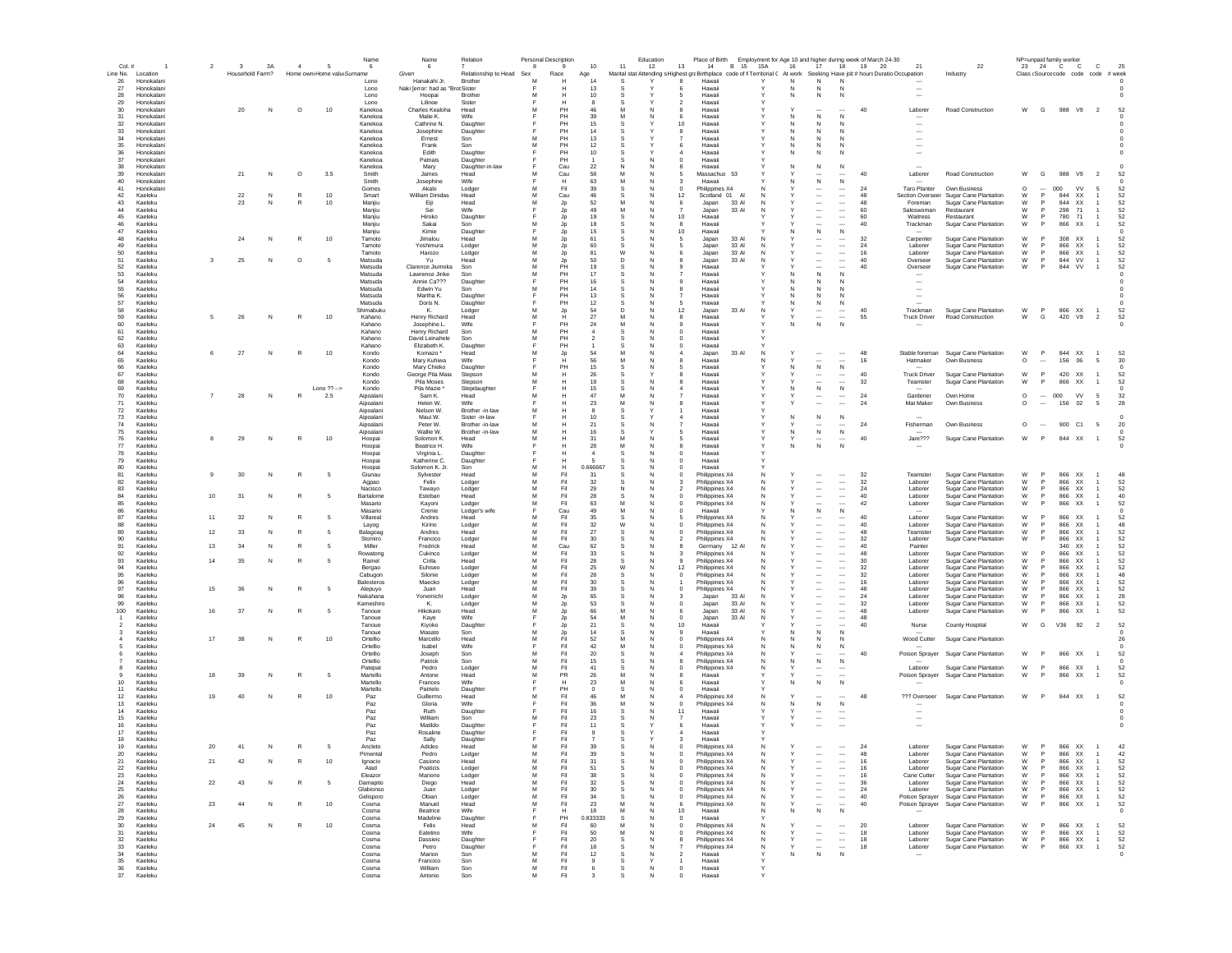| Col.#             |                          | $\overline{2}$ | 3               | 3A | $\overline{4}$ | 5                          | Name<br>6             | 6                                | Relation                | Personal Description | 9              | 10                     | 11             | Education<br>12                       | Place of Birth<br>13<br>14                                                                                                  | <b>B</b> 15<br><b>15A</b> | 16     | 17                                 | 18                                                   | Employment for Age 10 and higher during week of March 24-30<br>19<br>20 | 21                       | 22                                             | 23            | NP=unpaid family worke<br>24 C C |                        | $\mathbf{C}$                     | 25       |
|-------------------|--------------------------|----------------|-----------------|----|----------------|----------------------------|-----------------------|----------------------------------|-------------------------|----------------------|----------------|------------------------|----------------|---------------------------------------|-----------------------------------------------------------------------------------------------------------------------------|---------------------------|--------|------------------------------------|------------------------------------------------------|-------------------------------------------------------------------------|--------------------------|------------------------------------------------|---------------|----------------------------------|------------------------|----------------------------------|----------|
| Line No.          | Location                 |                | Household Farm? |    |                | Home own Home valu Surname |                       | Given                            | Relationship to Head    | Se:                  | Race           | Age                    |                |                                       | Marital stat Attending s Highest graBirthplace code of fi Territorial ( At work Seeking Have job # hours Duratio Occupation |                           |        |                                    |                                                      |                                                                         |                          | Industry                                       |               | Class (Source code code code     |                        |                                  | # week   |
| 26                | Honokalani               |                |                 |    |                |                            | Lono                  | Hanakahi Jr.                     | Brother                 |                      |                | 14                     | S              |                                       | Hawaii                                                                                                                      |                           | N      | N                                  | N                                                    |                                                                         |                          |                                                |               |                                  |                        |                                  |          |
| 27                | Honokalani               |                |                 |    |                |                            | Lono                  | Naki [error: had as "Brot Sister |                         |                      |                |                        |                |                                       | Hawai                                                                                                                       |                           | N      |                                    |                                                      |                                                                         |                          |                                                |               |                                  |                        |                                  |          |
| 28                | Honokalani               |                |                 |    |                |                            | Lono                  | Hoopai                           | Brother                 |                      | н              | 10                     | -S             | -5                                    | Hawai                                                                                                                       |                           | N      | N                                  | N                                                    |                                                                         |                          |                                                |               |                                  |                        |                                  |          |
| 29                | Honokalani               |                | 20              |    | $\circ$        | 10                         | Lono                  | Lilinoe<br>Charles Kealoha       | Sister                  | м                    |                | -8                     | s<br>M         | $\overline{2}$                        | Hawai                                                                                                                       |                           |        |                                    |                                                      | 40                                                                      |                          | <b>Road Construction</b>                       | W             | G                                | 988 V9 2               |                                  | 52       |
| 30<br>31          | Honokalani<br>Honokalani |                |                 | N  |                |                            | Kanekoa<br>Kanekoa    | Malie K.                         | Head<br>Wife            |                      | PH<br>PH       | 46<br>39               | M              | N<br>-8<br>-6                         | Hawai<br>Hawai                                                                                                              |                           | N      | N                                  | <br>N                                                |                                                                         | Laborer                  |                                                |               |                                  |                        |                                  |          |
| 32                | Honokalani               |                |                 |    |                |                            | Kanekoa               | Cathrine N.                      | Daughter                |                      | PH             | 15                     | -S             |                                       | 10<br>Hawaii                                                                                                                |                           | N      | -N                                 | N                                                    |                                                                         |                          |                                                |               |                                  |                        |                                  |          |
| 33                | Honokalani               |                |                 |    |                |                            | Kanekoa               | Josephine                        | Daughter                |                      | PH             | 14                     | s              | $\mathbf{R}$                          | Hawaii                                                                                                                      |                           | N      | <b>N</b>                           | N                                                    |                                                                         |                          |                                                |               |                                  |                        |                                  |          |
| 34                | Honokalani               |                |                 |    |                |                            | Kanekoa               | Ernest                           | Son                     | м                    | PH             | 13                     | <b>S</b>       |                                       | Hawaii                                                                                                                      |                           | N      | N                                  | N                                                    |                                                                         | $\overline{\phantom{a}}$ |                                                |               |                                  |                        |                                  |          |
| 35                | Honokalani               |                |                 |    |                |                            | Kanekoa               | Frank                            | Son                     | м                    | PH             | 12                     | s              | -6                                    | Hawai                                                                                                                       |                           | N      |                                    |                                                      |                                                                         |                          |                                                |               |                                  |                        |                                  |          |
| 36                | Honokalani               |                |                 |    |                |                            | Kanekoa               | Edith                            | Daughter                |                      | PH             | 10                     | <b>S</b>       | $\sim$                                | Hawai                                                                                                                       |                           | N      | N                                  | N                                                    |                                                                         |                          |                                                |               |                                  |                        |                                  |          |
| 37                | Honokalani               |                |                 |    |                |                            | Kanekoa               | Patnais                          | Daughter                |                      | PH             |                        | s              | $^{\circ}$                            | Hawai                                                                                                                       |                           |        |                                    |                                                      |                                                                         |                          |                                                |               |                                  |                        |                                  |          |
| 38                | Honokalani<br>Honokalan  |                | 21              | N  | $\circ$        | 3.5                        | Kanekoa<br>Smith      | Mary<br>James                    | Daughter-in-law<br>Head | M                    | Cau<br>Cau     | 22<br>58               | M              |                                       | Hawai<br>Massachus 53                                                                                                       |                           | N      | N                                  | N                                                    | 40                                                                      |                          | Road Construction                              | W             | G                                | 988 V9                 | $\overline{2}$                   |          |
| $39\,$<br>40      | Honokalan                |                |                 |    |                |                            | Smith                 | Josephine                        | Wife                    |                      | Н              | 63                     | M              |                                       | Hawai                                                                                                                       |                           |        | $\mathsf{N}$                       | N                                                    |                                                                         | Laborer                  |                                                |               |                                  |                        |                                  |          |
| 41                | Honokalani               |                |                 |    |                |                            | Gomes                 | Akalo                            | Lodger                  |                      | Fil            | 39                     | s              | $^{\circ}$<br>N                       | Philippines X4                                                                                                              |                           |        |                                    |                                                      | 24                                                                      | Taro Planter             | Own Business                                   | $\circ$       | 000                              | <b>VV</b>              |                                  | 52       |
| 42                | Kaeleku                  |                | $\bf 22$        | N  |                | 10                         | Smart                 | William Dinidas                  | Head                    |                      | Cau            | 46                     |                |                                       | Scotland 01<br>12                                                                                                           |                           |        |                                    |                                                      | 48                                                                      | Section Overseer         | Sugar Cane Plantation                          | W             | P<br>844                         | XX                     |                                  | 52       |
| 43                | Kaeleku                  |                | 23              | N  |                | 10                         | Manjiu                | Eiji                             | Head                    |                      | Jp             | 52                     | M              | N<br>-6                               | 33 AI<br>Japan                                                                                                              |                           |        |                                    |                                                      | 48                                                                      | Foreman                  | Sugar Cane Plantation                          | W             | 844                              | XX                     | -1                               | 52       |
| 44                | Kaeleku                  |                |                 |    |                |                            | Maniju                | Sei                              | Wife                    |                      | Jp             | 49                     | M              | <b>N</b>                              | Japan<br>33 AI                                                                                                              |                           |        |                                    | $\cdots$                                             | 60                                                                      | Saleswoman               | Restaurant                                     | W             | 298<br><b>P</b>                  | 71                     |                                  | 52       |
| 45                | Kaeleku                  |                |                 |    |                |                            | Maniiu                | Hiroko                           | Daughter                |                      | Jp             | 19                     | -S             | <b>N</b>                              | 10<br>Hawai                                                                                                                 |                           |        |                                    | $\cdots$                                             | 60                                                                      | Waitress                 | Restaurant                                     | W             | 780<br><b>P</b>                  | 71                     |                                  | 52       |
| 46                | Kaeleku                  |                |                 |    |                |                            | Maniju                | Sakai                            | Son                     |                      | Jp             | 18                     |                |                                       | Hawaii                                                                                                                      |                           |        |                                    |                                                      | 40                                                                      | Trackman                 | Sugar Cane Plantation                          | W             | 866                              | XX                     |                                  | 52       |
| 47<br>48          | Kaeleku<br>Kaeleku       |                |                 |    | R              |                            | Maniju                | Kimie<br>Jimalou                 | Daughter                | м                    | Jp             | 15<br>61               | -S<br>s        | N<br>N                                | 10<br>Hawaii<br>33 AI                                                                                                       |                           | N.     | N                                  | N<br>$\overline{\phantom{a}}$                        |                                                                         |                          |                                                |               | P                                | 308 XX                 |                                  | 52       |
| 49                | Kaeleku                  |                | 24              | N  |                | 10                         | Tamoto<br>Tamoto      | Yoshimura                        | Head<br>Lodger          | M                    | Jp<br>Jr.      | 60                     | <b>S</b>       |                                       | Japan<br>33 AI<br>Japan                                                                                                     |                           |        |                                    | $\overline{\phantom{a}}$                             | 32<br>24                                                                | Carpenter<br>Laborer     | Sugar Cane Plantation<br>Sugar Cane Plantation | W<br>W        | - P                              | 866 XX                 |                                  | 52       |
| 50                | Kaeleku                  |                |                 |    |                |                            | Tamoto                | Harozo                           | Lodger                  | M                    | Jp             | 81                     | W              |                                       | Japan<br>33 AI                                                                                                              |                           |        |                                    | $\overline{\phantom{a}}$                             | 16                                                                      | Laborer                  | Sugar Cane Plantation                          | W             | - P                              | 866 XX                 |                                  | 52       |
| 51                | Kaeleku                  | -3             | 25              | N  | $\circ$        | - 5                        | Matsuda               | Yu                               | Head                    | M                    | Jp             | 50                     | D              | N                                     | Japan<br>33 AI                                                                                                              |                           |        |                                    |                                                      | 40                                                                      | Oversee                  | Sugar Cane Plantation                          | W             | P.                               | 844 VV                 | $\overline{1}$                   | 52       |
| 52                | Kaeleku                  |                |                 |    |                |                            | Matsuda               | Clarence Jiumoka                 | Son                     | M                    | PH             | 19                     | s              |                                       | Hawai                                                                                                                       |                           |        |                                    |                                                      | 40                                                                      | Oversee                  | Sugar Cane Plantation                          | W             | 844<br>P                         | VV                     |                                  | 52       |
| 53                | Kaelek                   |                |                 |    |                |                            | Matsuda               | Lawrence Jinke                   | Son                     | M                    | PH             | 17                     | s              |                                       | Hawai                                                                                                                       |                           |        | N                                  | N                                                    |                                                                         |                          |                                                |               |                                  |                        |                                  |          |
| 54                | Kaeleku                  |                |                 |    |                |                            | Matsuda               | Annie Ca???                      | Daughter                |                      | PH             | 16                     | S              |                                       | Hawai                                                                                                                       |                           |        |                                    |                                                      |                                                                         |                          |                                                |               |                                  |                        |                                  |          |
| 55                | Kaeleku                  |                |                 |    |                |                            | Matsuda               | Edwin Yu                         | Son                     | M                    | PH             | 14                     |                |                                       | Hawai                                                                                                                       |                           |        |                                    |                                                      |                                                                         |                          |                                                |               |                                  |                        |                                  |          |
| 56                | Kaeleku                  |                |                 |    |                |                            | Matsuda               | Martha K.                        | Daughter                |                      | PH             | 13                     | -S             |                                       | Hawai                                                                                                                       |                           | N      |                                    |                                                      |                                                                         |                          |                                                |               |                                  |                        |                                  |          |
| 57<br>58          | Kaeleku<br>Kaeleku       |                |                 |    |                |                            | Matsuda<br>Shimabuku  | Doris N.<br>К.                   | Daughter<br>Lodger      |                      | PH<br>Jp       | 12<br>54               | D              | N                                     | Hawai<br>33 AI<br>12<br>Japan                                                                                               |                           | N      | $\cdots$                           | N<br>$\cdots$                                        | 40                                                                      | Trackman                 | Sugar Cane Plantation                          | W             | P                                | 866 XX                 | $\overline{1}$                   | 52       |
| 59                | Kaeleku                  | -5             | 26              | N  | R              | 10                         | Kahano                | Henry Richard                    | Head                    | м                    | Н              | -27                    | M              | N                                     | Hawaii<br>-8                                                                                                                |                           |        | $\overline{\phantom{a}}$           | $\cdots$                                             | 55                                                                      | <b>Truck Driver</b>      | <b>Road Construction</b>                       | W             | G                                | 420 V9                 | $\overline{2}$                   | 52       |
| 60                | Kaeleku                  |                |                 |    |                |                            | Kahano                | Josephine L.                     | Wife                    |                      | PH             | -24                    | M              | 9<br><b>N</b>                         | Hawaii                                                                                                                      |                           | N      | N                                  | N                                                    |                                                                         |                          |                                                |               |                                  |                        |                                  | $\Omega$ |
| 61                | Kaeleku                  |                |                 |    |                |                            | Kahano                | Henry Richard                    | Son                     |                      | PH             |                        |                | - 0                                   | Hawai                                                                                                                       |                           |        |                                    |                                                      |                                                                         |                          |                                                |               |                                  |                        |                                  |          |
| 62                | Kaeleku                  |                |                 |    |                |                            | Kahano                | David Leinahele                  | Son                     | M                    | PH             | $\overline{2}$         | <b>S</b>       | $^{\circ}$<br>N                       | Hawaii                                                                                                                      |                           |        |                                    |                                                      |                                                                         |                          |                                                |               |                                  |                        |                                  |          |
| 63                | Kaeleku                  |                |                 |    |                |                            | Kahano                | Elizabeth K.                     | Daughter                |                      | PH             |                        | s              | N<br>$^{\circ}$                       | Hawai                                                                                                                       |                           |        |                                    |                                                      |                                                                         |                          |                                                |               |                                  |                        |                                  |          |
| 64                | Kaeleku                  | 6              | 27              | N  | R              | 10                         | Kondo                 | Komazo <sup>*</sup>              | Head                    | M                    | Jr.            | -54                    | M              |                                       | 33 AI<br>Japan                                                                                                              |                           |        |                                    | $\overline{\phantom{a}}$                             | 48                                                                      | Stable foreman           | Sugar Cane Plantation                          | W             | $\mathsf{P}$                     | 844 XX                 | $\overline{1}$                   | 52       |
| 65<br>66          | Kaeleku<br>Kaeleku       |                |                 |    |                |                            | Kondo<br>Kondo        | Mary Kuhiwa                      | Wife                    |                      | н<br><b>PH</b> | 56<br>15               | M<br>-S        |                                       | Hawai<br>Hawai                                                                                                              |                           | N      | N                                  | $\sim$<br>N                                          | 16                                                                      | Hatmaker                 | Own Business                                   | $\circ$       | 156                              | 06                     | -5                               | 30       |
| 67                | Kaeleku                  |                |                 |    |                |                            | Kondo                 | Mary Chieko<br>George Pila Maia  | Daughter<br>Stepson     | M                    | Н              | 26                     | S              |                                       | Hawai                                                                                                                       |                           |        |                                    |                                                      | 40                                                                      | <b>Truck Driver</b>      | Sugar Cane Plantation                          | W             | 420<br>P                         | XX                     |                                  | 52       |
| 68                | Kaeleku                  |                |                 |    |                |                            | Kondo                 | Pila Moses                       | Stepson                 | M                    |                | 19                     |                |                                       | Hawai                                                                                                                       |                           |        |                                    |                                                      | 32                                                                      | Teamster                 | Sugar Cane Plantation                          | W             | 866<br>P                         | XX                     |                                  | 52       |
| 69                | Kaeleku                  |                |                 |    |                | Lono $?? ->$               | Kondo                 | Pila Mazie *                     | Stepdaughter            |                      |                | 15                     | S              |                                       | Hawai                                                                                                                       |                           |        | N                                  | N                                                    |                                                                         |                          |                                                |               |                                  |                        |                                  |          |
| 70                | Kaeleku                  |                | 28              | N  |                | 2.5                        | Aipoalani             | Sam K.                           | Head                    |                      |                | 47                     | M              |                                       | Hawai                                                                                                                       |                           |        |                                    |                                                      | 24                                                                      | Gardener                 | Own Home                                       | $\circ$       | 000<br>$\cdots$                  | <b>VV</b>              | 5                                | 32       |
| 71                | Kaeleku                  |                |                 |    |                |                            | Aipoalani             | Helen W.                         | Wife                    |                      |                | 23                     | M              |                                       | Hawai                                                                                                                       |                           |        |                                    |                                                      | 24                                                                      | Mat Maker                | Own Business                                   | $\circ$       | 156                              | 02                     | 5                                | 28       |
| 72                | Kaeleku                  |                |                 |    |                |                            | Aipoalani             | Nelson W.                        | Brother -in-law         |                      |                |                        |                |                                       | Hawai                                                                                                                       |                           |        |                                    |                                                      |                                                                         |                          |                                                |               |                                  |                        |                                  |          |
| 73                | Kaeleku                  |                |                 |    |                |                            | Aipoalani             | Maui W.                          | Sister -in-law          |                      |                | 10                     | s              |                                       | Hawai                                                                                                                       |                           | N      |                                    | N                                                    |                                                                         |                          |                                                |               |                                  |                        |                                  |          |
| 74                | Kaeleku                  |                |                 |    |                |                            | Aipoalani             | Peter W.                         | Brother -in-law         |                      |                | 21                     | s              |                                       | Hawai                                                                                                                       |                           |        | $\overline{\phantom{a}}$           | $\cdots$                                             | 24                                                                      | Fisherman                | Own Business                                   | $\circ$       | $\sim$                           | 900 C1                 | - 5                              | -20      |
| 75<br>76          | Kaeleku<br>Kaeleku       | 8              | 29              | N  | R              | 10                         | Aipoalani<br>Hoopai   | Wallie W.<br>Solomon K           | Brother -in-law<br>Head | м                    | н              | 16<br>-31              | -S<br>м        | -5                                    | Hawaii<br>Hawai                                                                                                             |                           | N      | N                                  | $\,N\,$                                              | 40                                                                      | Jare???                  | Sugar Cane Plantation                          | W             | <b>P</b>                         | 844 XX                 | $\overline{1}$                   | 52       |
| 77                | Kaeleku                  |                |                 |    |                |                            | Hoopai                | Beatrice H.                      | Wife                    |                      | н              | -28                    | M              | N<br>-8                               | Hawaii                                                                                                                      |                           | N      | N                                  | N                                                    |                                                                         |                          |                                                |               |                                  |                        |                                  |          |
| 78                | Kaeleku                  |                |                 |    |                |                            | Hoopai                | Virginia L                       | Daughter                |                      | н              | $\boldsymbol{\Lambda}$ | s              | $\Omega$                              | Hawaii                                                                                                                      |                           |        |                                    |                                                      |                                                                         |                          |                                                |               |                                  |                        |                                  |          |
| 79                | Kaeleku                  |                |                 |    |                |                            | Hoopai                | Katherine C.                     | Daughter                |                      |                |                        |                | $\Omega$                              | Hawaii                                                                                                                      |                           |        |                                    |                                                      |                                                                         |                          |                                                |               |                                  |                        |                                  |          |
| 80                | Kaeleku                  |                |                 |    |                |                            | Hoopai                | Solomon K. Jr.                   | Son                     | M                    | н              | 0.666667               | <b>S</b>       |                                       | Hawaii                                                                                                                      |                           |        |                                    |                                                      |                                                                         |                          |                                                |               |                                  |                        |                                  |          |
| 81                | Kaeleku                  | $\mathbf{Q}$   | 30              | N  | $\mathbb{R}$   | -5                         | Giunau                | Sylvester                        | Head                    | M                    | Fil            | 31                     | s              | $\Omega$                              | Philippines X4                                                                                                              | N                         |        | $\overline{\phantom{a}}$           | $\sim$                                               | 32                                                                      | Teamster                 | Sugar Cane Plantation                          | W             | $\mathsf{P}$                     | 866 XX                 | $\overline{1}$                   | 48       |
| 82                | Kaeleku                  |                |                 |    |                |                            | Agpao                 | Felix                            | Lodger                  | M                    | Fil            | 32                     | S              |                                       | Philippines X4                                                                                                              |                           |        |                                    |                                                      | 32                                                                      | Laborer                  | Sugar Cane Plantation                          | W             | 866<br><b>P</b>                  | XX                     |                                  | 52       |
| 83                | Kaeleku                  |                |                 |    |                |                            | Nacisod               | Tawayo                           | Lodger                  | M                    | Fil            | 29                     |                |                                       | Philippines X4                                                                                                              |                           |        |                                    |                                                      | 24                                                                      | Labore                   | Sugar Cane Plantation                          | W             | $\mathsf{P}$<br>866              | XX                     |                                  | 52       |
| 84<br>85          | Kaeleku<br>Kaeleku       | 10             | 31              | N  | $\mathbb{R}$   |                            | Bartalome<br>Masario  | Esteban                          | Head                    | M<br>M               | Fil<br>Fil     | 28<br>63               | s<br>M         |                                       | Philippines X4                                                                                                              |                           |        |                                    | <br>                                                 | 40<br>42                                                                | Labore                   | Sugar Cane Plantation                          | W<br>W        | 866<br><b>P</b><br>P<br>866      | XX<br>XX               |                                  | 40<br>52 |
| 86                | Kaeleku                  |                |                 |    |                |                            | Masario               | Kayoni<br>Crenie                 | Lodger<br>Lodger's wife |                      | Cau            | 49                     | M              | N                                     | Philippines X4<br>Hawaii                                                                                                    |                           | N      | N                                  | N                                                    |                                                                         | Laborer                  | Sugar Cane Plantation                          |               |                                  |                        |                                  |          |
| 87                | Kaeleku                  | 11             | 32              | N  |                |                            | Villareal             | Andres                           | Head                    |                      | Fil            | 35                     | .s             |                                       | Philippines X4                                                                                                              |                           |        |                                    | $\cdots$                                             | 40                                                                      | Laborer                  | Sugar Cane Plantation                          | W             | P<br>866                         | <b>XX</b>              |                                  | 52       |
| 88                | Kaeleku                  |                |                 |    |                |                            | Layog                 | Kirino                           | Lodger                  | M                    | Fil            | 32                     | W              | N<br>$^{\circ}$                       | Philippines X4                                                                                                              |                           |        |                                    |                                                      | 40                                                                      | Laborer                  | Sugar Cane Plantation                          | W             | 866                              | XX                     |                                  | 48       |
| 89                | Kaeleku                  | 12             | 33              | N  |                | - 5                        | Balagoac              | Andres                           | Head                    | м                    | Fil            | -27                    | <b>S</b>       | <b>N</b><br>$\Omega$                  | Philippines X4                                                                                                              |                           |        |                                    | $\cdots$                                             | 48                                                                      | Teamster                 | Sugar Cane Plantation                          | W             |                                  | 866 XX                 |                                  | 52       |
| 90                | Kaeleku                  |                |                 |    |                |                            | Stomiro               | Francico                         | Lodger                  | M                    | Fil            | -30                    | .s             | N<br>$\overline{2}$                   | Philippines X4                                                                                                              |                           |        |                                    | $\cdots$                                             | 32                                                                      | Laborer                  | Sugar Cane Plantation                          | W             | <b>P</b><br>866                  | XX                     |                                  | 52       |
| 91                | Kaeleku                  | 13             | 34              | N  | R              | - 5                        | Miller                | Fredrick                         | Head                    | м                    | Cau            | 62                     | -S             |                                       | Germany 12 Al                                                                                                               |                           |        |                                    | $\cdots$                                             | 40                                                                      | Painter                  |                                                |               | 340                              | XX                     |                                  | 52       |
| 92                | Kaeleku                  |                |                 |    |                |                            | Rowatong              | Cukinco                          | Lodger                  | M                    | Fil            | -33                    | .s             | N<br>-3                               | Philippines X4                                                                                                              |                           |        |                                    |                                                      | 48                                                                      | Laborer                  | Sugar Cane Plantation                          | W             | 866                              | XX                     |                                  | 52       |
| 93                | Kaeleku                  | 14             | 35              | N  | $\mathbb{R}$   | - 5                        | Ramel                 | Cirila                           | Head                    | M                    | Fil            | 28                     | <b>S</b>       | N                                     | Philippines X4                                                                                                              |                           |        |                                    | $\overline{\phantom{a}}$                             | 30                                                                      | Laborer                  | Sugar Cane Plantation                          | W             | 866                              | XX                     |                                  | 52       |
| 94                | Kaeleku<br>Kaeleku       |                |                 |    |                |                            | Bergao                | Euhiseo<br>Silonie               | Lodger                  | M<br>M               | Fil<br>Fil     | 25<br>28               | W              | N                                     | Philippines X4<br>12                                                                                                        |                           |        |                                    | $\overline{\phantom{a}}$<br>$\overline{\phantom{a}}$ | 32                                                                      | Laborer<br>Laborer       | Sugar Cane Plantation<br>Sugar Cane Plantation | W<br>W        | P<br>866<br>866                  | <b>XX</b><br><b>XX</b> |                                  | 52<br>48 |
| 95<br>96          | Kaeleku                  |                |                 |    |                |                            | Cabugon<br>Balesteros | Maecko                           | Lodger<br>Lodger        | M                    | Fil            | 30                     | <b>S</b>       | N                                     | Philippines X4<br>Philippines X4                                                                                            |                           |        |                                    |                                                      | 32<br>16                                                                | Laborer                  | Sugar Cane Plantation                          | W             | 866<br>P                         | <b>XX</b>              |                                  | 52       |
| 97                | Kaeleku                  | 15             | 36              | N  | R              |                            | Alepuyo               | Juan                             | Head                    | M                    | Fil            | 39                     | s              |                                       | Philippines X4                                                                                                              |                           |        |                                    |                                                      | 48                                                                      | Laborer                  | <b>Sugar Cane Plantation</b>                   | W             | 866<br>P                         | XX                     |                                  | 52       |
| 98                | Kaeleku                  |                |                 |    |                |                            | Nakahana              | Yonemichi                        | Lodger                  | M                    | Jp             | 65                     |                |                                       | Japan<br>33 AI                                                                                                              |                           |        |                                    |                                                      | 24                                                                      | Laborer                  | Sugar Cane Plantation                          | W             | 866<br>P                         | XX                     |                                  | 28       |
| 99                | Kaeleku                  |                |                 |    |                |                            | Kameshiro             | К.                               | Lodger                  | M                    | Jp             | 53                     | s              |                                       | 33 Al<br>Japan                                                                                                              |                           |        |                                    |                                                      | 32                                                                      | Labore                   | Sugar Cane Plantation                          | W             | P                                | 866 XX                 |                                  | 52       |
| 100               | Kaeleku                  | 16             | 37              | N  |                |                            | Tanoue                | Hikokaro                         | Head                    | M                    | Jp.            | 66                     | M              |                                       | Japan<br>33 AI                                                                                                              |                           |        |                                    |                                                      | 48                                                                      | Laborer                  | Sugar Cane Plantation                          | W             | 866<br>P                         | XX                     |                                  | 52       |
|                   | Kaeleku                  |                |                 |    |                |                            | Tanoue                | Kaye                             | Wife                    |                      | -Jp            | 54                     | M              | N                                     | 33 AI<br>Japan                                                                                                              |                           |        |                                    | $\cdots$                                             | 48                                                                      |                          |                                                |               |                                  |                        |                                  |          |
|                   | Kaeleku                  |                |                 |    |                |                            | Tanoue                | Kiyoko                           | Daughter                |                      | Jr.            | 21<br>14               | s              |                                       | Hawaii<br>10                                                                                                                |                           |        |                                    | N                                                    | 40                                                                      | Nurse                    | County Hospital                                | W             | $\mathbf{G}$                     | V36 92                 | $\overline{2}$                   | 52       |
| 3                 | Kaeleku                  | 17             | 38              |    | R              | 10                         | Tanoue                | Masato                           | Son                     |                      | Jp             | 52                     | .s<br>M        | N                                     | Hawai                                                                                                                       |                           |        | N                                  |                                                      |                                                                         |                          | Sugar Cane Plantation                          |               |                                  |                        |                                  |          |
|                   | Kaeleku<br>Kaeleku       |                |                 | N  |                |                            | Ortellio<br>Ortellio  | Marcello<br>Isabel               | Head<br>Wife            |                      | Fil<br>Fil     | 42                     | M              | <b>N</b><br>$\Omega$<br>N<br>$\Omega$ | Philippines X4<br>Philippines X4                                                                                            | N                         | N<br>N | -N<br>N                            | <b>N</b><br>N                                        |                                                                         | Wood Cutter              |                                                |               |                                  |                        |                                  | -26      |
|                   | Kaeleku                  |                |                 |    |                |                            | Ortellio              | Joseph                           | Son                     |                      | Fil            | -20                    | .s             | <b>N</b>                              | Philippines X4                                                                                                              | N                         |        |                                    |                                                      | 40                                                                      | Poison Sprayer           | Sugar Cane Plantation                          | W             | - P                              | 866 XX                 |                                  | 52       |
|                   | Kaeleku                  |                |                 |    |                |                            | Ortellio              | Patrick                          | Son                     | M                    | Fil            | 15                     | -S             | N<br>-8                               | Philippines X4                                                                                                              | N                         | N      | N                                  | N                                                    |                                                                         |                          |                                                |               |                                  |                        |                                  |          |
|                   | Kaeleku                  |                |                 |    |                |                            | Patepat               | Pedro                            | Lodger                  | M                    | Fil            | 41                     | <b>S</b>       | N<br>$\Omega$                         | Philippines X4                                                                                                              |                           |        | $\overline{\phantom{a}}$           |                                                      |                                                                         | Laborer                  | Sugar Cane Plantation                          | W             | P                                | 866 XX                 |                                  | 52       |
|                   | Kaeleku                  | 18             | 39              | N  | R              |                            | Martello              | Antone                           | Head                    | M                    | PR             | 26                     | M              |                                       | Hawaii                                                                                                                      |                           |        |                                    |                                                      |                                                                         | Poison Sprayer           | Sugar Cane Plantation                          | W             | 866<br>P.                        | XX                     |                                  | 52       |
| 10                | Kaeleku                  |                |                 |    |                |                            | Martello              | Frances                          | Wife                    |                      | Н              | 23                     | M              |                                       | Hawaii                                                                                                                      |                           | N      | N                                  | N                                                    |                                                                         |                          |                                                |               |                                  |                        |                                  |          |
| 11                | Kaeleku                  |                |                 |    |                |                            | Martello              | Patrielo                         | Daughter                |                      | PH             | $\Omega$               | <b>S</b>       | N                                     | Hawaii                                                                                                                      |                           |        |                                    |                                                      |                                                                         |                          |                                                |               |                                  |                        |                                  |          |
| $12 \overline{ }$ | Kaeleku                  | 19             | 40              | N  | R              | 10                         | Paz                   | Guillermo                        | Head                    |                      | Fil            | 46                     | M<br>M         | N                                     | Philippines X4                                                                                                              |                           |        |                                    |                                                      | 48                                                                      | ??? Overseer             | Sugar Cane Plantation                          | W             | P                                | 844 XX                 | $\overline{1}$                   | 52       |
| 13<br>14          | Kaeleku<br>Kaeleku       |                |                 |    |                |                            | Paz<br>Paz            | Gloria<br>Ruth                   | Wife<br>Daughter        |                      | Fil<br>Fil     | 36<br>16               |                | 11                                    | Philippines X4<br>Hawai                                                                                                     |                           | Ν      | $\,$ N                             | N                                                    |                                                                         |                          |                                                |               |                                  |                        |                                  |          |
| 15                | Kaeleku                  |                |                 |    |                |                            | Paz                   | William                          | Son                     |                      | Fil            | 23                     |                |                                       | Hawai                                                                                                                       |                           |        | $\overline{\phantom{a}}$           |                                                      |                                                                         |                          |                                                |               |                                  |                        |                                  |          |
| 16                | Kaeleku                  |                |                 |    |                |                            | Paz                   | Matildo                          | Daughter                |                      | Fil            | 11                     | s              | -6                                    | Hawai                                                                                                                       |                           |        |                                    |                                                      |                                                                         |                          |                                                |               |                                  |                        |                                  |          |
| 17                | Kaeleku                  |                |                 |    |                |                            | Paz                   | Rosaline                         | Daughter                |                      | Fil            |                        |                |                                       | Hawai                                                                                                                       |                           |        |                                    |                                                      |                                                                         |                          |                                                |               |                                  |                        |                                  |          |
| 18                | Kaeleku                  |                |                 |    |                |                            | Paz                   | Sally                            | Daughter                |                      | Fil            |                        | -S             |                                       | Hawaii                                                                                                                      |                           |        |                                    |                                                      |                                                                         |                          |                                                |               |                                  |                        |                                  |          |
| 19                | Kaeleku                  | 20             | 41              | N  | R              | - 5                        | Ancleto               | Adides                           | Head                    |                      | Fil            | 39                     | <b>S</b>       | <b>N</b><br>$\Omega$                  | Philippines X4                                                                                                              | N                         |        | $\overline{\phantom{a}}$           | $\cdots$                                             | 24                                                                      | Laborer                  | Sugar Cane Plantation                          | W             | $\mathsf{P}$                     | 866 XX                 | $\overline{1}$                   | 42       |
| 20                | Kaeleku                  |                |                 |    |                |                            | Pimental              | Pedro                            | Lodger                  | м                    | Fil            | 39                     |                |                                       | Philippines X4                                                                                                              | N                         |        |                                    |                                                      | 48                                                                      | Laborer                  | Sugar Cane Plantation                          | W             | 866                              | XX                     | -1                               | 42       |
| 21                | Kaeleku                  | 21             | 42              |    |                | 10                         | Ignacio               | Casiono                          | Head                    | м                    | Fil            | -31                    | -S             | <b>N</b>                              | Philippines X4                                                                                                              | N                         |        | $\cdots$                           | $\sim$                                               | 16                                                                      | Laborer                  | Sugar Cane Plantation                          | W             | <b>P</b>                         | 866 XX                 |                                  | 52       |
| 22                | Kaeleku                  |                |                 |    |                |                            | Atad                  | Poaticis                         | Lodger                  | ${\sf M}$            | Fil            | 51                     | s              | N<br>$\Omega$                         | Philippines X4                                                                                                              | N                         |        | $\cdots$                           | $\cdots$                                             | 16                                                                      | Laborer                  | Sugar Cane Plantation                          | W             | P                                | 866 XX                 | -1                               | 52       |
| 23                | Kaeleku<br>Kaeleku       |                |                 |    |                |                            | Eleazor               | Mariono                          | Lodger                  | M<br>M               | Fil            | 38                     | s              | N                                     | Philippines X4<br>$\Omega$                                                                                                  | N<br>N                    |        | $\overline{\phantom{a}}$           | $\cdots$<br>$\cdots$                                 | 16                                                                      | Cane Cutter              | Sugar Cane Plantation                          | W<br>W        | P.<br>P                          | 866 XX<br>866 XX       | $\overline{1}$                   | 52       |
| 24                | Kaeleku                  | 22             | 43              | N  | $\mathbb{R}$   | - 5                        | Damapito<br>Glabionso | Diego<br>Juan                    | Head                    | M                    | Fil<br>Fil     | 32<br>30               | s<br>s         | N<br>$\Omega$<br>N<br>$\Omega$        | Philippines X4                                                                                                              | N                         |        | $\sim$<br>$\overline{\phantom{a}}$ | $\cdots$                                             | 36<br>24                                                                | Laborer<br>Laborer       | Sugar Cane Plantation                          | W             | P.                               | 866 XX                 | $\overline{1}$<br>$\overline{1}$ | 52<br>52 |
| 25<br>26          | Kaeleku                  |                |                 |    |                |                            | Gelisporo             | Obian                            | Lodger<br>Lodger        | M                    | Fil.           | 34                     | s              | N<br>$\Omega$                         | Philippines X4<br>Philippines X4                                                                                            | N                         |        | $\overline{\phantom{a}}$           | $\overline{\phantom{a}}$                             | 40                                                                      | Poison Sprayer           | Sugar Cane Plantation<br>Sugar Cane Plantation | W             | P                                | 866 XX                 | $\overline{1}$                   | 52       |
| 27                | Kaeleku                  | 23             | 44              | N  | R              | 10                         | Cosma                 | Manuel                           | Head                    | M                    | Fil            | 23                     | M              | N                                     | Philippines X4                                                                                                              | N                         |        | $\overline{\phantom{a}}$           | $\ldots$                                             | 40                                                                      | Poison Sprayer           | Sugar Cane Plantation                          | W             | P                                | 866 XX                 | $\overline{1}$                   | 52       |
| 28                | Kaeleku                  |                |                 |    |                |                            | Cosma                 | Beatrice                         | Wife                    | F                    | H              | 18                     | M              | N                                     | 10<br>Hawaii                                                                                                                | N                         | N      | N                                  | N                                                    |                                                                         |                          |                                                |               |                                  |                        |                                  |          |
| 29                | Kaeleku                  |                |                 |    |                |                            | Cosma                 | Madeline                         | Daughter                |                      | PH             | 0.833333               | s              | N                                     | Hawaii                                                                                                                      |                           |        |                                    |                                                      |                                                                         |                          |                                                |               |                                  |                        |                                  |          |
| 30                | Kaeleku                  | 24             | 45              | N  | $\mathbb{R}$   | 10                         | Cosma                 | Felix                            | Head                    | M                    | Fil            | 60                     | M              | N                                     | Philippines X4                                                                                                              | N                         |        |                                    | $\overline{\phantom{a}}$                             | 20                                                                      | Laborer                  | Sugar Cane Plantation                          | W             | P                                | 866 XX                 | $\overline{1}$                   | 52       |
| 31                | Kaeleku                  |                |                 |    |                |                            | Cosma                 | Ealetino                         | Wife                    | F                    | Fil            | 50                     | M              | $\mathsf{N}$                          | Philippines X4                                                                                                              | N                         |        | $\ldots$                           | $\ldots$                                             | 18                                                                      | Laborer                  | Sugar Cane Plantation                          | W             | $\,$ P                           | 866 XX                 | $\overline{1}$                   | 52       |
| $32\,$            | Kaeleku                  |                |                 |    |                |                            | Cosma                 | Dassieic                         | Daughter                |                      | Fil            | 20                     | s              | N                                     | Philippines X4                                                                                                              |                           |        | $\ldots$                           | $\ldots$                                             | 18                                                                      | Laborer                  | Sugar Cane Plantation                          | ${\mathsf W}$ | P                                | 866 XX                 | $\overline{1}$                   | 52       |
| 33                | Kaeleku                  |                |                 |    |                |                            | Cosma                 | Petro                            | Daughter                |                      | Fil            | 18                     | s              | N                                     | Philippines X4                                                                                                              | N                         |        | $\ldots$                           | $\ldots$                                             | 18                                                                      | Laborer                  | Sugar Cane Plantation                          | W             | P                                | 866 XX                 | $\overline{1}$                   | 52       |
| 34                | Kaeleku                  |                |                 |    |                |                            | Cosma                 | Marion                           | Son                     | M                    | Fil            | 12                     | -S             | N<br>$\overline{2}$                   | Hawaii                                                                                                                      |                           | N      | N                                  | N                                                    |                                                                         |                          |                                                |               |                                  |                        |                                  | $\Omega$ |
| 35<br>36          | Kaeleku<br>Kaeleku       |                |                 |    |                |                            | Cosma                 | Francico<br>William              | Son                     | M<br>M               | Fil<br>Fil     | 9<br>$\mathbf{6}$      | s              | N<br>$\Omega$                         | Hawaii                                                                                                                      |                           |        |                                    |                                                      |                                                                         |                          |                                                |               |                                  |                        |                                  |          |
| 37                | Kaeleku                  |                |                 |    |                |                            | Cosma<br>Cosma        | Antonio                          | Son<br>Son              | ${\sf M}$            | Fil            |                        | -S<br><b>S</b> | N                                     | Hawaii<br>Hawaii<br>$^{\circ}$                                                                                              |                           |        |                                    |                                                      |                                                                         |                          |                                                |               |                                  |                        |                                  |          |
|                   |                          |                |                 |    |                |                            |                       |                                  |                         |                      |                |                        |                |                                       |                                                                                                                             |                           |        |                                    |                                                      |                                                                         |                          |                                                |               |                                  |                        |                                  |          |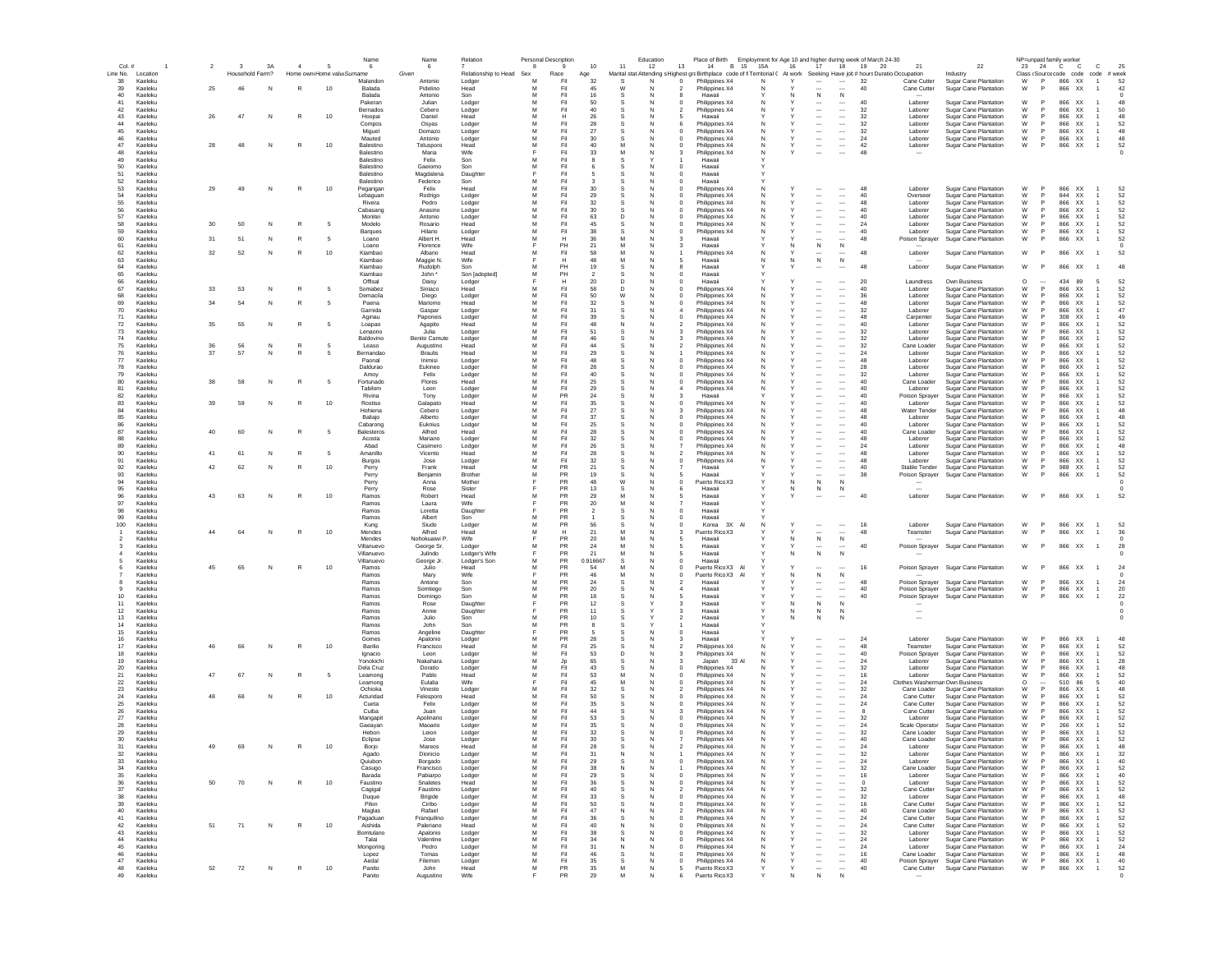| Col. #                             | $\overline{2}$ | $\overline{\mathbf{3}}$ | 3A     | $\overline{a}$ | -5                         | Name<br>6              | Name<br>- 6                 | Relation                 | 8      | <b>Personal Description</b><br>$\mathbf{Q}$ | 10                   | Education<br>11<br>12                                                                                                       | 13             | Place of Birth<br>14             | B 15 15A | 16     | 17                                                   | 18                                   | Employment for Age 10 and higher during week of March 24-30<br>19<br>20 | 21                                        | 22                                                            | NP=unpaid family worker                                                                       | 23 24 C                        | <b>C</b>                   | c                                | 25         |
|------------------------------------|----------------|-------------------------|--------|----------------|----------------------------|------------------------|-----------------------------|--------------------------|--------|---------------------------------------------|----------------------|-----------------------------------------------------------------------------------------------------------------------------|----------------|----------------------------------|----------|--------|------------------------------------------------------|--------------------------------------|-------------------------------------------------------------------------|-------------------------------------------|---------------------------------------------------------------|-----------------------------------------------------------------------------------------------|--------------------------------|----------------------------|----------------------------------|------------|
| Line No. Location                  |                | Household Farm?         |        |                | Home own Home valu Surname |                        | Given                       | Relationship to Head Sex |        | Race                                        | Age                  | Marital stat Attending s Highest graBirthplace code of fi Territorial ( At work Seeking Have job # hours Duratio Occupation |                |                                  |          |        |                                                      |                                      |                                                                         |                                           | Industry                                                      | Class <source code="" code<="" td=""/> <td></td> <td></td> <td>code<br/># week</td> <td></td> |                                |                            | code<br># week                   |            |
| 38<br>Kaeleku<br>$39\,$<br>Kaeleku | 25             | 46                      | N      | R              | 10                         | Malandor<br>Balada     | Antonio<br>Pidelino         | Lodger<br>Head           | M<br>M | Fil<br>Fil                                  | 32<br>45             | W                                                                                                                           | $^{\circ}$     | Philippines X4<br>Philippines X4 |          |        | $\sim$                                               | $\sim$                               | 32<br>40                                                                | Cane Cutter<br>Cane Cutter                | Sugar Cane Plantation<br>Sugar Cane Plantation                | W<br>W                                                                                        | P                              | 866 XX<br>866<br>XX        | $\overline{1}$                   | 52<br>42   |
| $40\,$<br>Kaeleku                  |                |                         |        |                |                            | Balada                 | Antonio                     | Son                      | M      | Fil                                         | 16                   |                                                                                                                             |                | Hawaii                           |          |        | $\mathsf N$                                          | ${\sf N}$                            |                                                                         |                                           |                                                               |                                                                                               |                                |                            |                                  |            |
| 41<br>Kaeleku                      |                |                         |        |                |                            | Pakeran                | Julian                      | Lodger                   | M      | Fil                                         | 50<br>40             | N                                                                                                                           | $^{\circ}$     | Philippines X4                   | N        |        | $\cdots$                                             | $\cdots$                             | 40                                                                      | Laborer                                   | Sugar Cane Plantation                                         | W                                                                                             |                                | 866<br>XX                  |                                  | 48         |
| 42<br>Kaeleku<br>43<br>Kaeleku     | 26             | 47                      | N      | $\mathbb{R}$   | 10                         | Bernados<br>Hoopai     | Cebero<br>Daniel            | Lodger<br>Head           | M      | Fil<br>н                                    | 26                   |                                                                                                                             |                | Philippines X4<br>Hawaii         |          |        | $\overline{\phantom{a}}$                             | $\cdots$<br>$\cdots$                 | 32<br>32                                                                | Laborer<br>Laborer                        | Sugar Cane Plantation<br><b>Sugar Cane Plantation</b>         | W<br>W                                                                                        |                                | 866<br>XX<br>866<br>XX     |                                  | 50<br>48   |
| 44<br>Kaeleku                      |                |                         |        |                |                            | Compos                 | Osyas                       | Lodger                   | M      | Fil                                         | 28                   |                                                                                                                             |                | Philippines X4                   |          |        | $\cdots$                                             | $\cdots$                             | 32                                                                      | Laborer                                   | Sugar Cane Plantation                                         | W                                                                                             |                                | 866<br>XX                  |                                  | 52         |
| 45<br>Kaeleku<br>46<br>Kaeleku     |                |                         |        |                |                            | Miguel<br>Mauted       | Domazo<br>Antonio           | Lodger<br>Lodger         | м<br>м | Fil<br>Fil                                  | 27<br>30             | N<br>-N                                                                                                                     | $^{\circ}$     | Philippines X4<br>Philippines X4 | N.<br>N. |        | $\cdots$<br>$\cdots$                                 | $\sim$<br>$\cdots$                   | -32<br>24                                                               | Laborer<br>Laborer                        | Sugar Cane Plantation<br><b>Sugar Cane Plantation</b>         | W<br>W                                                                                        | $\mathsf{P}$                   | 866 XX<br>866 XX           | -1<br>-1                         | 48<br>48   |
| 47<br>Kaeleku                      | 28             | 48                      | N      | $\mathbb{R}$   | 10                         | Balestino              | Telusporo                   | Head                     | M      | Fil                                         | 40                   | м<br>N                                                                                                                      | $^{\circ}$     | Philippines X4                   | N        |        | $\sim$                                               | $\cdots$                             | 42                                                                      | Laborer                                   | <b>Sugar Cane Plantation</b>                                  | W                                                                                             | P.                             | 866 XX                     | -1                               | 52         |
| 48<br>Kaeleku<br>49<br>Kaeleku     |                |                         |        |                |                            | Balestino<br>Balestino | Maria<br>Felix              | Wife<br>Son              | M      | Fil<br>Fil                                  | 33                   | M<br>N                                                                                                                      | з              | Philippines X4<br>Hawaii         |          |        | $\overline{\phantom{a}}$                             |                                      | 48                                                                      |                                           |                                                               |                                                                                               |                                |                            |                                  | - 0        |
| 50<br>Kaeleku                      |                |                         |        |                |                            | Balestino              | Gaeiomo                     | Son                      | M      | Fil                                         |                      | N                                                                                                                           | $\overline{0}$ | Hawaii                           |          |        |                                                      |                                      |                                                                         |                                           |                                                               |                                                                                               |                                |                            |                                  |            |
| 51<br>Kaeleku                      |                |                         |        |                |                            | Balestino              | Magdalena                   | Daughte                  |        | Fil                                         | -5                   | $\mathbf{S}$<br>N                                                                                                           | $\Omega$       | Hawaii                           |          |        |                                                      |                                      |                                                                         |                                           |                                                               |                                                                                               |                                |                            |                                  |            |
| 52<br>Kaeleku<br>53<br>Kaeleku     | 29             | 49                      | N      | $\mathbb{R}$   | 10                         | Balestino<br>Pegarigan | Federico<br>Felix           | Son<br>Head              | M<br>M | Fil<br>Fil                                  | $\mathbf{a}$<br>30   | N                                                                                                                           | $\Omega$       | Hawaii<br>Philippines X4         |          |        |                                                      |                                      | 48                                                                      | Laborer                                   | Sugar Cane Plantation                                         | W                                                                                             | P                              | 866 XX                     |                                  | 52         |
| 54<br>Kaeleku                      |                |                         |        |                |                            | Lebaguan               | Rodrigo                     | Lodger                   | M      | Fil                                         | 29                   |                                                                                                                             |                | Philippines X4                   |          |        | $\ddotsc$                                            | $\cdots$                             | 40                                                                      | Overseer                                  | Sugar Cane Plantation                                         | W                                                                                             |                                | 844 XX                     |                                  | 52         |
| 55<br>Kaeleku<br>56<br>Kaeleku     |                |                         |        |                |                            | Rivera<br>Cabasang     | Pedro<br>Anasino            | Lodger<br>Lodger         | M<br>M | Fil<br>Fil                                  | 32<br>$30\,$         | N                                                                                                                           | $^{\circ}$     | Philippines X4<br>Philippines X4 |          |        | $\overline{\phantom{a}}$<br>$\overline{\phantom{a}}$ | $\ldots$<br>$\cdots$                 | 48<br>40                                                                | Laborer<br>Laborer                        | Sugar Cane Plantation<br>Sugar Cane Plantation                | W<br>W                                                                                        | P                              | 866<br>XX<br>866<br>XX     |                                  | 52<br>52   |
| 57<br>Kaeleku                      |                |                         |        |                |                            | Monitei                | Antonio                     | Lodger                   | M      | Fil                                         | 63                   |                                                                                                                             |                | Philippines X4                   |          |        | $\cdots$                                             | $\cdots$                             | 40                                                                      | Laborer                                   | Sugar Cane Plantation                                         | W                                                                                             |                                | 866<br>XX                  |                                  | 52         |
| 58<br>Kaeleku<br>59<br>Kaeleku     | 30             | 50                      | N      | R              | - 5                        | Modelo<br>Barques      | Rosario<br>Hilario          | Head<br>Lodger           | M      | Fil<br>Fil                                  | 45<br>38             | N.                                                                                                                          | $^{\circ}$     | Philippines X4<br>Philippines X4 |          |        | $\cdots$<br>$\ddotsc$                                | $\cdots$<br>$\cdots$                 | 24<br>40                                                                | Laborer<br>Laborer                        | Sugar Cane Plantation<br>Sugar Cane Plantation                | W<br>W                                                                                        | P <sub>1</sub>                 | 866<br>XX<br>866 XX        |                                  | 52<br>52   |
| 60<br>Kaeleku                      | 31             | 51                      | N      | $\mathbb{R}$   | - 5                        | Loano                  | Albert H.                   | Head                     | M      | н                                           | 36                   | м<br>N                                                                                                                      | -3             | Hawaii                           |          |        | $\cdots$                                             | $\cdots$                             | 48                                                                      | Poison Sprayer                            | Sugar Cane Plantation                                         | W                                                                                             | P.                             | 866 XX                     | -1                               | 52         |
| 61<br>Kaeleku                      |                |                         |        |                |                            | Loano                  | Florence                    | Wife                     |        | PH                                          | 21                   | M<br>-N                                                                                                                     |                | Hawaii                           |          |        | N                                                    | N                                    |                                                                         |                                           |                                                               |                                                                                               |                                |                            |                                  |            |
| 62<br>Kaeleku<br>63<br>Kaeleku     | 32             | 52                      | N      | $\mathbb{R}$   | 10                         | Kiambao<br>Kiambao     | Albano<br>Maggie N.         | Head<br>Wife             | м      | Fil<br>н                                    | 58<br>48             | м<br>N<br>м<br>-N                                                                                                           |                | Philippines X4<br>Hawaii         | N.       | N      | <br>N                                                | <br>N                                | 48                                                                      | Laborer                                   | <b>Sugar Cane Plantation</b>                                  | W                                                                                             | $\mathsf{P}$                   | 866 XX                     | $\overline{1}$                   | 52         |
| 64<br>Kaeleku                      |                |                         |        |                |                            | Kiamhan                | Rudolph                     | Son                      | M      | PH                                          | 19                   | S.<br>N                                                                                                                     | 8              | Hawaii                           |          |        | $\overline{\phantom{a}}$                             |                                      | 48                                                                      | Laborer                                   | Sugar Cane Plantation                                         | W                                                                                             | P                              | 866 XX                     |                                  | 48         |
| 65<br>Kaeleku<br>66<br>Kaeleku     |                |                         |        |                |                            | Kiamhan<br>Offisal     | John *<br>Daisy             | Son [adopted]<br>Lodger  | M      | PH<br>н                                     | $\overline{2}$<br>20 | N<br><sup>D</sup><br>N                                                                                                      | $\Omega$       | Hawaii<br>Hawaii                 |          |        | $\overline{\phantom{a}}$                             | $\overline{\phantom{a}}$             | 20                                                                      | Laundress                                 | Own Business                                                  | $\Omega$                                                                                      |                                | 434<br>89                  | 5                                | 52         |
| 67<br>Kaeleku                      | 33             | 53                      | N      | R              | -5                         | Somabez                | Siniaco                     | Head                     | M      | Fil                                         | 58                   | D.<br>N                                                                                                                     | $\Omega$       | Philippines X4                   | N        |        | $\sim$                                               | $\overline{\phantom{a}}$             | 40                                                                      | Laborer                                   | Sugar Cane Plantation                                         | W                                                                                             | P                              | 866<br><b>XX</b>           |                                  | 52         |
| 68<br>Kaeleku<br>69<br>Kaeleku     | 34             | 54                      | N      | R              |                            | Demacila<br>Paena      | Diego<br>Mariomo            | Lodger<br>Head           | M<br>M | Fil<br>Fil                                  | 50<br>32             | W                                                                                                                           |                | Philippines X4                   |          |        | $\cdots$<br>$\overline{\phantom{a}}$                 | $\cdots$<br>                         | 36<br>48                                                                | Laborer<br>Laborer                        | Sugar Cane Plantation<br><b>Sugar Cane Plantation</b>         | W<br>W                                                                                        | P                              | 866<br>XX<br>866<br>XX     |                                  | 52<br>52   |
| 70<br>Kaeleku                      |                |                         |        |                |                            | Garnida                | Gaspar                      | Lodger                   | M      | Fil                                         | 31                   |                                                                                                                             |                | Philippines X4<br>Philippines X4 |          |        |                                                      | $\overline{\phantom{a}}$             | 32                                                                      | Laborer                                   | Sugar Cane Plantation                                         | W                                                                                             |                                | 866<br>XX                  |                                  | 47         |
| 71<br>Kaeleku                      |                |                         |        |                |                            | Aginau                 | Paponeis                    | Lodger                   | M      | Fil                                         | 39                   | N                                                                                                                           |                | Philippines X4                   |          |        | $\cdots$                                             | $\cdots$                             | 48                                                                      | Carpenter                                 | Sugar Cane Plantation                                         | W                                                                                             |                                | 308<br>XX                  |                                  | 49         |
| 72<br>Kaeleku<br>$73\,$<br>Kaeleku | 35             | 55                      | N      | $\mathbb{R}$   | - 5                        | Loapao<br>Lenaono      | Agapito<br>Julia            | Head<br>Lodger           |        | $\mathsf{Fil}$<br>Fil                       | 48<br>51             | N.                                                                                                                          |                | Philippines X4<br>Philippines X4 |          |        | $\cdots$<br>$\cdots$                                 | $\cdots$<br>$\cdots$                 | 40<br>32                                                                | Laborer<br>Laborer                        | <b>Sugar Cane Plantation</b><br><b>Sugar Cane Plantation</b>  | W<br>W                                                                                        |                                | 866<br>XX<br>866<br>XX     |                                  | 52<br>52   |
| 74<br>Kaeleku                      |                |                         |        |                |                            | Baldovino              | Benito Camute               | Lodger                   | M      | Fil                                         | 46                   |                                                                                                                             |                | Philippines X4                   |          |        |                                                      | $\cdots$                             | 32                                                                      | Laborer                                   | <b>Sugar Cane Plantation</b>                                  | W                                                                                             |                                | 866<br>XX                  |                                  | 52         |
| 75<br>Kaeleku<br>76<br>Kaeleku     | 36<br>37       | 56<br>57                | N<br>N | R<br>R         | - 5                        | Leaso<br>Bernandao     | Augustino<br>Braulis        | Head<br>Head             | м<br>м | Fil<br>Fil                                  | 44<br>29             | N                                                                                                                           |                | Philippines X4<br>Philippines X4 | N.       |        | $\sim$<br>$\overline{\phantom{a}}$                   | $\cdots$<br>$\cdots$                 | -32<br>24                                                               | Cane Loader<br>Laborer                    | Sugar Cane Plantation<br><b>Sugar Cane Plantation</b>         | W<br>W                                                                                        | <b>P</b>                       | 866 XX<br>866 XX           |                                  | 52<br>52   |
| 77<br>Kaeleku                      |                |                         |        |                |                            | Paonal                 | Inimisi                     | Lodger                   | м      | Fil                                         | 48                   | N                                                                                                                           | $^{\circ}$     | Philippines X4                   | N.       |        | $\cdots$                                             | $\cdots$                             | 48                                                                      | Laborer                                   | Sugar Cane Plantation                                         | W                                                                                             | <b>P</b>                       | 866<br>XX                  |                                  | 52         |
| 78<br>Kaeleku<br>Kaeleku           |                |                         |        |                |                            | Daldurao               | Eukineo<br>Felix            | Lodger                   | M<br>M | Fil<br>Fil                                  | 28<br>40             | -N<br>N                                                                                                                     | 0<br>$\Omega$  | Philippines X4                   | N.<br>N  |        | $\overline{\phantom{a}}$<br>$\sim$                   | $\cdots$<br>$\cdots$                 | 28<br>32                                                                | Laborer<br>Laborer                        | Sugar Cane Plantation                                         | W<br>W                                                                                        | <b>P</b>                       | 866<br>XX.<br>866 XX       |                                  | 52<br>52   |
| 79<br>80<br>Kaeleku                | 38             | 58                      | N      | R              | - 5                        | Amoy<br>Fortunado      | Flores                      | Lodger<br>Head           | M      | Fil                                         | 25                   | N                                                                                                                           |                | Philippines X4<br>Philippines X4 |          |        | $\overline{\phantom{a}}$                             | $\overline{\phantom{a}}$             | 40                                                                      | Cane Loader                               | <b>Sugar Cane Plantation</b><br>Sugar Cane Plantation         | W                                                                                             |                                | 866<br><b>XX</b>           |                                  | 52         |
| 81<br>Kaeleku                      |                |                         |        |                |                            | Tabilom                | Leon                        | Lodger                   | M      | Fil                                         | 29                   | N                                                                                                                           |                | Philippines X4                   |          |        | $\overline{\phantom{a}}$                             | $\cdots$                             | 40                                                                      | Laborer                                   | Sugar Cane Plantation                                         | W                                                                                             | P                              | 866<br><b>XX</b>           |                                  | 52         |
| 82<br>Kaeleku<br>83<br>Kaeleku     | 39             | 59                      | N      | $\mathbb{R}$   | 10                         | Rivina<br>Rostiso      | Tony<br>Galapato            | Lodger<br>Head           | M<br>M | PR<br>Fil                                   | 24<br>35             | N                                                                                                                           |                | Hawaii<br>Philippines X4         |          |        | $\overline{\phantom{a}}$                             | $\cdots$<br>$\overline{\phantom{a}}$ | 40<br>40                                                                | Poison Spraye<br>Laborer                  | Sugar Cane Plantation<br>Sugar Cane Plantation                | W<br>W                                                                                        | P                              | 866<br>XX<br>866<br>XX     |                                  | 52<br>52   |
| 84<br>Kaeleku                      |                |                         |        |                |                            | Hohiena                | Cebero                      | Lodger                   | M      | Fil                                         | 27                   | N                                                                                                                           |                | Philippines X4                   |          |        | $\overline{\phantom{a}}$                             | $\cdots$                             | 48                                                                      | Water Tender                              | Sugar Cane Plantation                                         | W                                                                                             |                                | 866<br>XX                  |                                  | 48         |
| 85<br>Kaeleku<br>86<br>Kaeleku     |                |                         |        |                |                            | Baliajo<br>Cabarong    | Alberto<br>Euknius          | Lodger                   | M<br>M | Fil<br>Fil                                  | $37\,$<br>25         | N                                                                                                                           | $^{\circ}$     | Philippines X4<br>Philippines X4 |          |        | $\overline{\phantom{a}}$<br>$\overline{\phantom{a}}$ | $\cdots$<br>$\cdots$                 | 48<br>40                                                                | Laborer<br>Laborer                        | Sugar Cane Plantation<br>Sugar Cane Plantation                | W<br>W                                                                                        |                                | 866<br>XX<br>866<br>XX     |                                  | 48<br>52   |
| 87<br>Kaeleku                      | 40             | 60                      | N      |                |                            | Balesteros             | Alfred                      | Lodger<br>Head           |        | Fil                                         | 28                   |                                                                                                                             |                | Philippines X4                   |          |        | $\overline{\phantom{a}}$                             | $\cdots$                             | 40                                                                      | Cane Loader                               | <b>Sugar Cane Plantation</b>                                  | W                                                                                             |                                | 866<br>XX                  |                                  | 52         |
| 88<br>Kaeleku                      |                |                         |        |                |                            | Acosta                 | Mariano                     | Lodger                   | M<br>M | Fil                                         | 32                   |                                                                                                                             |                | Philippines X4                   |          |        | $\cdots$                                             | $\cdots$                             | 48<br>24                                                                | Laborer                                   | <b>Sugar Cane Plantation</b>                                  | W<br>W                                                                                        |                                | 866<br>XX                  |                                  | 52<br>48   |
| 89<br>Kaeleku<br>90<br>Kaeleku     | 41             | 61                      | N      | R              | - 5                        | Abad<br>Amanillo       | Casimero<br>Vicento         | Lodger<br>Head           | м      | Fil<br>Fil                                  | $26\,$<br>28         | N                                                                                                                           | 2              | Philippines X4<br>Philippines X4 | N        |        | $\cdots$<br>$\cdots$                                 | $\cdots$<br>$\cdots$                 | 48                                                                      | Laborer<br>Laborer                        | <b>Sugar Cane Plantation</b><br>Sugar Cane Plantation         | W                                                                                             | <b>P</b>                       | 866<br>XX<br>866 XX        |                                  | 52         |
| 91<br>Kaeleku                      |                |                         |        |                |                            | Burgos                 | Jose                        | Lodger                   | м      | Fil                                         | 32                   | -N                                                                                                                          |                | Philippines X4                   |          |        | $\overline{\phantom{a}}$                             | $\cdots$                             | 48                                                                      | Laborer                                   | Sugar Cane Plantation                                         | W                                                                                             | -P                             | 866 XX                     |                                  | 52         |
| 92<br>Kaeleku<br>93<br>Kaeleku     | 42             | 62                      | N      | $\mathbb{R}$   | 10                         | Perry<br>Perry         | Frank<br>Beniamin           | Head<br>Brother          | м<br>м | PR<br><b>PR</b>                             | 21<br>19             | N<br>-S<br>N<br>-S                                                                                                          | 5              | Hawaii<br>Hawaii                 |          |        | $\cdots$<br>$\overline{\phantom{a}}$                 | $\cdots$<br>$\cdots$                 | 40<br>38                                                                | Stable Tender<br>Poison Sprayer           | Sugar Cane Plantation<br>Sugar Cane Plantation                | W<br>W                                                                                        | <b>P</b>                       | 988 XX<br>866 XX           |                                  | 52<br>52   |
| 94<br>Kaeleku                      |                |                         |        |                |                            | Perry                  | Anna                        | Mother                   | Е      | PR                                          | 48                   | W<br>N                                                                                                                      | $\Omega$       | Puerto Rico X3                   |          | N      | N                                                    | N                                    |                                                                         |                                           |                                                               |                                                                                               |                                |                            |                                  | $\sqrt{2}$ |
| 95<br>Kaeleku<br>96<br>Kaeleku     | 43             | 63                      |        | $\mathbb{R}$   | 10                         | Perry<br>Ramos         | Rose<br>Robert              | Sister<br>Head           | M      | PR<br>PR                                    | 13<br>29             | $\mathbf{S}$<br>N<br>M<br>N                                                                                                 | 5              | Hawaii<br>Hawaii                 |          |        | N                                                    | N                                    | 40                                                                      | $\sim$<br>Laborer                         |                                                               | W                                                                                             | <b>P</b>                       | 866 XX                     | $\overline{1}$                   | 52         |
| 97<br>Kaeleku                      |                |                         | N      |                |                            | Ramos                  | Laura                       | Wife                     |        | PR                                          | 20                   | M<br>N                                                                                                                      |                | Hawaii                           |          |        |                                                      |                                      |                                                                         |                                           | Sugar Cane Plantation                                         |                                                                                               |                                |                            |                                  |            |
| 98<br>Kaeleku                      |                |                         |        |                |                            | Ramos                  | Loretta                     | Daughte                  |        | PR                                          | $\overline{2}$       | $\mathbf{S}$                                                                                                                | $\overline{0}$ | Hawaii                           |          |        |                                                      |                                      |                                                                         |                                           |                                                               |                                                                                               |                                |                            |                                  |            |
| 99<br>Kaeleku<br>100<br>Kaeleku    |                |                         |        |                |                            | Ramos<br>Kung          | Albert<br>Siudo             | Son<br>Lodger            | M<br>M | PR<br>PR                                    | 56                   |                                                                                                                             | $^{\circ}$     | Hawaii<br>Korea<br>3X            | A        |        |                                                      |                                      | 16                                                                      | Laborer                                   | Sugar Cane Plantation                                         | W                                                                                             | P                              | 866 XX                     |                                  | 52         |
| Kaeleku                            | 44             | 64                      | N      | $\mathbb{R}$   | 10                         | Mendes                 | Alfred                      | Head                     | M      | Н                                           | 21                   | M<br>N                                                                                                                      | 3              | Puerto Rico X3                   |          |        |                                                      | $\cdots$                             | 48                                                                      | Teamster                                  | Sugar Cane Plantation                                         | W                                                                                             |                                | 866<br>XX                  | -1                               | 36         |
| Kaeleku<br>Kaeleku                 |                |                         |        |                |                            | Mendes<br>Villanuevo   | Nohokuaiwi P.<br>George Sr. | Wife<br>Lodger           | М      | PR<br>PR                                    | 20<br>24             | M<br>N.                                                                                                                     | 5              | Hawaii<br>Hawaii                 |          | N      | $\,$ N<br>$\cdots$                                   | $\,$ N<br>$\cdots$                   | 40                                                                      |                                           | Poison Sprayer Sugar Cane Plantation                          | W                                                                                             | $\mathsf{P}$                   | 866 XX                     | $\overline{1}$                   | 28         |
| Kaeleku                            |                |                         |        |                |                            | Villanuevo             | Julindo                     | Lodger's Wife            |        | PR                                          | 21                   |                                                                                                                             |                | Hawaii                           |          |        | N                                                    |                                      |                                                                         |                                           |                                                               |                                                                                               |                                |                            |                                  |            |
| Kaeleku<br>Kaeleku                 | 45             | 65                      | N      | R              | 10                         | Villanuevo<br>Ramos    | George Jr.<br>Julio         | Lodger's Son<br>Head     | м<br>м | PR<br>PR                                    | 0.916667<br>54       | s<br>N<br>-N                                                                                                                | $\Omega$<br>0  | Hawaii<br>Puerto Rico X3 Al      |          |        |                                                      | $\overline{\phantom{a}}$             | 16                                                                      |                                           | Poison Sprayer Sugar Cane Plantation                          | W                                                                                             | <b>P</b>                       | 866 XX                     |                                  | 24         |
| Kaeleku                            |                |                         |        |                |                            | Ramos                  | Marv                        | Wife                     |        | <b>PR</b>                                   | 46                   | м<br>N                                                                                                                      | $^{\circ}$     | Puerto Rico X3                   |          | N      | N                                                    | N                                    |                                                                         |                                           |                                                               |                                                                                               |                                |                            |                                  |            |
| Kaeleku<br>Kaeleku                 |                |                         |        |                |                            | Ramos<br>Ramos         | Antone                      | Son<br>Son               | м<br>M | PR<br>PR                                    | 24<br>20             | N                                                                                                                           |                | Hawaii<br>Hawaii                 |          |        | $\sim$<br>$\overline{\phantom{a}}$                   | $\cdots$<br>$\cdots$                 | 48<br>40                                                                |                                           | Poison Sprayer Sugar Cane Plantation                          | W<br>W                                                                                        | P<br>P                         | 866 XX<br>866 XX           | $\overline{1}$<br>$\overline{1}$ | 24<br>20   |
| 10<br>Kaeleku                      |                |                         |        |                |                            | Ramos                  | Somtiego<br>Domingo         | Son                      | M      | PR                                          | 18                   |                                                                                                                             |                | Hawaii                           |          |        | ---                                                  | $\overline{\phantom{a}}$             | 40                                                                      | Poison Sprayer                            | Poison Sprayer Sugar Cane Plantation<br>Sugar Cane Plantation | W                                                                                             | <b>P</b>                       | 866<br>XX                  | $\overline{1}$                   | 22         |
| 11<br>Kaeleku<br>Kaeleku           |                |                         |        |                |                            | Ramos                  | Rose                        | Daughter                 |        | PR<br>PR                                    | 12                   |                                                                                                                             |                | Hawaii<br>Hawaii                 |          | N      | N                                                    | N                                    |                                                                         |                                           |                                                               |                                                                                               |                                |                            |                                  |            |
| 12<br>13<br>Kaeleku                |                |                         |        |                |                            | Ramos<br>Ramos         | Annie<br>Julio              | Daughte<br>Son           | M      | PR                                          | 11<br>10             |                                                                                                                             |                | Hawaii                           |          | N<br>N | N<br>N                                               | N<br>N                               |                                                                         | $\overline{\phantom{a}}$                  |                                                               |                                                                                               |                                |                            |                                  |            |
| 14<br>Kaeleku                      |                |                         |        |                |                            | Ramos                  | John                        | Son                      | M      | PR                                          |                      |                                                                                                                             |                | Hawaii                           |          |        |                                                      |                                      |                                                                         |                                           |                                                               |                                                                                               |                                |                            |                                  |            |
| 15<br>Kaeleku<br>$16\,$<br>Kaeleku |                |                         |        |                |                            | Ramos<br>Gomes         | Angeline<br>Apalonio        | Daughte<br>Lodger        | M      | PR<br>PR                                    | 28                   | N                                                                                                                           |                | Hawaii<br>Hawaii                 |          |        | $\cdots$                                             | $\cdots$                             | 24                                                                      | Laborer                                   | Sugar Cane Plantation                                         | W                                                                                             |                                | 866<br>XX                  |                                  | 48         |
| 17<br>Kaeleku                      | 46             | 66                      | N      |                | 10                         | Barilio                | Francisco                   | Head                     |        | Fi                                          | 25                   |                                                                                                                             |                | Philippines X4                   |          |        | $\cdots$                                             | $\cdots$                             | 48                                                                      | Teamster                                  | Sugar Cane Plantation                                         | W                                                                                             |                                | 866<br>XX                  |                                  | 52         |
| 18<br>Kaeleku<br>19<br>Kaeleku     |                |                         |        |                |                            | Ignacio<br>Yonokichi   | Leon<br>Nakahara            | Lodger<br>Lodger         | M      | Fil<br>Jp                                   | 53<br>65             | D<br>N.                                                                                                                     |                | Philippines X4<br>33 A<br>Japan  |          |        | $\cdots$<br>$\cdots$                                 | $\cdots$<br>$\cdots$                 | 40<br>24                                                                | Poison Sprayer<br>Laborer                 | <b>Sugar Cane Plantation</b><br><b>Sugar Cane Plantation</b>  | W<br>W                                                                                        |                                | 866<br>XX<br>866<br>XX     |                                  | 52<br>28   |
| 20<br>Kaeleku                      |                |                         |        |                |                            | Dela Cruz              | Doratio                     | Lodger                   | м      | Fil                                         | 43                   | N<br>s.                                                                                                                     | $^{\circ}$     | Philippines X4                   |          |        | $\sim$                                               | $\sim$                               | -32                                                                     | Laborer                                   | Sugar Cane Plantation                                         | W                                                                                             | $\mathsf{P}$                   | 866 XX                     |                                  | 48         |
| 21<br>Kaeleku<br>22<br>Kaeleku     | 47             | 67                      | N      | R              | -5                         | Leamong<br>Leamong     | Pablo<br>Eulalia            | Head<br>Wife             | м      | Fil<br>Fil                                  | 53<br>45             | N<br>M<br>N                                                                                                                 |                | Philippines X4<br>Philippines X4 |          |        | $\overline{\phantom{a}}$<br>$\cdots$                 | $\cdots$<br>$\cdots$                 | 16<br>24                                                                | Laborer<br>Clothes Washerman Own Business | Sugar Cane Plantation                                         | W<br>$\circ$                                                                                  | -P<br>$\overline{\phantom{a}}$ | 866<br>XX.<br>510<br>86    | 5                                | 52<br>40   |
| -23<br>Kaeleku                     |                |                         |        |                |                            | Ochioka                | Vinesto                     | Lodger                   | м      | Fil                                         | 32                   | N<br>-S                                                                                                                     |                | Philippines X4                   | N.       |        | $\sim$                                               | $\cdots$                             | -32                                                                     | Cane Loader                               | Sugar Cane Plantation                                         | W                                                                                             | P                              | 866 XX                     |                                  | 48         |
| 24<br>Kaeleku<br>Kaeleku           | 48             | 68                      | N      | $\mathbb{R}$   | 10                         | Acturidad<br>Cueta     | Felesporo<br>Felix          | Head                     | M<br>M | Fil<br>Fil                                  | 50<br>35             | S.<br>N<br>N                                                                                                                | $\Omega$       | Philippines X4                   | N        |        | $\overline{\phantom{a}}$<br>$\overline{\phantom{a}}$ | $\overline{\phantom{a}}$<br>$\cdots$ | 24<br>24                                                                | Cane Cutter<br>Cane Cutter                | Sugar Cane Plantation<br>Sugar Cane Plantation                | W<br>W                                                                                        | P                              | 866 XX<br>866<br><b>XX</b> |                                  | 52<br>52   |
| 25<br>26<br>Kaeleku                |                |                         |        |                |                            | Cuiha                  | Juan                        | Lodger<br>Lodger         | M      | Fil                                         | 44                   | N                                                                                                                           |                | Philippines X4<br>Philippines X4 |          |        | $\overline{\phantom{a}}$                             | $\overline{\phantom{a}}$             | -8                                                                      | Cane Cutter                               | Sugar Cane Plantation                                         | W                                                                                             | P                              | 866<br>XX                  |                                  | 52         |
| 27<br>Kaeleku                      |                |                         |        |                |                            | Mangapit               | Apolinario                  | Lodger                   | м      | Fil                                         | 53                   | N                                                                                                                           | $\Omega$       | Philippines X4                   |          |        | $\overline{\phantom{a}}$                             | $\overline{\phantom{a}}$             | 32                                                                      | Laborer                                   | Sugar Cane Plantation                                         | W                                                                                             |                                | 866 XX                     |                                  | 52         |
| 28<br>Kaeleku<br>29<br>Kaeleku     |                |                         |        |                |                            | Gaeayan<br>Hebon       | Maoario<br>Leion            | Lodger<br>Lodger         | M<br>M | Fil<br>Fil                                  | 35<br>32             |                                                                                                                             |                | Philippines X4<br>Philippines X4 |          |        |                                                      | $\cdots$<br>$\cdots$                 | 24<br>32                                                                | Scale Operator<br>Cane Loader             | Sugar Cane Plantation<br>Sugar Cane Plantation                | W<br>W                                                                                        | P                              | 266<br>XX<br>866<br>XX     |                                  | 52<br>52   |
| 30<br>Kaeleku                      |                |                         |        |                |                            | Eclipse                | Jose                        | Lodger                   | M      | Fil                                         | 30                   |                                                                                                                             |                | Philippines X4                   |          |        |                                                      | $\cdots$                             | 40                                                                      | Cane Loader                               | Sugar Cane Plantation                                         | W                                                                                             | P                              | 866<br>XX                  |                                  | 52         |
| 31<br>Kaeleku                      | 49             | 69                      | N      | $\mathbb{R}$   | 10                         | Borjo                  | Mareos                      | Head                     | M      | Fil<br>Fil                                  | 28                   | N                                                                                                                           |                | Philippines X4                   |          |        | $\cdots$                                             | $\cdots$                             | 24                                                                      | Laborer                                   | Sugar Cane Plantation                                         | W                                                                                             |                                | 866<br>XX<br>866<br>XX     |                                  | 48         |
| 32<br>33<br>Kaeleku                |                |                         |        |                |                            | Agado<br>Quiubon       | Dionicio<br>Borgado         | Lodger<br>Lodger         | M      | Fil                                         | 29                   | N                                                                                                                           |                | Philippines X4<br>Philippines X4 |          |        | $\overline{\phantom{a}}$                             | $\ldots$                             | 32<br>24                                                                | Laborer<br>Laborer                        | Sugar Cane Plantation<br>Sugar Cane Plantation                | W<br>W                                                                                        | $\mathsf{P}$                   | 866<br>XX                  |                                  | 40         |
| 34<br>Kaeleku                      |                |                         |        |                |                            | Casugo                 | Francisco                   | Lodger                   | M      | Fil                                         | 38                   |                                                                                                                             |                | Philippines X4                   |          |        |                                                      | $\ldots$                             | 32                                                                      | Cane Loader                               | Sugar Cane Plantation                                         | W                                                                                             |                                | 866 XX                     |                                  | 52         |
| 35<br>Kaeleku<br>36<br>Kaeleku     | 50             | 70                      | N      | $\mathbb{R}$   | 10                         | Barada<br>Faustino     | Pabiarpo<br>Snaletes        | Lodger<br>Head           | M<br>M | Fil<br>Fil                                  | 29<br>36             | S.<br>N<br>N                                                                                                                | $\Omega$       | Philippines X4<br>Philippines X4 | N<br>N.  |        | $\cdots$<br>$\overline{\phantom{a}}$                 | $\cdots$<br>$\cdots$                 | 16<br>$\Omega$                                                          | Laborer<br>Laborer                        | Sugar Cane Plantation<br>Sugar Cane Plantation                | W<br>W                                                                                        | <b>P</b><br>-P                 | 866 XX<br>866 XX           | -1                               | 40<br>52   |
| 37<br>Kaeleku                      |                |                         |        |                |                            | Cagigal                | Faustino                    | Lodger                   | м      | Fil                                         | 40                   | N<br>S.                                                                                                                     |                | Philippines X4                   | N        |        | $\cdots$                                             | $\cdots$                             | -32                                                                     | Cane Cutter                               | Sugar Cane Plantation                                         | W                                                                                             | $\mathsf{P}$                   | 866 XX                     |                                  | 52         |
| 38<br>Kaeleku<br>39<br>Kaeleku     |                |                         |        |                |                            | Duque<br>Pilon         | Brigide<br>Ciribo           | Lodger<br>Lodger         | M<br>M | Fil<br>Fil                                  | 33<br>50             | N<br>-S<br>N<br>S.                                                                                                          | $\Omega$       | Philippines X4                   | N<br>N   |        | $\overline{\phantom{a}}$<br>$\overline{\phantom{a}}$ | $\cdots$<br>$\overline{\phantom{a}}$ | 32<br>16                                                                | Laborer<br>Cane Cutter                    | Sugar Cane Plantation<br>Sugar Cane Plantation                | W<br>W                                                                                        | P.<br><b>P</b>                 | 866 XX<br>866 XX           | $\blacktriangleleft$             | 48<br>52   |
| 40<br>Kaeleku                      |                |                         |        |                |                            | Maglas                 | Rafael                      | Lodger                   | M      | Fil                                         | 47                   | N<br>N                                                                                                                      |                | Philippines X4<br>Philippines X4 | N        |        | $\overline{\phantom{a}}$                             | $\overline{\phantom{a}}$             | 40                                                                      | Cane Loader                               | Sugar Cane Plantation                                         | W                                                                                             | P                              | 866 XX                     |                                  | 52         |
| 41<br>Kaeleku                      |                |                         |        |                |                            | Pagaduan               | Franquilino                 | Lodger                   | M      | Fil                                         | 36                   | S.<br>N                                                                                                                     | $\Omega$       | Philippines X4                   | N        |        | $\overline{\phantom{a}}$                             | $\overline{\phantom{a}}$             | 24                                                                      | Cane Cutter                               | Sugar Cane Plantation                                         | W                                                                                             | <b>P</b>                       | <b>XX 888</b>              |                                  | 52         |
| 42<br>Kaeleku<br>43<br>Kaeleku     | 51             | 71                      | N      | $\mathbb{R}$   | 10                         | Aishida<br>Bomtulano   | Paleriano<br>Apalonio       | Head<br>Lodger           | M<br>M | Fil<br>Fil                                  | 40<br>38             | N<br>N<br>S.                                                                                                                | $\Omega$       | Philippines X4<br>Philippines X4 | N        |        | $\overline{\phantom{a}}$<br>$\overline{\phantom{a}}$ | $\overline{\phantom{a}}$<br>$\cdots$ | 24<br>32                                                                | Cane Cutter<br>Laborer                    | Sugar Cane Plantation<br>Sugar Cane Plantation                | W<br>W                                                                                        | P<br>P                         | 866 XX<br>866 XX           |                                  | 52<br>52   |
| 44<br>Kaeleku                      |                |                         |        |                |                            | Talai                  | Valentine                   | Lodger                   | M      | Fil                                         | 34                   | N<br>N                                                                                                                      |                | Philippines X4                   |          |        | $\overline{\phantom{a}}$                             | $\cdots$                             | 24                                                                      | Laborer                                   | Sugar Cane Plantation                                         | W                                                                                             |                                | 866 XX                     |                                  | 52         |
| 45<br>Kaeleku<br>46<br>Kaeleku     |                |                         |        |                |                            | Mongoring<br>Lopez     | Pedro<br>Tomas              | Lodger<br>Lodger         | M<br>M | Fil<br>Fil                                  | 31<br>46             | N<br>s<br>N                                                                                                                 | $^{\circ}$     | Philippines X4<br>Philippines X4 | N        |        | $\overline{\phantom{a}}$<br>$\cdots$                 | $\overline{\phantom{a}}$<br>$\cdots$ | 24<br>16                                                                | Laborer<br>Cane Loader                    | Sugar Cane Plantation<br>Sugar Cane Plantation                | W<br>W                                                                                        | P<br>P                         | 866 XX<br>866 XX           |                                  | 24<br>48   |
| $47\,$<br>Kaeleku                  |                |                         |        |                |                            | Aedal                  | Filemon                     | Lodger                   | M      | Fil                                         | 35                   | s                                                                                                                           |                | Philippines X4                   | N        |        | $\cdots$                                             | $\cdots$                             | 40                                                                      |                                           | Poison Sprayer Sugar Cane Plantation                          | W                                                                                             | $\mathsf{P}$                   | 866 XX                     |                                  | 40         |
| 48<br>Kaeleku<br>49<br>Kaeleku     | 52             | 72                      | N      | $\mathbb{R}$   | 10                         | Panito<br>Panito       | John                        | Head<br>Wife             | M      | PR<br>PR                                    | 35<br>29             | M<br>N<br>M                                                                                                                 |                | Puerto Rico X3<br>Puerto Rico X3 |          |        | $\overline{\phantom{a}}$<br>N                        | $\cdots$                             | 40                                                                      | Cane Cutter                               | Sugar Cane Plantation                                         | W                                                                                             | $\mathsf{P}$                   | 866 XX                     |                                  | 52         |
|                                    |                |                         |        |                |                            |                        | Augustino                   |                          |        |                                             |                      |                                                                                                                             |                |                                  |          |        |                                                      |                                      |                                                                         |                                           |                                                               |                                                                                               |                                |                            |                                  |            |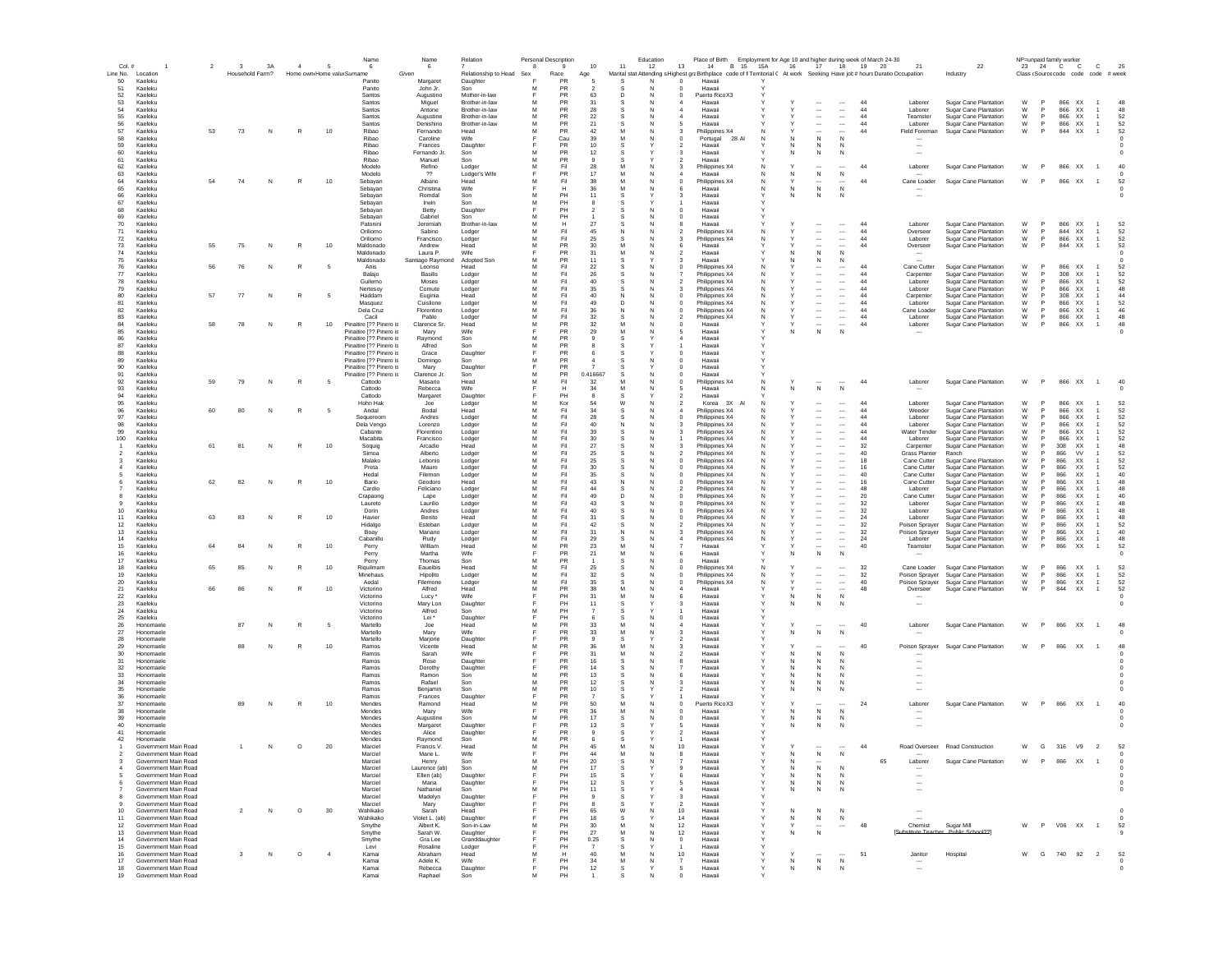|                     |                                              | $\overline{2}$ | $\overline{\mathbf{3}}$ | 3A | $\overline{4}$ |                | Name                                               | Name                         | Relation                         |        | Personal Description | 10             | 11     | Education<br>12 | 13                                   | Place of Birth Employment for Age 10 and higher during week of March 24-30<br>B 15 15A<br>14                                |                   |        | 17                                                   |                                                      | 18 19 20  | 21                                   |                                                       |        |                          | NP=unpaid family worker       | c                                   | 25             |
|---------------------|----------------------------------------------|----------------|-------------------------|----|----------------|----------------|----------------------------------------------------|------------------------------|----------------------------------|--------|----------------------|----------------|--------|-----------------|--------------------------------------|-----------------------------------------------------------------------------------------------------------------------------|-------------------|--------|------------------------------------------------------|------------------------------------------------------|-----------|--------------------------------------|-------------------------------------------------------|--------|--------------------------|-------------------------------|-------------------------------------|----------------|
| Col.#<br>Line No.   | Location                                     |                | Household Farm?         |    |                |                | 6<br>Home own Home valu Surname                    | - 6<br>Given                 | Relationship to Head Sex         | -8     | 9<br>Race            | Age            |        |                 |                                      | Marital stat Attending s Highest graBirthplace code of fi Territorial C At work Seeking Have job # hours Duratio Occupation |                   | 16     |                                                      |                                                      |           |                                      | 22<br>Industry                                        |        |                          | 23 24 C C                     | Class (Source code code code # week |                |
| 50<br>51            | Kaeleku<br>Kaeleku                           |                |                         |    |                |                | Panito<br>Panito                                   | Margaret<br>John Jr.         | Daughter<br>Son                  | м      | PR<br><b>PR</b>      |                | -S     | N<br>N          | $^{\circ}$<br>$\Omega$               | Hawaii<br>Hawaii                                                                                                            |                   |        |                                                      |                                                      |           |                                      |                                                       |        |                          |                               |                                     |                |
| -52<br>53           | Kaeleku<br>Kaeleku                           |                |                         |    |                |                | Santos<br>Santos                                   | Augustino                    | Mother-in-law<br>Brother-in-law  | M      | PR<br>PR             | 63<br>31       | D<br>s | <b>N</b><br>N   | $^{\circ}$                           | Puerto Rico X3<br>Hawaii                                                                                                    |                   |        |                                                      | $\overline{\phantom{a}}$                             | 44        | Laborer                              |                                                       | W      | P                        | 866 XX                        |                                     | 48             |
| 54                  | Kaeleku                                      |                |                         |    |                |                | Santos                                             | Miguel<br>Antone             | Brother-in-law                   | M      | PR                   | 28             |        |                 |                                      | Hawaii                                                                                                                      |                   |        | $\overline{\phantom{a}}$                             | $\overline{\phantom{a}}$                             | 44        | Laborer                              | Sugar Cane Plantation<br>Sugar Cane Plantation        | W      | P                        | 866 XX                        |                                     | 48             |
| 55<br>56            | Kaeleku<br>Kaeleku                           |                |                         |    |                |                | Santos<br>Santos                                   | Augustine<br>Denishirio      | Brother-in-law<br>Brother-in-law | M<br>M | PR<br><b>PR</b>      | 22<br>21       | s      |                 |                                      | Hawaii<br>Hawaii                                                                                                            |                   |        | $\overline{\phantom{a}}$<br>$\overline{\phantom{a}}$ | $\overline{\phantom{a}}$<br>$\cdots$                 | 44<br>44  | Teamster<br>Laborer                  | Sugar Cane Plantation<br>Sugar Cane Plantation        | W<br>W | P<br>P                   | 866 XX<br>866 XX              | 1                                   | 52<br>52       |
| 57                  | Kaeleku                                      | 53             | 73                      | N  | R              | 10             | Ribao                                              | Femando                      | Head                             | M      | PR                   | 42             | M      |                 |                                      | Philippines X4                                                                                                              |                   |        | $\overline{\phantom{a}}$                             | $\ddot{\phantom{a}}$                                 | 44        | Field Foreman                        | Sugar Cane Plantation                                 | W      | P                        | 844<br>XX                     |                                     | 52             |
| 58<br>59            | Kaeleku<br>Kaeleku                           |                |                         |    |                |                | Ribao<br>Ribao                                     | Caroline<br>Frances          | Wife<br>Daughter                 |        | Cau<br>PR            | 39<br>10       |        |                 |                                      | Portugal<br>28 A<br>Hawai                                                                                                   |                   |        | ${\sf N}$<br>N                                       | N                                                    |           |                                      |                                                       |        |                          |                               |                                     |                |
| 60                  | Kaeleku                                      |                |                         |    |                |                | Ribao                                              | Fernando Jr                  | Son                              | м      | PR<br>PR             | 12             |        |                 |                                      | Hawai                                                                                                                       |                   | Ν      | ${\sf N}$                                            | N                                                    |           | $\overline{\phantom{a}}$             |                                                       |        |                          |                               |                                     |                |
| 61<br>62            | Kaeleku<br>Kaeleku                           |                |                         |    |                |                | Ribao<br>Modelo                                    | Manuel<br>Refino             | Son<br>Lodger                    | M      | Fil                  | 28             |        |                 |                                      | Hawaii<br>Philippines X4                                                                                                    | N                 |        |                                                      |                                                      | 44        | Laborer                              | Sugar Cane Plantation                                 | W      |                          | 866 XX                        |                                     | 40             |
| 63<br>64            | Kaeleku<br>Kaeleku                           | 54             | 74                      | N  | R              | 10             | Modelo<br>Sebayan                                  | $^{22}$<br>Albano            | Lodger's Wife<br>Head            | M      | PR<br>Fil            | 17<br>38       |        |                 | $^{\circ}$                           | Hawaii<br>Philippines X4                                                                                                    | N                 | N      | ${\sf N}$<br>$\cdots$                                | $\,N\,$<br>$\cdots$                                  | 44        | Cane Loader                          | Sugar Cane Plantation                                 | W      |                          | 866<br>XX                     | $\overline{1}$                      | 52             |
| 65                  | Kaeleku                                      |                |                         |    |                |                | Sebavan                                            | Christina                    | Wife                             |        | н                    | 36             |        |                 |                                      | Hawaii                                                                                                                      | N                 | N      | N                                                    | N                                                    |           |                                      |                                                       |        |                          |                               |                                     |                |
| 66<br>67            | Kaeleku<br>Kaeleku                           |                |                         |    |                |                | Sebavan<br>Sebavan                                 | Romdal<br>Irwin              | Son<br>Son                       | м<br>м | PH<br>PH             | 11             |        |                 |                                      | Hawaii<br>Hawaii                                                                                                            |                   | N.     | $\mathbb N$                                          | N                                                    |           | $\overline{\phantom{a}}$             |                                                       |        |                          |                               |                                     |                |
| 68                  | Kaeleku<br>Kaeleku                           |                |                         |    |                |                | Sebayan                                            | Betty                        | Daughter<br>Son                  |        | PH<br>PH             | $\overline{2}$ |        | N               | $\Omega$                             | Hawaii                                                                                                                      |                   |        |                                                      |                                                      |           |                                      |                                                       |        |                          |                               |                                     |                |
| 69<br>70            | Kaeleku                                      |                |                         |    |                |                | Sebayan<br>Patonini                                | Gabriel<br>Jeremiah          | Brother-in-law                   | м<br>M | н                    | 27             |        |                 | $\Omega$                             | Hawaii<br>Hawaii                                                                                                            |                   |        | $\overline{\phantom{a}}$                             | $\overline{\phantom{a}}$                             | 44        | Laborer                              | Sugar Cane Plantation                                 | W      | P                        | 866 XX                        |                                     | 52             |
| 71<br>72            | Kaeleku<br>Kaeleku                           |                |                         |    |                |                | Oriliomo<br>Oriliomo                               | Sabino<br>Francisco          | Lodger<br>Lodger                 | M<br>M | Fil<br>Fil           | 45<br>25       |        |                 |                                      | Philippines X4<br>Philippines X4                                                                                            | N                 |        | $\overline{\phantom{a}}$<br>$\overline{\phantom{a}}$ | $\overline{\phantom{a}}$<br>                         | 44<br>44  | Overseer<br>Laborer                  | Sugar Cane Plantation<br>Sugar Cane Plantation        | W<br>W | P<br>P                   | 844 XX<br>866<br>XX           |                                     | 52<br>52       |
| 73                  | Kaeleku                                      | 55             | 75                      | N  | R              | $10$           | Maldonado                                          | Andrew                       | Head                             | M      | PR                   | 30             |        |                 |                                      | Hawaii                                                                                                                      |                   |        |                                                      | $\sim$                                               | 44        | Overseer                             | Sugar Cane Plantation                                 | W      | P                        | 844<br>XX                     |                                     | 52             |
| 74<br>75            | Kaeleku<br>Kaeleku                           |                |                         |    |                |                | Maldonado<br>Maldonado                             | Laura P.<br>Santiago Raymond | Wife<br><b>Adopted Sor</b>       | M      | PR<br>PR             | 31<br>11       | M      |                 |                                      | Hawai<br>Hawai                                                                                                              |                   |        | N<br>N                                               | N<br>N                                               |           |                                      |                                                       |        |                          |                               |                                     |                |
| 76                  | Kaeleku                                      |                | 76                      | Ν  |                |                | Anis                                               | Leonso                       | Head                             |        | Fil                  | 22             |        |                 |                                      | Philippines X4                                                                                                              |                   |        | $\cdots$                                             | $\cdots$                                             | 44        | Cane Cutter                          | Sugar Cane Plantation                                 | W      |                          | 866 XX                        |                                     | 52             |
| 77<br>78            | Kaeleku<br>Kaeleku                           |                |                         |    |                |                | Balajo<br>Guilemo                                  | Basilis<br>Moses             | Lodger<br>Lodger                 | M      | Fil<br>Fil           | 26<br>40       |        |                 |                                      | Philippines X4<br>Philippines X4                                                                                            | N                 |        | $\overline{\phantom{a}}$<br>$\cdots$                 | $\cdots$<br>$\cdots$                                 | 44<br>44  | Carpenter<br>Laborer                 | Sugar Cane Plantation<br>Sugar Cane Plantation        | W<br>W |                          | 308<br>XX<br>866<br>XX        |                                     | 52<br>52       |
| 79<br>80            | Kaeleku<br>Kaeleku                           | 57             | 77                      | N  | R              | -5             | Nertesoy<br>Haddam                                 | Comute<br>Euginia            | Lodger<br>Head                   | M<br>м | Fil<br>Fil           | 35<br>40       |        |                 | C                                    | Philippines X4                                                                                                              | N<br>N            |        | $\ddotsc$<br>$\overline{\phantom{a}}$                | $\cdots$<br>$\cdots$                                 | 44<br>-44 | Laborer<br>Carpenter                 | Sugar Cane Plantation<br>Sugar Cane Plantation        | W<br>W | <b>P</b>                 | 866<br>XX<br>308 XX           |                                     | 48<br>44       |
| 81                  | Kaeleku                                      |                |                         |    |                |                | Masquez                                            | Cuislione                    | Lodger                           | м      | Fil                  | 49             | n      |                 | $\Omega$                             | Philippines X4<br>Philippines X4                                                                                            | N                 |        | $\ddotsc$                                            | $\cdots$                                             | 44        | Laborer                              | Sugar Cane Plantation                                 | W      | <b>P</b>                 | 866 XX                        |                                     | 52             |
| 82<br>83            | Kaeleku<br>Kaeleku                           |                |                         |    |                |                | Dela Cruz<br>Cacil                                 | Florentino<br>Pablo          | Lodger<br>Lodger                 | м<br>M | Fil<br>Fil           | 36<br>32       | s      | N               | $\Omega$<br>$\overline{\phantom{a}}$ | Philippines X4<br>Philippines X4                                                                                            | N<br>N            |        | $\ddotsc$<br>$\sim$                                  | $\cdots$<br>$\overline{\phantom{a}}$                 | 44<br>44  | Cane Loader<br>Laborer               | <b>Sugar Cane Plantation</b><br>Sugar Cane Plantation | W<br>W | <b>P</b><br>P            | 866 XX<br>866 XX              | $\mathbf{1}$                        | 46<br>48       |
| 84                  | Kaeleku                                      | -58            | 78                      | N  | R              | 10             | Pinaitire [?? Pinero is                            | Clarence Sr                  | Head                             | M      | PR                   | 32             |        |                 | $\Omega$                             | Hawaii                                                                                                                      |                   |        | $\overline{\phantom{a}}$                             |                                                      | 44        | Laborer                              | Sugar Cane Plantation                                 | W      | P                        | 866<br>XX                     |                                     | 48             |
| 85<br>86            | Kaeleku<br>Kaeleku                           |                |                         |    |                |                | Pinaitire [?? Pinero is<br>Pinaitire [?? Pinero is | Mary<br>Raymond              | Wife<br>Son                      | M      | PR<br>PR             | 29             | M      | N               | 5                                    | Hawaii<br>Hawaii                                                                                                            |                   | N      | N                                                    | N                                                    |           |                                      |                                                       |        |                          |                               |                                     |                |
| 87                  | Kaeleku                                      |                |                         |    |                |                | Pinaitire [?? Pinero is                            | Alfred                       | Son                              | M      | PR                   |                |        |                 |                                      | Hawaii                                                                                                                      |                   |        |                                                      |                                                      |           |                                      |                                                       |        |                          |                               |                                     |                |
| 88<br>89            | Kaeleku<br>Kaeleku                           |                |                         |    |                |                | Pinaitire [?? Pinero is<br>Pinaitire [?? Pinero is | Grace<br>Domingo             | Daughter<br>Son                  | M      | PR<br>PR             |                |        |                 | $\mathbf 0$                          | Hawaii<br>Hawaii                                                                                                            |                   |        |                                                      |                                                      |           |                                      |                                                       |        |                          |                               |                                     |                |
| 90                  | Kaeleku                                      |                |                         |    |                |                | Pinaitire [?? Pinero is<br>Pinaitire [?? Pinero is | Mary                         | Daughter                         |        | PR<br>PR             |                |        |                 |                                      | Hawaii                                                                                                                      |                   |        |                                                      |                                                      |           |                                      |                                                       |        |                          |                               |                                     |                |
| 91<br>92            | Kaeleku<br>Kaeleku                           | 59             | 79                      | N  | $\mathbb{R}$   | - 5            | Cattodo                                            | Clarence Jr.<br>Masario      | Son<br>Head                      | M      | Fil                  | 0.416667<br>32 |        |                 | 0                                    | Hawaii<br>Philippines X4                                                                                                    |                   |        |                                                      |                                                      | 44        | Laborer                              | Sugar Cane Plantation                                 | W      | P                        | 866 XX                        | $\overline{1}$                      | 40             |
| 93<br>94            | Kaeleku<br>Kaeleku                           |                |                         |    |                |                | Cattodo<br>Cattodo                                 | Rebecca<br>Margaret          | Wife<br>Daughter                 |        | PH                   | -34            |        |                 |                                      | Hawaii<br>Hawaii                                                                                                            |                   | N      | $\mathsf{N}$                                         | N                                                    |           |                                      |                                                       |        |                          |                               |                                     |                |
| 95                  | Kaeleku                                      |                |                         |    |                |                | Hohn Hak                                           | Joe                          | Lodger                           | м      | Kor                  | 54             | W      |                 |                                      | Korea 3X                                                                                                                    | N                 |        |                                                      |                                                      | 44        | Laborer                              | Sugar Cane Plantation                                 | W      | <b>P</b>                 | 866 XX                        |                                     | 52             |
| 96<br>97            | Kaeleku<br>Kaeleku                           | 60             | 80                      | N  | R              | - 5            | Andal<br>Sequereom                                 | Bodal<br>Andres              | Head<br>Lodger                   | м<br>м | Fil<br>Fil           | 34<br>28       | s      |                 |                                      | Philippines X4<br>Philippines X4                                                                                            | N<br>N            |        | $\ddotsc$<br>$\ddotsc$                               | $\cdots$<br>$\cdots$                                 | 44<br>44  | Weeder<br>Laborer                    | Sugar Cane Plantation<br><b>Sugar Cane Plantation</b> | W<br>W | $\mathsf{P}$<br><b>P</b> | 866 XX<br>866 XX              |                                     | 52<br>52       |
| 98                  | Kaeleku                                      |                |                         |    |                |                | Dela Vengo                                         | Lorenzo                      | Lodger                           | M      | Fil                  | 40             | N      | N               |                                      | Philippines X4                                                                                                              | N                 |        | $\overline{\phantom{a}}$                             | $\overline{\phantom{a}}$                             | 44        | Laborer                              | Sugar Cane Plantation                                 | W      | P                        | 866 XX                        |                                     | 52             |
| 99<br>100           | Kaeleku<br>Kaeleku                           |                |                         |    |                |                | Cabante<br>Macahita                                | Florentino<br>Francisco      | Lodger<br>Lodger                 | M<br>M | Fil<br>Fil           | 39<br>30       |        |                 |                                      | Philippines X4<br>Philippines X4                                                                                            |                   |        | $\overline{\phantom{a}}$<br>$\overline{\phantom{a}}$ | $\overline{\phantom{a}}$<br>$\overline{\phantom{a}}$ | 44<br>44  | Water Tender<br>Laborer              | Sugar Cane Plantation<br>Sugar Cane Plantation        | W<br>W | P<br>P                   | 866 XX<br>866<br>XX           |                                     | 52<br>52       |
| $\overline{1}$      | Kaeleku                                      | 61             | 81                      | N  | R              | 10             | Soquig                                             | Arcadio                      | Head                             | M      | Fil                  | 27             |        |                 |                                      | Philippines X4                                                                                                              |                   |        | $\overline{\phantom{a}}$                             | $\overline{\phantom{a}}$                             | 32        | Carpenter                            | Sugar Cane Plantation                                 | W      | P                        | 308<br>XX                     |                                     | 48             |
| $\overline{2}$<br>3 | Kaeleku<br>Kaeleku                           |                |                         |    |                |                | Simoa<br>Malako                                    | Alberto<br>Lebonio           | Lodger<br>Lodger                 | M<br>M | Fil<br>Fil           | 25<br>25       |        |                 |                                      | Philippines X4<br>Philippines X4                                                                                            |                   |        |                                                      | <br>$\overline{\phantom{a}}$                         | 40<br>18  | <b>Grass Planter</b><br>Cane Cutter  | Ranch<br>Sugar Cane Plantation                        | w<br>W | P                        | 866<br><b>VV</b><br>866<br>XX |                                     | 52<br>52       |
|                     | Kaeleku                                      |                |                         |    |                |                | Preta                                              | Mauro                        | Lodger                           | M<br>M | Fil                  | 30             |        |                 |                                      | Philippines X4                                                                                                              |                   |        |                                                      | $\overline{\phantom{a}}$                             | 16        | Cane Cutter                          | Sugar Cane Plantation                                 | W      | P<br>P                   | 866<br>XX                     |                                     | 52             |
|                     | Kaeleku<br>Kaeleku                           | 62             | 82                      | N  | R              | 10             | Hedal<br>Bario                                     | Filemon<br>Geodoro           | Lodger<br>Head                   |        | Fil<br>Fil           | 35<br>43       |        |                 |                                      | Philippines X4<br>Philippines X4                                                                                            |                   |        | $\overline{\phantom{a}}$                             | $\overline{\phantom{a}}$<br>$\cdots$                 | 40<br>16  | Cane Cutter<br>Cane Cutter           | Sugar Cane Plantation<br>Sugar Cane Plantation        | W<br>W |                          | 866<br>XX<br>866<br>XX        |                                     | 40<br>48       |
|                     | Kaeleku<br>Kaeleku                           |                |                         |    |                |                | Cardio                                             | Feliciano                    | Lodger                           | M      | Fil<br>Fil           | 44<br>49       |        |                 |                                      | Philippines X4<br>Philippines X4                                                                                            |                   |        | $\ddotsc$                                            | $\cdots$<br>$\cdots$                                 | 48<br>20  | Laborer<br>Cane Cutter               | Sugar Cane Plantation<br>Sugar Cane Plantation        | W<br>W |                          | 866<br>XX<br>866<br>XX        |                                     | 48<br>40       |
| 9                   | Kaeleku                                      |                |                         |    |                |                | Crapaong<br>Laureto                                | Lape<br>Laurilio             | Lodger<br>Lodger                 | M      | Fil                  | 43             |        |                 | C                                    | Philippines X4                                                                                                              |                   |        | $\cdots$<br>$\cdots$                                 |                                                      | 32        | Laborer                              | Sugar Cane Plantation                                 | W      |                          | 866<br>XX                     |                                     | 48             |
| 10<br>11            | Kaeleku<br>Kaeleku                           | 63             | 83                      | N  | R              | 10             | Dorin<br>Havier                                    | Andres<br>Benito             | Lodger<br>Head                   | м<br>м | Fil<br>Fil           | 40<br>31       |        |                 |                                      | Philippines X4<br>Philippines X4                                                                                            | N<br>N            |        | $\overline{\phantom{a}}$<br>$\cdots$                 | $\overline{\phantom{a}}$<br>$\cdots$                 | 32<br>24  | Laborer<br>Laborer                   | Sugar Cane Plantation<br>Sugar Cane Plantation        | W<br>W | <b>P</b><br><b>P</b>     | 866<br>XX.<br>866<br>XX.      |                                     | 48<br>48       |
| 12                  | Kaeleku                                      |                |                         |    |                |                | Hidalgo                                            | Esteban                      | Lodger                           | м      | Fil                  | 42             | -S     |                 |                                      | Philippines X4                                                                                                              | N                 |        | $\cdots$                                             | $\cdots$                                             | -32       | Poison Spraver                       | Sugar Cane Plantation                                 | W      | <b>P</b>                 | 866<br>XX.                    |                                     | 52             |
| 13<br>14            | Kaeleku<br>Kaeleku                           |                |                         |    |                |                | Boay<br>Cabanillo                                  | Mariano<br>Rudy              | Lodger<br>Lodger                 | M<br>M | Fil<br>Fil           | 31<br>29       | N      | N               |                                      | Philippines X4<br>Philippines X4                                                                                            | N<br>N            |        | $\overline{\phantom{a}}$<br>$\overline{\phantom{a}}$ | $\sim$<br>$\overline{\phantom{a}}$                   | 32<br>24  | Poison Sprayer<br>Laborer            | Sugar Cane Plantation<br>Sugar Cane Plantation        | W<br>W | P<br>P                   | 866<br>XX<br>866<br>XX        | 1                                   | 40<br>48       |
| 15                  | Kaeleku                                      | 64             | 84                      | N  |                | 10             | Perry                                              | William                      | Head                             | M      | PR                   | 23             | M      | N               |                                      | Hawaii                                                                                                                      |                   |        | $\overline{\phantom{a}}$                             |                                                      | 40        | Teamster                             | Sugar Cane Plantation                                 | W      | P.                       | 866<br>XX                     |                                     | 52             |
| 16<br>17            | Kaeleku<br>Kaeleku                           |                |                         |    |                |                | Perry<br>Perry                                     | Martha<br>Thomas             | Wife<br>Son                      | M      | PR<br>PR             | 21             | м      |                 | 6                                    | Hawaii<br>Hawaii                                                                                                            |                   | N      | N                                                    | N                                                    |           |                                      |                                                       |        |                          |                               |                                     | $\Omega$       |
| 18                  | Kaeleku                                      | 65             |                         |    |                | 10             | Riquilman                                          | Eaueibis                     | Head                             | M<br>M | Fil                  | 25             |        |                 |                                      | Philippines X4                                                                                                              |                   |        |                                                      |                                                      | 32        | Cane Loader                          | Sugar Cane Plantation                                 | W      | P<br>P                   | 866<br>XX                     |                                     | 52             |
| 19<br>20            | Kaeleku<br>Kaeleku                           |                |                         |    |                |                | Minehaus<br>Aodal                                  | Hipolito<br>Filemone         | Lodger<br>Lodger                 | M      | Fil<br>Fil           | 32<br>35       |        |                 | 0                                    | Philippines X4<br>Philippines X4                                                                                            | N                 |        | $\overline{\phantom{a}}$                             | $\cdots$<br>$\ldots$                                 | 32<br>40  | Poison Sprayer<br>Poison Sprayer     | Sugar Cane Plantation<br>Sugar Cane Plantation        | W<br>W | P                        | 866<br>XX<br>866<br>XX        |                                     | 52<br>52       |
| 21<br>22            | Kaeleku<br>Kaeleku                           |                |                         | N  |                | $10$           | Victorino<br>Victorino                             | Alfred<br>Lucy <sup>'</sup>  | Head<br>Wife                     | M      | PR<br>PH             | 38<br>31       |        |                 |                                      | Hawaii<br>Hawaii                                                                                                            |                   | N      | ${\sf N}$                                            | $\mathsf{N}$                                         | 48        | Overseer                             | Sugar Cane Plantation                                 | W      | P                        | 844<br>XX                     | $\overline{1}$                      | 52             |
| 23                  | Kaeleku                                      |                |                         |    |                |                | Victorino                                          | Mary Lon                     | Daughter                         |        | PH                   | 11             |        |                 |                                      | Hawaii                                                                                                                      |                   | N      | N                                                    |                                                      |           |                                      |                                                       |        |                          |                               |                                     |                |
| 24<br>25            | Kaeleku<br>Kaeleku                           |                |                         |    |                |                | Victorino<br>Victorino                             | Alfred<br>Lei "              | Son<br>Daughter                  | M      | PH<br>PH             |                |        |                 | $\Omega$                             | Hawaii<br>Hawaii                                                                                                            |                   |        |                                                      |                                                      |           |                                      |                                                       |        |                          |                               |                                     |                |
| 26                  | Honomaele                                    |                | 87                      | N  | R              | - 5            | Martello                                           | Joe                          | Head                             | м      | PR                   | 33             | M      |                 |                                      | Hawaii                                                                                                                      | Y                 |        |                                                      |                                                      | 40        | Laborer                              | Sugar Cane Plantation                                 | W      | P.                       | 866 XX                        | $\overline{1}$                      | 48             |
| 27<br>28            | Honomaele<br>Honomaele                       |                |                         |    |                |                | Martello<br>Martello                               | Mary<br>Marjorie             | Wife<br>Daughter                 |        | PR<br>PR             | 33             | M      |                 | з<br>$\overline{\phantom{a}}$        | Hawaii<br>Hawaii                                                                                                            |                   | N      | $\mathsf{N}$                                         | N                                                    |           |                                      |                                                       |        |                          |                               |                                     |                |
| 29                  | Honomaele<br>Honomaele                       |                | 88                      | N  | R              | 10             | Ramos                                              | Vicente<br>Sarah             | Head<br>Wife                     | м      | PR<br>PR             | 36             | M      |                 |                                      | Hawaii<br>Hawaii                                                                                                            |                   |        |                                                      | N                                                    | 40        | Poison Sprayer                       | <b>Sugar Cane Plantation</b>                          | W      | P.                       | 866 XX                        |                                     | 48             |
| 30<br>31            | Honomaele                                    |                |                         |    |                |                | Ramos<br>Ramos                                     | Rose                         | Daughter                         |        | PR                   | 31<br>16       |        |                 |                                      | Hawaii                                                                                                                      |                   | N<br>N | N<br>$\mathbb N$                                     | N                                                    |           |                                      |                                                       |        |                          |                               |                                     |                |
| 32<br>33            | Honomael<br>Honomael                         |                |                         |    |                |                | Ramos<br>Ramos                                     | Dorothy<br>Ramon             | Daughter<br>Son                  | M      | PR<br>PR             | 14<br>13       |        |                 |                                      | Hawai<br>Hawai                                                                                                              |                   |        | $\mathbb N$<br>N                                     | N<br>N                                               |           |                                      |                                                       |        |                          |                               |                                     |                |
| 34                  | Honomael                                     |                |                         |    |                |                | Ramos                                              | Rafael                       | Son                              | M      | PR                   | 12             |        |                 |                                      | Hawai                                                                                                                       |                   |        | N                                                    |                                                      |           |                                      |                                                       |        |                          |                               |                                     |                |
| 35<br>36            | Honomael<br>Honomaele                        |                |                         |    |                |                | Ramos<br>Ramos                                     | Benjamir<br>Frances          | Son<br>Daughter                  | M      | PR<br>PR             | 10             |        |                 |                                      | Hawai<br>Hawaii                                                                                                             |                   | Ν      | N                                                    | N                                                    |           |                                      |                                                       |        |                          |                               |                                     |                |
| 37                  | Honomaele                                    |                | 89                      | N  |                | 10             | Mendes                                             | Ramond                       | Head                             |        | PR                   | 50             |        |                 | 0                                    | Puerto Rico X3                                                                                                              |                   |        |                                                      |                                                      | 24        | Laborer                              | Sugar Cane Plantation                                 | W      | P                        | 866 XX                        | $\overline{1}$                      | 40             |
| 38<br>39            | Honomaele<br>Honomaele                       |                |                         |    |                |                | Mendes<br>Mendes                                   | Mary<br>Augustine            | Wife<br>Son                      | M      | PR<br>PR             | -36<br>17      |        |                 | 0                                    | Hawaii<br>Hawaii                                                                                                            |                   | N<br>N | N<br>${\sf N}$                                       | N<br>$\mathbb{N}$                                    |           | $\overline{\phantom{a}}$             |                                                       |        |                          |                               |                                     |                |
| 40                  | Honomaele                                    |                |                         |    |                |                | Mendes                                             | Margaret                     | Daughter                         |        | <b>PR</b>            | 13             |        |                 |                                      | Hawaii                                                                                                                      |                   | N      | N                                                    | N                                                    |           |                                      |                                                       |        |                          |                               |                                     |                |
| 41<br>42            | Honomaele<br>Honomaele                       |                |                         |    |                |                | Mendes<br>Mendes                                   | Alice<br>Raymond             | Daughter<br>Son                  | м      | PR<br>PR             |                |        |                 |                                      | Hawaii<br>Hawaii                                                                                                            |                   |        |                                                      |                                                      |           |                                      |                                                       |        |                          |                               |                                     |                |
|                     | Government Main Road                         |                |                         | N  | $\circ$        | 20             | Marciel                                            | Francis V.                   | Head                             | M      | PH<br>PH             | 45<br>44       | м      | N               | 10                                   | Hawaii                                                                                                                      |                   |        |                                                      | $\cdots$ $\cdots$                                    | 44        |                                      | Road Overseer Road Construction                       | W      | G                        | 316 V9 2                      |                                     | 52             |
| $\overline{2}$<br>3 | Government Main Road<br>Government Main Road |                |                         |    |                |                | Marciel<br>Marciel                                 | Marie L.<br>Henry            | Wife<br>Son                      | M      | PH                   | 20             | M<br>s | N               |                                      | Hawaii<br>Hawaii                                                                                                            | $\mathsf{Y}$      | N<br>N | N<br>$\overline{\phantom{a}}$                        | N                                                    |           | 65<br>Laborer                        | Sugar Cane Plantation                                 | W      | P.                       | 866 XX                        |                                     |                |
| $\sim$<br>5         | Government Main Road<br>Government Main Road |                |                         |    |                |                | Marciel<br>Marciel                                 | Laurence (ab)<br>Ellen (ab)  | Son<br>Daughter                  | M<br>E | PH<br>PH             | 17<br>15       | s      |                 | $\mathbf{Q}$<br>6                    | Hawaii<br>Hawaii                                                                                                            | Y<br>Y            | N<br>Ν | ${\sf N}$<br>${\sf N}$                               | N<br>N                                               |           |                                      |                                                       |        |                          |                               |                                     |                |
| 6                   | Government Main Road                         |                |                         |    |                |                | Marciel                                            | Maria                        | Daughter                         |        | PH                   | 12             |        |                 |                                      | Hawaii                                                                                                                      |                   | Ν      | ${\sf N}$                                            | N                                                    |           | $\overline{\phantom{a}}$             |                                                       |        |                          |                               |                                     |                |
| 8                   | Government Main Road<br>Government Main Road |                |                         |    |                |                | Marcie<br>Marciel                                  | Nathaniel<br>Madelyn         | Son<br>Daughter                  | м<br>F | PH<br>PH             | 11             | s      |                 | 3                                    | Hawaii<br>Hawaii                                                                                                            |                   | Ν      | N                                                    | N                                                    |           | $\sim$                               |                                                       |        |                          |                               |                                     |                |
| 9                   | Government Main Road                         |                |                         |    |                |                | Marciel                                            | Mary                         | Daughter                         |        | PH                   |                |        |                 | $\overline{2}$                       | Hawaii                                                                                                                      |                   |        |                                                      |                                                      |           |                                      |                                                       |        |                          |                               |                                     |                |
| $10$<br>11          | Government Main Road<br>Government Main Road |                | $\overline{2}$          | N  | $\circ$        | 30             | Wahikako<br>Wahikako                               | Sarah<br>Violet L. (ab)      | Head<br>Daughter                 |        | PH<br>PH             | 65<br>18       | W      |                 | 10<br>14                             | Hawaii<br>Hawaii                                                                                                            | Y                 | N<br>N | ${\sf N}$<br>${\sf N}$                               | ${\sf N}$<br>N                                       |           | $\sim$                               |                                                       |        |                          |                               |                                     |                |
| 12                  | Government Main Road                         |                |                         |    |                |                | Smythe                                             | Albert K.                    | Son-in-Law                       | M      | PH                   | $30\,$         |        |                 | 12                                   | Hawaii                                                                                                                      | Y                 |        | $\cdots$                                             | $\cdots$                                             | 48        | Chemist                              | Sugar Mill                                            | W      | P                        | V06 XX                        | $\overline{1}$                      | 52             |
| 13<br>14            | Government Main Road<br>Government Main Road |                |                         |    |                |                | Smythe<br>Smythe                                   | Sarah W.<br>Gra Lee          | Daughter<br>Granddaughter        | Е      | PH<br>PH             | 27<br>0.25     | M<br>s | N<br>N          | 12<br>$^{\circ}$                     | Hawaii<br>Hawaii                                                                                                            | Y                 | N      | N                                                    |                                                      |           | thetituto Togo                       | Public School??]                                      |        |                          |                               |                                     | ୍ରଦ            |
| 15                  | Government Main Road                         |                |                         |    |                |                | Levi                                               | Rosaline                     | Lodger                           |        | PH                   | 7              |        |                 |                                      | Hawaii                                                                                                                      |                   |        |                                                      |                                                      |           |                                      |                                                       |        |                          |                               |                                     |                |
| 16<br>17            | Government Main Road<br>Government Main Road |                | $\mathbf{3}$            | N  | $\circ$        | $\overline{4}$ | Kamai<br>Kamai                                     | Ahraham<br>Adele K.          | Head<br>Wife                     | M<br>E | H<br>PH              | 40<br>34       | M<br>M | N<br>N          | 10<br>$\overline{7}$                 | Hawaii<br>Hawaii                                                                                                            | $\mathsf{Y}$<br>Y | N      | ${\sf N}$                                            | N                                                    | 51        | .lanitor<br>$\overline{\phantom{a}}$ | Hospital                                              | w      | G                        | 740 92 2                      |                                     | 52<br>$\Omega$ |
| 18                  | Government Main Road                         |                |                         |    |                |                | Kamai<br>Kamai                                     | Rebecca                      | Daughter                         | F<br>M | PH<br>PH             | 12             | s      | N               | -5                                   | Hawaii<br>Hawaii                                                                                                            | $\mathsf{Y}$      | N      | N                                                    | N                                                    |           | $\overline{\phantom{a}}$             |                                                       |        |                          |                               |                                     | $^{\circ}$     |
| 19                  | Government Main Road                         |                |                         |    |                |                |                                                    | Raphael                      | Son                              |        |                      |                | s      |                 | $\circ$                              |                                                                                                                             |                   |        |                                                      |                                                      |           |                                      |                                                       |        |                          |                               |                                     |                |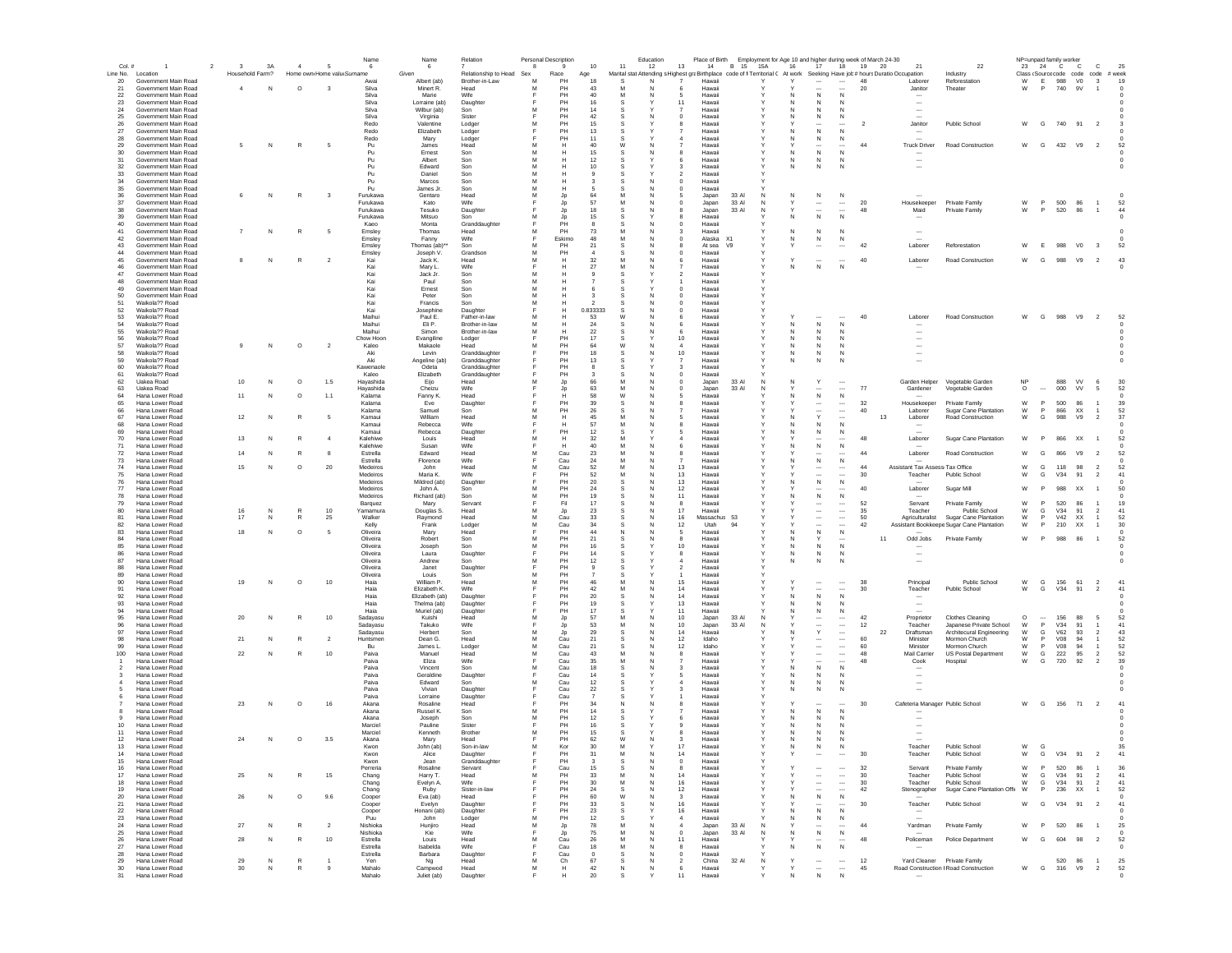| Col. #         |                                              | $_{3}$<br>$\overline{2}$ | 3A              | $\sim$       | Name<br>-5<br>6                           | Name<br>- 6                | Relation                       | Personal Description<br>-8<br>$\mathbf{Q}$ | 10               | Education<br>11 | 12<br>13                                | 14               | B 15           | 15A              | 16      | 17                                                   |                                                  | Place of Birth Employment for Age 10 and higher during week of March 24-30<br>18 19 20<br>21                                | 22                                                      |                      |                          | NP=unpaid family worker<br>23 24 C C |                                     | <b>C</b>                         | 25               |
|----------------|----------------------------------------------|--------------------------|-----------------|--------------|-------------------------------------------|----------------------------|--------------------------------|--------------------------------------------|------------------|-----------------|-----------------------------------------|------------------|----------------|------------------|---------|------------------------------------------------------|--------------------------------------------------|-----------------------------------------------------------------------------------------------------------------------------|---------------------------------------------------------|----------------------|--------------------------|--------------------------------------|-------------------------------------|----------------------------------|------------------|
|                | Line No. Location                            |                          | Household Farm? |              | Home own Home valu Surname                | Given                      | Relationship to Head Sex       | Race                                       | Age              |                 |                                         |                  |                |                  |         |                                                      |                                                  | Marital stat Attending s Highest graBirthplace code of fi Territorial ( At work Seeking Have job # hours Duratio Occupation | Industry                                                |                      |                          |                                      | Class (Source code code code # week |                                  |                  |
| 20             | Government Main Road                         |                          |                 |              | Awai                                      | Albert (ab)                | Brother-in-Law                 | M<br>PH<br>M<br>PH                         | 18               | s               | N<br>N                                  | Hawaii           |                |                  |         |                                                      |                                                  | 48<br>Laborer                                                                                                               | Reforestation                                           | W                    | E<br>P                   | 988 VO                               |                                     | $\overline{\mathbf{3}}$          | 19               |
| 21<br>22       | Government Main Road<br>Government Main Road | $\overline{4}$           | N               | $\circ$      | $\overline{\mathbf{3}}$<br>Silva<br>Silva | Minert R.<br>Marie         | Head<br>Wife                   | PH                                         | 43<br>40         | M               | N                                       | Hawai<br>Hawai   |                |                  |         | N                                                    | $\mathsf{N}$                                     | 20<br>Janitor                                                                                                               | Theater                                                 | W                    |                          | 740                                  | 9V                                  | $\overline{1}$                   |                  |
| 23             | Government Main Road                         |                          |                 |              | Silva                                     | Lorraine (ab)              | Daughter                       | PH                                         | 16               |                 | 11                                      | Hawaii           |                |                  | N       | N                                                    | N                                                | $\ddotsc$                                                                                                                   |                                                         |                      |                          |                                      |                                     |                                  |                  |
| 24<br>25       | Government Main Road<br>Government Main Road |                          |                 |              | Silva<br>Silva                            | Wilbur (ab)<br>Virginia    | Son<br>Sister                  | PH<br>PH                                   | 14<br>42         |                 | 0                                       | Hawaii<br>Hawaii |                |                  | N       | N<br>N                                               | -N<br>N                                          | $\sim$                                                                                                                      |                                                         |                      |                          |                                      |                                     |                                  |                  |
| 26             | Government Main Road                         |                          |                 |              | Redo                                      | Valentine                  | Lodger                         | PH                                         | 15               |                 |                                         | Hawaii           |                |                  |         | $\cdots$                                             |                                                  | $\overline{2}$<br>Janitor                                                                                                   | Public School                                           | W                    | G                        |                                      | 740 91 2                            |                                  |                  |
| 27             | Government Main Road                         |                          |                 |              | Redo                                      | Elizabeth                  | Lodger                         | PH                                         | 13               | -S              |                                         | Hawaii           |                |                  | N       | N                                                    | N                                                | $\sim$                                                                                                                      |                                                         |                      |                          |                                      |                                     |                                  |                  |
| 28<br>29       | Government Main Road<br>Government Main Road | 5                        | N               | R            | Redo<br>- 5<br>Pu                         | Mary<br>James              | Lodger<br>Head                 | PH<br>м<br>н                               | 11<br>40         | W               | <b>N</b>                                | Hawaii<br>Hawaii |                | Y                | N.      | N<br>$\cdots$                                        | N<br>                                            | 44<br><b>Truck Driver</b>                                                                                                   | Road Construction                                       | W                    | G                        |                                      | 432 V9 2                            |                                  | -52              |
| 30             | Government Main Road                         |                          |                 |              | Pu                                        | Ernest                     | Son                            | м<br>н                                     | 15               |                 |                                         | Hawaii           |                |                  | N.      | N                                                    | N                                                |                                                                                                                             |                                                         |                      |                          |                                      |                                     |                                  |                  |
| 31             | Government Main Road                         |                          |                 |              | Pu                                        | Albert                     | Son                            | M<br>н                                     | 12               | s               | 6                                       | Hawaii           |                | v                | N       | N                                                    | N                                                |                                                                                                                             |                                                         |                      |                          |                                      |                                     |                                  |                  |
| 32<br>33       | Government Main Road<br>Government Main Road |                          |                 |              | Pu<br>Pu                                  | Edward<br>Daniel           | Son<br>Son                     | M<br>н<br>M<br>н                           | 10<br>$^{\circ}$ |                 | 3<br>$\overline{\phantom{a}}$           | Hawaii<br>Hawaii |                |                  | N       | N                                                    | N                                                | $\overline{\phantom{a}}$                                                                                                    |                                                         |                      |                          |                                      |                                     |                                  |                  |
| 34             | Government Main Road                         |                          |                 |              | Pu                                        | Marcos                     | Son                            | M<br>н                                     |                  |                 | $\Omega$                                | Hawaii           |                |                  |         |                                                      |                                                  |                                                                                                                             |                                                         |                      |                          |                                      |                                     |                                  |                  |
| 35             | Government Main Road                         |                          |                 |              | Pu<br>$\overline{\mathbf{3}}$             | James Jr                   | Son                            | M<br>н<br>M                                | 64               | M               | $\mathbf 0$                             | Hawaii           |                | N                |         |                                                      |                                                  |                                                                                                                             |                                                         |                      |                          |                                      |                                     |                                  |                  |
| 36<br>37       | Government Main Road<br>Government Main Road |                          | N               | R            | Furukawa<br>Furukawa                      | Gentaro<br>Kato            | Head<br>Wife                   | Jp<br>Jp                                   | 57               | M               | 0                                       | Japan<br>Japan   | 33 AI<br>33 Al | N                |         | N<br>$\overline{\phantom{a}}$                        | N<br>                                            | 20<br>Housekeeper                                                                                                           | Private Family                                          | W                    | P                        | 500                                  | 86                                  | $\overline{1}$                   | 52               |
| 38             | Government Main Road                         |                          |                 |              | Furukawa                                  | Tesuko                     | Daughter                       | Jp                                         | 18               |                 | 8                                       | Japan            | 33 AI          | N                |         | $\overline{\phantom{a}}$                             | $\overline{\phantom{a}}$                         | 48<br>Maid                                                                                                                  | Private Family                                          | W                    | P                        | 520                                  | 86                                  | $\overline{1}$                   | 44               |
| 39<br>40       | Government Main Road<br>Government Main Road |                          |                 |              | Furukawa<br>Kaeo                          | Mitsuo<br>Monta            | Son<br>Granddaughter           | M<br>Jp<br>PH                              | 15               |                 | 0                                       | Hawaii<br>Hawaii |                |                  |         | N                                                    |                                                  |                                                                                                                             |                                                         |                      |                          |                                      |                                     |                                  |                  |
| 41             | Government Main Road                         | 7                        | N               | $\mathbb{R}$ | -5<br>Emsley                              | Thomas                     | Head                           | PH                                         | 73               |                 | 3                                       | Hawaii           |                |                  |         | $\mathbb N$                                          | N                                                |                                                                                                                             |                                                         |                      |                          |                                      |                                     |                                  |                  |
| 42             | Government Main Road                         |                          |                 |              | Emsley                                    | Fanny                      | Wife                           | Eskimo<br>Е                                | 48               | M               | N<br>$^{\circ}$                         | Alaska X1        |                |                  | N       | N                                                    | N                                                |                                                                                                                             |                                                         |                      |                          |                                      |                                     |                                  |                  |
| 43<br>44       | Government Main Road<br>Government Main Road |                          |                 |              | Emsley<br>Emsley                          | Thomas (ab)'<br>Joseph V.  | Son<br>Grandson                | м<br>PH<br>PH<br>м                         | 21               | s<br>s          | я<br>$\Omega$                           | At sea<br>Hawaii | V <sub>9</sub> |                  |         | $\ddotsc$                                            |                                                  | 42<br>Laborer                                                                                                               | Reforestation                                           | W                    |                          | E 988 VO                             | $_{3}$                              |                                  | -52              |
| 45             | Government Main Road                         | 8                        | N               | R            | $\overline{2}$<br>Kai                     | Jack K.                    | Head                           | м<br>н                                     | 32               |                 | 6                                       | Hawaii           |                |                  |         | $\cdots$                                             | $\cdots$                                         | 40<br>Laborer                                                                                                               | Road Construction                                       | W                    | G                        | 988 V9                               | $\overline{2}$                      |                                  | 43               |
| 46             | Government Main Road                         |                          |                 |              | Kai                                       | Mary L.                    | Wife                           | E<br>H                                     | 27               | M               | N<br>$\overline{\phantom{a}}$           | Hawaii           |                |                  | N       | ${\sf N}$                                            | N                                                |                                                                                                                             |                                                         |                      |                          |                                      |                                     |                                  |                  |
| 47<br>48       | Government Main Road<br>Government Main Road |                          |                 |              | Kai<br>Kai                                | Jack Jr.<br>Paul           | Son<br>Son                     | M<br>н<br>M<br>н                           |                  |                 | $\mathcal{P}$                           | Hawaii<br>Hawaii |                |                  |         |                                                      |                                                  |                                                                                                                             |                                                         |                      |                          |                                      |                                     |                                  |                  |
| 49             | Government Main Road                         |                          |                 |              | Kai                                       | Ernest                     | Son                            | M<br>н                                     |                  |                 | $\Omega$                                | Hawaii           |                |                  |         |                                                      |                                                  |                                                                                                                             |                                                         |                      |                          |                                      |                                     |                                  |                  |
| 50             | Government Main Road                         |                          |                 |              | Kai                                       | Peter                      | Son                            | M<br>н                                     |                  |                 | $\mathbf 0$                             | Hawaii           |                |                  |         |                                                      |                                                  |                                                                                                                             |                                                         |                      |                          |                                      |                                     |                                  |                  |
| 51<br>52       | Waikola?? Road<br>Waikola?? Road             |                          |                 |              | Kai<br>Kai                                | Francis<br>Josephine       | Son<br>Daughter                | M<br>F<br>Н                                | 0.833333         | s               | $\mathbf 0$<br>$\mathbf 0$              | Hawaii<br>Hawaii |                |                  |         |                                                      |                                                  |                                                                                                                             |                                                         |                      |                          |                                      |                                     |                                  |                  |
| 53             | Waikola?? Road                               |                          |                 |              | Maihui                                    | Paul E.                    | Father-in-law                  | M<br>Н                                     | 53               | W               | 6                                       | Hawaii           |                |                  |         |                                                      |                                                  | 40<br>Laborer                                                                                                               | Road Construction                                       | W                    | G                        | 988                                  | V9<br>$\overline{2}$                |                                  | 52               |
|                | Waikola?? Road                               |                          |                 |              | Maihui                                    | Eli P.                     | Brother-in-law                 |                                            | 24               |                 |                                         | Hawaii           |                |                  | N       | $\mathsf{N}$                                         | N                                                |                                                                                                                             |                                                         |                      |                          |                                      |                                     |                                  |                  |
| 55<br>56       | Waikola?? Road<br>Waikola?? Road             |                          |                 |              | Maihui<br>Chow Hoon                       | Simon<br>Evangiline        | Brother-in-law<br>Lodger       | M<br>н<br>PH                               | 22<br>17         |                 | 6<br>10                                 | Hawaii<br>Hawaii |                |                  | N<br>N  | N<br>$\mathbb N$                                     | $\mathbb N$<br>N                                 | $\overline{\phantom{a}}$<br>$\overline{\phantom{a}}$                                                                        |                                                         |                      |                          |                                      |                                     |                                  |                  |
| 57             | Waikola?? Road                               |                          | N               | $\circ$      | $\overline{2}$<br>Kaleo                   | Makaole                    | Head                           | PH<br>м                                    | 64               | W               | 4<br><b>N</b>                           | Hawaii           |                |                  | N       | N                                                    | N                                                | $\ddotsc$                                                                                                                   |                                                         |                      |                          |                                      |                                     |                                  |                  |
| 58<br>59       | Waikola?? Road                               |                          |                 |              | Aki                                       | Levin                      | Granddaughter                  | PH<br>PH                                   | 18               |                 | 10                                      | Hawaii           |                |                  | N       | N                                                    | N                                                | $\ddotsc$                                                                                                                   |                                                         |                      |                          |                                      |                                     |                                  |                  |
| 60             | Waikola?? Road<br>Waikola?? Road             |                          |                 |              | Aki<br>Kawenaole                          | Angeline (ab)<br>Odeta     | Granddaughter<br>Granddaughter | PH                                         | 13<br>-8         | -S<br>s         | 7<br>3                                  | Hawaii<br>Hawaii |                |                  | N       | N                                                    | N                                                | $\overline{\phantom{a}}$                                                                                                    |                                                         |                      |                          |                                      |                                     |                                  |                  |
| 61             | Waikola22 Road                               |                          |                 |              | Kalen                                     | Elizabeth                  | Granddaughter                  | PH                                         | ્વ               |                 | N<br>$\Omega$                           | Hawaii           |                |                  |         |                                                      |                                                  |                                                                                                                             |                                                         |                      |                          |                                      |                                     |                                  |                  |
| 62<br>63       | Uakea Road<br><b>Uakea Road</b>              | 10                       | N               | $\circ$      | 1.5<br>Hayashida<br>Hayashida             | Eijo<br>Cheizu             | Head<br>Wife                   | Jp<br>м<br>Jp                              | 66<br>63         | M<br>M          | $\Omega$<br>$\Omega$<br>N               | Japan<br>Japan   | 33 AI<br>33 AI | N<br>$\mathbb N$ | N       | Y<br>$\cdots$                                        | $\sim$<br>$\overline{\phantom{a}}$               | Garden Helper<br>77<br>Gardener                                                                                             | Vegetable Garden<br>Vegetable Garden                    | <b>NP</b><br>$\circ$ | $\overline{\phantom{a}}$ | 888<br>000                           | <b>VV</b><br><b>VV</b>              | -6<br>-5                         | 30<br>52         |
| 64             | Hana Lower Road                              | 11                       | N               | $\circ$      | 1.1<br>Kalama                             | Fanny K.                   | Head                           | н                                          | 58               | W               | 5                                       | Hawaii           |                |                  |         | ${\sf N}$                                            | $\mathbb{N}$                                     |                                                                                                                             |                                                         |                      |                          |                                      |                                     |                                  | $\Omega$         |
| 65             | Hana Lower Road                              |                          |                 |              | Kalama                                    | Eve                        | Daughter                       | PH                                         | 39               |                 |                                         | Hawai            |                |                  |         |                                                      |                                                  | 32<br>Housekeeper                                                                                                           | Private Family                                          | W                    | P                        | 500                                  | 86                                  |                                  | 39               |
| 66<br>67       | Hana Lower Road<br>Hana Lower Road           | 12                       | N               | R            | Kalama<br>-5<br>Kamaui                    | Samuel<br>William          | Son<br>Head                    | PH<br>м<br>M<br>н                          | 26<br>45         | M               |                                         | Hawai<br>Hawaii  |                |                  |         | $\overline{\phantom{a}}$<br>Y                        | $\ldots$<br>$\sim$                               | 40<br>Laborer<br>13<br>Laborer                                                                                              | Sugar Cane Plantation<br>Road Construction              | W<br>W               | P<br>G                   | 866<br>988                           | XX<br>V9                            | $\overline{2}$                   | 52<br>37         |
| 68             | Hana Lower Road                              |                          |                 |              | Kamaui                                    | Rebecca                    | Wife                           | Н                                          | 57               | M               | 8                                       | Hawaii           |                |                  | N       | ${\sf N}$                                            | N                                                | $\sim$                                                                                                                      |                                                         |                      |                          |                                      |                                     |                                  |                  |
| 69             | Hana Lower Road                              |                          |                 |              | Kamaui                                    | Rebecca                    | Daughter                       | PH                                         | 12               |                 |                                         | Hawaii           |                |                  |         | $\mathbb N$                                          | N                                                |                                                                                                                             |                                                         |                      |                          |                                      |                                     |                                  |                  |
| 70<br>71       | Hana Lower Road<br>Hana Lower Road           | 13                       | N               |              | $\overline{4}$<br>Kalehiwe<br>Kalehiwe    | Louis<br>Susan             | Head<br>Wife                   | M<br>Н<br>н                                | 32<br>40         |                 |                                         | Hawaii<br>Hawaii |                |                  |         | ${\sf N}$                                            | $\mathsf{N}$                                     | 48<br>Laborer                                                                                                               | Sugar Cane Plantation                                   | W                    | P                        | 866                                  | XX                                  | $\overline{1}$                   | 52               |
| 72             | Hana Lower Road                              | 14                       | N               | R            | 8<br>Estrella                             | Edward                     | Head                           | M<br>Cau                                   | -23              | M               | N<br>8                                  | Hawaii           |                |                  |         | $\cdots$                                             | $\cdots$                                         | 44<br>Laborer                                                                                                               | Road Construction                                       | W                    | G                        | 866                                  | V9<br>$\overline{2}$                |                                  | 52               |
| 73             | Hana Lower Road                              |                          |                 |              | Estrella                                  | Florence                   | Wife                           | Cau                                        | 24               |                 |                                         | Hawaii           |                |                  |         | ${\sf N}$                                            | $\mathbb N$                                      |                                                                                                                             |                                                         |                      |                          |                                      |                                     |                                  |                  |
| 74<br>75       | Hana Lower Road<br>Hana Lower Road           | 15                       | N               | $\circ$      | 20<br>Medeiros<br>Medeiros                | John<br>Maria K.           | Head<br>Wife                   | M<br>Cau<br>PH                             | 52<br>-52        | м               | 13<br>13                                | Hawaii<br>Hawaii |                |                  |         | $\ddotsc$<br>$\cdots$                                | $\cdots$<br>$\cdots$                             | 44<br>-30<br>Teacher                                                                                                        | Assistant Tax Assess Tax Office<br><b>Public School</b> | W<br>W               | G<br>G                   | 118<br>V34                           | 98<br>91                            | $\overline{2}$<br>$\overline{2}$ | 52<br>41         |
| 76             | Hana Lower Road                              |                          |                 |              | Medeiros                                  | Mildred (ab)               | Daughter                       | PH<br>E                                    | 20               | s               | 13<br>N                                 | Hawaii           |                | v                | N       | ${\sf N}$                                            | N                                                |                                                                                                                             |                                                         |                      |                          |                                      |                                     |                                  | $\Omega$         |
| 77             | Hana Lower Road                              |                          |                 |              | Medeiros                                  | John A.                    | Son                            | м<br>PH                                    | 24               |                 | 12                                      | Hawaii           |                |                  |         | $\overline{\phantom{a}}$                             |                                                  | 40<br>Laborer                                                                                                               | Sugar Mill                                              | W                    | P.                       | 988 XX                               |                                     | $\overline{1}$                   | 50               |
| 78<br>79       | Hana Lower Road<br>Hana Lower Road           |                          |                 |              | Medeiros<br>Barquez                       | Richard (ab)<br>Mary       | Son<br>Servant                 | M<br>PH<br>Fil<br>E                        | 19<br>17         |                 | 11<br>N<br>$\mathbf{R}$                 | Hawaii<br>Hawaii |                |                  | N       | ${\sf N}$<br>$\overline{\phantom{a}}$                | N<br>$\overline{\phantom{a}}$                    | 52<br>Servant                                                                                                               | Private Family                                          | W                    | P                        | 520                                  | 86                                  | $\overline{1}$                   | 19               |
| 80             | Hana Lower Road                              | 16                       | N               | R            | $10$<br>Yamamura                          | Douglas S.                 | Head                           | M<br>Jp                                    | 23               |                 | 17<br>N                                 | Hawaii           |                |                  |         | $\overline{\phantom{a}}$                             | $\ldots$                                         | 35<br>Teacher                                                                                                               | Public School                                           | W                    | G                        | V34                                  | 91                                  | $\overline{2}$                   | 41               |
| 81             | Hana Lower Road                              | 17                       | N               | R            | 25<br>Walker                              | Raymond                    | Head                           | M<br>Cau<br>M                              | 33               |                 | 16<br>12                                | Massachus        | 94             |                  |         | $\overline{\phantom{a}}$<br>$\overline{\phantom{a}}$ | $\ldots$<br>$\sim$                               | 50<br>Agriculturalist<br>42                                                                                                 | Sugar Cane Plantation                                   | W                    | P<br>P                   | <b>V42</b>                           | XX                                  | $\overline{1}$<br>1              | 52<br>30         |
| 82<br>83       | Hana Lower Road<br>Hana Lower Road           | 18                       | N               | $\circ$      | Kelly<br>Oliveira<br>- 5                  | Frank<br>Mary              | Lodger<br>Head                 | Cau<br>PH                                  | 34<br>44         |                 | -5                                      | Utah<br>Hawaii   |                |                  | N       | ${\sf N}$                                            | $\,$ N                                           |                                                                                                                             | Assistant Bookkeepe Sugar Cane Plantation               | W                    |                          | 210                                  | XX                                  |                                  |                  |
| 84             | Hana Lower Road                              |                          |                 |              | Oliveira                                  | Robert                     | Son                            |                                            | 21               |                 | 8                                       | Hawaii           |                |                  | N       |                                                      |                                                  | 11<br>Odd Jobs                                                                                                              | Private Family                                          | W                    | P                        | 988                                  | 86<br>$\overline{1}$                |                                  | 52               |
| 85<br>86       | Hana Lower Road<br>Hana Lower Road           |                          |                 |              | Oliveira<br>Oliveira                      | Joseph<br>Laura            | Son<br>Daughter                | M<br>PH<br>PH                              | 16<br>14         |                 | 10<br>8                                 | Hawaii<br>Hawaii |                |                  | N<br>N. | N<br>N                                               | N<br>N                                           |                                                                                                                             |                                                         |                      |                          |                                      |                                     |                                  |                  |
| 87             | Hana Lower Road                              |                          |                 |              | Oliveira                                  | Andrew                     | Son                            | PH<br>М                                    | 12               | -S              | $\boldsymbol{A}$                        | Hawaii           |                | Υ                | N       | N                                                    | N                                                | $\overline{\phantom{a}}$                                                                                                    |                                                         |                      |                          |                                      |                                     |                                  |                  |
| 88             | Hana Lower Road                              |                          |                 |              | Oliveira                                  | Janet                      | Daughter                       | PH                                         |                  |                 | $\overline{2}$                          | Hawaii           |                |                  |         |                                                      |                                                  |                                                                                                                             |                                                         |                      |                          |                                      |                                     |                                  |                  |
| 89<br>90       | Hana Lower Road<br>Hana Lower Road           | 19                       | N               | $\circ$      | Oliveira<br>10<br>Haia                    | Louis<br>William P.        | Son<br>Head                    | PH<br>м<br>PH<br>м                         | 46               |                 | 15                                      | Hawaii<br>Hawaii |                |                  |         | $\sim$                                               | $\cdots$                                         | 38<br>Principal                                                                                                             | Public School                                           | W                    | G                        | 156 61                               | $\overline{2}$                      |                                  | 41               |
| 91             | Hana Lower Road                              |                          |                 |              | Haia                                      | Elizabeth K.               | Wife                           | PH<br>E                                    | 42               | M               | 14<br>N                                 | Hawaii           |                |                  |         | $\overline{\phantom{a}}$                             | $\overline{\phantom{a}}$                         | 30<br>Teacher                                                                                                               | <b>Public School</b>                                    | W                    | G                        | V34 91                               |                                     | $\overline{2}$                   | 41               |
| 92             | Hana Lower Road                              |                          |                 |              | Haia                                      | Elizabeth (ab)             | Daughter                       | PH                                         | 20               |                 | 14                                      | Hawaii           |                |                  |         | ${\sf N}$                                            | N                                                |                                                                                                                             |                                                         |                      |                          |                                      |                                     |                                  |                  |
| 93<br>94       | Hana Lower Road<br>Hana Lower Road           |                          |                 |              | Haia<br>Haia                              | Thelma (ab)<br>Muriel (ab) | Daughter<br>Daughter           | PH<br>PH                                   | 19<br>17         |                 | 13<br>11                                | Hawaii<br>Hawaii |                |                  |         | N<br>N                                               | $\mathbb N$<br>$\mathbb N$                       | $\overline{\phantom{a}}$<br>$\overline{\phantom{a}}$                                                                        |                                                         |                      |                          |                                      |                                     |                                  |                  |
| 95             | Hana Lower Road                              | 20                       | N               | R            | 10<br>Sadayasu                            | Kuishi                     | Head                           | M<br>Jp                                    | 57               | M               | 10<br>N                                 | Japan            | 33 AI          | N                |         |                                                      |                                                  | 42<br>Proprietor                                                                                                            | Clothes Cleaning                                        | O                    | $\overline{\phantom{a}}$ | 156                                  | 88                                  | 5                                | 52               |
| 96             | Hana Lower Road                              |                          |                 |              | Sadayasu                                  | Takuko                     | Wife                           | Jp<br>M                                    | 53               | M               | 10                                      | Japan            | 33 AI          | N                |         | $\overline{\phantom{a}}$                             | $\ldots$                                         | 12<br>Teacher                                                                                                               | Japanese Private School                                 | W                    | P                        | V34                                  | 91                                  |                                  | 41               |
| 97<br>98       | Hana Lower Road<br>Hana Lower Road           | 21                       | N               | $\mathbb{R}$ | Sadayasu<br>$\overline{2}$<br>Huntsmen    | Herbert<br>Dean G.         | Son<br>Head                    | Jp<br>M<br>Cau                             | 29<br>21         |                 | 14<br>12                                | Hawai<br>Idaho   |                |                  |         | $\mathsf Y$<br>$\cdots$                              | $\ddot{\phantom{0}}$<br>$\overline{\phantom{a}}$ | 22<br>Draftsman<br>60<br>Minister                                                                                           | Architecural Engineering<br>Mormon Church               | W<br>W               | G<br>P                   | <b>V62</b><br><b>V08</b>             | 93<br>94                            | $\overline{2}$<br>-1             | 43<br>52         |
| 99             | Hana Lower Road                              |                          |                 |              | Bu                                        | James L.                   | Lodger                         | Cau                                        | 21               |                 | 12                                      | Idaho            |                |                  |         | $\ddotsc$                                            |                                                  | 60<br>Minister                                                                                                              | Mormon Church                                           | W                    | P                        | V08                                  | 94                                  | -1                               | 52               |
| 100            | Hana Lower Road<br>Hana Lower Road           | 22                       | N               | R            | 10<br>Paiva<br>Paiva                      | Manuel<br>Eliza            | Head<br>Wife                   | Cau<br>Cau                                 | 43<br>35         |                 | 8                                       | Hawaii<br>Hawaii |                |                  |         | $\cdots$<br>$\ddotsc$                                | $\ldots$                                         | 48<br>Mail Carrier<br>48<br>Cook                                                                                            | US Postal Department<br>Hospital                        | W<br>W               | G<br>G                   | 222<br>720                           | 95<br>92                            | $\overline{2}$<br>$\overline{2}$ | 52<br>39         |
| $\overline{2}$ | Hana Lower Road                              |                          |                 |              | Paiva                                     | Vincent                    | Son                            | м<br>Cau                                   | 18               | s               | $\mathbf{3}$                            | Hawaii           |                | Y                | N       | $\,$ N                                               | N                                                |                                                                                                                             |                                                         |                      |                          |                                      |                                     |                                  |                  |
| -3             | Hana Lower Road                              |                          |                 |              | Paiva                                     | Geraldine                  | Daughter                       | Cau                                        | 14               |                 | -5                                      | Hawaii           |                |                  | N.      | N                                                    | N                                                | $\sim$                                                                                                                      |                                                         |                      |                          |                                      |                                     |                                  |                  |
| $\overline{a}$ | Hana Lower Road<br>Hana Lower Road           |                          |                 |              | Paiva<br>Paiva                            | Edward<br>Vivian           | Son<br>Daughter                | м<br>Cau<br>Cau                            | 12<br>22         | s               | з                                       | Hawaii<br>Hawaii |                | Y                | N<br>N  | N<br>N                                               | N<br>N                                           |                                                                                                                             |                                                         |                      |                          |                                      |                                     |                                  |                  |
|                | Hana Lower Road                              |                          |                 |              | Paiva                                     | Lorraine                   | Daughter                       | Cau                                        | $\overline{7}$   | s               |                                         | Hawaii           |                | Y                |         |                                                      |                                                  |                                                                                                                             |                                                         |                      |                          |                                      |                                     |                                  |                  |
|                | Hana Lower Road                              | 23                       | N               | $\circ$      | 16<br>Akana                               | Rosaline                   | Head                           | PH                                         | 34               |                 |                                         | Hawaii           |                |                  |         | $\overline{\phantom{a}}$                             | $\overline{\phantom{a}}$                         | 30                                                                                                                          | Cafeteria Manager Public School                         | W                    |                          |                                      | G 156 71 2                          |                                  | 41               |
|                | Hana Lower Road<br>Hana Lower Road           |                          |                 |              | Akana<br>Akana                            | Russel K<br>Joseph         | Son<br>Son                     | м<br>PH<br>м<br>PH                         | 14<br>12         |                 |                                         | Hawaii<br>Hawaii |                |                  | N<br>N  | N<br>$\mathbb N$                                     | $\mathbb N$<br>N                                 |                                                                                                                             |                                                         |                      |                          |                                      |                                     |                                  |                  |
| 10             | Hana Lower Road                              |                          |                 |              | Marciel                                   | Pauline                    | Sister                         | PH                                         | 16               | .S              |                                         | Hawaii           |                |                  |         | N                                                    | N                                                |                                                                                                                             |                                                         |                      |                          |                                      |                                     |                                  |                  |
| 11             | Hana Lower Road                              |                          |                 |              | Marciel                                   | Kenneth                    | Brother                        | м<br>PH                                    | 15               |                 |                                         | Hawaii           |                |                  |         | N                                                    | N                                                |                                                                                                                             |                                                         |                      |                          |                                      |                                     |                                  |                  |
| 12<br>13       | Hana Lower Road<br>Hana Lower Road           |                          | N               | $\circ$      | $3.5\,$<br>Akana<br>Kwon                  | Mary<br>John (ab)          | Head<br>Son-in-law             | PH<br>M<br>Kor                             | 62<br>30         | W<br>M          | 17                                      | Hawaii<br>Hawaii |                |                  | Ν<br>N  | ${\sf N}$                                            | N                                                | Teacher                                                                                                                     | Public School                                           | W                    | $\mathbf{G}$             |                                      |                                     |                                  |                  |
| 14             | Hana Lower Road                              |                          |                 |              | Kwon                                      | Alice                      | Daughter                       |                                            | 31               |                 | 14                                      | Hawaii           |                |                  |         | $\ddotsc$                                            |                                                  | Teacher                                                                                                                     | Public Schoo                                            | W                    |                          |                                      | G V34 91 2                          |                                  |                  |
| 15             | Hana Lower Road                              |                          |                 |              | Kwon                                      | Jean                       | Granddaughter                  | PH                                         |                  | s               | N<br>$\circ$                            | Hawaii           |                |                  |         |                                                      |                                                  |                                                                                                                             |                                                         |                      |                          |                                      |                                     |                                  |                  |
| 16<br>17       | Hana Lower Road<br>Hana Lower Road           | 25                       | N               | R            | Perreria<br>15                            | Rosaline<br>Harry T.       | Servant<br>Head                | Cau<br>PH<br>м                             | 15<br>33         | M               | 8<br>14<br>N                            | Hawaii<br>Hawaii |                | Y                |         | $\overline{\phantom{a}}$                             | $\cdots$<br>$\cdots$                             | 32<br>Servant<br>30<br>Teacher                                                                                              | Private Family<br>Public School                         | W<br>${\mathsf W}$   | P<br>G                   | 520<br>V34                           | 86<br>91                            |                                  | 36<br>41         |
| 18             | Hana Lower Road                              |                          |                 |              | Chang<br>Chang                            | Evelyn A.                  | Wife                           | PH                                         | 30               |                 | 16                                      | Hawaii           |                |                  |         | $\cdots$                                             | $\cdots$                                         | 30<br>Teacher                                                                                                               | Public School                                           | W                    | G                        | V34                                  | 91                                  | $\overline{2}$<br>$\overline{2}$ | 41               |
| 19             | Hana Lower Road                              |                          |                 |              | Chang                                     | Ruby                       | Sister-in-law                  | PH                                         | 24               | s               | 12<br>N                                 | Hawaii           |                |                  |         | $\cdots$                                             | $\cdots$                                         | 42<br>Stenographer                                                                                                          | Sugar Cane Plantation Offic                             | W                    | P.                       | 236                                  | <b>XX</b>                           | $\overline{1}$                   | 52               |
| 20<br>21       | Hana Lower Road<br>Hana Lower Road           | 26                       | N               | $\circ$      | 9.6<br>Cooper<br>Cooper                   | Eva (ab)<br>Evelyn         | Head<br>Daughter               | PH<br>PH                                   | 60<br>33         | W<br>s          | -3<br><b>N</b><br>N<br>16               | Hawaii<br>Hawaii |                |                  |         | $\,$ N<br>$\overline{\phantom{a}}$                   | $\mathbb N$<br>                                  | 30<br>Teacher                                                                                                               | <b>Public School</b>                                    | w                    | G                        | V34                                  | 91<br>$\overline{2}$                |                                  | $^{\circ}$<br>41 |
| 22             | Hana Lower Road                              |                          |                 |              | Cooper                                    | Honani (ab)                | Daughter                       | PH                                         | 23               | s               | 16                                      | Hawaii           |                |                  |         | N                                                    | N                                                |                                                                                                                             |                                                         |                      |                          |                                      |                                     |                                  |                  |
| - 23           | Hana Lower Road                              |                          |                 |              | Puu                                       | John                       | Lodger                         | M<br>PH                                    | 12               | .S              | $\overline{a}$                          | Hawaii           |                |                  |         | N                                                    | N                                                | $\sim$                                                                                                                      |                                                         |                      |                          |                                      |                                     |                                  |                  |
| 24<br>25       | Hana Lower Road<br>Hana Lower Road           | 27                       | N               | R            | $\overline{2}$<br>Nishioka<br>Nishioka    | Hunjiro<br>Kie             | Head<br>Wife                   | M<br>Jp<br>F<br>Jp                         | 78<br>75         | M<br>M          | N<br>$\overline{a}$<br>N<br>$\mathbf 0$ | Japan<br>Japan   | 33 AI<br>33 Al | N<br>N           |         | $\overline{\phantom{a}}$<br>${\sf N}$                | <br>N                                            | 44<br>Yardman                                                                                                               | Private Family                                          | w                    | P.                       | 520 86                               | $\overline{1}$                      |                                  | 25               |
| 26             | Hana Lower Road                              | 28                       | N               | R            | 10<br>Estrella                            | Louis                      | Head                           | M<br>Cau                                   | $26\,$           | M               | N<br>11                                 | Hawaii           |                |                  |         |                                                      |                                                  | 48<br>Policeman                                                                                                             | Police Department                                       | W                    | G                        | 604                                  | 98                                  | $\overline{2}$                   | 52               |
| 27             | Hana Lower Road                              |                          |                 |              | Estrella                                  | Isabelda                   | Wife                           | E<br>Cau                                   | 18               | M               | N<br>8                                  | Hawaii           |                |                  |         | ${\sf N}$                                            | N                                                |                                                                                                                             |                                                         |                      |                          |                                      |                                     |                                  |                  |
| 28<br>29       | Hana Lower Road<br>Hana Lower Road           | 29                       | N               | R            | Estrella<br>Yen                           | Barbara<br>Ng              | Daughter<br>Head               | Cau<br>Ch                                  | $\circ$<br>67    |                 | $\mathbf 0$<br>2                        | Hawaii<br>China  | 32 Al          | N                |         |                                                      | $\cdots$                                         | 12<br>Yard Cleaner                                                                                                          | Private Family                                          |                      |                          | 520                                  | 86                                  |                                  | 25               |
| 30             | Hana Lower Road                              | 30 <sub>o</sub>          | N               | R            | Mahalo                                    | Campwod                    | Head                           | M<br>H                                     | 42               | N               | 6                                       | Hawaii           |                |                  |         | $\ldots$                                             |                                                  | 45                                                                                                                          | Road Construction FRoad Construction                    | W                    | G                        | 316                                  | V9<br>$\overline{2}$                |                                  | 52               |
| 31             | Hana Lower Road                              |                          |                 |              | Mahalo                                    | Juliet (ab)                | Daughter                       | н                                          | $20\,$           | s               | 11                                      | Hawaii           |                |                  | N       | $\overline{N}$                                       | N                                                |                                                                                                                             |                                                         |                      |                          |                                      |                                     |                                  |                  |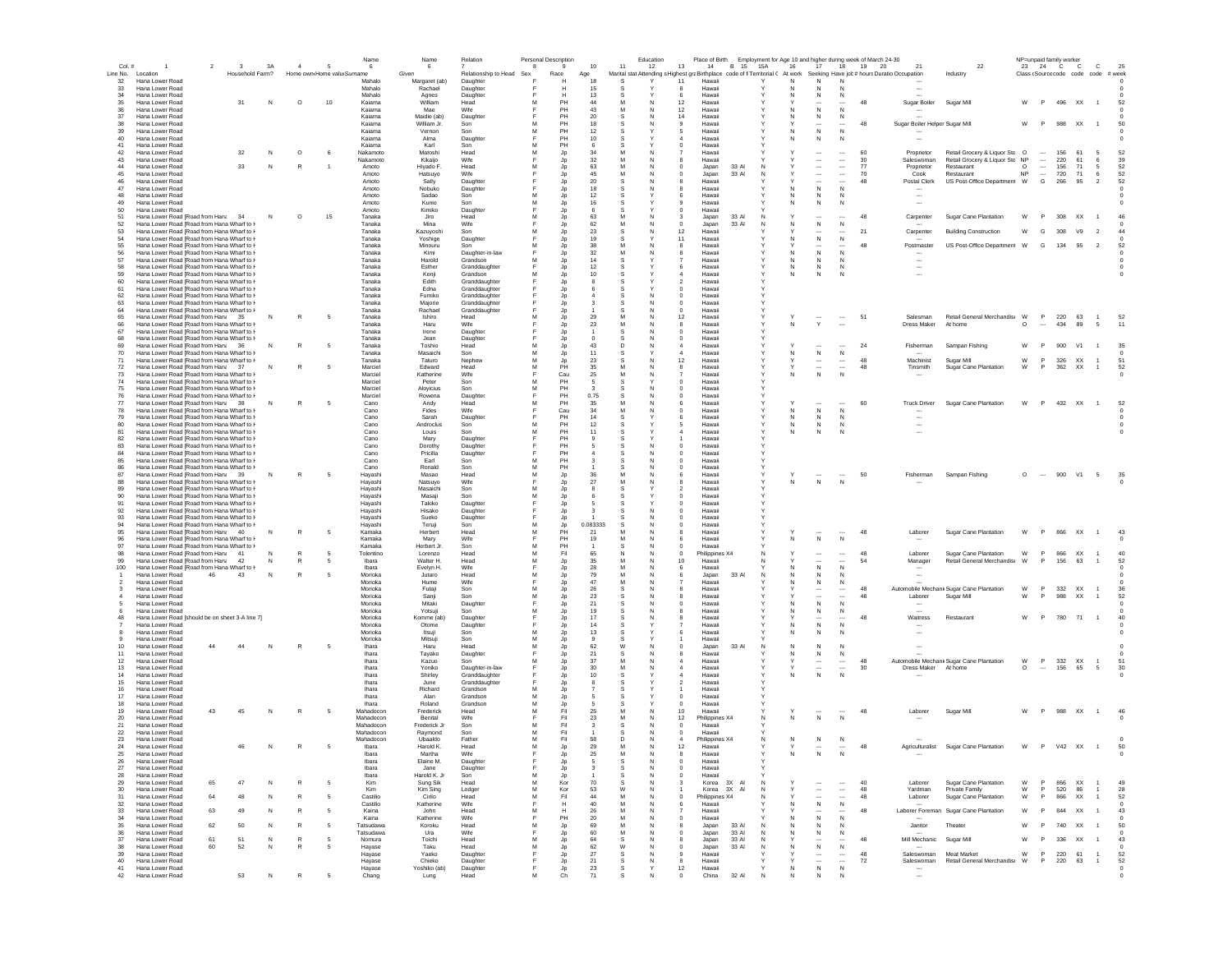| Col.#          |                                                                                            | $\overline{2}$ | $\mathbf{3}$    | 3A       | $\boldsymbol{\Lambda}$ | $\sqrt{2}$                 | Name<br>6              | Name<br>6                | Relation                       | 8      | <b>Personal Description</b> | 10       | 11       | Education<br>12 | 13<br>14                                                                                                                    | B 15 15A       |        | 16       | 17                                                   | 18                                   | Place of Birth Employment for Age 10 and higher during week of March 24-30<br>19 20 | 21                                                   | 22                                                   | NP=unpaid family worker<br>23 | 24 C C                               |               | $\mathbf{C}$                                 | 25         |
|----------------|--------------------------------------------------------------------------------------------|----------------|-----------------|----------|------------------------|----------------------------|------------------------|--------------------------|--------------------------------|--------|-----------------------------|----------|----------|-----------------|-----------------------------------------------------------------------------------------------------------------------------|----------------|--------|----------|------------------------------------------------------|--------------------------------------|-------------------------------------------------------------------------------------|------------------------------------------------------|------------------------------------------------------|-------------------------------|--------------------------------------|---------------|----------------------------------------------|------------|
|                | Line No. Location                                                                          |                | Household Farm? |          |                        | Home own Home valu Surname |                        | Given                    | Relationship to Head           | Sex    | Race                        | Age      |          |                 | Marital stat Attending s Highest graBirthplace code of fi Territorial ( At work Seeking Have job # hours Duratio Occupation |                |        |          |                                                      |                                      |                                                                                     |                                                      | Industry                                             |                               |                                      |               | Class (Source code code code                 | # week     |
| 32<br>33       | Hana Lower Road<br>Hana Lower Road                                                         |                |                 |          |                        |                            | Mahalo<br>Mahalo       | Margaret (ab)<br>Rachael | Daughter<br>Daughter           |        | н                           |          |          |                 | Hawaii<br>11<br>Hawaii                                                                                                      |                |        | N.       |                                                      |                                      |                                                                                     |                                                      |                                                      |                               |                                      |               |                                              |            |
| 34             | Hana Lower Road                                                                            |                |                 |          |                        |                            | Mahalo                 | Agnes                    | Daughter                       |        | н                           | 13       |          |                 | Hawaii                                                                                                                      |                |        | N        | $\mathbb N$                                          | N                                    |                                                                                     |                                                      |                                                      |                               |                                      |               |                                              |            |
| 35             | Hana Lower Road                                                                            |                | 31              | N        | $\circ$                | 10                         | Kaiama                 | William                  | Head                           | м      | PH                          | 44       | м        | N               | 12<br>Hawaii                                                                                                                |                |        |          | $\cdots$                                             |                                      | 48                                                                                  | Sugar Boiler                                         | Sugar Mill                                           | W                             | P                                    | 496 XX        | $\overline{1}$                               | -52        |
| 36<br>37       | Hana Lower Road<br>Hana Lower Road                                                         |                |                 |          |                        |                            | Kaiama<br>Kaiama       | Mae<br>Maidie (ab)       | Wife<br>Daughter               |        | PH<br>PH                    | 43<br>20 | s        |                 | 12<br>Hawaii<br>14<br>Hawaii                                                                                                |                |        | N.<br>N. | N<br>N                                               | N<br>N                               |                                                                                     |                                                      |                                                      |                               |                                      |               |                                              |            |
| 38             | Hana Lower Road                                                                            |                |                 |          |                        |                            | Kaiama                 | William Jr.              | Son                            | м      | PH                          | 18       |          |                 | $\mathbf{Q}$<br>Hawaii                                                                                                      |                |        |          | $\cdots$                                             |                                      | 48                                                                                  | Sugar Boiler Helper Sugar Mill                       |                                                      | w                             | P.                                   | 988 XX        | $\overline{1}$                               | 50         |
| 39             | Hana Lower Road                                                                            |                |                 |          |                        |                            | Kajama                 | Vernon                   | Son                            | M      | PH                          | 12       |          |                 | Hawaii<br>5                                                                                                                 |                |        | N        | N                                                    | N                                    |                                                                                     |                                                      |                                                      |                               |                                      |               |                                              |            |
| 40<br>41       | Hana Lower Road<br>Hana Lower Road                                                         |                |                 |          |                        |                            | Kaiama<br>Kajama       | Alma<br>Karl             | Daughter<br>Son                | м      | PH<br>PH                    | 10       |          |                 | Hawaii<br>$\boldsymbol{\Lambda}$<br>Hawaii<br>$\Omega$                                                                      |                |        | N        | N                                                    | N                                    |                                                                                     |                                                      |                                                      |                               |                                      |               |                                              |            |
| 42             | Hana Lower Road                                                                            |                | 32              | N        | $\circ$                | -6                         | Nakamoto               | Matoshi                  | Head                           | M      | Jp                          | 34       | M        |                 | Hawaii                                                                                                                      |                |        |          | $\overline{\phantom{a}}$                             | $\overline{\phantom{a}}$             | 60                                                                                  | Proprietor                                           | Retail Grocery & Liquor Stc O                        |                               | $\sim$                               | 156           | 61<br>-5                                     | 52         |
| 43             | Hana Lower Road                                                                            |                |                 |          |                        |                            | Nakamoto               | Kikaijo                  | Wife                           | M      | Jp                          | 32       | M        |                 | Hawaii                                                                                                                      |                |        |          | $\overline{\phantom{a}}$                             | $\ldots$                             | 30                                                                                  | Saleswoman                                           | Retail Grocery & Liquor Sto NP                       |                               | $\overline{\phantom{a}}$             | 220           | 61<br>6                                      | 39         |
| 44<br>45       | Hana Lower Road<br>Hana Lower Road                                                         |                | 33              | N        |                        |                            | Amoto<br>Amoto         | Hiyado F.<br>Hatsuyo     | Head<br>Wife                   |        | Jp<br>Jp                    | 63<br>45 | M        |                 | Japan<br>Japan                                                                                                              | 33 AI<br>33 Al | N<br>N |          | $\overline{\phantom{a}}$<br>$\overline{\phantom{a}}$ | $\ldots$<br>$\ldots$                 | 77<br>70                                                                            | Proprietor<br>Cook                                   | Restaurant<br>Restaurant                             | $\circ$<br><b>NP</b>          | $\cdots$<br>$\overline{\phantom{a}}$ | 156<br>720    | 71<br>5<br>71<br>6                           | 52<br>52   |
| 46             | Hana Lower Road                                                                            |                |                 |          |                        |                            | Amoto                  | Sally                    | Daughter                       |        | Jp                          | 20       |          |                 | Hawai                                                                                                                       |                |        |          | $\overline{\phantom{a}}$                             | $\overline{\phantom{a}}$             | 48                                                                                  | Postal Clerk                                         | US Post-Office Department W                          |                               | G                                    | 266           | 95<br>$\overline{2}$                         | 52         |
| 47             | Hana Lower Road                                                                            |                |                 |          |                        |                            | Amoto                  | Nobuko                   | Daughter                       |        | Jp                          | 18       |          |                 | Hawaii                                                                                                                      |                |        |          | $\mathsf{N}$                                         | N                                    |                                                                                     |                                                      |                                                      |                               |                                      |               |                                              |            |
| 48<br>49       | Hana Lower Road<br>Hana Lower Road                                                         |                |                 |          |                        |                            | Amoto<br>Amoto         | Sadao<br>Kunio           | Son<br>Son                     |        | Jp                          | 12       |          |                 | Hawaii<br>6<br>Hawaii                                                                                                       |                |        | N<br>N   | N<br>$\mathbb N$                                     | N<br>N                               |                                                                                     |                                                      |                                                      |                               |                                      |               |                                              |            |
| 50             | Hana Lower Road                                                                            |                |                 |          |                        |                            | Amoto                  | Kimiko                   | Daughter                       | Е      | Jp<br>Jp                    | -6       | -S       |                 | $^{\circ}$<br>Hawaii                                                                                                        |                |        |          |                                                      |                                      |                                                                                     |                                                      |                                                      |                               |                                      |               |                                              |            |
| 51             | Hana Lower Road [Road from Hana 34                                                         |                |                 | N        | $\circ$                | 15                         | Tanaka                 | Jiro                     | Head                           | м      | Jp                          | 63       |          |                 | Japan<br>3                                                                                                                  | 33 AI          | N      |          |                                                      |                                      | 48                                                                                  | Carpenter                                            | Sugar Cane Plantation                                | W                             | P                                    | 308 XX        | $\overline{1}$                               | 46         |
| 52<br>53       | Hana Lower Road [Road from Hana Wharf to F                                                 |                |                 |          |                        |                            | Tanaka                 | Mina                     | Wife                           | м      | Jp                          | 62       | м        |                 | $^{\circ}$<br>Japan                                                                                                         | 33 AI          | N      | N        | ${\sf N}$                                            | N                                    | 21                                                                                  |                                                      |                                                      |                               |                                      |               | V9                                           |            |
| 54             | Hana Lower Road [Road from Hana Wharf to F<br>Hana Lower Road IRoad from Hana Wharf to F   |                |                 |          |                        |                            | Tanaka<br>Tanaka       | Kazuyoshi<br>Yoshige     | Son<br>Daughter                | E      | Jp<br>Jp                    | 23<br>19 | s<br>-S  |                 | 12<br>Hawaii<br>11<br>Hawaii                                                                                                |                |        | N        | $\sim$<br>N                                          | N                                    |                                                                                     | Carpenter                                            | <b>Building Construction</b>                         | W                             | G                                    | 308           | $\overline{2}$                               |            |
| 55             | Hana Lower Road [Road from Hana Wharf to F                                                 |                |                 |          |                        |                            | Tanaka                 | Minouru                  | Son                            | м      | Jp                          | 38       |          |                 | Hawaii<br>8                                                                                                                 |                |        |          |                                                      |                                      | 48                                                                                  | Postmaster                                           | US Post-Office Department W                          |                               | G                                    | 134           | 95<br>$\overline{2}$                         | 52         |
| 56             | Hana Lower Road [Road from Hana Wharf to I-                                                |                |                 |          |                        |                            | Tanaka                 | Kimi                     | Daughter-in-law                |        | Jp                          | 32       | м        |                 | Hawaii                                                                                                                      |                |        |          | N                                                    | N                                    |                                                                                     |                                                      |                                                      |                               |                                      |               |                                              |            |
| 57<br>58       | Hana Lower Road [Road from Hana Wharf to I-<br>Hana Lower Road [Road from Hana Wharf to I- |                |                 |          |                        |                            | Tanaka<br>Tanaka       | Harold<br>Esther         | Grandson<br>Granddaughter      | м<br>F | Jp<br>Jp                    | 14<br>12 |          |                 | Hawaii<br>Hawaii                                                                                                            |                |        | N        | N<br>N                                               | N<br>N                               |                                                                                     | $\overline{\phantom{a}}$<br>$\overline{\phantom{a}}$ |                                                      |                               |                                      |               |                                              |            |
| 59             | Hana Lower Road [Road from Hana Wharf to F                                                 |                |                 |          |                        |                            | Tanaka                 | Kenji                    | Grandson                       | м      | Jp                          | 10       |          |                 | Hawaii                                                                                                                      |                |        |          | $\mathbb N$                                          |                                      |                                                                                     | $\overline{\phantom{a}}$                             |                                                      |                               |                                      |               |                                              |            |
| 60             | Hana Lower Road [Road from Hana Wharf to F                                                 |                |                 |          |                        |                            | Tanaka                 | Edith                    | Granddaughter                  |        | Jp                          |          |          |                 | Hawai                                                                                                                       |                |        |          |                                                      |                                      |                                                                                     |                                                      |                                                      |                               |                                      |               |                                              |            |
| 61             | Hana Lower Road [Road from Hana Wharf to F                                                 |                |                 |          |                        |                            | Tanaka                 | Edna                     | Granddaughter                  |        | Jp                          |          |          |                 | Hawai                                                                                                                       |                |        |          |                                                      |                                      |                                                                                     |                                                      |                                                      |                               |                                      |               |                                              |            |
| 62<br>63       | Hana Lower Road [Road from Hana Wharf to I-<br>Hana Lower Road [Road from Hana Wharf to I- |                |                 |          |                        |                            | Tanaka<br>Tanaka       | Fumiko<br>Majorie        | Granddaughter<br>Granddaughter |        | Jp<br>Jp                    |          |          |                 | Hawaii<br>$^{\circ}$<br>$^{\circ}$<br>Hawaii                                                                                |                |        |          |                                                      |                                      |                                                                                     |                                                      |                                                      |                               |                                      |               |                                              |            |
| 64             | Hana Lower Road [Road from Hana Wharf to I-                                                |                |                 |          |                        |                            | Tanaka                 | Rachael                  | Granddaughter                  |        | Jp                          |          |          |                 | Hawaii<br>0                                                                                                                 |                |        |          |                                                      |                                      |                                                                                     |                                                      |                                                      |                               |                                      |               |                                              |            |
| 65             | Hana Lower Road [Road from Hana 35                                                         |                |                 | <b>N</b> | R                      | -5                         | Tanaka                 | Ishiro                   | Head                           | м      | Jp                          | 29       | M        |                 | 12<br>Hawaii                                                                                                                |                |        |          |                                                      | $\sim$                               | 51                                                                                  | Salesman                                             | Retail General Merchandis W                          |                               | P                                    | 220           | 63<br>$\overline{1}$                         | 52         |
| 66<br>67       | Hana Lower Road [Road from Hana Wharf to I-<br>Hana Lower Road [Road from Hana Wharf to F  |                |                 |          |                        |                            | Tanaka<br>Tanaka       | Haru<br>Irene            | Wife<br>Daughter               |        | Jp<br>Jp                    | -23      | s        |                 | 8<br>Hawaii<br>$^{\circ}$<br>Hawaii                                                                                         |                |        | N        | $\mathsf Y$                                          | $\overline{\phantom{a}}$             |                                                                                     | Dress Maker                                          | At home                                              | $\circ$                       | $\sim$                               | 434           | 89<br>- 5                                    | 11         |
| 68             | Hana Lower Road [Road from Hana Wharf to F                                                 |                |                 |          |                        |                            | Tanaka                 | Jean                     | Daughter                       |        | Jp                          |          |          |                 | $^{\circ}$<br>Hawaii                                                                                                        |                |        |          |                                                      |                                      |                                                                                     |                                                      |                                                      |                               |                                      |               |                                              |            |
| 69             | Hana Lower Road [Road from Hana 36                                                         |                |                 | N        |                        | -5                         | Tanaka                 | Toshio                   | Head                           | M      | Jp                          | 43       | n        | N               | Hawaii<br>$\boldsymbol{\Lambda}$                                                                                            |                |        |          |                                                      |                                      | 24                                                                                  | Fisherman                                            | Sampan Fishing                                       | W                             | P                                    | 900           | V1<br>$\overline{1}$                         | 35         |
| 70<br>71       | Hana Lower Road [Road from Hana Wharf to I-<br>Hana Lower Road (Road from Hana Wharf to F  |                |                 |          |                        |                            | Tanaka<br>Tanaka       | Masaichi<br>Taturo       | Son<br>Nephew                  | M<br>M | Jp                          | 11<br>23 | s<br>s   | N               | Hawaii<br>$\overline{a}$<br>12<br>Hawaii                                                                                    |                |        |          | ${\sf N}$                                            | N<br>$\overline{\phantom{a}}$        | 48                                                                                  | Machinist                                            |                                                      | W                             | P                                    | 326           | <b>XX</b><br>$\overline{1}$                  | 51         |
| 72             | Hana Lower Road [Road from Hana 37                                                         |                |                 | N        |                        |                            | Marciel                | Edward                   | Head                           | M      | Jp<br>PH                    | 35       |          |                 | Hawaii<br>8                                                                                                                 |                |        |          | $\overline{\phantom{a}}$<br>$\overline{\phantom{a}}$ | $\sim$                               | 48                                                                                  | Tinsmith                                             | Sugar Mill<br>Sugar Cane Plantation                  | W                             | P                                    | 362           | XX<br>$\overline{1}$                         | 52         |
| 73             | Hana Lower Road [Road from Hana Wharf to I-                                                |                |                 |          |                        |                            | Marciel                | Katherine                | Wife                           |        | Cau                         | 25       | M        |                 | Hawaii                                                                                                                      |                |        |          | ${\sf N}$                                            | N                                    |                                                                                     |                                                      |                                                      |                               |                                      |               |                                              |            |
| 74             | Hana Lower Road [Road from Hana Wharf to I-                                                |                |                 |          |                        |                            | Marciel                | Peter                    | Son                            | м      | PH                          |          |          |                 | $\mathbf 0$<br>Hawaii                                                                                                       |                |        |          |                                                      |                                      |                                                                                     |                                                      |                                                      |                               |                                      |               |                                              |            |
| 75<br>76       | Hana Lower Road [Road from Hana Wharf to F<br>Hana Lower Road [Road from Hana Wharf to I-  |                |                 |          |                        |                            | Marciel<br>Marciel     | Aloyicius<br>Rowena      | Son<br>Daughter                | M      | PH<br>PH                    | 0.75     |          |                 | $\mathbf 0$<br>Hawaii<br>0<br>Hawaii                                                                                        |                |        |          |                                                      |                                      |                                                                                     |                                                      |                                                      |                               |                                      |               |                                              |            |
| 77             | Hana Lower Road [Road from Hana 38                                                         |                |                 | N        |                        |                            | Cano                   | Andy                     | Head                           |        | PH                          | 35       |          |                 | Hawaii                                                                                                                      |                |        |          |                                                      |                                      | 60                                                                                  | <b>Truck Driver</b>                                  | Sugar Cane Plantation                                | W                             | P                                    | 432 XX        | $\overline{1}$                               | 52         |
| 78             | Hana Lower Road [Road from Hana Wharf to I-                                                |                |                 |          |                        |                            | Cano                   | Fides                    | Wife                           |        | Cau                         | 34       |          |                 | Hawaii<br>0                                                                                                                 |                |        | N        | ${\sf N}$                                            | $\mathsf{N}$                         |                                                                                     |                                                      |                                                      |                               |                                      |               |                                              |            |
| 79<br>80       | Hana Lower Road [Road from Hana Wharf to F<br>Hana Lower Road (Road from Hana Wharf to F   |                |                 |          |                        |                            | Cano                   | Sarah                    | Daughter                       |        | PH<br>PH                    | 14       |          |                 | Hawaii                                                                                                                      |                |        | N        | N                                                    | N                                    |                                                                                     |                                                      |                                                      |                               |                                      |               |                                              |            |
|                | Hana Lower Road [Road from Hana Wharf to I-                                                |                |                 |          |                        |                            | Cano<br>Cano           | Androclus<br>Louis       | Son<br>Son                     | м<br>м | PH                          | 12<br>11 | s        |                 | 5<br>Hawaii<br>Hawaii                                                                                                       |                |        | N<br>N.  | N<br>N                                               | N<br>N                               |                                                                                     | $\ddotsc$                                            |                                                      |                               |                                      |               |                                              |            |
| 81<br>82       | Hana Lower Road [Road from Hana Wharf to I-                                                |                |                 |          |                        |                            | Cano                   | Mary                     | Daughter                       |        | PH                          |          | s        |                 | Hawaii                                                                                                                      |                |        |          |                                                      |                                      |                                                                                     |                                                      |                                                      |                               |                                      |               |                                              |            |
| 83             | Hana Lower Road [Road from Hana Wharf to F                                                 |                |                 |          |                        |                            | Cano                   | Dorothy                  | Daughter                       |        | PH                          |          | s        |                 | $^{\circ}$<br>Hawaii                                                                                                        |                |        |          |                                                      |                                      |                                                                                     |                                                      |                                                      |                               |                                      |               |                                              |            |
| 84<br>85       | Hana Lower Road [Road from Hana Wharf to I-<br>Hana Lower Road [Road from Hana Wharf to I- |                |                 |          |                        |                            | Cano<br>Cano           | Pricilla<br>Earl         | Daughter<br>Son                | E<br>м | PH<br>PH                    |          |          | N               | Hawaii<br>$\Omega$<br>Hawaii<br>$\Omega$                                                                                    |                |        |          |                                                      |                                      |                                                                                     |                                                      |                                                      |                               |                                      |               |                                              |            |
| 86             | Hana Lower Road [Road from Hana Wharf to I-                                                |                |                 |          |                        |                            | Cano                   | Ronald                   | Son                            | M      | PH                          |          |          |                 | Hawaii<br>$\Omega$                                                                                                          |                |        |          |                                                      |                                      |                                                                                     |                                                      |                                                      |                               |                                      |               |                                              |            |
| 87             | Hana Lower Road [Road from Hana 39                                                         |                |                 | N        | R                      |                            | Hayashi                | Masao                    | Head                           | M      | Jp                          | 36       | M        |                 | Hawaii<br>6                                                                                                                 |                |        |          |                                                      |                                      | 50                                                                                  | Fisherman                                            | Sampan Fishing                                       | $\circ$                       | $\sim$                               |               | 900 V1 5                                     | 35         |
| 88             | Hana Lower Road [Road from Hana Wharf to I-                                                |                |                 |          |                        |                            | Hayashi                | Natsuyo                  | Wife                           | F      | Jp                          | 27       | M        |                 | Hawaii                                                                                                                      |                |        | Ν        | $\,N\,$                                              | $\,N\,$                              |                                                                                     |                                                      |                                                      |                               |                                      |               |                                              |            |
| 89<br>90       | Hana Lower Road [Road from Hana Wharf to I-<br>Hana Lower Road [Road from Hana Wharf to F  |                |                 |          |                        |                            | Hayashi<br>Hayashi     | Masaichi<br>Masaji       | Son<br>Sor                     | M<br>M | Jp<br>Jp                    |          |          |                 | Hawaii<br>Hawaii                                                                                                            |                |        |          |                                                      |                                      |                                                                                     |                                                      |                                                      |                               |                                      |               |                                              |            |
| 91             | Hana Lower Road [Road from Hana Wharf to I                                                 |                |                 |          |                        |                            | Hayashi                | Takiko                   | Daughter                       |        | Jp                          |          |          |                 | 0<br>Hawai                                                                                                                  |                |        |          |                                                      |                                      |                                                                                     |                                                      |                                                      |                               |                                      |               |                                              |            |
| 92             | Hana Lower Road [Road from Hana Wharf to I-                                                |                |                 |          |                        |                            | Hayashi                | Hisako                   | Daughter                       |        | Jp                          |          |          |                 | Hawaii<br>$^{\circ}$                                                                                                        |                |        |          |                                                      |                                      |                                                                                     |                                                      |                                                      |                               |                                      |               |                                              |            |
| 93<br>94       | Hana Lower Road [Road from Hana Wharf to I-<br>Hana Lower Road [Road from Hana Wharf to I- |                |                 |          |                        |                            | Hayashi                | Sueko                    | Daughter                       |        | Jp                          | 0.083333 |          |                 | Hawaii<br>0                                                                                                                 |                |        |          |                                                      |                                      |                                                                                     |                                                      |                                                      |                               |                                      |               |                                              |            |
| 95             | Hana Lower Road [Road from Hana 40                                                         |                |                 | N        |                        |                            | Hayashi<br>Kamaka      | Teruji<br>Herbert        | Son<br>Head                    | м      | Jp<br>PH                    | 21       |          | N               | Hawaii<br>0<br>Hawaii<br>я                                                                                                  |                |        |          |                                                      |                                      | 48                                                                                  | Laborer                                              | Sugar Cane Plantation                                | W                             | P                                    | 866 XX        | $\overline{1}$                               | 43         |
| 96             | Hana Lower Road [Road from Hana Wharf to I-                                                |                |                 |          |                        |                            | Kamaka                 | Marv                     | Wife                           |        | PH                          | 19       |          |                 | Hawaii                                                                                                                      |                |        | N        | N                                                    | $\mathbb N$                          |                                                                                     |                                                      |                                                      |                               |                                      |               |                                              |            |
| 97             | Hana Lower Road [Road from Hana Wharf to I-                                                |                |                 |          |                        |                            | Kamaka                 | Herbert Jr.              | Son                            | м      | PH                          |          | s        | N               | Hawaii<br>$\Omega$                                                                                                          |                |        |          |                                                      |                                      |                                                                                     |                                                      |                                                      |                               |                                      |               |                                              |            |
| 98<br>99       | Hana Lower Road [Road from Han: 41<br>Hana Lower Road [Road from Hana                      |                | 42              | N        | R                      |                            | Tolentino<br>Ibara     | Lorenzo<br>Walter H      | Head<br>Head                   | м<br>M | Fil<br>Jp                   | 65<br>35 | N<br>M   | N               | $^{\circ}$<br>Philippines X4<br>10 <sub>1</sub><br>Hawaii                                                                   |                | N<br>N |          | $\ddotsc$<br>$\overline{\phantom{a}}$                | $\cdots$<br>$\overline{\phantom{a}}$ | 48<br>54                                                                            | Laborer                                              | Sugar Cane Plantation<br>Retail General Merchandis W | W                             | P<br>P.                              | 866 XX<br>156 | $\overline{1}$<br>63<br>$\overline{1}$       | 40<br>52   |
| 100            | Hana Lower Road [Road from Hana Wharf to I-                                                |                |                 |          |                        |                            | Ibara                  | Evelyn H.                | Wife                           |        | Jp                          | 28       | M        |                 | Hawaii<br>6                                                                                                                 |                |        |          | N                                                    | N                                    |                                                                                     | Manager                                              |                                                      |                               |                                      |               |                                              |            |
|                | Hana Lower Road                                                                            | 46             | 43              | N        |                        |                            | Morioka                | Jutaro                   | Head                           | M      | Jp                          | 79       | M        | N               | Japan                                                                                                                       | 33 AI          | N      |          | N                                                    | N                                    |                                                                                     |                                                      |                                                      |                               |                                      |               |                                              |            |
|                | Hana Lower Road<br>Hana Lower Road                                                         |                |                 |          |                        |                            | Morioka<br>Morioka     | Hume<br>Futaji           | Wife<br>Son                    | M      | Jp<br>Jp                    | 47<br>26 | M        |                 | Hawaii<br>Hawai                                                                                                             |                |        |          | N                                                    | N                                    | 48                                                                                  |                                                      | Automobile MechanicSugar Cane Plantation             | W                             | P                                    | 332           | XX                                           | 36         |
|                | Hana Lower Road                                                                            |                |                 |          |                        |                            | Morioka                | Sanji                    | Son                            | M      | Jp                          | 23       |          |                 | Hawai                                                                                                                       |                |        |          | $\overline{\phantom{a}}$                             |                                      | 48                                                                                  | Laborer                                              | Sugar Mill                                           | W                             | P                                    | 988           | XX                                           | 52         |
|                | Hana Lower Road                                                                            |                |                 |          |                        |                            | Morioka                | Mitaki                   | Daughter                       |        | Jp                          | 21       |          |                 | Hawai                                                                                                                       |                |        |          | N                                                    | N                                    |                                                                                     |                                                      |                                                      |                               |                                      |               |                                              |            |
|                | Hana Lower Road                                                                            |                |                 |          |                        |                            | Morioka                | Yotsuji                  | Son                            | м      | Jp                          | 19       |          |                 | Hawai                                                                                                                       |                |        |          | N                                                    | N                                    |                                                                                     |                                                      |                                                      |                               |                                      |               |                                              |            |
| 48             | Hana Lower Road [should be on sheet 3-A line 7]<br>Hana Lower Road                         |                |                 |          |                        |                            | Morioka<br>Morioka     | Komme (ab)<br>Otome      | Daughter<br>Daughter           |        | Jp<br>Jp                    | 17<br>14 |          |                 | Hawaii<br>Hawaii                                                                                                            |                |        |          | ${\sf N}$                                            | N                                    | 48                                                                                  | Waitress                                             | Restaurant                                           | W                             | P                                    |               | 780 71 1                                     | 40         |
|                | Hana Lower Road                                                                            |                |                 |          |                        |                            | Morioka                | ltsuji                   | Son                            |        | Jp                          | 13       |          |                 | Hawaii                                                                                                                      |                |        |          | N                                                    |                                      |                                                                                     |                                                      |                                                      |                               |                                      |               |                                              |            |
|                | Hana Lower Road                                                                            |                |                 |          |                        |                            | Morioka                | Mitsuii                  | Son                            | м      | Jp                          | -9       | -S       |                 | Hawaii                                                                                                                      |                |        |          |                                                      |                                      |                                                                                     |                                                      |                                                      |                               |                                      |               |                                              |            |
|                | Hana Lower Road<br>Hana Lower Road                                                         | 44             | 44              | N        | R                      | -5                         | Ihara<br>Ihara         | Haru<br>Tavako           | Head<br>Daughter               | м      | Jp<br>Jp                    | 62<br>21 | W        |                 | Japan<br>$\Omega$<br>Hawaii<br>я                                                                                            | 33 AI          | N      | N.<br>N  | N<br>N                                               | N<br>N                               |                                                                                     |                                                      |                                                      |                               |                                      |               |                                              |            |
|                | Hana Lower Road                                                                            |                |                 |          |                        |                            | Ihara                  | Kazuo                    | Son                            | м      | Jp                          | 37       |          |                 | Hawaii                                                                                                                      |                |        |          | $\cdots$                                             | $\cdots$                             | 48                                                                                  |                                                      | Automobile MechanicSugar Cane Plantation             | W                             | P                                    | 332 XX        | $\overline{1}$                               | 51         |
| 13             | Hana Lower Road                                                                            |                |                 |          |                        |                            | Ihara                  | Yoniko                   | Daughter-in-law                |        | Jp                          | 30       | M        | N               | Hawaii<br>$\overline{a}$                                                                                                    |                |        | Y        | $\overline{\phantom{a}}$                             | $\sim$                               | 30                                                                                  | Dress Maker At home                                  |                                                      | $\circ$                       | $\sim$                               | 156 65        | 5                                            | 30         |
|                | Hana Lower Road                                                                            |                |                 |          |                        |                            | Ihara                  | Shirley                  | Granddaughter                  |        | Jp                          | 10       |          |                 | Hawaii                                                                                                                      |                |        | N        | N                                                    | N                                    |                                                                                     |                                                      |                                                      |                               |                                      |               |                                              |            |
| 15<br>16       | Hana Lower Road<br>Hana Lower Road                                                         |                |                 |          |                        |                            | Ihara<br>Ihara         | June<br>Richard          | Granddaughter<br>Grandson      | м      | Jp<br>Jp                    |          |          |                 | Hawaii<br>Hawaii                                                                                                            |                |        |          |                                                      |                                      |                                                                                     |                                                      |                                                      |                               |                                      |               |                                              |            |
|                | Hana Lower Road                                                                            |                |                 |          |                        |                            | Ihara                  | Alan                     | Grandson                       | M      | Jp                          |          |          |                 | $\mathbf 0$<br>Hawaii                                                                                                       |                |        |          |                                                      |                                      |                                                                                     |                                                      |                                                      |                               |                                      |               |                                              |            |
| 17<br>18<br>19 | Hana Lower Road                                                                            |                |                 |          |                        |                            | Ihara                  | Roland                   | Grandson                       | M      | Jp                          |          |          |                 | Hawaii                                                                                                                      |                |        |          |                                                      |                                      |                                                                                     |                                                      |                                                      |                               |                                      |               |                                              |            |
|                | Hana Lower Road<br>Hana Lower Road                                                         | 43             | 45              |          |                        |                            | Mahadocor<br>Mahadocon | Frederick<br>Benital     | Head<br>Wife                   | M      | Fil<br>Fil                  | 25<br>23 | M        |                 | 10<br>Hawaii<br>12                                                                                                          |                |        |          | N                                                    | N                                    | 48                                                                                  | Laborer                                              | Sugar Mill                                           | W                             | P.                                   | 988 XX        |                                              | 46         |
|                | Hana Lower Road                                                                            |                |                 |          |                        |                            | Mahadocon              | Frederick Jr             | Son                            |        | Fil                         |          | s        |                 | Philippines X4<br>$^{\circ}$<br>Hawaii                                                                                      |                |        |          |                                                      |                                      |                                                                                     |                                                      |                                                      |                               |                                      |               |                                              |            |
|                | Hana Lower Road                                                                            |                |                 |          |                        |                            | Mahadocon              | Raymond                  | Son                            |        | Fil                         |          |          |                 | Hawaii                                                                                                                      |                |        |          |                                                      |                                      |                                                                                     |                                                      |                                                      |                               |                                      |               |                                              |            |
| 23             | Hana Lower Road                                                                            |                |                 |          |                        |                            | Mahadocon              | Ubaaldo                  | Father                         |        | Fil                         | 58       | D        |                 | Philippines X4                                                                                                              |                |        |          |                                                      |                                      |                                                                                     |                                                      |                                                      |                               |                                      |               |                                              |            |
| 24             | Hana Lower Road<br>Hana Lower Roa                                                          |                | 46              | N        | $\mathbb{R}$           | -5                         | Ibara<br>Ibara         | Harold K.<br>Martha      | Head<br>Wife                   | м      | Jp                          | 29       | M        |                 | 12<br>Hawaii<br>Hawaii                                                                                                      |                |        |          |                                                      |                                      | 48                                                                                  | Agriculturalist                                      | Sugar Cane Plantation                                | W                             | P                                    | V42 XX        | $\overline{1}$                               | 50         |
| 26             | Hana Lower Road                                                                            |                |                 |          |                        |                            | Ibara                  | Elaine M.                | Daughter                       |        | Jp                          | -5       | s        | N               | $^{\circ}$<br>Hawaii                                                                                                        |                | Υ      |          |                                                      |                                      |                                                                                     |                                                      |                                                      |                               |                                      |               |                                              |            |
| 27             | Hana Lower Road                                                                            |                |                 |          |                        |                            | Ibara                  | Jane                     | Daughter                       |        | Jp                          |          |          |                 | $^{\circ}$<br>Hawaii                                                                                                        |                |        |          |                                                      |                                      |                                                                                     |                                                      |                                                      |                               |                                      |               |                                              |            |
| 28             | Hana Lower Road                                                                            |                |                 |          |                        |                            | Ihara                  | Harold K. Jr             | Son                            | M      | Jp                          |          | s        | N               | Hawaii<br>$\Omega$                                                                                                          |                |        |          |                                                      |                                      |                                                                                     |                                                      |                                                      |                               |                                      |               |                                              |            |
| 29<br>30       | Hana Lower Road<br>Hana Lower Road                                                         | 65             | 47              | N        | R                      | -5                         | Kim<br>Kim             | Sung Sik<br>Kim Sing     | Head<br>Lodger                 | M<br>M | Kor<br>Kor                  | 70<br>53 | W        | N               | Korea 3X Al<br>3<br>Korea 3X Al                                                                                             |                | N<br>N |          | $\overline{\phantom{a}}$                             | <br>$\overline{\phantom{a}}$         | 40<br>48                                                                            | Laborer<br>Yardman                                   | Sugar Cane Plantation<br>Private Family              | W<br>W                        | P<br>P                               | 866<br>520    | XX<br>86<br>1                                | 49<br>28   |
| 31             | Hana Lower Road                                                                            | 64             | 48              | N        | R                      |                            | Castilio               | Cirilo                   | Head                           | M      | Fil                         | 44       | M        | N               | Philippines X4<br>$\Omega$                                                                                                  |                |        |          | $\overline{\phantom{a}}$                             | $\overline{\phantom{a}}$             | 48                                                                                  | Laborer                                              | Sugar Cane Plantation                                | W                             | P.                                   | 866           | XX<br>$\overline{1}$                         | 52         |
| 33             | Hana Lower Road                                                                            |                |                 |          |                        |                            | Castilio               | Katherine                | Wife                           | F      | Н                           | 40       | M        | N               | Hawaii                                                                                                                      |                |        |          | ${\sf N}$                                            | ${\sf N}$                            |                                                                                     |                                                      |                                                      |                               |                                      |               |                                              |            |
|                | Hana Lower Road                                                                            | 63             | 49              | N        | R                      |                            | Kaina                  | John                     | Head                           | M      | Н                           | 26       | M        |                 | Hawaii                                                                                                                      |                |        |          |                                                      |                                      | 48                                                                                  | Laborer Foreman                                      | Sugar Cane Plantation                                | W                             | P                                    | 844           | XX<br>$\overline{1}$                         | 43         |
| 34<br>35       | Hana Lower Road<br>Hana Lower Road                                                         | 62             | 50              | N        | R                      | - 5                        | Kaina<br>Tatsudawa     | Katherine<br>Koroku      | Wife<br>Head                   | Е<br>M | PH<br>Jp                    | 20<br>69 | M<br>M   | N               | Hawaii<br>Japan                                                                                                             | 33 AI          |        |          | $\mathsf{N}$<br>${\sf N}$                            | N<br>N                               |                                                                                     | Janitor                                              | Theater                                              | W                             | P                                    | 740           | XX                                           | 50         |
|                | Hana Lower Road                                                                            |                |                 |          |                        |                            | Tatsudawa              | Ura                      | Wife                           |        | Jp                          | 60       |          |                 | $^{\circ}$<br>Japan                                                                                                         | 33 AI          |        |          | N                                                    | N                                    |                                                                                     |                                                      |                                                      |                               |                                      |               |                                              |            |
| 36<br>37       | Hana Lower Road                                                                            | 61             | 51              | N        | R                      |                            | Nomura                 | Toichi                   | Head                           | M      | Jp                          | 64       |          |                 | Japan<br>8                                                                                                                  | 33 AI          | N      |          | $\ddotsc$                                            |                                      | 48                                                                                  | Mill Mechanic                                        | Sugar Mill                                           | W                             |                                      | 336           | XX<br>$\overline{1}$                         | 43         |
| 38             | Hana Lower Road                                                                            | 60             | 52              | -N       |                        |                            | Hayase                 | Taku                     | Head                           | M      | Jp                          | 62       | W        |                 | Japan<br>0                                                                                                                  | 33 AI          |        |          | ${\sf N}$                                            | N                                    |                                                                                     |                                                      |                                                      |                               |                                      |               |                                              |            |
| 39<br>40       | Hana Lower Road<br>Hana Lower Road                                                         |                |                 |          |                        |                            | Havase<br>Havase       | Yaeko<br>Chieko          | Daughter<br>Daughter           | Е      | Jp<br>Jp                    | 27<br>21 | -S<br>-S | N<br><b>N</b>   | $\mathbf{Q}$<br>Hawaii<br>Hawaii<br>я                                                                                       |                |        |          | $\cdots$<br>$\cdots$                                 | <br>                                 | 48<br>72                                                                            | Saleswoman<br>Saleswoman                             | <b>Meat Market</b><br>Retail General Merchandis W    | W                             | <b>P</b><br>P.                       | 220<br>220    | 61<br>$\overline{1}$<br>63<br>$\overline{1}$ | 52<br>52   |
| 41             | Hana Lower Road                                                                            |                |                 |          |                        |                            | Havase                 | Yoshiko (ab)             | Daughter                       |        | Jp                          | 23       | s        |                 | 12<br>Hawaii                                                                                                                |                |        | N        | N                                                    | $\mathbb{N}$                         |                                                                                     | $\cdots$                                             |                                                      |                               |                                      |               |                                              | $\Omega$   |
| 42             | Hana Lower Road                                                                            |                | 53              | N        | R                      | 5                          | Chang                  | Lung                     | Head                           | м      | Ch                          | 71       | s        | N               | $^{\circ}$<br>China                                                                                                         | 32 Al          | N      | N        | N                                                    | N                                    |                                                                                     | $\overline{\phantom{a}}$                             |                                                      |                               |                                      |               |                                              | $^{\circ}$ |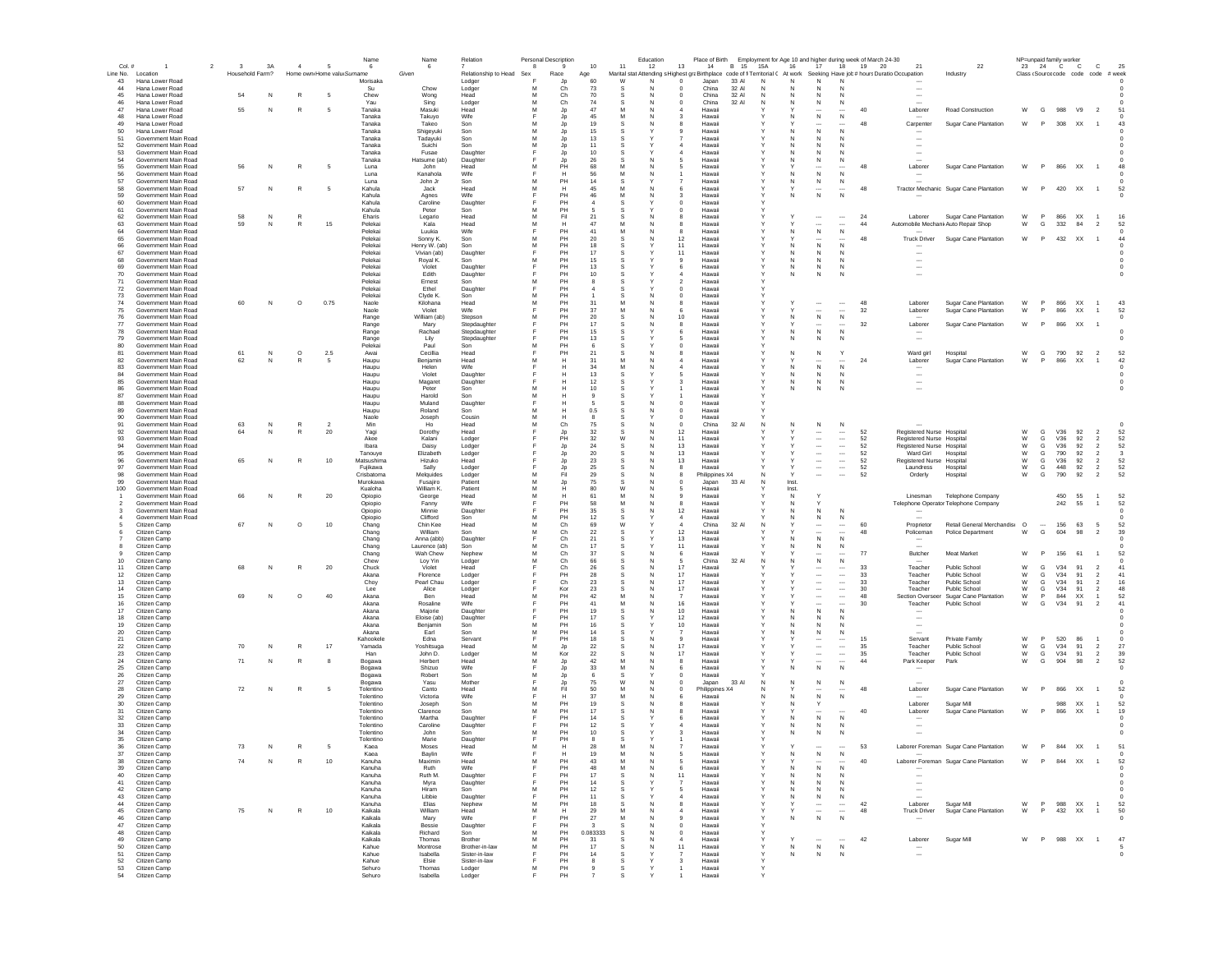| Col. #         | $\overline{1}$                               | $\overline{2}$<br>$_{3}$ | 3A | $\sim$       | -5                         | Name<br>6              | Name<br>-6                  | Relation                       | -8     | Personal Description<br>$\mathbf{Q}$ | 10                       | 11       | Education<br>12                                                                 | 13<br>14                                                   | Place of Birth Employment for Age 10 and higher during week of March 24-30<br>B 15 | 15A          | 16           | 17                                    |                               | 18 19 20 | 21                                                   | 22                                           |        |                          | NP=unpaid family worker<br>23 24 C C | $\mathbf{C}$                                 | 25                   |  |
|----------------|----------------------------------------------|--------------------------|----|--------------|----------------------------|------------------------|-----------------------------|--------------------------------|--------|--------------------------------------|--------------------------|----------|---------------------------------------------------------------------------------|------------------------------------------------------------|------------------------------------------------------------------------------------|--------------|--------------|---------------------------------------|-------------------------------|----------|------------------------------------------------------|----------------------------------------------|--------|--------------------------|--------------------------------------|----------------------------------------------|----------------------|--|
|                | Line No. Location                            | Household Farm?          |    |              | Home own Home valu Surname |                        | Given                       | Relationship to Head Sex       |        | Race                                 | Age                      |          | Marital stat Attending s Highest graBirthplace code of fi Territorial C At work |                                                            |                                                                                    |              |              |                                       |                               |          | Seeking Have job # hours Duratio Occupation          | Industry                                     |        |                          |                                      | Class (Source code code code # week          |                      |  |
| 43             | Hana Lower Road                              |                          |    |              |                            | Morisaka               |                             | Lodger                         | F      | Jp                                   | 60                       | W        | N                                                                               | $\mathbf 0$<br>Japan                                       | 33 AI                                                                              | N            | Ν            | N                                     | N                             |          |                                                      |                                              |        |                          |                                      |                                              |                      |  |
| 44             | Hana Lower Road                              |                          |    | R            |                            | Su                     | Chow                        | Lodger                         | M<br>M | Ch                                   | 73                       |          |                                                                                 | $\mathbf 0$<br>China                                       | 32 Al                                                                              | N<br>N       |              | N                                     | N                             |          |                                                      |                                              |        |                          |                                      |                                              |                      |  |
| 45<br>46       | Hana Lower Road<br>Hana Lower Road           | 54                       | N  |              |                            | Chew<br>Yau            | Wong<br>Sing                | Head<br>Lodger                 | M      | Ch<br>Ch                             | 70<br>74                 |          |                                                                                 | China<br>China<br>$^{\circ}$                               | 32 Al<br>32 AI                                                                     | N            | N            | N<br>${\sf N}$                        | ${\sf N}$                     |          |                                                      |                                              |        |                          |                                      |                                              |                      |  |
| 47             | Hana Lower Road                              | 55                       | N  | R            |                            | Tanaka                 | Masuki                      | Head                           |        | Jp                                   | 47                       |          |                                                                                 | Hawaii                                                     |                                                                                    |              |              |                                       |                               | 40       | Laborer                                              | Road Construction                            | W      | G                        | 988                                  | V9<br>$\overline{\phantom{0}}$               |                      |  |
| 48             | Hana Lower Road                              |                          |    |              |                            | Tanaka                 | Takuyo                      | Wife                           |        | Jp                                   | 45                       |          |                                                                                 | Hawaii<br>3                                                |                                                                                    |              | N            | ${\sf N}$                             | $\,$ N                        |          |                                                      |                                              |        |                          |                                      |                                              |                      |  |
| 49<br>50       | Hana Lower Road<br>Hana Lower Road           |                          |    |              |                            | Tanaka<br>Tanaka       | Takeo<br>Shigeyuki          | Son<br>Son                     | M      | Jp<br>Jp                             | 19<br>15                 | -S       |                                                                                 | Hawaii<br>Hawaii<br>୍ର                                     |                                                                                    |              | N.           | $\sim$<br>N                           | N                             | 48       | Carpenter                                            | Sugar Cane Plantation                        | W      | P                        | 308 XX                               | $\overline{1}$                               |                      |  |
| 51             | Government Main Road                         |                          |    |              |                            | Tanaka                 | Tadavuki                    | Son                            | м      | Jp                                   | 13                       | -S       |                                                                                 | Hawaii                                                     |                                                                                    |              |              | N                                     | <b>N</b>                      |          |                                                      |                                              |        |                          |                                      |                                              |                      |  |
| 52             | Government Main Road                         |                          |    |              |                            | Tanaka                 | Suichi                      | Son                            | м      | Jp                                   | 11                       | -S       |                                                                                 | Hawaii<br>4                                                |                                                                                    | Y            | N.           | N                                     | -N                            |          |                                                      |                                              |        |                          |                                      |                                              |                      |  |
| 53<br>54       | Government Main Road<br>Government Main Road |                          |    |              |                            | Tanaka<br>Tanaka       | Fusae                       | Daughter                       | E      | Jp                                   | 10<br>26                 | s<br>-S  | N                                                                               | Hawaii<br>Hawaii<br>5                                      |                                                                                    |              | N.<br>N      | N                                     | -N                            |          |                                                      |                                              |        |                          |                                      |                                              |                      |  |
| 55             | Government Main Road                         | 56                       | N  | R            | 5                          | Luna                   | Hatsume (ab)<br>John        | Daughter<br>Head               | м      | Jp<br>PH                             | 68                       | M        |                                                                                 | Hawaii<br>5                                                |                                                                                    |              |              | N                                     | N                             | 48       | Laborer                                              | Sugar Cane Plantation                        | W      | P.                       | 866 XX                               | $\overline{1}$                               | 48                   |  |
| 56             | Government Main Road                         |                          |    |              |                            | Luna                   | Kanahola                    | Wife                           | E      | н                                    | 56                       | M        | N                                                                               | Hawaii                                                     |                                                                                    |              | N            | N                                     | N                             |          |                                                      |                                              |        |                          |                                      |                                              |                      |  |
| 57             | Government Main Road                         |                          |    |              |                            | Luna                   | John Jr                     | Son                            | M      | PH                                   | 14                       |          |                                                                                 | Hawaii                                                     |                                                                                    |              | N            | N                                     | N                             |          |                                                      |                                              |        |                          |                                      |                                              |                      |  |
| 58<br>59       | Government Main Road<br>Government Main Road | 57                       |    | R            |                            | Kahula<br>Kahula       | Jack<br>Agnes               | Head<br>Wife                   | M      | н<br>PH                              | 45<br>46                 | M<br>M   |                                                                                 | 6<br>Hawaii<br>Hawaii                                      |                                                                                    |              | Ν            | ${\sf N}$                             | N                             | 48       |                                                      | Tractor Mechanic Sugar Cane Plantation       | W      | P                        | 420 XX                               | $\overline{1}$                               | 52                   |  |
| 60             | Government Main Road                         |                          |    |              |                            | Kahula                 | Caroline                    | Daughter                       |        | PH                                   |                          |          |                                                                                 | $\mathbf 0$<br>Hawaii                                      |                                                                                    |              |              |                                       |                               |          |                                                      |                                              |        |                          |                                      |                                              |                      |  |
| 61             | Government Main Road                         |                          |    |              |                            | Kahula                 | Peter                       | Son                            | M      | PH                                   |                          |          |                                                                                 | $\mathbf 0$<br>Hawaii                                      |                                                                                    |              |              |                                       |                               |          |                                                      |                                              |        |                          |                                      |                                              |                      |  |
| 62             | Government Main Road                         | 58<br>59                 | N  | R<br>R       | 15                         | Eharis                 | Legario                     | Head                           | M<br>M | Fil                                  | 21<br>47                 |          |                                                                                 | Hawaii                                                     |                                                                                    |              |              |                                       | $\cdots$                      | 24<br>44 | Laborer                                              | Sugar Cane Plantation                        | W<br>W | P                        | 866                                  | XX<br>$\overline{2}$                         | 16                   |  |
| 63<br>64       | Government Main Road<br>Government Main Road |                          |    |              |                            | Peleka<br>Pelekai      | Kala<br>Luukia              | Head<br>Wife                   |        | н<br>PH                              | 41                       |          |                                                                                 | Hawaii<br>8<br>Hawaii<br>8                                 |                                                                                    |              | N            | $\overline{\phantom{a}}$<br>${\sf N}$ | N                             |          |                                                      | Automobile MechanicAuto Repair Shop          |        | G                        | 332                                  | 84                                           | 52                   |  |
| 65             | Government Main Road                         |                          |    |              |                            | Pelekai                | Sonny K.                    | Son                            | M      | PH                                   | 20                       | s        | N                                                                               | 12<br>Hawaii                                               |                                                                                    |              |              | $\ddotsc$                             |                               | 48       |                                                      | Truck Driver Sugar Cane Plantation           | W      | P                        | 432 XX                               | $\overline{1}$                               | 44                   |  |
| 66             | Government Main Road                         |                          |    |              |                            | Pelekai                | Henry W. (ab)               | Son                            | м      | PH                                   | 18                       |          |                                                                                 | 11<br>Hawaii                                               |                                                                                    |              |              | $\mathsf{N}$                          | N                             |          |                                                      |                                              |        |                          |                                      |                                              |                      |  |
| 67<br>68       | Government Main Road<br>Government Main Road |                          |    |              |                            | Pelekai<br>Pelekai     | Vivian (ab)<br>Royal K.     | Daughter<br>Son                | м      | PH<br>PH                             | 17<br>15                 | s<br>s   |                                                                                 | 11<br>Hawaii<br>9<br>Hawaii                                |                                                                                    |              | N.<br>N      | N<br>N                                | N<br>N                        |          |                                                      |                                              |        |                          |                                      |                                              |                      |  |
| 69             | Government Main Road                         |                          |    |              |                            | Pelekai                | Violet                      | Daughter                       | E      | PH                                   | 13                       | s        |                                                                                 | Hawaii<br>6                                                |                                                                                    | Y            | N            | N                                     | N                             |          | $\overline{\phantom{a}}$                             |                                              |        |                          |                                      |                                              | $\Omega$             |  |
| 70             | Government Main Road                         |                          |    |              |                            | Pelekai                | Edith                       | Daughter                       |        | PH                                   | 10                       |          |                                                                                 | Hawaii                                                     |                                                                                    |              | N            | $\mathbb N$                           | N                             |          | $\overline{\phantom{a}}$                             |                                              |        |                          |                                      |                                              |                      |  |
| 71<br>72       | Government Main Road<br>Government Main Road |                          |    |              |                            | Pelekai<br>Pelekai     | Ernest<br>Ethel             | Son                            | M      | PH<br>PH                             | $\mathbf{R}$             | s        |                                                                                 | Hawaii<br>$\overline{\phantom{a}}$<br>Hawaii<br>$^{\circ}$ |                                                                                    |              |              |                                       |                               |          |                                                      |                                              |        |                          |                                      |                                              |                      |  |
| 73             | Government Main Road                         |                          |    |              |                            | Pelekai                | Clyde K                     | Daughter<br>Son                | M      | PH                                   |                          |          |                                                                                 | $\mathbf 0$<br>Hawaii                                      |                                                                                    |              |              |                                       |                               |          |                                                      |                                              |        |                          |                                      |                                              |                      |  |
| 74             | Government Main Road                         | 60                       | N  | $\circ$      | 0.75                       | Naole                  | Kilohana                    | Head                           | M      | PH                                   | 31                       |          |                                                                                 | Hawai                                                      |                                                                                    |              |              | $\overline{\phantom{a}}$              |                               | 48       | Laborer                                              | Sugar Cane Plantation                        | W      | P.                       | 866 XX                               |                                              | 43                   |  |
| 75             | Government Main Road                         |                          |    |              |                            | Naole                  | Violet                      | Wife                           |        | PH                                   | 37                       | M        |                                                                                 | Hawaii                                                     |                                                                                    |              |              | $\overline{\phantom{a}}$              | $\overline{\phantom{a}}$      | 32       | Laborer                                              | Sugar Cane Plantation                        | W      | P                        | 866                                  | XX                                           | 52                   |  |
| 76<br>77       | Government Main Road<br>Government Main Road |                          |    |              |                            | Range<br>Range         | William (ab)<br>Mary        | Stepson<br>Stepdaughter        | M      | PH<br>PH                             | 20<br>17                 |          |                                                                                 | 10<br>Hawaii<br>Hawaii                                     |                                                                                    |              | N            | ${\sf N}$<br>$\sim$                   | $\,$ N                        | 32       | Laborer                                              | Sugar Cane Plantation                        | W      | P                        | 866 XX                               |                                              | $^{\circ}$           |  |
| 78             | Government Main Road                         |                          |    |              |                            | Range                  | Rachael                     | Stepdaughter                   |        | PH                                   | 15                       |          |                                                                                 | Hawaii                                                     |                                                                                    |              | N            | $\mathsf{N}$                          | N                             |          |                                                      |                                              |        |                          |                                      |                                              |                      |  |
| 79             | Government Main Road                         |                          |    |              |                            | Range                  | Lily                        | Stepdaughter                   |        | PH                                   | 13                       |          |                                                                                 | Hawaii                                                     |                                                                                    |              | N            | N                                     | N                             |          | $\sim$                                               |                                              |        |                          |                                      |                                              |                      |  |
| 80<br>81       | Government Main Road<br>Government Main Road | 61                       | N  | $\circ$      | 2.5                        | Pelekai<br>Awai        | Paul<br>Cecillia            | Son<br>Head                    | м      | PH<br>PH                             | -6<br>21                 | s        |                                                                                 | Hawaii<br>$^{\circ}$<br>Hawaii                             |                                                                                    | Y            | N            | $\mathbb N$                           |                               |          | Ward girl                                            | Hospital                                     | W      | G                        | 790                                  | 92<br>$\overline{2}$                         | 52                   |  |
| 82             | Government Main Road                         | 62                       | N  | R            | - 5                        | Haupu                  | Benjamin                    | Head                           | м      | н                                    | 31                       | м        |                                                                                 | Hawaii                                                     |                                                                                    | Y            |              |                                       |                               | 24       | Laborer                                              | Sugar Cane Plantation                        | W      |                          | 866                                  | <b>XX</b><br>$\overline{1}$                  | 42                   |  |
| 83             | Government Main Road                         |                          |    |              |                            | Haupu                  | Helen                       | Wife                           |        | н                                    | 34                       |          |                                                                                 | Hawaii                                                     |                                                                                    |              | N            | N                                     | $\mathbb N$                   |          |                                                      |                                              |        |                          |                                      |                                              |                      |  |
| 84             | Government Main Road                         |                          |    |              |                            | Haupu                  | Violet                      | Daughter                       |        | н                                    | 13                       |          |                                                                                 | Hawaii                                                     |                                                                                    | v            | N            | N                                     | N                             |          | $\sim$                                               |                                              |        |                          |                                      |                                              |                      |  |
| 85<br>86       | Government Main Road<br>Government Main Road |                          |    |              |                            | Haupu<br>Haupu         | Magaret<br>Peter            | Daughter<br>Son                | M      | н<br>н                               | 12<br>10                 |          |                                                                                 | Hawaii<br>Hawaii                                           |                                                                                    |              | N<br>N       | N<br>$\mathbb N$                      | N<br>N                        |          | $\overline{\phantom{a}}$<br>$\overline{\phantom{a}}$ |                                              |        |                          |                                      |                                              |                      |  |
| 87             | Government Main Road                         |                          |    |              |                            | Haupu                  | Harold                      | Son                            | M      | н                                    |                          |          |                                                                                 | Hawaii                                                     |                                                                                    |              |              |                                       |                               |          |                                                      |                                              |        |                          |                                      |                                              |                      |  |
| 88             | Government Main Road                         |                          |    |              |                            | Haupu                  | Muland                      | Daughter                       |        |                                      |                          |          |                                                                                 | $\mathbf 0$<br>Hawaii                                      |                                                                                    |              |              |                                       |                               |          |                                                      |                                              |        |                          |                                      |                                              |                      |  |
| 89<br>90       | Government Main Road<br>Government Main Road |                          |    |              |                            | Haupu<br>Naole         | Roland<br>Joseph            | Son<br>Cousin                  | M<br>M | н<br>н                               | 0.5                      |          |                                                                                 | $\mathbf 0$<br>Hawaii<br>0<br>Hawaii                       |                                                                                    |              |              |                                       |                               |          |                                                      |                                              |        |                          |                                      |                                              |                      |  |
| 91             | Government Main Road                         | 63                       | N  | R            |                            | Min                    | Ho                          | Head                           | M      | Ch                                   | 75                       |          |                                                                                 | China<br>$\circ$                                           | 32 Al                                                                              | N            | N            | $\,$ N                                | $\,$ N                        |          |                                                      |                                              |        |                          |                                      |                                              |                      |  |
| 92             | Government Main Road                         | 64                       | N  | R            | 20                         | Yagi                   | Dorothy                     | Head                           |        | Jp                                   | 32                       |          |                                                                                 | 12<br>Hawaii                                               |                                                                                    |              |              | $\sim$                                | $\cdots$                      | 52       | Registered Nurse Hospital                            |                                              | W      | G                        | V36                                  | 92<br>$\overline{2}$                         | 52                   |  |
| 93<br>94       | Government Main Road                         |                          |    |              |                            | Akee                   | Kalani                      | Lodger                         |        | PH                                   | 32<br>24                 | W        |                                                                                 | 11<br>Hawaii<br>13                                         |                                                                                    |              |              | $\cdots$                              | $\ldots$                      | 52<br>52 | Registered Nurse Hospita                             |                                              | W<br>W | G<br>G                   | V36                                  | 92<br>$\overline{2}$<br>92<br>$\overline{2}$ | 52<br>52             |  |
| 95             | Government Main Road<br>Government Main Road |                          |    |              |                            | Ibara<br>Tanouve       | Daisy<br>Elizabeth          | Lodger<br>Lodger               |        | Jp<br>Jp                             | 20                       | -S       | N                                                                               | Hawaii<br>13<br>Hawaii                                     |                                                                                    |              |              | $\ddotsc$<br>$\overline{\phantom{a}}$ | $\ldots$<br>$\cdots$          | 52       | Registered Nurse Hospita<br>Ward Girl                | Hospita                                      | W      | G                        | V36<br>790                           | 92<br>$\overline{2}$                         | $\mathbf{3}$         |  |
| 96             | Government Main Road                         | 65                       | N  | R            | 10                         | Matsushima             | Hizuko                      | Head                           |        | Jp                                   | -23                      |          |                                                                                 | 13<br>Hawaii                                               |                                                                                    |              |              | $\cdots$                              | $\cdots$                      | 52       | Registered Nurse Hospita                             |                                              | W      | G                        | V36                                  | 92<br>$\overline{2}$                         | 52                   |  |
| 97             | Government Main Road                         |                          |    |              |                            | Fujikawa               | Sally                       | Lodger                         |        | Jp                                   | 25                       |          | N                                                                               | Hawaii<br>я                                                |                                                                                    |              |              | $\cdots$                              | $\cdots$                      | 52       | Laundress                                            | Hospita                                      | W      | G                        | 448                                  | 92<br>$\overline{2}$                         | 52                   |  |
| 98<br>99       | Government Main Road<br>Government Main Road |                          |    |              |                            | Crisbatoma<br>Murokawa | Melauides<br>Fusajiro       | Lodger<br>Patient              | м<br>M | Fil<br>Jp                            | 29<br>75                 | -S<br>-S | <b>N</b><br>N                                                                   | 8<br>Philippines X4<br>Japan<br>$\Omega$                   | 33 AI                                                                              | N<br>N       | Inst.        | $\sim$                                | $\sim$                        | 52       | Orderly                                              | Hospital                                     | W      | G                        | 790                                  | $\overline{2}$<br>92                         | 52                   |  |
| 100            | Government Main Road                         |                          |    |              |                            | Kualoha                | William K.                  | Patient                        | M      | н                                    | 80                       | <b>W</b> |                                                                                 | Hawaii                                                     |                                                                                    |              | Inst.        |                                       |                               |          |                                                      |                                              |        |                          |                                      |                                              |                      |  |
|                | <b>Government Main Road</b>                  |                          |    |              | 20                         | Opiopio                | George                      | Head                           | M      | н                                    | 61                       | M        | N                                                                               | Hawaii<br>$\mathbf{Q}$                                     |                                                                                    |              | N            | Y                                     |                               |          | Linesman                                             | <b>Telephone Company</b>                     |        |                          | 450                                  | 55<br>$\overline{1}$                         | 52                   |  |
| $\overline{2}$ | Government Main Road                         |                          |    |              |                            | Opiopio                | Fanny                       | Wife                           | F      | PH                                   | 58                       | M        | N<br>N                                                                          | Hawaii<br>8                                                |                                                                                    |              | N            |                                       |                               |          |                                                      | Telephone Operator Telephone Company         |        |                          | 242                                  | 55<br>$\overline{1}$                         | 52                   |  |
| 3              | Government Main Road<br>Government Main Road |                          |    |              |                            | Opiopio<br>Opiopio     | Minnie<br>Clifford          | Daughter<br>Son                | м      | PH<br>PH                             | 35<br>12                 | s        |                                                                                 | 12<br>Hawaii<br>$\overline{4}$<br>Hawai                    |                                                                                    |              | Ν            | ${\sf N}$<br>N                        | ${\sf N}$<br>N                |          |                                                      |                                              |        |                          |                                      |                                              |                      |  |
|                | Citizen Camp                                 | 67                       | N  | $\circ$      | 10                         | Chang                  | Chin Kee                    | Head                           | M      | Ch                                   | 69                       | W        |                                                                                 | $\overline{4}$<br>China                                    | 32 Al                                                                              | N            |              |                                       |                               | 60       | Proprietor                                           | Retail General Merchandis: O                 |        | $\overline{\phantom{a}}$ | 156 63                               | $\sqrt{5}$                                   | 52                   |  |
| 6              | Citizen Camp                                 |                          |    |              |                            | Chang                  | William                     | Son                            | M      | Ch                                   | 22                       |          |                                                                                 | 12<br>Hawaii                                               |                                                                                    |              |              | $\overline{\phantom{a}}$              |                               | 48       | Policeman                                            | Police Department                            | W      | G                        | 604                                  | 98<br>$\overline{2}$                         | 39                   |  |
| -8             | Citizen Camp<br>Citizen Camp                 |                          |    |              |                            | Chang<br>Chang         | Anna (abb)<br>Laurence (ab) | Daughter<br>Son                | M      | Ch<br>Ch                             | 21<br>17                 |          |                                                                                 | 13<br>Hawaii<br>11<br>Hawaii                               |                                                                                    |              | N            | $\mathsf{N}$<br>${\sf N}$             | N<br>N                        |          |                                                      |                                              |        |                          |                                      |                                              |                      |  |
|                | Citizen Camp                                 |                          |    |              |                            | Chang                  | Wah Chew                    | Nephew                         | M      | Ch                                   | 37                       |          |                                                                                 | 6<br>Hawaii                                                |                                                                                    |              |              | $\sim$                                | $\cdots$                      | 77       | Butcher                                              | Meat Market                                  | W      |                          | 156                                  | 61<br>$\overline{1}$                         | 52                   |  |
| 10             | Citizen Camp                                 |                          |    |              |                            | Chew                   | Lov Yin                     | Lodger                         | M      | Ch                                   | 66                       | -S       | <b>N</b>                                                                        | -5<br>China                                                | 32 AI                                                                              | N            | N            | ${\sf N}$                             | N                             |          |                                                      |                                              |        |                          |                                      |                                              | $\Omega$             |  |
| 11             | Citizen Camp                                 | 68                       | N  | R            | 20                         | Chuck                  | Violet                      | Head                           |        | Ch                                   | 26                       |          |                                                                                 | 17<br>Hawaii                                               |                                                                                    |              |              | $\cdots$                              | $\cdots$                      | 33       | Teacher                                              | <b>Public School</b>                         | W      | G                        | V34                                  | 91<br>$\overline{2}$                         | 41                   |  |
| 12<br>13       | Citizen Camp<br>Citizen Camp                 |                          |    |              |                            | Akana<br>Chov          | Florence<br>Pearl Chau      | Lodger<br>Lodger               |        | PH<br>Ch                             | 28<br>23                 | s        |                                                                                 | 17<br>Hawaii<br>17<br>Hawaii                               |                                                                                    |              |              | $\ddotsc$<br>$\overline{\phantom{a}}$ | $\cdots$<br>                  | 33<br>33 | Teacher<br>Teacher                                   | <b>Public School</b><br><b>Public School</b> | W<br>W | G<br>G                   | V34<br>V34                           | 91<br>$\overline{2}$<br>$\overline{2}$<br>91 | 41<br>16             |  |
| 14             | Citizen Camp                                 |                          |    |              |                            | Lee                    | Alice                       | Lodger                         | E      | Kor                                  | 23                       | s        | N                                                                               | 17<br>Hawaii                                               |                                                                                    |              |              | $\overline{\phantom{a}}$              | $\overline{\phantom{a}}$      | 30       | Teacher                                              | Public School                                | W      | G                        | V34<br>91                            | $\overline{2}$                               | 48                   |  |
| 15             | Citizen Camp                                 | 69                       | N  | $\circ$      | 40                         | Akana                  | Ben                         | Head                           | м      | PH                                   | 42                       | M        |                                                                                 | Hawaii                                                     |                                                                                    |              |              | $\overline{\phantom{a}}$              | $\overline{\phantom{a}}$      | 48       | Section Oversee                                      | Sugar Cane Plantation                        | W      | P                        | 844                                  | XX<br>$\overline{1}$                         | 52                   |  |
| 16<br>17       | Citizen Camp<br>Citizen Camp                 |                          |    |              |                            | Akana<br>Akana         | Rosaline<br>Majorie         | Wife<br>Daughter               |        | PH<br>PH                             | 41<br>19                 | M        | N                                                                               | 16<br>Hawaii<br>10 <sup>1</sup><br>Hawaii                  |                                                                                    |              |              | $\overline{\phantom{a}}$<br>N         | $\overline{\phantom{a}}$<br>N | 30       | Teacher                                              | <b>Public School</b>                         | W      | G                        | V34                                  | 91<br>$\overline{2}$                         | 41                   |  |
| 18             | Citizen Camp                                 |                          |    |              |                            | Akana                  | Eloise (ab)                 | Daughter                       |        | PH                                   | 17                       |          |                                                                                 | 12<br>Hawaii                                               |                                                                                    |              |              | N                                     | N                             |          |                                                      |                                              |        |                          |                                      |                                              |                      |  |
| 19             | Citizen Camp                                 |                          |    |              |                            | Akana                  | Benjamin                    | Son                            | м      | PH                                   | 16                       |          |                                                                                 | 10<br>Hawaii                                               |                                                                                    |              |              | N                                     | N                             |          |                                                      |                                              |        |                          |                                      |                                              |                      |  |
| 20<br>21       | Citizen Camp<br>Citizen Camp                 |                          |    |              |                            | Akana<br>Kahookele     | Earl<br>Edna                | Son<br>Servant                 | M      | PH<br>PH                             | 14<br>18                 |          |                                                                                 | Hawaii<br>9<br>Hawaii                                      |                                                                                    |              |              | N<br>$\cdots$                         | N<br>$\cdots$                 | 15       | Servant                                              | Private Family                               | W      | P                        | 520                                  | 86                                           |                      |  |
| 22             | Citizen Camp                                 | 70                       | N  | R            | 17                         | Yamada                 | Yoshitsuga                  | Head                           |        | Jp                                   | 22                       |          |                                                                                 | 17<br>Hawaii                                               |                                                                                    |              |              | $\cdots$                              | $\ldots$                      | 35       | Teacher                                              | Public School                                | W      | G                        | V34                                  | 91<br>$\overline{2}$                         | 27                   |  |
| 23             | Citizen Camp                                 |                          |    |              |                            | Han                    | John D.                     | Lodger                         | M      | Kor                                  | 22                       |          |                                                                                 | 17<br>Hawaii                                               |                                                                                    |              |              | $\cdots$                              | $\cdots$                      | 35       | Teacher                                              | Public School                                | W      | G                        | V34                                  | 91<br>$\overline{2}$                         | 39                   |  |
| 24<br>25       | Citizen Camp<br>Citizen Camp                 | 71                       | N  | R            |                            | Bogawa<br>Bogawa       | Herbert<br>Shizuo           | Head<br>Wife                   | Е      | Jp<br>Jp                             | 42<br>33                 | M        | N                                                                               | Hawaii<br>8<br>6<br>Hawaii                                 |                                                                                    |              | N            | $\ddotsc$<br>$\,$ N                   | $\overline{\phantom{a}}$<br>N | 44       | Park Keeper                                          | Park                                         | W      | G                        | 904                                  | 98<br>$\overline{2}$                         | 52                   |  |
| 26             | Citizen Camp                                 |                          |    |              |                            | Bogawa                 | Robert                      | Son                            | м      | Jp                                   | -6                       | s        |                                                                                 | Hawaii<br>$\Omega$                                         |                                                                                    |              |              |                                       |                               |          |                                                      |                                              |        |                          |                                      |                                              |                      |  |
| 27             | Citizen Camp                                 |                          |    |              |                            | Bogawa                 | Yasu                        | Mother                         |        | Jp                                   | 75                       | W        | <b>N</b>                                                                        | Japan<br>$\Omega$                                          | 33 AI                                                                              | N            | N            | N                                     | N                             |          |                                                      |                                              |        |                          |                                      |                                              |                      |  |
| 28             | Citizen Camp                                 | 72                       | N  | R            | - 5                        | Tolentino              | Canto                       | Head                           | м      | Fil                                  | 50                       |          |                                                                                 | $^{\circ}$<br>Philippines X4                               |                                                                                    | N            |              |                                       |                               | 48       | Laborer                                              | Sugar Cane Plantation                        | W      | P                        | 866 XX                               |                                              | -52                  |  |
| 29<br>30       | Citizen Camp<br>Citizen Camp                 |                          |    |              |                            | Tolentino<br>Tolentino | Victoria<br>Joseph          | Wife<br>Son                    | E<br>м | н<br>PH                              | 37<br>19                 | M        | N                                                                               | Hawaii<br>£<br>Hawaii                                      |                                                                                    | N            | N            | N                                     | N                             |          | Laborer                                              | Sugar Mill                                   |        |                          | 988 XX                               |                                              | 52                   |  |
| 31             | Citizen Camp                                 |                          |    |              |                            | Tolentino              | Clarence                    | Son                            | M      | PH                                   | 17                       |          |                                                                                 | Hawaii                                                     |                                                                                    |              |              |                                       |                               | 40       | Laborer                                              | Sugar Cane Plantation                        | W      | P.                       | 866                                  | XX<br>$\overline{1}$                         | 19                   |  |
| 32             | Citizen Camp                                 |                          |    |              |                            | Tolentino              | Martha                      | Daughter                       |        | PH                                   | 14                       |          |                                                                                 | Hawaii                                                     |                                                                                    |              | N            | ${\sf N}$                             | $\mathbb N$                   |          |                                                      |                                              |        |                          |                                      |                                              |                      |  |
| 33<br>34       | Citizen Camp<br>Citizen Camp                 |                          |    |              |                            | Tolentino<br>Tolentino | Caroline<br>John            | Daughter<br>Son                | м      | PH<br>PH                             | 12<br>10                 | .S       |                                                                                 | Hawaii<br>Hawaii                                           |                                                                                    |              |              | N<br>N                                | N<br>N                        |          |                                                      |                                              |        |                          |                                      |                                              |                      |  |
| 35             | Citizen Camp                                 |                          |    |              |                            | Tolentino              | Marie                       | Daughter                       |        | PH                                   |                          |          |                                                                                 | Hawaii                                                     |                                                                                    |              |              |                                       |                               |          |                                                      |                                              |        |                          |                                      |                                              |                      |  |
| 36             | Citizen Camp                                 | 73                       | N  | $\mathbb{R}$ | 5                          | Kaea                   | Moses                       | Head                           | M      | H                                    | 28                       | M        |                                                                                 | Hawaii                                                     |                                                                                    |              |              |                                       |                               | 53       |                                                      | Laborer Foreman Sugar Cane Plantation        | W      | P                        | 844 XX                               | $\overline{1}$                               | 51                   |  |
| 37             | Citizen Camp                                 |                          |    |              |                            | Kaea                   | Bavlin                      | Wife                           | M      | PH                                   | 19                       | M        | N                                                                               | Hawaii<br>5                                                |                                                                                    |              |              |                                       |                               | 40       |                                                      |                                              |        |                          |                                      |                                              |                      |  |
| 38<br>39       | Citizen Camp<br>Citizen Camp                 | 74                       | N  | R            | 10                         | Kanuha<br>Kanuha       | Maximin<br>Ruth             | Head<br>Wife                   |        | PH                                   | 43<br>48                 | M        |                                                                                 | Hawaii<br>Hawaii<br>6                                      |                                                                                    |              | N            | $\mathsf{N}$                          | N                             |          |                                                      | Laborer Foreman Sugar Cane Plantation        |        |                          |                                      | W P 844 XX 1                                 | 52                   |  |
| 40             | Citizen Camp                                 |                          |    |              |                            | Kanuha                 | Ruth M.                     | Daughter                       |        | PH                                   | 17                       | s        | N                                                                               | 11<br>Hawaii                                               |                                                                                    | Y            | N            | N                                     | N                             |          | $\overline{\phantom{a}}$                             |                                              |        |                          |                                      |                                              |                      |  |
| 41             | Citizen Camp                                 |                          |    |              |                            | Kanuha                 | Mvra                        | Daughter                       |        | PH                                   | 14                       | s        |                                                                                 | Hawaii                                                     |                                                                                    |              | N.           | N                                     | N                             |          | $\ddotsc$                                            |                                              |        |                          |                                      |                                              |                      |  |
| 42<br>43       | Citizen Camp<br>Citizen Camp                 |                          |    |              |                            | Kanuha<br>Kanuha       | Hiram<br>Libbie             | Son<br>Daughter                | M<br>Е | PH<br>PH                             | 12<br>11                 | s<br>-S  |                                                                                 | -5<br>Hawaii<br>Hawaii<br>4                                |                                                                                    | Υ            | N<br>N.      | N<br>N                                | N<br>N                        |          | $\overline{\phantom{a}}$<br>$\overline{\phantom{a}}$ |                                              |        |                          |                                      |                                              | $\Omega$<br>$\Omega$ |  |
| 44             | Citizen Camp                                 |                          |    |              |                            | Kanuha                 | Elias                       | Nephew                         | M      | PH                                   | 18                       | s        | N                                                                               | Hawaii<br>8                                                |                                                                                    | $\mathsf{Y}$ | $\mathsf{v}$ | $\cdots$                              | $\overline{\phantom{a}}$      | 42       | Laborer                                              | Sugar Mill                                   | W      | P.                       | 988                                  | <b>XX</b><br>$\overline{1}$                  | 52                   |  |
| 45             | Citizen Camp                                 | 75                       | N  | R            | 10                         | Kaikala                | William                     | Head                           | M      | H                                    | 29                       | M        | N                                                                               | Hawaii                                                     |                                                                                    |              |              | $\overline{\phantom{a}}$              | $\overline{\phantom{a}}$      | 48       | <b>Truck Driver</b>                                  | Sugar Cane Plantation                        | W      | P.                       | 432                                  | XX<br>$\overline{1}$                         | 50                   |  |
| 46             | Citizen Camp                                 |                          |    |              |                            | Kaikala                | Mary                        | Wife                           | E      | PH                                   | 27                       | M        | N                                                                               | $\mathbf{q}$<br>Hawaii                                     |                                                                                    | $\mathsf{Y}$ | N            | ${\sf N}$                             | N                             |          |                                                      |                                              |        |                          |                                      |                                              | $^{\circ}$           |  |
| 47<br>48       | Citizen Camp<br>Citizen Camp                 |                          |    |              |                            | Kaikala<br>Kaikala     | Bessie<br>Richard           | Daughter<br>Son                | E<br>M | PH<br>PH                             | $\mathbf{3}$<br>0.083333 | s<br>S   | N<br>N                                                                          | $\Omega$<br>Hawaii<br>0<br>Hawaii                          |                                                                                    |              |              |                                       |                               |          |                                                      |                                              |        |                          |                                      |                                              |                      |  |
| 49             | Citizen Camp                                 |                          |    |              |                            | Kaikala                | Thomas                      | Brother                        | M      | PH                                   | 31                       |          | N                                                                               | Hawaii                                                     |                                                                                    |              |              |                                       |                               | 42       | Laborer                                              | Sugar Mill                                   | W      | P.                       | 988 XX                               | $\overline{1}$                               | 47                   |  |
| 50             | Citizen Camp                                 |                          |    |              |                            | Kahue                  | Montrose                    | Brother-in-lav                 | M      | PH                                   | 17                       | s        | N                                                                               | 11<br>Hawaii                                               |                                                                                    |              | Ν            | ${\sf N}$                             | N                             |          |                                                      |                                              |        |                          |                                      |                                              |                      |  |
| 51<br>52       | Citizen Camp<br>Citizen Camp                 |                          |    |              |                            | Kahue<br>Kahue         | Isabella<br>Elsie           | Sister-in-law<br>Sister-in-law |        | PH<br>PH                             | 14                       |          |                                                                                 | Hawaii<br>Hawaii                                           |                                                                                    | Υ            | N            | ${\sf N}$                             | $\mathbb{N}$                  |          | $\overline{\phantom{a}}$                             |                                              |        |                          |                                      |                                              | $^{\circ}$           |  |
| 53             | Citizen Camp                                 |                          |    |              |                            | Sehuro                 | Thomas                      | Lodger                         | M      | PH                                   |                          |          |                                                                                 | 3<br>Hawaii                                                |                                                                                    |              |              |                                       |                               |          |                                                      |                                              |        |                          |                                      |                                              |                      |  |
| 54             | Citizen Camp                                 |                          |    |              |                            | Sehuro                 | Isabella                    | Lodger                         | F      | PH                                   |                          | s        |                                                                                 | Hawaii                                                     |                                                                                    |              |              |                                       |                               |          |                                                      |                                              |        |                          |                                      |                                              |                      |  |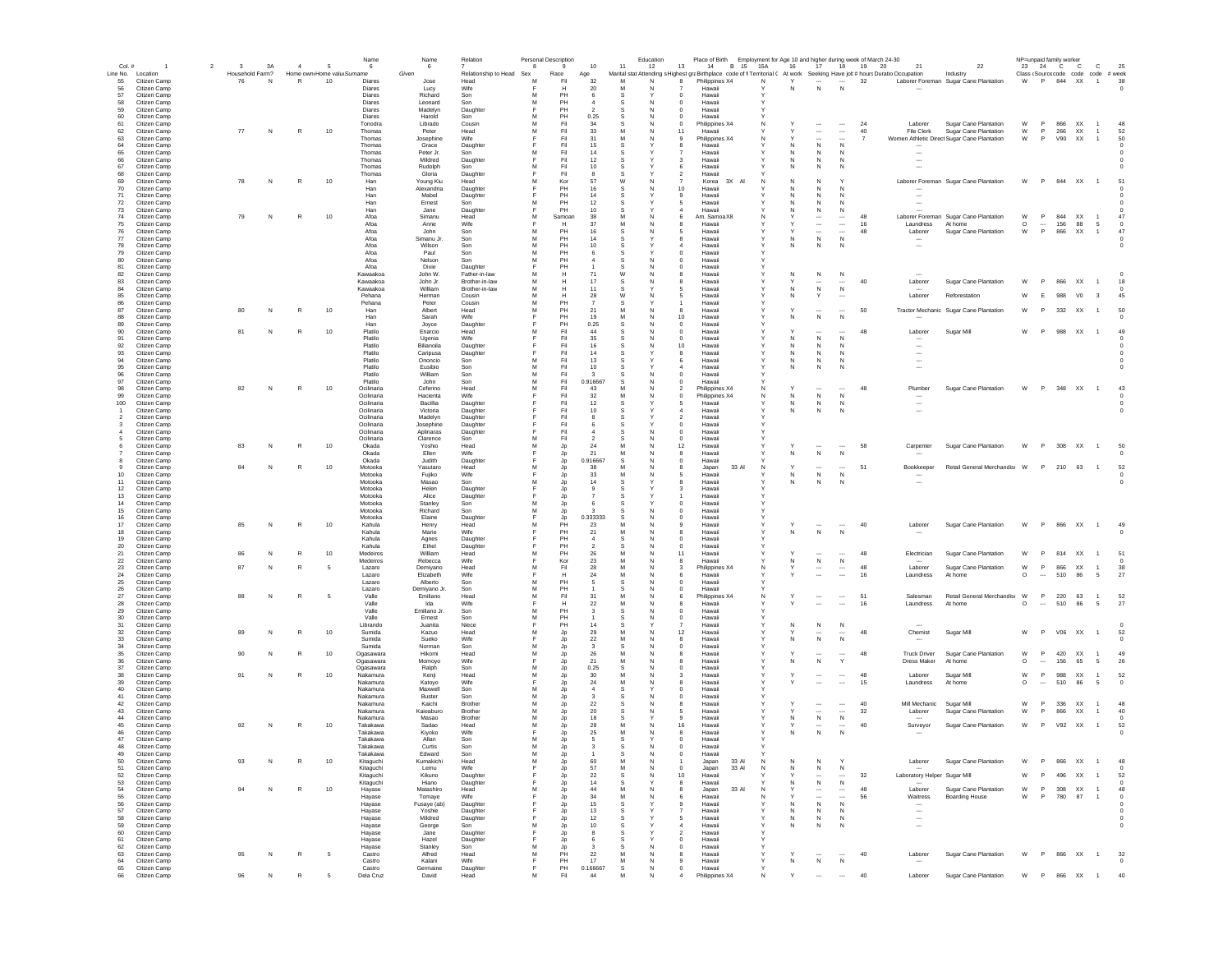| $Col.$ #       | $\overline{1}$               | $\overline{2}$ | $\mathbf{3}$    | 3A | $\sim$       | - 5                        | Name<br>6                | Name<br>- 6           | Relation                        | Personal Description<br>8 | 9          | 10                 | Education<br>11<br>12      | 13                                         | Place of Birth Employment for Age 10 and higher during week of March 24-30<br>B 15 15A<br>14                               |   | 16     | 17                                 |                                      | 21<br>18 19 20                             | 22                                               |              |          | NP=unpaid family worker<br>23 24 C C | $\mathbb{C}$                        | 25                       |
|----------------|------------------------------|----------------|-----------------|----|--------------|----------------------------|--------------------------|-----------------------|---------------------------------|---------------------------|------------|--------------------|----------------------------|--------------------------------------------|----------------------------------------------------------------------------------------------------------------------------|---|--------|------------------------------------|--------------------------------------|--------------------------------------------|--------------------------------------------------|--------------|----------|--------------------------------------|-------------------------------------|--------------------------|
|                | Line No. Location            |                | Household Farm? |    |              | Home own Home valu Surname |                          | Given                 | Relationship to Head Sex        |                           | Race       | Age                |                            |                                            | Marital stat Attending s Highest graBirthplace code of fi Territorial ( At work Seeking Have job# hours Duratio Occupation |   |        |                                    |                                      |                                            | Industry                                         |              |          |                                      | Class (Source code code code # week |                          |
| 55<br>56       | Citizen Camp<br>Citizen Camp |                | 76              | N  | $\mathbb{R}$ | 10                         | Diares<br>Diares         | Jose                  | Head<br>Wife                    | M                         | Fil<br>н   | 32<br>20           | M<br>$\mathbb N$<br>M<br>N | -8                                         | Philippines X4<br>Hawaii                                                                                                   | N | Y<br>N | N                                  | $\cdots$<br>N                        | 32                                         | Laborer Foreman Sugar Cane Plantation            | W            |          |                                      | P 844 XX 1                          | 38                       |
| 57             | Citizen Camp                 |                |                 |    |              |                            | Diares                   | Lucy<br>Richard       | Son                             | M                         | PH         | -6                 | s                          | $\Omega$                                   | Hawaii                                                                                                                     |   |        |                                    |                                      |                                            |                                                  |              |          |                                      |                                     |                          |
| 58             | Citizen Camp                 |                |                 |    |              |                            | Diares                   | Leonard               | Son                             | M                         | PH         |                    | s<br>N                     | $\overline{0}$                             | Hawaii                                                                                                                     |   |        |                                    |                                      |                                            |                                                  |              |          |                                      |                                     |                          |
| 59<br>60       | Citizen Camp<br>Citizen Camp |                |                 |    |              |                            | Diares<br>Diares         | Madelyr<br>Harold     | Daughter<br>Son                 | F<br>M                    | PH<br>PH   | 0.25               | .S                         | $\mathbf 0$<br>$\mathbf 0$                 | Hawaii<br>Hawaii                                                                                                           |   |        |                                    |                                      |                                            |                                                  |              |          |                                      |                                     |                          |
| 61             | Citizen Camp                 |                |                 |    |              |                            | Tonodra                  | Librado               | Cousin                          | M                         | Fil        | 34                 |                            | $\circ$                                    | Philippines X4                                                                                                             |   |        |                                    |                                      | 24<br>Laborer                              | Sugar Cane Plantation                            | W            | P        | 866 XX                               |                                     | 48                       |
| 62             | Citizen Camp                 |                | 77              | N  | R            | 10                         | Thomas                   | Peter                 | Head                            | M                         | Fil        | 33                 |                            | 11                                         | Hawaii                                                                                                                     |   |        | $\cdots$                           | $\cdots$                             | 40<br>File Clerk                           | Sugar Cane Plantation                            | W            | P        | 266<br>XX                            | $\overline{1}$                      | 52                       |
| 63<br>64       | Citizen Camp<br>Citizen Camp |                |                 |    |              |                            | Thomas<br>Thomas         | Josephine<br>Grace    | Wife<br>Daughter                |                           | Fil<br>Fil | 31<br>15           |                            |                                            | Philippines X4<br>Hawaii                                                                                                   |   | N      | ${\sf N}$                          | N                                    |                                            | Women Athletic Direct Sugar Cane Plantation      | W            |          | V90<br>XX                            | $\overline{1}$                      | 50                       |
| 65             | Citizen Camp                 |                |                 |    |              |                            | Thomas                   | Peter Jr.             | Son                             | M                         | Fil        | 14                 |                            |                                            | Hawaii                                                                                                                     |   | N      | N                                  | N                                    |                                            |                                                  |              |          |                                      |                                     |                          |
| 66             | Citizen Camp                 |                |                 |    |              |                            | Thomas                   | Mildred               | Daughter                        | Е                         | Fil        | 12                 | s                          | з                                          | Hawaii                                                                                                                     |   | N      | N                                  | N                                    | $\overline{\phantom{a}}$                   |                                                  |              |          |                                      |                                     |                          |
| 67<br>68       | Citizen Camp<br>Citizen Camp |                |                 |    |              |                            | Thomas<br>Thomas         | Rudolph<br>Gloria     | Son<br>Daughter                 | м<br>Е                    | Fil<br>Fil | 10<br>-8           | -S                         | -6<br>2                                    | Hawaii<br>Hawaii                                                                                                           |   | N      | N                                  | N                                    |                                            |                                                  |              |          |                                      |                                     |                          |
| 69             | Citizen Camp                 |                | 78              | N  | R            | 10                         | Han                      | Young Kiu             | Head                            | м                         | Kor        | -57                | W<br>N                     | $\overline{7}$                             | Korea 3X Al                                                                                                                | N | N      | N                                  | Y                                    |                                            | Laborer Foreman Sugar Cane Plantation            | W            |          | P 844 XX 1                           |                                     | 51                       |
| 70<br>71       | Citizen Camp<br>Citizen Camp |                |                 |    |              |                            | Han<br>Han               | Alexandria<br>Mabel   | Daughter                        | E                         | PH<br>PH   | 16<br>14           | N                          | 10 <sup>1</sup><br>$\mathbf{Q}$            | Hawaii<br>Hawaii                                                                                                           |   | N<br>N | N<br>N                             | $\mathsf{N}$<br>N                    |                                            |                                                  |              |          |                                      |                                     |                          |
| 72             | Citizen Camp                 |                |                 |    |              |                            | Han                      | Ernest                | Daughter<br>Son                 | M                         | PH         | 12                 | -S                         | 5                                          | Hawaii                                                                                                                     |   | N      | N                                  | N                                    |                                            |                                                  |              |          |                                      |                                     |                          |
| 73             | Citizen Camp                 |                |                 |    |              |                            | Han                      | Jane                  | Daughter                        | F                         | PH         | 10                 |                            |                                            | Hawaii                                                                                                                     |   | N      | ${\sf N}$                          | N                                    |                                            |                                                  |              |          |                                      |                                     |                          |
| 74<br>75       | Citizen Camp<br>Citizen Camp |                | 79              | N  | R            | 10                         | Afoa<br>Afoa             | Simanu<br>Anne        | Head<br>Wife                    | M                         | Samoan     | 38<br>37           | M<br>M                     |                                            | Am. Samoa X8<br>Hawaii                                                                                                     |   |        | $\ldots$                           | $\overline{\phantom{a}}$<br>$\ldots$ | 48<br>16<br>Laundress                      | Laborer Foreman Sugar Cane Plantation<br>At home | W<br>$\circ$ | P        | 844<br>XX<br>156                     | 88<br>5                             | 47<br>$\circ$            |
| 76             | Citizen Camp                 |                |                 |    |              |                            | Afoa                     | John                  | Son                             | M                         | PH         | 16                 | S                          |                                            | Hawai                                                                                                                      |   |        | $\overline{\phantom{a}}$           | $\overline{\phantom{a}}$             | 48<br>Laborer                              | Sugar Cane Plantation                            | W            | P        | 866<br>XX                            | $\overline{1}$                      | 47                       |
| 77             | Citizen Camp                 |                |                 |    |              |                            | Afoa                     | Simanu Jr.            | Son                             | M                         | PH         | 14                 |                            | 8                                          | Hawaii                                                                                                                     |   | N      | ${\sf N}$                          | $\,N\,$                              | $\cdots$                                   |                                                  |              |          |                                      |                                     |                          |
| 78<br>79       | Citizen Camp<br>Citizen Camp |                |                 |    |              |                            | Afoa<br>Afoa             | Wilson<br>Paul        | Son<br>Son                      | M<br>M                    | PH<br>PH   | 10                 |                            | $^{\circ}$                                 | Hawaii<br>Hawaii                                                                                                           |   | N      | $\mathbb N$                        | N                                    |                                            |                                                  |              |          |                                      |                                     |                          |
| 80             | Citizen Camp                 |                |                 |    |              |                            | Afoa                     | Nelson                | Son                             | M                         | PH         |                    |                            | $^{\circ}$                                 | Hawaii                                                                                                                     |   |        |                                    |                                      |                                            |                                                  |              |          |                                      |                                     |                          |
| 81             | Citizen Camp                 |                |                 |    |              |                            | Afoa                     | Dixie                 | Daughter                        | Е                         | PH         |                    | N<br>s                     | $^{\circ}$                                 | Hawaii                                                                                                                     | Y |        |                                    |                                      |                                            |                                                  |              |          |                                      |                                     |                          |
| 82<br>83       | Citizen Camp<br>Citizen Camp |                |                 |    |              |                            | Kawaakoa<br>Kawaakoa     | John W.<br>John Jr.   | Father-in-law<br>Brother-in-law | м<br>M                    | н<br>н     | 71<br>17           | W<br>N<br>-S               | я<br>я                                     | Hawaii<br>Hawaii                                                                                                           | Υ | N      | N<br>                              | N                                    | 40<br>Laborer                              | Sugar Cane Plantation                            | W            | P.       | 866 XX                               | $\overline{1}$                      | 18                       |
| 84             | Citizen Camp                 |                |                 |    |              |                            | Kawaakoa                 | William               | Brother-in-law                  | м                         | н          | 11                 | -S                         | 5                                          | Hawaii                                                                                                                     |   | N      | $\,$ N                             | N                                    |                                            |                                                  |              |          |                                      |                                     |                          |
| 85             | Citizen Camp                 |                |                 |    |              |                            | Pehana                   | Herman                | Cousin                          | M                         | н          | 28                 | W<br>N                     | 5                                          | Hawaii                                                                                                                     | Y | N      | Y                                  | $\sim$                               | Laborer                                    | Reforestation                                    | w            | E        | 988<br>V <sub>0</sub>                | $_{3}$                              | 45                       |
| 86<br>87       | Citizen Camp<br>Citizen Camp |                | 80              | N  | R            | 10                         | Pehana<br>Han            | Peter<br>Albert       | Cousin<br>Head                  | M<br>M                    | PH<br>PH   | 21                 | M<br>N                     | 8                                          | Hawaii<br>Hawaii                                                                                                           | Y | $\vee$ | $\overline{\phantom{a}}$           |                                      | 50                                         | Tractor Mechanic Sugar Cane Plantation           | W            | P        | 332<br>XX                            | $\overline{1}$                      | 50                       |
| 88             | Citizen Camp                 |                |                 |    |              |                            | Han                      | Sarah                 | Wife                            | F                         | PH         | 19                 | M<br>N                     | 10                                         | Hawaii                                                                                                                     |   | Ν      | ${\sf N}$                          | N                                    |                                            |                                                  |              |          |                                      |                                     |                          |
| 89             | Citizen Camp                 |                |                 |    |              |                            | Han                      | Joyce                 | Daughter                        | м                         | PH<br>Fil  | 0.25               |                            | 0                                          | Hawaii                                                                                                                     |   |        |                                    |                                      | 48                                         |                                                  |              | P.       |                                      |                                     | 49                       |
| 90<br>91       | Citizen Camp<br>Citizen Camp |                | 81              | N  | R            | 10                         | Platilo<br>Platilo       | Enarcio<br>Ugenia     | Head<br>Wife                    |                           | Fil        | 44<br>35           |                            | $\mathbf 0$<br>0                           | Hawai<br>Hawaii                                                                                                            |   |        | ${\sf N}$                          | $\mathsf{N}$                         | Laborer                                    | Sugar Mill                                       | W            |          | 988 XX                               | $\overline{1}$                      |                          |
| 92             | Citizen Camp                 |                |                 |    |              |                            | Platilo                  | Bilianoila            | Daughter                        |                           | Fil        | 16                 |                            | 10                                         | Hawaii                                                                                                                     |   | N      | N                                  | N                                    |                                            |                                                  |              |          |                                      |                                     |                          |
| 93<br>94       | Citizen Camp<br>Citizen Camp |                |                 |    |              |                            | Platilo<br>Platilo       | Caripusa              | Daughter<br>Son                 | M                         | Fil<br>Fil | 14<br>13           |                            | 8                                          | Hawaii                                                                                                                     |   | N      | -N                                 | N<br>N                               | $\ddotsc$                                  |                                                  |              |          |                                      |                                     |                          |
| 95             | Citizen Camp                 |                |                 |    |              |                            | Platilo                  | Ononcio<br>Eusibio    | Son                             | M                         | Fil        | 10                 |                            | 6                                          | Hawaii<br>Hawaii                                                                                                           |   | N      | N                                  |                                      |                                            |                                                  |              |          |                                      |                                     |                          |
| 96             | Citizen Camp                 |                |                 |    |              |                            | Platilo                  | William               | Son                             | M                         | Fil        |                    | N                          | $^{\circ}$                                 | Hawaii                                                                                                                     |   |        |                                    |                                      |                                            |                                                  |              |          |                                      |                                     |                          |
| 97<br>98       | Citizen Camp<br>Citizen Camp |                | 82              | N  | R            | 10                         | Platilo<br>Ocilinaria    | John<br>Ceferino      | Son<br>Head                     | м<br>м                    | Fil<br>Fil | 0.916667<br>43     | -S<br>M<br><b>N</b>        | $\Omega$                                   | Hawaii<br>Philippines X4                                                                                                   | N |        |                                    |                                      | 48<br>Plumber                              | Sugar Cane Plantation                            | W            | P        | 348 XX 1                             |                                     | 43                       |
| 99             | Citizen Camp                 |                |                 |    |              |                            | Ocilinaria               | Hacienta              | Wife                            |                           | Fil        | 32                 | N                          | $\Omega$                                   | Philippines X4                                                                                                             | N | N      | N                                  | $\mathsf{N}$                         |                                            |                                                  |              |          |                                      |                                     |                          |
| 100            | Citizen Camp                 |                |                 |    |              |                            | Ocilinaria               | Bacillia              | Daughter                        | E                         | Fil        | 12                 | s                          | 5                                          | Hawaii                                                                                                                     |   | N      | N                                  | N                                    | $\overline{\phantom{a}}$                   |                                                  |              |          |                                      |                                     | $\Omega$                 |
| $\overline{2}$ | Citizen Camp<br>Citizen Camp |                |                 |    |              |                            | Ocilinaria<br>Ocilinaria | Victoria<br>Madelyn   | Daughter<br>Daughter            |                           | Fil<br>Fil | 10                 |                            | $\overline{a}$<br>$\overline{\phantom{a}}$ | Hawaii<br>Hawaii                                                                                                           |   | N      | $\mathbb N$                        | N                                    | $\overline{\phantom{a}}$                   |                                                  |              |          |                                      |                                     | $^{\circ}$               |
| 3              | Citizen Camp                 |                |                 |    |              |                            | Ocilinaria               | Josephine             | Daughter                        |                           | Fil        |                    | s                          | 0                                          | Hawaii                                                                                                                     |   |        |                                    |                                      |                                            |                                                  |              |          |                                      |                                     |                          |
|                | Citizen Camp                 |                |                 |    |              |                            | Ocilinaria               | Aplinaras             | Daughter                        |                           | Fil        |                    |                            | $\mathbf 0$                                | Hawaii                                                                                                                     |   |        |                                    |                                      |                                            |                                                  |              |          |                                      |                                     |                          |
|                | Citizen Camp<br>Citizen Camp |                | 83              | N  | R            | $10$                       | Ocilinaria<br>Okada      | Clarence<br>Yoshio    | Son<br>Head                     | м<br>M                    | Fil<br>Jp  | 24                 | M                          | 0<br>12                                    | Hawaii<br>Hawaii                                                                                                           |   |        |                                    |                                      | 58<br>Carpenter                            | Sugar Cane Plantation                            | W            | P        | 308 XX                               |                                     | 50                       |
|                | Citizen Camp                 |                |                 |    |              |                            | Okada                    | Ellen                 | Wife                            | F                         | Jp         | 21                 |                            | 8                                          | Hawaii                                                                                                                     |   | N      | ${\sf N}$                          | N                                    |                                            |                                                  |              |          |                                      |                                     |                          |
|                | Citizen Camp                 |                | 84              | N  | $\mathbb{R}$ |                            | Okada                    | Judith                | Daughter                        |                           | Jp         | 0.916667           | s                          | 0                                          | Hawaii                                                                                                                     |   |        |                                    |                                      |                                            |                                                  |              | P        |                                      | $\overline{1}$                      |                          |
| 10             | Citizen Camp<br>Citizen Camp |                |                 |    |              | $10$                       | Motooka<br>Motooka       | Yasutaro<br>Fujiko    | Head<br>Wife                    |                           | Jp<br>Jp   | 38<br>33           |                            | 8<br>ь                                     | 33 AI<br>Japan<br>Hawaii                                                                                                   | N | N      | ${\sf N}$                          | $\mathsf{N}$                         | 51<br>Bookkeeper                           | Retail General Merchandis: W                     |              |          | 210 63                               |                                     | 52                       |
| 11             | Citizen Camp                 |                |                 |    |              |                            | Motooka                  | Masao                 | Son                             | M                         | Jp         | 14                 | s                          | 8                                          | Hawaii                                                                                                                     |   | N      | N                                  | N                                    | $\overline{\phantom{a}}$                   |                                                  |              |          |                                      |                                     | $^{\circ}$               |
| 12<br>13       | Citizen Camp<br>Citizen Camp |                |                 |    |              |                            | Motooka<br>Motooka       | Helen<br>Alice        | Daughter                        |                           | Jp<br>Jp   |                    | s                          | з                                          | Hawaii<br>Hawaii                                                                                                           |   |        |                                    |                                      |                                            |                                                  |              |          |                                      |                                     |                          |
| 14             | Citizen Camp                 |                |                 |    |              |                            | Motooka                  | Stanley               | Daughter<br>Son                 | м                         | Jp         |                    |                            | $^{\circ}$                                 | Hawaii                                                                                                                     |   |        |                                    |                                      |                                            |                                                  |              |          |                                      |                                     |                          |
| 15             | Citizen Camp                 |                |                 |    |              |                            | Motooka                  | Richard               | Son                             | M                         | Jp         |                    | N                          | $\Omega$                                   | Hawaii                                                                                                                     |   |        |                                    |                                      |                                            |                                                  |              |          |                                      |                                     |                          |
| 16<br>17       | Citizen Camp<br>Citizen Camp |                | 85              | N  | R            | 10                         | Motooka<br>Kahula        | Elaine                | Daughter<br>Head                | E<br>M                    | Jp<br>PH   | 0.333333<br>23     | -S<br>N<br>M<br>N          | $\Omega$<br>$\mathbf{Q}$                   | Hawaii<br>Hawaii                                                                                                           |   |        |                                    | $\overline{\phantom{a}}$             | 40<br>Laborer                              |                                                  | W            | P.       | 866 XX 1                             |                                     | 49                       |
| 18             | Citizen Camp                 |                |                 |    |              |                            | Kahula                   | Henry<br>Marie        | Wife                            |                           | PH         | 21                 | M<br>N                     | 8                                          | Hawaii                                                                                                                     |   | Ν      | ${\sf N}$                          | $\mathbb N$                          |                                            | Sugar Cane Plantation                            |              |          |                                      |                                     |                          |
| 19             | Citizen Camp                 |                |                 |    |              |                            | Kahula                   | Agnes                 | Daughter                        |                           | PH         |                    | S                          | $\mathbf 0$                                | Hawaii                                                                                                                     |   |        |                                    |                                      |                                            |                                                  |              |          |                                      |                                     |                          |
| 20<br>21       | Citizen Camp<br>Citizen Camp |                |                 | N  | R            | 10                         | Kahula<br>Medeiros       | Ethel<br>William      | Daughter<br>Head                | M                         | PH<br>PH   | 26                 | M                          | $\mathbf 0$<br>11                          | Hawaii<br>Hawaii                                                                                                           |   |        |                                    |                                      | Electrician<br>48                          | Sugar Cane Plantation                            | W            | P        | 814 XX                               | $\overline{1}$                      | 51                       |
| 22             | Citizen Camp                 |                |                 |    |              |                            | Medeiros                 | Rebecca               | Wife                            |                           | Kor        | 23                 | M                          | 8                                          | Hawaii                                                                                                                     |   | N      | ${\sf N}$                          | $\,N\,$                              |                                            |                                                  |              |          |                                      |                                     |                          |
| 23             | Citizen Camp                 |                | 87              |    | R            |                            | Lazaro                   | Demiyano              | Head                            |                           | Fil        | 28                 |                            |                                            | Philippines X4                                                                                                             |   |        | $\cdots$                           | $\cdots$                             | 48<br>Laborer                              | Sugar Cane Plantation                            | W            | P        | 866<br>XX                            |                                     | 38                       |
| 24<br>25       | Citizen Camp<br>Citizen Camp |                |                 |    |              |                            | Lazaro<br>Lazaro         | Elizabeth<br>Alberto  | Wife<br>Son                     |                           | Н<br>PH    | 24                 |                            | 6                                          | Hawaii<br>Hawaii                                                                                                           |   |        |                                    |                                      | 16<br>Laundress                            | At home                                          | $\circ$      | $\cdots$ | 510                                  | 86<br>5                             | 27                       |
| 26             | Citizen Camp                 |                |                 |    |              |                            | Lazaro                   | Demivano Jr.          | Son                             | M                         | PH         |                    | N<br>s                     | $\Omega$                                   | Hawaii                                                                                                                     |   |        |                                    |                                      |                                            |                                                  |              |          |                                      |                                     |                          |
| 27             | Citizen Camp                 |                | 88              | N  | R            | - 5                        | Valle                    | Emiliano              | Head                            | м                         | Fil        | 31                 | N                          | 6                                          | Philippines X4                                                                                                             | N |        | $\sim$                             | $\cdots$                             | 51<br>Salesman                             | Retail General Merchandis W                      |              | P        | 220 63                               | $\overline{1}$                      | 52                       |
| 28<br>29       | Citizen Camp<br>Citizen Camp |                |                 |    |              |                            | Valle<br>Valle           | Ida<br>Emiliano Jr.   | Wife<br>Son                     | Е<br>м                    | н<br>PH    | 22<br>3            | м<br>N<br>s                | 8<br>$^{\circ}$                            | Hawaii<br>Hawaii                                                                                                           |   |        | $\overline{\phantom{a}}$           |                                      | 16<br>Laundress                            | At home                                          | $\circ$      | $\sim$   | 510<br>-86                           | - 5                                 | 27                       |
| 30             | Citizen Camp                 |                |                 |    |              |                            | Valle                    | Ernest                | Son                             | M                         | PH         |                    | N                          | $\Omega$                                   | Hawaii                                                                                                                     |   |        |                                    |                                      |                                            |                                                  |              |          |                                      |                                     |                          |
| 31<br>32       | Citizen Camp                 |                |                 | N  | R            |                            | Librando<br>Sumida       | Juanita<br>Kazuo      | Niece<br>Head                   | E<br>M                    | PH         | 14<br>29           | s<br>M<br>N                | 12                                         | Hawaii<br>Hawaii                                                                                                           | Y |        | N<br>                              | N<br>                                | 48                                         |                                                  | w            | P        |                                      | $\overline{1}$                      | $\Omega$<br>52           |
| 33             | Citizen Camp<br>Citizen Camp |                |                 |    |              | 10                         | Sumida                   | Sueko                 | Wife                            | F                         | Jp<br>Jp   | 22                 | M                          | 8                                          | Hawaii                                                                                                                     |   | N      | N                                  | N                                    | Chemist                                    | Sugar Mill                                       |              |          | V06 XX                               |                                     |                          |
| 34             | Citizen Camp                 |                |                 |    |              |                            | Sumida                   | Norman                | Son                             | M                         | Jp         |                    |                            | $\mathbf 0$                                | Hawaii                                                                                                                     |   |        |                                    |                                      |                                            |                                                  |              |          |                                      |                                     |                          |
| 35<br>36       | Citizen Camp<br>Citizen Camp |                | 90              | N  | R            | 10                         | Ogasawara<br>Ogasawara   | Hikomi                | Head<br>Wife                    | M<br>E                    | Jp<br>Jp   | 26<br>21           | M<br>M                     |                                            | Hawai<br>Hawaii                                                                                                            |   |        | ${\sf N}$                          | Y                                    | <b>Truck Driver</b><br>48<br>Dress Maker   | Sugar Cane Plantation<br>At home                 | W<br>O       | P        | 420 XX<br>156                        | $\overline{1}$<br>65<br>5           | 49<br>26                 |
| 37             | Citizen Camp                 |                |                 |    |              |                            | Ogasawara                | Momoyo<br>Ralph       | Son                             | M                         | Jp         | 0.25               |                            | $\mathbf 0$                                | Hawaii                                                                                                                     |   |        |                                    |                                      |                                            |                                                  |              |          |                                      |                                     |                          |
| 38             | Citizen Camp                 |                | 91              |    |              | 10                         | Nakamura                 | Kenji                 | Head                            | M                         | Jp         | 30                 |                            |                                            | Hawaii                                                                                                                     |   |        |                                    | $\cdots$                             | 48<br>Laborer                              | Sugar Mill                                       | W            | P        | 988<br>XX                            | $\overline{1}$                      | 52                       |
| 39<br>40       | Citizen Camp<br>Citizen Camp |                |                 |    |              |                            | Nakamura<br>Nakamura     | Katoyo<br>Maxwell     | Wife<br>Son                     |                           | Jp<br>Jp   | 24                 |                            | 8<br>$^{\circ}$                            | Hawaii<br>Hawaii                                                                                                           |   |        |                                    |                                      | 15<br>Laundress                            | At home                                          | $\circ$      | $\cdots$ | 510                                  | 86<br>5                             | $\circ$                  |
| 41             | Citizen Camp                 |                |                 |    |              |                            | Nakamura                 | Buster                | Son                             | M                         | Jp         | -3                 | N<br>s                     | $^{\circ}$                                 | Hawaii                                                                                                                     |   |        |                                    |                                      |                                            |                                                  |              |          |                                      |                                     |                          |
| 42             | Citizen Camp                 |                |                 |    |              |                            | Nakamura                 | Kaichi                | Brother                         | м                         | Jp         | 22                 |                            | я                                          | Hawaii                                                                                                                     |   |        |                                    | $\cdots$                             | 40<br>Mill Mechanic                        | Sugar Mill                                       | W            | P        | 336 XX                               | $\overline{1}$                      | 48                       |
| 43<br>44       | Citizen Camp<br>Citizen Camp |                |                 |    |              |                            | Nakamura<br>Nakamura     | Kaieaburo<br>Masao    | Brother<br>Brother              | м<br>м                    | Jp<br>Jp   | 20<br>18           | -S<br>N<br>-S              | 5<br>$\mathbf{Q}$                          | Hawaii<br>Hawaii                                                                                                           |   | N      | $\ddotsc$<br>$\,N\,$               | $\cdots$<br>N                        | 32<br>Laborer                              | Sugar Cane Plantation                            | W            | P.       | <b>XX</b><br>866                     | $\overline{1}$                      | 40<br>$\Omega$           |
| 45             | Citizen Camp                 |                | 92              | N  | R            | 10                         | Takakawa                 | Sadao                 | Head                            | M                         | Jp         | 28                 | M<br>N                     | 16                                         | Hawaii                                                                                                                     |   |        | $\overline{\phantom{a}}$           | $\overline{\phantom{a}}$             | 40<br>Surveyor                             | Sugar Cane Plantation                            | W            | P.       | V92 XX                               | $\overline{1}$                      | 52                       |
| 46             | Citizen Camp                 |                |                 |    |              |                            | Takakawa                 | Kivoko                | Wife                            |                           | Jp         | 25                 | M                          | 8                                          | Hawaii                                                                                                                     |   | N      | N                                  | N                                    |                                            |                                                  |              |          |                                      |                                     |                          |
| 47<br>48       | Citizen Camp<br>Citizen Camp |                |                 |    |              |                            | Takakawa<br>Takakawa     | Allan<br>Curtis       | Son<br>Son                      | M<br>M                    | Jp<br>Jp   | -5<br>$\mathbf{3}$ | -S<br>s                    | $\Omega$<br>$\overline{0}$                 | Hawaii<br>Hawaii                                                                                                           |   |        |                                    |                                      |                                            |                                                  |              |          |                                      |                                     |                          |
| 49             | Citizen Camp                 |                |                 |    |              |                            | Takakawa                 | Edward                | Son                             | M                         | Jp         |                    |                            |                                            | Hawai                                                                                                                      |   |        |                                    |                                      |                                            |                                                  |              |          |                                      |                                     |                          |
| 50             | Citizen Camp                 |                | 93              | N  | $\mathbb{R}$ | 10                         | Kitaguchi                | Kumakichi             | Head                            | M<br>F                    | Jp         | 60                 | M<br>N<br>M<br>N           |                                            | 33 Al<br>Japan                                                                                                             | N | Ν      | N                                  |                                      | Laborer                                    | Sugar Cane Plantation                            | W            | P        | 866<br>XX                            | $\overline{1}$                      | 48                       |
| 51<br>52       | Citizen Camp<br>Citizen Camp |                |                 |    |              |                            | Kitaguchi<br>Kitaguchi   | Lemu<br>Kikuno        | Wife<br>Daughter                |                           | Jp<br>Jp   | 57<br>$22\,$       | N<br>s                     | $\circ$<br>10                              | 33 Al<br>Japan<br>Hawaii                                                                                                   | N |        | ${\sf N}$<br>$\cdots$              | N<br>$\cdots$                        | 32<br>Laboratory Helper Sugar Mill         |                                                  | W            | P        | 496<br>XX                            | $\overline{1}$                      | 52                       |
| 53             | Citizen Camp                 |                |                 |    |              |                            | Kitaguchi                | Hiano                 | Daughter                        |                           | Jp         | 14                 |                            | 8                                          | Hawaii                                                                                                                     |   |        | ${\sf N}$                          | N                                    |                                            |                                                  |              |          |                                      |                                     |                          |
| 54             | Citizen Camp                 |                |                 | N  | $\mathbb{R}$ | $10$                       | Hayase                   | Matashiro             | Head                            |                           | Jp         | 44                 |                            | 8                                          | 33 AI<br>Japan                                                                                                             | N |        | $\cdots$                           | $\cdots$                             | 48<br>Laborer                              | Sugar Cane Plantation                            | W            | P        | 308                                  | XX                                  | 48                       |
| 55<br>56       | Citizen Camp<br>Citizen Camp |                |                 |    |              |                            | Hayase<br>Havase         | Tomaye<br>Fusave (ab) | Wife<br>Daughter                |                           | Jp<br>Jp   | 34<br>15           | M<br>s                     | 9                                          | Hawaii<br>Hawaii                                                                                                           |   | N      | $\overline{\phantom{a}}$<br>$\,$ N | $\mathbb{N}$                         | 56<br>Waitress<br>$\overline{\phantom{a}}$ | <b>Boarding House</b>                            | W            |          | 780<br>87                            | -1                                  | $^{\circ}$<br>$^{\circ}$ |
| 57             | Citizen Camp                 |                |                 |    |              |                            | Hayase                   | Yoshie                | Daughter                        |                           | Jp         | 13                 |                            |                                            | Hawaii                                                                                                                     |   | N.     | N                                  | N                                    | $\ddotsc$                                  |                                                  |              |          |                                      |                                     |                          |
| 58             | Citizen Camp                 |                |                 |    |              |                            | Havase                   | Mildred               | Daughter                        |                           | Jp         | 12                 | -S                         | 5                                          | Hawaii                                                                                                                     | Y | N      | N                                  | N                                    | $\overline{\phantom{a}}$                   |                                                  |              |          |                                      |                                     | $^{\circ}$               |
| 59<br>60       | Citizen Camp<br>Citizen Camp |                |                 |    |              |                            | Havase<br>Hayase         | George<br>Jane        | Son<br>Daughter                 | м<br>E                    | Jp<br>Jp   | 10<br>$\mathbf{R}$ | s<br>s                     | $\overline{a}$<br>$\overline{\phantom{a}}$ | Hawaii<br>Hawaii                                                                                                           | Y | N      | N                                  | N                                    | $\overline{\phantom{a}}$                   |                                                  |              |          |                                      |                                     | $\Omega$                 |
| 61             | Citizen Camp                 |                |                 |    |              |                            | Hayase                   | Hazel                 | Daughter                        |                           | Jp         |                    |                            | $\Omega$                                   | Hawaii                                                                                                                     |   |        |                                    |                                      |                                            |                                                  |              |          |                                      |                                     |                          |
| 62             | Citizen Camp                 |                |                 |    |              |                            | Hayase                   | Stanley               | Son                             | M                         | Jp         |                    | s<br>N                     | $\Omega$                                   | Hawaii                                                                                                                     | Y |        |                                    |                                      |                                            |                                                  |              |          |                                      |                                     |                          |
| 63<br>64       | Citizen Camp<br>Citizen Camp |                | 95              | N  | R            |                            | Castro<br>Castro         | Alfred<br>Kalani      | Head<br>Wife                    | M<br>F                    | PH<br>PH   | 22<br>17           | M<br>N<br>M<br>N           | 8                                          | Hawaii<br>Hawaii                                                                                                           | Y | Ν      | ${\sf N}$                          | ${\sf N}$                            | 40<br>Laborer                              | Sugar Cane Plantation                            | W            | P.       | 866 XX                               | $\overline{1}$                      | 32                       |
| 65             | Citizen Camp                 |                |                 |    |              |                            | Castro                   | Germaine              | Daughter                        |                           | PH         | 0.166667           | s<br>N                     | 0                                          | Hawaii                                                                                                                     |   |        |                                    |                                      |                                            |                                                  |              |          |                                      |                                     |                          |
| 66             | Citizen Camp                 |                | 96              | N  | R            | -5                         | Dela Cruz                | David                 | Head                            | M                         | Fil        | 44                 | M<br>N                     | $\overline{4}$                             | Philippines X4                                                                                                             | Ν | Y      | $\overline{\phantom{a}}$           | $\overline{\phantom{a}}$             | 40<br>Laborer                              | Sugar Cane Plantation                            | W            | P        | 866 XX 1                             |                                     | 40                       |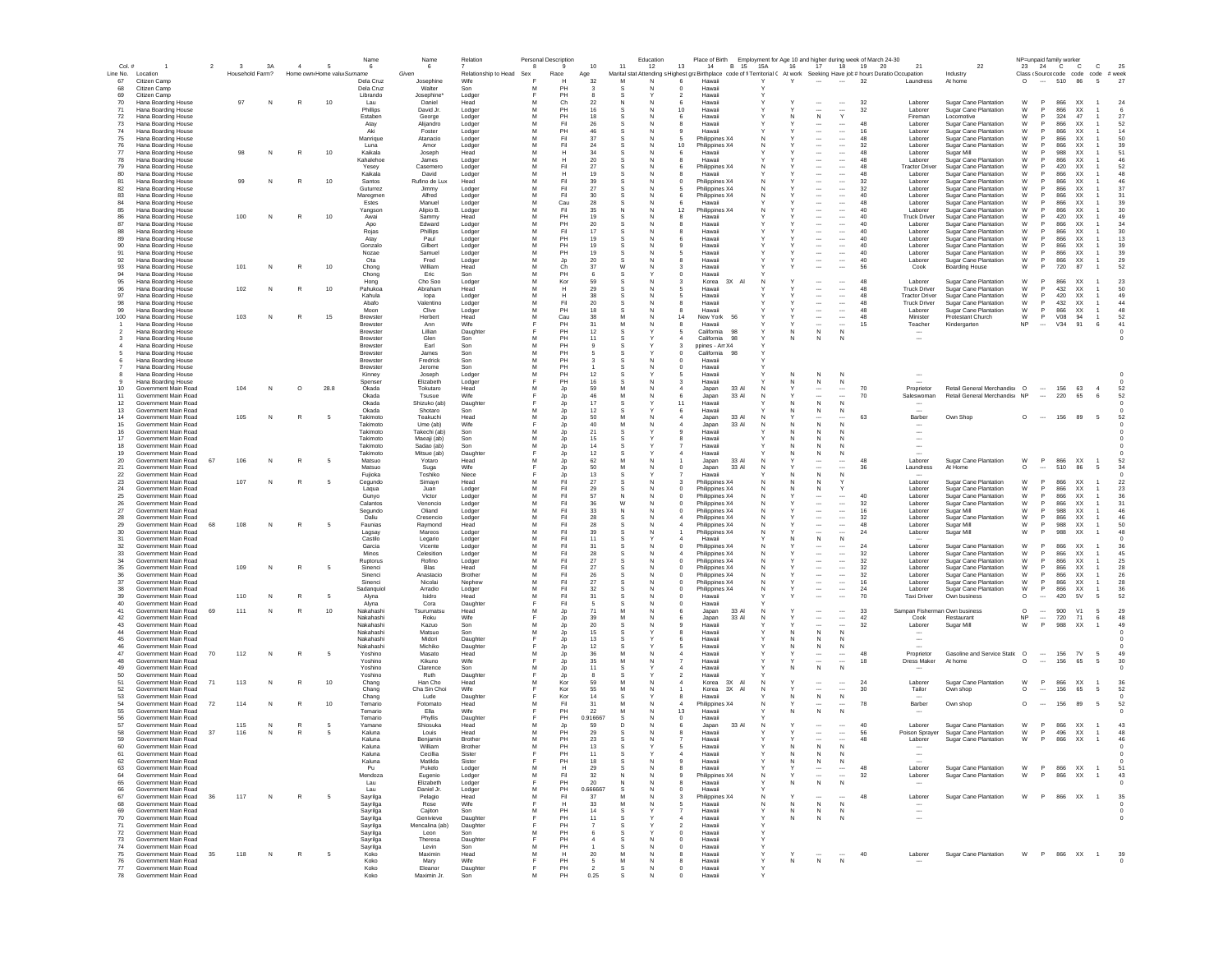| Col. #   |                                              | $\overline{2}$ | $\overline{\mathbf{3}}$ | 3A | $\sim$       | - 5                        | Name<br>6            | Name<br>- 6                 | Relation             | -8                       | Personal Description<br>$\mathbf{q}$ | 10       | 11     | Education<br>12 | Place of Birth Employment for Age 10 and higher during week of March 24-30<br>13<br>B 15<br>14                             | 15A          | 16<br>17                                             | 18                                   | 19       | 21<br>20                         | 22                                             |           |                          | NP=unpaid family worker<br>23 24 C C | $\mathbf{C}$                        | 25         |  |
|----------|----------------------------------------------|----------------|-------------------------|----|--------------|----------------------------|----------------------|-----------------------------|----------------------|--------------------------|--------------------------------------|----------|--------|-----------------|----------------------------------------------------------------------------------------------------------------------------|--------------|------------------------------------------------------|--------------------------------------|----------|----------------------------------|------------------------------------------------|-----------|--------------------------|--------------------------------------|-------------------------------------|------------|--|
|          | Line No. Location                            |                | Household Farm?         |    |              | Home own Home valu Surname |                      | Given                       |                      | Relationship to Head Sex | Race                                 | Age      |        |                 | Marital stat Attending s Highest graBirthplace code of fi Territorial ( At work Seeking Have job# hours Duratio Occupation |              |                                                      |                                      |          |                                  | Industry                                       |           |                          |                                      | Class (Source code code code # week |            |  |
| 67       | Citizen Camp                                 |                |                         |    |              |                            | Dela Cruz            | Josephine                   | Wife                 |                          | н                                    | 32       | M      | N               | Hawaii<br>6                                                                                                                | v            | Y                                                    | $\sim$                               | 32       | Laundress                        | At home                                        | $\Omega$  | $\sim$                   | 510 86                               | 5                                   | 27         |  |
| 68       | Citizen Camp                                 |                |                         |    |              |                            | Dela Cruz            | Walter                      | Son                  | м                        | PH                                   |          |        | N               | Hawaii<br>$\Omega$                                                                                                         |              |                                                      |                                      |          |                                  |                                                |           |                          |                                      |                                     |            |  |
| 69       | Citizen Camp                                 |                |                         |    |              |                            | Librando             | Josephine'                  | Lodger               |                          | PH                                   |          | s      |                 | Hawaii<br>$\overline{\phantom{a}}$                                                                                         |              |                                                      |                                      |          |                                  |                                                |           |                          |                                      |                                     |            |  |
| 70       | Hana Boarding House                          |                | 97                      | N  | R            | $10$                       | Lau                  | Daniel                      | Head                 | м                        | Ch                                   | 22       | N      | N               | 6<br>Hawai                                                                                                                 |              |                                                      |                                      | 32       | Laborer                          | Sugar Cane Plantation                          | W         | P                        | 866<br>XX                            |                                     | 24         |  |
| 71<br>72 | Hana Boarding House<br>Hana Boarding House   |                |                         |    |              |                            | Phillips<br>Estaben  | David Jr                    | Lodger<br>Lodge      | M<br>M                   | PH<br>PH                             | 16<br>18 |        |                 | 10<br>Hawaii<br>6<br>Hawaii                                                                                                |              | N                                                    | <br>Y                                | 32       | Laborer<br>Fireman               | Sugar Cane Plantation<br>Locomotive            | W<br>W    | P<br>P                   | 866<br>XX<br>324<br>47               |                                     | 27         |  |
| 73       | Hana Boarding House                          |                |                         |    |              |                            | Atay                 | George<br>Alijandro         | Lodger               | M                        | Fil                                  | 26       |        |                 | Hawaii                                                                                                                     |              |                                                      |                                      | 48       | Laborer                          | Sugar Cane Plantation                          | W         | <b>P</b>                 | 866<br>XX                            |                                     | 52         |  |
| 74       | Hana Boarding House                          |                |                         |    |              |                            | Aki                  | Foster                      | Lodger               | M                        | PH                                   | 46       |        |                 | Hawaii                                                                                                                     |              | $\overline{\phantom{a}}$                             | $\cdots$                             | 16       | Laborer                          | Sugar Cane Plantation                          | W         |                          | 866<br>XX                            |                                     | 14         |  |
| 75       | Hana Boarding House                          |                |                         |    |              |                            | Manrique             | Atanacio                    | Lodger               |                          | Fil                                  | 37       |        |                 | Philippines X4                                                                                                             |              |                                                      | $\overline{\phantom{a}}$             | 48       | Laborer                          | Sugar Cane Plantation                          | W         |                          | 866<br>XX                            |                                     | 50         |  |
| 76       | Hana Boarding House                          |                |                         |    |              |                            | Luna                 | Amor                        | Lodger               | M                        | Fil                                  | 24       |        |                 | 10<br>Philippines X4                                                                                                       |              | $\overline{\phantom{a}}$                             | $\cdots$                             | 32       | Laborer                          | Sugar Cane Plantation                          | W         |                          | 866<br>XX                            |                                     | 39         |  |
| 77       | Hana Boarding House                          |                |                         |    | R            | 10                         | Kaikala              | Joseph                      | Head                 |                          | н                                    | 34       |        |                 | Hawaii                                                                                                                     |              | $\overline{\phantom{a}}$                             | $\overline{\phantom{a}}$             | 48       | Laborer                          | Sugar Mill                                     | W         |                          | 988<br>XX                            |                                     | 51         |  |
| 78       | Hana Boarding House<br>Hana Boarding House   |                |                         |    |              |                            | Kahalehoe            | James                       | Lodger               | M<br>м                   | н                                    | 20       |        | N               | Hawaii                                                                                                                     |              | $\cdots$                                             | $\cdots$                             | 48<br>48 | Laborer<br><b>Tractor Driver</b> | Sugar Cane Plantation<br>Sugar Cane Plantation | W         | <b>P</b>                 | 866<br>XX<br>420<br>XX               |                                     | 46<br>52   |  |
| 79<br>80 | Hana Boarding House                          |                |                         |    |              |                            | Yesev<br>Kaikala     | Casemero<br>David           | Lodger<br>Lodger     | M                        | Fil<br>н                             | 27<br>19 | s      | N               | Philippines X4<br>Hawaii                                                                                                   | N            | $\ddotsc$<br>$\cdots$                                | $\cdots$<br>$\cdots$                 | 48       | Laborer                          | Sugar Cane Plantation                          | W<br>W    | <b>P</b>                 | 866<br>XX                            |                                     | 48         |  |
| 81       | Hana Boarding House                          |                | 99                      | N  | R            | 10                         | Santos               | Rufino de Lux               | Head                 | м                        | Fil                                  | 39       | s      |                 | Philippines X4                                                                                                             | N            | $\cdots$                                             | $\cdots$                             | 32       | Laborer                          | Sugar Cane Plantation                          | W         | <b>P</b>                 | XX<br>866                            |                                     | 46         |  |
| 82       | Hana Boarding House                          |                |                         |    |              |                            | Guturrez             | Jimmy                       | Lodger               | M                        | Fil                                  | 27       |        | N               | Philippines X4                                                                                                             | N            | $\overline{\phantom{a}}$                             | $\overline{\phantom{a}}$             | 32       | Laborer                          | Sugar Cane Plantation                          | W         | P                        | 866<br><b>XX</b>                     |                                     | 37         |  |
| 83       | Hana Boarding House                          |                |                         |    |              |                            | Maregmen             | Alfred                      | Lodger               | M                        | Fil                                  | 30       |        |                 | Philippines X4                                                                                                             |              | $\overline{\phantom{a}}$                             | $\overline{\phantom{a}}$             | 40       | Laborer                          | <b>Sugar Cane Plantation</b>                   | W         | P                        | 866<br>XX                            |                                     | 31         |  |
| 84       | Hana Boarding House                          |                |                         |    |              |                            | Estes                | Manuel                      | Lodger               | M                        | Cau                                  | 28       | s      | N               | Hawaii                                                                                                                     |              | $\overline{\phantom{a}}$                             | $\overline{\phantom{a}}$             | 48       | Laborer                          | Sugar Cane Plantation                          | W         | P                        | 866<br>XX                            |                                     | 39         |  |
| 85       | Hana Boarding House                          |                |                         |    |              |                            | Yangson              | Alipio B.                   | Lodger               | M                        | Fil                                  | 35       |        | N               | Philippines X4<br>12                                                                                                       |              | $\overline{\phantom{a}}$                             | $\ldots$                             | 40       | Laborer                          | Sugar Cane Plantation                          | W         | P                        | 866<br>XX                            |                                     | 30         |  |
| 87       | Hana Boarding House<br>Hana Boarding House   |                | 100                     | N  | R            | $10$                       | Awai<br>Apo          | Sammy<br>Edward             | Head<br>Lodge        | M<br>M                   | PH<br>PH                             | 19<br>20 |        |                 | Hawaii<br>Hawai                                                                                                            |              | $\overline{\phantom{a}}$<br>$\overline{\phantom{a}}$ | $\overline{\phantom{a}}$<br>$\cdots$ | 40<br>40 | <b>Truck Driver</b><br>Laborer   | Sugar Cane Plantation<br>Sugar Cane Plantation | W<br>W    | P<br>P                   | 420<br>XX<br>866<br>XX               |                                     | 49<br>34   |  |
| 88       | Hana Boarding House                          |                |                         |    |              |                            | Rojas                | Phillips                    | Lodger               | M                        | Fil                                  | 17       |        |                 | Hawai                                                                                                                      |              | $\overline{\phantom{a}}$                             |                                      | 40       | Laborer                          | Sugar Cane Plantation                          | W         | P                        | 866<br>XX                            |                                     | 30         |  |
| 89       | Hana Boarding House                          |                |                         |    |              |                            | Atay                 | Paul                        | Lodger               | M                        | PH                                   | 19       |        |                 | Hawaii<br>6                                                                                                                |              | $\overline{\phantom{a}}$                             | $\ldots$                             | 40       | Laborer                          | Sugar Cane Plantation                          | W         |                          | 866<br>XX                            |                                     | 13         |  |
| 90       | Hana Boarding House                          |                |                         |    |              |                            | Gonzalo              | Gilbert                     | Lodger               | M                        |                                      | 19       |        |                 | Hawaii                                                                                                                     |              |                                                      | $\overline{\phantom{a}}$             | 40       | Laborer                          | Sugar Cane Plantation                          | W         |                          | 866<br>XX                            |                                     | 39         |  |
| 91       | Hana Boarding House                          |                |                         |    |              |                            | Nozae                | Samuel                      | Lodger               | M                        | PH                                   | 19       |        |                 | Hawaii                                                                                                                     |              | $\overline{\phantom{a}}$                             | $\cdots$                             | 40       | Laborer                          | Sugar Cane Plantation                          | W         |                          | 866<br>XX                            |                                     | 39         |  |
| 92       | Hana Boarding House                          |                |                         |    |              |                            | Ota                  | Fred                        | Lodger               | M                        | Jp                                   | 20       |        |                 | Hawaii                                                                                                                     |              | $\ddotsc$                                            |                                      | 40       | Laborer                          | Sugar Cane Plantation                          | W         | P                        | 866<br>XX                            |                                     | 29         |  |
| 93<br>94 | Hana Boarding House<br>Hana Boarding House   |                | 101                     | N  | R            | 10                         | Chong                | William<br>Eric             | Head<br>Son          | M<br>м                   | Ch<br>PH                             | 37       | W      | N               | 3<br>Hawaii<br>Hawaii<br>$\Omega$                                                                                          |              | $\overline{\phantom{a}}$                             |                                      | 56       | Cook                             | <b>Boarding House</b>                          | W         | P                        | 720<br>87                            |                                     | 52         |  |
| 95       | Hana Boarding House                          |                |                         |    |              |                            | Chong<br>Hong        | Cho Soo                     | Lodger               | M                        | Kor                                  | 59       |        |                 | 3X AI<br>Korea                                                                                                             | N            | $\overline{\phantom{a}}$                             | $\cdots$                             | 48       | Laborer                          | Sugar Cane Plantation                          | W         | <b>P</b>                 | 866<br>XX                            |                                     | 23         |  |
| 96       | Hana Boarding House                          |                | 102                     | N  | R            | 10                         | Pahukoa              | Abraham                     | Head                 | м                        | н                                    | 29       | s      |                 | Hawaii<br>-5                                                                                                               |              | $\ddotsc$                                            | $\cdots$                             | 48       | <b>Truck Driver</b>              | Sugar Cane Plantation                          | W         | <b>P</b>                 | 432<br><b>XX</b>                     |                                     | 50         |  |
| 97       | Hana Boarding House                          |                |                         |    |              |                            | Kahula               | lopa                        | Lodger               | M                        | н                                    | 38       | s      | N               | Hawaii<br>5                                                                                                                |              | $\overline{\phantom{a}}$                             | $\cdots$                             | 48       | <b>Tractor Driver</b>            | <b>Sugar Cane Plantation</b>                   | W         | P                        | 420<br>XX                            | $\overline{1}$                      | 49         |  |
| 98       | Hana Boarding House                          |                |                         |    |              |                            | Abafo                | Valentino                   | Lodger               | M                        | Fil                                  | 20       |        |                 | Hawaii                                                                                                                     |              | $\overline{\phantom{a}}$                             | $\overline{\phantom{a}}$             | 48       | <b>Truck Driver</b>              | Sugar Cane Plantation                          | W         | P                        | 432<br>XX                            |                                     | 44         |  |
| 99       | Hana Boarding House                          |                |                         |    |              |                            | Moon                 | Clive                       | Lodger               | M                        | PH                                   | 18       |        | N               | Hawaii                                                                                                                     |              | $\overline{\phantom{a}}$                             | $\overline{\phantom{a}}$             | 48       | Laborer                          | Sugar Cane Plantation                          | W         | P                        | 866<br><b>XX</b>                     | $\overline{1}$                      | 48         |  |
| 100      | Hana Boarding House                          |                | 103                     | N  | R            | 15                         | Brewste              | Herbert                     | Head                 | M                        | Cau                                  | 38       | M<br>M |                 | 14<br>New York<br>56                                                                                                       |              | $\overline{\phantom{a}}$                             | $\ldots$                             | 48       | Minister                         | Protestant Church                              | W         | P                        | V08<br>94                            | $\overline{1}$                      | 52         |  |
|          | Hana Boarding House<br>Hana Boarding House   |                |                         |    |              |                            | Brewster<br>Brewste  | Ann<br>Lillian              | Wife<br>Daughte      |                          | PH<br>PH                             | 31<br>12 |        |                 | Hawaii<br>California<br>98                                                                                                 |              | <br>${\sf N}$<br>N                                   | $\overline{\phantom{a}}$<br>N        | 15       | Teacher                          | Kindergarten                                   | NP        |                          | V34<br>91                            | 6                                   | 41         |  |
|          | Hana Boarding House                          |                |                         |    |              |                            | Brewste              | Glen                        | Son                  | M                        | PH                                   | 11       |        |                 | California<br>98                                                                                                           |              | N                                                    | N                                    |          | $\overline{\phantom{a}}$         |                                                |           |                          |                                      |                                     |            |  |
|          | Hana Boarding House                          |                |                         |    |              |                            | Brewster             | Earl                        | Son                  | M                        | PH                                   |          |        | е               | ppines - Am X4                                                                                                             |              |                                                      |                                      |          |                                  |                                                |           |                          |                                      |                                     |            |  |
|          | Hana Boarding House                          |                |                         |    |              |                            | Brewster             | James                       | Son                  |                          | PH                                   |          |        |                 | California                                                                                                                 |              |                                                      |                                      |          |                                  |                                                |           |                          |                                      |                                     |            |  |
|          | Hana Boarding House                          |                |                         |    |              |                            | Brewster             | Fredrick                    | Son                  | M                        | PH                                   |          |        |                 | Hawaii<br>0                                                                                                                |              |                                                      |                                      |          |                                  |                                                |           |                          |                                      |                                     |            |  |
|          | Hana Boarding House                          |                |                         |    |              |                            | Brewster             | Jerome                      | Son                  | M                        | PH                                   |          |        |                 | Hawaii                                                                                                                     |              |                                                      |                                      |          |                                  |                                                |           |                          |                                      |                                     |            |  |
| 8        | Hana Boarding House<br>Hana Boarding House   |                |                         |    |              |                            | Kinney<br>Spenser    | Joseph<br>Elizabeth         | Lodger<br>Lodger     | M                        | PH<br>PH                             | 12<br>16 | -S     |                 | Hawaii<br>-5<br>Hawaii                                                                                                     |              | $\mathbb N$<br>N<br>N<br>N.                          | N<br>N                               |          |                                  |                                                |           |                          |                                      |                                     |            |  |
| 10       | Government Main Road                         |                | 104                     | N  | $\circ$      | 28.8                       | Okada                | Tokutaro                    | Head                 | м                        | Jp                                   | 59       | м      |                 | 33 AI<br>Japan                                                                                                             | N            | $\ddotsc$                                            | $\cdots$                             | 70       | Proprietor                       | Retail General Merchandise O                   |           | $\sim$                   | 156<br>63                            | $\frac{4}{3}$                       | -52        |  |
| 11       | Government Main Road                         |                |                         |    |              |                            | Okada                | Tsusue                      | Wife                 |                          | Jp                                   | 46       | M      |                 | 6<br>Japan<br>33 AI                                                                                                        | N            | $\ddotsc$                                            | $\overline{\phantom{a}}$             | 70       | Saleswoman                       | Retail General Merchandis: NP                  |           | $\overline{\phantom{a}}$ | 220<br>65                            | - 6                                 | 52         |  |
| 12       | Government Main Road                         |                |                         |    |              |                            | Okada                | Shizuko (ab)                | Daughter             | F                        | Jp                                   | 17       | s      |                 | 11<br>Hawaii                                                                                                               |              | N                                                    | N                                    |          |                                  |                                                |           |                          |                                      |                                     |            |  |
| 13       | Government Main Road                         |                |                         |    |              |                            | Okada                | Shotaro                     | Son                  | м                        | Jp                                   | 12       |        |                 | Hawaii<br>6                                                                                                                |              | N                                                    | N                                    |          |                                  |                                                |           |                          |                                      |                                     |            |  |
| 14       | Government Main Road                         |                | 105                     | N  | R            |                            | Takimoto             | Teakuchi                    | Head                 | M                        | Jp                                   | 50       | M      | N               | Japan<br>33 AI                                                                                                             | N            |                                                      |                                      | 63       | Barber                           | Own Shop                                       | $\circ$   | $\sim$                   | 156<br>89                            | 5                                   | 52         |  |
| 15       | Government Main Road                         |                |                         |    |              |                            | Takimoto             | Ume (ab)                    | Wife                 | M                        | Jp                                   | 40       | M      |                 | Japar<br>33 AI                                                                                                             | N            | N                                                    | N                                    |          |                                  |                                                |           |                          |                                      |                                     |            |  |
| 16<br>17 | Government Main Road<br>Government Main Road |                |                         |    |              |                            | Takimoto<br>Takimoto | Takechi (ab)<br>Maeaji (ab) | Son<br>Son           | м                        | Jp<br>Jp                             | 21<br>15 |        |                 | Hawai<br>Hawai                                                                                                             |              | N<br>N                                               |                                      |          |                                  |                                                |           |                          |                                      |                                     |            |  |
| 18       | Government Main Road                         |                |                         |    |              |                            | Takimoto             | Sadao (ab)                  | Son                  | M                        | Jp                                   | 14       |        |                 | Hawaii                                                                                                                     |              | N                                                    |                                      |          |                                  |                                                |           |                          |                                      |                                     |            |  |
| 19       | Government Main Road                         |                |                         |    |              |                            | Takimoto             | Mitsue (ab)                 | Daughter             |                          | Jp                                   | 12       |        |                 | Hawaii                                                                                                                     |              | ${\sf N}$<br>N                                       | $\mathbb N$                          |          |                                  |                                                |           |                          |                                      |                                     |            |  |
| 20       | Government Main Road                         | 67             | 106                     |    |              |                            | Matsuo               | Yotaro                      | Head                 |                          | Jp                                   | 62       |        |                 | 33 AI<br>Japan                                                                                                             |              | $\cdots$                                             | $\cdots$                             | 48       | Laborer                          | Sugar Cane Plantation                          | W         | P                        | 866<br>XX                            |                                     | 52         |  |
| 21       | Government Main Road                         |                |                         |    |              |                            | Matsuo               | Suga                        | Wife                 |                          | Jp                                   | 50       |        |                 | 33 AI<br>Japan                                                                                                             | Ν            | $\ddotsc$                                            |                                      | 36       | Laundress                        | At Home                                        | $\circ$   |                          | 510<br>86                            |                                     | 34         |  |
| 22       | Government Main Road                         |                |                         |    |              |                            | Fujioka              | Toshiko                     | Niece                |                          | Jp                                   | 13       |        |                 | Hawaii                                                                                                                     |              | $\mathsf{N}$                                         | N                                    |          |                                  |                                                |           |                          |                                      |                                     |            |  |
| 23       | Government Main Road<br>Government Main Road |                | 107                     | N  | $\mathbb{R}$ | - 5                        | Cegundo              | Simavn                      | Head                 | M<br>м                   | Fil                                  | 27       | s      | N               | Philippines X4                                                                                                             | N            | N<br>N                                               |                                      |          | Laborer                          | Sugar Cane Plantation<br>Sugar Cane Plantation | W         | <b>P</b><br><b>P</b>     | 866<br>XX<br>866<br>XX               |                                     | 22         |  |
| 24<br>25 | Government Main Road                         |                |                         |    |              |                            | Lagua<br>Gunvo       | Juan<br>Victor              | Lodger<br>Lodger     | м                        | Fil<br>Fil                           | 29<br>57 | s<br>N | N               | Philippines X4<br>Philippines X4<br>$\Omega$                                                                               | N<br>N       | N<br>$\cdots$                                        | $\cdots$                             | 40       | Laborer<br>Laborer               | Sugar Cane Plantation                          | W<br>W    | P                        | 866<br>XX                            |                                     | 23<br>36   |  |
| 26       | Government Main Road                         |                |                         |    |              |                            | Calantos             | Venoncio                    | Lodger               | м                        | Fil                                  | 36       | W      |                 | Philippines X4                                                                                                             | N            | $\ddotsc$                                            | $\cdots$                             | 32       | Laborer                          | Sugar Cane Plantation                          | W         | <b>P</b>                 | 866<br>XX                            |                                     | 31         |  |
| 27       | Government Main Road                         |                |                         |    |              |                            | Segundo              | Oliand                      | Lodger               | M                        | Fil                                  | 33       | N      | N<br>C          | Philippines X4                                                                                                             | N            | $\overline{\phantom{a}}$                             | $\overline{\phantom{a}}$             | 16       | Laborer                          | Sugar Mill                                     | W         | P                        | 988<br>XX                            |                                     | 46         |  |
| 28       | Government Main Road                         |                |                         |    |              |                            | Daliu                | Cresencio                   | Lodger               | M                        | Fil                                  | 28       |        |                 | Philippines X4                                                                                                             | N            | $\overline{\phantom{a}}$                             | $\overline{\phantom{a}}$             | 32       | Laborer                          | Sugar Cane Plantation                          | W         | P                        | 866<br>XX                            |                                     | 46         |  |
| 29       | Government Main Road                         | 68             | 108                     | N  | R            |                            | Faunias              | Raymond                     | Head                 | M                        | Fil                                  | 28       |        | N               | Philippines X4                                                                                                             | N            | $\overline{\phantom{a}}$                             | $\cdots$                             | 48       | Laborer                          | Sugar Mill                                     | W         | P                        | 988<br>XX                            |                                     | 50         |  |
| 30       | Government Main Road                         |                |                         |    |              |                            | Lagsay               | Mareos                      | Lodger               | M                        | Fil                                  | 39       | s      |                 | Philippines X4                                                                                                             | N            | $\overline{\phantom{a}}$                             | $\overline{\phantom{a}}$             | 24       | Laborer                          | Sugar Mill                                     | W         | P                        | 988<br>XX                            |                                     | 48         |  |
| 31       | Government Main Road<br>Government Main Road |                |                         |    |              |                            | Castilo              | Legario                     | Lodger               | M<br>M                   | Fil<br>Fil                           | 11       |        |                 | Hawaii                                                                                                                     |              | ${\sf N}$                                            | N                                    |          |                                  |                                                |           | P                        |                                      |                                     |            |  |
| 32<br>33 | Government Main Road                         |                |                         |    |              |                            | Garcia<br>Minos      | Vicente<br>Celesition       | Lodger<br>Lodger     | M                        | Fil                                  | 31<br>28 |        |                 | Philippines X4<br>Philippines X4                                                                                           |              | $\overline{\phantom{a}}$                             | $\overline{\phantom{a}}$             | 24<br>32 | Laborer<br>Laborer               | Sugar Cane Plantation<br>Sugar Cane Plantation | W<br>W    | P                        | 866<br>XX<br>866<br>XX               |                                     | 36<br>45   |  |
| 34       | Government Main Road                         |                |                         |    |              |                            | Ruptorus             | Rofino                      | Lodger               | M                        | Fil                                  | 27       |        |                 | Philippines X4                                                                                                             |              | $\overline{\phantom{a}}$                             |                                      | 32       | Laborer                          | Sugar Cane Plantation                          | W         | P                        | 866<br>XX                            |                                     | 25         |  |
| 35       | Government Main Road                         |                | 109                     | N  | $\mathbb{R}$ | -5                         | Sinenci              | Blas                        | Head                 |                          | Fil                                  | 27       |        |                 | Philippines X4                                                                                                             |              | $\overline{\phantom{a}}$                             |                                      | 32       | Laborer                          | Sugar Cane Plantation                          | W         |                          | 866<br>XX                            |                                     | 28         |  |
| 36       | Government Main Road                         |                |                         |    |              |                            | Sinenci              | Anastacio                   | Brother              | M                        | Fil                                  | 26       |        |                 | Philippines X4                                                                                                             |              | $\cdots$                                             | $\ldots$                             | 32       | Laborer                          | Sugar Cane Plantation                          | W         | P                        | 866<br>XX                            |                                     | 26         |  |
| 37       | Government Main Road                         |                |                         |    |              |                            | Sinenci              | Nicolai                     | Nephew               |                          | Fil                                  | 27       |        |                 | Philippines X4                                                                                                             |              | $\ddotsc$                                            |                                      | 16       | Laborer                          | Sugar Cane Plantation                          | W         | P                        | 866<br>XX                            |                                     | 28         |  |
| 38       | Government Main Road                         |                |                         |    |              |                            | Sadanguiol           | Arradio                     | Lodger               | M                        | Fil                                  | 32       | s      | N               | Philippines X4<br>$^{\circ}$                                                                                               | N            | $\cdots$                                             | $\cdots$                             | 24       | Laborer                          | Sugar Cane Plantation                          | W         | P                        | 866<br><b>XX</b>                     |                                     | 36         |  |
| 39<br>40 | Government Main Road<br>Government Main Road |                | 110                     | N  | $\mathbb{R}$ | -5                         | Alvna<br>Alvna       | Isidro<br>Cora              | Head<br>Daughter     | м                        | Fil<br>Fil                           | 31<br>-5 | s      | N               | Hawaii<br>$\Omega$<br>$^{\circ}$<br>Hawaii                                                                                 |              | $\overline{\phantom{a}}$                             |                                      | 70       | <b>Taxi Driver</b>               | Own business                                   | $\circ$   | $\sim$                   | 420<br>5V                            | -5                                  | 52         |  |
| 41       | Government Main Road                         | 69             | 111                     | N  | R            | 10                         | Nakahashi            | Tsurumatsu                  | Head                 | м                        | Jp                                   | 71       |        |                 | 33 AI<br>Japan<br>-6                                                                                                       | N            | $\ddotsc$                                            | $\cdots$                             | 33       |                                  | Sampan Fisherman Own business                  | $\circ$   | $\sim$                   | 900<br>V1                            | 5                                   | 29         |  |
| 42       | Government Main Road                         |                |                         |    |              |                            | Nakahashi            | Roku                        | Wife                 |                          | Jp                                   | 39       | M      | N               | Japan<br>33 AI<br>6                                                                                                        | N            | $\overline{\phantom{a}}$                             | $\overline{\phantom{a}}$             | 42       | Cook                             | Restaurant                                     | <b>NP</b> | $\cdots$                 | 720<br>71                            | 6                                   | 48         |  |
| 43       | Government Main Road                         |                |                         |    |              |                            | Nakahashi            | Kazuo                       | Son                  | м                        | Jp                                   | 20       |        |                 | Hawaii                                                                                                                     |              | $\overline{\phantom{a}}$                             | $\overline{\phantom{a}}$             | 32       | Laborer                          | Sugar Mill                                     | W         | $\mathsf{P}$             | 988<br>XX                            | $\overline{1}$                      | 49         |  |
| 44       | Government Main Road                         |                |                         |    |              |                            | Nakahashi            | Matsuo                      | Son                  | M                        | Jp                                   | 15       | s      |                 | Hawaii                                                                                                                     |              | N                                                    | N                                    |          |                                  |                                                |           |                          |                                      |                                     |            |  |
| 45<br>46 | Government Main Road<br>Government Main Road |                |                         |    |              |                            | Nakahashi            | Midori                      | Daughte              |                          | Jp                                   | 13<br>12 |        |                 | Hawaii                                                                                                                     |              | N                                                    | N                                    |          | $\overline{\phantom{a}}$         |                                                |           |                          |                                      |                                     |            |  |
| 47       | Government Main Road                         | 70             | 112                     | N  | R            | 5                          | Nakahashi<br>Yoshino | Michiko<br>Masato           | Daughter<br>Head     | M                        | Jp<br>Jp                             | 36       | M      |                 | Hawaii<br>Hawaii                                                                                                           |              | N                                                    | N                                    | 48       | Proprietor                       | Gasoline and Service Statio                    | $\circ$   | $\cdots$                 | 156<br>7V                            | 5                                   | 49         |  |
| 48       | Government Main Road                         |                |                         |    |              |                            | Yoshino              | Kikuno                      | Wife                 |                          | Jp                                   | $35\,$   | M      |                 | Hawaii                                                                                                                     |              | $\overline{\phantom{a}}$                             | $\overline{\phantom{a}}$             | 18       | <b>Dress Maker</b>               | At home                                        | O         | $\overline{\phantom{a}}$ | 156<br>65                            | 5                                   | 30         |  |
| 49       | Government Main Road                         |                |                         |    |              |                            | Yoshino              | Clarence                    | Son                  | M                        | Jp                                   | 11       |        |                 | Hawaii                                                                                                                     |              | N<br>N                                               | N                                    |          |                                  |                                                |           |                          |                                      |                                     |            |  |
| 50       | Government Main Road                         |                |                         |    |              |                            | Yoshino              | Ruth                        | Daughter             |                          | Jp                                   |          |        |                 | Hawaii                                                                                                                     |              |                                                      |                                      |          |                                  |                                                |           |                          |                                      |                                     |            |  |
| 51       | Government Main Road                         | 71             | 113                     | N  |              | 10                         | Chang                | Han Cho                     | Head                 | M                        | Kor                                  | 59       |        |                 | 3X AI<br>Korea                                                                                                             | N            | $\overline{\phantom{a}}$                             | $\cdots$                             | 24       | Laborer                          | Sugar Cane Plantation                          | W         | P                        | 866<br>XX                            | $\overline{1}$                      | 36         |  |
| 52       | Government Main Road                         |                |                         |    |              |                            | Chang                | Cha Sin Choi                | Wife                 |                          | Kor                                  | 55       |        |                 | Korea<br>3X AI                                                                                                             |              | $\ddotsc$                                            |                                      | 30       | Tailor                           | Own shop                                       | O         | $\cdots$                 | 156<br>65                            | 5                                   | 52         |  |
| 53<br>54 | Government Main Road<br>Government Main Road | 72             | 114                     |    |              | 10                         | Chang                | Lude<br>Fotomato            | Daughter             | м                        | Kor<br>Fil                           | 14       | s      |                 | Hawai                                                                                                                      |              | ${\sf N}$<br>N                                       | N                                    | 78       | Barber                           |                                                | $\circ$   | $\sim$                   | 156<br>-89                           | 5                                   | 52         |  |
| 55       | Government Main Road                         |                |                         | N  |              |                            | Temario<br>Temario   | Ella                        | Head<br>Wife         |                          | PH                                   | 31<br>22 | м      |                 | Philippines X4<br>13<br>Hawaii                                                                                             |              | $\ddotsc$<br>${\sf N}$<br>N                          | N                                    |          |                                  | Own shop                                       |           |                          |                                      |                                     |            |  |
| 56       | Government Main Road                         |                |                         |    |              |                            | Temario              | Phyllis                     | Daughter             |                          | PH                                   | 0.916667 | -S     |                 | $^{\circ}$<br>Hawaii                                                                                                       |              |                                                      |                                      |          |                                  |                                                |           |                          |                                      |                                     |            |  |
| 57       | Government Main Road                         |                | 115                     | N  |              |                            | Yamane               | Shiosuka                    | Head                 | м                        | Jp                                   | 59       | D.     | N               | Japan<br>33 AI<br>6                                                                                                        | N            |                                                      |                                      | 40       | Laborer                          | Sugar Cane Plantation                          | W         | <b>P</b>                 | 866<br>XX                            |                                     | 43         |  |
| 58       | Government Main Road                         | 37             | 116                     | N  | R            |                            | Kaluna               | Louis                       | Head                 | M                        | PH                                   | 29       |        |                 | Hawaii                                                                                                                     |              | $\overline{\phantom{a}}$                             | $\overline{\phantom{a}}$             | 56       | Poison Sprayer                   | Sugar Cane Plantation                          | W         | P                        | 496<br>XX                            | 1                                   | 48         |  |
| 59       | Government Main Road                         |                |                         |    |              |                            | Kaluna               | Benjamin                    | <b>Brother</b>       | M                        | PH                                   | 23       |        |                 | Hawaii                                                                                                                     |              | $\overline{\phantom{a}}$                             | $\overline{\phantom{a}}$             | 48       | Laborer                          | Sugar Cane Plantation                          | W         | P.                       | 866<br>XX                            | $\overline{1}$                      | 46         |  |
| 60       | Government Main Road                         |                |                         |    |              |                            | Kaluna               | William                     | Brother              | M                        | PH                                   | 13       |        |                 | Hawaii                                                                                                                     |              | ${\sf N}$                                            | N                                    |          |                                  |                                                |           |                          |                                      |                                     |            |  |
|          | Government Main Road<br>Government Main Road |                |                         |    |              |                            | Kaluna               | Cecillia                    |                      |                          | PH<br>PH                             | 11<br>18 |        | N               | Hawai                                                                                                                      |              |                                                      |                                      |          |                                  |                                                |           |                          |                                      |                                     |            |  |
| 62<br>63 | Government Main Road                         |                |                         |    |              |                            | Kaluna<br>Pu         | Matilda<br>Pukelo           | Siste<br>Lodge       | M                        | Н                                    | 29       |        | N               | Hawai<br>Hawaii                                                                                                            |              | ${\sf N}$                                            | N                                    | 48       | Laborer                          | Sugar Cane Plantation                          | W         | P                        | 866<br>XX                            | $\overline{1}$                      | 51         |  |
| 64       | Government Main Road                         |                |                         |    |              |                            | Mendoza              | Eugenio                     | Lodger               | M                        | Fil                                  | 32       | N      |                 | Philippines X4                                                                                                             | N            | $\overline{\phantom{a}}$                             |                                      | 32       | Laborer                          | Sugar Cane Plantation                          | W         | P                        | 866<br>XX                            | $\overline{1}$                      | 43         |  |
| 65       | Government Main Road                         |                |                         |    |              |                            | Lau                  | Elizabeth                   | Lodger               |                          |                                      | 20       |        |                 | Hawaii                                                                                                                     |              | $\mathsf{N}$                                         |                                      |          |                                  |                                                |           |                          |                                      |                                     |            |  |
| 66       | Government Main Road                         |                |                         |    |              |                            | Lau                  | Daniel Jr.                  | Lodger               | M                        | PH                                   | 0.666667 |        |                 | Hawaii                                                                                                                     |              |                                                      |                                      |          |                                  |                                                |           |                          |                                      |                                     |            |  |
| 67       | Government Main Road                         | 36             | 117                     | N  | $\mathbb{R}$ |                            | Sayrilga             | Pelagio                     | Head                 | M                        | Fil                                  | 37       |        |                 | Philippines X4                                                                                                             |              |                                                      |                                      | 48       | Laborer                          | Sugar Cane Plantation                          | W         | P                        | 866 XX                               | $\overline{1}$                      | 35         |  |
| 68       | Government Main Road                         |                |                         |    |              |                            | Sayrilga             | Rose                        | Wife                 | Е                        | н                                    | 33       | M      | N               | Hawaii                                                                                                                     | N            | $\,$ N<br>N                                          | N                                    |          | $\overline{\phantom{a}}$         |                                                |           |                          |                                      |                                     | $^{\circ}$ |  |
| 69       | Government Main Road                         |                |                         |    |              |                            | Sayrilga             | Cajiton                     | Son                  | м                        | PH                                   | 14       |        |                 | Hawaii                                                                                                                     |              | N<br>N                                               | N                                    |          | $\ddotsc$                        |                                                |           |                          |                                      |                                     |            |  |
| 70<br>71 | Government Main Road<br>Government Main Road |                |                         |    |              |                            | Sayrilga<br>Sayrilga | Genivieve<br>Mencalina (ab) | Daughter<br>Daughter | Е                        | PH<br>PH                             | 11       | s      |                 | Hawaii<br>4<br>$\overline{\phantom{a}}$<br>Hawaii                                                                          | Y            | N<br>N.                                              | N                                    |          | $\overline{\phantom{a}}$         |                                                |           |                          |                                      |                                     | $^{\circ}$ |  |
| 72       | Government Main Road                         |                |                         |    |              |                            | Sayrilga             | Leon                        | Son                  | M                        | PH                                   | $\kappa$ | s      |                 | Hawaii<br>$\Omega$                                                                                                         | $\checkmark$ |                                                      |                                      |          |                                  |                                                |           |                          |                                      |                                     |            |  |
| 73       | Government Main Road                         |                |                         |    |              |                            | Sayrilga             | Theresa                     | Daughter             |                          | PH                                   |          |        |                 | Hawaii<br>$\Omega$                                                                                                         |              |                                                      |                                      |          |                                  |                                                |           |                          |                                      |                                     |            |  |
| 74       | Government Main Road                         |                |                         |    |              |                            | Sayrilga             | Levin                       | Son                  | м                        | PH                                   |          |        | N               | Hawaii<br>$\Omega$                                                                                                         | $\checkmark$ |                                                      |                                      |          |                                  |                                                |           |                          |                                      |                                     |            |  |
| 75       | Government Main Road                         | 35             | 118                     | N  | R            |                            | Koko                 | Maximin                     | Head                 | M                        | Н                                    | 20       | M      |                 | Hawaii                                                                                                                     |              |                                                      |                                      | 40       | Laborer                          | Sugar Cane Plantation                          | W         |                          | P 866 XX                             | $\overline{1}$                      | 39         |  |
| 76       | Government Main Road                         |                |                         |    |              |                            | Koko                 | Mary                        | Wife                 |                          | PH                                   |          | M      |                 | Hawaii                                                                                                                     |              | ${\sf N}$<br>Ν                                       | $\,$ N                               |          |                                  |                                                |           |                          |                                      |                                     |            |  |
| 77       | Government Main Road                         |                |                         |    |              |                            | Koko                 | Eleanor                     | Daughter             |                          | PH                                   |          |        |                 | 0<br>Hawaii                                                                                                                |              |                                                      |                                      |          |                                  |                                                |           |                          |                                      |                                     |            |  |
| 78       | Government Main Road                         |                |                         |    |              |                            | Koko                 | Maximin Jr.                 | Son                  | м                        | PH                                   | 0.25     | s      | N               | 0<br>Hawaii                                                                                                                |              |                                                      |                                      |          |                                  |                                                |           |                          |                                      |                                     |            |  |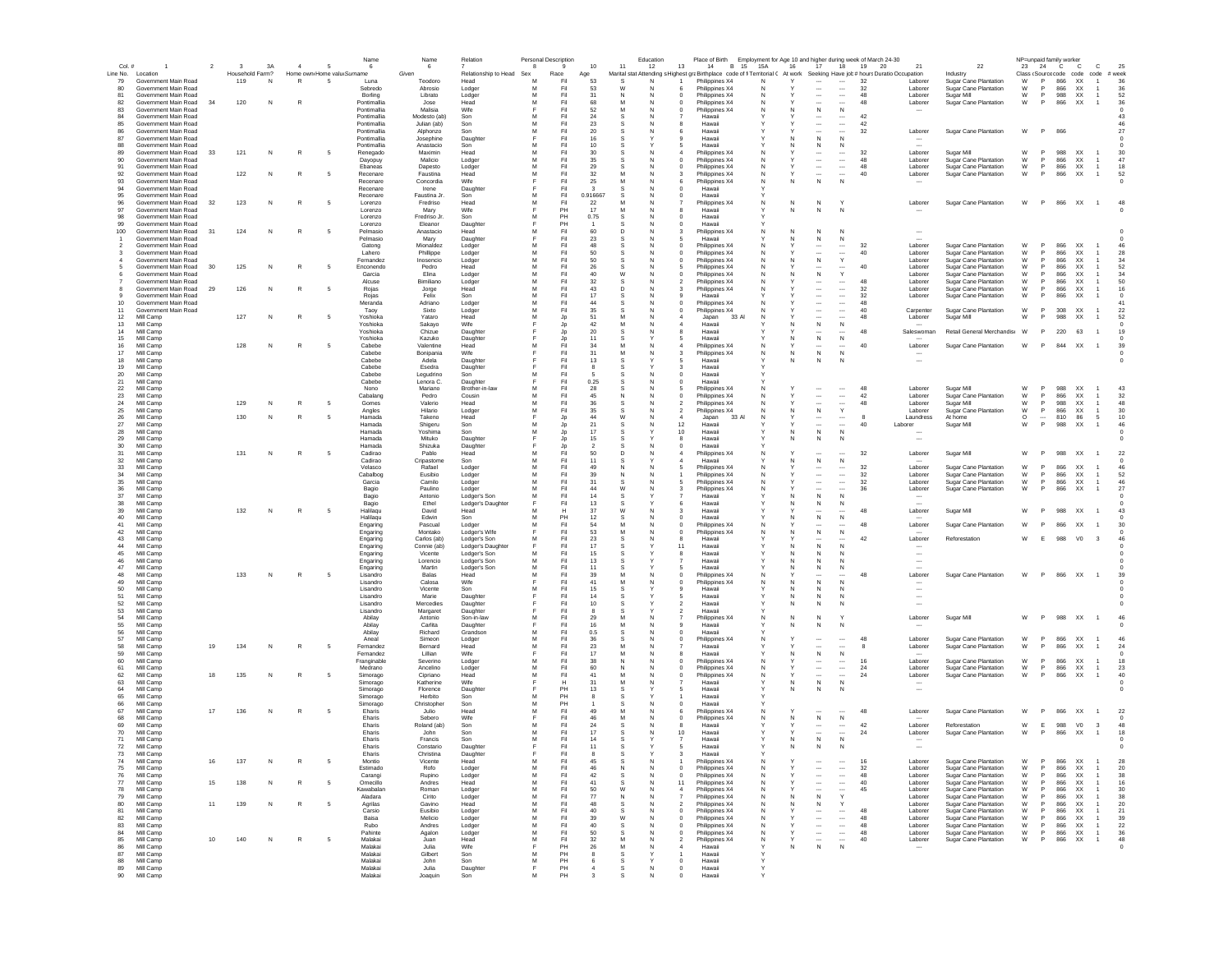| Col.#               |                                              |    | $\mathbf{3}$    | 3A           | $\overline{a}$ | -5                         | Name<br>6                  | 6                      | Relation                     | Personal Description<br>8 |            | $10$           | 11      | Education<br>12 | Place of Birth<br>13<br>14<br>B 15 15A                                                                                      |        | Employment for Age 10 and higher during week of March 24-30<br>16<br>17 | 18                                                   | 19       | 20<br>21                            | 22                                             | NP=unpaid family worker<br>23 | 24 C     | $\mathbf{C}$                  | $\mathbf c$          | 25               |  |
|---------------------|----------------------------------------------|----|-----------------|--------------|----------------|----------------------------|----------------------------|------------------------|------------------------------|---------------------------|------------|----------------|---------|-----------------|-----------------------------------------------------------------------------------------------------------------------------|--------|-------------------------------------------------------------------------|------------------------------------------------------|----------|-------------------------------------|------------------------------------------------|-------------------------------|----------|-------------------------------|----------------------|------------------|--|
| Line No.            | Location                                     |    | Household Farm? |              |                | Home own Home valu Surname |                            | Given                  | Relationship to Head         | Sex                       | Race       | Age            |         |                 | Marital stat Attending s Highest graBirthplace code of fi Territorial ( At work Seeking Have job # hours Duratio Occupation |        |                                                                         |                                                      |          |                                     | Industry                                       | Class (Source code code       |          |                               | code                 | # week           |  |
| 79                  | Government Main Road                         |    | 119             | $\mathsf{N}$ | $\mathbb{R}$   | 5                          | Luna                       | Teodoro                | Head                         | M                         | Fil        | 53             | s       |                 | Philippines X4                                                                                                              | N      | $\cdots$                                                                | $\cdots$                                             | 32       | Laborer                             | Sugar Cane Plantation                          | W                             | P        | 866<br><b>XX</b>              | $\overline{1}$       | 36               |  |
| 80                  | Government Main Road<br>Government Main Road |    |                 |              |                |                            | Sebredo                    | Abrosio                | Lodger                       | M                         | Fil<br>Fil | 53             |         |                 | Philippines X4                                                                                                              |        |                                                                         | $\ldots$                                             | 32<br>48 | Laborer                             | Sugar Cane Plantation                          | W<br>W                        | P<br>P   | 866<br>XX                     |                      | 36               |  |
| 81<br>82            | Government Main Road                         | 34 | 120             | N            | R              |                            | Borling<br>Pontimallia     | Librato<br>Jose        | Lodger<br>Head               | м                         | Fil        | 31<br>68       | -N<br>M | N               | Philippines X4<br>0<br>Philippines X4<br>$\Omega$                                                                           | N<br>N | $\overline{\phantom{a}}$<br>$\overline{\phantom{a}}$                    | $\overline{\phantom{a}}$                             | 48       | Laborer<br>Laborer                  | Sugar Mill<br>Sugar Cane Plantation            | W                             | P        | 988<br>XX<br>866<br><b>XX</b> | $\mathbf{1}$         | 52<br>36         |  |
| 83                  | Government Main Road                         |    |                 |              |                |                            | Pontimallia                | Malisia                | Wife                         |                           | Fil        | -52            | м       | <b>N</b>        | Philippines X4<br>0                                                                                                         | N      | ${\sf N}$<br>N.                                                         | N                                                    |          |                                     |                                                |                               |          |                               |                      | $\Omega$         |  |
| 84                  | Government Main Road                         |    |                 |              |                |                            | Pontimallia                | Modesto (ab)           | Son                          | м                         | Fil        | 24             |         |                 | Hawaii                                                                                                                      |        | $\cdots$                                                                | $\cdots$                                             | 42       |                                     |                                                |                               |          |                               |                      | 43               |  |
| 85                  | Government Main Road                         |    |                 |              |                |                            | Pontimallia                | Julian (ab)            | Son                          | м                         | Fil        | 23             | s       | <b>N</b>        | Hawaii<br>я                                                                                                                 |        | $\cdots$                                                                | $\cdots$                                             | 42       |                                     |                                                |                               |          |                               |                      | 46               |  |
| 86<br>87            | Government Main Road<br>Government Main Road |    |                 |              |                |                            | Pontimallia<br>Pontimallia | Alphonzo<br>Josephine  | Son<br>Daughter              | M<br>E                    | Fil<br>Fil | 20<br>16       | s<br>s  | N               | Hawaii<br>6<br>Hawaii<br>$\Omega$                                                                                           |        | $\overline{\phantom{a}}$<br>N<br>N                                      | $\overline{\phantom{a}}$<br>N                        | 32       | Laborer                             | Sugar Cane Plantation                          | W                             | P.       | 866                           |                      | 27               |  |
| 88                  | Government Main Road                         |    |                 |              |                |                            | Pontimallia                | Anastacio              | Son                          | м                         | Fil        | 10             |         |                 | Hawaii                                                                                                                      |        | N                                                                       | N                                                    |          | $\overline{\phantom{a}}$            |                                                |                               |          |                               |                      |                  |  |
| 89                  | Government Main Road                         | 33 | 121             | N            |                | -5                         | Renegado                   | Maximin                | Head                         | M                         | Fil        | 30             | s       | N               | Philippines X4                                                                                                              | N      | $\overline{\phantom{a}}$                                                | $\overline{\phantom{a}}$                             | 32       | Laborer                             | Sugar Mill                                     | W                             | P        | 988<br><b>XX</b>              |                      | 30               |  |
| 90                  | Government Main Road                         |    |                 |              |                |                            | Dayopuy                    | Malicio                | Lodger                       | M                         | Fil        | 35             | s       |                 | Philippines X4                                                                                                              | N      | $\overline{\phantom{a}}$                                                | $\ldots$                                             | 48       | Laborer                             | Sugar Cane Plantation                          | W                             | P        | 866<br>XX                     |                      | 47               |  |
| 91<br>92            | Government Main Road<br>Government Main Road |    | 122             | N            | R              |                            | Ebaneas<br>Recenare        | Dapesto<br>Faustina    | Lodger<br>Head               | M<br>M                    | Fil<br>Fil | 29<br>32       | M       |                 | Philippines X4<br>Philippines X4                                                                                            | N<br>N | $\overline{\phantom{a}}$<br>$\overline{\phantom{a}}$                    | <br>$\overline{\phantom{a}}$                         | 48<br>40 | Laborer<br>Laborer                  | Sugar Cane Plantation<br>Sugar Cane Plantation | W<br>W                        | P<br>P   | 866<br>XX<br>866              | XX                   | 18<br>52         |  |
| 93                  | Government Main Road                         |    |                 |              |                |                            | Recenare                   | Concordia              | Wife                         |                           | Fil        | 25             | M       |                 | Philippines X4                                                                                                              | N      | N                                                                       | N                                                    |          |                                     |                                                |                               |          |                               |                      |                  |  |
| 94                  | Government Main Road                         |    |                 |              |                |                            | Recenare                   | Irene                  | Daughter                     |                           | Fil        |                |         |                 | Hawaii                                                                                                                      |        |                                                                         |                                                      |          |                                     |                                                |                               |          |                               |                      |                  |  |
| 95                  | Government Main Road                         |    |                 |              |                |                            | Recenare                   | Faustina Jr.           | Son                          |                           | Fil        | 0.916667       |         |                 | Hawaii                                                                                                                      |        |                                                                         |                                                      |          |                                     |                                                |                               |          |                               |                      |                  |  |
| 96                  | Government Main Road                         | 32 | 123             | N            | R              | - 5                        | Lorenzo                    | Fredriso               | Head                         | M                         | Fil        | 22             |         |                 | Philippines X4                                                                                                              | N      | N<br>N                                                                  |                                                      |          | Laborer                             | Sugar Cane Plantation                          | W                             | P        |                               | 866 XX 1             | 48               |  |
| 97<br>98            | Government Main Road<br>Government Main Road |    |                 |              |                |                            | Lorenzo                    | Marv<br>Fredriso Jr.   | Wife                         |                           | PH<br>PH   | 17<br>0.75     | M       | N               | Hawaii                                                                                                                      |        | $\mathbb N$<br>N                                                        | N                                                    |          |                                     |                                                |                               |          |                               |                      |                  |  |
| 99                  | Government Main Road                         |    |                 |              |                |                            | Lorenzo<br>Lorenzo         | Eleanor                | Son<br>Daughter              | м                         | PH         |                | s       |                 | Hawaii<br>$\Omega$<br>Hawaii                                                                                                |        |                                                                         |                                                      |          |                                     |                                                |                               |          |                               |                      |                  |  |
| 100                 | Government Main Road                         | 31 | 124             | N            | $\mathbb{R}$   | - 5                        | Pelmasio                   | Anastacio              | Head                         | м                         | Fil        | 60             | D       | N               | Philippines X4                                                                                                              | N      | N<br>N                                                                  | N                                                    |          | $\overline{\phantom{a}}$            |                                                |                               |          |                               |                      |                  |  |
|                     | Government Main Road                         |    |                 |              |                |                            | Pelmasio                   | Mary                   | Daughter                     |                           | Fil        | 23             |         | N               | Hawaii                                                                                                                      |        | N<br>N                                                                  | N                                                    |          | $\sim$                              |                                                |                               |          |                               |                      |                  |  |
| $\overline{2}$      | Government Main Road                         |    |                 |              |                |                            | Gatong                     | Mionaldez              | Lodger                       | M                         | Fil        | 48             | s       | N               | Philippines X4<br>$\Omega$                                                                                                  | N      | $\overline{\phantom{a}}$                                                |                                                      | 32       | Laborer                             | Sugar Cane Plantation                          | W                             | P        | 866<br><b>XX</b>              |                      | 46               |  |
| 3<br>$\overline{a}$ | Government Main Road<br>Government Main Road |    |                 |              |                |                            | Lahero<br>Fernandez        | Phillippe<br>Inosencio | Lodger                       | M<br>M                    | Fil<br>Fil | 50<br>50       | s<br>s  | N<br>N<br>C     | Philippines X4<br>$\Omega$<br>Philippines X4                                                                                | Ν<br>N | $\overline{\phantom{a}}$<br>${\sf N}$<br>N                              | <br>Y                                                | 40       | Laborer<br>Laborer                  | Sugar Cane Plantation<br>Sugar Cane Plantation | W<br>W                        | P<br>P   | 866<br>XX<br>866<br>XX        |                      | 28<br>34         |  |
|                     | Government Main Road                         | 30 | 125             | N            |                |                            | Enconendo                  | Pedro                  | Lodger<br>Head               | M                         | Fil        | 26             | s       | N               | Philippines X4                                                                                                              | N      |                                                                         |                                                      | 40       | Laborer                             | Sugar Cane Plantation                          | W                             | P        | 866<br>XX                     |                      | 52               |  |
|                     | Government Main Road                         |    |                 |              |                |                            | Garcia                     | Elina                  | Lodger                       | M                         | Fil        | 40             | W       |                 | Philippines X4                                                                                                              |        | ${\sf N}$                                                               | Y                                                    |          | Laborer                             | Sugar Cane Plantation                          | W                             | P        | 866<br>XX                     |                      | 34               |  |
|                     | Government Main Road                         |    |                 |              |                |                            | Alcuse                     | Bimiliano              | Lodger                       | M                         | Fil        | 32             |         |                 | Philippines X4                                                                                                              |        |                                                                         |                                                      | 48       | Laborer                             | Sugar Cane Plantation                          | W                             | P        | 866<br>XX                     |                      | 50               |  |
|                     | Government Main Road                         | 29 | 126             | N            | R              |                            | Rojas                      | Jorge                  | Head                         | M                         | Fil        | 43             | D       |                 | Philippines X4                                                                                                              |        | $\overline{\phantom{a}}$                                                | $\cdots$                                             | 32       | Laborer                             | Sugar Cane Plantation                          | W                             | P        | 866<br>XX                     |                      | 16               |  |
| 9<br>10             | Government Main Road<br>Government Main Road |    |                 |              |                |                            | Rojas<br>Meranda           | Felix<br>Adriano       | Son<br>Lodger                | M<br>M                    | Fil<br>Fil | 17<br>44       |         |                 | Hawaii<br>Philippines X4                                                                                                    |        | $\overline{\phantom{a}}$<br>$\ddotsc$                                   | $\cdots$<br>$\overline{\phantom{a}}$                 | 32<br>48 | Laborer                             | Sugar Cane Plantation                          | W                             |          | 866                           | XX                   | $^{\circ}$<br>41 |  |
| 11                  | Government Main Road                         |    |                 |              |                |                            | Taoy                       | Sixto                  | Lodger                       | M                         | Fil        | 35             | s       |                 | Philippines X4<br>$^{\circ}$                                                                                                |        | $\cdots$                                                                | $\ldots$                                             | 40       | Carpenter                           | Sugar Cane Plantation                          | W                             | P        | 308                           | XX<br>$\overline{1}$ | 22               |  |
| 12                  | Mill Camp                                    |    | 127             | N            | $\mathbb{R}$   | -5                         | Yoshioka                   | Yataro                 | Head                         | м                         | Jp         | 51             | M       | N               | Japan<br>33 A                                                                                                               | N      | $\overline{\phantom{a}}$                                                |                                                      | 48       | Laborer                             | Sugar Mill                                     | W                             | P        | 988<br><b>XX</b>              | $\overline{1}$       | 52               |  |
| 13                  | Mill Camp                                    |    |                 |              |                |                            | Yoshioka                   | Sakavo                 | Wife                         |                           | Jp         | 42             | M       | N               | Hawaii                                                                                                                      |        | $\,$ N<br>N.                                                            | N                                                    |          |                                     |                                                |                               |          |                               |                      |                  |  |
| 14                  | Mill Camp                                    |    |                 |              |                |                            | Yoshioka                   | Chizue                 | Daughter                     |                           | Jp         | 20             | s       |                 | Hawaii                                                                                                                      |        | $\cdots$                                                                |                                                      | 48       | Saleswoman                          | Retail General Merchandis W                    |                               | P        | 220 63                        | $\overline{1}$       | 19               |  |
| 15<br>16            | Mill Camp                                    |    | 128             | N            | R              | -5                         | Yoshioka<br>Cabebe         | Kazuko<br>Valentine    | Daughter<br>Head             | м                         | Jp<br>Fil  | 11<br>34       | -S<br>M | N               | Hawaii<br>.5                                                                                                                | N      | ${\sf N}$<br>N<br>$\overline{\phantom{a}}$                              | N<br>                                                | 40       |                                     |                                                | W                             | P.       |                               | $\overline{1}$       | $^{\circ}$       |  |
| 17                  | Mill Camp<br>Mill Camp                       |    |                 |              |                |                            | Cahehe                     | Bonipania              | Wife                         |                           | Fil        | 31             | M       | N               | Philippines X4<br>Philippines X4                                                                                            | N      | ${\sf N}$<br>N                                                          | N                                                    |          | Laborer                             | <b>Sugar Cane Plantation</b>                   |                               |          | 844 XX                        |                      | 39               |  |
| 18                  | Mill Camp                                    |    |                 |              |                |                            | Cahehe                     | Adela                  | Daughter                     |                           | Fil        | 13             |         |                 | Hawaii                                                                                                                      |        | N<br>N                                                                  | N                                                    |          | $\overline{\phantom{a}}$            |                                                |                               |          |                               |                      | $^{\circ}$       |  |
| 19                  | Mill Camp                                    |    |                 |              |                |                            | Cahehe                     | Esedra                 | Daughter                     |                           | Fil        | $\mathbf{R}$   | s       |                 | Hawaii<br>3                                                                                                                 |        |                                                                         |                                                      |          |                                     |                                                |                               |          |                               |                      |                  |  |
| 20                  | Mill Camp                                    |    |                 |              |                |                            | Cabebe                     | Legudrino              | Son                          | M                         | Fil        |                |         | N               | $\mathbf 0$<br>Hawaii                                                                                                       |        |                                                                         |                                                      |          |                                     |                                                |                               |          |                               |                      |                  |  |
| 21<br>22            | Mill Camp<br>Mill Camp                       |    |                 |              |                |                            | Cabebe<br>Nono             | Lenora C.<br>Mariano   | Daughter<br>Brother-in-lav   | M                         | Fil<br>Fil | 0.25<br>28     |         |                 | Hawaii<br>Philippines X4                                                                                                    |        |                                                                         |                                                      | 48       | Laborer                             | Sugar Mill                                     | W                             | P        | 988<br>XX                     |                      | 43               |  |
| 23                  | Mill Camp                                    |    |                 |              |                |                            | Cabalang                   | Pedro                  | Cousin                       | M                         | Fil        | 45             |         |                 | Philippines X4                                                                                                              |        | $\overline{\phantom{a}}$                                                | $\ldots$                                             | 42       | Laborer                             | Sugar Cane Plantation                          | W                             | P        | 866<br>XX                     |                      | 32               |  |
| 24                  | Mill Camp                                    |    | 129             | N            | R              |                            | Gomes                      | Valerio                | Head                         | M                         | Fil        | 36             |         |                 | Philippines X4                                                                                                              |        |                                                                         |                                                      | 48       | Laborer                             | Sugar Mill                                     | W                             | P        | 988<br>XX                     | 1                    | 48               |  |
| 25                  | Mill Camp                                    |    |                 |              |                |                            | Angles                     | Hilario                | Lodger                       | M                         | Fil        | 35             |         |                 | Philippines X4                                                                                                              |        | N                                                                       | Y                                                    |          | Laborer                             | Sugar Cane Plantation                          | W                             | P        | 866<br>XX                     |                      | 30               |  |
| 26                  | Mill Camp                                    |    | 130             | N            |                |                            | Hamada                     | Takeno                 | Head                         |                           | Jp         | 44             | W       |                 | 33 A<br>Japan<br>4                                                                                                          |        | $\cdots$                                                                | $\cdots$                                             | 8        | Laundress                           | At home                                        | $\circ$                       | $\cdots$ | 810                           | 86<br>5              | 10               |  |
| 27<br>28            | Mill Camp<br>Mill Camp                       |    |                 |              |                |                            | Hamada<br>Hamada           | Shigeru<br>Yoshima     | Son<br>Son                   | м<br>м                    | Jp<br>Jp   | 21<br>17       | s       |                 | 12<br>Hawaii<br>10<br>Hawaii                                                                                                |        | $\ddotsc$<br>$\,$ N<br>N                                                | $\overline{\phantom{a}}$<br>N                        | 40       | Laborer<br>$\overline{\phantom{a}}$ | Sugar Mill                                     | W                             | P        | 988<br>XX                     | $\overline{1}$       | 46               |  |
| 29                  | Mill Camp                                    |    |                 |              |                |                            | Hamada                     | Mituko                 | Daughter                     |                           | Jp         | 15             |         |                 | 8<br>Hawaii                                                                                                                 |        | $\mathbb N$<br>N                                                        | N                                                    |          | $\overline{\phantom{a}}$            |                                                |                               |          |                               |                      |                  |  |
| 30                  | Mill Camp                                    |    |                 |              |                |                            | Hamada                     | Shizuka                | Daughter                     |                           | Jp         | $\overline{2}$ | s       | N               | Hawaii<br>$\Omega$                                                                                                          |        |                                                                         |                                                      |          |                                     |                                                |                               |          |                               |                      |                  |  |
| 31                  | Mill Camp                                    |    | 131             | N            | R              | - 5                        | Cadirao                    | Pablo                  | Head                         | M                         | Fil        | 50             | D       | N               | Philippines X4                                                                                                              | N      | $\overline{\phantom{a}}$                                                | $\overline{\phantom{a}}$                             | 32       | Laborer                             | Sugar Mill                                     | W                             | P.       | 988<br>XX                     |                      | 22               |  |
| 32                  | Mill Camp                                    |    |                 |              |                |                            | Cadirao                    | Cripastome             | Son                          | M                         | Fil        | 11             |         |                 | Hawaii                                                                                                                      |        | ${\sf N}$<br>N                                                          | $\,N\,$                                              |          |                                     |                                                |                               |          |                               |                      |                  |  |
| 33<br>34            | Mill Camp<br>Mill Camp                       |    |                 |              |                |                            | Velasco<br>Cabalbog        | Rafael<br>Eusibio      | Lodger                       | M<br>M                    | Fil<br>Fil | 49<br>39       | N       | N               | Philippines X4<br>Philippines X4                                                                                            | N<br>N | $\overline{\phantom{a}}$<br>$\overline{\phantom{a}}$                    | $\overline{\phantom{a}}$<br>$\overline{\phantom{a}}$ | 32<br>32 | Laborer<br>Laborer                  | <b>Sugar Cane Plantation</b>                   | W<br>W                        | P<br>P   | 866<br>XX<br>866<br>XX        | 1                    | 46<br>52         |  |
| 35                  | Mill Camp                                    |    |                 |              |                |                            | Garcia                     | Camilo                 | Lodger<br>Lodger             | M                         | Fil        | 31             |         | N               | Philippines X4                                                                                                              | N      | $\overline{\phantom{a}}$                                                |                                                      | 32       | Laborer                             | Sugar Cane Plantation<br>Sugar Cane Plantation | W                             | P        | 866<br>XX                     | 1                    | 46               |  |
| 36                  | Mill Camp                                    |    |                 |              |                |                            | Bagio                      | Paulino                | Lodger                       | M                         | Fil        | 44             | W       |                 | Philippines X4                                                                                                              |        | $\overline{\phantom{a}}$                                                | $\sim$                                               | 36       | Laborer                             | <b>Sugar Cane Plantation</b>                   | W                             | P        | 866                           | XX                   | 27               |  |
| 37                  | Mill Camp                                    |    |                 |              |                |                            | Bagio                      | Antonio                | Lodger's Son                 | M                         | Fil        | 14             |         |                 | Hawaii                                                                                                                      |        | ${\sf N}$                                                               | N                                                    |          |                                     |                                                |                               |          |                               |                      |                  |  |
| 38                  | Mill Camp                                    |    |                 |              |                |                            | Bagio                      | Ethel                  | Lodger's Daughte             |                           | Fil        | 13             |         |                 | Hawaii                                                                                                                      |        | N                                                                       | N                                                    |          |                                     |                                                |                               |          |                               |                      |                  |  |
| 39<br>40            | Mill Camp                                    |    | 132             | N            | $\mathbb{R}$   | - 5                        | Halilaqu                   | David                  | Head                         | M                         | Н<br>PH    | 37             | W       |                 | Hawaii                                                                                                                      |        | $\cdots$<br>$\mathsf{N}$                                                | N                                                    | 48       | Laborer                             | Sugar Mill                                     | W                             | P        | 988<br>XX                     | $\overline{1}$       | 43               |  |
| 41                  | Mill Camp<br>Mill Camp                       |    |                 |              |                |                            | Halilaqu<br>Engaring       | Edwin<br>Pascual       | Son<br>Lodger                | M                         | Fil        | 12<br>54       |         |                 | Hawaii<br>Philippines X4<br>0                                                                                               | N      |                                                                         |                                                      | 48       | Laborer                             | Sugar Cane Plantation                          | W                             |          | 866                           | XX                   |                  |  |
| 42                  | Mill Camp                                    |    |                 |              |                |                            | Engaring                   | Montako                | Lodger's Wife                |                           | Fil        | 53             | M       |                 | $^{\circ}$<br>Philippines X4                                                                                                | N      | ${\sf N}$<br>N.                                                         | $\mathbb N$                                          |          |                                     |                                                |                               |          |                               |                      |                  |  |
| 43                  | Mill Camp                                    |    |                 |              |                |                            | Engaring                   | Carlos (ab)            | Lodger's Son                 | м                         | Fil        | 23             | -S      |                 | Hawaii<br>8                                                                                                                 |        | $\cdots$                                                                |                                                      | 42       | Laborer                             | Reforestation                                  | W                             | E        | 988<br>V <sub>0</sub>         | $_{3}$               | 46               |  |
| 44                  | Mill Camp                                    |    |                 |              |                |                            | Engaring                   | Connie (ab)            | Lodger's Daughte             |                           | Fil        | 17             |         |                 | 11<br>Hawaii                                                                                                                |        | $\mathbb N$                                                             | N                                                    |          |                                     |                                                |                               |          |                               |                      |                  |  |
| 45                  | Mill Camp                                    |    |                 |              |                |                            | Engaring                   | Vicente                | Lodger's Son                 | м                         | Fil        | 15             | s       |                 | 8<br>Hawaii                                                                                                                 |        | N<br>N.                                                                 | N                                                    |          | $\overline{\phantom{a}}$            |                                                |                               |          |                               |                      |                  |  |
| 46<br>47            | Mill Camp<br>Mill Camp                       |    |                 |              |                |                            | Engaring<br>Engaring       | Lorencio<br>Martin     | Lodger's Son<br>Lodger's Son | M<br>M                    | Fil<br>Fil | 13<br>11       | s<br>s  |                 | Hawaii<br>Hawaii                                                                                                            |        | $\mathbb N$<br>N<br>N<br>N                                              | N<br>N                                               |          | $\overline{\phantom{a}}$            |                                                |                               |          |                               |                      |                  |  |
| 48                  | Mill Camp                                    |    | 133             | N            | $\mathbb{R}$   | - 5                        | Lisandro                   | Balas                  | Head                         | м                         | Fil        | 39             | M       |                 | Philippines X4<br>$\Omega$                                                                                                  | N      | $\overline{\phantom{a}}$                                                |                                                      | 48       | Laborer                             | Sugar Cane Plantation                          | W                             | P.       | 866 XX                        | $\overline{1}$       | 39               |  |
| 49                  | Mill Camp                                    |    |                 |              |                |                            | Lisandro                   | Calosa                 | Wife                         |                           | Fil        | 41             | M       | N               | Philippines X4<br>$\Omega$                                                                                                  | N      | N<br>N                                                                  | N                                                    |          |                                     |                                                |                               |          |                               |                      |                  |  |
| 50                  | Mill Camp                                    |    |                 |              |                |                            | Lisandro                   | Vicente                | Son                          | M                         | Fil        | 15             | S       |                 | Hawaii                                                                                                                      |        | N                                                                       | N                                                    |          |                                     |                                                |                               |          |                               |                      |                  |  |
| 51<br>52            | Mill Camp<br>Mill Camp                       |    |                 |              |                |                            | Lisandro<br>Lisandro       | Marie                  | Daughter                     |                           | Fil<br>Fil | 14<br>10       |         |                 | Hawaii<br>Hawaii                                                                                                            |        | N<br>N<br>N<br>Ν                                                        | N                                                    |          |                                     |                                                |                               |          |                               |                      |                  |  |
| 53                  | Mill Camp                                    |    |                 |              |                |                            | Lisandro                   | Mercedies<br>Margaret  | Daughter<br>Daughter         |                           | Fil        |                |         |                 | Hawaii                                                                                                                      |        |                                                                         |                                                      |          |                                     |                                                |                               |          |                               |                      |                  |  |
| 54                  | Mill Camp                                    |    |                 |              |                |                            | Abilay                     | Antonio                | Son-in-law                   | M                         | Fil        | 29             | M       |                 | Philippines X4                                                                                                              | N      | N<br>N                                                                  |                                                      |          | Laborer                             | Sugar Mill                                     | W                             | P        | 988 XX                        |                      |                  |  |
| 55                  | Mill Camp                                    |    |                 |              |                |                            | Abilay                     | Carlita                | Daughter                     |                           | Fil        | 16             |         |                 | Hawaii                                                                                                                      |        | $\mathbb N$<br>N                                                        |                                                      |          |                                     |                                                |                               |          |                               |                      |                  |  |
| 56                  | Mill Camp                                    |    |                 |              |                |                            | Abilay                     | Richard                | Grandson                     | M                         | Fil        | 0.5            |         |                 | Hawaii                                                                                                                      |        |                                                                         |                                                      |          |                                     |                                                |                               | P        |                               |                      |                  |  |
| 57<br>58            | Mill Camp<br>Mill Camp                       | 19 | 134             | N            | R              | - 5                        | Aneal<br>Fernandez         | Simeon<br>Bernard      | Lodger<br>Head               | м<br>м                    | Fil<br>Fil | 36<br>-23      | s<br>M  | C<br>N          | Philippines X4<br>Hawaii                                                                                                    | N      | $\ddotsc$<br>$\cdots$                                                   | $\cdots$<br>                                         | 48<br>8  | Laborer<br>Laborer                  | Sugar Cane Plantation<br>Sugar Cane Plantation | W<br>W                        | P.       | 866<br><b>XX</b><br>866<br>XX |                      | 46<br>24         |  |
| -59                 | Mill Camp                                    |    |                 |              |                |                            | Fernandez                  | Lillian                | Wife                         |                           | Fil        | 17             |         |                 | Hawaii                                                                                                                      |        | N<br>N.                                                                 | N                                                    |          |                                     |                                                |                               |          |                               |                      |                  |  |
| 60                  | Mill Camp                                    |    |                 |              |                |                            | Francinable                | Severino               | Lodger                       | м                         | Fil        | 38             | N       | N               | Philippines X4<br>$\Omega$                                                                                                  | N      | $\ddotsc$                                                               | $\cdots$                                             | 16       | Laborer                             | Sugar Cane Plantation                          | W                             | <b>P</b> | 866<br>XX                     | $\overline{1}$       | 18               |  |
| 61                  | Mill Camp                                    |    |                 |              |                |                            | Medrano                    | Ancelino               | Lodger                       | M                         | Fil        | 60             | N       | N               | Philippines X4<br>$\Omega$                                                                                                  | N      | $\overline{\phantom{a}}$                                                | $\cdots$                                             | 24       | Laborer                             | <b>Sugar Cane Plantation</b>                   | W                             | P        | 866<br><b>XX</b>              | $\overline{1}$       | 23               |  |
| 62<br>63            | Mill Camp                                    | 18 | 135             | N            | R              | -5                         | Simorago                   | Cipriano<br>Katherine  | Head<br>Wife                 | M                         | Fil<br>н   | 41<br>31       | M<br>M  | N               | Philippines X4<br>$\Omega$<br>Hawaii                                                                                        | N      | $\overline{\phantom{a}}$<br>N                                           | $\overline{\phantom{a}}$<br>$\mathbb N$              | 24       | Laborer                             | Sugar Cane Plantation                          | W                             | P        | 866<br>XX                     | $\overline{1}$       | 40<br>$\Omega$   |  |
| 64                  | Mill Camp<br>Mill Camp                       |    |                 |              |                |                            | Simorago<br>Simorago       | Florence               | Daughter                     |                           | PH         | 13             | s       |                 | Hawaii<br>5                                                                                                                 |        | ${\sf N}$<br>N<br>N                                                     | N                                                    |          | $\overline{\phantom{a}}$            |                                                |                               |          |                               |                      |                  |  |
| 65                  | Mill Camp                                    |    |                 |              |                |                            | Simorago                   | Herbito                | Son                          | M                         | PH         |                | s       |                 | Hawaii                                                                                                                      |        |                                                                         |                                                      |          |                                     |                                                |                               |          |                               |                      |                  |  |
| 66                  | Mill Camp                                    |    |                 |              |                |                            | Simorago                   | Christopher            | Son                          | M                         | PH         |                |         |                 | Hawaii                                                                                                                      |        |                                                                         |                                                      |          |                                     |                                                |                               |          |                               |                      |                  |  |
| 67                  | Mill Camp                                    | 17 | 136             | N            | R              |                            | Eharis                     | Julio                  | Head                         | M                         | Fil<br>Fil | 49             | M<br>M  |                 | Philippines X4                                                                                                              |        |                                                                         |                                                      | 48       | Laborer                             | Sugar Cane Plantation                          | W                             | P        | 866<br>XX                     |                      | 22               |  |
| 68<br>69            | Mill Camp<br>Mill Camp                       |    |                 |              |                |                            | Eharis<br>Eharis           | Sebero<br>Roland (ab)  | Wife<br>Son                  | M                         | Fil        | 46<br>24       |         |                 | $\mathbf 0$<br>Philippines X4<br>Hawaii<br>8                                                                                | N      | ${\sf N}$                                                               | N                                                    | 42       | Laborer                             | Reforestation                                  | W                             | E        | 988                           | V <sub>0</sub><br>3  | 48               |  |
| 70                  | Mill Camp                                    |    |                 |              |                |                            | Eharis                     | John                   | Son                          |                           | Fil        | 17             |         |                 | 10<br>Hawaii                                                                                                                |        | $\cdots$<br>$\overline{\phantom{a}}$                                    | $\cdots$<br>$\ldots$                                 | 24       | Laborer                             | Sugar Cane Plantation                          | W                             | P        | 866<br>XX                     | $\overline{1}$       | 18               |  |
| 71                  | Mill Camp                                    |    |                 |              |                |                            | Eharis                     | Francis                | Son                          | M                         | Fil        | 14             | s       |                 | Hawaii                                                                                                                      |        | ${\sf N}$<br>N                                                          | N                                                    |          | $\sim$                              |                                                |                               |          |                               |                      |                  |  |
| 72                  | Mill Camp                                    |    |                 |              |                |                            | Eharis                     | Constario              | Daughter                     |                           | Fil        | 11             | -S      |                 | Hawaii                                                                                                                      |        | N<br>N                                                                  | N                                                    |          | $\overline{\phantom{a}}$            |                                                |                               |          |                               |                      |                  |  |
| 73                  | Mill Camp                                    |    |                 |              |                |                            | Eharis                     | Christina              | Daughter                     |                           | Fil        |                |         |                 | Hawaii                                                                                                                      |        |                                                                         |                                                      |          |                                     |                                                |                               |          |                               |                      |                  |  |
| 74<br>75            | Mill Camp<br>Mill Camp                       | 16 | 137             | N            |                |                            | Montio<br>Estimado         | Vicente<br>Rofo        | Head<br>Lodger               | м<br>M                    | Fil<br>Fil | 45<br>46       | N       | N               | Philippines X4<br>Philippines X4<br>$\Omega$                                                                                | N<br>N | $\cdots$<br>$\overline{\phantom{a}}$                                    | $\cdots$<br>$\cdots$                                 | 16<br>32 | Laborer<br>Laborer                  | Sugar Cane Plantation<br>Sugar Cane Plantation | W<br>W                        | P.<br>P. | 866<br>XX.<br>866<br>XX       |                      | 28<br>20         |  |
| 76                  | Mill Camp                                    |    |                 |              |                |                            | Carangi                    | Rupino                 | Lodger                       | M                         | Fil        | 42             | s       | N               | Philippines X4<br>$\Omega$                                                                                                  | N      | $\overline{\phantom{a}}$                                                | $\cdots$                                             | 48       | Laborer                             | Sugar Cane Plantation                          | W                             | P        | 866<br><b>XX</b>              |                      | 38               |  |
| 77                  | Mill Camp                                    | 15 | 138             | N            | $\mathbb{R}$   | -5                         | Omecillo                   | Andres                 | Head                         | M                         | Fil        | 41             | s       | N               | Philippines X4<br>11                                                                                                        | N      | $\overline{\phantom{a}}$                                                | $\overline{\phantom{a}}$                             | 40       | Laborer                             | Sugar Cane Plantation                          | W                             | P.       | 866<br><b>XX</b>              |                      | 16               |  |
| 78                  | Mill Camp                                    |    |                 |              |                |                            | Kawahalan                  | Roman                  | Lodger                       | M                         | Fil        | 50             | W       | N               | Philippines X4                                                                                                              | N      | $\overline{\phantom{a}}$                                                | $\overline{\phantom{a}}$                             | 45       | Laborer                             | Sugar Cane Plantation                          | W                             | P        | 866<br><b>XX</b>              |                      | 30               |  |
| 79                  | Mill Camp                                    |    |                 |              |                |                            | Aladara                    | Cirito                 | Lodger                       | M                         | Fil        | 77             | N       | N               | Philippines X4                                                                                                              | N      | N                                                                       | $\mathsf{Y}$                                         |          | Laborer                             | Sugar Cane Plantation                          | W                             | P.       | 866<br><b>XX</b>              |                      | 38               |  |
| 80                  | Mill Camp                                    | 11 | 139             | N            | R              |                            | Agrilas                    | Gavino                 | Head                         | M<br>M                    | Fil<br>Fil | 48<br>40       | s<br>S  | N<br>N          | Philippines X4                                                                                                              | N      | ${\sf N}$                                                               | Y                                                    | 48       | Laborer                             | Sugar Cane Plantation                          | W<br>W                        | P<br>P   | 866<br>XX<br>866<br><b>XX</b> |                      | 20               |  |
| 81<br>82            | Mill Camp<br>Mill Camp                       |    |                 |              |                |                            | Carsio<br>Baisa            | Eusibio<br>Melicio     | Lodger<br>Lodger             | M                         | Fil        | 39             | W       | N               | Philippines X4<br>Philippines X4                                                                                            | N<br>N | $\overline{\phantom{a}}$                                                | $\ldots$                                             | 48       | Laborer<br>Laborer                  | Sugar Cane Plantation<br>Sugar Cane Plantation | W                             | P        | 866<br>XX                     |                      | 21<br>39         |  |
| 83                  | Mill Camp                                    |    |                 |              |                |                            | Rubo                       | Andres                 | Lodger                       | M                         | Fil        | 40             | s       | N               | Philippines X4                                                                                                              | N      | $\overline{\phantom{a}}$                                                | $\cdots$                                             | 48       | Laborer                             | Sugar Cane Plantation                          | W                             | P        | 866<br>XX                     |                      | 22               |  |
| 84                  | Mill Camp                                    |    |                 |              |                |                            | Pahinte                    | Agalon                 | Lodger                       | M                         | Fil        | 50             |         |                 | Philippines X4                                                                                                              | N      | $\ldots$                                                                | $\ldots$                                             | 48       | Laborer                             | Sugar Cane Plantation                          | W                             | P        | 866<br>XX                     | $\overline{1}$       | 36               |  |
| 85                  | Mill Camp                                    | 10 | 140             | N            | R              |                            | Malakai                    | Juan                   | Head                         | M                         | Fil        | 32             |         |                 | Philippines X4                                                                                                              | N      |                                                                         | $\overline{\phantom{a}}$                             | 40       | Laborer                             | Sugar Cane Plantation                          | W                             | P        | 866<br>XX                     | $\overline{1}$       | 48               |  |
| 86                  | Mill Camp                                    |    |                 |              |                |                            | Malakai                    | Julia                  | Wife                         | F                         | PH         | 26             | M       |                 | Hawaii                                                                                                                      |        | N                                                                       | N                                                    |          | $\cdots$                            |                                                |                               |          |                               |                      |                  |  |
| 87<br>88            | Mill Camp<br>Mill Camp                       |    |                 |              |                |                            | Malakai<br>Malakai         | Gilbert<br>John        | Son<br>Son                   | м<br>M                    | PH<br>PH   |                | s<br>s  |                 | Hawaii<br>$^{\circ}$<br>Hawaii                                                                                              |        |                                                                         |                                                      |          |                                     |                                                |                               |          |                               |                      |                  |  |
| 89                  | Mill Camp                                    |    |                 |              |                |                            | Malakai                    | Julia                  | Daughter                     |                           | PH         |                | s       | N               | $^{\circ}$<br>Hawaii                                                                                                        |        |                                                                         |                                                      |          |                                     |                                                |                               |          |                               |                      |                  |  |
| 90                  | Mill Camp                                    |    |                 |              |                |                            | Malakai                    | Joaquin                | Son                          | м                         | PH         |                | s       | N               | $^{\circ}$<br>Hawaii                                                                                                        |        |                                                                         |                                                      |          |                                     |                                                |                               |          |                               |                      |                  |  |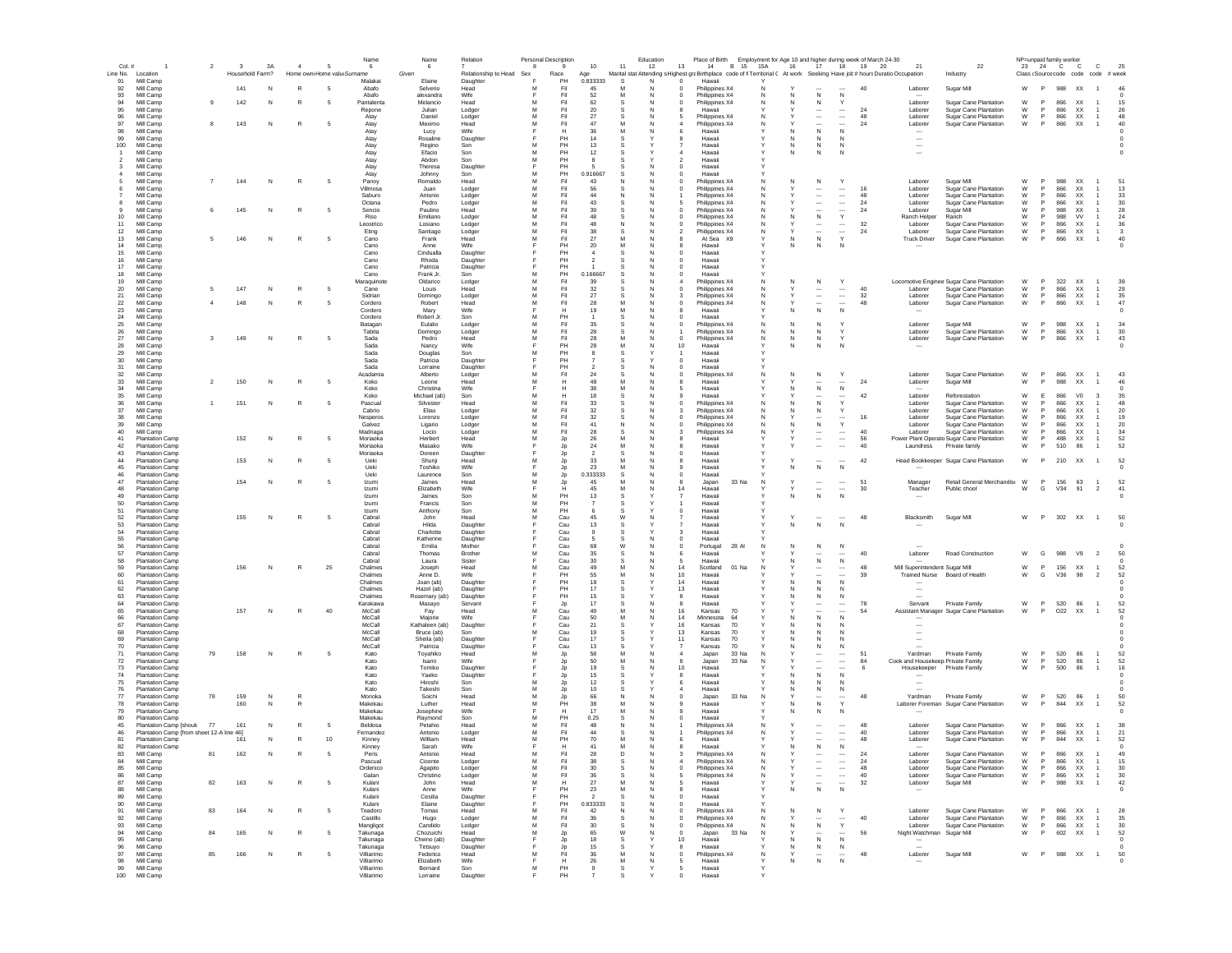| Col.#          |                                                  |    | $\mathbf{3}$    | 3A | $\overline{a}$ | 5                          | Name<br>6                | 6                         | Relation             | 8      | Personal Description | $10$                   | 11      | Education<br>12 | Place of Birth Employment for Age 10 and higher during week of March 24-30<br>13<br>14<br>B 15 15A                          |        | 16<br>17                                 | 18                                                   | 19 20    | 21                             | 22                                                          | 23     | NP=unpaid family worker<br>24 C C |                                      | $\mathbf{C}$                              | 25                 |
|----------------|--------------------------------------------------|----|-----------------|----|----------------|----------------------------|--------------------------|---------------------------|----------------------|--------|----------------------|------------------------|---------|-----------------|-----------------------------------------------------------------------------------------------------------------------------|--------|------------------------------------------|------------------------------------------------------|----------|--------------------------------|-------------------------------------------------------------|--------|-----------------------------------|--------------------------------------|-------------------------------------------|--------------------|
|                | Line No. Location                                |    | Household Farm? |    |                | Home own Home valu Surname |                          | Given                     | Relationship to Head | Sex    | Race                 | Age                    |         |                 | Marital stat Attending s Highest graBirthplace code of fi Territorial C At work Seeking Have job # hours Duratio Occupation |        |                                          |                                                      |          |                                | Industry                                                    |        |                                   |                                      | Class (Source code code code # week       |                    |
| 91             | Mill Camp                                        |    |                 |    |                |                            | Malakai                  | Elaine                    | Daughter             |        | PH                   | 0.833333               | s       |                 | Hawaii<br>$^{\circ}$                                                                                                        |        |                                          |                                                      |          |                                |                                                             |        |                                   |                                      |                                           |                    |
| 92<br>93       | Mill Camp<br>Mill Camp                           |    | 141             | N  | R              | - 5                        | Abafo<br>Abafo           | Selverio<br>alexandra     | Head<br>Wife         |        | Fil<br>Fil           | 45<br>52               | M       |                 | Philippines X4<br>Philippines X4<br>0                                                                                       | N      | ${\sf N}$<br>N                           | $\,N\,$                                              | 40       | Laborer                        | Sugar Mill                                                  | W      | P                                 | 988 XX                               | $\overline{1}$                            | 46                 |
| 94             | Mill Camp                                        | -9 | 142             | N  | R              | - 5                        | Pantalenta               | Melancio                  | Head                 | м      | Fil                  | 62                     | s       | N               | Philippines X4<br>$\Omega$                                                                                                  | N      | N<br>N                                   | Y                                                    |          | Laborer                        | Sugar Cane Plantation                                       | W      | P                                 | 866<br><b>XX</b>                     |                                           | 15                 |
| 95             | Mill Camp                                        |    |                 |    |                |                            | Repone                   | Julian                    | Lodger               | м      | Fil                  | 20                     | -S      | <b>N</b>        | Hawaii                                                                                                                      |        | $\cdots$                                 | $\cdots$                                             | 24       | Laborer                        | Sugar Cane Plantation                                       | W      | P                                 | 866<br><b>XX</b>                     | $\mathbf{1}$                              | 26                 |
| 96<br>97       | Mill Camp<br>Mill Camp                           | 8  | 143             | N  | R              | -5                         | Atav<br>Atav             | Daniel<br>Meximo          | Lodger<br>Head       | м<br>M | Fil<br>Fil           | 27<br>47               | s<br>м  | N               | Philippines X4<br>Philippines X4<br>4                                                                                       | N<br>N | $\cdots$<br>$\cdots$                     | $\overline{\phantom{a}}$<br>$\overline{\phantom{a}}$ | 48<br>24 | Laborer<br>Laborer             | Sugar Cane Plantation<br>Sugar Cane Plantation              | W<br>W | P<br>P                            | <b>XX</b><br>866<br>866<br><b>XX</b> | $\overline{1}$                            | 48<br>40           |
| 98             | Mill Camp                                        |    |                 |    |                |                            | Atay                     | Lucy                      | Wife                 |        | н                    | 36                     | M       | N               | Hawaii<br>6                                                                                                                 |        | ${\sf N}$<br>N                           | N                                                    |          | $\overline{\phantom{a}}$       |                                                             |        |                                   |                                      |                                           | $\Omega$           |
| 99             | Mill Camp                                        |    |                 |    |                |                            | Atay                     | Rosaline                  | Daughter             | E      | PH                   | 14                     | -S      |                 | Hawaii                                                                                                                      |        | $\mathbb N$<br>N                         | N                                                    |          | $\overline{\phantom{a}}$       |                                                             |        |                                   |                                      |                                           |                    |
| 100            | Mill Camp                                        |    |                 |    |                |                            | Atay                     | Regino                    | Son                  | M      | PH                   | 13                     |         |                 | Hawaii                                                                                                                      |        | N<br>N                                   | N                                                    |          | $\overline{\phantom{a}}$       |                                                             |        |                                   |                                      |                                           |                    |
|                | Mill Camp                                        |    |                 |    |                |                            | Atay                     | Efacio                    | Son                  | M<br>M | PH<br>PH             | 12                     |         |                 | Hawaii                                                                                                                      |        | $\mathbb N$<br>N                         | N                                                    |          | $\overline{\phantom{a}}$       |                                                             |        |                                   |                                      |                                           |                    |
| $\overline{2}$ | Mill Camp<br>Mill Camp                           |    |                 |    |                |                            | Atay<br>Atay             | Abdon<br>Theresa          | Son<br>Daughter      | Е      | PH                   |                        | s       |                 | $\overline{2}$<br>Hawaii<br>$\mathbf 0$<br>Hawaii                                                                           |        |                                          |                                                      |          |                                |                                                             |        |                                   |                                      |                                           |                    |
|                | Mill Camp                                        |    |                 |    |                |                            | Atay                     | Johnny                    | Son                  | M      | PH                   | 0.916667               | s       |                 | Hawaii                                                                                                                      |        |                                          |                                                      |          |                                |                                                             |        |                                   |                                      |                                           |                    |
|                | Mill Camp                                        |    | 144             | N  | R              |                            | Panoy                    | Romaldo                   | Head                 | M      | Fil                  | 43                     |         |                 | Philippines X4                                                                                                              |        | N                                        | Y                                                    |          | Laborer                        | Sugar Mill                                                  | W      | P                                 | 988<br>XX                            |                                           | 51                 |
|                | Mill Camp                                        |    |                 |    |                |                            | Villmosa                 | Juan                      | Lodger               | M      | Fil                  | 56                     |         |                 | Philippines X4                                                                                                              | N      | $\cdots$                                 | $\cdots$                                             | 16       | Laborer                        | Sugar Cane Plantation                                       | W      |                                   | 866<br>XX                            |                                           | 13                 |
|                | Mill Camp<br>Mill Camp                           |    |                 |    |                |                            | Saburo<br>Octana         | Antonio<br>Pedro          | Lodger<br>Lodger     | M      | Fil<br>Fil           | 44<br>43               |         |                 | Philippines X4<br>Philippines X4                                                                                            | N      | $\ddotsc$<br>$\cdots$                    | $\ldots$<br>$\ldots$                                 | 48<br>24 | Laborer<br>Laborer             | Sugar Cane Plantation<br>Sugar Cane Plantation              | W<br>W |                                   | 866<br>XX<br>866<br>XX               |                                           | 33<br>30           |
|                | Mill Camp                                        |    | 145             | N  | R              |                            | Sencio                   | Paulino                   | Head                 | м      | Fil                  | 39                     |         | C               | Philippines X4                                                                                                              | N      | $\ddotsc$                                | $\overline{\phantom{a}}$                             | 24       | Laborer                        | Sugar Mill                                                  | W      | <b>P</b>                          | 988<br><b>XX</b>                     |                                           | 28                 |
| 10             | Mill Camp                                        |    |                 |    |                |                            | Riso                     | Emiliano                  | Lodger               | M      | Fil                  | 48                     | -S      | N               | Philippines X4<br>$\Omega$                                                                                                  | N      | ${\sf N}$<br>N                           | $\mathsf Y$                                          |          | Ranch Helper                   | Ranch                                                       | W      | <b>P</b>                          | 988<br><b>VV</b>                     |                                           | 24                 |
| 11             | Mill Camp                                        |    |                 |    |                |                            | Leostrico                | Losiano                   | Lodger               | м      | Fil                  | 48                     | N       | N               | Philippines X4<br>$\Omega$                                                                                                  | N      | $\cdots$                                 | $\cdots$                                             | 32       | Laborer                        | Sugar Cane Plantation                                       | W      | P.                                | 866<br>XX.                           |                                           | 36                 |
| 12<br>13       | Mill Camp<br>Mill Camp                           |    | 146             | N  | R              | -5                         | Eting<br>Cano            | Santiago<br>Frank         | Lodger<br>Head       | M<br>M | Fil<br>Fil           | 38<br>27               | -S<br>M | N<br>N          | Philippines X4<br>2<br>At Sea X9                                                                                            | N      | $\cdots$<br>N<br>N                       | $\cdots$<br>$\vee$                                   | 24       | Laborer<br><b>Truck Driver</b> | Sugar Cane Plantation<br>Sugar Cane Plantation              | W<br>W | P<br>P.                           | 866<br><b>XX</b><br>866<br>XX        | $\mathbf{1}$<br>$\overline{1}$            | $\mathbf{3}$<br>40 |
| 14             | Mill Camp                                        |    |                 |    |                |                            | Cano                     | Anne                      | Wife                 | E      | PH                   | 20                     | M       | N               | Hawaii<br>$\mathbf{R}$                                                                                                      |        | $\mathbb N$<br>N                         | N                                                    |          |                                |                                                             |        |                                   |                                      |                                           | $\Omega$           |
| 15             | Mill Camp                                        |    |                 |    |                |                            | Cano                     | Cindualla                 | Daughter             |        | PH                   | $\boldsymbol{\Lambda}$ |         |                 | Hawaii<br>$\Omega$                                                                                                          |        |                                          |                                                      |          |                                |                                                             |        |                                   |                                      |                                           |                    |
| 16             | Mill Camp                                        |    |                 |    |                |                            | Cano                     | Rhoda                     | Daughter             |        | PH                   | $\overline{2}$         | s       | N               | Hawaii<br>$\Omega$                                                                                                          |        |                                          |                                                      |          |                                |                                                             |        |                                   |                                      |                                           |                    |
| 17             | Mill Camp<br>Mill Camp                           |    |                 |    |                |                            | Cano                     | Patricia                  | Daughter             | M      | PH<br>PH             |                        | S       | N               | $\mathbf 0$<br>Hawaii                                                                                                       |        |                                          |                                                      |          |                                |                                                             |        |                                   |                                      |                                           |                    |
| 18<br>19       | Mill Camp                                        |    |                 |    |                |                            | Cano<br>Maraquinote      | Frank Jr<br>Oldarico      | Son<br>Lodger        | M      | Fil                  | 0.166667<br>39         |         |                 | Hawaii<br>Philippines X4                                                                                                    |        | N                                        | Y                                                    |          |                                | Locomotive Enginee Sugar Cane Plantation                    | W      | P                                 | 322 XX                               |                                           | 39                 |
| 20             | Mill Camp                                        | 5  | 147             | N  | R              |                            | Cane                     | Louis                     | Head                 | M      | Fil                  | 32                     |         |                 | Philippines X4                                                                                                              | N      | $\overline{\phantom{a}}$                 | $\ldots$                                             | 40       | Laborer                        | Sugar Cane Plantation                                       | W      | P                                 | 866<br>XX                            |                                           | 29                 |
| 21             | Mill Camp                                        |    |                 |    |                |                            | Sidrian                  | Domingo                   | Lodger               | M      | Fil                  | 27                     |         |                 | Philippines X4                                                                                                              | N      | $\overline{\phantom{a}}$                 | $\ldots$                                             | 32       | Laborer                        | Sugar Cane Plantation                                       | W      | P                                 | 866<br>XX                            | $\overline{1}$                            | 35                 |
| 22             | Mill Camp                                        |    | 148             | N  |                |                            | Cordero                  | Robert                    | Head                 | M      | Fil                  | 28                     |         |                 | Philippines X4                                                                                                              |        |                                          |                                                      | 48       | Laborer                        | Sugar Cane Plantation                                       | W      |                                   | 866<br>XX                            |                                           | 47                 |
| 23<br>24       | Mill Camp<br>Mill Camp                           |    |                 |    |                |                            | Cordero<br>Cordero       | Mary<br>Robert Jr.        | Wife<br>Son          | м      | Н<br>PH              | 19                     | M<br>s  |                 | Hawaii<br>Hawaii                                                                                                            |        | ${\sf N}$<br>N                           | N                                                    |          | $\sim$                         |                                                             |        |                                   |                                      |                                           | $^{\circ}$         |
| 25             | Mill Camp                                        |    |                 |    |                |                            | Batagan                  | Eulalio                   | Lodger               | M      | Fil                  | 35                     | s       | N               | Philippines X4                                                                                                              | N      | $\mathbb N$<br>N                         |                                                      |          | Laborer                        | Sugar Mill                                                  | W      | P                                 | 988<br><b>XX</b>                     | $\mathbf{1}$                              | 34                 |
| 26             | Mill Camp                                        |    |                 |    |                |                            | Tabita                   | Domingo                   | Lodger               | м      | Fil                  | 28                     |         |                 | Philippines X4                                                                                                              | N      | N<br>N.                                  |                                                      |          | Laborer                        | Sugar Cane Plantation                                       | W      | P.                                | 866<br><b>XX</b>                     | $\mathbf{1}$                              | 30                 |
| 27             | Mill Camp                                        | 3  | 149             | N  | R              | -5                         | Sada                     | Pedro                     | Head                 | M      | Fil                  | 28                     | M       | N               | $^{\circ}$<br>Philippines X4                                                                                                | N      | N<br>N                                   | Y                                                    |          | Laborer                        | Sugar Cane Plantation                                       | W      | P                                 | 866<br><b>XX</b>                     | $\overline{1}$                            | 43                 |
| 28             | Mill Camp                                        |    |                 |    |                |                            | Sada                     | Nancy                     | Wife                 |        | PH                   | 28                     | M       | N               | 10<br>Hawaii                                                                                                                |        | N<br>N                                   | N                                                    |          |                                |                                                             |        |                                   |                                      |                                           | $^{\circ}$         |
| 29<br>30       | Mill Camp<br>Mill Camp                           |    |                 |    |                |                            | Sada<br>Sada             | Douglas<br>Patricia       | Son<br>Daughter      | M      | PH<br>PH             |                        |         |                 | Hawaii<br>Hawaii<br>$\Omega$                                                                                                |        |                                          |                                                      |          |                                |                                                             |        |                                   |                                      |                                           |                    |
| 31             | Mill Camp                                        |    |                 |    |                |                            | Sada                     | Lorraine                  | Daughter             | E      | PH                   | $\overline{2}$         | s       | N               | Hawaii<br>$\Omega$                                                                                                          |        |                                          |                                                      |          |                                |                                                             |        |                                   |                                      |                                           |                    |
| 32             | Mill Camp                                        |    |                 |    |                |                            | Acadamia                 | Alberto                   | Lodger               | M      | Fil                  | 24                     |         |                 | Philippines X4<br>$\circ$                                                                                                   | N      | Ν<br>N                                   | Y                                                    |          | Laborer                        | Sugar Cane Plantation                                       | W      | P                                 | 866<br>XX                            |                                           | 43                 |
| 33             | Mill Camp                                        |    | 150             | N  | R              |                            | Koko                     | Leone                     | Head                 | M      | Н                    | 48                     | M       |                 | Hawaii                                                                                                                      |        |                                          |                                                      | 24       | Laborer                        | Sugar Mill                                                  | W      | P                                 | 988<br>XX                            |                                           | 46                 |
| 34             | Mill Camp                                        |    |                 |    |                |                            | Koko                     | Christina                 | Wife                 | M      | н                    | 38                     | M       |                 | Hawaii                                                                                                                      |        | ${\sf N}$                                | $\,N\,$                                              |          |                                |                                                             | W      |                                   | 866                                  |                                           |                    |
| 35<br>36       | Mill Camp<br>Mill Camp                           |    | 151             | N  | R              |                            | Koko<br>Pascual          | Michael (ab)<br>Silvester | Son<br>Head          | M      | Fil                  | 18<br>33               | s       |                 | Hawaii<br>Philippines X4                                                                                                    | N      | ${\sf N}$<br>N                           |                                                      | 42       | Laborer<br>Laborer             | Reforestation<br>Sugar Cane Plantation                      | W      | E                                 | 866<br>XX                            | V <sub>0</sub><br>$\overline{\mathbf{3}}$ | 35<br>48           |
| 37             | Mill Camp                                        |    |                 |    |                |                            | Cabrio                   | Elias                     | Lodger               |        | Fil                  | 32                     |         |                 | Philippines X4                                                                                                              |        | N                                        |                                                      |          | Laborer                        | Sugar Cane Plantation                                       | W      |                                   | 866<br>XX                            |                                           | 20                 |
| 38             | Mill Camp                                        |    |                 |    |                |                            | Nesperos                 | Lorenzo                   | Lodger               | M      | Fil                  | 32                     |         |                 | Philippines X4                                                                                                              | N      | $\cdots$                                 | $\cdots$                                             | 16       | Laborer                        | Sugar Cane Plantation                                       | W      |                                   | 866                                  | XX                                        | 19                 |
| 39             | Mill Camp                                        |    |                 |    |                |                            | Galvez                   | Ligario                   | Lodger               | м      | Fil                  | 41                     | -N      |                 | Philippines X4                                                                                                              | N      | N<br>N.                                  | $\mathbf{v}$                                         |          | Laborer                        | Sugar Cane Plantation                                       | W      | <b>P</b>                          | 866<br><b>XX</b>                     |                                           | 20                 |
| 40             | Mill Camp<br><b>Plantation Camp</b>              |    |                 |    |                |                            | Madriaga                 | Locio                     | Lodger               | M      | Fil                  | 28                     | s       | <b>N</b>        | Philippines X4                                                                                                              | N      | $\cdots$                                 | $\cdots$                                             | 40       | Laborer                        | Sugar Cane Plantation                                       | W      | <b>P</b>                          | 866<br><b>XX</b>                     |                                           | 34                 |
| 41<br>42       | <b>Plantation Camp</b>                           |    | 152             | N  | R              | - 5                        | Moriaoka<br>Moriaoka     | Herbert<br>Masako         | Head<br>Wife         | м<br>Е | Jp<br>Jp             | 26<br>24               | M       | N               | Hawaii<br>Hawaii<br>я                                                                                                       |        | $\ddotsc$<br>$\overline{\phantom{a}}$    | $\cdots$<br>$\overline{\phantom{a}}$                 | 56<br>40 | Laundress                      | Power Plant Operato Sugar Cane Plantation<br>Private family | W<br>W | P.                                | 488<br><b>XX</b><br>510<br>86        | -1.                                       | 52<br>52           |
| 43             | <b>Plantation Camp</b>                           |    |                 |    |                |                            | Moriaoka                 | Doreen                    | Daughter             |        | Jp                   | $\overline{2}$         | s       | N               | Hawaii<br>$\Omega$                                                                                                          |        |                                          |                                                      |          |                                |                                                             |        |                                   |                                      |                                           |                    |
| 44             | <b>Plantation Camp</b>                           |    | 153             | N  |                | -5                         | <b>Ueki</b>              | Shunji                    | Head                 | M      | <b>Jp</b>            | 33                     | M       | N               | Hawaii<br>8                                                                                                                 |        | $\overline{\phantom{a}}$                 | $\sim$                                               | 42       |                                | Head Bookkeeper Sugar Cane Plantation                       | W      | P.                                | 210 XX                               | $\overline{1}$                            | 52                 |
| 45             | <b>Plantation Camp</b>                           |    |                 |    |                |                            | Ueki                     | Toshiko                   | Wife                 |        | Jp.                  | 23                     | M       | s               | Hawaii                                                                                                                      |        | N<br>N                                   | $\mathbb N$                                          |          |                                |                                                             |        |                                   |                                      |                                           |                    |
| 46             | <b>Plantation Camp</b>                           |    |                 |    |                |                            | <b>Lleki</b>             | Laurence                  | Son                  | M      | Jp                   | 0.333333               | S.      | N               | Hawaii<br>$\Omega$                                                                                                          |        |                                          |                                                      |          |                                |                                                             |        |                                   |                                      |                                           |                    |
| 47<br>48       | <b>Plantation Camp</b>                           |    | 154             | N  | R              |                            | Izumi                    | James                     | Head                 | M      | Jp                   | 45<br>45               | M       | N               | 8<br>Japan<br>33 Na                                                                                                         | N      |                                          | <br>$\overline{\phantom{a}}$                         | 51       | Manager                        | Retail General Merchandis: W                                | W      | P.                                | 156 63                               |                                           | 52                 |
| 49             | <b>Plantation Camp</b><br>Plantation Camp        |    |                 |    |                |                            | Izumi<br>Izumi           | Elizabeth<br>James        | Wife<br>Son          | M      | PH                   | 13                     |         |                 | 14<br>Hawai<br>Hawai                                                                                                        |        | ${\sf N}$                                | N                                                    | 30       | Teacher                        | Public chool                                                |        | G                                 | V34<br>91                            | $\overline{2}$                            | 41                 |
| 50             | <b>Plantation Camp</b>                           |    |                 |    |                |                            | Izumi                    | Francis                   | Son                  | M      | PH                   |                        |         |                 | Hawaii                                                                                                                      |        |                                          |                                                      |          |                                |                                                             |        |                                   |                                      |                                           |                    |
| 51             | <b>Plantation Camp</b>                           |    |                 |    |                |                            | Izumi                    | Anthony                   | Son                  | M      | PH                   |                        |         |                 | Hawaii<br>$^{\circ}$                                                                                                        |        |                                          |                                                      |          |                                |                                                             |        |                                   |                                      |                                           |                    |
| 52             | <b>Plantation Camp</b>                           |    | 155             | N  | R              |                            | Cabral                   | John                      | Head                 | M      | Cau                  | 45                     |         |                 | Hawaii                                                                                                                      |        |                                          |                                                      | 48       | Blacksmith                     | Sugar Mill                                                  | W      | P                                 | 302 XX                               | $\overline{1}$                            | 50                 |
| 53<br>54       | <b>Plantation Camp</b><br><b>Plantation Camp</b> |    |                 |    |                |                            | Cabral                   | Hilda<br>Charlotte        | Daughter             |        | Cau<br>Cau           | 13                     |         |                 | Hawaii                                                                                                                      |        | N<br>N                                   | N                                                    |          |                                |                                                             |        |                                   |                                      |                                           |                    |
| 55             | <b>Plantation Camp</b>                           |    |                 |    |                |                            | Cabral<br>Cabral         | Katherine                 | Daughter<br>Daughter |        | Cau                  | -5                     | s<br>s  | N               | Hawaii<br>з<br>$^{\circ}$<br>Hawaii                                                                                         |        |                                          |                                                      |          |                                |                                                             |        |                                   |                                      |                                           |                    |
| 56             | <b>Plantation Camp</b>                           |    |                 |    |                |                            | Cabral                   | Emilia                    | Mother               |        | Cau                  | 68                     | W       |                 | 28 AI<br>$^{\circ}$<br>Portugal                                                                                             | N      | N<br>N                                   | N                                                    |          |                                |                                                             |        |                                   |                                      |                                           |                    |
| 57             | <b>Plantation Camp</b>                           |    |                 |    |                |                            | Cabral                   | Thomas                    | Brother              | м      | Cau                  | 35                     | s       | N               | 6<br>Hawaii                                                                                                                 |        |                                          |                                                      | 40       | Laborer                        | Road Construction                                           | W      | G                                 | 988<br>V9                            | $\overline{2}$                            | 50                 |
| 58             | <b>Plantation Camp</b>                           |    |                 |    |                |                            | Cabral                   | Laura                     | Sister               |        | Cau                  | 30                     | s       | N               | Hawaii<br>5                                                                                                                 |        | ${\sf N}$                                | N                                                    |          |                                |                                                             |        |                                   |                                      |                                           |                    |
| 59             | <b>Plantation Camp</b>                           |    | 156             | N  | R              | 25                         | Chalmes                  | Joseph                    | Head                 | м      | Cau                  | 49                     | M       | N               | 14<br>Scotland<br>01 Na                                                                                                     | N      | $\ddotsc$                                |                                                      | 48       | Mill Superintendent Sugar Mill |                                                             | W      | P                                 | 156<br>XX                            | $\overline{1}$                            | 52                 |
| 60<br>61       | <b>Plantation Camp</b><br><b>Plantation Camp</b> |    |                 |    |                |                            | Chalmes<br>Chalmes       | Anne D.<br>Joan (ab)      | Wife<br>Daughter     |        | PH<br>PH             | 55<br>18               | M<br>s  |                 | 10<br>Hawaii<br>14<br>Hawaii                                                                                                |        | $\overline{\phantom{a}}$<br>N<br>N       | <br>$\mathbb N$                                      | 39       | <b>Trained Nurse</b>           | Board of Health                                             | W      | G                                 | V36<br>98                            | $\overline{2}$                            | 52                 |
| 62             | <b>Plantation Camp</b>                           |    |                 |    |                |                            | Chalmes                  | Hazel (ab)                | Daughter             |        | PH                   | 17                     | s       |                 | 13<br>Hawaii                                                                                                                |        | N                                        | N                                                    |          |                                |                                                             |        |                                   |                                      |                                           |                    |
| 63             | <b>Plantation Camp</b>                           |    |                 |    |                |                            | Chalmes                  | Rosemary (ab)             | Daughter             |        | PH                   | 15                     |         |                 | 8<br>Hawaii                                                                                                                 |        | N                                        | N                                                    |          |                                |                                                             |        |                                   |                                      |                                           |                    |
| 64             | <b>Plantation Camp</b>                           |    |                 |    |                |                            | Karakawa                 | Masayo                    | Servant              |        | Jp                   | 17                     |         |                 | Hawai                                                                                                                       |        |                                          |                                                      | 78       | Servant                        | Private Family                                              | W      | P                                 | 520<br>86                            |                                           | 52                 |
| 65             | <b>Plantation Camp</b>                           |    | 157             | N  |                | 40                         | McCall                   | Fay                       | Head<br>Wife         | м      | Cau                  | 49                     | M<br>M  |                 | 16<br>Kansas<br>70<br>14                                                                                                    |        | $\overline{\phantom{a}}$                 |                                                      | 54       |                                | Assistant Manager Sugar Cane Plantation                     | W      | P                                 | O <sub>22</sub><br>XX                |                                           | 52                 |
| 66<br>67       | <b>Plantation Camp</b><br><b>Plantation Camp</b> |    |                 |    |                |                            | McCall<br>McCall         | Majorie<br>Kathaleen (ab) | Daughter             |        | Cau<br>Cau           | 50<br>21               |         |                 | Minnesota<br>64<br>16<br>Kansas<br>70                                                                                       |        | ${\sf N}$<br>N<br>N                      | N                                                    |          |                                |                                                             |        |                                   |                                      |                                           |                    |
| 68             | <b>Plantation Camp</b>                           |    |                 |    |                |                            | McCall                   | Bruce (ab)                | Son                  | M      | Cau                  | 19                     |         |                 | 13<br>70<br>Kansas                                                                                                          |        | N<br>N                                   | N                                                    |          |                                |                                                             |        |                                   |                                      |                                           |                    |
| 69             | <b>Plantation Camp</b>                           |    |                 |    |                |                            | McCall                   | Sheila (ab)               | Daughter             |        | Cau                  | 17                     | s       |                 | 11<br>Kansas<br>70                                                                                                          |        | N<br>N.                                  | N                                                    |          |                                |                                                             |        |                                   |                                      |                                           |                    |
| 70             | <b>Plantation Camp</b>                           |    |                 |    |                |                            | McCall                   | Patricia                  | Daughter             |        | Cau                  | 13                     | -S      |                 | Kansas<br>70                                                                                                                |        | N<br>N.                                  | N                                                    |          |                                |                                                             |        |                                   |                                      |                                           |                    |
| 71<br>72       | <b>Plantation Camp</b>                           | 79 | 158             | N  | R              | -5                         | Kato                     | Toyahiko                  | Head                 | м      | Jp                   | 58                     | м       |                 | Japan<br>33 Na                                                                                                              | N      | $\cdots$                                 | $\cdots$                                             | 51<br>84 | Yardman                        | Private Family<br>Cook and Housekeep Private Family         | W<br>W | P<br>P                            | 520<br>86<br>520<br>86               |                                           | -52<br>52          |
| 73             | <b>Plantation Camp</b><br><b>Plantation Camp</b> |    |                 |    |                |                            | Kato<br>Kato             | Isami<br>Tomiko           | Wife<br>Daughter     |        | Jp<br>Jp             | 50<br>19               | s       | N               | 8<br>Japan<br>33 Na<br>10 <sup>1</sup><br>Hawaii                                                                            | N      | $\cdots$<br>$\overline{\phantom{a}}$     | $\cdots$                                             | 6        | Housekeeper                    | Private Family                                              | W      | P                                 | 500<br>86                            | $\overline{1}$<br>$\overline{1}$          | 16                 |
| 74             | <b>Plantation Camp</b>                           |    |                 |    |                |                            | Kato                     | Yaeko                     | Daughter             |        | Jp                   | 15                     | s       |                 | Hawaii<br>8                                                                                                                 |        | N                                        | $\mathbb N$                                          |          |                                |                                                             |        |                                   |                                      |                                           | $\Omega$           |
| 75             | <b>Plantation Camp</b>                           |    |                 |    |                |                            | Kato                     | Hiroshi                   | Son                  | м      | Jp                   | 12                     | s       |                 | Hawaii<br>6                                                                                                                 |        | $\mathbb N$                              | N                                                    |          | $\overline{\phantom{a}}$       |                                                             |        |                                   |                                      |                                           |                    |
| 76             | <b>Plantation Camp</b>                           |    |                 |    |                |                            | Kato                     | Takeshi                   | Son                  | M      | Jp                   | 10                     | -S      |                 | Hawaii                                                                                                                      |        | N<br>N                                   | N                                                    |          |                                |                                                             |        |                                   |                                      |                                           |                    |
| 77             | <b>Plantation Camp</b>                           | 78 | 159             | N  | R              |                            | Morioka                  | Soichi                    | Head                 | M      | Jp<br>PH             | 66                     | N<br>M  |                 | 33 Na<br>$\bf{0}$<br>Japan                                                                                                  | N      | $\overline{\phantom{a}}$                 | $\vee$                                               | 48       | Yardman                        | Private Family                                              | W      | P                                 | 520<br>86                            |                                           | 50                 |
| 78<br>79       | <b>Plantation Camp</b><br><b>Plantation Camp</b> |    | 160             | N  |                |                            | Makekau<br>Makekau       | Luther<br>Josephine       | Head<br>Wife         | M      |                      | 38<br>17               | M       |                 | Hawaii<br>Hawaii                                                                                                            |        | ${\sf N}$<br>N<br>Ν                      | N                                                    |          | Laborer Foreman                | <b>Sugar Cane Plantation</b>                                | W      | P                                 | 844<br>XX                            |                                           | 52                 |
| 80             | <b>Plantation Camp</b>                           |    |                 |    |                |                            | Makekau                  | Raymond                   | Son                  | M      | PH                   | 0.25                   |         |                 | Hawaii                                                                                                                      |        |                                          |                                                      |          |                                |                                                             |        |                                   |                                      |                                           |                    |
| 45             | Plantation Camp [should                          | 77 | 161             | N  |                | -5                         | Beldosa                  | Petahio                   | Head                 | M      | Fil                  | 48                     | N       |                 | Philippines X4                                                                                                              | N      | $\cdots$                                 | $\cdots$                                             | 48       | Laborer                        | Sugar Cane Plantation                                       | W      | P                                 | 866<br>XX                            |                                           | 38                 |
|                | Plantation Camp [from sheet 12-A line 46]        |    |                 |    |                |                            | Fernandez                | Antonio                   | Lodger               |        | Fil                  | 44                     |         |                 | Philippines X4                                                                                                              |        | $\ddotsc$                                |                                                      | 40       | Laborer                        | Sugar Cane Plantation                                       | W      | P                                 | 866<br>XX                            |                                           | 21                 |
| 81             | <b>Plantation Camp</b>                           |    | 161             | N  |                | 10                         | Kinney                   | William                   | Head                 | M      | PH                   | 70                     | M       |                 | Hawaii                                                                                                                      |        | $\ddotsc$                                |                                                      | 48       | Laborer                        | Sugar Cane Plantation                                       | W      | P                                 | 844<br>XX                            | $\overline{1}$                            | 52                 |
| 82<br>83       | <b>Plantation Camp</b><br>Mill Camp              | 81 | 162             |    |                |                            | Kinney                   | Sarah                     | Wife                 | м      | H                    | 41                     | M<br>D. |                 | Hawaii<br>Philippines X4                                                                                                    | N      | ${\sf N}$<br>N                           | N                                                    | 24       | Laborer                        | Sugar Cane Plantation                                       | W      | P                                 | 866 XX                               | $\overline{1}$                            | 49                 |
| 84             | Mill Camp                                        |    |                 |    |                |                            | Peris<br>Pascual         | Antonio<br>Cicente        | Head<br>Lodger       | м      | Fil<br>Fil           | 28<br>38               | s       | <b>N</b>        | Philippines X4                                                                                                              | N      | $\ddotsc$                                | $\cdots$                                             | 24       | Laborer                        | Sugar Cane Plantation                                       | W      | P                                 | 866<br><b>XX</b>                     |                                           | 15                 |
| 85             | Mill Camp                                        |    |                 |    |                |                            | Ordenico                 | Agapito                   | Lodger               | M      | Fil                  | 30                     | -S      | N               | $\Omega$<br>Philippines X4                                                                                                  | N      | $\overline{\phantom{a}}$<br>Y            | $\overline{\phantom{a}}$                             | 48       | Laborer                        | Sugar Cane Plantation                                       | W      | P                                 | <b>XX</b><br>866                     | $\overline{1}$                            | 30                 |
| 86             | Mill Camp                                        |    |                 |    |                |                            | Galan                    | Christino                 | Lodger               | M      | Fil                  | 36                     | s       | N               | Philippines X4<br>5                                                                                                         | N      | $\overline{\phantom{a}}$                 | $\cdots$                                             | 40       | Laborer                        | Sugar Cane Plantation                                       | W      | P.                                | 866 XX                               | $\overline{1}$                            | 30                 |
| 87             | Mill Camp                                        | 82 | 163             | N  | $\mathbb{R}$   | -5                         | Kulani                   | .lohn                     | Head                 | M      | н                    | 27                     | M       | N               | Hawaii<br>5                                                                                                                 | v      | $\overline{\phantom{a}}$<br>$\mathsf{v}$ | $\sim$                                               | 32       | Laborer                        | Sugar Mill                                                  | W      | P.                                | 988 XX                               | $\overline{1}$                            | 42                 |
| 88             | Mill Camp                                        |    |                 |    |                |                            | Kulani                   | Anne                      | Wife                 | E      | PH                   | 23                     | M       | N               | Hawaii<br>8                                                                                                                 |        | N<br>N                                   | $\mathsf{N}$                                         |          | $\overline{\phantom{a}}$       |                                                             |        |                                   |                                      |                                           | $^{\circ}$         |
| 89             | Mill Camp                                        |    |                 |    |                |                            | Kulani                   | Cesilia                   | Daughter             | E      | PH                   | $\overline{2}$         | s       | N<br>$\Omega$   | Hawaii                                                                                                                      |        |                                          |                                                      |          |                                |                                                             |        |                                   |                                      |                                           |                    |
| 90             | Mill Camp                                        |    |                 |    | R              | - 5                        | Kulani                   | Elaine                    | Daughter             | F<br>M | PH<br>Fil            | 0.833333               | s       | N<br>N<br>C     | Hawaii<br>$\mathbf 0$                                                                                                       | N      | N                                        |                                                      |          |                                | Sugar Cane Plantation                                       |        | P                                 | 866                                  |                                           |                    |
| 91<br>92       | Mill Camp<br>Mill Camp                           | 83 | 164             | N  |                |                            | Teadoro<br>Castillo      | Tomas<br>Hugo             | Head<br>Lodger       | M      | Fil                  | 42<br>36               | S       | N               | Philippines X4<br>$\mathbf 0$<br>Philippines X4                                                                             | N      | ${\sf N}$                                | Y                                                    | 40       | Laborer<br>Laborer             | Sugar Cane Plantation                                       | W<br>W | P                                 | XX<br>866<br>XX                      |                                           | 28<br>35           |
| 93             | Mill Camp                                        |    |                 |    |                |                            | Mangligot                | Candido                   | Lodger               | M      | Fil                  | 30                     | s       | N               | $\mathbf 0$<br>Philippines X4                                                                                               |        | ${\sf N}$                                | Y                                                    |          | Laborer                        | Sugar Cane Plantation                                       | W      | P                                 | 866<br>XX                            | 1                                         | 30                 |
| 94             | Mill Camp                                        | 84 | 165             | N  | $\mathbb{R}$   | 5                          | Takunaga                 | Chozuichi                 | Head                 | M      | Jp                   | 65                     | W       | N               | Japan<br>33 Na<br>$^{\circ}$                                                                                                | N      | $\overline{\phantom{a}}$                 |                                                      | 56       |                                | Night Watchman Sugar Mill                                   | W      | P                                 | 602<br>XX                            | $\overline{1}$                            | 52                 |
| 95             | Mill Camp                                        |    |                 |    |                |                            | Takunaga                 | Cheino (ab)               | Daughter             |        | Jp                   |                        |         |                 | 10<br>Hawaii                                                                                                                |        | N                                        | N                                                    |          | $\cdots$                       |                                                             |        |                                   |                                      |                                           |                    |
| 96             | Mill Camp                                        |    |                 |    |                |                            | Takunaga                 | Tetsuyo                   | Daughter             |        | Jp                   | 15                     | s       |                 | 8<br>Hawaii                                                                                                                 |        | ${\sf N}$<br>N                           | N                                                    |          |                                |                                                             |        |                                   |                                      |                                           |                    |
| 97             | Mill Camp                                        | 85 | 166             | N  | R              | -5                         | Villiarimo               | Federico                  | Head                 | м      | Fil                  | 36                     | м       | N               | Philippines X4<br>$^{\circ}$                                                                                                | N      | $\cdots$                                 | $\cdots$                                             | 48       | Laborer                        | Sugar Mill                                                  | W      | P                                 | 988 XX                               | $\overline{1}$                            | 50                 |
| 98             | Mill Camp<br>Mill Camp                           |    |                 |    |                |                            | Villiarimo               | Elizabeth                 | Wife                 | м      | н<br>PH              | 26                     | M       | N               | Hawaii<br>-5<br>5                                                                                                           | Υ      | $\,$ N<br>N                              | ${\sf N}$                                            |          |                                |                                                             |        |                                   |                                      |                                           | $^{\circ}$         |
| 99             | 100 Mill Camp                                    |    |                 |    |                |                            | Villiarimo<br>Villiarimo | Bernard<br>Lorraine       | Son<br>Daughter      | Е      | PH                   |                        | s<br>s  |                 | Hawaii<br>$^{\circ}$<br>Hawaii                                                                                              | Υ      |                                          |                                                      |          |                                |                                                             |        |                                   |                                      |                                           |                    |
|                |                                                  |    |                 |    |                |                            |                          |                           |                      |        |                      |                        |         |                 |                                                                                                                             |        |                                          |                                                      |          |                                |                                                             |        |                                   |                                      |                                           |                    |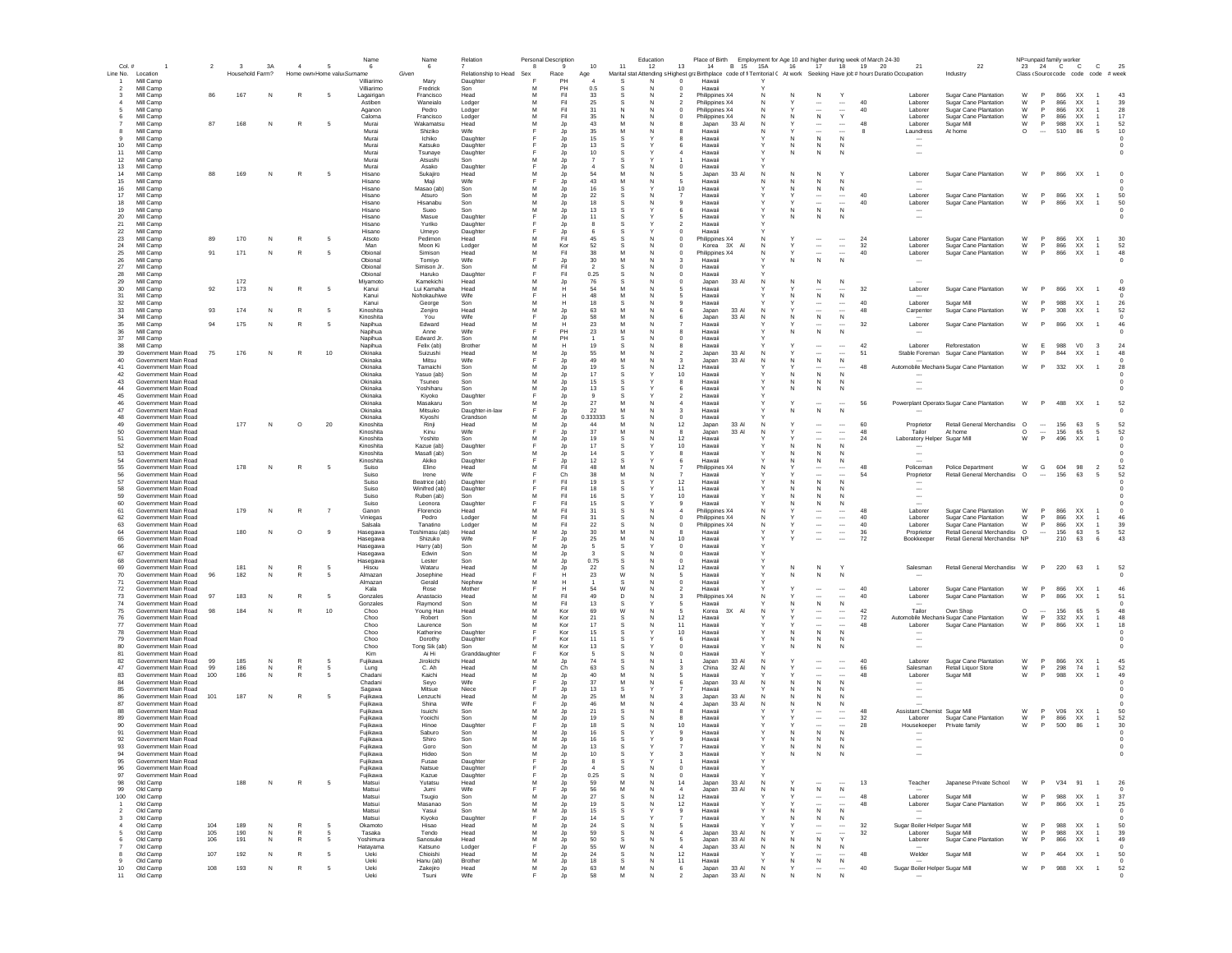| $Col.$ #                 |                                              | $\overline{2}$ | $\mathbf{3}$    | 3A        | $\overline{a}$               | $\sqrt{5}$                 | Name<br>-6               | Name<br>6                      | Relation                 | Personal Description<br>8 | - 9                          | 10                   | 11       | Education<br>13<br>12                      |                                  | 14 B 15 15A    |    | 16     | 17                                                   | 18 19 20                                                         | Place of Birth Employment for Age 10 and higher during week of March 24-30<br>21                                            | 22                                                    |                    |                          | NP=unpaid family worker<br>23 24 C C | $\mathbf{C}$                        | 25               |
|--------------------------|----------------------------------------------|----------------|-----------------|-----------|------------------------------|----------------------------|--------------------------|--------------------------------|--------------------------|---------------------------|------------------------------|----------------------|----------|--------------------------------------------|----------------------------------|----------------|----|--------|------------------------------------------------------|------------------------------------------------------------------|-----------------------------------------------------------------------------------------------------------------------------|-------------------------------------------------------|--------------------|--------------------------|--------------------------------------|-------------------------------------|------------------|
|                          | Line No. Location                            |                | Household Farm? |           |                              | Home own Home valu Surname |                          | Given                          | Relationship to Head Sex |                           | Race                         | Age                  |          |                                            |                                  |                |    |        |                                                      |                                                                  | Marital stat Attending s Highest graBirthplace code of fi Territorial ( At work Seeking Have job # hours Duratio Occupation | Industry                                              |                    |                          |                                      | Class (Source code code code # week |                  |
|                          | Mill Camp<br>Mill Camp                       |                |                 |           |                              |                            | Villiarimo<br>Villiarimo | Mary<br>Fredrick               | Daughter<br>Son          | M                         | PH<br>PH                     | 0.5                  |          | N<br>$\Omega$                              | Hawaii<br>Hawaii                 |                |    |        |                                                      |                                                                  |                                                                                                                             |                                                       |                    |                          |                                      |                                     |                  |
|                          | Mill Camp                                    | 86             | 167             | N         | $\mathbb{R}$                 | 5                          | Lagairigan               | Francisco                      | Head                     | M                         | Fil                          | 33                   |          | N                                          | Philippines X4                   |                |    | N      | N                                                    | Y                                                                | Laborer                                                                                                                     | Sugar Cane Plantation                                 | W                  | <b>P</b>                 | 866<br>XX                            | $\overline{1}$                      | 43               |
|                          | Mill Camp                                    |                |                 |           |                              |                            | Astiben                  | Waneialo                       | Lodger                   | M                         | Fil                          | 25                   | -S       | N                                          | Philippines X4                   |                |    |        | $\cdots$                                             | 40<br>$\cdots$                                                   | Laborer                                                                                                                     | Sugar Cane Plantation                                 | W                  | $\mathsf{P}$             | 866<br>XX                            |                                     | 39               |
|                          | Mill Camp<br>Mill Camp                       |                |                 |           |                              |                            | Aganon<br>Caloma         | Pedro<br>Francisco             | Lodger<br>Lodger         | M                         | Fil<br>Fil                   | 31<br>35             | -N       | N                                          | Philippines X4<br>Philippines X4 |                |    |        | $\mathbb{N}$                                         | 40<br>Y                                                          | Laborer<br>Laborer                                                                                                          | Sugar Cane Plantation<br>Sugar Cane Plantation        | W<br>W             | $\mathsf{P}$             | 866<br>XX<br>866<br>XX               | $\overline{1}$                      | 28<br>17         |
|                          | Mill Camp                                    | 87             | 168             | N         | $\mathbb{R}$                 | 5                          | Murai                    | Wakamatsu                      | Head                     |                           | Jp                           | 43                   |          |                                            | Japan                            | 33 Al          |    |        | $\ddotsc$                                            | 48<br>$\cdots$                                                   | Laborer                                                                                                                     | Sugar Mill                                            | W                  | P                        | 988<br>XX                            | $\overline{1}$                      | 52               |
|                          | Mill Camp                                    |                |                 |           |                              |                            | Murai                    | Shiziko                        | Wife                     |                           | Jp                           | 35                   | M        | N<br>8                                     | Hawaii                           |                |    |        |                                                      | <br>-8                                                           | Laundress                                                                                                                   | At home                                               | $\circ$            | $\sim$                   | 510<br>86                            | - 5                                 | 10               |
| 10                       | Mill Camp<br>Mill Camp                       |                |                 |           |                              |                            | Murai<br>Murai           | Ichiko<br>Katsuko              | Daughter<br>Daughter     |                           | Jp<br>Jp                     | 15<br>13             |          | 6                                          | Hawaii<br>Hawaii                 |                |    | N      | N<br>N                                               | N<br>N                                                           | $\overline{\phantom{a}}$                                                                                                    |                                                       |                    |                          |                                      |                                     |                  |
| 11                       | Mill Camp                                    |                |                 |           |                              |                            | Murai                    | Tsunave                        | Daughter                 |                           | Jp                           | 10                   |          | 4                                          | Hawaii                           |                |    | N      | N                                                    | N                                                                | $\sim$                                                                                                                      |                                                       |                    |                          |                                      |                                     |                  |
| 12                       | Mill Camp                                    |                |                 |           |                              |                            | Murai                    | Atsushi                        | Son                      | м                         | <b>Jp</b>                    | $\overline{7}$       |          |                                            | Hawaii                           |                |    |        |                                                      |                                                                  |                                                                                                                             |                                                       |                    |                          |                                      |                                     |                  |
| 13<br>14                 | Mill Camp<br>Mill Camp                       | 88             | 169             | N         | R                            | 5                          | Murai<br>Hisano          | Asako<br>Sukaiiro              | Daughter<br>Head         | м                         | <b>Jp</b><br>Jp              | 54                   | M        | N<br>$\Omega$<br>5<br>N                    | Hawaii<br>Japan                  | 33 AI          | N  | N      | $\mathsf{N}$                                         | Y                                                                | Laborer                                                                                                                     | Sugar Cane Plantation                                 |                    |                          | W P 866 XX 1                         |                                     |                  |
| 15                       | Mill Camp                                    |                |                 |           |                              |                            | Hisano                   | Maii                           | Wife                     |                           | Jp                           | 43                   | M        | N<br>5                                     | Hawaii                           |                |    | N      | N                                                    | N                                                                |                                                                                                                             |                                                       |                    |                          |                                      |                                     |                  |
| 16                       | Mill Camp                                    |                |                 |           |                              |                            | Hisano                   | Masao (ab)                     | Son                      | M<br>M                    | Jp                           | 16                   |          | 10                                         | Hawaii                           |                |    | N      | N                                                    | N<br>40                                                          |                                                                                                                             |                                                       |                    | P                        |                                      | $\overline{1}$                      | 50               |
| 17<br>18                 | Mill Camp<br>Mill Camp                       |                |                 |           |                              |                            | Hisano<br>Hisano         | Atsuro<br>Hisanabu             | Son<br>Son               | M                         | Jp<br>Jp                     | $22\,$<br>18         |          | 9                                          | Hawaii<br>Hawaii                 |                |    |        | $\overline{\phantom{a}}$                             | $\overline{\phantom{a}}$<br>40                                   | Laborer<br>Laborer                                                                                                          | Sugar Cane Plantation<br><b>Sugar Cane Plantation</b> | W<br>W             | P                        | 866<br>XX<br>866<br>XX               | $\mathbf{1}$                        | 50               |
| 19                       | Mill Camp                                    |                |                 |           |                              |                            | Hisano                   | Sueo                           | Son                      | M                         | Jp                           | 13                   |          | 6                                          | Hawaii                           |                |    | N      | ${\sf N}$                                            | $\mathsf{N}$                                                     | $\sim$                                                                                                                      |                                                       |                    |                          |                                      |                                     |                  |
| 20<br>21                 | Mill Camp<br>Mill Camp                       |                |                 |           |                              |                            | Hisano<br>Hisano         | Masue<br>Yuriko                | Daughter<br>Daughter     |                           | Jp                           | 11                   |          |                                            | Hawaii<br>Hawaii                 |                |    |        | N                                                    |                                                                  |                                                                                                                             |                                                       |                    |                          |                                      |                                     |                  |
| 22                       | Mill Camp                                    |                |                 |           |                              |                            | Hisano                   | Umeyo                          | Daughter                 |                           | Jp<br>Jp                     |                      |          |                                            | Hawaii                           |                |    |        |                                                      |                                                                  |                                                                                                                             |                                                       |                    |                          |                                      |                                     |                  |
| 23                       | Mill Camp                                    | 89             | 170             | N         | R                            | 5                          | Atsoto                   | Pedimon                        | Head                     | м                         | Fil                          | 45                   | -S       | N<br>$\Omega$                              | Philippines X4                   |                |    |        |                                                      | 24<br>$\overline{\phantom{a}}$                                   | Laborer                                                                                                                     | Sugar Cane Plantation                                 | W                  | <b>P</b>                 | 866<br>XX                            | $\overline{1}$                      | 30               |
| 24<br>25                 | Mill Camp<br>Mill Camp                       | 91             | 171             | N         | $\mathbb{R}$                 | - 5                        | Man<br>Obional           | Moon Ki<br>Simison             | Lodger<br>Head           | м<br>м                    | Kor<br>Fil                   | 52<br>38             | M        | N<br>$^{\circ}$                            | Korea 3X<br>Philippines X4       | <b>AI</b>      |    |        | $\cdots$<br>$\overline{\phantom{a}}$                 | $\cdots$<br>32<br>40<br>$\overline{\phantom{a}}$                 | Laborer<br>Laborer                                                                                                          | Sugar Cane Plantation<br>Sugar Cane Plantation        | W<br>W             | P<br>P                   | 866<br>XX<br>866<br>XX               | $\overline{1}$<br>$\overline{1}$    | 52<br>48         |
| 26                       | Mill Camp                                    |                |                 |           |                              |                            | Obional                  | Tomiyo                         | Wife                     |                           | Jp                           | 30                   | M        | N                                          | Hawaii                           |                |    |        |                                                      |                                                                  |                                                                                                                             |                                                       |                    |                          |                                      |                                     |                  |
| 27                       | Mill Camp                                    |                |                 |           |                              |                            | Ohional                  | Simison Jr.                    | Son                      | м                         | Fil                          | $\overline{2}$       | -S       | $\Omega$<br>N                              | Hawaii                           |                |    |        |                                                      |                                                                  |                                                                                                                             |                                                       |                    |                          |                                      |                                     |                  |
| 28<br>29                 | Mill Camp<br>Mill Camp                       |                | 172             |           |                              |                            | Obional<br>Mivamoto      | Haruko<br>Kamekichi            | Daughter<br>Head         | м                         | Fil<br>Jp                    | 0.25<br>76           |          | $\Omega$<br>$\Omega$                       | Hawaii<br>Japan                  | 33 AI          | N  | N      | N                                                    | N                                                                |                                                                                                                             |                                                       |                    |                          |                                      |                                     |                  |
| 30                       | Mill Camp                                    | 92             | 173             | N         | $\mathbb{R}$                 | 5                          | Kanui                    | Lui Kamaha                     | Head                     | M                         | н                            | 54                   | M        | N<br>5                                     | Hawaii                           |                |    |        |                                                      | 32                                                               | Laborer                                                                                                                     | Sugar Cane Plantation                                 | W                  | P.                       | 866<br>XX                            |                                     | 49               |
| 31                       | Mill Camp                                    |                |                 |           |                              |                            | Kanui                    | Nohokauhiwe                    | Wife                     |                           |                              | 48                   | M        |                                            | Hawaii                           |                |    | N      | N                                                    | ${\sf N}$                                                        |                                                                                                                             |                                                       |                    |                          |                                      |                                     |                  |
| 32<br>33                 | Mill Camp<br>Mill Camp                       | 93             | 174             | N         | $\mathbb{R}$                 | 5                          | Kanui<br>Kinoshita       | George                         | Son<br>Head              | M<br>M                    | Jp                           | 18<br>63             | M        |                                            | Hawaii                           | 33 Al          |    |        | $\ddot{\phantom{a}}$                                 | 40<br>$\overline{\phantom{a}}$<br>48                             | Laborer                                                                                                                     | Sugar Mill                                            | W<br>W             | P<br>P                   | 988<br>XX<br>308<br>XX               |                                     | 26<br>52         |
| 34                       | Mill Camp                                    |                |                 |           |                              |                            | Kinoshita                | Zenjiro<br>You                 | Wife                     |                           | Jp                           | 58                   | M        | 6                                          | Japan<br>Japan                   | 33 AI          |    | N      | ${\sf N}$                                            | ${\sf N}$                                                        | Carpenter                                                                                                                   | Sugar Cane Plantation                                 |                    |                          |                                      |                                     |                  |
| 35                       | Mill Camp                                    | 94             | 175             | N         | $\mathbb{R}$                 | 5                          | Napihua                  | Edward                         | Head                     |                           |                              | 23                   |          |                                            | Hawaii                           |                |    |        |                                                      | 32                                                               | Laborer                                                                                                                     | Sugar Cane Plantation                                 | W                  | P                        | 866<br>XX                            | $\overline{1}$                      | 46               |
| 36<br>37                 | Mill Camp<br>Mill Camp                       |                |                 |           |                              |                            | Napihua<br>Napihua       | Anne<br>Edward Jr              | Wife<br>Son              |                           | PH<br>PH                     | 23                   |          |                                            | Hawaii<br>Hawaii                 |                |    |        | N                                                    | N                                                                |                                                                                                                             |                                                       |                    |                          |                                      |                                     |                  |
| 38                       | Mill Camp                                    |                |                 |           |                              |                            | Napihua                  | Felix (ab)                     | Brother                  | М                         | H                            | 19                   | -S       | 8<br>-N                                    | Hawaii                           |                |    |        | $\cdots$                                             | 42<br>$\overline{\phantom{a}}$                                   | Laborer                                                                                                                     | Reforestation                                         | W                  | E                        | 988<br>V <sub>0</sub>                | $_{3}$                              | 24               |
| 39                       | Government Main Road                         | 75             | 176             | N         | R                            | 10                         | Okinaka                  | Suizushi                       | Head                     | м                         | Jp                           | 55                   |          | 2                                          | Japan                            | 33 AI          |    |        |                                                      | $\overline{\phantom{a}}$<br>51                                   |                                                                                                                             | Stable Foreman Sugar Cane Plantation                  | W                  | P.                       | 844<br>XX                            | $\overline{1}$                      | 48               |
| 40<br>41                 | Government Main Road<br>Government Main Road |                |                 |           |                              |                            | Okinaka<br>Okinaka       | Mitsu<br>Tamaichi              | Wife<br>Son              | м                         | Jp<br>Jp                     | 49<br>19             | M        | N<br>-3<br>12                              | Japan<br>Hawaii                  | 33 AI          | -N | N      | N<br>                                                | N<br>48<br>                                                      |                                                                                                                             | Automobile Mechanic Sugar Cane Plantation             | W                  | <b>P</b>                 | 332 XX                               | $\overline{1}$                      | 28               |
| 42                       | Government Main Road                         |                |                 |           |                              |                            | Okinaka                  | Yasuo (ab)                     | Son                      | м                         | Jp                           | 17                   |          | 10                                         | Hawaii                           |                |    | N      | N                                                    | N                                                                |                                                                                                                             |                                                       |                    |                          |                                      |                                     |                  |
| 43                       | Government Main Road                         |                |                 |           |                              |                            | Okinaka                  | Tsuneo                         | Son                      | м                         | Jp                           | 15                   |          | 8                                          | Hawaii                           |                |    | N      | $\mathsf{N}$                                         | N                                                                |                                                                                                                             |                                                       |                    |                          |                                      |                                     |                  |
| 44<br>45                 | Government Main Road<br>Government Main Road |                |                 |           |                              |                            | Okinaka<br>Okinaka       | Yoshiharu                      | Son                      | м<br>E                    | Jp<br>Jp                     | 13<br>$\mathbf{Q}$   |          | 6<br>$\overline{\phantom{a}}$              | Hawaii<br>Hawaii                 |                |    | N      | N                                                    | $\mathbb N$                                                      |                                                                                                                             |                                                       |                    |                          |                                      |                                     |                  |
| 46                       | Government Main Road                         |                |                 |           |                              |                            | Okinaka                  | Kiyoko<br>Masakaru             | Daughter<br>Son          | М                         | Jp                           | 27                   | M        | $\overline{4}$                             | Hawaii                           |                |    |        | $\sim$                                               | 56<br>$\ddot{\phantom{a}}$                                       |                                                                                                                             | Powerplant Operator Sugar Cane Plantation             | W                  | P                        | 488<br>XX                            |                                     | 52               |
| 47                       | Government Main Road                         |                |                 |           |                              |                            | Okinaka                  | Mitsuko                        | Daughter-in-lav          |                           | Jp                           | 22                   | M        | 3                                          | Hawaii                           |                |    | N      | N                                                    | N                                                                |                                                                                                                             |                                                       |                    |                          |                                      |                                     |                  |
| 48                       | Government Main Road                         |                | 177             |           |                              |                            | Okinaka                  | Kiyoshi                        | Grandson                 | м<br>M                    | Jp                           | 0.333333<br>44       | <b>S</b> | $\circ$                                    | Hawaii                           | 33 AI          |    |        |                                                      |                                                                  |                                                                                                                             |                                                       |                    |                          | 156                                  |                                     | 52               |
| 49<br>50                 | Government Main Road<br>Government Main Road |                |                 | ${\sf N}$ | $\circ$                      | 20                         | Kinoshita<br>Kinoshita   | Rinji<br>Kinu                  | Head<br>Wife             |                           | Jp<br>Jp                     | 37                   |          | N                                          | 12<br>Japan<br>Japan             | 33 AI          |    |        | $\ddotsc$<br>$\ddotsc$                               | 60<br>$\cdots$<br>48<br>$\overline{\phantom{a}}$                 | Proprietor<br>Tailor                                                                                                        | Retail General Merchandise<br>At home                 | $\circ$<br>$\circ$ | $\cdots$<br>$\ddotsc$    | 63<br>156<br>65                      | 5<br>5                              | 52               |
| 51                       | Government Main Road                         |                |                 |           |                              |                            | Kinoshita                | Yoshito                        | Son                      |                           | Jp                           | 19                   |          |                                            | 12<br>Hawaii                     |                |    |        |                                                      | 24<br>$\overline{\phantom{a}}$                                   | Laboratory Helper Sugar Mill                                                                                                |                                                       | W                  | P                        | 496<br>XX                            | $\mathbf{1}$                        |                  |
| 52                       | Government Main Road                         |                |                 |           |                              |                            | Kinoshita                | Kazue (ab)                     | Daughter                 |                           | Jp                           | 17                   |          |                                            | 10<br>Hawaii                     |                |    |        | N                                                    |                                                                  |                                                                                                                             |                                                       |                    |                          |                                      |                                     |                  |
| 53<br>54                 | Government Main Road<br>Government Main Road |                |                 |           |                              |                            | Kinoshita<br>Kinoshita   | Masafi (ab)<br>Akiko           | Son<br>Daughter          | м                         | Jp<br>Jp                     | 14<br>12             | -S       | -8                                         | Hawaii<br>Hawaii                 |                |    | N      | N<br>N                                               | N<br>N                                                           | $\sim$                                                                                                                      |                                                       |                    |                          |                                      |                                     |                  |
| 55                       | Government Main Road                         |                | 178             | N         | R                            | 5                          | Suiso                    | Elino                          | Head                     | м                         | Fil                          | 48                   | M        | N                                          | Philippines X4                   |                |    |        |                                                      | 48<br>$\cdots$                                                   | Policeman                                                                                                                   | Police Department                                     | W                  | G                        | 604<br>98                            | $\overline{2}$                      | 52               |
| 56                       | Government Main Road                         |                |                 |           |                              |                            | Suiso                    | Irene                          | Wife                     |                           | Ch                           | 38                   | M        | -N                                         | Hawaii                           |                |    |        | $\overline{\phantom{a}}$                             | $\overline{\phantom{a}}$<br>-54                                  | Proprietor                                                                                                                  | Retail General Merchandis O                           |                    | $\cdots$                 | 156<br>63                            | - 5                                 | 52               |
| 57<br>58                 | Government Main Road<br>Government Main Road |                |                 |           |                              |                            | Suiso<br>Suiso           | Beatrice (ab)<br>Winifred (ab) | Daughter<br>Daughter     |                           | Fil<br>Fil                   | 19<br>18             | -S       | 12<br>11                                   | Hawaii<br>Hawaii                 |                |    | N      | N<br>N                                               | N<br>N                                                           | $\overline{\phantom{a}}$                                                                                                    |                                                       |                    |                          |                                      |                                     |                  |
| 59                       | Government Main Road                         |                |                 |           |                              |                            | Suiso                    | Ruben (ab)                     | Son                      | м                         | Fil                          | 16                   |          | 10                                         | Hawaii                           |                |    | N      | N                                                    |                                                                  | $\overline{\phantom{a}}$                                                                                                    |                                                       |                    |                          |                                      |                                     |                  |
| 60                       | Government Main Road                         |                |                 |           |                              |                            | Suiso                    | Leonora                        | Daughter                 |                           | Fil                          | 15                   |          | $\mathbf{Q}$                               | Hawaii                           |                |    | N      | N                                                    | N                                                                | $\sim$                                                                                                                      |                                                       |                    |                          |                                      |                                     |                  |
| 61<br>62                 | Government Main Road<br>Government Main Road |                | 179             | N         | $\mathbb{R}$                 | $\overline{7}$             | Ganon<br>Viniegas        | Florencio<br>Pedro             | Head<br>Lodger           | м<br>M                    | Fil<br>Fil                   | 31<br>31             |          | N<br>$\boldsymbol{\Lambda}$<br>$\mathbf 0$ | Philippines X4<br>Philippines X4 |                |    |        | $\cdots$                                             | 48<br><br>$\ldots$<br>40                                         | Laborer<br>Laborer                                                                                                          | Sugar Cane Plantation<br>Sugar Cane Plantation        | W<br>W             | P<br>P                   | 866<br>XX<br>866<br>XX               |                                     | $^{\circ}$<br>46 |
| 63                       | Government Main Road                         |                |                 |           |                              |                            | Salsala                  | Tanatino                       | Lodger                   | M                         | Fil                          | 22                   |          | $\mathbf 0$                                | Philippines X4                   |                |    |        | $\overline{\phantom{a}}$                             | 40<br>$\cdots$                                                   | Laborer                                                                                                                     | <b>Sugar Cane Plantation</b>                          | W                  | P                        | 866<br>XX                            | $\mathbf{1}$                        | 39               |
| 64                       | Government Main Road                         |                | 180             | N         | $\circ$                      | $\overline{9}$             | Hasegawa                 | Toshimasu (ab)                 | Head                     | M                         | Jp                           | 30                   |          | 8                                          | Hawaii                           |                |    |        | $\cdots$                                             | 36<br>$\cdots$                                                   | Proprietor                                                                                                                  | Retail General Merchandis: O                          |                    | $\cdots$                 | 156<br>63                            | $\sqrt{5}$                          | 52               |
| 65<br>66                 | Government Main Road<br>Government Main Road |                |                 |           |                              |                            | Hasegawa<br>Hasegawa     | Shizuko<br>Harry (ab)          | Wife<br>Son              |                           | Jp<br>Jp                     | 25<br>$\overline{5}$ |          | $\circ$                                    | 10<br>Hawaii<br>Hawaii           |                |    |        |                                                      | 72                                                               | Bookkeeper                                                                                                                  | Retail General Merchandis: NP                         |                    |                          | 210<br>63                            | 6                                   | 43               |
| 67                       | Government Main Road                         |                |                 |           |                              |                            | Hasegawa                 | Edwin                          | Son                      |                           | Jp                           |                      |          | $^{\circ}$                                 | Hawaii                           |                |    |        |                                                      |                                                                  |                                                                                                                             |                                                       |                    |                          |                                      |                                     |                  |
| 68                       | Government Main Road                         |                |                 |           |                              |                            | Hasegawa                 | Lester                         | Son                      | М                         | Jp                           | 0.75                 | -S       | N<br>$^{\circ}$                            | Hawaii                           |                |    |        |                                                      |                                                                  |                                                                                                                             |                                                       |                    |                          |                                      |                                     |                  |
| 69<br>70                 | Government Main Road<br>Government Main Road | 96             | 181<br>182      | N<br>N    | R<br>R                       | -5<br>5                    | Hisou<br>Almazan         | Wataru<br>Josephine            | Head<br>Head             | м                         | Jp<br>н                      | 22<br>23             | W        | 12<br>N<br>5                               | Hawaii<br>Hawaii                 |                |    | N<br>N | N<br>N                                               | N                                                                | Salesman                                                                                                                    | Retail General Merchandis W                           |                    | P                        | 220 63                               | $\overline{1}$                      | 52               |
| 71                       | Government Main Road                         |                |                 |           |                              |                            | Almazan                  | Gerald                         | Nephew                   | м                         | н                            |                      |          | N<br>$\Omega$                              | Hawaii                           |                |    |        |                                                      |                                                                  |                                                                                                                             |                                                       |                    |                          |                                      |                                     |                  |
| 72                       | Government Main Road                         |                |                 |           |                              |                            | Kala                     | Rose                           | Mother                   |                           | н                            | 54                   | W        | N<br>$\overline{\phantom{a}}$              | Hawaii                           |                |    |        |                                                      | 40<br>$\overline{\phantom{a}}$                                   | Laborer                                                                                                                     | Sugar Cane Plantation                                 | W                  | P                        | 866<br><b>XX</b>                     |                                     | 46               |
| 73<br>74                 | Government Main Road<br>Government Main Road | 97             | 183             | N         | $\mathbb{R}$                 | 5                          | Gonzales<br>Gonzales     | Anastacio<br>Raymond           | Head<br>Son              | м<br>м                    | Fil<br>Fil                   | 49<br>13             | D.<br>-S | 3                                          | Philippines X4<br>Hawaii         |                |    | N      | $\sim$<br>N                                          | $\overline{\phantom{a}}$<br>40<br>N                              | Laborer                                                                                                                     | Sugar Cane Plantation                                 | W                  |                          | 866<br>XX                            |                                     | 51               |
| 75                       | Government Main Road                         | 98             | 184             | N         | $\mathbb{R}$                 | 10                         | Choo                     | Young Han                      | Head                     | M                         | Kor                          | 69                   | W        | N<br>5                                     | Korea                            | 3X<br>AI       |    |        |                                                      | 42<br>$\overline{\phantom{a}}$                                   | Tailor                                                                                                                      | Own Shop                                              | $\circ$            | $\overline{\phantom{a}}$ | 156<br>65                            | -5                                  | 48               |
| 76                       | Government Main Road                         |                |                 |           |                              |                            | Choo                     | Robert                         | Son                      | м                         | Kor                          | 21                   |          | 12                                         | Hawaii                           |                |    |        |                                                      | $\overline{\phantom{a}}$<br>72                                   |                                                                                                                             | Automobile Mechanic Sugar Cane Plantation             | W                  | P                        | 332<br>XX                            | $\mathbf{1}$                        | 48               |
| 77<br>78                 | Government Main Road<br>Government Main Road |                |                 |           |                              |                            | Choo<br>Choo             | Laurence<br>Katherine          | Son<br>Daughter          | M                         | Kor<br>Kor                   | 17<br>15             |          | 11<br>10                                   | Hawaii<br>Hawaii                 |                |    |        | ${\sf N}$                                            | $\overline{\phantom{a}}$<br>48<br>$\mathsf{N}$                   | Laborer                                                                                                                     | Sugar Cane Plantation                                 | W                  | P                        | 866<br>XX                            |                                     | 18               |
| 79                       | Government Main Road                         |                |                 |           |                              |                            | Choo                     | Dorothy                        | Daughter                 |                           | Kor                          | 11                   |          | 6                                          | Hawaii                           |                |    | N      | N                                                    | N                                                                | $\cdots$                                                                                                                    |                                                       |                    |                          |                                      |                                     |                  |
| 80<br>81                 | Government Main Road<br>Government Main Road |                |                 |           |                              |                            | Choo<br>Kim              | Tong Sik (ab)<br>Ai Hi         | Son<br>Granddaughter     |                           | Kor<br>Kor                   | 13                   |          | $^{\circ}$                                 | Hawaii                           |                |    |        | N                                                    |                                                                  | $\sim$                                                                                                                      |                                                       |                    |                          |                                      |                                     |                  |
| 82                       | Government Main Road                         | 99             | 185             | N         | $\mathbb{R}$                 |                            | Fujikawa                 | Jirokichi                      | Head                     |                           | Jp                           | 74                   |          |                                            | Hawaii<br>Japan                  | 33 AI          |    |        |                                                      | 40<br>$\overline{\phantom{a}}$                                   | Laborer                                                                                                                     | Sugar Cane Plantation                                 | W                  | P                        | 866<br>XX                            | $\overline{1}$                      | 45               |
| 47                       | Government Main Road                         | 99             | 186             | N         | R                            | - 5                        | Lung                     | C. Ah                          | Head                     | м                         | Ch                           | 63                   | -S       | N<br>3                                     | China                            | 32 AI          | -N |        | $\cdots$                                             | 66<br>$\overline{\phantom{a}}$                                   | Salesman                                                                                                                    | Retail Liquor Store                                   | W                  | P                        | 298<br>74                            | $\overline{1}$                      | 52               |
| 83<br>84                 | Government Main Road<br>Government Main Road | 100            | 186             | N         | R                            | -5                         | Chadani<br>Chadani       | Kaichi<br>Sevo                 | Head<br>Wife             | м                         | Jp<br>Jp                     | 40<br>37             | M        | N<br>6                                     | Hawaii<br>Japan                  | 33 AI          |    | N      | N                                                    | <br>48<br>N                                                      | Laborer<br>$\overline{\phantom{a}}$                                                                                         | Sugar Mill                                            | W                  |                          | 988<br>XX                            | $\overline{1}$                      | 49               |
| 85                       | Government Main Road                         |                |                 |           |                              |                            | Sagawa                   | Mitsue                         | Niece                    |                           | Jp                           | 13                   | -S       |                                            | Hawaii                           |                |    |        | N                                                    | N                                                                | $\overline{\phantom{a}}$                                                                                                    |                                                       |                    |                          |                                      |                                     |                  |
| 86                       | Government Main Road                         | 101            | 187             | N         | R                            | 5                          | Fujikawa                 | Lenzuchi                       | Head                     | м                         | Jp                           | 25                   | M        | N<br>$\mathbf{3}$                          | Japan                            | 33 AI          |    | N      | $\mathbf N$                                          | N                                                                | $\overline{\phantom{a}}$                                                                                                    |                                                       |                    |                          |                                      |                                     |                  |
| 87<br>88                 | Government Main Road<br>Government Main Road |                |                 |           |                              |                            | Fujikawa<br>Fujikawa     | Shina<br>Isuichi               | Wife<br>Son              | M                         | Jp<br>Jp                     | 46<br>21             | M        | N<br>$\boldsymbol{\Lambda}$<br>8           | Japan<br>Hawaii                  | 33 AI          |    |        | N                                                    | N<br>48                                                          |                                                                                                                             |                                                       | W                  | $\mathbf{P}$             | V06<br>XX                            |                                     | 50               |
| 89                       | Government Main Road                         |                |                 |           |                              |                            | Fujikawa                 | Yooichi                        | Son                      | м                         | Jp                           | 19                   |          | 8                                          | Hawaii                           |                |    |        | $\overline{\phantom{a}}$                             | $\overline{\phantom{a}}$<br>32                                   | Assistant Chemist Sugar Mill<br>Laborer                                                                                     | Sugar Cane Plantation                                 | W                  | P                        | 866<br>XX                            | $\overline{1}$                      | 52               |
| 90                       | Government Main Road                         |                |                 |           |                              |                            | Fujikawa                 | Hinoe                          | Daughter                 |                           | Jp                           | 18                   |          | 10                                         | Hawaii                           |                |    |        |                                                      | 28                                                               | Housekeeper                                                                                                                 | Private family                                        | W                  | P                        | 500<br>86                            | $\overline{1}$                      | 30               |
| 91<br>92                 | Government Main Road<br>Government Main Road |                |                 |           |                              |                            | Fujikawa<br>Fujikawa     | Saburo<br>Shiro                | Son<br>Son               | M<br>M                    | Jp                           | 16<br>16             |          |                                            | Hawaii<br>Hawaii                 |                |    |        | N<br>${\sf N}$                                       |                                                                  |                                                                                                                             |                                                       |                    |                          |                                      |                                     |                  |
| 93                       | Government Main Road                         |                |                 |           |                              |                            | Fujikawa                 | Goro                           | Son                      | M                         | $\mathsf{J}\mathsf{p}$<br>Jp | 13                   |          |                                            | Hawaii                           |                |    |        | N                                                    |                                                                  |                                                                                                                             |                                                       |                    |                          |                                      |                                     |                  |
|                          | Government Main Road                         |                |                 |           |                              |                            | Fujikawa                 | Hideo                          | Son                      |                           |                              | 10                   |          |                                            | Hawaii                           |                |    |        |                                                      |                                                                  |                                                                                                                             |                                                       |                    |                          |                                      |                                     |                  |
| 95                       | Government Main Road                         |                |                 |           |                              |                            | Fujikawa                 | Fusae                          | Daughter                 |                           | Jp                           |                      |          |                                            | Hawaii                           |                |    |        |                                                      |                                                                  |                                                                                                                             |                                                       |                    |                          |                                      |                                     |                  |
| 96<br>97                 | Government Main Road<br>Government Main Road |                |                 |           |                              |                            | Fujikawa<br>Fujikawa     | Natsue<br>Kazue                | Daughter<br>Daughter     | Е                         | Jp<br>Jp                     | 0.25                 | -S       | $^{\circ}$<br>$^{\circ}$<br>N              | Hawaii<br>Hawaii                 |                |    |        |                                                      |                                                                  |                                                                                                                             |                                                       |                    |                          |                                      |                                     |                  |
| 98                       | Old Camp                                     |                | 188             | N         | $\mathbb{R}$                 | 5                          | Matsui                   | Yutatsu                        | Head                     | м                         | Jp                           | 59                   | M        | 14<br>N                                    | Japan                            | 33 AI          | -N |        |                                                      | 13<br>$\overline{\phantom{a}}$                                   | Teacher                                                                                                                     | Japanese Private School                               | <b>W</b>           | P                        | V34 91                               | $\overline{1}$                      | 26               |
| 99                       | Old Camp                                     |                |                 |           |                              |                            | Matsui                   | Jumi                           | Wife                     | Е                         | Jp                           | 56                   | M        | N<br>$\frac{4}{3}$                         | Japan                            | 33 AI          | N  | N      | N                                                    | $\,$ N                                                           |                                                                                                                             |                                                       |                    |                          |                                      |                                     | $\Omega$         |
| 100<br>$\overline{1}$    | Old Camp<br>Old Camp                         |                |                 |           |                              |                            | Matsui<br>Matsui         | Tsugio<br>Masanao              | Son<br>Son               | м<br>M                    | Jp<br>Jp                     | 27<br>19             | -S<br>-S | 12<br>N<br>N<br>12                         | Hawaii<br>Hawaii                 |                |    |        | $\overline{\phantom{a}}$<br>$\overline{\phantom{a}}$ | 48<br>$\overline{\phantom{a}}$<br>$\overline{\phantom{a}}$<br>48 | Laborer<br>Laborer                                                                                                          | Sugar Mill<br>Sugar Cane Plantation                   | W<br>W             | P                        | 988<br><b>XX</b><br>866<br><b>XX</b> | $\overline{1}$<br>$\overline{1}$    | 37<br>25         |
| $\overline{\phantom{a}}$ | Old Camp                                     |                |                 |           |                              |                            | Matsui                   | Yasui                          | Son                      | M                         | Jp                           | 15                   |          | $\mathbf{Q}$                               | Hawaii                           |                |    | N      | N                                                    | $\mathbb N$                                                      | $\sim$                                                                                                                      |                                                       |                    |                          |                                      |                                     | $\Omega$         |
| $\mathbf{3}$             | Old Camp                                     |                |                 |           |                              |                            | Matsui                   | Kiyoko                         | Daughter                 | Е                         | Jp                           | 14                   | -S       | $\overline{7}$                             | Hawaii                           |                |    | N      | N                                                    | N                                                                |                                                                                                                             |                                                       |                    |                          |                                      |                                     |                  |
|                          | Old Camp                                     | 104            | 189             | N         | R                            | 5                          | Okamoto                  | Hisao                          | Head                     | м<br>M                    | Jp                           | 24<br>59             | <b>S</b> | 5<br>N<br>$\overline{a}$                   | Hawaii                           |                |    |        | $\overline{\phantom{a}}$<br>                         | $\overline{\phantom{a}}$<br>-32                                  | Sugar Boiler Helper Sugar Mill                                                                                              |                                                       | W                  | <b>P</b><br><b>P</b>     | 988 XX<br>988                        | $\overline{1}$                      | 50               |
|                          | Old Camp<br>Old Camp                         | 105<br>106     | 190<br>191      | N<br>N    | $\mathbb{R}$<br>$\mathbb{R}$ | 5<br>5                     | Tasaka<br>Yoshimura      | Tendo<br>Sanosuke              | Head<br>Head             | M                         | Jp<br>Jp                     | 50                   |          | N<br>N<br>5                                | Japan<br>Japan                   | 33 AI<br>33 AI |    | N      | ${\sf N}$                                            | 32<br>$\overline{\phantom{a}}$                                   | Laborer<br>Laborer                                                                                                          | Sugar Mill<br>Sugar Cane Plantation                   | W<br>W             | P                        | XX<br>866<br>XX                      | $\overline{1}$<br>$\overline{1}$    | 39<br>49         |
|                          | Old Camp                                     |                |                 |           |                              |                            | Hatayama                 | Katsuno                        | Lodger                   | F                         | Jp                           | 55                   | W        | $\overline{4}$                             | Japan                            | 33 Al          |    | N      | N                                                    | N                                                                |                                                                                                                             |                                                       |                    |                          |                                      |                                     |                  |
|                          | Old Camp                                     | 107            | 192             | ${\sf N}$ | $\mathbb{R}$                 | 5                          | Ueki                     | Chioishi                       | Head                     | M<br>M                    | Jp                           | $\bf 24$             |          | 12<br>N                                    | Hawaii                           |                |    |        | $\cdots$                                             | 48<br>$\cdots$                                                   | Welder                                                                                                                      | Sugar Mill                                            | W                  | P                        | 464 XX                               | $\overline{1}$                      | 50               |
| 10                       | Old Camp<br>Old Camp                         | 108            | 193             | N         | $\mathbb{R}$                 | 5                          | Ueki<br>Ueki             | Hanu (ab)<br>Zakejiro          | Brother<br>Head          | M                         | Jp<br>Jp                     | 18<br>63             | M        | 11<br>N<br>6                               | Hawaii<br>Japan                  | 33 Al          |    |        | ${\sf N}$<br>$\cdots$                                | N<br>40                                                          | Sugar Boiler Helper Sugar Mill                                                                                              |                                                       | W                  | P                        | 988<br>XX                            | $\overline{1}$                      | 52               |
| 11                       | Old Camp                                     |                |                 |           |                              |                            | Ueki                     | Tsuni                          | Wife                     |                           | Jp                           | 58                   | M        |                                            | Japan                            | 33 Al          | N  | N      | N                                                    |                                                                  |                                                                                                                             |                                                       |                    |                          |                                      |                                     |                  |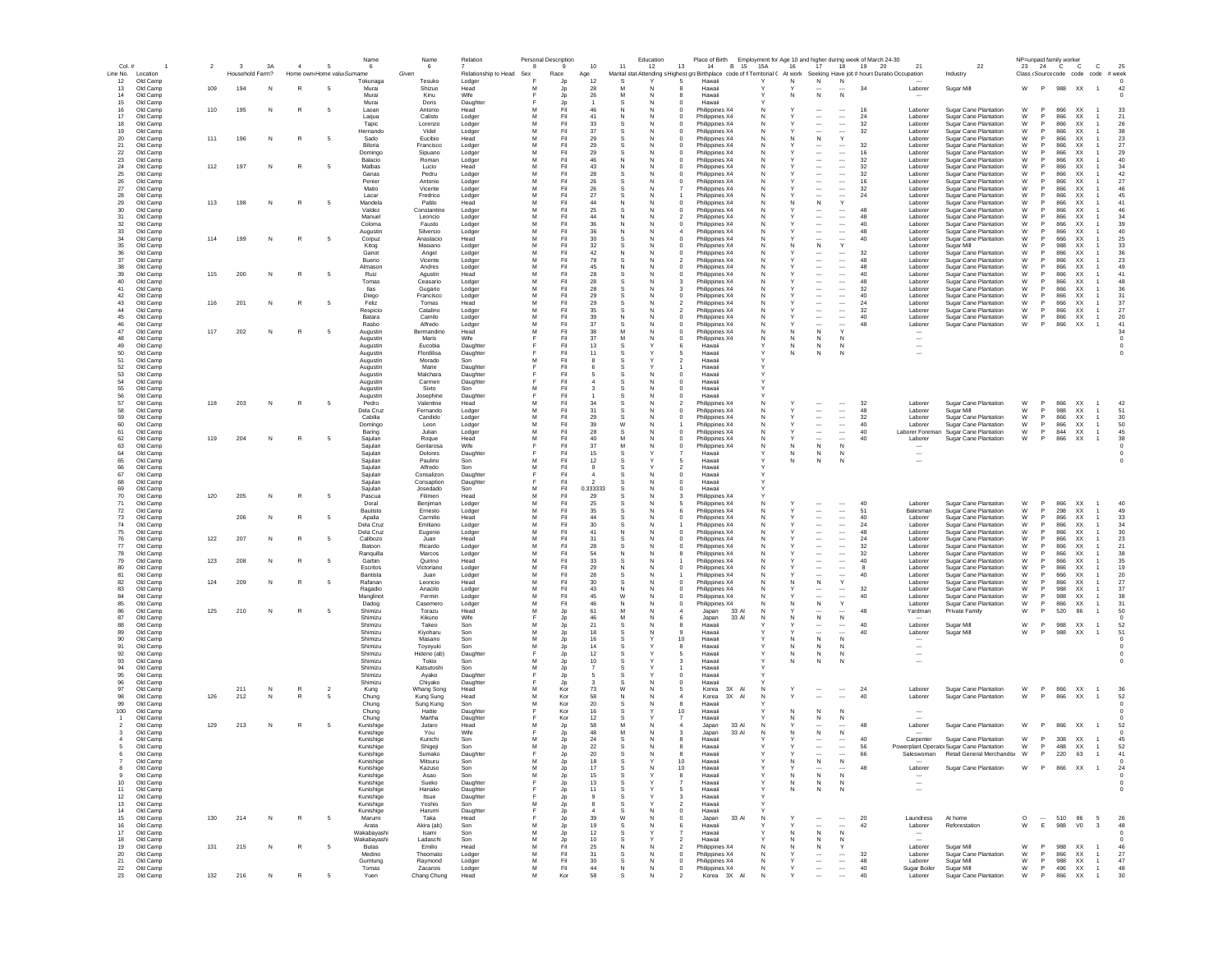| Col.#                                | $\overline{\mathbf{2}}$ | 3A<br>3              | $\overline{4}$ | 5                          | Name<br>6              | 6                       | Relation                 | Personal Description<br>8 | 9               | $10$                   | 11                           | Education<br>12 | Place of Birth<br>13<br>14<br>B 15 15A                                                                                      |          | 16     | 17 <sup>2</sup>                                      | Employment for Age 10 and higher during week of March 24-30<br>18<br>19 | 20<br>21                                             | 22                                                                      | NP=unpaid family worker<br>23 | 24 C                         | $\mathbb{C}$                 | $\mathbf{C}$                     | 25                     |
|--------------------------------------|-------------------------|----------------------|----------------|----------------------------|------------------------|-------------------------|--------------------------|---------------------------|-----------------|------------------------|------------------------------|-----------------|-----------------------------------------------------------------------------------------------------------------------------|----------|--------|------------------------------------------------------|-------------------------------------------------------------------------|------------------------------------------------------|-------------------------------------------------------------------------|-------------------------------|------------------------------|------------------------------|----------------------------------|------------------------|
| Line No.<br>Location                 |                         | Household Farm?      |                | Home own Home valu Surname |                        | Given                   | Relationship to Head Sex |                           | Race            | Age                    |                              |                 | Marital stat Attending s Highest graBirthplace code of fi Territorial ( At work Seeking Have job # hours Duratio Occupation |          |        |                                                      |                                                                         |                                                      | Industry                                                                |                               |                              | Class (Source code code code |                                  | # week                 |
| 12<br>Old Camp                       | 109                     | 194                  |                |                            | Tokunaga               | Tesuko                  | Lodger                   |                           | Jp              | 12                     |                              |                 | Hawaii                                                                                                                      |          | N      | $\,$ N                                               | N<br>34                                                                 |                                                      |                                                                         | W                             | P                            |                              |                                  |                        |
| Old Camp<br>13<br>14<br>Old Camp     |                         | N                    |                |                            | Murai<br>Murai         | Shizuo<br>Kinu          | Head<br>Wife             |                           | Jp<br>Jp        | 28<br>$26\,$           | M                            | N               | Hawaii<br>Hawaii<br>-8                                                                                                      |          | N      | N                                                    | N                                                                       | Laborer                                              | Sugar Mill                                                              |                               |                              | 988 XX                       | $\overline{1}$                   | 42                     |
| 15<br>Old Camp                       |                         |                      |                |                            | Murai                  | Doris                   | Daughter                 |                           | Jp              |                        | -S                           | N               | Hawaii<br>$\Omega$                                                                                                          |          |        |                                                      |                                                                         |                                                      |                                                                         |                               |                              |                              |                                  |                        |
| 16<br>Old Camp                       | 110                     | 195<br>N             | R              | - 5                        | Laoan                  | Antonio                 | Head                     | м                         | Fil             | 46                     | N                            | N               | Philippines X4<br>$^{\circ}$                                                                                                | N        |        | $\cdots$                                             | 16<br>$\cdots$                                                          | Laborer                                              | Sugar Cane Plantation                                                   | W                             | 866                          | <b>XX</b>                    |                                  | 33                     |
| 17<br>Old Camp<br>18<br>Old Camp     |                         |                      |                |                            | Lagua<br>Tapic         | Calisto<br>Lorenzo      | Lodger<br>Lodger         | м<br>м                    | Fil<br>Fil      | 41<br>33               | N<br>S.                      | -N<br>N         | Philippines X4<br>Philippines X4<br>$\Omega$                                                                                | N        |        | $\overline{\phantom{a}}$<br>$\cdots$                 | $\cdots$<br>24<br>32<br>$\cdots$                                        | Laborer<br>Laborer                                   | Sugar Cane Plantation<br>Sugar Cane Plantation                          | W<br>W                        | 866<br>866<br><b>P</b>       | XX.<br>XX.                   |                                  | 21<br>26               |
| 19<br>Old Camp                       |                         |                      |                |                            | Hernando               | Videl                   | Lodger                   | M                         | Fil             | 37                     |                              | N               | Philippines X4<br>$\Omega$                                                                                                  | N        |        | $\overline{\phantom{a}}$                             | $\overline{\phantom{a}}$<br>32                                          | Laborer                                              | Sugar Cane Plantation                                                   | W                             | 866<br>P                     | <b>XX</b>                    |                                  | 38                     |
| 20<br>Old Camp                       | 111                     | 196<br>N             | $\mathbb{R}$   | - 5                        | Sado                   | Eucibio                 | Head                     | M                         | Fil             | 29                     |                              | N               | Philippines X4<br>$\Omega$                                                                                                  |          | N      | N                                                    | Y                                                                       | Laborer                                              | Sugar Cane Plantation                                                   | W                             | 866<br>P                     | XX                           |                                  | 23                     |
| 21<br>Old Camp<br>22<br>Old Camp     |                         |                      |                |                            | Biloria<br>Domingo     | Francisco<br>Sipuano    | Lodger                   | M<br>M                    | Fil<br>Fil      | 29<br>29               | S.                           | N<br>N          | Philippines X4<br>$\Omega$                                                                                                  | N        |        | <br>$\overline{\phantom{a}}$                         | 32<br>$\cdots$<br>$\cdots$<br>16                                        | Laborer<br>Laborer                                   | Sugar Cane Plantation<br>Sugar Cane Plantation                          | W<br>W                        | 866<br>866<br>P              | XX<br><b>XX</b>              |                                  | 27<br>29               |
| $23\,$<br>Old Camp                   |                         |                      |                |                            | Balacio                | Roman                   | Lodger<br>Lodger         | M                         | Fil             | 46                     | N                            | N               | Philippines X4<br>Philippines X4                                                                                            |          |        | $\ddotsc$                                            | $\ldots$<br>32                                                          | Laborer                                              | Sugar Cane Plantation                                                   | W                             | 866                          | XX                           |                                  | 40                     |
| 24<br>Old Camp                       | 112                     | 197<br>N             | $\mathbb{R}$   |                            | Malbas                 | Lucio                   | Head                     | M                         | Fil             | 43                     | N                            |                 | Philippines X4                                                                                                              |          |        |                                                      | <br>32                                                                  | Laborer                                              | Sugar Cane Plantation                                                   | W                             | 866                          | XX                           |                                  | 34                     |
| $25\,$<br>Old Camp                   |                         |                      |                |                            | Ganas                  | Pedru                   | Lodger                   | M<br>M                    | Fil             | 28                     |                              | N               | Philippines X4                                                                                                              |          |        | $\overline{\phantom{a}}$                             | $\ldots$<br>32                                                          | Laborer                                              | Sugar Cane Plantation                                                   | W                             | 866                          | XX                           |                                  | 42                     |
| 26<br>Old Camp<br>27<br>Old Camp     |                         |                      |                |                            | Penier<br>Matio        | Antonio<br>Vicente      | Lodger<br>Lodger         | M                         | Fil<br>Fil      | 26<br>$26\,$           |                              | N               | Philippines X4<br>Philippines X4                                                                                            |          |        | $\overline{\phantom{a}}$<br>$\cdots$                 | <br>16<br>32<br>$\cdots$                                                | Laborer<br>Laborer                                   | <b>Sugar Cane Plantation</b><br>Sugar Cane Plantation                   | W<br>W                        | 866<br>866                   | XX<br>XX                     |                                  | 27<br>46               |
| Old Camp<br>28                       |                         |                      |                |                            | Lacar                  | Fredrico                | Lodger                   | M                         | Fil             | 27                     |                              |                 | Philippines X4                                                                                                              |          |        |                                                      | 24<br>$\overline{\phantom{a}}$                                          | Laborer                                              | Sugar Cane Plantation                                                   | W                             | 866                          | XX                           |                                  | 45                     |
| 29<br>Old Camp                       | 113                     | 198<br>N             | $\mathbb{R}$   | - 5                        | Mandela                | Pablo                   | Head                     | M                         | Fil             | 44                     | N                            | N               | Philippines X4<br>$^{\circ}$                                                                                                | N        |        | $\,$ N                                               | Y                                                                       | Laborer                                              | <b>Sugar Cane Plantation</b>                                            | W                             | 866                          | XX                           |                                  | 41                     |
| Old Camp<br>30<br>31<br>Old Camp     |                         |                      |                |                            | Valdez<br>Manuel       | Constantino<br>Leoncio  | Lodger<br>Lodger         | M<br>м                    | Fil<br>Fil      | 25<br>44               | N                            | N<br>N          | Philippines X4<br>Philippines X4                                                                                            | N<br>N   |        | $\overline{\phantom{a}}$<br>$\cdots$                 | 48<br>$\cdots$<br>$\cdots$<br>48                                        | Laborer<br>Laborer                                   | Sugar Cane Plantation<br>Sugar Cane Plantation                          | W<br>W                        | 866<br>866<br>-P             | <b>XX</b><br>XX.             |                                  | 46<br>34               |
| -32<br>Old Camp                      |                         |                      |                |                            | Coloma                 | Fausto                  | Lodger                   | M                         | Fil             | 36                     | N                            | N               | Philippines X4                                                                                                              | N        |        | $\cdots$                                             | $\cdots$<br>40                                                          | Laborer                                              | Sugar Cane Plantation                                                   | W                             | 866                          | XX.                          |                                  | 39                     |
| 33<br>Old Camp                       |                         |                      |                |                            | Augustin               | Silversio               | Lodger                   | м                         | Fil             | 36                     | N                            | N               | Philippines X4                                                                                                              | N        |        | $\cdots$                                             | 48<br>$\cdots$                                                          | Laborer                                              | Sugar Cane Plantation                                                   | W                             | 866<br>P.                    | XX.                          |                                  | 40                     |
| 34<br>Old Camp<br>35<br>Old Camp     | 114                     | 199<br>N             | $\mathbb{R}$   | - 5                        | Corpuz<br>Kitog        | Anastacio<br>Masiano    | Head<br>Lodger           | M<br>M                    | Fil<br>Fil      | 30<br>32               | $\mathbf{S}$<br>$\mathbf{S}$ | N<br>N          | Philippines X4<br>$\Omega$<br>Philippines X4                                                                                | N        | N      | $\overline{\phantom{a}}$<br>N                        | $\overline{\phantom{a}}$<br>40<br>Y                                     | Laborer<br>Laborer                                   | <b>Sugar Cane Plantation</b><br>Sugar Mill                              | W<br>W                        | 866<br>P<br>988<br>P         | <b>XX</b><br><b>XX</b>       |                                  | 25<br>33               |
| 36<br>Old Camp                       |                         |                      |                |                            | Ganot                  | Angel                   | Lodger                   | M                         | Fil             | 42                     | N                            | N               | Philippines X4                                                                                                              |          |        |                                                      | 32<br>$\cdots$                                                          | Laborer                                              | Sugar Cane Plantation                                                   | W                             | 866                          | <b>XX</b>                    |                                  | 36                     |
| 37<br>Old Camp                       |                         |                      |                |                            | Bueno                  | Vicente                 | Lodger                   | M                         | Fil             | 78                     | S.                           | N               | Philippines X4                                                                                                              |          |        | $\overline{\phantom{a}}$                             | $\cdots$<br>48                                                          | Laborer                                              | Sugar Cane Plantation                                                   | W                             | 866<br>P.                    | <b>XX</b>                    |                                  | 23                     |
| $38\,$<br>Old Camp                   |                         |                      |                |                            | Almason                | Andres                  | Lodger                   | M<br>M                    | Fil             | 45                     | N                            | N               | Philippines X4                                                                                                              |          |        | $\overline{\phantom{a}}$                             | $\ldots$<br>48                                                          | Laborer                                              | Sugar Cane Plantation<br>Sugar Cane Plantation                          | W                             | 866<br>866                   | XX                           |                                  | 49                     |
| 39<br>Old Camp<br>$40\,$<br>Old Camp | 115                     | 200<br>N             | $\mathbb{R}$   |                            | Ruiz<br>Tomas          | Agustin<br>Ceasario     | Head<br>Lodger           | M                         | Fil<br>Fil      | 28<br>28               |                              |                 | Philippines X4<br>Philippines X4                                                                                            |          |        | $\overline{\phantom{a}}$<br>$\overline{\phantom{a}}$ | <br>40<br><br>48                                                        | Laborer<br>Laborer                                   | Sugar Cane Plantation                                                   | W<br>W                        | 866                          | XX<br>XX                     |                                  | 41<br>48               |
| 41<br>Old Camp                       |                         |                      |                |                            | llas                   | Gugario                 | Lodger                   | M                         | Fil             | 28                     |                              |                 | Philippines X4                                                                                                              |          |        |                                                      | $\overline{\phantom{a}}$<br>32                                          | Laborer                                              | Sugar Cane Plantation                                                   | W                             | 866                          | XX                           |                                  | 36                     |
| 42<br>Old Camp                       |                         |                      |                |                            | Diego                  | Francisco               | Lodger                   | M                         | Fil             | 29                     |                              | N               | Philippines X4                                                                                                              | N        |        | $\cdots$                                             | 40<br>$\cdots$                                                          | Laborer                                              | Sugar Cane Plantation                                                   | W                             | 866                          | XX                           |                                  | 31                     |
| Old Camp<br>43<br>44<br>Old Camp     | 116                     | 201<br>N             |                | - 5                        | Feliz<br>Respicio      | Tomas<br>Catalino       | Head<br>Lodger           | M                         | Fil<br>Fil      | 29<br>35               |                              | N               | Philippines X4<br>Philippines X4                                                                                            |          |        | $\cdots$<br>$\cdots$                                 | $\cdots$<br>24<br>$\cdots$<br>32                                        | Laborer<br>Laborer                                   | <b>Sugar Cane Plantation</b><br><b>Sugar Cane Plantation</b>            | W<br>W                        | 866<br>866<br>P <sub>1</sub> | XX<br>XX                     |                                  | 37<br>27               |
| 45<br>Old Camp                       |                         |                      |                |                            | Batara                 | Camilo                  | Lodger                   | M                         | Fil             | 39                     | N                            | N               | Philippines X4                                                                                                              | N        |        | $\cdots$                                             | $\cdots$<br>40                                                          | Laborer                                              | Sugar Cane Plantation                                                   | W                             | P<br>866                     | <b>XX</b>                    |                                  | 20                     |
| 46<br>Old Camp                       |                         |                      |                |                            | Rasbo                  | Alfredo                 | Lodger                   | м                         | Fil             | 37                     | -S                           | N               | Philippines X4<br>$^{\circ}$                                                                                                | N        |        | $\cdots$                                             | $\cdots$<br>48                                                          | Laborer                                              | <b>Sugar Cane Plantation</b>                                            | W                             | 866<br>P.                    | XX.                          | -1                               | 41                     |
| 47<br>Old Camp<br>48<br>Old Camp     | 117                     | 202<br>N             | R              | - 5                        | Augustin<br>Augustin   | Bermandino<br>Maris     | Head<br>Wife             | м                         | Fil<br>Fil      | 38<br>37               | M                            | -N<br>N         | Philippines X4<br>$^{\circ}$<br>Philippines X4                                                                              | N        | N      | N<br>N                                               | N                                                                       | $\overline{\phantom{a}}$                             |                                                                         |                               |                              |                              |                                  | 34<br>$^{\circ}$       |
| 49<br>Old Camp                       |                         |                      |                |                            | Augustin               | Eucobia                 | Daughter                 |                           | Fil             | 13                     |                              |                 | Hawaii                                                                                                                      |          | N      | N                                                    | N                                                                       | $\overline{\phantom{a}}$                             |                                                                         |                               |                              |                              |                                  | $\Omega$               |
| 50<br>Old Camp                       |                         |                      |                |                            | Augustin               | Flordilisa              | Daughter                 |                           | Fil             | 11                     |                              |                 | Hawaii                                                                                                                      |          | N      | N                                                    | N                                                                       | $\overline{\phantom{a}}$                             |                                                                         |                               |                              |                              |                                  |                        |
| 51<br>Old Camp<br>52<br>Old Camp     |                         |                      |                |                            | Augustin<br>Augustin   | Morado<br>Marie         | Son<br>Daughter          | м                         | Fil<br>Fil      |                        |                              |                 | Hawaii<br>Hawaii                                                                                                            |          |        |                                                      |                                                                         |                                                      |                                                                         |                               |                              |                              |                                  |                        |
| 53<br>Old Camp                       |                         |                      |                |                            | Augustin               | Malchara                | Daughter                 |                           | Fil             |                        |                              | N               | $\circ$<br>Hawaii                                                                                                           |          |        |                                                      |                                                                         |                                                      |                                                                         |                               |                              |                              |                                  |                        |
| 54<br>Old Camp                       |                         |                      |                |                            | Augustin               | Carmen                  | Daughter                 |                           | Fil             |                        |                              |                 | Hawaii                                                                                                                      |          |        |                                                      |                                                                         |                                                      |                                                                         |                               |                              |                              |                                  |                        |
| 55<br>Old Camp<br>56<br>Old Camp     |                         |                      |                |                            | Augustin               | Sixto<br>Josephine      | Son<br>Daughter          | M                         | Fil<br>Fil      |                        |                              |                 | Hawaii<br>Hawaii                                                                                                            |          |        |                                                      |                                                                         |                                                      |                                                                         |                               |                              |                              |                                  |                        |
| 57<br>Old Camp                       | 118                     | 203<br>N             | $\mathbb{R}$   | - 5                        | Augustin<br>Pedro      | Valentine               | Head                     | M                         | Fil             | 34                     |                              | N               | Philippines X4                                                                                                              |          |        | $\cdots$                                             | 32<br>$\cdots$                                                          | Laborer                                              | Sugar Cane Plantation                                                   | W                             | 866                          | XX                           |                                  | 42                     |
| Old Camp<br>58                       |                         |                      |                |                            | Dela Cruz              | Femando                 | Lodger                   |                           | Fil             | 31                     |                              |                 | Philippines X4                                                                                                              |          |        | $\overline{\phantom{a}}$                             | $\ldots$<br>48                                                          | Laborer                                              | Sugar Mill                                                              | W                             | 988                          | XX                           |                                  | 51                     |
| 59<br>Old Camp                       |                         |                      |                |                            | Cabilia                | Candido                 | Lodger                   | M                         | Fil             | 29                     |                              | N               | Philippines X4<br>$^{\circ}$                                                                                                | N        |        | $\cdots$                                             | $\ldots$<br>32                                                          | Laborer                                              | Sugar Cane Plantation                                                   | W                             | 866                          | XX                           | $\overline{1}$                   | $30\,$                 |
| 60<br>Old Camp<br>61<br>Old Camp     |                         |                      |                |                            | Domingo<br>Baring      | Leon<br>Julian          | Lodger<br>Lodger         | M<br>м                    | Fil<br>Fil      | 39<br>28               | W                            | N<br>N          | Philippines X4<br>$^{\circ}$<br>Philippines X4                                                                              | N<br>N   |        | $\cdots$<br>$\cdots$                                 | $\overline{\phantom{a}}$<br>40<br>$\overline{\phantom{a}}$<br>40        | Laborer<br>Laborer Foreman                           | Sugar Cane Plantation<br><b>Sugar Cane Plantation</b>                   | W<br>W                        | P<br>866<br>844<br>P.        | <b>XX</b><br><b>XX</b>       | $\overline{1}$<br>$\overline{1}$ | 50<br>45               |
| 62<br>Old Camp                       | 119                     | 204<br>N             | $\mathbb{R}$   | - 5                        | Saiulan                | Rogue                   | Head                     | M                         | Fil             | 40                     |                              | N               | Philippines X4                                                                                                              | N        |        | $\overline{\phantom{a}}$                             | $\cdots$<br>40                                                          | Laborer                                              | <b>Sugar Cane Plantation</b>                                            | W                             | 866<br>P.                    | XX.                          | $\overline{1}$                   | 38                     |
| 63<br>Old Camp                       |                         |                      |                |                            | Saiulan                | Genlarosa               | Wife                     | F                         | Fil             | 37                     | M                            | N               | $^{\circ}$<br>Philippines X4                                                                                                | N        | N      | $\,$ N                                               | N                                                                       |                                                      |                                                                         |                               |                              |                              |                                  | $^{\circ}$             |
| 64<br>Old Camp<br>65<br>Old Camp     |                         |                      |                |                            | Sajulan<br>Saiulan     | Dolores<br>Paulino      | Daughter<br>Son          | M                         | Fil<br>Fil      | 15<br>12               |                              |                 | Hawaii<br>Hawaii<br>-5                                                                                                      |          | N<br>N | N<br>N                                               | N<br>N                                                                  | $\sim$<br>$\overline{\phantom{a}}$                   |                                                                         |                               |                              |                              |                                  | $\Omega$               |
| 66<br>Old Camp                       |                         |                      |                |                            | Sajulan                | Alfredo                 | Son                      | M                         | Fil             | $\mathbf{Q}$           |                              |                 | Hawaii<br>$\overline{\phantom{a}}$                                                                                          |          |        |                                                      |                                                                         |                                                      |                                                                         |                               |                              |                              |                                  |                        |
| 67<br>Old Camp                       |                         |                      |                |                            | Sajulan                | Consalizon              | Daughter                 |                           | Fil             | $\boldsymbol{\Lambda}$ |                              | N               | $\overline{0}$<br>Hawaii                                                                                                    |          |        |                                                      |                                                                         |                                                      |                                                                         |                               |                              |                              |                                  |                        |
| 68<br>Old Camp<br>69<br>Old Camp     |                         |                      |                |                            | Sajulan<br>Sajular     | Consaption<br>Josedado  | Daughte<br>Son           | M                         | Fil<br>Fil      | 0.333333               | S.                           | N               | $^{\circ}$<br>Hawaii<br>Hawaii                                                                                              |          |        |                                                      |                                                                         |                                                      |                                                                         |                               |                              |                              |                                  |                        |
| $70\,$<br>Old Camp                   | 120                     | 205<br>N             | R              | 5                          | Pascua                 | Filimen                 | Head                     | M                         | Fil             | 29                     |                              |                 | Philippines X4                                                                                                              |          |        |                                                      |                                                                         |                                                      |                                                                         |                               |                              |                              |                                  |                        |
| 71<br>Old Camp                       |                         |                      |                |                            | Doral                  | Benjiman                | Lodger                   | M                         | Fil             | 25                     |                              |                 | Philippines X4                                                                                                              |          |        |                                                      | $\overline{\phantom{a}}$<br>40                                          | Laborer                                              | Sugar Cane Plantation                                                   | W                             | 866<br>P                     | XX                           |                                  | 40                     |
| 72<br>Old Camp<br>Old Camp<br>73     |                         | 206<br>N             | $\mathbb{R}$   | - 5                        | Bautisto<br>Apalia     | Ernesto<br>Carmilio     | Lodger                   | M<br>M                    | Fil<br>Fil      | 35<br>44               |                              | N               | Philippines X4<br>Philippines X4                                                                                            |          |        | $\cdots$<br>$\cdots$                                 | 51<br>$\cdots$<br>40<br>$\cdots$                                        | Balesman<br>Laborer                                  | Sugar Cane Plantation<br>Sugar Cane Plantation                          | W<br>W                        | 298<br>866                   | XX<br>XX                     |                                  | 49<br>33               |
| 74<br>Old Camp                       |                         |                      |                |                            | Dela Cruz              | Emiliano                | Head<br>Lodger           | M                         | Fil             | $30\,$                 |                              | N               | Philippines X4                                                                                                              |          |        | $\cdots$                                             | 24<br>$\cdots$                                                          | Laborer                                              | <b>Sugar Cane Plantation</b>                                            | W                             | 866                          | XX                           |                                  | 34                     |
| 75<br>Old Camp                       |                         |                      |                |                            | Dela Cruz              | Eugenio                 | Lodger                   | M                         | Fil             | 41                     | N                            | N               | Philippines X4                                                                                                              | N        |        | $\overline{\phantom{a}}$                             | $\cdots$<br>48                                                          | Laborer                                              | Sugar Cane Plantation                                                   | W                             | 866                          | <b>XX</b>                    |                                  | 30                     |
| 76<br>Old Camp                       | 122                     | 207<br>N             | $\mathbb{R}$   | - 5                        | Calibozo               | Juan                    | Head                     | м                         | Fil             | 31                     | s.                           | N               | Philippines X4<br>$\Omega$                                                                                                  | N        |        | $\cdots$                                             | 24<br>$\cdots$                                                          | Laborer                                              | Sugar Cane Plantation                                                   | W                             | 866<br><b>P</b>              | XX.                          |                                  | 23                     |
| 77<br>Old Camp<br>78<br>Old Camp     |                         |                      |                |                            | Batoon<br>Ranguilla    | Ricardo<br>Marcos       | Lodger<br>Lodger         | м<br>м                    | Fil<br>Fil      | 28<br>54               | N                            | N<br>N          | Philippines X4<br>Philippines X4                                                                                            | N        |        | $\overline{\phantom{a}}$<br>$\cdots$                 | $\cdots$<br>32<br>$\cdots$<br>32                                        | Laborer<br>Laborer                                   | Sugar Cane Plantation<br>Sugar Cane Plantation                          | W<br>W                        | 866<br>866<br><b>P</b>       | XX.<br>XX.                   |                                  | 21<br>38               |
| 79<br>Old Camp                       | 123                     | 208<br>N             | $\mathbb{R}$   | 5                          | Garbin                 | Quirino                 | Head                     | M                         | Fil             | 33                     | S.                           | N               | Philippines X4                                                                                                              | N        |        | $\overline{\phantom{a}}$                             | $\cdots$<br>40                                                          | Laborer                                              | <b>Sugar Cane Plantation</b>                                            | W                             | 866<br>P                     | <b>XX</b>                    |                                  | 35                     |
| 80<br>Old Camp                       |                         |                      |                |                            | Escritos               | Victoriano              | Lodger                   | M                         | Fil             | 29                     | N                            | N               | Philippines X4<br>$\Omega$                                                                                                  |          |        | $\overline{\phantom{a}}$                             | $\overline{\phantom{a}}$                                                | Laborer                                              | <b>Sugar Cane Plantation</b>                                            | W                             | 866<br><b>P</b>              | <b>XX</b>                    |                                  | 19                     |
| 81<br>Old Camp<br>82<br>Old Camp     | 124                     | 209<br>N             | R              | -5                         | Bantista<br>Rafanan    | Juan<br>Leoncio         | Lodger<br>Head           | M<br>M                    | Fil<br>Fil      | 28<br>30               | S.                           | N<br>N          | Philippines X4<br>Philippines X4<br>$\Omega$                                                                                |          | N      | <br>N                                                | $\overline{\phantom{a}}$<br>40<br>Y                                     | Laborer<br>Laborer                                   | Sugar Cane Plantation<br>Sugar Cane Plantation                          | W<br>W                        | 866<br>866<br>P              | <b>XX</b><br><b>XX</b>       |                                  | 20<br>27               |
| 83<br>Old Camp                       |                         |                      |                |                            | Ragadio                | Anacito                 | Lodger                   | M                         | Fil             | 43                     | N                            | N               | $\mathbf 0$<br>Philippines X4                                                                                               |          |        |                                                      | 32<br>                                                                  | Laborer                                              | Sugar Cane Plantation                                                   | W                             | 988<br>P                     | XX                           |                                  | 37                     |
| 84<br>Old Camp                       |                         |                      |                |                            | Manglinot              | Fermin                  | Lodger                   | M                         | Fil             | 45                     | W                            |                 | Philippines X4                                                                                                              |          |        |                                                      | $\overline{\phantom{a}}$<br>40                                          | Laborer                                              | Sugar Cane Plantation                                                   | W                             | 988<br>P                     | XX                           |                                  | 38                     |
| 85<br>Old Camp<br>86<br>Old Camp     | 125                     | 210<br>N             | $\mathbb{R}$   | 5                          | Dadog<br>Shimizu       | Casemero<br>Torazu      | Lodger<br>Head           | M<br>M                    | Fil<br>Jp       | 46<br>61               | N<br>M                       | N               | Philippines X4<br>Japan<br>33 A                                                                                             |          |        | ${\sf N}$                                            | 48                                                                      | Laborer<br>Yardman                                   | Sugar Cane Plantation<br>Private Family                                 | W<br>W                        | 866<br>P<br>520              | XX<br>86                     |                                  | 31<br>50               |
| 87<br>Old Camp                       |                         |                      |                |                            | Shimizu                | Kikuno                  | Wife                     |                           | Jp              | 46                     | M                            | N               | 33 A<br>6<br>Japan                                                                                                          |          | N      | $\,N\,$                                              | ${\sf N}$                                                               |                                                      |                                                                         |                               |                              |                              |                                  |                        |
| Old Camp<br>88                       |                         |                      |                |                            | Shimizu                | Takeo                   | Son                      | M                         | Jp              | 21<br>18               |                              |                 | Hawaii                                                                                                                      |          |        | $\sim$                                               | 40<br>$\cdots$<br>40                                                    | Laborer                                              | Sugar Mill                                                              | W<br>W                        | P<br>988<br>988              | XX                           |                                  | 52<br>51               |
| 89<br>Old Camp<br>90<br>Old Camp     |                         |                      |                |                            | Shimizu<br>Shimizu     | Kiyoharu<br>Masano      | Son<br>Son               | M                         | Jp<br>Jp        | 16                     |                              |                 | 9<br>Hawaii<br>10<br>Hawaii                                                                                                 |          | N      | $\cdots$<br>N                                        | $\cdots$<br>N                                                           | Laborer<br>--                                        | Sugar Mill                                                              |                               |                              | XX                           | $\overline{1}$                   |                        |
| 91<br>Old Camp                       |                         |                      |                |                            | Shimizu                | Tovovuki                | Son                      | м                         | Jp              | 14                     |                              |                 | Hawaii<br>-8                                                                                                                |          | N      | N                                                    | N                                                                       | $\overline{\phantom{a}}$                             |                                                                         |                               |                              |                              |                                  |                        |
| 92<br>Old Camp<br>93<br>Old Camp     |                         |                      |                |                            | Shimizu<br>Shimizu     | Hideno (ab)<br>Tokio    | Daughter<br>Son          | M                         | Jp<br>Jp        | 12<br>10               | -S                           |                 | Hawaii<br>3<br>Hawaii                                                                                                       |          | N<br>N | N<br>N                                               | N<br>N                                                                  | $\overline{\phantom{a}}$<br>$\overline{\phantom{a}}$ |                                                                         |                               |                              |                              |                                  |                        |
| 94<br>Old Camp                       |                         |                      |                |                            | Shimizu                | Katsutoshi              | Son                      | M                         | Jp              |                        |                              |                 | Hawaii                                                                                                                      |          |        |                                                      |                                                                         |                                                      |                                                                         |                               |                              |                              |                                  |                        |
| 95<br>Old Camp                       |                         |                      |                |                            | Shimizu                | Ayako                   | Daughter                 |                           | Jp              |                        |                              |                 | $\Omega$<br>Hawaii                                                                                                          |          |        |                                                      |                                                                         |                                                      |                                                                         |                               |                              |                              |                                  |                        |
| 96<br>Old Camp<br>97                 |                         |                      | $\mathbb{R}$   |                            | Shimizu                | Chiyako                 | Daughter                 | M                         | Jp              |                        | W                            | N               | Hawaii<br>$^{\circ}$                                                                                                        |          |        |                                                      |                                                                         | Laborer                                              | Sugar Cane Plantation                                                   |                               | P.<br>866                    |                              |                                  |                        |
| Old Camp<br>98<br>Old Camp           | 126                     | 211<br>N<br>212<br>N | ${\sf R}$      | $\overline{2}$<br>5        | Kung<br>Chung          | Whang Song<br>Kung Sung | Head<br>Head             | M                         | Kor<br>Kor      | 73<br>58               | N                            | N<br>N          | 5<br>Korea<br>3X AI<br>$\overline{4}$<br>Korea<br>3X<br>$\overline{A}$                                                      | <b>N</b> |        | $\overline{\phantom{a}}$<br>                         | $\cdots$<br>24<br>40<br>$\sim$                                          | Labore                                               | Sugar Cane Plantation                                                   | W<br>W                        | 866<br>P                     | XX<br>XX                     | $\overline{1}$<br>$\mathbf{1}$   | 36<br>52               |
| 99<br>Old Camp                       |                         |                      |                |                            | Chung                  | Sung Kung               | Son                      | M                         | Kor             | 20                     |                              |                 | Hawaii                                                                                                                      |          |        |                                                      |                                                                         |                                                      |                                                                         |                               |                              |                              |                                  |                        |
| 100<br>Old Camp                      |                         |                      |                |                            | Chung                  | Hattie                  | Daughte                  |                           | Kor             | 16                     |                              |                 | 10<br>Hawaii                                                                                                                |          |        | N                                                    | N                                                                       |                                                      |                                                                         |                               |                              |                              |                                  |                        |
| Old Camp<br>Old Camp                 | 129                     | 213<br>N             | $\mathbb{R}$   |                            | Chung<br>Kunishige     | Martha<br>Jutaro        | Daughter<br>Head         |                           | Kor<br>Jp       | 12<br>58               | M                            | N               | Hawaii<br>33 A<br>$\overline{4}$<br>Japan                                                                                   |          |        | N<br>$\cdots$                                        | N<br>48<br>$\cdots$                                                     | Laborer                                              | Sugar Cane Plantation                                                   | W                             | 866                          | XX                           | $\overline{1}$                   | 52                     |
| Old Camp                             |                         |                      |                |                            | Kunishige              | You                     | Wife                     |                           | Jp              | 48                     |                              |                 | 33 AI<br>Japan                                                                                                              |          |        | ${\sf N}$                                            | $\mathsf{N}$                                                            |                                                      |                                                                         |                               |                              |                              |                                  |                        |
| Old Camp                             |                         |                      |                |                            | Kunishige              | Kunichi                 | Son                      | M                         | Jp              | 24                     | s                            | N               | 8<br>Hawaii                                                                                                                 |          |        | $\cdots$                                             | 40<br>$\cdots$                                                          | Carpenter                                            | Sugar Cane Plantation                                                   | W                             | $\mathsf{P}$<br>308          | XX                           | $\overline{1}$                   | 45                     |
| Old Camp<br>Old Camp                 |                         |                      |                |                            | Kunishige<br>Kunishige | Shigeji<br>Sumako       | Son<br>Daughter          | M                         | Jp<br>JD        | 22<br>20               |                              | N<br>-N         | Hawaii<br>Hawaii                                                                                                            |          |        | $\overline{\phantom{a}}$                             | $\cdots$<br>56<br>66                                                    | Saleswoman                                           | Powerplant Operator Sugar Cane Plantation<br>Retail General Merchandise | W<br>W                        | P<br>488<br>220<br>P         | XX<br>63                     | $\overline{1}$                   | 52<br>41               |
| Old Camp                             |                         |                      |                |                            | Kunishige              | Mitsuru                 | Son                      | M                         | Jp              | 18                     |                              |                 | 10<br>Hawaii                                                                                                                |          | N      | N                                                    | N                                                                       |                                                      |                                                                         |                               |                              |                              | -1                               |                        |
| Old Camp                             |                         |                      |                |                            | Kunishige              | Kazuso                  | Son                      | M                         | Jp              | 17                     | -S                           | N               | 10<br>Hawaii                                                                                                                |          | Υ      | $\cdots$                                             | 48<br>$\cdots$                                                          | Laborer                                              | Sugar Cane Plantation                                                   | W                             | 866<br>- P                   | XX                           | $\overline{1}$                   | 24                     |
| Old Camp<br>$\mathbf{a}$             |                         |                      |                |                            | Kunishige              | Asao                    | Son                      | M<br>Е                    | Jp              | 15<br>13               | S.                           |                 | 8<br>Hawaii<br>Hawaii                                                                                                       |          | N      | $\,$ N                                               | N                                                                       | $\overline{\phantom{a}}$<br>$\overline{\phantom{a}}$ |                                                                         |                               |                              |                              |                                  | $\Omega$               |
| 10<br>Old Camp<br>11<br>Old Camp     |                         |                      |                |                            | Kunishige<br>Kunishige | Sueko<br>Hanako         | Daughter<br>Daughter     |                           | <b>JD</b><br>Jp | 11                     | S.                           |                 | Hawaii<br>-5                                                                                                                |          | N<br>Ν | N<br>N                                               | N<br>N                                                                  | $\overline{\phantom{a}}$                             |                                                                         |                               |                              |                              |                                  | $\Omega$<br>$^{\circ}$ |
| 12<br>Old Camp                       |                         |                      |                |                            | Kunishige              | Itsue                   | Daughter                 |                           | Jp              | 9                      | S.                           |                 | $\overline{\mathbf{3}}$<br>Hawaii                                                                                           |          |        |                                                      |                                                                         |                                                      |                                                                         |                               |                              |                              |                                  |                        |
| 13<br>Old Camp                       |                         |                      |                |                            | Kunishige              | Yoshio                  | Son                      | M                         | Jp              | 8                      | $\mathbf{S}$                 |                 | $\overline{2}$<br>Hawaii                                                                                                    |          |        |                                                      |                                                                         |                                                      |                                                                         |                               |                              |                              |                                  |                        |
| 14<br>Old Camp<br>15<br>Old Camp     | 130                     | 214<br>N             | R              | 5                          | Kunishige<br>Marumi    | Harumi<br>Taka          | Daughte<br>Head          | F                         | Jp<br>Jp        | $\overline{a}$<br>39   | S.<br>W                      | N<br>N          | $\overline{0}$<br>Hawaii<br>$\circ$<br>Japan<br>33 AI                                                                       |          |        | $\ddotsc$                                            | 20<br>$\cdots$                                                          | Laundress                                            | At home                                                                 | $\circ$                       | 510                          | 86                           | 5                                | 26                     |
| $16\,$<br>Old Camp                   |                         |                      |                |                            | Arata                  | Akira (ab)              | Son                      | M                         | Jp              | 19                     |                              |                 | Hawaii                                                                                                                      |          |        | $\overline{\phantom{a}}$                             | $\overline{\phantom{a}}$<br>42                                          | Laborer                                              | Reforestation                                                           | W                             | 988<br>E                     | V <sub>0</sub>               | $\overline{\mathbf{3}}$          | 48                     |
| $17\,$<br>Old Camp                   |                         |                      |                |                            | Wakabayashi            | Isami                   | Son                      | M                         | Jp              | 12                     | s                            |                 | Hawaii                                                                                                                      |          |        | ${\sf N}$                                            | $\mathbb{N}$                                                            | $\sim$                                               |                                                                         |                               |                              |                              |                                  | $^{\circ}$             |
| 18<br>Old Camp<br>19<br>Old Camp     | 131                     | 215<br>N             | $\mathbb{R}$   | -5                         | Wakabayashi<br>Butas   | Ladaschi<br>Emilio      | Son<br>Head              | M<br>M                    | Jp<br>Fil       | 10<br>25               | N                            | N               | Hawaii<br>Philippines X4                                                                                                    | N        |        | N<br>${\sf N}$                                       | N<br>Y                                                                  | Laborer                                              | Sugar Mill                                                              | W                             | 988                          | XX                           | $\overline{1}$                   | 46                     |
| 20<br>Old Camp                       |                         |                      |                |                            | Medino                 | Theomato                | Lodger                   | M                         | Fil             | 31                     | s                            | N               | Philippines X4<br>$\Omega$                                                                                                  | N        |        | $\cdots$                                             | 32<br>$\sim$                                                            | Laborer                                              | <b>Sugar Cane Plantation</b>                                            | W                             | 866<br><b>P</b>              | XX                           | $\overline{1}$                   | 27                     |
| 21<br>Old Camp                       |                         |                      |                |                            | Gumtung                | Raymond                 | Lodger                   | м                         | Fil             | 30                     | s                            | N               | $^{\circ}$<br>Philippines X4                                                                                                | N        |        | $\sim$                                               | $\cdots$<br>48                                                          | Laborer                                              | Sugar Mill                                                              | W                             | 988<br>$\mathsf{P}$          | <b>XX</b>                    | $\overline{1}$                   | 47                     |
| Old Camp<br>22<br>23<br>Old Camp     | 132                     | 216<br>N             | $\mathbb{R}$   | -5                         | Tomas<br>Yuen          | Zacarois                | Lodger<br>Head           | м<br>M                    | Fil<br>Kor      | 44<br>58               | N<br>s                       | N<br>N          | $^{\circ}$<br>Philippines X4<br>Korea 3X Al                                                                                 | N<br>N   |        | $\cdots$                                             | $\cdots$<br>40<br>40                                                    | Sugar Boiler<br>Laborer                              | Sugar Mill<br>Sugar Cane Plantation                                     | W<br>W                        | 496<br><b>P</b><br>866<br>P  | XX<br>XX                     | $\overline{1}$<br>$\overline{1}$ | 48<br>30               |
|                                      |                         |                      |                |                            |                        | Chang Chung             |                          |                           |                 |                        |                              |                 |                                                                                                                             |          |        |                                                      |                                                                         |                                                      |                                                                         |                               |                              |                              |                                  |                        |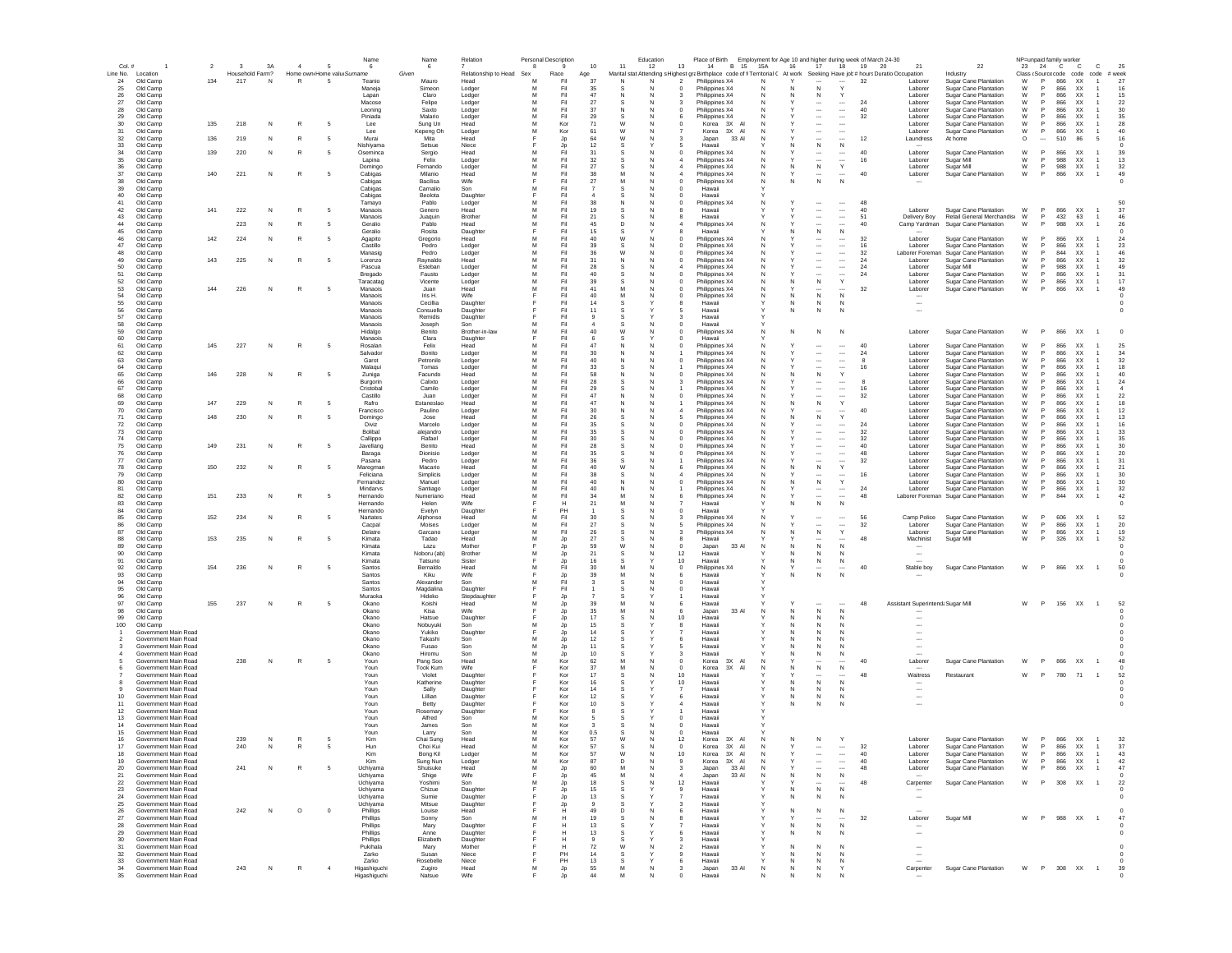| Col. #                |                                              | $\overline{2}$ | $\mathbf{3}$    | 3A | $\overline{a}$ | -5                         | Name<br>6             | Name<br>6              | Relation                 | <b>Personal Description</b><br>-8 |                 | 10               | 11       | Education<br>12 | Place of Birth Employment for Age 10 and higher during week of March 24-30<br>13<br>14<br>B 15 | 15A          | 16<br>17                                             | 18                                                   | 19 20    | 21                                                   | 22                                                    |         | 23 24    | NP=unpaid family worker<br><b>C</b><br><b>C</b>                              | c                    | 25              |  |
|-----------------------|----------------------------------------------|----------------|-----------------|----|----------------|----------------------------|-----------------------|------------------------|--------------------------|-----------------------------------|-----------------|------------------|----------|-----------------|------------------------------------------------------------------------------------------------|--------------|------------------------------------------------------|------------------------------------------------------|----------|------------------------------------------------------|-------------------------------------------------------|---------|----------|------------------------------------------------------------------------------|----------------------|-----------------|--|
|                       | Line No. Location                            |                | Household Farm? |    |                | Home own Home valu Surname |                       | Given                  | Relationship to Head Sex |                                   | Race            | Age              |          |                 | Marital stat Attending s Highest graBirthplace code of fi Territorial C                        |              | At work                                              |                                                      |          | Seeking Have job # hours Duratio Occupation          | Industry                                              |         |          | Class <source code="" code<="" td=""/> <td>code</td> <td>week</td> <td></td> | code                 | week            |  |
| 24                    | Old Camp                                     | 134            | 217             | N  | $\mathbb{R}$   |                            | Teanio                | Mauro                  | Head                     | M<br>M                            | Fil             | 37               |          | N               | Philippines X4                                                                                 | N            | $\mathsf{N}$                                         |                                                      | 32       | Laborer                                              | Sugar Cane Plantation                                 | W       | P        | 866<br>XX                                                                    |                      | 27              |  |
| 25<br>26              | Old Camp<br>Old Camp                         |                |                 |    |                |                            | Maneja<br>Lapan       | Simeor<br>Claro        | Lodge<br>Lodger          | M                                 | Fil<br>Fil      | 35<br>47         |          |                 | Philippines X4<br>Philippines X4                                                               |              | N                                                    |                                                      |          | Laborer<br>Laborer                                   | Sugar Cane Plantation<br>Sugar Cane Plantation        | W<br>W  | P        | 866<br>866                                                                   | XX<br>XX             | 16<br>15        |  |
| 27                    | Old Camp                                     |                |                 |    |                |                            | Macose                | Felipe                 | Lodger                   | M                                 | Fil             | 27               |          |                 | Philippines X4                                                                                 | N            | $\cdots$                                             | $\cdots$                                             | 24       | Laborer                                              | Sugar Cane Plantation                                 | W       |          | 866                                                                          | XX                   | 22              |  |
| 28                    | Old Camp                                     |                |                 |    |                |                            | Leoning               | Saxto                  | Lodger                   |                                   | Fil             | 37               |          |                 | Philippines X4                                                                                 |              | $\ddotsc$                                            | $\cdots$                                             | 40       | Laborer                                              | Sugar Cane Plantation                                 | W       |          | 866                                                                          | XX                   | 30              |  |
| 29                    | Old Camp                                     |                |                 |    |                |                            | Piniada               | Malario                | Lodger                   | M<br>M                            | Fil<br>Kor      | 29               | W        |                 | Philippines X4                                                                                 |              | $\cdots$                                             | $\cdots$                                             | 32       | Laborer                                              | Sugar Cane Plantation                                 | W<br>W  |          | 866<br>866                                                                   | XX                   | 35              |  |
| 30<br>31              | Old Camp<br>Old Camp                         | 135            | 218             | N  |                |                            | Lee<br>Lee            | Sung Un<br>Kepeng Oh   | Head<br>Lodger           | M                                 | Kor             | 71<br>61         | W        | N               | Korea 3X A<br>Korea 3X Al                                                                      | N            | $\cdots$                                             |                                                      |          | Laborer<br>Laborer                                   | Sugar Cane Plantation<br>Sugar Cane Plantation        | W       | P        | 866<br><b>XX</b>                                                             | XX                   | 28<br>40        |  |
| 32                    | Old Camp                                     | 136            | 219             | N  | R              | - 5                        | Murai                 | Mita                   | Head                     |                                   | Jp              | 64               | W        |                 | Japan<br>33 AI                                                                                 | N            | $\sim$                                               |                                                      | 12       | Laundress                                            | At home                                               | $\circ$ | $\sim$   | 510                                                                          | 86<br>-5             | 16              |  |
| 33                    | Old Camp                                     |                |                 |    |                |                            | Nishiyama             | Setsue                 | Niece                    |                                   | Jp              | 12               | s        |                 | Hawaii                                                                                         |              | N<br>N.                                              | N                                                    |          |                                                      |                                                       |         |          |                                                                              |                      |                 |  |
| 34                    | Old Camp                                     | 139            | 220             | N  |                |                            | Oseminca              | Sergio                 | Head                     | м                                 | Fil             | 31               |          |                 | Philippines X4<br>$\Omega$                                                                     | N            | $\sim$                                               | $\cdots$                                             | 40       | Laborer                                              | <b>Sugar Cane Plantation</b>                          | W       | <b>P</b> | 866<br><b>XX</b>                                                             |                      | 39              |  |
| 35<br>36              | Old Camp<br>Old Camp                         |                |                 |    |                |                            | Lapina<br>Domingo     | Felix<br>Fernando      | Lodger<br>Lodger         | M<br>M                            | Fil<br>Fil      | 32<br>27         | s        | N               | Philippines X4<br>Philippines X4                                                               | N<br>N       | $\overline{\phantom{a}}$<br>N<br>N                   | $\overline{\phantom{a}}$<br>Y                        | 16       | Laborer<br>Laborer                                   | Sugar Mill<br>Sugar Mill                              | W<br>W  | P<br>P   | 988<br><b>XX</b><br>988<br>XX                                                | 1                    | 13<br>32        |  |
| 37                    | Old Camp                                     | 140            | 221             | N  | R              |                            | Cabigas               | Milanio                | Head                     | M                                 | Fil             | 38               | M        | N               | Philippines X4                                                                                 | N            |                                                      |                                                      | 40       | Laborer                                              | Sugar Cane Plantation                                 | W       | P.       | 866                                                                          | XX<br>$\overline{1}$ | 49              |  |
| 38                    | Old Camp                                     |                |                 |    |                |                            | Cabigas               | Bacilisa               | Wife                     |                                   | Fil             | 27               | M        |                 | Philippines X4<br>$\Omega$                                                                     | N            | $\mathbb N$<br>N                                     | N                                                    |          |                                                      |                                                       |         |          |                                                                              |                      |                 |  |
| 39                    | Old Camp                                     |                |                 |    |                |                            | Cabigas               | Carnalio               | Son                      | M                                 | Fil             |                  |          |                 | Hawaii                                                                                         |              |                                                      |                                                      |          |                                                      |                                                       |         |          |                                                                              |                      |                 |  |
| 40<br>41              | Old Camp<br>Old Camp                         |                |                 |    |                |                            | Cabigas<br>Tamayo     | Beolota<br>Pablo       | Daughte<br>Lodger        | M                                 | Fil<br>Fil      | 38               |          |                 | Hawaii<br>Philippines X4                                                                       |              |                                                      |                                                      | 48       |                                                      |                                                       |         |          |                                                                              |                      | 50              |  |
| 42                    | Old Camp                                     | 141            | 222             | N  |                |                            | Manaois               | Genero                 | Head                     | M                                 | Fil             | 19               |          |                 | Hawaii                                                                                         |              | $\ddotsc$                                            | $\cdots$                                             | 40       | Laborer                                              | Sugar Cane Plantation                                 | W       | P        | 866<br><b>XX</b>                                                             |                      | 37              |  |
| 43                    | Old Camp                                     |                |                 |    |                |                            | Manaois               | Juaquin                | Brother                  |                                   | Fil             | 21               |          |                 | Hawaii                                                                                         |              | $\ddotsc$                                            | $\overline{\phantom{a}}$                             | 51       | Delivery Boy                                         | Retail General Merchandis: W                          |         |          | 432<br>63                                                                    |                      | 46              |  |
| 44                    | Old Camp                                     |                | 223             | N  |                |                            | Geralio               | Pablo                  | Head                     | M                                 | Fil             | 45               | D        |                 | Philippines X4                                                                                 |              |                                                      |                                                      | 40       | Camp Yardman                                         | Sugar Cane Plantation                                 | W       |          | 988                                                                          | XX                   | 26              |  |
| 45<br>46              | Old Camp<br>Old Camp                         | 142            | 224             | N  | R              | -5                         | Geralio<br>Agapito    | Rosita<br>Gregorio     | Daughter<br>Head         | м                                 | Fil<br>Fil      | 15<br>40         | W        | N               | Hawaii<br>Philippines X4                                                                       | N            | N<br>$\ddotsc$                                       | N<br>$\cdots$                                        | 32       | Laborer                                              | Sugar Cane Plantation                                 | W       |          | 866                                                                          | XX                   | 24              |  |
| 47                    | Old Camp                                     |                |                 |    |                |                            | Castillo              | Pedro                  | Lodger                   | м                                 | Fil             | 39               | s        |                 | Philippines X4                                                                                 | N            | $\overline{\phantom{a}}$                             | $\cdots$                                             | 16       | Laborer                                              | Sugar Cane Plantation                                 | W       |          | 866                                                                          | XX.                  | 23              |  |
| 48                    | Old Camp                                     |                |                 |    |                |                            | Manasig               | Pedro                  | Lodger                   | м                                 | Fil             | 36               | W        | N               | Philippines X4                                                                                 | N            | $\cdots$                                             | $\cdots$                                             | 32       | Laborer Foreman                                      | Sugar Cane Plantation                                 | W       | <b>P</b> | 844                                                                          | XX                   | 46              |  |
| 49                    | Old Camp                                     | 143            | 225             | N  | R              | -5                         | Lorenzo               | Raynaldo               | Head                     | м                                 | Fil             | 31               | N        |                 | Philippines X4<br>C                                                                            | N            | $\ddotsc$                                            | $\cdots$                                             | 24       | Laborer                                              | <b>Sugar Cane Plantation</b>                          | W       |          | 866                                                                          | XX                   | 32              |  |
| 50<br>51              | Old Camp<br>Old Camp                         |                |                 |    |                |                            | Pascua<br>Bregado     | Esteban<br>Fausto      | Lodger<br>Lodger         | M<br>M                            | Fil<br>Fil      | 28<br>40         | s        | N               | Philippines X4<br>Philippines X4<br>C                                                          | N<br>N       | $\overline{\phantom{a}}$<br>$\overline{\phantom{a}}$ | $\overline{\phantom{a}}$<br>$\overline{\phantom{a}}$ | 24<br>24 | Laborer<br>Laborer                                   | Sugar Mill<br><b>Sugar Cane Plantation</b>            | W<br>W  | P<br>P   | 988<br>866                                                                   | <b>XX</b><br>XX      | 49<br>31        |  |
| 52                    | Old Camp                                     |                |                 |    |                |                            | Taracatag             | Vicente                | Lodger                   | M                                 | Fil             | 39               |          | N               | Philippines X4<br>C                                                                            | N            | N<br>N                                               | $\mathbf{v}$                                         |          | Laborer                                              | Sugar Cane Plantation                                 | W       | P        | 866                                                                          | XX                   | 17              |  |
| 53                    | Old Camp                                     | 144            | 226             | N  | R              | -5                         | Manaois               | Juan                   | Head                     | M                                 | Fil             | 41               | M        |                 | Philippines X4<br>$\Omega$                                                                     | N            |                                                      |                                                      | 32       | Laborer                                              | Sugar Cane Plantation                                 | W       | P.       | 866                                                                          | XX<br>1              | 49              |  |
| 54                    | Old Camp                                     |                |                 |    |                |                            | Manaois               | Iris H                 | Wife                     |                                   | Fil             | 40               | M        |                 | Philippines X4                                                                                 | N            | N                                                    | N                                                    |          |                                                      |                                                       |         |          |                                                                              |                      |                 |  |
| 55<br>56              | Old Camp<br>Old Camp                         |                |                 |    |                |                            | Manaois<br>Manaois    | Cecillia<br>Consuello  | Daughte<br>Daughter      |                                   | Fil<br>Fil      | 14<br>11         |          |                 | Hawaii<br>Hawaii                                                                               |              | N<br>N<br>N<br>N                                     | N                                                    |          | $\overline{\phantom{a}}$                             |                                                       |         |          |                                                                              |                      |                 |  |
| 57                    | Old Camp                                     |                |                 |    |                |                            | Manaois               | Remidis                | Daughter                 |                                   | Fil             |                  |          |                 | Hawaii                                                                                         |              |                                                      |                                                      |          |                                                      |                                                       |         |          |                                                                              |                      |                 |  |
| 58                    | Old Camp                                     |                |                 |    |                |                            | Manaois               | Joseph                 | Son                      |                                   | Fil             |                  |          |                 | Hawaii                                                                                         |              |                                                      |                                                      |          |                                                      |                                                       |         |          |                                                                              |                      |                 |  |
| 59                    | Old Camp                                     |                |                 |    |                |                            | Hidalgo               | Benito                 | Brother-in-law           | M                                 | Fil             | 40               | W        |                 | Philippines X4                                                                                 | N            | ${\sf N}$<br>N                                       | N                                                    |          | Laborer                                              | Sugar Cane Plantation                                 | W       | P        | 866                                                                          | XX                   |                 |  |
| 60<br>61              | Old Camp<br>Old Camp                         | 145            | 227             | N  | R              |                            | Manaois<br>Rosalan    | Clara<br>Felix         | Daughter<br>Head         | м                                 | Fil<br>Fil      | 47               | N        | N               | Hawaii<br>Philippines X4<br>$\Omega$                                                           | N            | $\sim$                                               | $\cdots$                                             | 40       | Laborer                                              | Sugar Cane Plantation                                 | W       |          | 866                                                                          | XX                   | 25              |  |
| 62                    | Old Camp                                     |                |                 |    |                |                            | Salvador              | Bonito                 | Lodger                   | м                                 | Fil             | 30               |          |                 | Philippines X4                                                                                 | N            | $\ddotsc$                                            | $\cdots$                                             | 24       | Laborer                                              | Sugar Cane Plantation                                 | W       |          | 866                                                                          | XX                   | 34              |  |
| 63                    | Old Camp                                     |                |                 |    |                |                            | Garot                 | Petronilo              | Lodger                   | м                                 | Fil             | 40               | N        | N               | Philippines X4<br>$\Omega$                                                                     | N            | $\cdots$                                             | $\cdots$                                             | -8       | Laborer                                              | Sugar Cane Plantation                                 | W       | <b>P</b> | 866                                                                          | XX                   | 32              |  |
| 64<br>65              | Old Camp                                     | 146            |                 |    |                |                            | Malagui               | Tomas                  | Lodger                   | м<br>M                            | Fil<br>Fil      | 33<br>58         | s        | N               | Philippines X4                                                                                 | N            | $\ddotsc$                                            | $\overline{\phantom{a}}$                             | 16       | Laborer                                              | Sugar Cane Plantation                                 | W<br>W  |          | 866<br>866                                                                   | XX.<br><b>XX</b>     | 18<br>40        |  |
| 66                    | Old Camp<br>Old Camp                         |                | 228             | N  |                |                            | Zuniga<br>Burgorin    | Facundo<br>Calixto     | Head<br>Lodger           | M                                 | Fil             | 28               | N        |                 | Philippines X4<br>Philippines X4                                                               | N<br>N       | N<br>N                                               | Y<br>                                                | 8        | Laborer<br>Laborer                                   | Sugar Cane Plantation<br><b>Sugar Cane Plantation</b> | W       | P.       | 866                                                                          | <b>XX</b>            | 24              |  |
| 67                    | Old Camp                                     |                |                 |    |                |                            | Cristobal             | Camilo                 | Lodger                   | M                                 | Fil             | 29               |          | N               | Philippines X4                                                                                 | N            | $\overline{\phantom{a}}$                             | $\overline{\phantom{a}}$                             | 16       | Laborer                                              | <b>Sugar Cane Plantation</b>                          | W       | P        | 866                                                                          | <b>XX</b>            | $\sim$          |  |
| 68                    | Old Camp                                     |                |                 |    |                |                            | Castillo              | Juan                   | Lodger                   | M                                 | Fil             | 47               | N        | N               | Philippines X4<br>C                                                                            | N            | $\overline{\phantom{a}}$                             | $\overline{\phantom{a}}$                             | 32       | Laborer                                              | Sugar Cane Plantation                                 | W       | P        | 866                                                                          | XX                   | 22              |  |
| 69                    | Old Camp                                     | 147            | 229             | N  |                |                            | Rafro                 | Estaneslao             | Head                     | M                                 | Fil             | 47               |          |                 | Philippines X4                                                                                 |              | N                                                    | Y                                                    |          | Laborer                                              | Sugar Cane Plantation                                 | W       | P        | 866<br>XX                                                                    |                      | 18              |  |
| 70<br>71              | Old Camp<br>Old Camp                         | 148            | 230             | N  |                |                            | Francisco<br>Domingo  | Paulino<br>Jose        | Lodger<br>Head           | M<br>M                            | Fil<br>Fil      | 30<br>26         |          |                 | Philippines X4<br>Philippines X4                                                               |              | N                                                    | Y                                                    | 40       | Labore<br>Laborer                                    | Sugar Cane Plantation<br>Sugar Cane Plantation        | W<br>W  | P        | 866<br>XX<br>866<br>XX                                                       |                      | 12<br>13        |  |
| 72                    | Old Camp                                     |                |                 |    |                |                            | Diviz                 | Marcelo                | Lodger                   | M                                 | Fil             | 35               |          |                 | Philippines X4                                                                                 | N            | $\cdots$                                             | $\cdots$                                             | 24       | Laborer                                              | Sugar Cane Plantation                                 | W       |          | 866                                                                          | XX                   | 16              |  |
| 73                    | Old Camp                                     |                |                 |    |                |                            | Bolibal               | alejandro              | Lodger                   |                                   | Fil             | 35               |          |                 | Philippines X4                                                                                 |              |                                                      | $\cdots$                                             | 32       | Laborer                                              | Sugar Cane Plantation                                 | W       |          | 866<br>XX                                                                    |                      | 33              |  |
| 74                    | Old Camp                                     |                |                 |    |                |                            | Callippo              | Rafael                 | Lodger                   | M<br>M                            | Fil<br>Fil      | 30               |          |                 | Philippines X4                                                                                 |              | $\ddotsc$                                            | $\ldots$                                             | 32<br>40 | Laborer                                              | Sugar Cane Plantation                                 | W       |          | 866<br>866                                                                   | XX                   | 35<br>30        |  |
| 75<br>76              | Old Camp<br>Old Camp                         | 149            | 231             | N  | R              |                            | Javellang<br>Baraga   | Benito<br>Dionisio     | Head<br>Lodger           | м                                 | Fil             | 28<br>35         | s        | N               | Philippines X4<br>Philippines X4<br>$\Omega$                                                   | N            | $\cdots$<br>$\cdots$                                 | $\cdots$<br>$\cdots$                                 | 48       | Laborer<br>Laborer                                   | Sugar Cane Plantation<br>Sugar Cane Plantation        | W<br>W  | <b>P</b> | 866                                                                          | XX<br>XX.            | 20              |  |
| 77                    | Old Camp                                     |                |                 |    |                |                            | Pasana                | Pedro                  | Lodger                   | м                                 | Fil             | 36               |          |                 | Philippines X4                                                                                 | N            | $\sim$                                               |                                                      | 32       | Laborer                                              | <b>Sugar Cane Plantation</b>                          | W       |          | 866                                                                          | XX                   | 31              |  |
| 78                    | Old Camp                                     | 150            | 232             | N  |                |                            | Mareoman              | Macario                | Head                     | м                                 | Fil             | 40               | W        | N               | Philippines X4                                                                                 | N            | N<br>N.                                              | Y                                                    |          | Laborer                                              | Sugar Cane Plantation                                 | W       |          | 866                                                                          | XX.                  | 21              |  |
| 79                    | Old Camp                                     |                |                 |    |                |                            | Feliciana             | Simplicis              | Lodger                   | м                                 | Fil             | 38               | -S       | N               | Philippines X4                                                                                 | N            |                                                      |                                                      | 16       | Laborer                                              | Sugar Cane Plantation                                 | W       |          | 866                                                                          | XX.                  | 30              |  |
| 80<br>81              | Old Camp<br>Old Camp                         |                |                 |    |                |                            | Fernandez<br>Mindarvs | Manuel                 | Lodger                   | M<br>M                            | Fil<br>Fil      | 40<br>40         | N        | N               | Philippines X4<br>C                                                                            | N<br>N       | N<br>N<br>$\overline{\phantom{a}}$                   | Y<br>                                                | 24       | Laborer<br>Laborer                                   | Sugar Cane Plantation<br>Sugar Cane Plantation        | W<br>W  | P<br>P   | 866<br>866                                                                   | XX<br>XX             | 30<br>32        |  |
| 82                    | Old Camp                                     | 151            | 233             | N  |                | -5                         | Hernando              | Santiago<br>Numeriano  | Lodger<br>Head           | M                                 | Fil             | 34               | M        | N               | Philippines X4<br>Philippines X4                                                               | N            | $\overline{\phantom{a}}$                             | $\sim$                                               | 48       | Laborer Foreman                                      | Sugar Cane Plantation                                 | W       | P        | 844                                                                          | XX                   | 42              |  |
| 83                    | Old Camp                                     |                |                 |    |                |                            | Hernando              | Helen                  | Wife                     |                                   | н               | 21               | M        | N               | Hawaii                                                                                         |              | N<br>N                                               | N                                                    |          |                                                      |                                                       |         |          |                                                                              |                      |                 |  |
| 84                    | Old Camp                                     |                |                 |    |                |                            | Hernando              | Evelyn                 | Daughter                 |                                   | PH              |                  |          |                 | Hawaii                                                                                         |              |                                                      |                                                      |          |                                                      |                                                       |         |          |                                                                              |                      |                 |  |
| 85<br>86              | Old Camp<br>Old Camp                         | 152            | 234             | N  |                |                            | Nartates<br>Cacpal    | Alphonso<br>Moises     | Head<br>Lodger           | м<br>M                            | Fil<br>Fil      | 30<br>27         |          |                 | Philippines X4<br>Philippines X4                                                               |              |                                                      | <br>$\sim$                                           | 56<br>32 | Camp Police<br>Laborer                               | Sugar Cane Plantation<br>Sugar Cane Plantation        | W<br>W  | P<br>P   | 606<br>XX<br>866                                                             | XX                   | 52<br>20        |  |
| 87                    | Old Camp                                     |                |                 |    |                |                            | Delatre               | Garcano                | Lodger                   | M                                 | Fil             | 26               |          |                 | Philippines X4                                                                                 |              | ${\sf N}$<br>N                                       | Y                                                    |          | Laborer                                              | Sugar Cane Plantation                                 | W       | P        | 866                                                                          | XX                   | 19              |  |
| 88                    | Old Camp                                     | 153            | 235             | N  | R              |                            | Kimata                | Tadao                  | Head                     |                                   | Jp              | 27               |          |                 | Hawaii                                                                                         |              |                                                      |                                                      | 48       | Machinist                                            | Sugar Mill                                            | W       |          | 326                                                                          | XX                   | 52              |  |
| 89                    | Old Camp                                     |                |                 |    |                |                            | Kimata                | Lazu                   | Mother                   |                                   | Jp              | 59               | W        |                 | 33 AI<br>0<br>Japan                                                                            |              | $\mathsf{N}$<br>N                                    | N                                                    |          |                                                      |                                                       |         |          |                                                                              |                      |                 |  |
| 90<br>91              | Old Camp<br>Old Camp                         |                |                 |    |                |                            | Kimata<br>Kimata      | Noboru (ab)<br>Tatsuno | Brother<br>Sister        |                                   | Jp<br>Jp        | 21<br>16         | s        |                 | 12<br>Hawaii<br>10<br>Hawaii                                                                   |              | N<br>N<br>N<br>N                                     | N<br>N                                               |          |                                                      |                                                       |         |          |                                                                              |                      |                 |  |
| 92                    | Old Camp                                     | 154            | 236             | N  | R              |                            | Santos                | Bernaldo               | Head                     | м                                 | Fil             | 30               |          |                 | $^{\circ}$<br>Philippines X4                                                                   | N            |                                                      |                                                      | 40       | Stable boy                                           | <b>Sugar Cane Plantation</b>                          | W       | P        | 866 XX                                                                       | $\overline{1}$       | 50              |  |
| 93                    | Old Camp                                     |                |                 |    |                |                            | Santos                | Kiku                   | Wife                     |                                   | Jp              | 39               | м        |                 | Hawaii<br>-6                                                                                   |              | N<br>N.                                              | N                                                    |          |                                                      |                                                       |         |          |                                                                              |                      |                 |  |
| 94                    | Old Camp                                     |                |                 |    |                |                            | Santos                | Alexander              | Son                      | м                                 | Fil             | -3               |          |                 | $^{\circ}$<br>Hawaii                                                                           |              |                                                      |                                                      |          |                                                      |                                                       |         |          |                                                                              |                      |                 |  |
| 95<br>96              | Old Camp<br>Old Camp                         |                |                 |    |                |                            | Santos<br>Muraoka     | Magdalina<br>Hideko    | Daughter                 | E                                 | Fil             |                  |          | N               | $\overline{0}$<br>Hawaii<br>Hawaii                                                             |              |                                                      |                                                      |          |                                                      |                                                       |         |          |                                                                              |                      |                 |  |
| 97                    | Old Camp                                     | 155            | 237             | N  | R              |                            | Okano                 | Knishi                 | Stepdaughter<br>Head     | м                                 | Jp<br><b>Jp</b> | 39               | M        | N               | Hawaii<br>6                                                                                    |              |                                                      |                                                      | 48       | Assistant Superintenda Sugar Mill                    |                                                       | W       | P.       | 156 XX                                                                       | $\overline{1}$       | 52              |  |
| 98                    | Old Camp                                     |                |                 |    |                |                            | Okano                 | Kisa                   | Wife                     |                                   | Jp              | 35               | M        |                 | Japan<br>33 AI<br>6                                                                            | N            | N<br>N                                               | N                                                    |          |                                                      |                                                       |         |          |                                                                              |                      |                 |  |
| 99                    | Old Camp                                     |                |                 |    |                |                            | Okano                 | Hatsue                 | Daughter                 |                                   | Jp              | 17               |          |                 | 10<br>Hawai                                                                                    |              | $\mathbb N$                                          | N                                                    |          |                                                      |                                                       |         |          |                                                                              |                      |                 |  |
| 100                   | Old Camp<br>Government Main Road             |                |                 |    |                |                            | Okano<br>Okano        | Nobuyuki<br>Yukiko     | Son<br>Daughter          | M                                 | Jp<br>Jp        | 15<br>14         |          |                 | Hawai<br>Hawai                                                                                 |              | N<br>N                                               | N<br>N                                               |          |                                                      |                                                       |         |          |                                                                              |                      |                 |  |
| $\overline{2}$        | Government Main Road                         |                |                 |    |                |                            | Okano                 | Takashi                | Son                      | M                                 | Jp              | 12               |          |                 | 6<br>Hawaii                                                                                    |              | $\mathbb N$<br>N                                     | N                                                    |          |                                                      |                                                       |         |          |                                                                              |                      |                 |  |
| -3                    | Government Main Road                         |                |                 |    |                |                            | Okano                 | Fusao                  | Son                      |                                   | Jp              | 11               |          |                 | Hawaii                                                                                         |              |                                                      |                                                      |          |                                                      |                                                       |         |          |                                                                              |                      |                 |  |
| $\overline{4}$        | Government Main Road<br>Government Main Road |                | 238             | N  | R              |                            | Okano                 | Hiromu<br>Pang Soo     | Son                      | M                                 | Jp<br>Kor       | 10<br>62         |          |                 | Hawaii<br>3X AI                                                                                |              | N<br>N                                               | N                                                    | 40       |                                                      | Sugar Cane Plantation                                 | W       | P        | 866 XX                                                                       |                      |                 |  |
| 6                     | Government Main Road                         |                |                 |    |                |                            | Youn<br>Youn          | <b>Took Kum</b>        | Head<br>Wife             |                                   | Kor             | -37              | м        |                 | Korea<br>0<br>$^{\circ}$<br>Korea<br>3X AI                                                     | N            | N<br>N                                               | N                                                    |          | Laborer                                              |                                                       |         |          |                                                                              | $\overline{1}$       |                 |  |
|                       | Government Main Road                         |                |                 |    |                |                            | Youn                  | Violet                 | Daughter                 |                                   | Kor             | 17               | s        |                 | 10<br>Hawaii                                                                                   |              | $\sim$                                               |                                                      | 48       | Waitress                                             | Restaurant                                            | W       | P.       | 71<br>780                                                                    | $\overline{1}$       | 52              |  |
| 8                     | Government Main Road                         |                |                 |    |                |                            | Youn                  | Katherine              | Daughter                 |                                   | Kor             | 16               |          |                 | 10<br>Hawaii                                                                                   |              | N<br>N.                                              | N                                                    |          | $\overline{\phantom{a}}$                             |                                                       |         |          |                                                                              |                      |                 |  |
| -9<br>10 <sup>1</sup> | Government Main Road<br>Government Main Road |                |                 |    |                |                            | Youn                  | Sally                  | Daughter                 |                                   | Kor<br>Kor      | 14<br>12         |          |                 | Hawaii<br>Hawaii                                                                               |              | N<br>N.                                              | N                                                    |          | $\sim$                                               |                                                       |         |          |                                                                              |                      |                 |  |
| 11                    | Government Main Road                         |                |                 |    |                |                            | Youn<br>Youn          | Lillian<br>Betty       | Daughter<br>Daughter     |                                   | Kor             | $10^{-1}$        | s        |                 | 6<br>Hawaii                                                                                    |              | N<br>N<br>N                                          | N<br>N                                               |          | $\overline{\phantom{a}}$<br>$\overline{\phantom{a}}$ |                                                       |         |          |                                                                              |                      |                 |  |
| 12                    | Government Main Road                         |                |                 |    |                |                            | Youn                  | Rosemary               | Daughter                 |                                   | Kor             |                  |          |                 | Hawaii                                                                                         |              |                                                      |                                                      |          |                                                      |                                                       |         |          |                                                                              |                      |                 |  |
| 13                    | Government Main Road                         |                |                 |    |                |                            | Youn                  | Alfred                 | Son                      | м                                 | Kor             |                  |          |                 | Hawaii<br>$^{\circ}$                                                                           |              |                                                      |                                                      |          |                                                      |                                                       |         |          |                                                                              |                      |                 |  |
| 14                    | Government Main Road                         |                |                 |    |                |                            | Youn                  | James                  | Sor                      | M<br>M                            | Kor             | 0.5              |          |                 | $\mathbf 0$<br>Hawaii                                                                          |              |                                                      |                                                      |          |                                                      |                                                       |         |          |                                                                              |                      |                 |  |
| 15<br>16              | Government Main Road<br>Government Main Road |                | 239             | N  | R              |                            | Youn<br>Kim           | Larry<br>Chai Sung     | Son<br>Head              | M                                 | Kor<br>Kor      | 57               | W        |                 | $\mathbf 0$<br>Hawaii<br>12<br>Korea<br>3X AI                                                  |              | N                                                    | Y                                                    |          | Laborer                                              | Sugar Cane Plantation                                 | W       | P        | XX<br>866                                                                    | $\overline{1}$       | 32              |  |
| 17                    | Government Main Road                         |                | 240             | N  | R              |                            | Hun                   | Choi Kui               | Head                     | M                                 | Kor             | 57               |          |                 | 3X AI<br>$^{\circ}$<br>Korea                                                                   | N            |                                                      | $\cdots$                                             | 32       | Laborer                                              | Sugar Cane Plantation                                 | W       | P        | 866                                                                          | XX<br>$\overline{1}$ | 37              |  |
| 18                    | Government Main Road                         |                |                 |    |                |                            |                       | Bong Kil               | Lodge                    |                                   | Kor             | 57               |          |                 | 3X<br>Korea                                                                                    |              |                                                      |                                                      |          | Laborer                                              | Sugar Cane Plantation                                 | W       |          | 866                                                                          | <b>XX</b>            | 43              |  |
| 19                    | Government Main Road                         |                |                 |    |                |                            | Kim                   | Sung Nun               | Lodger                   | M                                 | Kor             | 87               | D        | N               | Korea<br>3X AI<br>9                                                                            | N            | $\cdots$                                             | $\ldots$                                             | 40       | Laborer                                              | Sugar Cane Plantation                                 | W       | P        | 866                                                                          | XX<br>$\overline{1}$ | 42              |  |
| 20<br>21              | Government Main Road<br>Government Main Road |                | 241             | N  | R              |                            | Uchiyama              | Shuisuke               | Head<br>Wife             | M<br>Е                            | Jp              | 60<br>45         | M        | N               | 33 Al<br>Japan<br>3<br>33 AI<br>$\overline{A}$                                                 | N<br>N       | $\ddotsc$<br>${\sf N}$                               | $\,N\,$                                              | 48       | Laborer                                              | Sugar Cane Plantation                                 | W       | P        | 866 XX                                                                       | $\overline{1}$       | 47              |  |
| 22                    | Government Main Road                         |                |                 |    |                |                            | Uchivama<br>Uchivama  | Shige<br>Yoshimi       | Son                      | м                                 | Jp<br>Jp        | 18               | -S       | N               | Japan<br>12<br>Hawaii                                                                          |              | N<br>$\sim$                                          |                                                      | 48       | Carpenter                                            | Sugar Cane Plantation                                 | W       | P        | 308 XX                                                                       | $\overline{1}$       | $\Omega$<br>-22 |  |
| 23                    | Government Main Road                         |                |                 |    |                |                            | Uchivama              | Chizue                 | Daughter                 |                                   | Jp              | 15               | s        |                 | 9<br>Hawaii                                                                                    | Y            | N<br>N                                               | N                                                    |          |                                                      |                                                       |         |          |                                                                              |                      | $\Omega$        |  |
| 24                    | Government Main Road                         |                |                 |    |                |                            | Uchiyama              | Sumie                  | Daughter                 |                                   | Jp              | 13               | -S       |                 | Hawaii                                                                                         |              | N<br>N.                                              | N                                                    |          | $\overline{\phantom{a}}$                             |                                                       |         |          |                                                                              |                      | $^{\circ}$      |  |
| 25<br>26              | Government Main Road                         |                |                 |    |                |                            | Uchiyama              | Mitsue                 | Daughter                 |                                   | Jp              | $^{\circ}$<br>49 | s<br>D.  |                 | Hawaii<br>$\mathbf{3}$<br>Hawaii                                                               | $\checkmark$ |                                                      |                                                      |          |                                                      |                                                       |         |          |                                                                              |                      | $\Omega$        |  |
| - 27                  | Government Main Road<br>Government Main Road |                | 242             | N  | $\circ$        | $\overline{0}$             | Phillips<br>Phillips  | Louise<br>Sonny        | Head<br>Son              | M                                 | н<br>н          | 19               | <b>S</b> | N<br>N          | 6<br>Hawaii<br>8                                                                               | $\mathsf{Y}$ | N<br>N<br>$\checkmark$<br>$\overline{\phantom{a}}$   | N<br>$\overline{\phantom{a}}$                        | 32       | Laborer                                              | Sugar Mill                                            | W       | P        | 988 XX 1                                                                     |                      | 47              |  |
| 28                    | Government Main Road                         |                |                 |    |                |                            | Phillips              | Mary                   | Daughter                 | E                                 | H               | 13               | -S       |                 | Hawaii                                                                                         | Υ            | N<br>N                                               | N                                                    |          |                                                      |                                                       |         |          |                                                                              |                      |                 |  |
| 29                    | Government Main Road                         |                |                 |    |                |                            | Phillips              | Anne                   | Daughter                 |                                   | н               | 13               | S        |                 | Hawaii                                                                                         | v            | N                                                    | N                                                    |          |                                                      |                                                       |         |          |                                                                              |                      |                 |  |
| 30                    | Government Main Road                         |                |                 |    |                |                            | Phillips              | Elizabeth              | Daughter                 |                                   | н               |                  | S        |                 | Hawaii                                                                                         |              |                                                      |                                                      |          |                                                      |                                                       |         |          |                                                                              |                      |                 |  |
| 31<br>32              | Government Main Road<br>Government Main Road |                |                 |    |                |                            | Pukihala<br>Zarko     | Mary<br>Susan          | Mother<br>Niece          |                                   | н<br>PH         | 72<br>14         | W        | N               | $\overline{2}$<br>Hawaii<br>Hawaii<br>9                                                        |              | N<br>${\sf N}$<br>N                                  | N<br>N                                               |          | $\overline{\phantom{a}}$<br>$\overline{\phantom{a}}$ |                                                       |         |          |                                                                              |                      | $\Omega$        |  |
| 33                    | Government Main Road                         |                |                 |    |                |                            | Zarko                 | Rosebelle              | Niece                    |                                   | PH              | 13               |          |                 | Hawaii                                                                                         |              | N<br>N.                                              | N                                                    |          |                                                      |                                                       |         |          |                                                                              |                      |                 |  |
| 34                    | Government Main Road                         |                | 243             | N  | $\mathbb{R}$   | $\overline{4}$             | Higashiguchi          | Zugiro                 | Head                     | M                                 | Jp              | 55               | M        | N               | 33 Al<br>Japan<br>3                                                                            | N            | N<br>Ν                                               |                                                      |          | Carpenter                                            | Sugar Cane Plantation                                 | W       | P        | 308 XX                                                                       | $\overline{1}$       | 39              |  |
| 35                    | Government Main Road                         |                |                 |    |                |                            | Higashiguchi          | Natsue                 | Wife                     | F                                 | Jp              | 44               | M        |                 | $\overline{0}$<br>Hawaii                                                                       | N            | N<br>N                                               |                                                      |          |                                                      |                                                       |         |          |                                                                              |                      |                 |  |
|                       |                                              |                |                 |    |                |                            |                       |                        |                          |                                   |                 |                  |          |                 |                                                                                                |              |                                                      |                                                      |          |                                                      |                                                       |         |          |                                                                              |                      |                 |  |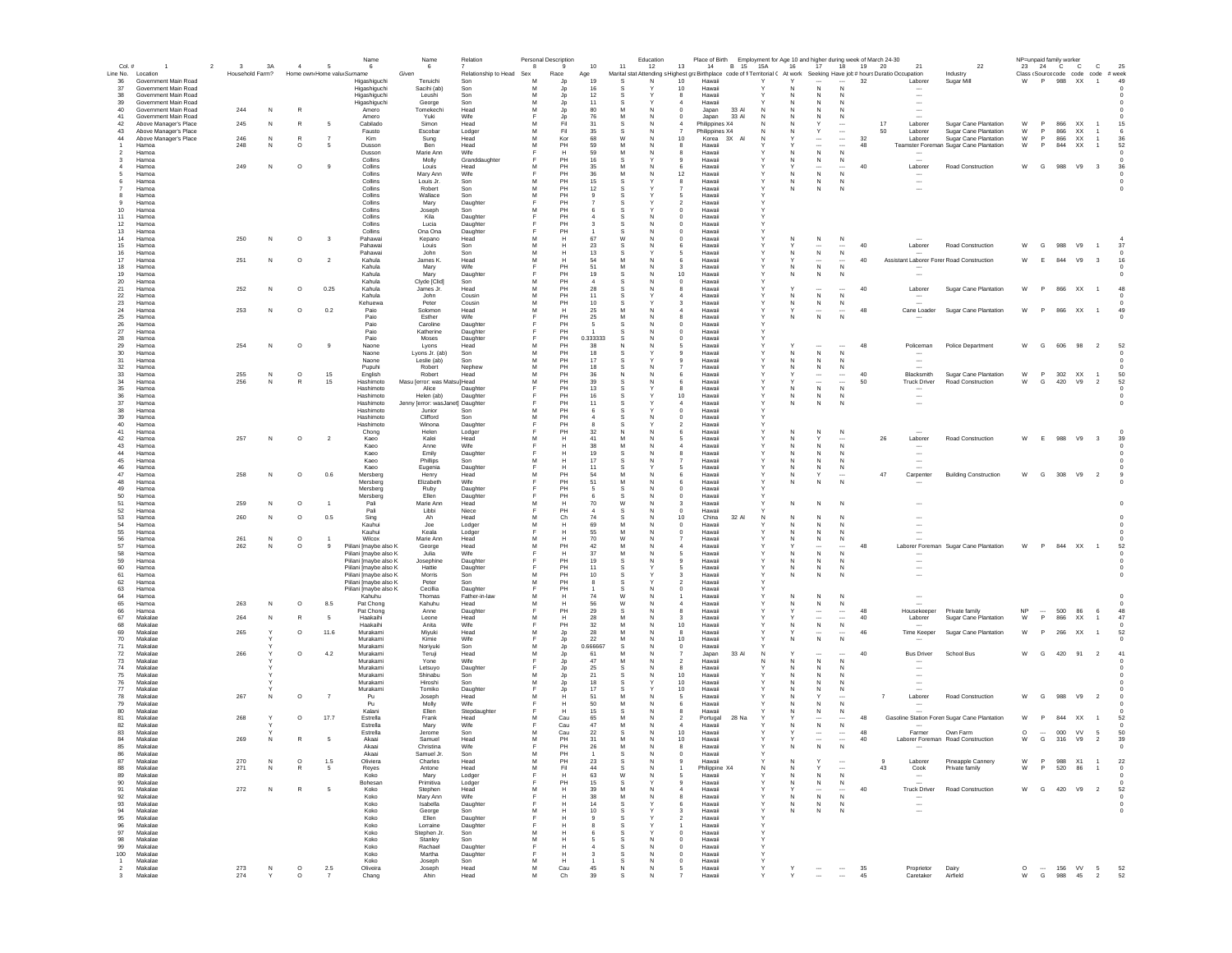| Col.#                   | $\overline{1}$                                | $\overline{2}$<br>$\overline{\mathbf{3}}$ | 3A        | $\sim$                     | 5                       | Name<br>6                                      | Name<br>6                        | Relation              | 8      | Personal Description<br>9 | 10                 | 11            | Education<br>12 | Place of Birth Employment for Age 10 and higher during week of March 24-30<br>13<br>14<br><b>B</b> 15                       | 15A               | 16                | 17                            | 18                                      | 19 20                                   | 21                                       | 22                                                              | NP=unpaid family worker |              | 23  24  C  C                                                                                         | c                        | 25                       |
|-------------------------|-----------------------------------------------|-------------------------------------------|-----------|----------------------------|-------------------------|------------------------------------------------|----------------------------------|-----------------------|--------|---------------------------|--------------------|---------------|-----------------|-----------------------------------------------------------------------------------------------------------------------------|-------------------|-------------------|-------------------------------|-----------------------------------------|-----------------------------------------|------------------------------------------|-----------------------------------------------------------------|-------------------------|--------------|------------------------------------------------------------------------------------------------------|--------------------------|--------------------------|
|                         | Line No. Location                             | Household Farm?                           |           | Home own Home valu Surname |                         |                                                | Given                            | Relationship to Head  | Sex    | Race                      | Age                |               |                 | Marital stat Attending s Highest graBirthplace code of fi Territorial C At work Seeking Have job # hours Duratio Occupation |                   |                   |                               |                                         |                                         |                                          | Industry                                                        |                         |              | Class (Source code code code # week                                                                  |                          |                          |
| 36<br>-37               | Government Main Road<br>Government Main Road  |                                           |           |                            |                         | Higashiguchi<br>Higashiguchi                   | Teruichi<br>Sacihi (ab)          | Son<br>Son            | м<br>м | Jp<br>Jp                  | 19<br>16           | -S            | N               | 10<br>Hawaii<br>10<br>Hawaii                                                                                                |                   |                   | $\cdots$<br>$\mathbb N$       | $\cdots$<br>N                           | 32                                      | Laborer                                  | Sugar Mill                                                      | W                       | P            | 988 XX                                                                                               | $\overline{1}$           | 49                       |
| 38<br>39                | Government Main Road<br>Government Main Road  |                                           |           |                            |                         | Higashiguchi                                   | Leushi                           | Son<br>Son            | м<br>M | Jp<br>Jp                  | 12<br>11           | -S<br>s       |                 | 8<br>Hawaii<br>Hawaii<br>$\boldsymbol{\Lambda}$                                                                             |                   | N<br>N            | N<br>$\mathbb N$              | N<br>N                                  |                                         | $\sim$<br>$\overline{\phantom{a}}$       |                                                                 |                         |              |                                                                                                      |                          |                          |
| 40                      | Government Main Road                          | 244                                       | N         | R                          |                         | Higashiguchi<br>Amero                          | George<br>Tomekechi              | Head                  | M      | Jp                        | 80                 | M             | N               | Japan<br>33 AI<br>$\Omega$                                                                                                  | N                 | N                 | $\mathbb N$                   | N                                       |                                         | $\overline{\phantom{a}}$                 |                                                                 |                         |              |                                                                                                      |                          |                          |
| 41<br>42                | Government Main Road<br>Above Manager's Place | 245                                       | N         | R                          | -5                      | Amero<br>Cabilado                              | Yuki<br>Simon                    | Wife<br>Head          | M      | Jp<br>Fil                 | 76<br>31           | M<br>s        | N               | Japan<br>33 AI<br>$\Omega$<br>Philippines X4<br>A                                                                           | N<br>N            | N                 | $\mathbb N$<br>Y              | N                                       |                                         | $\sim$<br>17<br>Laborer                  | Sugar Cane Plantation                                           | W                       | P            | 866<br><b>XX</b>                                                                                     | $\overline{1}$           | 15                       |
| 43                      | Above Manager's Place                         |                                           |           |                            |                         | Fausto                                         | Escobar                          | Lodger                | M<br>M | Fil                       | $35\,$             | S             | N               | Philippines X4                                                                                                              |                   | Ν                 | $\mathsf Y$                   | $\overline{\phantom{a}}$                |                                         | 50<br>Laborer                            | Sugar Cane Plantation                                           | W                       | P            | 866<br>XX                                                                                            | 1                        | 6                        |
| 44                      | Above Manager's Place<br>Hamoa                | 246<br>248                                | N<br>N    | $\circ$                    |                         | Kim<br>Dusson                                  | Sung<br>Ben                      | Head<br>Head          | M      | Kor<br>PH                 | 68<br>59           | W<br>M        |                 | 10<br>Korea<br>3X<br>8<br>Hawai                                                                                             |                   |                   | $\overline{\phantom{a}}$      |                                         | 32<br>48                                | Laborer                                  | Sugar Cane Plantation<br>Teamster Foreman Sugar Cane Plantation | W<br>W                  | P<br>P       | 866<br>XX<br>844<br>XX                                                                               |                          | 36<br>52                 |
| 3                       | Hamoa<br>Hamoa                                |                                           |           |                            |                         | Dusson<br>Collins                              | Marie Ann<br>Molly               | Wife<br>Granddaughter |        | н<br>PH                   | 59<br>16           | M             |                 | Hawai<br>9<br>Hawaii                                                                                                        |                   | N                 | ${\sf N}$<br>${\sf N}$        | $\mathsf{N}$<br>N                       |                                         |                                          |                                                                 |                         |              |                                                                                                      |                          |                          |
|                         | Hamoa                                         | 249                                       | N         | $\circ$                    |                         | Collins                                        | Louis                            | Head                  |        | PH                        | 35                 |               |                 | Hawaii<br>6                                                                                                                 |                   |                   | $\sim$                        |                                         | 40                                      | Laborer                                  | Road Construction                                               | W                       | $\mathbf{G}$ | 988<br>V9                                                                                            | $\overline{\mathbf{3}}$  | 36                       |
| -5                      | Hamoa<br>Hamoa                                |                                           |           |                            |                         | Collins<br>Collins                             | Mary Ann<br>Louis Jr.            | Wife<br>Son           |        | PH<br>PH                  | 36<br>15           |               |                 | 12<br>Hawaii<br>Hawaii<br>8                                                                                                 |                   | N<br>N            | ${\sf N}$<br>N                | $\mathbb N$<br>-N                       |                                         | $\sim$                                   |                                                                 |                         |              |                                                                                                      |                          |                          |
| $\overline{7}$          | Hamoa                                         |                                           |           |                            |                         | Collins                                        | Robert                           | Son                   | M      | PH                        | 12                 | -S            |                 | Hawaii<br>7                                                                                                                 | Υ                 | N                 | N                             | N                                       |                                         | $\overline{\phantom{a}}$                 |                                                                 |                         |              |                                                                                                      |                          | $^{\circ}$               |
| 8<br>9                  | Hamoa<br>Hamoa                                |                                           |           |                            |                         | Collins<br>Collins                             | Wallace<br>Marv                  | Son<br>Daughter       | м<br>Е | PH<br>PH                  |                    | s             |                 | Hawaii<br>.5<br>$\overline{2}$<br>Hawaii                                                                                    |                   |                   |                               |                                         |                                         |                                          |                                                                 |                         |              |                                                                                                      |                          |                          |
| 10 <sup>1</sup><br>11   | Hamoa<br>Hamoa                                |                                           |           |                            |                         | Collins<br>Collins                             | Joseph<br>Kila                   | Son                   | M<br>E | PH<br>PH                  |                    | s<br>s        | N               | $\Omega$<br>Hawaii<br>$\Omega$<br>Hawaii                                                                                    |                   |                   |                               |                                         |                                         |                                          |                                                                 |                         |              |                                                                                                      |                          |                          |
| 12                      | Hamoa                                         |                                           |           |                            |                         | Collins                                        | Lucia                            | Daughter<br>Daughter  |        | PH                        |                    |               |                 | $\Omega$<br>Hawaii                                                                                                          |                   |                   |                               |                                         |                                         |                                          |                                                                 |                         |              |                                                                                                      |                          |                          |
| 13<br>14                | Hamoa<br>Hamoa                                | 250                                       | N         | $\circ$                    | $\overline{\mathbf{3}}$ | Collins<br>Pahawai                             | Ona Ona<br>Kepano                | Daughter<br>Head      | M      | PH<br>H                   | 67                 | W             | N               | $\overline{0}$<br>Hawaii<br>$\bf{0}$<br>Hawaii                                                                              |                   |                   | N                             | N                                       |                                         |                                          |                                                                 |                         |              |                                                                                                      |                          |                          |
| 15                      | Hamoa                                         |                                           |           |                            |                         | Pahawa                                         | Louis                            | Son                   | M      | Н                         | 23                 |               |                 | Hawaii                                                                                                                      |                   |                   |                               |                                         | 40                                      | Laborer                                  | Road Construction                                               | W                       | G            | 988<br>V9                                                                                            |                          | 37                       |
| 16<br>17                | Hamoa<br>Hamoa                                | 251                                       | N         | $\circ$                    | $\overline{2}$          | Pahawa<br>Kahula                               | John<br>James K                  | Son<br>Head           | M<br>M | н                         | 13<br>54           | M             |                 | Hawaii<br>6<br>Hawaii                                                                                                       |                   | N                 | ${\sf N}$                     | ${\sf N}$                               | 40                                      | Assistant Laborer ForenRoad Construction |                                                                 | W                       | E            | 844<br>V9                                                                                            | $\overline{\mathbf{3}}$  | 16                       |
| 18                      | Hamoa                                         |                                           |           |                            |                         | Kahula                                         | Mary                             | Wife                  |        | PH                        | 51                 | M             |                 | Hawaii<br>3                                                                                                                 |                   | N                 | ${\sf N}$                     | $\mathsf{N}$                            |                                         | $\cdots$                                 |                                                                 |                         |              |                                                                                                      |                          |                          |
| 19<br>20                | Hamoa<br>Hamoa                                |                                           |           |                            |                         | Kahula<br>Kahula                               | Mary<br>Clyde [Clid]             | Daughter<br>Son       | M      | PH<br>PH                  | 19                 |               |                 | 10<br>Hawaii<br>$\mathbf 0$<br>Hawaii                                                                                       |                   | N                 | $\mathbb N$                   | N                                       |                                         | $\overline{\phantom{a}}$                 |                                                                 |                         |              |                                                                                                      |                          |                          |
| 21<br>22                | Hamoa<br>Hamoa                                | 252                                       | N         | $\circ$                    | 0.25                    | Kahula<br>Kahula                               | James Jr.<br>John                | Head<br>Cousin        | M<br>M | PH<br>PH                  | 28<br>11           | -S            |                 | Hawaii<br>Hawaii<br>4                                                                                                       | Υ                 | N                 | N                             | N                                       | 40                                      | Laborer<br>$\sim$                        | Sugar Cane Plantation                                           | W                       | P            | 866<br>XX                                                                                            | $\overline{1}$           | 48<br>- 0                |
| 23                      | Hamoa                                         |                                           |           |                            |                         | Kehuewa                                        | Peter                            | Cousin                | м      | PH                        | 10                 | s             |                 | Hawaii<br>з                                                                                                                 |                   | N                 | N                             | N                                       |                                         |                                          |                                                                 |                         |              |                                                                                                      |                          |                          |
| 24<br>25                | Hamoa<br>Hamoa                                | 253                                       | N         | $\circ$                    | 0.2                     | Paio<br>Paio                                   | Solomon<br>Esther                | Head<br>Wife          | M      | H<br>PH                   | 25<br>25           | м<br>M        | <b>N</b><br>N   | Hawaii<br>4<br>Hawaii<br>8                                                                                                  | Y                 | N                 | $\cdots$<br>N                 | $\cdots$<br>N                           | 48                                      | Cane Loader                              | Sugar Cane Plantation                                           | W                       | P            | 866 XX                                                                                               | $\overline{1}$           | 49                       |
| 26                      | Hamoa                                         |                                           |           |                            |                         | Pain                                           | Caroline                         | Daughter              |        | PH                        | -5                 | s             | N               | Hawaii<br>$\Omega$                                                                                                          |                   |                   |                               |                                         |                                         |                                          |                                                                 |                         |              |                                                                                                      |                          |                          |
| 27<br>28                | Hamoa<br>Hamoa                                |                                           |           |                            |                         | Paio<br>Paio                                   | Katherine<br>Moses               | Daughter<br>Daughter  | E      | PH<br>PH                  | 0.333333           | -S            | N               | Hawaii<br>$\Omega$<br>$\Omega$<br>Hawaii                                                                                    |                   |                   |                               |                                         |                                         |                                          |                                                                 |                         |              |                                                                                                      |                          |                          |
| 29                      | Hamoa                                         | 254                                       | N         | $\circ$                    |                         | Naone                                          | Lyons                            | Head                  | M<br>M | PH<br>PH                  | 38<br>18           |               |                 | Hawaii                                                                                                                      |                   |                   |                               | $\mathsf{N}$                            | 48                                      | Policeman                                | Police Department                                               | W                       | G            | 606<br>98                                                                                            | $\overline{2}$           | 52                       |
| 30<br>31                | Hamoa<br>Hamoa                                |                                           |           |                            |                         | Naone<br>Naone                                 | Lyons Jr. (ab)<br>Leslie (ab)    | Son<br>Son            | M      | PH                        | 17                 |               |                 | Hawaii<br>Hawai                                                                                                             |                   |                   | ${\sf N}$<br>N                | N                                       |                                         | $\overline{\phantom{a}}$                 |                                                                 |                         |              |                                                                                                      |                          |                          |
| 32<br>33                | Hamoa<br>Hamoa                                | 255                                       | ${\sf N}$ | $\circ$                    | 15                      | Pupuhi<br>English                              | Robert<br>Robert                 | Nephew<br>Head        | M<br>M | PH<br>PH                  | 18<br>36           | s<br>N        |                 | Hawaii<br>Hawaii<br>6                                                                                                       |                   | N                 | N<br>$\cdots$                 | N<br>$\cdots$                           | 40                                      | Blacksmith                               | Sugar Cane Plantation                                           | W                       | P            | 302<br>XX                                                                                            | -1                       | 50                       |
| 34                      | Hamoa                                         | 256                                       | N         |                            | 15                      | Hashimoto                                      | Masu ferror: was Matsul Head     |                       | M      | PH                        | 39                 |               |                 | Hawaii                                                                                                                      |                   |                   | $\ddotsc$                     |                                         | 50                                      | <b>Truck Driver</b>                      | Road Construction                                               | W                       | G            | 420<br>V9                                                                                            | $\overline{2}$           | 52                       |
| 35<br>36                | Hamoa<br>Hamoa                                |                                           |           |                            |                         | Hashimoto<br>Hashimoto                         | Alice<br>Helen (ab)              | Daughter<br>Daughter  |        | PH<br>PH                  | 13<br>16           |               |                 | Hawaii<br>8<br>10<br>Hawaii                                                                                                 |                   | N<br>N            | ${\sf N}$<br>N                | ${\sf N}$<br>N                          |                                         |                                          |                                                                 |                         |              |                                                                                                      |                          | $^{\circ}$               |
| 37                      | Hamoa                                         |                                           |           |                            |                         | Hashimoto                                      | Jenny [error: wasJanet] Daughter |                       | м      | PH<br>PH                  | 11                 | s             |                 | 4<br>Hawaii                                                                                                                 | Y                 | N                 | N                             | N                                       |                                         | $\overline{\phantom{a}}$                 |                                                                 |                         |              |                                                                                                      |                          |                          |
| 38<br>39                | Hamoa<br>Hamoa                                |                                           |           |                            |                         | Hashimoto<br>Hashimoto                         | Junior<br>Clifford               | Son<br>Son            | M      | PH                        |                    | -S            | N               | $^{\circ}$<br>Hawaii<br>$^{\circ}$<br>Hawaii                                                                                | Y                 |                   |                               |                                         |                                         |                                          |                                                                 |                         |              |                                                                                                      |                          |                          |
| 40<br>41                | Hamoa<br>Hamoa                                |                                           |           |                            |                         | Hashimoto<br>Chong                             | Winona<br>Helen                  | Daughter<br>Lodger    |        | PH<br>PH                  | $\mathbf{R}$<br>32 | N             | N               | Hawaii<br>$\overline{\phantom{a}}$<br>Hawaii                                                                                | v                 | N                 | N                             | N                                       |                                         |                                          |                                                                 |                         |              |                                                                                                      |                          |                          |
| 42                      | Hamoa                                         | 257                                       | N         | $\circ$                    | $\overline{2}$          | Kaeo                                           | Kalei                            | Head                  | M      | H                         | 41                 |               |                 | Hawaii                                                                                                                      |                   | N                 |                               |                                         |                                         | 26<br>Laborer                            | Road Construction                                               | W                       | F.           | 988<br>V9                                                                                            | $_{3}$                   | 39                       |
| 43<br>44                | Hamoa<br>Hamoa                                |                                           |           |                            |                         | Kaeo<br>Kaeo                                   | Anne<br>Emily                    | Wife<br>Daughter      | E      | н<br>н                    | 38<br>19           | M<br>s        | N               | Hawaii<br>Hawai                                                                                                             |                   | N                 | N<br>N                        | N<br>N                                  |                                         |                                          |                                                                 |                         |              |                                                                                                      |                          |                          |
| 45                      | Hamoa                                         |                                           |           |                            |                         | Kaeo                                           | Phillips                         | Son                   | M      |                           | 17                 |               |                 | Hawai                                                                                                                       |                   |                   | N                             | N                                       |                                         |                                          |                                                                 |                         |              |                                                                                                      |                          |                          |
| 46<br>47                | Hamoa<br>Hamoa                                | 258                                       | N         | $\circ$                    | $0.6\,$                 | Kaeo<br>Mersberg                               | Eugenia<br>Henry                 | Daughter<br>Head      | M      | PH                        | 54                 | M             |                 | Hawai<br>Hawaii                                                                                                             |                   | N<br>N            | N                             | N                                       |                                         | 47<br>Carpenter                          | <b>Building Construction</b>                                    | W                       | G            | 308<br>V9                                                                                            | $\overline{\phantom{0}}$ |                          |
| 48<br>49                | Hamoa<br>Hamoa                                |                                           |           |                            |                         | Mersberg<br>Mersberg                           | Elizabeth<br>Ruby                | Wife<br>Daughter      |        | PH                        | 51                 | M             |                 | Hawaii<br>6<br>Hawaii                                                                                                       |                   | N                 | N                             | N                                       |                                         |                                          |                                                                 |                         |              |                                                                                                      |                          |                          |
| 50                      | Hamoa                                         |                                           |           |                            |                         | Mersberg                                       | Ellen                            | Daughter              |        | PH                        |                    |               |                 | Hawaii<br>0                                                                                                                 |                   |                   |                               |                                         |                                         |                                          |                                                                 |                         |              |                                                                                                      |                          |                          |
| 51<br>52                | Hamoa<br>Hamoa                                | 259                                       | N         | $\circ$                    |                         | Pali<br>Pali                                   | Marie Ann<br>Libbi               | Head<br>Niece         | Е      | н<br>PH                   | 70<br>-4           | W<br>s        | N               | Hawaii<br>3<br>$^{\circ}$<br>Hawaii                                                                                         |                   | N                 | N                             | N                                       |                                         |                                          |                                                                 |                         |              |                                                                                                      |                          |                          |
| 53                      | Hamoa                                         | 260                                       | N         | $\circ$                    | 0.5                     | Sing                                           | Ah                               | Head                  | м      | Ch                        | 74                 |               |                 | 32 AI<br>10<br>China                                                                                                        | N                 | N                 | N                             | N                                       |                                         |                                          |                                                                 |                         |              |                                                                                                      |                          |                          |
| 54<br>55                | Hamoa<br>Hamoa                                |                                           |           |                            |                         | Kauhui<br>Kauhui                               | Joe<br>Keala                     | Lodger<br>Lodger      | M<br>E | н<br>н                    | 69<br>55           | M<br>M        | N<br>N          | $^{\circ}$<br>Hawaii<br>$\Omega$<br>Hawaii                                                                                  |                   | N<br>N            | N<br>$\mathbb N$              | N<br>N                                  |                                         |                                          |                                                                 |                         |              |                                                                                                      |                          |                          |
| 56<br>57                | Hamoa<br>Hamoa                                | 261<br>262                                | N<br>N    | $\circ$<br>$\circ$         | -9                      | Wilcox<br>Piilani [maybe also K                | Marie Ann                        | Head<br>Head          | M<br>M | н<br>PH                   | 70<br>42           | W<br>M        | N               | Hawaii<br>Hawaii                                                                                                            |                   | N                 | N<br>$\overline{\phantom{a}}$ | -N                                      | 48                                      |                                          |                                                                 | W                       | P.           | 844 XX                                                                                               | $\overline{1}$           | 52                       |
| 58                      | Hamoa                                         |                                           |           |                            |                         | Piilani [maybe also K                          | George<br>Julia                  | Wife                  | E      | H                         | 37                 | M             | N               | Hawaii<br>5                                                                                                                 | v                 | N                 | ${\sf N}$                     | N                                       |                                         |                                          | Laborer Foreman Sugar Cane Plantation                           |                         |              |                                                                                                      |                          |                          |
| 59<br>60                | Hamoa<br>Hamoa                                |                                           |           |                            |                         | Piilani [maybe also K<br>Piilani [maybe also K | Josephine<br>Hattie              | Daughte<br>Daughter   | F      | PH<br>PH                  | 19<br>11           | S             |                 | Hawaii<br>9<br>Hawaii                                                                                                       |                   | Ν<br>N            | ${\sf N}$<br>N                | N<br>N                                  |                                         | $\overline{\phantom{a}}$                 |                                                                 |                         |              |                                                                                                      |                          |                          |
| 61                      | Hamoa                                         |                                           |           |                            |                         | Piilani [maybe also K                          | Morris                           | Son                   | м      | PH                        | 10                 |               |                 | Hawai                                                                                                                       |                   | Ν                 | N                             | N                                       |                                         | $\overline{\phantom{a}}$                 |                                                                 |                         |              |                                                                                                      |                          |                          |
| 62<br>63                | Hamoa<br>Hamoa                                |                                           |           |                            |                         | Piilani [maybe also K<br>Piilani [maybe also K | Peter<br>Cecillia                | Son<br>Daughter       | M      | PH<br>PH                  |                    |               |                 | Hawaii<br>Hawaii<br>$^{\circ}$                                                                                              |                   |                   |                               |                                         |                                         |                                          |                                                                 |                         |              |                                                                                                      |                          |                          |
| 64<br>65                | Hamoa                                         | 263                                       | N         | $\circ$                    | 8.5                     | Kahuhu<br>Pat Chong                            | Thomas<br>Kahuhu                 | Father-in-law         | M      | н                         | 74<br>56           | W             |                 | Hawaii                                                                                                                      |                   | N                 | ${\sf N}$                     | N                                       |                                         |                                          |                                                                 |                         |              |                                                                                                      |                          |                          |
| 66                      | Hamoa<br>Hamoa                                |                                           |           |                            |                         | Pat Chong                                      | Anne                             | Head<br>Daughter      |        | н<br>PH                   | 29                 |               |                 | Hawaii<br>Hawaii                                                                                                            |                   | N                 | $\cdots$                      | $\cdots$                                | 48                                      | Housekeeper                              | Private family                                                  | NP                      |              | 500<br>86                                                                                            | 6                        | 48                       |
| 67<br>68                | Makalae<br>Makalae                            | 264                                       | N         | R                          | - 5                     | Haakaihi<br>Haakaihi                           | Leone<br>Anita                   | Head<br>Wife          | M      | H<br>PH                   | 28<br>32           | м             | N               | -3<br>Hawaii<br>10<br>Hawaii                                                                                                |                   | N.                | $\cdots$<br>${\sf N}$         | $\cdots$<br>N                           | 40                                      | Laborer                                  | Sugar Cane Plantation                                           | W                       | P            | 866 XX                                                                                               | $\overline{1}$           | 47                       |
| 69                      | Makalae                                       | 265                                       | Υ         | $\circ$                    | 11.6                    | Murakami                                       | Mivuki                           | Head                  | M      | Jp                        | 28                 | м             | <b>N</b>        | -8<br>Hawaii                                                                                                                |                   |                   | $\sim$                        |                                         | 46                                      | Time Keeper                              | Sugar Cane Plantation                                           | W                       | P            | 266 XX                                                                                               | $\overline{1}$           | 52                       |
| 70<br>71                | Makalae<br>Makalae                            |                                           |           |                            |                         | Murakami<br>Murakami                           | Kimie<br>Norivuki                | Wife<br>Son           | E<br>M | Jp<br>Jp                  | 22<br>0.666667     | M<br><b>S</b> | N<br>N          | 10 <sup>1</sup><br>Hawaii<br>$\overline{0}$<br>Hawaii                                                                       |                   | N                 | N                             | N                                       |                                         |                                          |                                                                 |                         |              |                                                                                                      |                          |                          |
| 72                      | Makalae<br>Makalae                            | 266                                       |           | $\circ$                    | 4.2                     | Murakami<br>Murakami                           | Teruji                           | Head<br>Wife          | M      | Jp.                       | 61<br>47           | M             | N               | Japan<br>33 AI<br>Hawaii<br>$\overline{2}$                                                                                  | N<br>N            | N                 | <br>N                         | N                                       | 40                                      | <b>Bus Driver</b>                        | School Bus                                                      | W                       | G            | 420 91 2                                                                                             |                          | 41                       |
| 73<br>74                | Makalae                                       |                                           |           |                            |                         | Murakami                                       | Yone<br>Letsuyo                  | Daughter              |        | Jp<br>Jp                  | 25                 | s             |                 | 8<br>Hawaii                                                                                                                 |                   |                   | $\mathbb N$                   | N                                       |                                         |                                          |                                                                 |                         |              |                                                                                                      |                          |                          |
| 75<br>76                | Makalae<br>Makalae                            |                                           |           |                            |                         | Murakami<br>Murakami                           | Shinabu<br>Hiroshi               | Son<br>Son            | M<br>M | Jp<br>Jp                  | 21<br>18           | S             |                 | 10<br>Hawaii<br>10<br>Hawaii                                                                                                |                   |                   | $\mathbb N$<br>$\mathbb N$    |                                         |                                         |                                          |                                                                 |                         |              |                                                                                                      |                          |                          |
| 77                      | Makalae                                       |                                           |           |                            |                         | Murakami                                       | Tomiko                           | Daughter              |        | Jp                        | 17                 |               |                 | 10<br>Hawaii                                                                                                                |                   |                   | N                             | N                                       |                                         |                                          |                                                                 |                         |              |                                                                                                      |                          |                          |
| 78<br>79                | Makalae<br>Makalae                            | 267                                       | N         | $\circ$                    | $\overline{7}$          | Pu<br>Pu                                       | Joseph<br>Molly                  | Head<br>Wife          | M      | Н                         | 51<br>50           | M             |                 | -5<br>Hawaii<br>Hawaii<br>6                                                                                                 |                   | N                 | Y<br>N                        | N                                       |                                         | Laborer<br>$\overline{7}$                | Road Construction                                               | W                       | G            | 988<br>V9                                                                                            | $\overline{2}$           |                          |
| 80                      | Makalae                                       |                                           |           |                            |                         | Kalani                                         | Ellen                            | Stepdaughter          |        | н                         | 15                 |               |                 | Hawaii<br>8                                                                                                                 |                   | N                 | N                             | N                                       |                                         |                                          |                                                                 |                         |              |                                                                                                      |                          |                          |
| 81<br>82                | Makalae<br>Makalae                            | 268                                       |           | $\circ$                    | 17.7                    | Estrella<br>Estrella                           | Frank<br>Mary                    | Head<br>Wife          |        | Cau<br>Cau                | 65<br>47           | M             | N               | Portugal<br>28 Na<br>2<br>$\boldsymbol{A}$<br>Hawaii                                                                        |                   | N.                | $\cdots$<br>${\sf N}$         | N                                       | 48                                      |                                          | Gasoline Station Forem Sugar Cane Plantation                    | W                       | P            | 844 XX                                                                                               | $\overline{1}$           | 52<br>$^{\circ}$         |
| 83                      | Makalae                                       |                                           |           |                            |                         | Estrella                                       | Jerome                           | Son                   | м      | Cau                       | 22                 | s             |                 | 10<br>Hawaii                                                                                                                |                   |                   | $\cdots$                      | $\cdots$                                | 48                                      | Farmer                                   | Own Farm<br>Laborer Foreman Road Construction                   | $\circ$                 | $\sim$       | 000<br><b>VV</b>                                                                                     | 5                        | 50                       |
| 84<br>85                | Makalae<br>Makalae                            | 269                                       | N         | R                          | - 5                     | Akaai<br>Akaai                                 | Samuel<br>Christina              | Head<br>Wife          | M      | PH<br>PH                  | 31<br>26           | M<br>M        | N<br>N          | 10<br>Hawaii<br>8<br>Hawaii                                                                                                 | Y                 | Y<br>N            | $\cdots$<br>N                 | $\overline{\phantom{a}}$<br>$\mathbb N$ | 40                                      |                                          |                                                                 | W                       | $\mathsf{G}$ | 316 V9                                                                                               | $\overline{2}$           | 39<br>$\Omega$           |
| 86<br>87                | Makalae<br>Makalae                            |                                           | N         | $\circ$                    | 1.5                     | Akaai<br>Oliviera                              | Samuel .lr<br>Charles            | Son<br>Head           | м<br>M | PH<br>PH                  | 23                 | s             | N               | Hawaii<br>$\mathbf{q}$<br>Hawaii                                                                                            |                   | N                 | Y                             | $\ddot{\phantom{0}}$                    |                                         | $\mathbf{Q}$<br>Laborer                  | Pineapple Cannery                                               | W                       | P            | 988 X1                                                                                               | $\overline{1}$           | $\bf 22$                 |
| 88                      | Makalae                                       | 270<br>271                                | N         | R                          | $5\overline{5}$         | Reyes                                          | Antone                           | Head                  | M      | Fil                       | 44                 | s             | N               | Philippine X4                                                                                                               | N                 | N                 | Y                             | $\overline{\phantom{a}}$                |                                         | 43<br>Cook                               | Private family                                                  | W                       | P.           | 520 86                                                                                               | $\overline{1}$           | $\overline{0}$           |
| 89<br>90                | Makalae<br>Makalae                            |                                           |           |                            |                         | Koko<br>Bohesan                                | Mary<br>Primitiva                | Lodger<br>Lodger      | F<br>F | H<br>PH                   | 63<br>15           | W<br>s        | N               | Hawaii<br>9<br>Hawaii                                                                                                       | Y                 | N<br>Ν            | $\,N\,$<br>${\sf N}$          | $\,$ N<br>N                             |                                         | $\sim$                                   |                                                                 |                         |              |                                                                                                      |                          | $^{\circ}$               |
| 91                      | Makalae                                       | 272                                       | ${\sf N}$ | R                          | 5                       | Koko                                           | Stephen                          | Head                  | M      | H                         | $39\,$             | M             | N               | Hawaii                                                                                                                      |                   |                   | $\ddot{\phantom{0}}$          |                                         | 40                                      | <b>Truck Driver</b>                      | Road Construction                                               | W G                     |              | 420 V9 2                                                                                             |                          | 52                       |
| 92<br>93                | Makalae<br>Makalae                            |                                           |           |                            |                         | Koko<br>Koko                                   | Mary Ann<br>Isabella             | Wife<br>Daughter      | F      | H                         | $38\,$<br>14       | M<br>s        | N               | Hawaii<br>Hawaii<br>6                                                                                                       | Y                 | Ν<br>$\mathbb{N}$ | ${\sf N}$<br>${\sf N}$        | ${\sf N}$<br>$\,$ N                     |                                         | $\sim$                                   |                                                                 |                         |              |                                                                                                      |                          | $^{\circ}$<br>$^{\circ}$ |
| 94                      | Makalae                                       |                                           |           |                            |                         | Koko                                           | George                           | Son                   | M      | н                         | 10                 |               |                 | Hawaii<br>3                                                                                                                 |                   | N                 | N                             | N                                       |                                         | $\overline{\phantom{a}}$                 |                                                                 |                         |              |                                                                                                      |                          | $^{\circ}$               |
| 95<br>96                | Makalae<br>Makalae                            |                                           |           |                            |                         | Koko<br>Koko                                   | Ellen<br>Lorraine                | Daughter<br>Daughter  |        | Н                         |                    | s<br>s        |                 | Hawaii<br>$\overline{2}$<br>Hawaii                                                                                          | Y                 |                   |                               |                                         |                                         |                                          |                                                                 |                         |              |                                                                                                      |                          |                          |
| 97<br>98                | Makalae<br>Makalae                            |                                           |           |                            |                         | Koko<br>Koko                                   | Stephen Jr.<br>Stanley           | Son<br>Son            | M<br>M | H<br>н                    | -6<br>-5           | s<br>-S       | Y<br>N          | Hawaii<br>$^{\circ}$<br>$^{\circ}$<br>Hawaii                                                                                | Y<br>Y            |                   |                               |                                         |                                         |                                          |                                                                 |                         |              |                                                                                                      |                          |                          |
| 99                      | Makalae                                       |                                           |           |                            |                         | Koko                                           | Rachael                          | Daughter              | F      | н                         | $\sim$             | s             | N               | $^{\circ}$<br>Hawaii                                                                                                        | Y                 |                   |                               |                                         |                                         |                                          |                                                                 |                         |              |                                                                                                      |                          |                          |
| 100<br>$\overline{1}$   | Makalae<br>Makalae                            |                                           |           |                            |                         | Koko<br>Koko                                   | Martha<br>Joseph                 | Daughter<br>Son       | M      | H<br>H                    | $\mathbf{3}$       | s<br>s        | N<br>N          | $^{\circ}$<br>Hawaii<br>$^{\circ}$<br>Hawaii                                                                                | Y<br>$\mathsf{Y}$ |                   |                               |                                         |                                         |                                          |                                                                 |                         |              |                                                                                                      |                          |                          |
| $\overline{2}$          | Makalae                                       | 273<br>274                                | N         | $\circ$                    | 2.5                     | Oliveira                                       | Joseph                           | Head                  | M      | Cau                       | 45                 | N             | N               | -5<br>Hawaii                                                                                                                | $\mathsf{Y}$      | Y                 | $\Box$                        | $\overline{\phantom{a}}$                | $\begin{array}{c} 35 \\ 45 \end{array}$ | Proprietor                               | Dairy                                                           | $\circ$<br>w            |              | $\begin{array}{cccc} -\phantom{00} & 156 & \mathrm{VV} & 5 \\ \mathrm{G} & 988 & 45 & 2 \end{array}$ |                          | 52                       |
| $\overline{\mathbf{3}}$ | Makalae                                       |                                           | Y         | $\Omega$                   | $\overline{7}$          | Chang                                          | Ahin                             | Head                  | M      | Ch                        | 39                 | s             | N               | $\overline{7}$<br>Hawaii                                                                                                    | Y                 | Y                 |                               |                                         |                                         | Caretaker                                | Airfield                                                        |                         |              |                                                                                                      |                          | 52                       |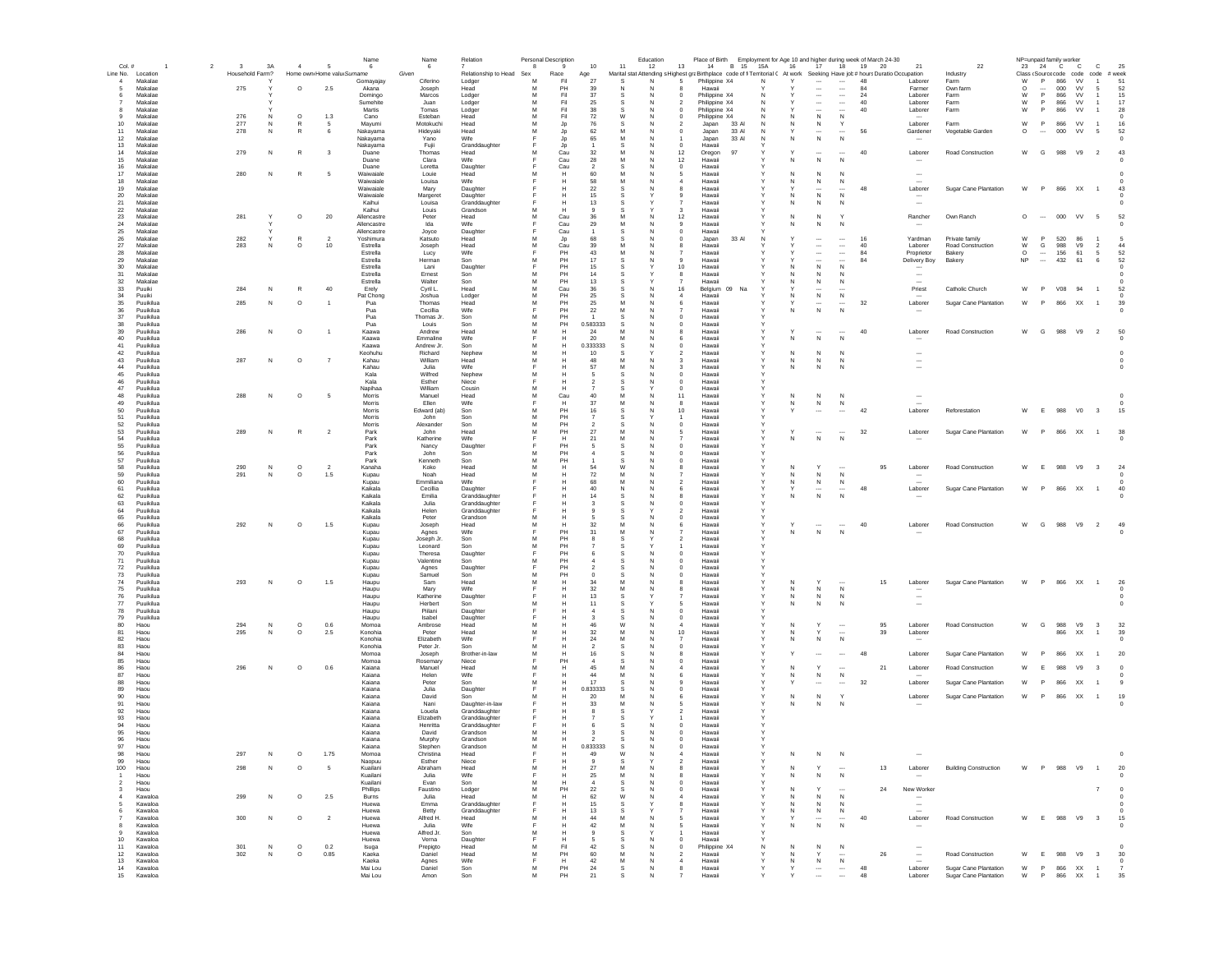| $Col.$ #                                 | $\overline{2}$<br>$\overline{\mathbf{3}}$ | 3A              | $\overline{4}$          | 5                          | Name<br>- 6           | Name<br>- 6            | Relation                       | 8      | Personal Description<br>9 | 10                  | 11               | Education<br>13<br>12                          | Place of Birth Employment for Age 10 and higher during week of March 24-30<br>14 B 15 15A                                  |             | 16           | 17                                                   | 18                                    | 19<br>20 | 21                                 | 22                                  | NP=unpaid family worker | 23 24 C C                       |                 | $\mathbf{C}$                   | 25                      |
|------------------------------------------|-------------------------------------------|-----------------|-------------------------|----------------------------|-----------------------|------------------------|--------------------------------|--------|---------------------------|---------------------|------------------|------------------------------------------------|----------------------------------------------------------------------------------------------------------------------------|-------------|--------------|------------------------------------------------------|---------------------------------------|----------|------------------------------------|-------------------------------------|-------------------------|---------------------------------|-----------------|--------------------------------|-------------------------|
| Line No. Location                        |                                           | Household Farm? |                         | Home own Home valu Surname |                       | Given                  | Relationship to Head Sex       |        | Race                      | Age                 |                  |                                                | Marital stat Attending s Highest graBirthplace code of fi Territorial ( At work Seeking Have job# hours Duratio Occupation |             |              |                                                      |                                       |          |                                    | Industry                            | Class (Source code code |                                 |                 | code #week                     |                         |
| $\overline{a}$<br>Makalae                |                                           |                 |                         |                            | Gomayajay             | Ciferino               | Lodger                         | M      | Fil                       | 27                  | <b>S</b>         | N<br>-5                                        | Philippine X4                                                                                                              | N           | $\checkmark$ |                                                      | $\overline{\phantom{a}}$              | 48       | Laborer                            | Farm                                | W                       | P<br>866                        | <b>W</b>        | $\overline{1}$                 | 51                      |
| Makalae<br>5                             | 275                                       |                 | $\circ$                 | 2.5                        | Akana                 | Joseph                 | Head                           | M      | PH                        | 39                  | N                | N                                              | Hawaii                                                                                                                     |             |              | $\overline{\phantom{a}}$                             | $\overline{\phantom{a}}$              | 84       | Farmer                             | Own farm                            | $\Omega$                | $\overline{\phantom{a}}$<br>000 | w               | -5                             | 52                      |
| Makalae<br>6<br>Makalae                  |                                           |                 |                         |                            | Domingo<br>Sumehite   | Marcos<br>Juan         | Lodger                         | M<br>M | Fil<br>Fil                | 37<br>25            | -S<br>s          | N<br>$\Omega$<br>N<br>$\overline{\phantom{a}}$ | Philippine X4<br>Philippine X4                                                                                             | N           |              | $\overline{\phantom{a}}$<br>$\overline{\phantom{a}}$ | $\overline{\phantom{a}}$<br>$\ldots$  | 24<br>40 | Laborer<br>Laborer                 | Farm<br>Farm                        | W<br>W                  | P.<br>866<br>P<br>866           | <b>VV</b><br>VV | $\overline{1}$<br>$\mathbf{1}$ | 15<br>17                |
| Makalae<br>8                             |                                           |                 |                         |                            | Martis                | Tomas                  | Lodger<br>Lodger               | M      | Fil                       | 38                  |                  |                                                | Philippine X4                                                                                                              |             |              | $\overline{\phantom{a}}$                             | $\overline{\phantom{a}}$              | 40       | Laborer                            | Farm                                | W                       | 866<br>P                        | VV              | $\mathbf{1}$                   | 28                      |
| Makalae<br>9                             | 276                                       | N               | $\circ$                 | 1.3                        | Cano                  | Esteban                | Head                           | M      | Fil                       | 72                  | W                | N<br>$\mathbf 0$                               | Philippine X4                                                                                                              |             |              | N                                                    | N                                     |          |                                    |                                     |                         |                                 |                 |                                | $\mathbf 0$             |
| 10<br>Makalae                            | 277                                       | N               | $\mathbb{R}$            |                            | Mayumi                | Motokuchi              | Head                           | M      | Jp                        | 76                  |                  |                                                | 33 AI<br>Japan                                                                                                             |             | N            | N                                                    |                                       |          | Laborer                            | Farm                                | W                       | P<br>866                        | VV              | $\overline{1}$                 | 16                      |
| 11<br>Makalae<br>12<br>Makalae           | 278                                       | N               | $\mathbb{R}$            | 6                          | Nakayama<br>Nakayama  | Hideyaki<br>Yano       | Head<br>Wife                   | M      | Jp<br>Jp                  | 62<br>65            | M                | N<br>$\mathbf 0$                               | 33 Al<br>Japan<br>33 AI<br>Japan                                                                                           |             |              | ${\sf N}$                                            | $\ddotsc$<br>N                        | 56       | Gardener<br>$\sim$                 | Vegetable Garden                    | $\circ$                 | 000<br>$\cdots$                 | VV              | - 5                            | 52                      |
| 13<br>Makalae                            |                                           |                 |                         |                            | Nakayama              | Fujii                  | Granddaughter                  |        | Jp                        |                     |                  | $^{\circ}$<br>N                                | Hawaii                                                                                                                     |             |              |                                                      |                                       |          |                                    |                                     |                         |                                 |                 |                                |                         |
| 14<br>Makalae                            | 279                                       | N               | $\mathbb{R}$            | 3                          | Duane                 | Thomas                 | Head                           | M      | Cau                       | 32                  |                  | 12<br>N                                        | 97<br>Oregon                                                                                                               |             |              | $\overline{\phantom{a}}$                             |                                       | 40       | Laborer                            | Road Construction                   | W                       | G<br>988                        | V9              | $\overline{\phantom{a}}$       | 43                      |
| 15<br>Makalae                            |                                           |                 |                         |                            | Duane                 | Clara                  | Wife                           |        | Cau                       | 28                  | M                | 12<br>N                                        | Hawaii                                                                                                                     |             | N            | N                                                    | N                                     |          | $\sim$                             |                                     |                         |                                 |                 |                                | - 0                     |
| 16<br>Makalae<br>17<br>Makalae           | 280                                       | N               | R                       | 5                          | Duane<br>Waiwaiale    | Loretta<br>Louie       | Daughter<br>Head               | м      | Cau<br>H                  | $\mathcal{P}$<br>60 | -S<br>M          | N<br>$^{\circ}$<br>N<br>5                      | Hawaii<br>Hawaii                                                                                                           |             | N            | N                                                    | N                                     |          | $\overline{\phantom{a}}$           |                                     |                         |                                 |                 |                                |                         |
| 18<br>Makalae                            |                                           |                 |                         |                            | Waiwaiale             | Louisa                 | Wife                           |        | н                         | 58                  | M                | N<br>$\boldsymbol{A}$                          | Hawaii                                                                                                                     |             | N            | N                                                    | N                                     |          | $\overline{\phantom{a}}$           |                                     |                         |                                 |                 |                                |                         |
| 19<br>Makalae                            |                                           |                 |                         |                            | Waiwaiale             | Mary                   | Daughter                       |        | н                         | 22                  | -S               | N<br>8                                         | Hawaii                                                                                                                     |             |              | $\overline{\phantom{a}}$                             |                                       | 48       | Laborer                            | Sugar Cane Plantation               | W                       | P                               | 866 XX          | $\overline{1}$                 | 43                      |
| 20<br>Makalae<br>Makalae                 |                                           |                 |                         |                            | Waiwaiale<br>Kaihui   | Margeret               | Daughter                       |        | н                         | 15                  |                  | $\mathbf{Q}$                                   | Hawaii<br>Hawaii                                                                                                           |             | N<br>N       | N                                                    | $\mathbb N$                           |          |                                    |                                     |                         |                                 |                 |                                |                         |
| 21<br>22<br>Makalae                      |                                           |                 |                         |                            | Kaihui                | Louisa<br>Louis        | Granddaughter<br>Grandson      | M      | н<br>Н                    | 13<br>9             | -S               | $\overline{7}$<br>3                            | Hawaii                                                                                                                     |             |              | N                                                    | N                                     |          | $\sim$                             |                                     |                         |                                 |                 |                                |                         |
| 23<br>Makalae                            | 281                                       |                 | $\circ$                 | 20                         | Allencastre           | Peter                  | Head                           | M      | Cau                       | 36                  | M                | 12                                             | Hawai                                                                                                                      |             | N            | N                                                    |                                       |          | Rancher                            | Own Ranch                           | $\circ$                 | 000<br>$\overline{\phantom{a}}$ | VV              | $5\phantom{.0}$                | 52                      |
| 24<br>Makalae                            |                                           |                 |                         |                            | Allencastre           | Ida                    | Wife                           |        | Cau                       | 29                  | M                | N<br>9                                         | Hawaii                                                                                                                     |             | N            | ${\sf N}$                                            | N                                     |          |                                    |                                     |                         |                                 |                 |                                |                         |
| 25<br>Makalae                            |                                           |                 |                         |                            | Allencastre           | Joyce                  | Daughter                       |        | Cau                       |                     |                  | N<br>$\mathbf 0$                               | Hawaii                                                                                                                     |             |              |                                                      |                                       |          |                                    |                                     |                         |                                 |                 |                                |                         |
| 26<br>Makalae<br>$27\,$<br>Makalae       | 282<br>283                                | N               | $\mathbb{R}$<br>$\circ$ | 10                         | Yoshimura<br>Estrella | Katsuto<br>Joseph      | Head<br>Head                   | M<br>M | Jp<br>Cau                 | 68<br>39            |                  | $\mathbb O$<br>N                               | 33 Al<br>Japan<br>Hawaii                                                                                                   |             |              | $\cdots$<br>$\overline{\phantom{a}}$                 | $\ldots$<br>$\ldots$                  | 16<br>40 | Yardman<br>Laborer                 | Private family<br>Road Construction | W<br>W                  | P<br>520<br>G<br>988            | 86<br>V9        | $\overline{2}$                 | 44                      |
| 28<br>Makalae                            |                                           |                 |                         |                            | Estrella              | Lucy                   | Wife                           |        | PH                        | 43                  | M                | N                                              | Hawaii                                                                                                                     |             |              | $\cdots$                                             | $\ldots$                              | 84       | Proprietor                         | Bakery                              | $\circ$                 | 156<br>$\cdots$                 | 61              | $\sqrt{5}$                     | 52                      |
| 29<br>Makalae                            |                                           |                 |                         |                            | Estrella              | Herman                 | Son                            | M      | PH                        | 17                  |                  | 9                                              | Hawaii                                                                                                                     |             |              | $\cdots$                                             | $\overline{\phantom{a}}$              | 84       | Delivery Boy                       | Bakery                              | NP                      | 432<br>$\overline{\phantom{a}}$ | 61              | 6                              | 52                      |
| 30<br>Makalae                            |                                           |                 |                         |                            | Estrella              | Lani                   | Daughter                       | Е      | PH                        | 15                  | -S               | 10                                             | Hawaii                                                                                                                     |             | N            | N                                                    | N                                     |          | $\sim$                             |                                     |                         |                                 |                 |                                | - 0                     |
| 31<br>Makalae<br>32<br>Makalae           |                                           |                 |                         |                            | Estrella<br>Estrella  | Ernest<br>Walter       | Son<br>Son                     | м<br>м | PH<br>PH                  | 14<br>13            | -S               | 8                                              | Hawaii<br>Hawaii                                                                                                           |             | N            | N<br>N                                               | -N<br>N                               |          | $\sim$                             |                                     |                         |                                 |                 |                                |                         |
| 33<br>Puuiki                             | 284                                       | N               | $\mathbb{R}$            | 40                         | Erely                 | Cyril L.               | Head                           | м      | Cau                       | 36                  | -S               | N<br>16                                        | Na<br>Belgium 09                                                                                                           |             |              |                                                      |                                       |          | Priest                             | Catholic Church                     | W                       | P<br>V08                        | 94              | $\overline{1}$                 | 52                      |
| 34<br>Puuiki                             |                                           |                 |                         |                            | Pat Chong             | Joshua                 | Lodger                         | M      | PH                        | 25                  | <b>S</b>         | N<br>$\boldsymbol{A}$                          | Hawaii                                                                                                                     |             | N            | N                                                    | N                                     |          |                                    |                                     |                         |                                 |                 |                                |                         |
| 35<br>Puuikilua                          | 285                                       | N               | $\circ$                 | $\overline{1}$             | Pua                   | Thomas                 | Head                           | M      | PH                        | 25                  | M                | 6<br>N                                         | Hawaii                                                                                                                     |             |              | $\overline{\phantom{a}}$                             |                                       | 32       | Laborer                            | Sugar Cane Plantation               | W                       | <b>P</b><br>866                 | XX              | $\overline{1}$                 | 39                      |
| 36<br>Puuikilua<br>37<br>Puuikilua       |                                           |                 |                         |                            | Pua<br>Pua            | Cecillia<br>Thomas Jr. | Wife<br>Son                    | Е<br>M | PH<br>PH                  | 22                  | M                | N<br>$\overline{7}$<br>N<br>$\mathbf 0$        | Hawaii<br>Hawaii                                                                                                           |             | N            | N                                                    | $\mathbb N$                           |          |                                    |                                     |                         |                                 |                 |                                |                         |
| 38<br>Puuikilua                          |                                           |                 |                         |                            | Pua                   | Louis                  | Son                            | M      | PH                        | 0.583333            |                  | $\mathbf 0$                                    | Hawaii                                                                                                                     |             |              |                                                      |                                       |          |                                    |                                     |                         |                                 |                 |                                |                         |
| 39<br>Puuikilua                          | 286                                       | N               | $\circ$                 |                            | Kaawa                 | Andrew                 | Head                           | M      |                           | 24                  |                  | N<br>8                                         | Hawaii                                                                                                                     |             |              |                                                      |                                       | 40       | Laborer                            | Road Construction                   | W                       | G<br>988                        | V9              | $\overline{2}$                 | 50                      |
| 40<br>Puuikilua                          |                                           |                 |                         |                            | Kaawa                 | Emmaline               | Wife                           |        |                           | 20                  | M                |                                                | Hawai                                                                                                                      |             | N            | ${\sf N}$                                            | $\mathsf{N}$                          |          |                                    |                                     |                         |                                 |                 |                                |                         |
| 41<br>Puuikilua                          |                                           |                 |                         |                            | Kaawa                 | Andrew Jr.             | Son                            | M      | н                         | 0.333333            | s                | N<br>$\mathbf 0$                               | Hawaii                                                                                                                     |             |              |                                                      |                                       |          |                                    |                                     |                         |                                 |                 |                                |                         |
| 42<br>Puuikilua<br>43<br>Puuikilua       | 287                                       | N               | $\circ$                 | $\overline{7}$             | Keohuhu<br>Kahau      | Richard<br>William     | Nephew<br>Head                 | M<br>M | н                         | 10<br>48            | M                | N<br>3                                         | Hawaii<br>Hawaii                                                                                                           |             | N            | N<br>N                                               |                                       |          | $\overline{\phantom{a}}$<br>$\sim$ |                                     |                         |                                 |                 |                                |                         |
| 44<br>Puuikilua                          |                                           |                 |                         |                            | Kahau                 | Julia                  | Wife                           |        |                           | 57                  |                  | з                                              | Hawaii                                                                                                                     |             |              | N                                                    | N                                     |          |                                    |                                     |                         |                                 |                 |                                |                         |
| 45<br>Puuikilua                          |                                           |                 |                         |                            | Kala                  | Wilfred                | Nephew                         | M      | н                         | -5                  | -S               | N<br>$^{\circ}$                                | Hawaii                                                                                                                     |             |              |                                                      |                                       |          |                                    |                                     |                         |                                 |                 |                                |                         |
| 46<br>Puuikilua                          |                                           |                 |                         |                            | Kala                  | Esther                 | Niece                          |        | н                         | -2                  |                  | $^{\circ}$<br>N                                | Hawaii                                                                                                                     |             |              |                                                      |                                       |          |                                    |                                     |                         |                                 |                 |                                |                         |
| 47<br>Puuikilua                          |                                           |                 |                         |                            | Napihaa               | William                | Cousin                         | м      | н                         |                     | -S               | $^{\circ}$                                     | Hawaii                                                                                                                     |             |              |                                                      |                                       |          |                                    |                                     |                         |                                 |                 |                                |                         |
| 48<br>Puuikilua<br>49<br>Puuikilua       | 288                                       | N               | $\circ$                 | 5                          | Morris<br>Morris      | Manuel<br>Filen        | Head<br>Wife                   | M<br>Е | Cau<br>н                  | 40<br>37            | M<br>M           | 11<br>N<br>$\mathbf{R}$<br>N                   | Hawaii<br>Hawaii                                                                                                           | Y           | N<br>N       | N                                                    | N                                     |          | $\overline{\phantom{a}}$           |                                     |                         |                                 |                 |                                |                         |
| 50<br>Puuikilua                          |                                           |                 |                         |                            | Morris                | Edward (ab)            | Son                            | M      | PH                        | 16                  | -S               | 10<br>N                                        | Hawaii                                                                                                                     |             | Y            | N                                                    | N                                     | 42       | Laborer                            | Reforestation                       | W                       | E<br>988                        | V <sub>0</sub>  | $_{3}$                         | 15                      |
| 51<br>Puuikilua                          |                                           |                 |                         |                            | Morris                | John                   | Son                            | M      | PH                        | -7                  |                  | $\overline{1}$                                 | Hawaii                                                                                                                     |             |              |                                                      |                                       |          |                                    |                                     |                         |                                 |                 |                                |                         |
| 52<br>Puuikilua                          |                                           |                 |                         |                            | Morris                | Alexander              | Son                            | M      | PH                        | $\overline{2}$      |                  | $\pmb{0}$<br>N                                 | Hawaii                                                                                                                     |             |              |                                                      |                                       |          |                                    |                                     |                         |                                 |                 |                                |                         |
| 53<br>Puuikilua                          | 289                                       | N               | $\mathbb{R}$            | $\overline{2}$             | Park                  | John                   | Head                           | M      | PH                        | 27                  | M                |                                                | Hawai                                                                                                                      |             |              |                                                      |                                       | 32       | Laborer                            | Sugar Cane Plantation               | W                       | P                               | 866 XX          | $\overline{1}$                 | 38                      |
| 54<br>Puuikilua<br>55<br>Puuikilua       |                                           |                 |                         |                            | Park<br>Park          | Katherine<br>Nancy     | Wife<br>Daughter               |        | Н<br>PH                   | 21                  | M                | N<br>$\mathbf 0$                               | Hawai<br>Hawai                                                                                                             |             | N            | ${\sf N}$                                            | N                                     |          |                                    |                                     |                         |                                 |                 |                                |                         |
| 56<br>Puuikilua                          |                                           |                 |                         |                            | Park                  | John                   | Son                            | M      | PH                        | -4                  | -S               | $\pmb{0}$<br>N                                 | Hawaii                                                                                                                     |             |              |                                                      |                                       |          |                                    |                                     |                         |                                 |                 |                                |                         |
| 57<br>Puuikilua                          |                                           |                 |                         |                            | Park                  | Kenneth                | Son                            | M      | PH                        |                     |                  |                                                | Hawaii                                                                                                                     |             |              |                                                      |                                       |          |                                    |                                     |                         |                                 |                 |                                |                         |
| 58<br>Puuikilua                          | 290                                       | ${\sf N}$       | $\circ$                 | $\overline{2}$             | Kanaha                | Koko                   | Head                           | M      | н                         | 54                  | W                | N                                              | Hawaii                                                                                                                     |             | N            |                                                      |                                       | 95       | Laborer                            | Road Construction                   | W                       | 988                             | V9              | $\overline{\mathbf{3}}$        | 24                      |
| 59<br>Puuikilua                          | 291                                       | N               | $\circ$                 | 1.5                        | Kupau                 | Noah                   | Head                           | M      | н                         | 72                  |                  | N                                              | Hawaii                                                                                                                     |             |              | N                                                    | $\mathbb{N}$                          |          |                                    |                                     |                         |                                 |                 |                                |                         |
| 60<br>Puuikilua<br>61<br>Puuikilua       |                                           |                 |                         |                            | Kupau<br>Kaikala      | Emmiliana<br>Cecillia  | Wife<br>Daughter               |        | н<br>н                    | 68<br>40            | M<br>$\mathbf N$ | N<br>$\overline{2}$<br>N<br>6                  | Hawaii<br>Hawaii                                                                                                           |             | N            | N<br>$\cdots$                                        | N<br>$\cdots$                         | 48       | Laborer                            | <b>Sugar Cane Plantation</b>        | W                       | P                               | 866 XX          | $\overline{1}$                 | 40                      |
| 62<br>Puuikilua                          |                                           |                 |                         |                            | Kaikala               | Emilia                 | Granddaughter                  |        | н                         | 14                  | -S               | N<br>8                                         | Hawaii                                                                                                                     |             | N            | N                                                    | N                                     |          |                                    |                                     |                         |                                 |                 |                                | - 0                     |
| 63<br>Puuikilua                          |                                           |                 |                         |                            | Kaikala               | Julia                  | Granddaughter                  |        | H                         | $\mathbf{3}$        | -S               | N<br>$^{\circ}$                                | Hawaii                                                                                                                     |             |              |                                                      |                                       |          |                                    |                                     |                         |                                 |                 |                                |                         |
| 64<br>Puuikilua                          |                                           |                 |                         |                            | Kaikala               | Helen                  | Granddaughter                  |        | н                         | $\alpha$            | -S               | $\mathcal{P}$                                  | Hawaii                                                                                                                     |             |              |                                                      |                                       |          |                                    |                                     |                         |                                 |                 |                                |                         |
| 65<br>Puuikilua<br>66<br>Puuikilua       | 292                                       | N               |                         |                            | Kaikala               | Peter<br>Joseph        | Grandson<br>Head               | M<br>M | н<br>н                    | 32                  | M                | N<br>$\Omega$<br>N<br>6                        | Hawaii<br>Hawaii                                                                                                           |             | Υ            | $\overline{\phantom{a}}$                             | $\overline{\phantom{a}}$              |          | Laborer                            | <b>Road Construction</b>            | W                       | G<br>988                        |                 | $\overline{2}$                 | 49                      |
| 67<br>Puuikilua                          |                                           |                 | $\circ$                 | 1.5                        | Kupau<br>Kupau        | Agnes                  | Wife                           |        | PH                        | 31                  | M                | N                                              | Hawaii                                                                                                                     |             | N            | $\,$ N                                               | N                                     | 40       |                                    |                                     |                         |                                 | V9              |                                |                         |
| 68<br>Puuikilua                          |                                           |                 |                         |                            | Kupau                 | Joseph Jr.             | Son                            | M      | PH                        |                     |                  | $\mathfrak{p}$                                 | Hawai                                                                                                                      |             |              |                                                      |                                       |          |                                    |                                     |                         |                                 |                 |                                |                         |
| 69<br>Puuikilua                          |                                           |                 |                         |                            | Kupau                 | Leonard                | Son                            | M      | PH                        |                     |                  |                                                | Hawaii                                                                                                                     |             |              |                                                      |                                       |          |                                    |                                     |                         |                                 |                 |                                |                         |
| 70<br>Puuikilua                          |                                           |                 |                         |                            | Kupau                 | Theresa                | Daughter                       |        | PH                        |                     |                  | $\bf{0}$                                       | Hawai                                                                                                                      |             |              |                                                      |                                       |          |                                    |                                     |                         |                                 |                 |                                |                         |
| $\bf 71$<br>Puuikilua<br>72<br>Puuikilua |                                           |                 |                         |                            | Kupau<br>Kupau        | Valentine<br>Agnes     | Son<br>Daughter                | M      | PH<br>PH                  |                     |                  | $\mathbf 0$<br>N                               | Hawaii<br>Hawaii                                                                                                           |             |              |                                                      |                                       |          |                                    |                                     |                         |                                 |                 |                                |                         |
| 73<br>Puuikilua                          |                                           |                 |                         |                            | Kupau                 | Samuel                 | Son                            | M      | PH                        |                     |                  | $\bf{0}$<br>N                                  | Hawaii                                                                                                                     |             |              |                                                      |                                       |          |                                    |                                     |                         |                                 |                 |                                |                         |
| 74<br>Puuikilua                          | 293                                       | N               | $\circ$                 | 1.5                        | Haupu                 | Sam                    | Head                           | M      | н                         | 34                  |                  | 8                                              | Hawaii                                                                                                                     |             | N            | Y                                                    |                                       | 15       | Laborer                            | Sugar Cane Plantation               | W                       | P                               | 866 XX          | $\overline{1}$                 | 26                      |
| 75<br>Puuikilua                          |                                           |                 |                         |                            | Haupu                 | Mary                   | Wife                           |        | н                         | 32                  | M                | N<br>8                                         | Hawaii                                                                                                                     |             | N            | N                                                    | N                                     |          | $\overline{\phantom{a}}$           |                                     |                         |                                 |                 |                                | $^{\circ}$              |
| 76<br>Puuikilua<br>77<br>Puuikilua       |                                           |                 |                         |                            | Haupu<br>Haupu        | Katherine<br>Herbert   | Daughter<br>Son                | м      | н<br>н                    | 13<br>11            | -S<br>-S         | -5                                             | Hawaii<br>Hawaii                                                                                                           |             | N<br>N       | N<br>N                                               | N<br>N                                |          | $\cdots$<br>$\cdots$               |                                     |                         |                                 |                 |                                | - 0<br>$^{\circ}$       |
| 78<br>Puuikilua                          |                                           |                 |                         |                            | Haupu                 | Piilani                | Daughter                       |        | н                         | -4                  | -S               | N<br>$^{\circ}$                                | Hawaii                                                                                                                     |             |              |                                                      |                                       |          |                                    |                                     |                         |                                 |                 |                                |                         |
| 79<br>Puuikilua                          |                                           |                 |                         |                            | Haupu                 | Isabel                 | Daughter                       |        | н                         | $\mathbf{3}$        | -S               | N<br>$\Omega$                                  | Hawaii                                                                                                                     |             |              |                                                      |                                       |          |                                    |                                     |                         |                                 |                 |                                |                         |
| 80<br>Haou                               | 294                                       | N               | $\circ$                 | 0.6                        | Momoa                 | Ambrose                | Head                           | M      | H                         | 46                  | W                | $\boldsymbol{A}$<br>N                          | Hawaii                                                                                                                     |             | N            |                                                      | $\overline{\phantom{a}}$              | 95       | Laborer                            | Road Construction                   | W                       | G<br>988                        | V9              | $\overline{\mathbf{3}}$        | 32                      |
| 81<br>Haou<br>82<br>Haou                 | 295                                       | N               | $\circ$                 | 2.5                        | Konohia<br>Konohia    | Peter<br>Elizabeth     | Head<br>Wife                   | M<br>F | н                         | 32<br>$\bf 24$      | M<br>M           | N<br>10<br>N<br>$\overline{7}$                 | Hawaii<br>Hawaii                                                                                                           | Y           | N<br>N       | Y<br>N                                               | $\overline{\phantom{a}}$<br>${\sf N}$ | 39       | Laborer                            |                                     |                         | 866                             | XX              | $\overline{1}$                 | 39<br>$^{\circ}$        |
| 83<br>Haou                               |                                           |                 |                         |                            | Konohia               | Peter Jr.              | Son                            | M      |                           |                     |                  | $\mathbf 0$                                    | Hawai                                                                                                                      |             |              |                                                      |                                       |          |                                    |                                     |                         |                                 |                 |                                |                         |
| 84<br>Haou                               |                                           |                 |                         |                            | Momoa                 | Joseph                 | Brother-in-law                 | M      |                           | 16                  |                  | 8                                              | Hawai                                                                                                                      |             |              |                                                      |                                       | 48       | Laborer                            | Sugar Cane Plantation               | W                       | 866                             | XX              |                                | 20                      |
| 85<br>Haou                               |                                           |                 |                         |                            | Momoa                 | Rosemary               | Niece                          |        | PH                        |                     |                  | $\bf{0}$                                       | Hawai                                                                                                                      |             |              |                                                      |                                       |          |                                    |                                     |                         |                                 |                 |                                |                         |
| 86<br>Haou<br>87<br>Haou                 | 296                                       | N               | $\circ$                 | 0.6                        | Kaiana                | Manuel                 | Head<br>Wife                   | M      | Н                         | 45<br>44            | M                | N<br>4                                         | Hawaii                                                                                                                     |             | N            |                                                      | $\overline{\phantom{a}}$<br>N         | 21       | Laborer                            | Road Construction                   | W                       | 988<br>E                        | V9              | 3                              |                         |
| 88<br>Haou                               |                                           |                 |                         |                            | Kaiana<br>Kaiana      | Helen<br>Peter         | Son                            | M      | н                         | 17                  |                  | 6<br>-N                                        | Hawaii<br>Hawaii                                                                                                           |             |              | N                                                    | $\cdots$                              | 32       | Laborer                            | Sugar Cane Plantation               | W                       | 866                             | XX              | $\overline{1}$                 |                         |
| 89<br>Haou                               |                                           |                 |                         |                            | Kaiana                | Julia                  | Daughter                       |        | н                         | 0.833333            |                  | 0                                              | Hawaii                                                                                                                     |             |              |                                                      |                                       |          |                                    |                                     |                         |                                 |                 |                                |                         |
| 90<br>Haou                               |                                           |                 |                         |                            | Kaiana                | David                  | Son                            | м      | н                         | 20                  | M                | N<br>6                                         | Hawaii                                                                                                                     |             | N            | N                                                    |                                       |          | Laborer                            | Sugar Cane Plantation               | W                       | P                               | 866 XX 1        |                                | 19                      |
| 91<br>Haou                               |                                           |                 |                         |                            | Kaiana                | Nani                   | Daughter-in-law                |        |                           | 33                  | M                | -N                                             | Hawaii                                                                                                                     |             | N            | N                                                    | N                                     |          |                                    |                                     |                         |                                 |                 |                                |                         |
| 92<br>Haou<br>93<br>Haou                 |                                           |                 |                         |                            | Kaiana<br>Kaiana      | Louela<br>Elizabeth    | Granddaughter<br>Granddaughter |        | н<br>н                    |                     |                  | 2                                              | Hawaii<br>Hawaii                                                                                                           |             |              |                                                      |                                       |          |                                    |                                     |                         |                                 |                 |                                |                         |
| 94<br>Haou                               |                                           |                 |                         |                            | Kaiana                | Henritta               | Granddaughter                  | E      | н                         | -6                  | -S               | N<br>$^{\circ}$                                | Hawaii                                                                                                                     |             |              |                                                      |                                       |          |                                    |                                     |                         |                                 |                 |                                |                         |
| 95<br>Haou                               |                                           |                 |                         |                            | Kaiana                | David                  | Grandson                       | м      |                           |                     |                  | $\Omega$                                       | Hawaii                                                                                                                     |             |              |                                                      |                                       |          |                                    |                                     |                         |                                 |                 |                                |                         |
| 96<br>Haou                               |                                           |                 |                         |                            | Kaiana                | Murphy                 | Grandson                       | M      | н                         |                     | -S               | N<br>$\Omega$                                  | Hawaii                                                                                                                     |             |              |                                                      |                                       |          |                                    |                                     |                         |                                 |                 |                                |                         |
| 97<br>Haou                               |                                           |                 |                         |                            | Kaiana                | Stephen                | Grandson                       | M      | н                         | 0.833333            | s                | ${\sf N}$<br>$\circ$                           | Hawaii                                                                                                                     |             |              |                                                      |                                       |          |                                    |                                     |                         |                                 |                 |                                |                         |
| 98<br>Haou<br>99<br>Haou                 | 297                                       | N               | $\circ$                 | 1.75                       | Momoa<br>Naopuu       | Christina<br>Esther    | Head<br>Niece                  |        |                           | 49                  |                  |                                                | Hawaii<br>Hawai                                                                                                            |             | N            | N                                                    | N                                     |          |                                    |                                     |                         |                                 |                 |                                |                         |
| 100<br>Haou                              | 298                                       | N               | $\circ$                 | 5                          | Kuailani              | Abraham                | Head                           | M      |                           | $27\,$              | M                | N                                              | Hawaii                                                                                                                     |             | N            | Y                                                    |                                       | 13       | Laborer                            | <b>Building Construction</b>        | W                       | 988<br>P                        | V9              | $\overline{1}$                 | 20                      |
| $\overline{1}$<br>Haou                   |                                           |                 |                         |                            | Kuailani              | Julia                  | Wife                           | F      | Н                         | 25                  | M                | ${\sf N}$<br>8                                 | Hawaii                                                                                                                     |             | N            | N                                                    | ${\sf N}$                             |          | $\cdots$                           |                                     |                         |                                 |                 |                                | $^{\circ}$              |
| Haou<br>$\overline{2}$                   |                                           |                 |                         |                            | Kuailani              | Evan                   | Son                            | M      | н                         |                     |                  |                                                | Hawaii                                                                                                                     |             |              |                                                      |                                       |          |                                    |                                     |                         |                                 |                 |                                |                         |
| Haou<br>3                                |                                           |                 |                         |                            | Phillips              | Faustino               | Lodger                         | M      | PH                        | $22\,$              |                  | N<br>$\mathbf 0$                               | Hawaii                                                                                                                     |             | N            |                                                      | $\overline{\phantom{a}}$              | 24       | New Worker                         |                                     |                         |                                 |                 | $\overline{7}$                 | $^{\circ}$              |
| Kawaloa<br>$\overline{4}$                | 299                                       | N               | $\circ$                 | 2.5                        | Burns                 | Julia                  | Head                           | M      | н                         | 62<br>15            | W                |                                                | Hawaii                                                                                                                     |             | N            | N                                                    | N                                     |          | $\cdots$                           |                                     |                         |                                 |                 |                                | $^{\circ}$              |
| Kawaloa<br>-5<br>Kawaloa<br>6            |                                           |                 |                         |                            | Huewa<br>Huewa        | Emma<br>Betty          | Granddaughter<br>Granddaughter | F      | н<br>н                    | 13                  | -S<br>-S         | 8                                              | Hawaii<br>Hawaii                                                                                                           |             | N<br>N       | N<br>N                                               | N<br>N                                |          | $\overline{\phantom{a}}$           |                                     |                         |                                 |                 |                                | $^{\circ}$<br>- 0       |
| Kawaloa<br>$\overline{7}$                | 300                                       | N               | $\circ$                 | $\overline{2}$             | Huewa                 | Alfred H.              | Head                           | М      | н                         | 44                  | M                | N<br>5                                         | Hawaii                                                                                                                     | Y           | Υ            | $\cdots$                                             | $\overline{\phantom{a}}$              | 40       | Laborer                            | Road Construction                   | W                       | 988<br>E                        | V9              | $_{3}$                         | 15                      |
| 8<br>Kawaloa                             |                                           |                 |                         |                            | Huewa                 | Julia                  | Wife                           | Е      | н                         | 42                  | M                | N<br>5                                         | Hawaii                                                                                                                     |             | N            | N                                                    | N                                     |          |                                    |                                     |                         |                                 |                 |                                | $^{\circ}$              |
| 9<br>Kawaloa                             |                                           |                 |                         |                            | Huewa                 | Alfred Jr.             | Son                            | M      | н                         | $\mathbf{Q}$        | <b>S</b>         | 1                                              | Hawaii                                                                                                                     |             |              |                                                      |                                       |          |                                    |                                     |                         |                                 |                 |                                |                         |
| 10<br>Kawaloa<br>Kawaloa                 |                                           |                 | $\circ$                 |                            | Huewa                 | Verna                  | Daughter<br>Head               | Е<br>м | н<br>Fil                  | -5<br>42            | -S<br><b>S</b>   | N<br>$\Omega$<br>N<br>$\Omega$                 | Hawaii                                                                                                                     | $\mathbb N$ | $\mathbb N$  |                                                      |                                       |          | $\overline{\phantom{a}}$           |                                     |                         |                                 |                 |                                | $\Omega$                |
| 11<br>12<br>Kawaloa                      | 301<br>302                                | N<br>${\sf N}$  | $\circ$                 | 0.2<br>0.85                | Isuga<br>Kaeka        | Prepigto<br>Daniel     | Head                           | M      | PH                        | 60                  | M                | N<br>$\overline{2}$                            | Philippine X4<br>Hawaii                                                                                                    |             | N            | N<br>Y                                               | N<br>                                 | 26       | $\cdots$                           | Road Construction                   | W                       | 988<br>E                        | V9              | $\overline{\mathbf{3}}$        | 30                      |
| 13<br>Kawaloa                            |                                           |                 |                         |                            | Kaeka                 | Agnes                  | Wife                           | Е      | н                         | 42                  | M                | N                                              | Hawaii                                                                                                                     |             | N            | ${\sf N}$                                            | ${\sf N}$                             |          | $\sim$                             |                                     |                         |                                 |                 |                                | $\overline{\mathbf{0}}$ |
| 14<br>Kawaloa                            |                                           |                 |                         |                            | Mai Lou               | Daniel                 | Son                            | М      | PH                        | $\mathbf{^{24}}$    | s                | N<br>8                                         | Hawaii                                                                                                                     |             | Y            |                                                      | $\cdots$                              | 48       | Laborer                            | Sugar Cane Plantation               | W                       | P<br>866                        | XX              | $\mathbf{1}$                   | $\overline{7}$          |
| 15<br>Kawaloa                            |                                           |                 |                         |                            | Mai Lou               | Amon                   | Son                            | М      | PH                        | 21                  |                  | N                                              | Hawaii                                                                                                                     |             |              |                                                      |                                       | 48       | Laborer                            | Sugar Cane Plantation               | W                       | 866<br>P                        | XX              | $\overline{1}$                 | 35                      |
|                                          |                                           |                 |                         |                            |                       |                        |                                |        |                           |                     |                  |                                                |                                                                                                                            |             |              |                                                      |                                       |          |                                    |                                     |                         |                                 |                 |                                |                         |